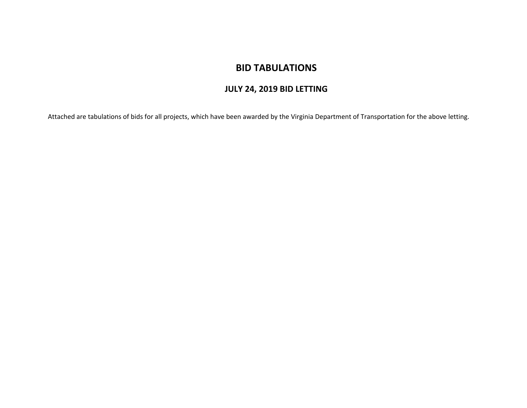## **BID TABULATIONS**

## **JULY 24, 2019 BID LETTING**

Attached are tabulations of bids for all projects, which have been awarded by the Virginia Department of Transportation for the above letting.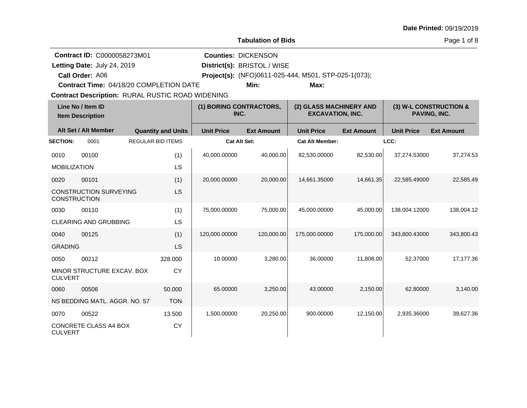|                                                                                                                          |                                                  |                          |                                 |                                     | <b>Tabulation of Bids</b>                                    |                        |                                        |                   | Page 1 of 8       |
|--------------------------------------------------------------------------------------------------------------------------|--------------------------------------------------|--------------------------|---------------------------------|-------------------------------------|--------------------------------------------------------------|------------------------|----------------------------------------|-------------------|-------------------|
| Contract ID: C0000058273M01<br>Letting Date: July 24, 2019<br>Call Order: A06<br>Contract Time: 04/18/20 COMPLETION DATE |                                                  |                          | <b>Counties: DICKENSON</b>      | District(s): BRISTOL / WISE<br>Min: | Project(s): (NFO)0611-025-444, M501, STP-025-1(073);<br>Max: |                        |                                        |                   |                   |
|                                                                                                                          | Contract Description: RURAL RUSTIC ROAD WIDENING |                          |                                 |                                     |                                                              |                        |                                        |                   |                   |
| Line No / Item ID<br><b>Item Description</b>                                                                             |                                                  |                          | (1) BORING CONTRACTORS,<br>INC. |                                     | (2) GLASS MACHINERY AND<br><b>EXCAVATION, INC.</b>           |                        | (3) W-L CONSTRUCTION &<br>PAVING, INC. |                   |                   |
|                                                                                                                          | Alt Set / Alt Member                             |                          | <b>Quantity and Units</b>       | <b>Unit Price</b>                   | <b>Ext Amount</b>                                            | <b>Unit Price</b>      | <b>Ext Amount</b>                      | <b>Unit Price</b> | <b>Ext Amount</b> |
| <b>SECTION:</b>                                                                                                          | 0001                                             | <b>REGULAR BID ITEMS</b> |                                 | <b>Cat Alt Set:</b>                 |                                                              | <b>Cat Alt Member:</b> |                                        | LCC:              |                   |
| 0010<br><b>MOBILIZATION</b>                                                                                              | 00100                                            |                          | (1)<br>LS                       | 40,000.00000                        | 40,000.00                                                    | 82,530.00000           | 82,530.00                              | 37,274.53000      | 37,274.53         |
| 0020<br><b>CONSTRUCTION</b>                                                                                              | 00101<br><b>CONSTRUCTION SURVEYING</b>           |                          | (1)<br>LS                       | 20,000.00000                        | 20,000.00                                                    | 14,661.35000           | 14,661.35                              | 22,585.49000      | 22,585.49         |
| 0030                                                                                                                     | 00110<br>CLEARING AND GRUBBING                   |                          | (1)<br>LS                       | 75,000.00000                        | 75,000.00                                                    | 45,000.00000           | 45,000.00                              | 138,004.12000     | 138,004.12        |
| 0040<br><b>GRADING</b>                                                                                                   | 00125                                            |                          | (1)<br>LS                       | 120,000.00000                       | 120,000.00                                                   | 175,000.00000          | 175,000.00                             | 343,800.43000     | 343,800.43        |
| 0050<br><b>CULVERT</b>                                                                                                   | 00212<br>MINOR STRUCTURE EXCAV. BOX              |                          | 328.000<br><b>CY</b>            | 10.00000                            | 3,280.00                                                     | 36.00000               | 11,808.00                              | 52.37000          | 17,177.36         |
| 0060                                                                                                                     | 00506<br>NS BEDDING MATL. AGGR. NO. 57           |                          | 50.000<br><b>TON</b>            | 65.00000                            | 3,250.00                                                     | 43.00000               | 2,150.00                               | 62.80000          | 3,140.00          |
| 0070<br><b>CULVERT</b>                                                                                                   | 00522<br>CONCRETE CLASS A4 BOX                   |                          | 13.500<br><b>CY</b>             | 1,500.00000                         | 20,250.00                                                    | 900.00000              | 12,150.00                              | 2,935.36000       | 39,627.36         |

**Date Printed:** 09/19/2019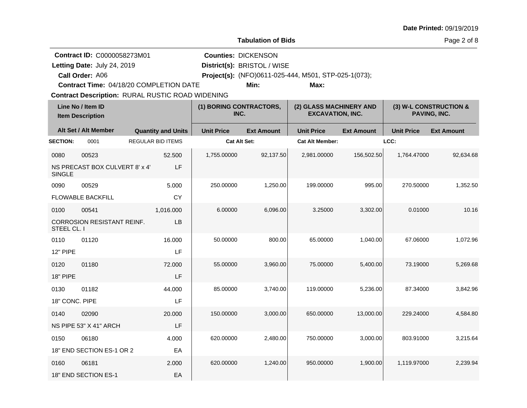|                                                                                                                                 | <b>Tabulation of Bids</b>               |  |                                 |                     |                                                                   |                                                              |                                        |                   | Page 2 of 8       |
|---------------------------------------------------------------------------------------------------------------------------------|-----------------------------------------|--|---------------------------------|---------------------|-------------------------------------------------------------------|--------------------------------------------------------------|----------------------------------------|-------------------|-------------------|
| <b>Contract ID: C0000058273M01</b><br>Letting Date: July 24, 2019<br>Call Order: A06<br>Contract Time: 04/18/20 COMPLETION DATE |                                         |  |                                 |                     | <b>Counties: DICKENSON</b><br>District(s): BRISTOL / WISE<br>Min: | Project(s): (NFO)0611-025-444, M501, STP-025-1(073);<br>Max: |                                        |                   |                   |
| <b>Contract Description: RURAL RUSTIC ROAD WIDENING</b><br>Line No / Item ID<br><b>Item Description</b>                         |                                         |  | (1) BORING CONTRACTORS,<br>INC. |                     | (2) GLASS MACHINERY AND<br><b>EXCAVATION, INC.</b>                |                                                              | (3) W-L CONSTRUCTION &<br>PAVING, INC. |                   |                   |
|                                                                                                                                 | Alt Set / Alt Member                    |  | <b>Quantity and Units</b>       | <b>Unit Price</b>   | <b>Ext Amount</b>                                                 | <b>Unit Price</b>                                            | <b>Ext Amount</b>                      | <b>Unit Price</b> | <b>Ext Amount</b> |
| <b>SECTION:</b>                                                                                                                 | 0001                                    |  | <b>REGULAR BID ITEMS</b>        | <b>Cat Alt Set:</b> |                                                                   | <b>Cat Alt Member:</b>                                       |                                        | LCC:              |                   |
| 0080<br><b>SINGLE</b>                                                                                                           | 00523<br>NS PRECAST BOX CULVERT 8' x 4' |  | 52.500<br>LF                    | 1,755.00000         | 92,137.50                                                         | 2,981.00000                                                  | 156,502.50                             | 1,764.47000       | 92,634.68         |
| 0090                                                                                                                            | 00529                                   |  | 5.000                           | 250.00000           | 1,250.00                                                          | 199.00000                                                    | 995.00                                 | 270.50000         | 1,352.50          |
|                                                                                                                                 | <b>FLOWABLE BACKFILL</b>                |  | <b>CY</b>                       |                     |                                                                   |                                                              |                                        |                   |                   |
| 0100                                                                                                                            | 00541                                   |  | 1,016.000                       | 6.00000             | 6,096.00                                                          | 3.25000                                                      | 3,302.00                               | 0.01000           | 10.16             |
| STEEL CL. I                                                                                                                     | <b>CORROSION RESISTANT REINF.</b>       |  | <b>LB</b>                       |                     |                                                                   |                                                              |                                        |                   |                   |
| 0110                                                                                                                            | 01120                                   |  | 16.000                          | 50.00000            | 800.00                                                            | 65.00000                                                     | 1.040.00                               | 67.06000          | 1,072.96          |
| <b>12" PIPE</b>                                                                                                                 |                                         |  | LF                              |                     |                                                                   |                                                              |                                        |                   |                   |
| 0120<br><b>18" PIPE</b>                                                                                                         | 01180                                   |  | 72.000<br>LF                    | 55.00000            | 3,960.00                                                          | 75.00000                                                     | 5,400.00                               | 73.19000          | 5,269.68          |
| 0130                                                                                                                            | 01182                                   |  | 44.000                          | 85.00000            | 3,740.00                                                          | 119.00000                                                    | 5,236.00                               | 87.34000          | 3,842.96          |
| 18" CONC. PIPE                                                                                                                  |                                         |  | LF                              |                     |                                                                   |                                                              |                                        |                   |                   |
| 0140                                                                                                                            | 02090                                   |  | 20.000                          | 150.00000           | 3,000.00                                                          | 650.00000                                                    | 13.000.00                              | 229.24000         | 4,584.80          |
|                                                                                                                                 | NS PIPE 53" X 41" ARCH                  |  | LF                              |                     |                                                                   |                                                              |                                        |                   |                   |
| 0150                                                                                                                            | 06180                                   |  | 4.000                           | 620.00000           | 2,480.00                                                          | 750.00000                                                    | 3,000.00                               | 803.91000         | 3,215.64          |
|                                                                                                                                 | 18" END SECTION ES-1 OR 2               |  | EA                              |                     |                                                                   |                                                              |                                        |                   |                   |
| 0160                                                                                                                            | 06181                                   |  | 2.000                           | 620.00000           | 1,240.00                                                          | 950.00000                                                    | 1,900.00                               | 1.119.97000       | 2.239.94          |
|                                                                                                                                 | 18" END SECTION ES-1                    |  | EA                              |                     |                                                                   |                                                              |                                        |                   |                   |

**Date Printed:** 09/19/2019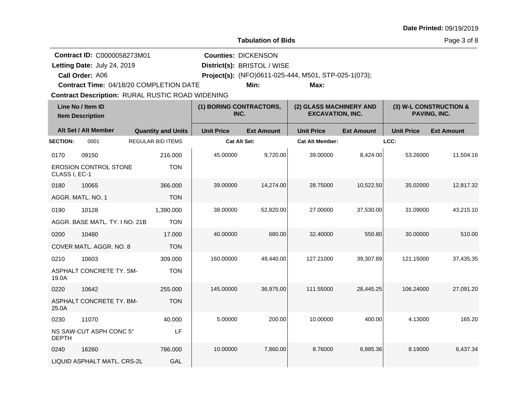| <b>Date Printed: 09/19/2019</b> |  |
|---------------------------------|--|
| Page 3 of 8                     |  |
|                                 |  |

**Contract ID:** C0000058273M01

Letting Date: July 24, 2019 **District(s): BRISTOL / WISE** Letting Date: July 24, 2019

**Call Order:**

**Counties:** DICKENSON

A06 **Project(s):** (NFO)0611-025-444, M501, STP-025-1(073);

**Contract Time:** 04/18/20 COMPLETION DATE

**Min: Max:**

**Contract Description: RURAL RUSTIC ROAD WIDENING** 

| Line No / Item ID<br><b>Item Description</b> |                                | (1) BORING CONTRACTORS,<br>INC. |                     | (2) GLASS MACHINERY AND<br><b>EXCAVATION, INC.</b> |                        | (3) W-L CONSTRUCTION &<br>PAVING, INC. |                   |                   |
|----------------------------------------------|--------------------------------|---------------------------------|---------------------|----------------------------------------------------|------------------------|----------------------------------------|-------------------|-------------------|
|                                              | Alt Set / Alt Member           | <b>Quantity and Units</b>       | <b>Unit Price</b>   | <b>Ext Amount</b>                                  | <b>Unit Price</b>      | <b>Ext Amount</b>                      | <b>Unit Price</b> | <b>Ext Amount</b> |
| <b>SECTION:</b>                              | 0001                           | <b>REGULAR BID ITEMS</b>        | <b>Cat Alt Set:</b> |                                                    | <b>Cat Alt Member:</b> |                                        | LCC:              |                   |
| 0170                                         | 09150                          | 216,000                         | 45.00000            | 9,720.00                                           | 39.00000               | 8,424.00                               | 53.26000          | 11,504.16         |
| CLASS I, EC-1                                | <b>EROSION CONTROL STONE</b>   | <b>TON</b>                      |                     |                                                    |                        |                                        |                   |                   |
| 0180                                         | 10065                          | 366,000                         | 39.00000            | 14,274.00                                          | 28.75000               | 10,522.50                              | 35.02000          | 12,817.32         |
|                                              | AGGR, MATL, NO. 1              | <b>TON</b>                      |                     |                                                    |                        |                                        |                   |                   |
| 0190                                         | 10128                          | 1,390.000                       | 38.00000            | 52,820.00                                          | 27.00000               | 37,530.00                              | 31.09000          | 43,215.10         |
|                                              | AGGR, BASE MATL, TY, I NO, 21B | <b>TON</b>                      |                     |                                                    |                        |                                        |                   |                   |
| 0200                                         | 10480                          | 17.000                          | 40.00000            | 680.00                                             | 32.40000               | 550.80                                 | 30.00000          | 510.00            |
|                                              | COVER MATL, AGGR, NO. 8        | <b>TON</b>                      |                     |                                                    |                        |                                        |                   |                   |
| 0210                                         | 10603                          | 309.000                         | 160.00000           | 49,440.00                                          | 127.21000              | 39,307.89                              | 121.15000         | 37,435.35         |
| 19.0A                                        | ASPHALT CONCRETE TY, SM-       | <b>TON</b>                      |                     |                                                    |                        |                                        |                   |                   |
| 0220                                         | 10642                          | 255,000                         | 145.00000           | 36,975.00                                          | 111.55000              | 28,445.25                              | 106.24000         | 27,091.20         |
| 25.0A                                        | ASPHALT CONCRETE TY. BM-       | <b>TON</b>                      |                     |                                                    |                        |                                        |                   |                   |
| 0230                                         | 11070                          | 40.000                          | 5.00000             | 200.00                                             | 10.00000               | 400.00                                 | 4.13000           | 165.20            |
| <b>DEPTH</b>                                 | NS SAW-CUT ASPH CONC 5"        | LF                              |                     |                                                    |                        |                                        |                   |                   |
| 0240                                         | 16260                          | 786.000                         | 10.00000            | 7,860.00                                           | 8.76000                | 6,885.36                               | 8.19000           | 6,437.34          |
|                                              | LIQUID ASPHALT MATL. CRS-2L    | GAL                             |                     |                                                    |                        |                                        |                   |                   |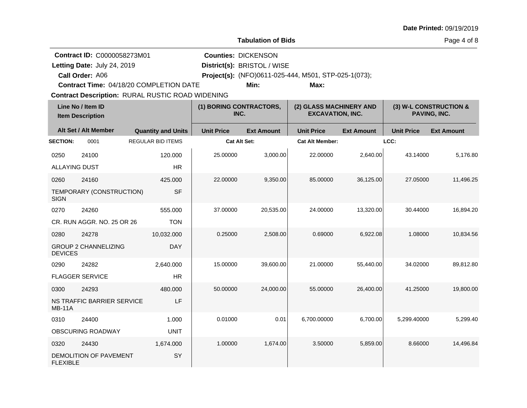|                                                      | <b>Tabulation of Bids</b>    |                                                    |                   | Page 4 of 8                                   |                   |  |  |  |  |
|------------------------------------------------------|------------------------------|----------------------------------------------------|-------------------|-----------------------------------------------|-------------------|--|--|--|--|
| <b>Counties: DICKENSON</b>                           |                              |                                                    |                   |                                               |                   |  |  |  |  |
|                                                      | District(s): BRISTOL / WISE  |                                                    |                   |                                               |                   |  |  |  |  |
| Project(s): (NFO)0611-025-444, M501, STP-025-1(073); |                              |                                                    |                   |                                               |                   |  |  |  |  |
|                                                      | Min:                         | Max:                                               |                   |                                               |                   |  |  |  |  |
| <b>DENING</b>                                        |                              |                                                    |                   |                                               |                   |  |  |  |  |
| INC.                                                 | <b>) BORING CONTRACTORS,</b> | (2) GLASS MACHINERY AND<br><b>EXCAVATION, INC.</b> |                   | (3) W-L CONSTRUCTION &<br><b>PAVING, INC.</b> |                   |  |  |  |  |
| <b>Unit Price</b>                                    | <b>Ext Amount</b>            | <b>Unit Price</b>                                  | <b>Ext Amount</b> | <b>Unit Price</b>                             | <b>Ext Amount</b> |  |  |  |  |
| Cat Alt Set:                                         |                              | <b>Cat Alt Member:</b>                             |                   | LCC:                                          |                   |  |  |  |  |
| 25.00000                                             | 3,000.00                     | 22,00000                                           | 2,640.00          | 43.14000                                      | 5,176.80          |  |  |  |  |
| 22,00000                                             | 9,350.00                     | 85.00000                                           | 36,125.00         | 27,05000                                      | 11,496.25         |  |  |  |  |

Letting Date: July 24, 2019 **District(s): BRISTOL / WISE** 

**Contract ID:** C0000058273M01

**Call Order:**

**Contract Description: RURAL RUSTIC ROAD WIDENING Contract Time:** 04/18/20 COMPLETION DATE

| Line No / Item ID<br><b>Item Description</b> |                             | (1) BORING CONTRACTORS,<br>INC. |                     | (2) GLASS MACHINERY AND<br><b>EXCAVATION, INC.</b> |                        | (3) W-L CONSTRUCTION &<br>PAVING, INC. |                   |                   |
|----------------------------------------------|-----------------------------|---------------------------------|---------------------|----------------------------------------------------|------------------------|----------------------------------------|-------------------|-------------------|
|                                              | Alt Set / Alt Member        | <b>Quantity and Units</b>       | <b>Unit Price</b>   | <b>Ext Amount</b>                                  | <b>Unit Price</b>      | <b>Ext Amount</b>                      | <b>Unit Price</b> | <b>Ext Amount</b> |
| <b>SECTION:</b>                              | 0001                        | <b>REGULAR BID ITEMS</b>        | <b>Cat Alt Set:</b> |                                                    | <b>Cat Alt Member:</b> |                                        | LCC:              |                   |
| 0250                                         | 24100                       | 120.000                         | 25.00000            | 3,000.00                                           | 22.00000               | 2,640.00                               | 43.14000          | 5,176.80          |
| <b>ALLAYING DUST</b>                         |                             | <b>HR</b>                       |                     |                                                    |                        |                                        |                   |                   |
| 0260                                         | 24160                       | 425.000                         | 22.00000            | 9,350.00                                           | 85.00000               | 36,125.00                              | 27.05000          | 11,496.25         |
| <b>SIGN</b>                                  | TEMPORARY (CONSTRUCTION)    | <b>SF</b>                       |                     |                                                    |                        |                                        |                   |                   |
| 0270                                         | 24260                       | 555.000                         | 37.00000            | 20,535.00                                          | 24.00000               | 13,320.00                              | 30.44000          | 16,894.20         |
|                                              | CR. RUN AGGR. NO. 25 OR 26  | <b>TON</b>                      |                     |                                                    |                        |                                        |                   |                   |
| 0280                                         | 24278                       | 10,032.000                      | 0.25000             | 2,508.00                                           | 0.69000                | 6,922.08                               | 1.08000           | 10,834.56         |
| <b>DEVICES</b>                               | <b>GROUP 2 CHANNELIZING</b> | <b>DAY</b>                      |                     |                                                    |                        |                                        |                   |                   |
| 0290                                         | 24282                       | 2,640.000                       | 15.00000            | 39,600.00                                          | 21.00000               | 55,440.00                              | 34.02000          | 89,812.80         |
|                                              | <b>FLAGGER SERVICE</b>      | <b>HR</b>                       |                     |                                                    |                        |                                        |                   |                   |
| 0300                                         | 24293                       | 480.000                         | 50.00000            | 24,000.00                                          | 55.00000               | 26,400.00                              | 41.25000          | 19,800.00         |
| <b>MB-11A</b>                                | NS TRAFFIC BARRIER SERVICE  | LF                              |                     |                                                    |                        |                                        |                   |                   |
| 0310                                         | 24400                       | 1.000                           | 0.01000             | 0.01                                               | 6,700.00000            | 6,700.00                               | 5,299.40000       | 5,299.40          |
|                                              | OBSCURING ROADWAY           | <b>UNIT</b>                     |                     |                                                    |                        |                                        |                   |                   |
| 0320                                         | 24430                       | 1,674.000                       | 1.00000             | 1,674.00                                           | 3.50000                | 5,859.00                               | 8.66000           | 14,496.84         |
| <b>FLEXIBLE</b>                              | DEMOLITION OF PAVEMENT      | SY                              |                     |                                                    |                        |                                        |                   |                   |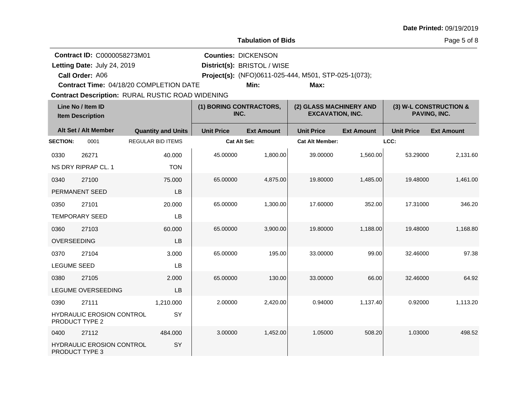| <b>Date Printed: 09/19/2019</b> |  |
|---------------------------------|--|
|---------------------------------|--|

Page 5 of 8

|                             | <b>Contract ID: C0000058273M01</b>           |                                                         |                   | <b>Counties: DICKENSON</b>                           |                        |                                                    |                   |                                        |  |
|-----------------------------|----------------------------------------------|---------------------------------------------------------|-------------------|------------------------------------------------------|------------------------|----------------------------------------------------|-------------------|----------------------------------------|--|
| Letting Date: July 24, 2019 |                                              |                                                         |                   | District(s): BRISTOL / WISE                          |                        |                                                    |                   |                                        |  |
|                             | Call Order: A06                              |                                                         |                   | Project(s): (NFO)0611-025-444, M501, STP-025-1(073); |                        |                                                    |                   |                                        |  |
|                             |                                              | <b>Contract Time: 04/18/20 COMPLETION DATE</b>          |                   | Min:                                                 | Max:                   |                                                    |                   |                                        |  |
|                             |                                              | <b>Contract Description: RURAL RUSTIC ROAD WIDENING</b> |                   |                                                      |                        |                                                    |                   |                                        |  |
|                             | Line No / Item ID<br><b>Item Description</b> |                                                         |                   | (1) BORING CONTRACTORS,<br>INC.                      |                        | (2) GLASS MACHINERY AND<br><b>EXCAVATION, INC.</b> |                   | (3) W-L CONSTRUCTION &<br>PAVING, INC. |  |
|                             | Alt Set / Alt Member                         | <b>Quantity and Units</b>                               | <b>Unit Price</b> | <b>Ext Amount</b>                                    | <b>Unit Price</b>      | <b>Ext Amount</b>                                  | <b>Unit Price</b> | <b>Ext Amount</b>                      |  |
| <b>SECTION:</b>             | 0001                                         | <b>REGULAR BID ITEMS</b>                                |                   | Cat Alt Set:                                         | <b>Cat Alt Member:</b> |                                                    | LCC:              |                                        |  |
| 0330                        | 26271                                        | 40.000                                                  | 45.00000          | 1,800.00                                             | 39.00000               | 1,560.00                                           | 53.29000          | 2,131.60                               |  |
|                             | NS DRY RIPRAP CL. 1                          | <b>TON</b>                                              |                   |                                                      |                        |                                                    |                   |                                        |  |
| 0340                        | 27100                                        | 75.000                                                  | 65.00000          | 4,875.00                                             | 19.80000               | 1,485.00                                           | 19.48000          | 1,461.00                               |  |
|                             | PERMANENT SEED                               | <b>LB</b>                                               |                   |                                                      |                        |                                                    |                   |                                        |  |
| 0350                        | 27101                                        | 20.000                                                  | 65.00000          | 1,300.00                                             | 17.60000               | 352.00                                             | 17.31000          | 346.20                                 |  |
|                             | <b>TEMPORARY SEED</b>                        | LB                                                      |                   |                                                      |                        |                                                    |                   |                                        |  |
| 0360                        | 27103                                        | 60.000                                                  | 65.00000          | 3,900.00                                             | 19.80000               | 1,188.00                                           | 19.48000          | 1,168.80                               |  |
| OVERSEEDING                 |                                              | <b>LB</b>                                               |                   |                                                      |                        |                                                    |                   |                                        |  |
| 0370                        | 27104                                        | 3.000                                                   | 65.00000          | 195.00                                               | 33.00000               | 99.00                                              | 32.46000          | 97.38                                  |  |
| <b>LEGUME SEED</b>          |                                              | LB                                                      |                   |                                                      |                        |                                                    |                   |                                        |  |
| 0380                        | 27105                                        | 2.000                                                   | 65.00000          | 130.00                                               | 33.00000               | 66.00                                              | 32.46000          | 64.92                                  |  |
|                             | LEGUME OVERSEEDING                           | LB                                                      |                   |                                                      |                        |                                                    |                   |                                        |  |
| 0390                        | 27111                                        | 1,210.000                                               | 2.00000           | 2,420.00                                             | 0.94000                | 1,137.40                                           | 0.92000           | 1,113.20                               |  |
| PRODUCT TYPE 2              | HYDRAULIC EROSION CONTROL                    | SY                                                      |                   |                                                      |                        |                                                    |                   |                                        |  |
| 0400                        | 27112                                        | 484.000                                                 | 3.00000           | 1,452.00                                             | 1.05000                | 508.20                                             | 1.03000           | 498.52                                 |  |
| PRODUCT TYPE 3              | HYDRAULIC EROSION CONTROL                    | SY                                                      |                   |                                                      |                        |                                                    |                   |                                        |  |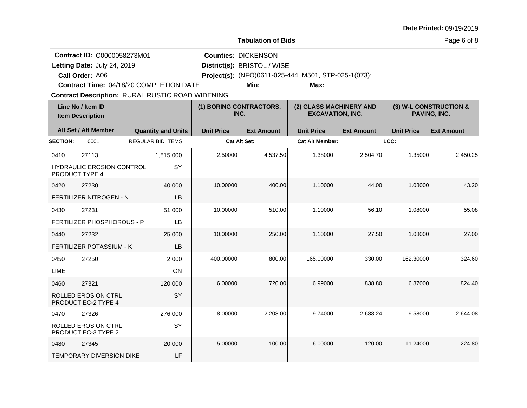|                 | <b>Tabulation of Bids</b>                                                                                                                                                                                                                                                                                                       |  |                           |                                 |                     |                                                    |                   |                                        | Page 6 of 8       |  |  |
|-----------------|---------------------------------------------------------------------------------------------------------------------------------------------------------------------------------------------------------------------------------------------------------------------------------------------------------------------------------|--|---------------------------|---------------------------------|---------------------|----------------------------------------------------|-------------------|----------------------------------------|-------------------|--|--|
|                 | Contract ID: C0000058273M01<br><b>Counties: DICKENSON</b><br>Letting Date: July 24, 2019<br>District(s): BRISTOL / WISE<br>Call Order: A06<br>Project(s): (NFO)0611-025-444, M501, STP-025-1(073);<br><b>Contract Time: 04/18/20 COMPLETION DATE</b><br>Min:<br>Max:<br><b>Contract Description: RURAL RUSTIC ROAD WIDENING</b> |  |                           |                                 |                     |                                                    |                   |                                        |                   |  |  |
|                 | Line No / Item ID<br><b>Item Description</b>                                                                                                                                                                                                                                                                                    |  |                           | (1) BORING CONTRACTORS,<br>INC. |                     | (2) GLASS MACHINERY AND<br><b>EXCAVATION, INC.</b> |                   | (3) W-L CONSTRUCTION &<br>PAVING, INC. |                   |  |  |
|                 | Alt Set / Alt Member                                                                                                                                                                                                                                                                                                            |  | <b>Quantity and Units</b> | <b>Unit Price</b>               | <b>Ext Amount</b>   | <b>Unit Price</b>                                  | <b>Ext Amount</b> | <b>Unit Price</b>                      | <b>Ext Amount</b> |  |  |
| <b>SECTION:</b> | 0001                                                                                                                                                                                                                                                                                                                            |  | <b>REGULAR BID ITEMS</b>  |                                 | <b>Cat Alt Set:</b> | <b>Cat Alt Member:</b>                             |                   | LCC:                                   |                   |  |  |
| 0410            | 27113                                                                                                                                                                                                                                                                                                                           |  | 1,815.000                 | 2.50000                         | 4,537.50            | 1.38000                                            | 2,504.70          | 1.35000                                | 2,450.25          |  |  |
|                 | <b>HYDRAULIC EROSION CONTROL</b><br>PRODUCT TYPE 4                                                                                                                                                                                                                                                                              |  | SY                        |                                 |                     |                                                    |                   |                                        |                   |  |  |
| 0420            | 27230                                                                                                                                                                                                                                                                                                                           |  | 40.000                    | 10.00000                        | 400.00              | 1.10000                                            | 44.00             | 1.08000                                | 43.20             |  |  |
|                 | FERTILIZER NITROGEN - N                                                                                                                                                                                                                                                                                                         |  | LB                        |                                 |                     |                                                    |                   |                                        |                   |  |  |
| 0430            | 27231                                                                                                                                                                                                                                                                                                                           |  | 51.000                    | 10.00000                        | 510.00              | 1.10000                                            | 56.10             | 1.08000                                | 55.08             |  |  |
|                 | FERTILIZER PHOSPHOROUS - P                                                                                                                                                                                                                                                                                                      |  | LB                        |                                 |                     |                                                    |                   |                                        |                   |  |  |
| 0440            | 27232                                                                                                                                                                                                                                                                                                                           |  | 25.000                    | 10.00000                        | 250.00              | 1.10000                                            | 27.50             | 1.08000                                | 27.00             |  |  |
|                 | FERTILIZER POTASSIUM - K                                                                                                                                                                                                                                                                                                        |  | LB                        |                                 |                     |                                                    |                   |                                        |                   |  |  |
| 0450            | 27250                                                                                                                                                                                                                                                                                                                           |  | 2.000                     | 400.00000                       | 800.00              | 165.00000                                          | 330.00            | 162.30000                              | 324.60            |  |  |
| <b>LIME</b>     |                                                                                                                                                                                                                                                                                                                                 |  | <b>TON</b>                |                                 |                     |                                                    |                   |                                        |                   |  |  |
| 0460            | 27321                                                                                                                                                                                                                                                                                                                           |  | 120.000                   | 6.00000                         | 720.00              | 6.99000                                            | 838.80            | 6.87000                                | 824.40            |  |  |
|                 | <b>ROLLED EROSION CTRL</b><br>PRODUCT EC-2 TYPE 4                                                                                                                                                                                                                                                                               |  | SY                        |                                 |                     |                                                    |                   |                                        |                   |  |  |
| 0470            | 27326                                                                                                                                                                                                                                                                                                                           |  | 276.000                   | 8.00000                         | 2,208.00            | 9.74000                                            | 2,688.24          | 9.58000                                | 2,644.08          |  |  |
|                 | ROLLED EROSION CTRL                                                                                                                                                                                                                                                                                                             |  | SY                        |                                 |                     |                                                    |                   |                                        |                   |  |  |

5.00000 100.00 6.00000 120.00 11.24000 224.80

**Date Printed:** 09/19/2019

PRODUCT EC-3 TYPE 2

TEMPORARY DIVERSION DIKE

20.000 LF

0480 27345

of 8  $\,$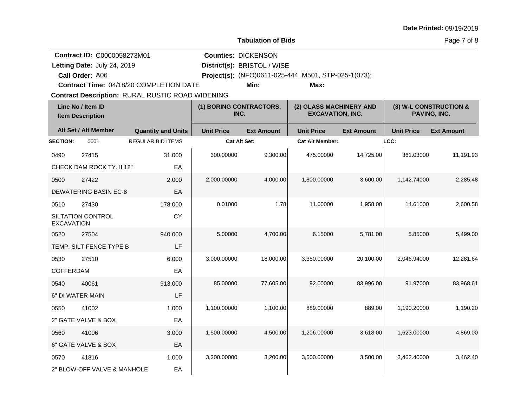|                                                                                                         |                              |                                         |                     | Page 7 of 8                                               |                                                      |                                        |                   |                   |
|---------------------------------------------------------------------------------------------------------|------------------------------|-----------------------------------------|---------------------|-----------------------------------------------------------|------------------------------------------------------|----------------------------------------|-------------------|-------------------|
| Contract ID: C0000058273M01<br>Letting Date: July 24, 2019<br>Call Order: A06                           |                              |                                         |                     | <b>Counties: DICKENSON</b><br>District(s): BRISTOL / WISE | Project(s): (NFO)0611-025-444, M501, STP-025-1(073); |                                        |                   |                   |
|                                                                                                         |                              | Contract Time: 04/18/20 COMPLETION DATE |                     | Min:                                                      | Max:                                                 |                                        |                   |                   |
| <b>Contract Description: RURAL RUSTIC ROAD WIDENING</b><br>Line No / Item ID<br><b>Item Description</b> |                              | (1) BORING CONTRACTORS,<br>INC.         |                     | (2) GLASS MACHINERY AND<br><b>EXCAVATION, INC.</b>        |                                                      | (3) W-L CONSTRUCTION &<br>PAVING, INC. |                   |                   |
|                                                                                                         | Alt Set / Alt Member         | <b>Quantity and Units</b>               | <b>Unit Price</b>   | <b>Ext Amount</b>                                         | <b>Unit Price</b>                                    | <b>Ext Amount</b>                      | <b>Unit Price</b> | <b>Ext Amount</b> |
| <b>SECTION:</b>                                                                                         | 0001                         | <b>REGULAR BID ITEMS</b>                | <b>Cat Alt Set:</b> |                                                           | <b>Cat Alt Member:</b>                               |                                        | LCC:              |                   |
| 0490                                                                                                    | 27415                        | 31.000                                  | 300.00000           | 9,300.00                                                  | 475.00000                                            | 14,725.00                              | 361.03000         | 11,191.93         |
|                                                                                                         | CHECK DAM ROCK TY. II 12"    | EA                                      |                     |                                                           |                                                      |                                        |                   |                   |
| 0500                                                                                                    | 27422                        | 2.000                                   | 2,000.00000         | 4,000.00                                                  | 1,800.00000                                          | 3,600.00                               | 1,142.74000       | 2,285.48          |
|                                                                                                         | <b>DEWATERING BASIN EC-8</b> | EA                                      |                     |                                                           |                                                      |                                        |                   |                   |
| 0510                                                                                                    | 27430                        | 178.000                                 | 0.01000             | 1.78                                                      | 11.00000                                             | 1,958.00                               | 14.61000          | 2,600.58          |
| <b>EXCAVATION</b>                                                                                       | SILTATION CONTROL            | CY                                      |                     |                                                           |                                                      |                                        |                   |                   |
| 0520                                                                                                    | 27504                        | 940.000                                 | 5.00000             | 4,700.00                                                  | 6.15000                                              | 5,781.00                               | 5.85000           | 5,499.00          |
|                                                                                                         | TEMP. SILT FENCE TYPE B      | LF                                      |                     |                                                           |                                                      |                                        |                   |                   |
| 0530                                                                                                    | 27510                        | 6.000                                   | 3,000.00000         | 18,000.00                                                 | 3,350.00000                                          | 20,100.00                              | 2,046.94000       | 12,281.64         |
| <b>COFFERDAM</b>                                                                                        |                              | EA                                      |                     |                                                           |                                                      |                                        |                   |                   |
| 0540                                                                                                    | 40061                        | 913.000                                 | 85.00000            | 77.605.00                                                 | 92.00000                                             | 83,996.00                              | 91.97000          | 83,968.61         |
|                                                                                                         | 6" DI WATER MAIN             | LF                                      |                     |                                                           |                                                      |                                        |                   |                   |
| 0550                                                                                                    | 41002                        | 1.000                                   | 1,100.00000         | 1,100.00                                                  | 889.00000                                            | 889.00                                 | 1,190.20000       | 1,190.20          |
|                                                                                                         | 2" GATE VALVE & BOX          | EA                                      |                     |                                                           |                                                      |                                        |                   |                   |
| 0560                                                                                                    | 41006                        | 3.000                                   | 1,500.00000         | 4,500.00                                                  | 1,206.00000                                          | 3,618.00                               | 1,623.00000       | 4,869.00          |
|                                                                                                         | 6" GATE VALVE & BOX          | EA                                      |                     |                                                           |                                                      |                                        |                   |                   |
| 0570                                                                                                    | 41816                        | 1.000                                   | 3,200.00000         | 3,200.00                                                  | 3,500.00000                                          | 3,500.00                               | 3,462.40000       | 3,462.40          |
|                                                                                                         | 2" BLOW-OFF VALVE & MANHOLE  | EA                                      |                     |                                                           |                                                      |                                        |                   |                   |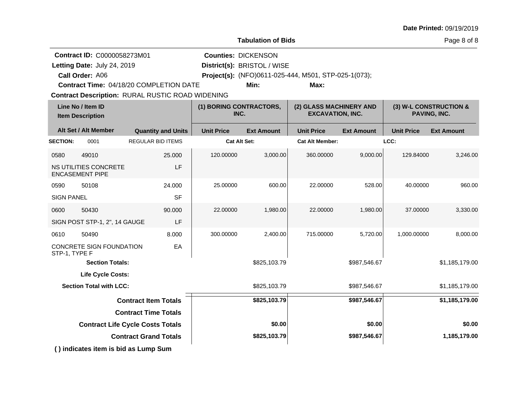| <b>Tabulation of Bids</b> |                                                                                                                                                                                                                                                                                                                                                                            |                                                   |                                                    |                                                                                |                                                                    |  |
|---------------------------|----------------------------------------------------------------------------------------------------------------------------------------------------------------------------------------------------------------------------------------------------------------------------------------------------------------------------------------------------------------------------|---------------------------------------------------|----------------------------------------------------|--------------------------------------------------------------------------------|--------------------------------------------------------------------|--|
|                           | Min:                                                                                                                                                                                                                                                                                                                                                                       | Max:                                              |                                                    |                                                                                |                                                                    |  |
|                           | (1) BORING CONTRACTORS,<br>INC.                                                                                                                                                                                                                                                                                                                                            |                                                   | (2) GLASS MACHINERY AND<br><b>EXCAVATION, INC.</b> |                                                                                | (3) W-L CONSTRUCTION &<br>PAVING, INC.                             |  |
| <b>Unit Price</b>         | <b>Ext Amount</b>                                                                                                                                                                                                                                                                                                                                                          | <b>Unit Price</b>                                 | <b>Ext Amount</b>                                  | <b>Unit Price</b>                                                              | <b>Ext Amount</b>                                                  |  |
|                           |                                                                                                                                                                                                                                                                                                                                                                            |                                                   |                                                    |                                                                                |                                                                    |  |
| 120.00000                 | 3,000.00                                                                                                                                                                                                                                                                                                                                                                   | 360.00000                                         |                                                    | 129.84000                                                                      | 3,246.00                                                           |  |
| 25.00000                  | 600.00                                                                                                                                                                                                                                                                                                                                                                     | 22.00000                                          |                                                    | 40.00000                                                                       | 960.00                                                             |  |
| 22.00000                  | 1,980.00                                                                                                                                                                                                                                                                                                                                                                   | 22.00000                                          |                                                    | 37.00000                                                                       | 3,330.00                                                           |  |
| 300.00000                 | 2,400.00                                                                                                                                                                                                                                                                                                                                                                   | 715.00000                                         |                                                    | 1,000.00000                                                                    | 8,000.00                                                           |  |
|                           | \$825,103.79                                                                                                                                                                                                                                                                                                                                                               |                                                   | \$987,546.67                                       |                                                                                | \$1,185,179.00                                                     |  |
|                           |                                                                                                                                                                                                                                                                                                                                                                            |                                                   |                                                    |                                                                                |                                                                    |  |
|                           | \$825,103.79                                                                                                                                                                                                                                                                                                                                                               |                                                   |                                                    |                                                                                | \$1,185,179.00                                                     |  |
|                           | \$825,103.79                                                                                                                                                                                                                                                                                                                                                               |                                                   | \$987,546.67                                       |                                                                                | \$1,185,179.00                                                     |  |
|                           |                                                                                                                                                                                                                                                                                                                                                                            |                                                   |                                                    |                                                                                |                                                                    |  |
|                           | \$0.00                                                                                                                                                                                                                                                                                                                                                                     |                                                   | \$0.00                                             |                                                                                | \$0.00                                                             |  |
|                           | \$825,103.79                                                                                                                                                                                                                                                                                                                                                               |                                                   | \$987,546.67                                       |                                                                                | 1,185,179.00                                                       |  |
|                           | Contract Time: 04/18/20 COMPLETION DATE<br><b>Contract Description: RURAL RUSTIC ROAD WIDENING</b><br><b>Quantity and Units</b><br><b>REGULAR BID ITEMS</b><br>25.000<br>LF<br>24.000<br><b>SF</b><br>90.000<br>LF<br>8.000<br>EA<br><b>Contract Item Totals</b><br><b>Contract Time Totals</b><br><b>Contract Life Cycle Costs Totals</b><br><b>Contract Grand Totals</b> | <b>Counties: DICKENSON</b><br><b>Cat Alt Set:</b> | District(s): BRISTOL / WISE                        | Project(s): (NFO)0611-025-444, M501, STP-025-1(073);<br><b>Cat Alt Member:</b> | LCC:<br>9,000.00<br>528.00<br>1,980.00<br>5,720.00<br>\$987,546.67 |  |

**( ) indicates item is bid as Lump Sum**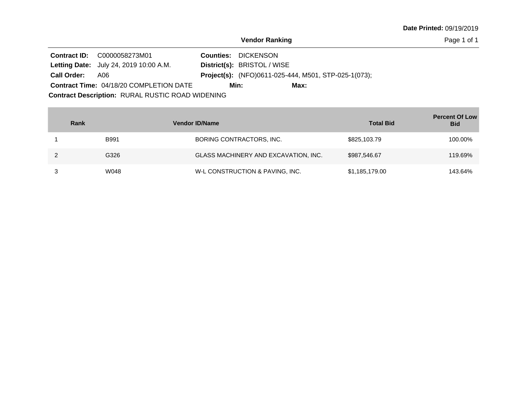**Date Printed:** 09/19/2019

**Vendor Ranking**

Page 1 of 1

|                                                  | <b>Contract ID:</b> C0000058273M01             |  | <b>Counties: DICKENSON</b>                                  |  |  |  |  |
|--------------------------------------------------|------------------------------------------------|--|-------------------------------------------------------------|--|--|--|--|
|                                                  | <b>Letting Date:</b> July 24, 2019 10:00 A.M.  |  | District(s): BRISTOL / WISE                                 |  |  |  |  |
| Call Order: A06                                  |                                                |  | <b>Project(s):</b> (NFO)0611-025-444, M501, STP-025-1(073); |  |  |  |  |
|                                                  | <b>Contract Time: 04/18/20 COMPLETION DATE</b> |  | Min:<br>Max:                                                |  |  |  |  |
| Contract Description: RURAL RUSTIC ROAD WIDENING |                                                |  |                                                             |  |  |  |  |

| Rank        | <b>Vendor ID/Name</b>                | <b>Total Bid</b> | <b>Percent Of Low</b><br><b>Bid</b> |
|-------------|--------------------------------------|------------------|-------------------------------------|
| <b>B991</b> | BORING CONTRACTORS, INC.             | \$825,103.79     | 100.00%                             |
| G326        | GLASS MACHINERY AND EXCAVATION, INC. | \$987,546.67     | 119.69%                             |
| W048        | W-L CONSTRUCTION & PAVING, INC.      | \$1,185,179.00   | 143.64%                             |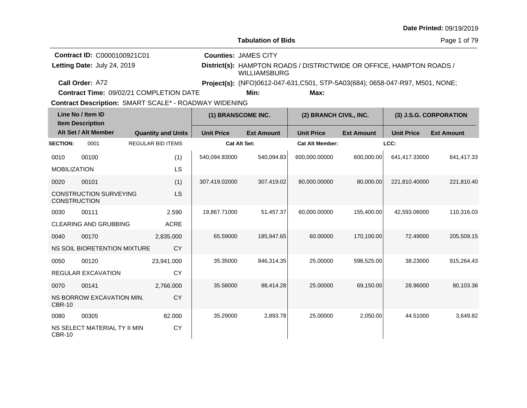| <b>Date Printed: 09/19/2019</b> |  |
|---------------------------------|--|
|---------------------------------|--|

Page 1 of 79

**Call Order: Letting Date:** July 24, 2019 **District(s):** HAMPTON ROADS / DISTRICTWIDE OR OFFICE, HAMPTON ROADS / WILLIAMSBURG **Contract ID:** C0000100921C01 **Counties:** JAMES CITY A72 **Project(s):** (NFO)0612-047-631,C501, STP-5A03(684); 0658-047-R97, M501, NONE;Letting Date: July 24, 2019

**Contract Time:** 09/02/21 COMPLETION DATE

**Min: Max:**

| Line No / Item ID<br><b>Item Description</b> |                               |                           | (1) BRANSCOME INC.  |                   | (2) BRANCH CIVIL, INC. |                   | (3) J.S.G. CORPORATION |                   |
|----------------------------------------------|-------------------------------|---------------------------|---------------------|-------------------|------------------------|-------------------|------------------------|-------------------|
|                                              | Alt Set / Alt Member          | <b>Quantity and Units</b> | <b>Unit Price</b>   | <b>Ext Amount</b> | <b>Unit Price</b>      | <b>Ext Amount</b> | <b>Unit Price</b>      | <b>Ext Amount</b> |
| <b>SECTION:</b>                              | 0001                          | <b>REGULAR BID ITEMS</b>  | <b>Cat Alt Set:</b> |                   | <b>Cat Alt Member:</b> |                   | LCC:                   |                   |
| 0010                                         | 00100                         | (1)                       | 540,094.83000       | 540,094.83        | 600,000.00000          | 600,000.00        | 641,417.33000          | 641,417.33        |
| <b>MOBILIZATION</b>                          |                               | LS                        |                     |                   |                        |                   |                        |                   |
| 0020                                         | 00101                         | (1)                       | 307,419.02000       | 307,419.02        | 80,000.00000           | 80,000.00         | 221,810.40000          | 221,810.40        |
| <b>CONSTRUCTION</b>                          | <b>CONSTRUCTION SURVEYING</b> | <b>LS</b>                 |                     |                   |                        |                   |                        |                   |
| 0030                                         | 00111                         | 2.590                     | 19,867.71000        | 51,457.37         | 60,000.00000           | 155,400.00        | 42,593.06000           | 110,316.03        |
|                                              | <b>CLEARING AND GRUBBING</b>  | <b>ACRE</b>               |                     |                   |                        |                   |                        |                   |
| 0040                                         | 00170                         | 2,835.000                 | 65.59000            | 185,947.65        | 60.00000               | 170,100.00        | 72.49000               | 205,509.15        |
|                                              | NS SOIL BIORETENTION MIXTURE  | CY                        |                     |                   |                        |                   |                        |                   |
| 0050                                         | 00120                         | 23,941.000                | 35.35000            | 846,314.35        | 25.00000               | 598,525.00        | 38.23000               | 915,264.43        |
|                                              | REGULAR EXCAVATION            | <b>CY</b>                 |                     |                   |                        |                   |                        |                   |
| 0070                                         | 00141                         | 2,766.000                 | 35.58000            | 98,414.28         | 25.00000               | 69,150.00         | 28.96000               | 80,103.36         |
| <b>CBR-10</b>                                | NS BORROW EXCAVATION MIN.     | <b>CY</b>                 |                     |                   |                        |                   |                        |                   |
| 0080                                         | 00305                         | 82.000                    | 35.29000            | 2,893.78          | 25.00000               | 2,050.00          | 44.51000               | 3,649.82          |
| CBR-10                                       | NS SELECT MATERIAL TY II MIN  | <b>CY</b>                 |                     |                   |                        |                   |                        |                   |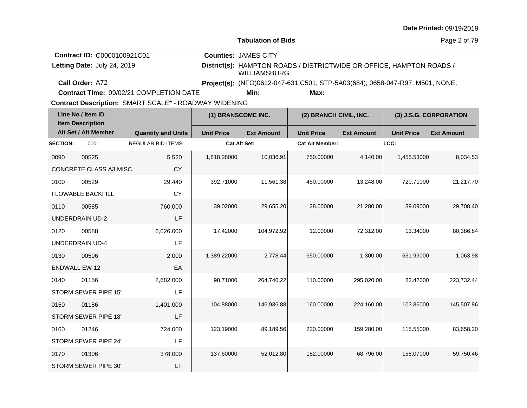| <b>Date Printed: 09/19/2019</b> |  |
|---------------------------------|--|
|---------------------------------|--|

| <b>Contract ID: C0000100921C01</b>             | <b>Counties: JAMES CITY</b> |                                                                              |
|------------------------------------------------|-----------------------------|------------------------------------------------------------------------------|
| Letting Date: July 24, 2019                    | WILLIAMSBURG                | District(s): HAMPTON ROADS / DISTRICTWIDE OR OFFICE, HAMPTON ROADS /         |
| Call Order: A72                                |                             | Project(s): (NFO)0612-047-631,C501, STP-5A03(684); 0658-047-R97, M501, NONE; |
| <b>Contract Time: 09/02/21 COMPLETION DATE</b> | Min:                        | Max:                                                                         |

**Contract Time:** 09/02/21 COMPLETION DATE

| Line No / Item ID<br><b>Item Description</b> |                          | (1) BRANSCOME INC.        |                   |                   | (2) BRANCH CIVIL, INC.<br>(3) J.S.G. CORPORATION |                   |                   |                   |
|----------------------------------------------|--------------------------|---------------------------|-------------------|-------------------|--------------------------------------------------|-------------------|-------------------|-------------------|
|                                              | Alt Set / Alt Member     | <b>Quantity and Units</b> | <b>Unit Price</b> | <b>Ext Amount</b> | <b>Unit Price</b>                                | <b>Ext Amount</b> | <b>Unit Price</b> | <b>Ext Amount</b> |
| <b>SECTION:</b>                              | 0001                     | <b>REGULAR BID ITEMS</b>  | Cat Alt Set:      |                   | <b>Cat Alt Member:</b>                           |                   | LCC:              |                   |
| 0090                                         | 00525                    | 5.520                     | 1,818.28000       | 10,036.91         | 750.00000                                        | 4,140.00          | 1,455.53000       | 8,034.53          |
|                                              | CONCRETE CLASS A3 MISC.  | CY                        |                   |                   |                                                  |                   |                   |                   |
| 0100                                         | 00529                    | 29.440                    | 392.71000         | 11,561.38         | 450.00000                                        | 13,248.00         | 720.71000         | 21,217.70         |
|                                              | <b>FLOWABLE BACKFILL</b> | <b>CY</b>                 |                   |                   |                                                  |                   |                   |                   |
| 0110                                         | 00585                    | 760.000                   | 39.02000          | 29,655.20         | 28.00000                                         | 21,280.00         | 39.09000          | 29,708.40         |
|                                              | <b>UNDERDRAIN UD-2</b>   | LF                        |                   |                   |                                                  |                   |                   |                   |
| 0120                                         | 00588                    | 6,026.000                 | 17.42000          | 104,972.92        | 12.00000                                         | 72,312.00         | 13.34000          | 80,386.84         |
|                                              | <b>UNDERDRAIN UD-4</b>   | LF                        |                   |                   |                                                  |                   |                   |                   |
| 0130                                         | 00596                    | 2.000                     | 1,389.22000       | 2,778.44          | 650.00000                                        | 1,300.00          | 531.99000         | 1,063.98          |
| <b>ENDWALL EW-12</b>                         |                          | EA                        |                   |                   |                                                  |                   |                   |                   |
| 0140                                         | 01156                    | 2,682.000                 | 98.71000          | 264,740.22        | 110.00000                                        | 295,020.00        | 83.42000          | 223,732.44        |
|                                              | STORM SEWER PIPE 15"     | LF                        |                   |                   |                                                  |                   |                   |                   |
| 0150                                         | 01186                    | 1,401.000                 | 104.88000         | 146,936.88        | 160.00000                                        | 224,160.00        | 103.86000         | 145,507.86        |
|                                              | STORM SEWER PIPE 18"     | LF                        |                   |                   |                                                  |                   |                   |                   |
| 0160                                         | 01246                    | 724.000                   | 123.19000         | 89,189.56         | 220.00000                                        | 159,280.00        | 115.55000         | 83,658.20         |
|                                              | STORM SEWER PIPE 24"     | LF                        |                   |                   |                                                  |                   |                   |                   |
| 0170                                         | 01306                    | 378.000                   | 137.60000         | 52,012.80         | 182.00000                                        | 68,796.00         | 158.07000         | 59,750.46         |
|                                              | STORM SEWER PIPE 30"     | LF                        |                   |                   |                                                  |                   |                   |                   |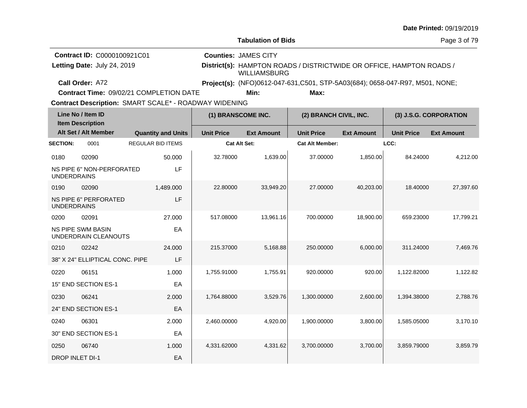| <b>Date Printed: 09/19/2019</b> |  |
|---------------------------------|--|
|---------------------------------|--|

Page 3 of 79

| <b>Contract ID: C0000100921C01</b> | <b>Counties: JAMES CITY</b>                                                          |
|------------------------------------|--------------------------------------------------------------------------------------|
| Letting Date: July 24, 2019        | District(s): HAMPTON ROADS / DISTRICTWIDE OR OFFICE, HAMPTON ROADS /<br>WILLIAMSBURG |
| Call Order: A72                    | <b>Project(s):</b> (NFO)0612-047-631, C501, STP-5A03(684); 0658-047-R97, M501, NONE; |

**Contract Time:** 09/02/21 COMPLETION DATE

**Min: Max:**

| Line No / Item ID<br><b>Item Description</b> |                                                  |                           | (1) BRANSCOME INC.  |                   | (2) BRANCH CIVIL, INC. |                   | (3) J.S.G. CORPORATION |                   |
|----------------------------------------------|--------------------------------------------------|---------------------------|---------------------|-------------------|------------------------|-------------------|------------------------|-------------------|
|                                              | Alt Set / Alt Member                             | <b>Quantity and Units</b> | <b>Unit Price</b>   | <b>Ext Amount</b> | <b>Unit Price</b>      | <b>Ext Amount</b> | <b>Unit Price</b>      | <b>Ext Amount</b> |
| <b>SECTION:</b>                              | 0001                                             | <b>REGULAR BID ITEMS</b>  | <b>Cat Alt Set:</b> |                   | <b>Cat Alt Member:</b> |                   | LCC:                   |                   |
| 0180                                         | 02090                                            | 50.000                    | 32.78000            | 1,639.00          | 37.00000               | 1,850.00          | 84.24000               | 4,212.00          |
| <b>UNDERDRAINS</b>                           | NS PIPE 6" NON-PERFORATED                        | LF                        |                     |                   |                        |                   |                        |                   |
| 0190                                         | 02090                                            | 1,489.000                 | 22,80000            | 33,949.20         | 27,00000               | 40,203.00         | 18.40000               | 27,397.60         |
| <b>UNDERDRAINS</b>                           | <b>NS PIPE 6" PERFORATED</b>                     | LF                        |                     |                   |                        |                   |                        |                   |
| 0200                                         | 02091                                            | 27.000                    | 517.08000           | 13,961.16         | 700.00000              | 18,900.00         | 659.23000              | 17,799.21         |
|                                              | <b>NS PIPE SWM BASIN</b><br>UNDERDRAIN CLEANOUTS | EA                        |                     |                   |                        |                   |                        |                   |
| 0210                                         | 02242                                            | 24.000                    | 215.37000           | 5,168.88          | 250.00000              | 6,000.00          | 311.24000              | 7,469.76          |
|                                              | 38" X 24" ELLIPTICAL CONC. PIPE                  | LF                        |                     |                   |                        |                   |                        |                   |
| 0220                                         | 06151                                            | 1.000                     | 1,755.91000         | 1,755.91          | 920.00000              | 920.00            | 1,122.82000            | 1,122.82          |
|                                              | 15" END SECTION ES-1                             | EA                        |                     |                   |                        |                   |                        |                   |
| 0230                                         | 06241                                            | 2.000                     | 1,764.88000         | 3,529.76          | 1,300.00000            | 2,600.00          | 1,394.38000            | 2,788.76          |
|                                              | 24" END SECTION ES-1                             | EA                        |                     |                   |                        |                   |                        |                   |
| 0240                                         | 06301                                            | 2.000                     | 2,460.00000         | 4,920.00          | 1,900.00000            | 3,800.00          | 1,585.05000            | 3,170.10          |
|                                              | 30" END SECTION ES-1                             | EA                        |                     |                   |                        |                   |                        |                   |
| 0250                                         | 06740                                            | 1.000                     | 4,331.62000         | 4,331.62          | 3,700.00000            | 3,700.00          | 3,859.79000            | 3,859.79          |
| <b>DROP INLET DI-1</b>                       |                                                  | EA                        |                     |                   |                        |                   |                        |                   |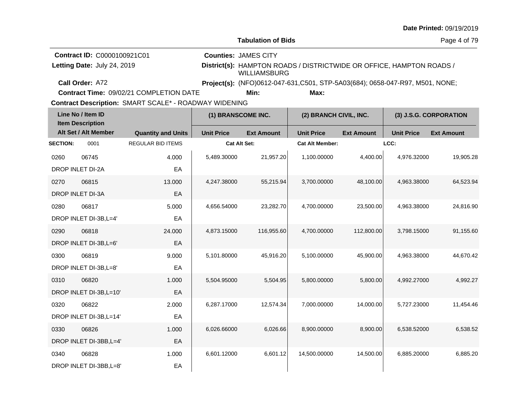| Date Printed: 09/19/2019 |  |  |  |  |
|--------------------------|--|--|--|--|
|--------------------------|--|--|--|--|

Page 4 of 79

| <b>Contract ID: C0000100921C01</b> | <b>Counties: JAMES CITY</b>                                                                 |
|------------------------------------|---------------------------------------------------------------------------------------------|
| Letting Date: July 24, 2019        | District(s): HAMPTON ROADS / DISTRICTWIDE OR OFFICE, HAMPTON ROADS /<br><b>WILLIAMSBURG</b> |
| <b>Call Order: A72</b>             | Project(s): (NFO)0612-047-631, C501, STP-5A03(684); 0658-047-R97, M501, NONE;               |
|                                    |                                                                                             |

**Contract Time:** 09/02/21 COMPLETION DATE

**Min: Max:**

| Line No / Item ID<br><b>Item Description</b> |                         | (1) BRANSCOME INC.<br>(2) BRANCH CIVIL, INC. |                   |                   | (3) J.S.G. CORPORATION |                   |                   |                   |
|----------------------------------------------|-------------------------|----------------------------------------------|-------------------|-------------------|------------------------|-------------------|-------------------|-------------------|
|                                              | Alt Set / Alt Member    | <b>Quantity and Units</b>                    | <b>Unit Price</b> | <b>Ext Amount</b> | <b>Unit Price</b>      | <b>Ext Amount</b> | <b>Unit Price</b> | <b>Ext Amount</b> |
| <b>SECTION:</b>                              | 0001                    | <b>REGULAR BID ITEMS</b>                     | Cat Alt Set:      |                   | <b>Cat Alt Member:</b> |                   | LCC:              |                   |
| 0260                                         | 06745                   | 4.000                                        | 5,489.30000       | 21,957.20         | 1,100.00000            | 4,400.00          | 4,976.32000       | 19,905.28         |
|                                              | DROP INLET DI-2A        | EA                                           |                   |                   |                        |                   |                   |                   |
| 0270                                         | 06815                   | 13.000                                       | 4,247.38000       | 55,215.94         | 3,700.00000            | 48,100.00         | 4,963.38000       | 64,523.94         |
|                                              | DROP INLET DI-3A        | EA                                           |                   |                   |                        |                   |                   |                   |
| 0280                                         | 06817                   | 5.000                                        | 4,656.54000       | 23,282.70         | 4,700.00000            | 23,500.00         | 4,963.38000       | 24,816.90         |
|                                              | DROP INLET DI-3B, L=4'  | EA                                           |                   |                   |                        |                   |                   |                   |
| 0290                                         | 06818                   | 24.000                                       | 4,873.15000       | 116,955.60        | 4,700.00000            | 112,800.00        | 3,798.15000       | 91,155.60         |
|                                              | DROP INLET DI-3B, L=6'  | EA                                           |                   |                   |                        |                   |                   |                   |
| 0300                                         | 06819                   | 9.000                                        | 5,101.80000       | 45,916.20         | 5,100.00000            | 45,900.00         | 4,963.38000       | 44,670.42         |
|                                              | DROP INLET DI-3B, L=8'  | EA                                           |                   |                   |                        |                   |                   |                   |
| 0310                                         | 06820                   | 1.000                                        | 5,504.95000       | 5,504.95          | 5,800.00000            | 5,800.00          | 4,992.27000       | 4,992.27          |
|                                              | DROP INLET DI-3B, L=10' | EA                                           |                   |                   |                        |                   |                   |                   |
| 0320                                         | 06822                   | 2.000                                        | 6,287.17000       | 12,574.34         | 7,000.00000            | 14,000.00         | 5,727.23000       | 11.454.46         |
|                                              | DROP INLET DI-3B, L=14' | EA                                           |                   |                   |                        |                   |                   |                   |
| 0330                                         | 06826                   | 1.000                                        | 6,026.66000       | 6,026.66          | 8,900.00000            | 8,900.00          | 6,538.52000       | 6,538.52          |
|                                              | DROP INLET DI-3BB, L=4' | EA                                           |                   |                   |                        |                   |                   |                   |
| 0340                                         | 06828                   | 1.000                                        | 6,601.12000       | 6,601.12          | 14,500.00000           | 14,500.00         | 6,885.20000       | 6,885.20          |
|                                              | DROP INLET DI-3BB, L=8' | EA                                           |                   |                   |                        |                   |                   |                   |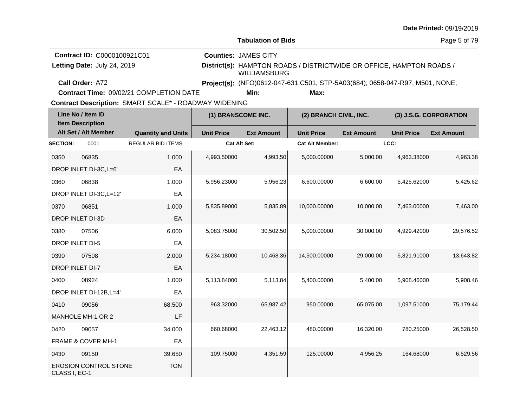| <b>Date Printed: 09/19/2019</b> |  |
|---------------------------------|--|
|---------------------------------|--|

| <b>Contract ID: C0000100921C01</b> | <b>Counties: JAMES CITY</b>                                                          |
|------------------------------------|--------------------------------------------------------------------------------------|
| Letting Date: July 24, 2019        | District(s): HAMPTON ROADS / DISTRICTWIDE OR OFFICE, HAMPTON ROADS /<br>WILLIAMSBURG |
| Call Order: A72                    | <b>Project(s):</b> (NFO)0612-047-631, C501, STP-5A03(684); 0658-047-R97, M501, NONE; |
|                                    |                                                                                      |

**Contract Time:** 09/02/21 COMPLETION DATE

**Min: Max:**

| Line No / Item ID<br><b>Item Description</b> |                              |                           | (1) BRANSCOME INC.  |                   | (2) BRANCH CIVIL, INC. |                   | (3) J.S.G. CORPORATION |                   |
|----------------------------------------------|------------------------------|---------------------------|---------------------|-------------------|------------------------|-------------------|------------------------|-------------------|
|                                              | Alt Set / Alt Member         | <b>Quantity and Units</b> | <b>Unit Price</b>   | <b>Ext Amount</b> | <b>Unit Price</b>      | <b>Ext Amount</b> | <b>Unit Price</b>      | <b>Ext Amount</b> |
| <b>SECTION:</b>                              | 0001                         | <b>REGULAR BID ITEMS</b>  | <b>Cat Alt Set:</b> |                   | <b>Cat Alt Member:</b> |                   | LCC:                   |                   |
| 0350                                         | 06835                        | 1.000                     | 4,993.50000         | 4,993.50          | 5,000.00000            | 5,000.00          | 4,963.38000            | 4,963.38          |
|                                              | DROP INLET DI-3C, L=6'       | EA                        |                     |                   |                        |                   |                        |                   |
| 0360                                         | 06838                        | 1.000                     | 5,956.23000         | 5,956.23          | 6,600.00000            | 6,600.00          | 5,425.62000            | 5,425.62          |
|                                              | DROP INLET DI-3C, L=12'      | EA                        |                     |                   |                        |                   |                        |                   |
| 0370                                         | 06851                        | 1.000                     | 5,835.89000         | 5,835.89          | 10,000.00000           | 10,000.00         | 7,463.00000            | 7,463.00          |
|                                              | DROP INLET DI-3D             | EA                        |                     |                   |                        |                   |                        |                   |
| 0380                                         | 07506                        | 6.000                     | 5,083.75000         | 30,502.50         | 5.000.00000            | 30,000.00         | 4,929.42000            | 29,576.52         |
| DROP INLET DI-5                              |                              | EA                        |                     |                   |                        |                   |                        |                   |
| 0390                                         | 07508                        | 2.000                     | 5,234.18000         | 10,468.36         | 14,500.00000           | 29,000.00         | 6,821.91000            | 13,643.82         |
| <b>DROP INLET DI-7</b>                       |                              | EA                        |                     |                   |                        |                   |                        |                   |
| 0400                                         | 08924                        | 1.000                     | 5,113.84000         | 5,113.84          | 5,400.00000            | 5,400.00          | 5,908.46000            | 5,908.46          |
|                                              | DROP INLET DI-12B, L=4'      | EA                        |                     |                   |                        |                   |                        |                   |
| 0410                                         | 09056                        | 68.500                    | 963.32000           | 65,987.42         | 950.00000              | 65,075.00         | 1,097.51000            | 75,179.44         |
|                                              | MANHOLE MH-1 OR 2            | LF                        |                     |                   |                        |                   |                        |                   |
| 0420                                         | 09057                        | 34.000                    | 660.68000           | 22,463.12         | 480.00000              | 16,320.00         | 780.25000              | 26,528.50         |
|                                              | FRAME & COVER MH-1           | EA                        |                     |                   |                        |                   |                        |                   |
| 0430                                         | 09150                        | 39.650                    | 109.75000           | 4,351.59          | 125.00000              | 4,956.25          | 164.68000              | 6,529.56          |
| CLASS I, EC-1                                | <b>EROSION CONTROL STONE</b> | <b>TON</b>                |                     |                   |                        |                   |                        |                   |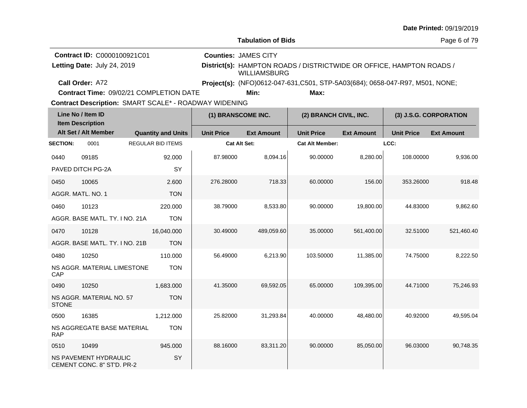| <b>Date Printed: 09/19/2019</b> |  |
|---------------------------------|--|
|---------------------------------|--|

Page 6 of 79

**Contract ID:** C0000100921C01 **Counties:** JAMES CITY Letting Date: July 24, 2019

**Letting Date:** July 24, 2019 **District(s):** HAMPTON ROADS / DISTRICTWIDE OR OFFICE, HAMPTON ROADS / WILLIAMSBURG

**Call Order:**

A72 **Project(s):** (NFO)0612-047-631,C501, STP-5A03(684); 0658-047-R97, M501, NONE;

**Contract Time:** 09/02/21 COMPLETION DATE

**Min: Max:**

| Line No / Item ID<br><b>Item Description</b> |                                                     |                           | (1) BRANSCOME INC.  |                   | (2) BRANCH CIVIL, INC. |                   | (3) J.S.G. CORPORATION |                   |  |
|----------------------------------------------|-----------------------------------------------------|---------------------------|---------------------|-------------------|------------------------|-------------------|------------------------|-------------------|--|
|                                              | Alt Set / Alt Member                                | <b>Quantity and Units</b> | <b>Unit Price</b>   | <b>Ext Amount</b> | <b>Unit Price</b>      | <b>Ext Amount</b> | <b>Unit Price</b>      | <b>Ext Amount</b> |  |
| <b>SECTION:</b>                              | 0001                                                | <b>REGULAR BID ITEMS</b>  | <b>Cat Alt Set:</b> |                   | <b>Cat Alt Member:</b> |                   | LCC:                   |                   |  |
| 0440                                         | 09185                                               | 92.000                    | 87.98000            | 8,094.16          | 90.00000               | 8,280.00          | 108.00000              | 9.936.00          |  |
|                                              | PAVED DITCH PG-2A                                   | SY                        |                     |                   |                        |                   |                        |                   |  |
| 0450                                         | 10065                                               | 2.600                     | 276.28000           | 718.33            | 60.00000               | 156.00            | 353.26000              | 918.48            |  |
|                                              | AGGR. MATL. NO. 1                                   | <b>TON</b>                |                     |                   |                        |                   |                        |                   |  |
| 0460                                         | 10123                                               | 220.000                   | 38.79000            | 8,533.80          | 90.00000               | 19,800.00         | 44.83000               | 9,862.60          |  |
|                                              | AGGR. BASE MATL. TY. I NO. 21A                      | <b>TON</b>                |                     |                   |                        |                   |                        |                   |  |
| 0470                                         | 10128                                               | 16,040.000                | 30.49000            | 489,059.60        | 35.00000               | 561,400.00        | 32.51000               | 521,460.40        |  |
|                                              | AGGR, BASE MATL, TY, I NO, 21B                      | <b>TON</b>                |                     |                   |                        |                   |                        |                   |  |
| 0480                                         | 10250                                               | 110.000                   | 56.49000            | 6,213.90          | 103.50000              | 11,385.00         | 74.75000               | 8,222.50          |  |
| CAP                                          | NS AGGR. MATERIAL LIMESTONE                         | <b>TON</b>                |                     |                   |                        |                   |                        |                   |  |
| 0490                                         | 10250                                               | 1.683.000                 | 41.35000            | 69,592.05         | 65.00000               | 109,395.00        | 44.71000               | 75,246.93         |  |
| <b>STONE</b>                                 | NS AGGR. MATERIAL NO. 57                            | <b>TON</b>                |                     |                   |                        |                   |                        |                   |  |
| 0500                                         | 16385                                               | 1,212.000                 | 25.82000            | 31,293.84         | 40.00000               | 48,480.00         | 40.92000               | 49,595.04         |  |
| <b>RAP</b>                                   | NS AGGREGATE BASE MATERIAL                          | <b>TON</b>                |                     |                   |                        |                   |                        |                   |  |
| 0510                                         | 10499                                               | 945.000                   | 88.16000            | 83,311.20         | 90.00000               | 85,050.00         | 96.03000               | 90,748.35         |  |
|                                              | NS PAVEMENT HYDRAULIC<br>CEMENT CONC. 8" ST'D. PR-2 | SY                        |                     |                   |                        |                   |                        |                   |  |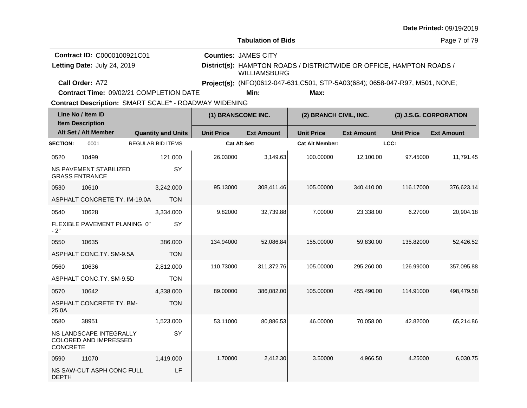| <b>Date Printed: 09/19/2019</b> |  |
|---------------------------------|--|
|---------------------------------|--|

Page 7 of 79

| <b>Contract ID: C0000100921C01</b> | <b>Counties: JAMES CITY</b>                                                                 |
|------------------------------------|---------------------------------------------------------------------------------------------|
| Letting Date: July 24, 2019        | District(s): HAMPTON ROADS / DISTRICTWIDE OR OFFICE, HAMPTON ROADS /<br><b>WILLIAMSBURG</b> |
| Call Order: A72                    | Project(s): (NFO)0612-047-631,C501, STP-5A03(684); 0658-047-R97, M501, NONE;                |

**Contract Time:** 09/02/21 COMPLETION DATE

**Min: Max:**

| Line No / Item ID<br><b>Item Description</b> |                                                        |                           | (1) BRANSCOME INC.  |                   | (2) BRANCH CIVIL, INC. |                   | (3) J.S.G. CORPORATION |                   |
|----------------------------------------------|--------------------------------------------------------|---------------------------|---------------------|-------------------|------------------------|-------------------|------------------------|-------------------|
|                                              | Alt Set / Alt Member                                   | <b>Quantity and Units</b> | <b>Unit Price</b>   | <b>Ext Amount</b> | <b>Unit Price</b>      | <b>Ext Amount</b> | <b>Unit Price</b>      | <b>Ext Amount</b> |
| <b>SECTION:</b>                              | 0001                                                   | <b>REGULAR BID ITEMS</b>  | <b>Cat Alt Set:</b> |                   | <b>Cat Alt Member:</b> |                   | LCC:                   |                   |
| 0520                                         | 10499                                                  | 121.000                   | 26.03000            | 3,149.63          | 100.00000              | 12,100.00         | 97.45000               | 11,791.45         |
|                                              | <b>NS PAVEMENT STABILIZED</b><br><b>GRASS ENTRANCE</b> | SY                        |                     |                   |                        |                   |                        |                   |
| 0530                                         | 10610                                                  | 3,242.000                 | 95.13000            | 308,411.46        | 105.00000              | 340,410.00        | 116.17000              | 376,623.14        |
|                                              | ASPHALT CONCRETE TY. IM-19.0A                          | <b>TON</b>                |                     |                   |                        |                   |                        |                   |
| 0540                                         | 10628                                                  | 3,334.000                 | 9.82000             | 32,739.88         | 7.00000                | 23,338.00         | 6.27000                | 20,904.18         |
| $-2"$                                        | FLEXIBLE PAVEMENT PLANING 0"                           | SY                        |                     |                   |                        |                   |                        |                   |
| 0550                                         | 10635                                                  | 386.000                   | 134.94000           | 52,086.84         | 155.00000              | 59,830.00         | 135.82000              | 52,426.52         |
|                                              | ASPHALT CONC.TY. SM-9.5A                               | <b>TON</b>                |                     |                   |                        |                   |                        |                   |
| 0560                                         | 10636                                                  | 2,812.000                 | 110.73000           | 311,372.76        | 105.00000              | 295,260.00        | 126.99000              | 357,095.88        |
|                                              | ASPHALT CONC.TY. SM-9.5D                               | <b>TON</b>                |                     |                   |                        |                   |                        |                   |
| 0570                                         | 10642                                                  | 4,338.000                 | 89.00000            | 386,082.00        | 105.00000              | 455,490.00        | 114.91000              | 498,479.58        |
| 25.0A                                        | <b>ASPHALT CONCRETE TY, BM-</b>                        | <b>TON</b>                |                     |                   |                        |                   |                        |                   |
| 0580                                         | 38951                                                  | 1,523.000                 | 53.11000            | 80,886.53         | 46.00000               | 70,058.00         | 42.82000               | 65,214.86         |
| <b>CONCRETE</b>                              | NS LANDSCAPE INTEGRALLY<br>COLORED AND IMPRESSED       | SY                        |                     |                   |                        |                   |                        |                   |
| 0590                                         | 11070                                                  | 1,419.000                 | 1.70000             | 2,412.30          | 3.50000                | 4,966.50          | 4.25000                | 6,030.75          |
| <b>DEPTH</b>                                 | NS SAW-CUT ASPH CONC FULL                              | LF                        |                     |                   |                        |                   |                        |                   |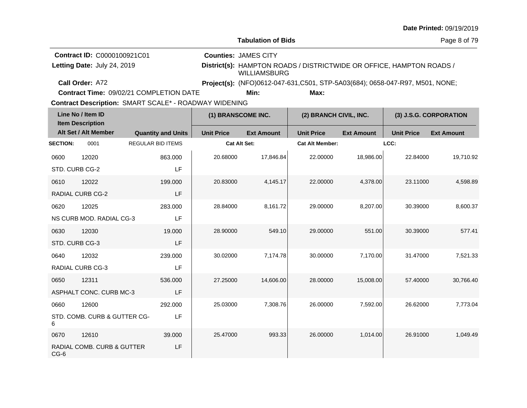| <b>Date Printed: 09/19/2019</b> |  |
|---------------------------------|--|
|---------------------------------|--|

**Counties:** JAMES CITY

Page 8 of 79

**Contract ID:** C0000100921C01 Letting Date: July 24, 2019

**Letting Date:** July 24, 2019 **District(s):** HAMPTON ROADS / DISTRICTWIDE OR OFFICE, HAMPTON ROADS / WILLIAMSBURG

**Call Order:**

A72 **Project(s):** (NFO)0612-047-631,C501, STP-5A03(684); 0658-047-R97, M501, NONE;

**Contract Time:** 09/02/21 COMPLETION DATE

**Min: Max:**

| Line No / Item ID<br><b>Item Description</b> |                              |                           | (1) BRANSCOME INC.  |                   | (2) BRANCH CIVIL, INC. |                   | (3) J.S.G. CORPORATION |                   |  |
|----------------------------------------------|------------------------------|---------------------------|---------------------|-------------------|------------------------|-------------------|------------------------|-------------------|--|
|                                              | Alt Set / Alt Member         | <b>Quantity and Units</b> | <b>Unit Price</b>   | <b>Ext Amount</b> | <b>Unit Price</b>      | <b>Ext Amount</b> | <b>Unit Price</b>      | <b>Ext Amount</b> |  |
| <b>SECTION:</b>                              | 0001                         | <b>REGULAR BID ITEMS</b>  | <b>Cat Alt Set:</b> |                   | <b>Cat Alt Member:</b> |                   | LCC:                   |                   |  |
| 0600                                         | 12020                        | 863.000                   | 20.68000            | 17,846.84         | 22.00000               | 18,986.00         | 22.84000               | 19,710.92         |  |
| STD. CURB CG-2                               |                              | LF                        |                     |                   |                        |                   |                        |                   |  |
| 0610                                         | 12022                        | 199.000                   | 20.83000            | 4,145.17          | 22.00000               | 4,378.00          | 23.11000               | 4,598.89          |  |
|                                              | <b>RADIAL CURB CG-2</b>      | LF                        |                     |                   |                        |                   |                        |                   |  |
| 0620                                         | 12025                        | 283.000                   | 28.84000            | 8,161.72          | 29.00000               | 8,207.00          | 30.39000               | 8,600.37          |  |
|                                              | NS CURB MOD. RADIAL CG-3     | LF                        |                     |                   |                        |                   |                        |                   |  |
| 0630                                         | 12030                        | 19.000                    | 28.90000            | 549.10            | 29.00000               | 551.00            | 30.39000               | 577.41            |  |
| STD. CURB CG-3                               |                              | LF                        |                     |                   |                        |                   |                        |                   |  |
| 0640                                         | 12032                        | 239.000                   | 30.02000            | 7,174.78          | 30.00000               | 7,170.00          | 31.47000               | 7,521.33          |  |
|                                              | RADIAL CURB CG-3             | LF                        |                     |                   |                        |                   |                        |                   |  |
| 0650                                         | 12311                        | 536.000                   | 27.25000            | 14,606.00         | 28.00000               | 15,008.00         | 57.40000               | 30,766.40         |  |
|                                              | ASPHALT CONC. CURB MC-3      | LF                        |                     |                   |                        |                   |                        |                   |  |
| 0660                                         | 12600                        | 292.000                   | 25.03000            | 7,308.76          | 26.00000               | 7,592.00          | 26.62000               | 7,773.04          |  |
| 6                                            | STD. COMB. CURB & GUTTER CG- | LF                        |                     |                   |                        |                   |                        |                   |  |
| 0670                                         | 12610                        | 39.000                    | 25.47000            | 993.33            | 26.00000               | 1,014.00          | 26.91000               | 1,049.49          |  |
| $CG-6$                                       | RADIAL COMB. CURB & GUTTER   | LF                        |                     |                   |                        |                   |                        |                   |  |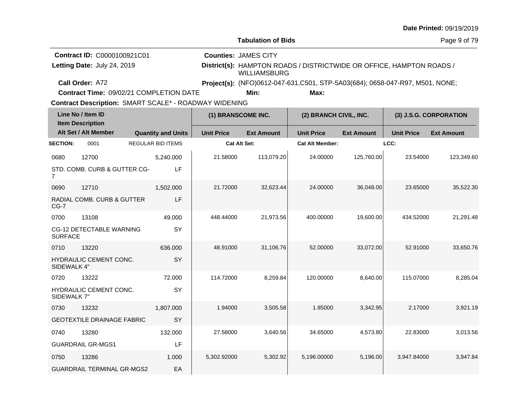| <b>Date Printed: 09/19/2019</b> |  |
|---------------------------------|--|
|---------------------------------|--|

Page 9 of 79

| <b>Contract ID: C0000100921C01</b>             | <b>Counties: JAMES CITY</b> |      |                                                                              |  |
|------------------------------------------------|-----------------------------|------|------------------------------------------------------------------------------|--|
| Letting Date: July 24, 2019                    | WILLIAMSBURG                |      | District(s): HAMPTON ROADS / DISTRICTWIDE OR OFFICE, HAMPTON ROADS /         |  |
| <b>Call Order: A72</b>                         |                             |      | Project(s): (NFO)0612-047-631,C501, STP-5A03(684); 0658-047-R97, M501, NONE; |  |
| <b>Contract Time: 09/02/21 COMPLETION DATE</b> | Min:                        | Max: |                                                                              |  |

**Contract Time:** 09/02/21 COMPLETION DATE

| Line No / Item ID<br><b>Item Description</b> |                                   |                           | (1) BRANSCOME INC.  |                   | (2) BRANCH CIVIL, INC. |                   | (3) J.S.G. CORPORATION |                   |
|----------------------------------------------|-----------------------------------|---------------------------|---------------------|-------------------|------------------------|-------------------|------------------------|-------------------|
|                                              | Alt Set / Alt Member              | <b>Quantity and Units</b> | <b>Unit Price</b>   | <b>Ext Amount</b> | <b>Unit Price</b>      | <b>Ext Amount</b> | <b>Unit Price</b>      | <b>Ext Amount</b> |
| <b>SECTION:</b>                              | 0001                              | <b>REGULAR BID ITEMS</b>  | <b>Cat Alt Set:</b> |                   | <b>Cat Alt Member:</b> |                   | LCC:                   |                   |
| 0680                                         | 12700                             | 5,240.000                 | 21.58000            | 113,079.20        | 24.00000               | 125,760.00        | 23.54000               | 123,349.60        |
| 7                                            | STD. COMB. CURB & GUTTER CG-      | LF                        |                     |                   |                        |                   |                        |                   |
| 0690                                         | 12710                             | 1,502.000                 | 21.72000            | 32,623.44         | 24.00000               | 36,048.00         | 23.65000               | 35,522.30         |
| $CG-7$                                       | RADIAL COMB. CURB & GUTTER        | LF                        |                     |                   |                        |                   |                        |                   |
| 0700                                         | 13108                             | 49.000                    | 448.44000           | 21,973.56         | 400.00000              | 19,600.00         | 434.52000              | 21,291.48         |
| <b>SURFACE</b>                               | CG-12 DETECTABLE WARNING          | SY                        |                     |                   |                        |                   |                        |                   |
| 0710                                         | 13220                             | 636,000                   | 48.91000            | 31,106.76         | 52.00000               | 33,072.00         | 52.91000               | 33,650.76         |
| SIDEWALK 4"                                  | HYDRAULIC CEMENT CONC.            | SY                        |                     |                   |                        |                   |                        |                   |
| 0720                                         | 13222                             | 72.000                    | 114.72000           | 8,259.84          | 120.00000              | 8,640.00          | 115.07000              | 8,285.04          |
| SIDEWALK 7"                                  | HYDRAULIC CEMENT CONC.            | SY                        |                     |                   |                        |                   |                        |                   |
| 0730                                         | 13232                             | 1,807.000                 | 1.94000             | 3,505.58          | 1.85000                | 3,342.95          | 2.17000                | 3,921.19          |
|                                              | <b>GEOTEXTILE DRAINAGE FABRIC</b> | SY                        |                     |                   |                        |                   |                        |                   |
| 0740                                         | 13280                             | 132.000                   | 27.58000            | 3,640.56          | 34.65000               | 4,573.80          | 22.83000               | 3,013.56          |
|                                              | <b>GUARDRAIL GR-MGS1</b>          | LF                        |                     |                   |                        |                   |                        |                   |
| 0750                                         | 13286                             | 1.000                     | 5,302.92000         | 5,302.92          | 5,196.00000            | 5,196.00          | 3,947.84000            | 3,947.84          |
|                                              | <b>GUARDRAIL TERMINAL GR-MGS2</b> | EA                        |                     |                   |                        |                   |                        |                   |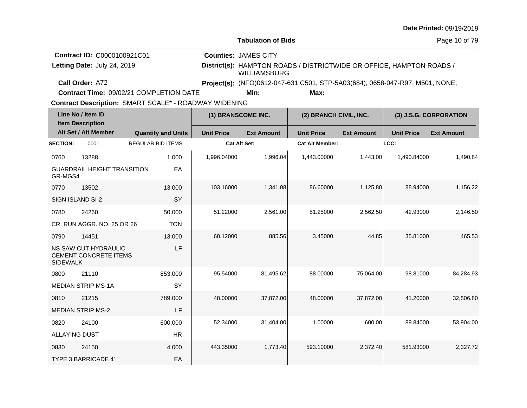| <b>Date Printed: 09/19/2019</b> |  |
|---------------------------------|--|
|---------------------------------|--|

**Contract Time:** 09/02/21 COMPLETION DATE

| Line No / Item ID<br><b>Item Description</b> |                                               | (1) BRANSCOME INC.        |                     | (2) BRANCH CIVIL, INC. |                        | (3) J.S.G. CORPORATION |                   |                   |
|----------------------------------------------|-----------------------------------------------|---------------------------|---------------------|------------------------|------------------------|------------------------|-------------------|-------------------|
|                                              | Alt Set / Alt Member                          | <b>Quantity and Units</b> | <b>Unit Price</b>   | <b>Ext Amount</b>      | <b>Unit Price</b>      | <b>Ext Amount</b>      | <b>Unit Price</b> | <b>Ext Amount</b> |
| <b>SECTION:</b>                              | 0001                                          | <b>REGULAR BID ITEMS</b>  | <b>Cat Alt Set:</b> |                        | <b>Cat Alt Member:</b> |                        | LCC:              |                   |
| 0760                                         | 13288                                         | 1.000                     | 1,996.04000         | 1,996.04               | 1,443.00000            | 1,443.00               | 1,490.84000       | 1,490.84          |
| GR-MGS4                                      | <b>GUARDRAIL HEIGHT TRANSITION</b>            | EA                        |                     |                        |                        |                        |                   |                   |
| 0770                                         | 13502                                         | 13.000                    | 103.16000           | 1,341.08               | 86.60000               | 1,125.80               | 88.94000          | 1,156.22          |
| <b>SIGN ISLAND SI-2</b>                      |                                               | <b>SY</b>                 |                     |                        |                        |                        |                   |                   |
| 0780                                         | 24260                                         | 50,000                    | 51.22000            | 2,561.00               | 51.25000               | 2,562.50               | 42.93000          | 2,146.50          |
|                                              | CR. RUN AGGR. NO. 25 OR 26                    | <b>TON</b>                |                     |                        |                        |                        |                   |                   |
| 0790                                         | 14451                                         | 13.000                    | 68.12000            | 885.56                 | 3.45000                | 44.85                  | 35.81000          | 465.53            |
| <b>SIDEWALK</b>                              | NS SAW CUT HYDRAULIC<br>CEMENT CONCRETE ITEMS | LF                        |                     |                        |                        |                        |                   |                   |
| 0800                                         | 21110                                         | 853.000                   | 95.54000            | 81,495.62              | 88.00000               | 75,064.00              | 98.81000          | 84,284.93         |
|                                              | <b>MEDIAN STRIP MS-1A</b>                     | SY                        |                     |                        |                        |                        |                   |                   |
| 0810                                         | 21215                                         | 789.000                   | 48.00000            | 37,872.00              | 48.00000               | 37,872.00              | 41.20000          | 32,506.80         |
|                                              | <b>MEDIAN STRIP MS-2</b>                      | LF                        |                     |                        |                        |                        |                   |                   |
| 0820                                         | 24100                                         | 600.000                   | 52.34000            | 31,404.00              | 1.00000                | 600.00                 | 89.84000          | 53,904.00         |
| <b>ALLAYING DUST</b>                         |                                               | <b>HR</b>                 |                     |                        |                        |                        |                   |                   |
| 0830                                         | 24150                                         | 4.000                     | 443.35000           | 1,773.40               | 593.10000              | 2,372.40               | 581.93000         | 2,327.72          |
|                                              | <b>TYPE 3 BARRICADE 4'</b>                    | EA                        |                     |                        |                        |                        |                   |                   |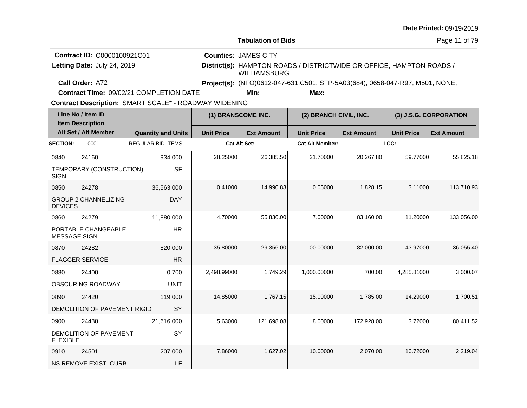|  |  | <b>Date Printed: 09/19/2019</b> |
|--|--|---------------------------------|
|--|--|---------------------------------|

**Contract Time:** 09/02/21 COMPLETION DATE

**Min: Max:**

| Line No / Item ID<br><b>Item Description</b> |                              | (1) BRANSCOME INC.        |                   | (2) BRANCH CIVIL, INC. |                        | (3) J.S.G. CORPORATION |                   |                   |
|----------------------------------------------|------------------------------|---------------------------|-------------------|------------------------|------------------------|------------------------|-------------------|-------------------|
|                                              | Alt Set / Alt Member         | <b>Quantity and Units</b> | <b>Unit Price</b> | <b>Ext Amount</b>      | <b>Unit Price</b>      | <b>Ext Amount</b>      | <b>Unit Price</b> | <b>Ext Amount</b> |
| <b>SECTION:</b>                              | 0001                         | <b>REGULAR BID ITEMS</b>  | Cat Alt Set:      |                        | <b>Cat Alt Member:</b> |                        | LCC:              |                   |
| 0840                                         | 24160                        | 934.000                   | 28.25000          | 26,385.50              | 21.70000               | 20,267.80              | 59.77000          | 55,825.18         |
| <b>SIGN</b>                                  | TEMPORARY (CONSTRUCTION)     | <b>SF</b>                 |                   |                        |                        |                        |                   |                   |
| 0850                                         | 24278                        | 36,563.000                | 0.41000           | 14,990.83              | 0.05000                | 1,828.15               | 3.11000           | 113,710.93        |
| <b>DEVICES</b>                               | <b>GROUP 2 CHANNELIZING</b>  | <b>DAY</b>                |                   |                        |                        |                        |                   |                   |
| 0860                                         | 24279                        | 11,880.000                | 4.70000           | 55,836.00              | 7.00000                | 83,160.00              | 11.20000          | 133,056.00        |
| <b>MESSAGE SIGN</b>                          | PORTABLE CHANGEABLE          | <b>HR</b>                 |                   |                        |                        |                        |                   |                   |
| 0870                                         | 24282                        | 820,000                   | 35.80000          | 29,356.00              | 100.00000              | 82,000.00              | 43.97000          | 36,055.40         |
|                                              | <b>FLAGGER SERVICE</b>       | <b>HR</b>                 |                   |                        |                        |                        |                   |                   |
| 0880                                         | 24400                        | 0.700                     | 2,498.99000       | 1,749.29               | 1,000.00000            | 700.00                 | 4,285.81000       | 3,000.07          |
|                                              | OBSCURING ROADWAY            | <b>UNIT</b>               |                   |                        |                        |                        |                   |                   |
| 0890                                         | 24420                        | 119.000                   | 14.85000          | 1,767.15               | 15.00000               | 1,785.00               | 14.29000          | 1,700.51          |
|                                              | DEMOLITION OF PAVEMENT RIGID | SY                        |                   |                        |                        |                        |                   |                   |
| 0900                                         | 24430                        | 21,616.000                | 5.63000           | 121,698.08             | 8.00000                | 172,928.00             | 3.72000           | 80,411.52         |
| <b>FLEXIBLE</b>                              | DEMOLITION OF PAVEMENT       | SY                        |                   |                        |                        |                        |                   |                   |
| 0910                                         | 24501                        | 207.000                   | 7.86000           | 1,627.02               | 10.00000               | 2,070.00               | 10.72000          | 2,219.04          |
|                                              | <b>NS REMOVE EXIST, CURB</b> | LF                        |                   |                        |                        |                        |                   |                   |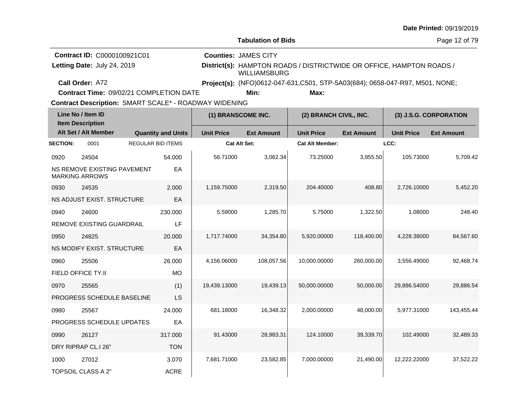| <b>Date Printed: 09/19/2019</b> |  |
|---------------------------------|--|
|---------------------------------|--|

**Contract Time:** 09/02/21 COMPLETION DATE

| Line No / Item ID<br><b>Item Description</b> |                                                      | (1) BRANSCOME INC.        |                     | (2) BRANCH CIVIL, INC. |                        | (3) J.S.G. CORPORATION |                   |                   |
|----------------------------------------------|------------------------------------------------------|---------------------------|---------------------|------------------------|------------------------|------------------------|-------------------|-------------------|
|                                              | Alt Set / Alt Member                                 | <b>Quantity and Units</b> | <b>Unit Price</b>   | <b>Ext Amount</b>      | <b>Unit Price</b>      | <b>Ext Amount</b>      | <b>Unit Price</b> | <b>Ext Amount</b> |
| <b>SECTION:</b>                              | 0001                                                 | <b>REGULAR BID ITEMS</b>  | <b>Cat Alt Set:</b> |                        | <b>Cat Alt Member:</b> |                        | LCC:              |                   |
| 0920                                         | 24504                                                | 54.000                    | 56.71000            | 3,062.34               | 73.25000               | 3,955.50               | 105.73000         | 5,709.42          |
|                                              | NS REMOVE EXISTING PAVEMENT<br><b>MARKING ARROWS</b> | EA                        |                     |                        |                        |                        |                   |                   |
| 0930                                         | 24535                                                | 2.000                     | 1,159.75000         | 2,319.50               | 204.40000              | 408.80                 | 2.726.10000       | 5,452.20          |
|                                              | NS ADJUST EXIST. STRUCTURE                           | EA                        |                     |                        |                        |                        |                   |                   |
| 0940                                         | 24600                                                | 230.000                   | 5.59000             | 1,285.70               | 5.75000                | 1,322.50               | 1.08000           | 248.40            |
|                                              | <b>REMOVE EXISTING GUARDRAIL</b>                     | LF                        |                     |                        |                        |                        |                   |                   |
| 0950                                         | 24825                                                | 20.000                    | 1,717.74000         | 34,354.80              | 5,920.00000            | 118,400.00             | 4,228.38000       | 84,567.60         |
|                                              | NS MODIFY EXIST, STRUCTURE                           | EA                        |                     |                        |                        |                        |                   |                   |
| 0960                                         | 25506                                                | 26.000                    | 4,156.06000         | 108,057.56             | 10,000.00000           | 260,000.00             | 3,556.49000       | 92,468.74         |
|                                              | FIELD OFFICE TY.II                                   | <b>MO</b>                 |                     |                        |                        |                        |                   |                   |
| 0970                                         | 25565                                                | (1)                       | 19,439.13000        | 19,439.13              | 50,000.00000           | 50,000.00              | 29,886.54000      | 29,886.54         |
|                                              | PROGRESS SCHEDULE BASELINE                           | LS                        |                     |                        |                        |                        |                   |                   |
| 0980                                         | 25567                                                | 24.000                    | 681.18000           | 16,348.32              | 2,000.00000            | 48,000.00              | 5,977.31000       | 143,455.44        |
|                                              | PROGRESS SCHEDULE UPDATES                            | EA                        |                     |                        |                        |                        |                   |                   |
| 0990                                         | 26127                                                | 317.000                   | 91.43000            | 28,983.31              | 124.10000              | 39,339.70              | 102.49000         | 32,489.33         |
|                                              | DRY RIPRAP CL.I 26"                                  | <b>TON</b>                |                     |                        |                        |                        |                   |                   |
| 1000                                         | 27012                                                | 3.070                     | 7,681.71000         | 23,582.85              | 7,000.00000            | 21,490.00              | 12,222.22000      | 37,522.22         |
|                                              | <b>TOPSOIL CLASS A 2"</b>                            | <b>ACRE</b>               |                     |                        |                        |                        |                   |                   |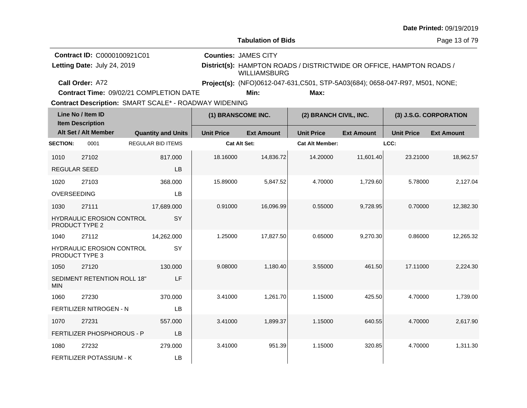| <b>Date Printed: 09/19/2019</b> |  |
|---------------------------------|--|
|---------------------------------|--|

**Contract Time:** 09/02/21 COMPLETION DATE

| Line No / Item ID<br><b>Item Description</b> |                                   | (1) BRANSCOME INC.        |                   | (2) BRANCH CIVIL, INC. |                        | (3) J.S.G. CORPORATION |                   |                   |
|----------------------------------------------|-----------------------------------|---------------------------|-------------------|------------------------|------------------------|------------------------|-------------------|-------------------|
|                                              | Alt Set / Alt Member              | <b>Quantity and Units</b> | <b>Unit Price</b> | <b>Ext Amount</b>      | <b>Unit Price</b>      | <b>Ext Amount</b>      | <b>Unit Price</b> | <b>Ext Amount</b> |
| <b>SECTION:</b>                              | 0001                              | <b>REGULAR BID ITEMS</b>  | Cat Alt Set:      |                        | <b>Cat Alt Member:</b> |                        | LCC:              |                   |
| 1010                                         | 27102                             | 817.000                   | 18.16000          | 14,836.72              | 14.20000               | 11,601.40              | 23.21000          | 18,962.57         |
| <b>REGULAR SEED</b>                          |                                   | LB                        |                   |                        |                        |                        |                   |                   |
| 1020                                         | 27103                             | 368.000                   | 15.89000          | 5,847.52               | 4.70000                | 1,729.60               | 5.78000           | 2,127.04          |
| OVERSEEDING                                  |                                   | LB                        |                   |                        |                        |                        |                   |                   |
| 1030                                         | 27111                             | 17,689.000                | 0.91000           | 16,096.99              | 0.55000                | 9,728.95               | 0.70000           | 12,382.30         |
| <b>PRODUCT TYPE 2</b>                        | <b>HYDRAULIC EROSION CONTROL</b>  | SY                        |                   |                        |                        |                        |                   |                   |
| 1040                                         | 27112                             | 14,262.000                | 1.25000           | 17,827.50              | 0.65000                | 9,270.30               | 0.86000           | 12.265.32         |
| PRODUCT TYPE 3                               | HYDRAULIC EROSION CONTROL         | SY                        |                   |                        |                        |                        |                   |                   |
| 1050                                         | 27120                             | 130.000                   | 9.08000           | 1,180.40               | 3.55000                | 461.50                 | 17.11000          | 2,224.30          |
| <b>MIN</b>                                   | SEDIMENT RETENTION ROLL 18"       | LF                        |                   |                        |                        |                        |                   |                   |
| 1060                                         | 27230                             | 370.000                   | 3.41000           | 1,261.70               | 1.15000                | 425.50                 | 4.70000           | 1,739.00          |
|                                              | FERTILIZER NITROGEN - N           | LB                        |                   |                        |                        |                        |                   |                   |
| 1070                                         | 27231                             | 557.000                   | 3.41000           | 1,899.37               | 1.15000                | 640.55                 | 4.70000           | 2,617.90          |
|                                              | <b>FERTILIZER PHOSPHOROUS - P</b> | LB                        |                   |                        |                        |                        |                   |                   |
| 1080                                         | 27232                             | 279.000                   | 3.41000           | 951.39                 | 1.15000                | 320.85                 | 4.70000           | 1,311.30          |
|                                              | FERTILIZER POTASSIUM - K          | LB                        |                   |                        |                        |                        |                   |                   |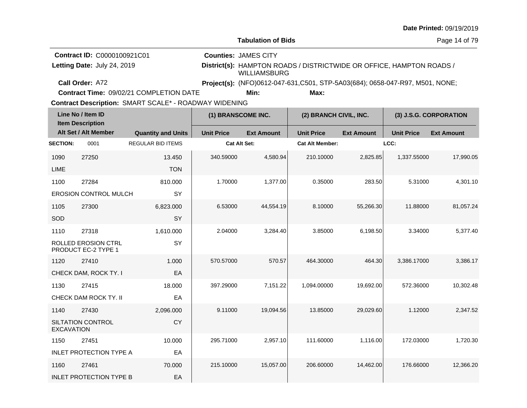|  |  | <b>Date Printed: 09/19/2019</b> |
|--|--|---------------------------------|
|--|--|---------------------------------|

**Contract Time:** 09/02/21 COMPLETION DATE

| Line No / Item ID<br><b>Item Description</b> |                                            | (1) BRANSCOME INC.        |                     | (2) BRANCH CIVIL, INC. |                        | (3) J.S.G. CORPORATION |                   |                   |
|----------------------------------------------|--------------------------------------------|---------------------------|---------------------|------------------------|------------------------|------------------------|-------------------|-------------------|
|                                              | Alt Set / Alt Member                       | <b>Quantity and Units</b> | <b>Unit Price</b>   | <b>Ext Amount</b>      | <b>Unit Price</b>      | <b>Ext Amount</b>      | <b>Unit Price</b> | <b>Ext Amount</b> |
| <b>SECTION:</b>                              | 0001                                       | <b>REGULAR BID ITEMS</b>  | <b>Cat Alt Set:</b> |                        | <b>Cat Alt Member:</b> |                        | LCC:              |                   |
| 1090                                         | 27250                                      | 13.450                    | 340.59000           | 4,580.94               | 210.10000              | 2,825.85               | 1,337.55000       | 17,990.05         |
| <b>LIME</b>                                  |                                            | <b>TON</b>                |                     |                        |                        |                        |                   |                   |
| 1100                                         | 27284                                      | 810.000                   | 1.70000             | 1,377.00               | 0.35000                | 283.50                 | 5.31000           | 4,301.10          |
|                                              | <b>EROSION CONTROL MULCH</b>               | SY                        |                     |                        |                        |                        |                   |                   |
| 1105                                         | 27300                                      | 6,823.000                 | 6.53000             | 44,554.19              | 8.10000                | 55,266.30              | 11.88000          | 81,057.24         |
| SOD                                          |                                            | SY                        |                     |                        |                        |                        |                   |                   |
| 1110                                         | 27318                                      | 1,610.000                 | 2.04000             | 3,284.40               | 3.85000                | 6,198.50               | 3.34000           | 5,377.40          |
|                                              | ROLLED EROSION CTRL<br>PRODUCT EC-2 TYPE 1 | SY                        |                     |                        |                        |                        |                   |                   |
| 1120                                         | 27410                                      | 1.000                     | 570.57000           | 570.57                 | 464.30000              | 464.30                 | 3,386.17000       | 3,386.17          |
|                                              | CHECK DAM, ROCK TY. I                      | EA                        |                     |                        |                        |                        |                   |                   |
| 1130                                         | 27415                                      | 18.000                    | 397.29000           | 7,151.22               | 1,094.00000            | 19,692.00              | 572.36000         | 10,302.48         |
|                                              | CHECK DAM ROCK TY. II                      | EA                        |                     |                        |                        |                        |                   |                   |
| 1140                                         | 27430                                      | 2,096.000                 | 9.11000             | 19,094.56              | 13.85000               | 29,029.60              | 1.12000           | 2,347.52          |
| <b>EXCAVATION</b>                            | SILTATION CONTROL                          | CY                        |                     |                        |                        |                        |                   |                   |
| 1150                                         | 27451                                      | 10.000                    | 295.71000           | 2,957.10               | 111.60000              | 1,116.00               | 172.03000         | 1,720.30          |
|                                              | <b>INLET PROTECTION TYPE A</b>             | EA                        |                     |                        |                        |                        |                   |                   |
| 1160                                         | 27461                                      | 70.000                    | 215.10000           | 15,057.00              | 206.60000              | 14,462.00              | 176.66000         | 12,366.20         |
|                                              | <b>INLET PROTECTION TYPE B</b>             | EA                        |                     |                        |                        |                        |                   |                   |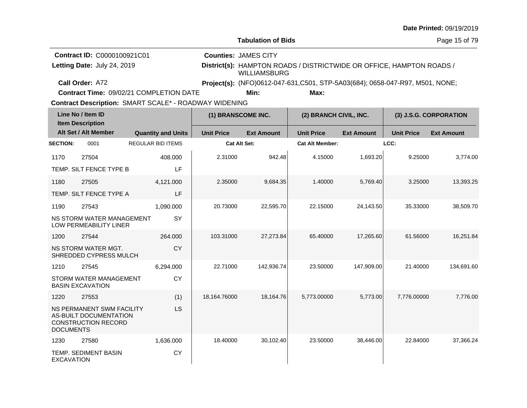| <b>Date Printed: 09/19/2019</b> |  |
|---------------------------------|--|
|---------------------------------|--|

**Contract Time:** 09/02/21 COMPLETION DATE

| Line No / Item ID<br><b>Item Description</b> |                                                                                   |                           | (1) BRANSCOME INC.  |                   | (2) BRANCH CIVIL, INC. |                   | (3) J.S.G. CORPORATION |                   |
|----------------------------------------------|-----------------------------------------------------------------------------------|---------------------------|---------------------|-------------------|------------------------|-------------------|------------------------|-------------------|
|                                              | Alt Set / Alt Member                                                              | <b>Quantity and Units</b> | <b>Unit Price</b>   | <b>Ext Amount</b> | <b>Unit Price</b>      | <b>Ext Amount</b> | <b>Unit Price</b>      | <b>Ext Amount</b> |
| <b>SECTION:</b>                              | 0001                                                                              | <b>REGULAR BID ITEMS</b>  | <b>Cat Alt Set:</b> |                   | <b>Cat Alt Member:</b> |                   | LCC:                   |                   |
| 1170                                         | 27504                                                                             | 408.000                   | 2.31000             | 942.48            | 4.15000                | 1,693.20          | 9.25000                | 3,774.00          |
|                                              | TEMP. SILT FENCE TYPE B                                                           | LF                        |                     |                   |                        |                   |                        |                   |
| 1180                                         | 27505                                                                             | 4,121.000                 | 2.35000             | 9,684.35          | 1.40000                | 5,769.40          | 3.25000                | 13,393.25         |
|                                              | TEMP. SILT FENCE TYPE A                                                           | LF                        |                     |                   |                        |                   |                        |                   |
| 1190                                         | 27543                                                                             | 1,090.000                 | 20.73000            | 22,595.70         | 22.15000               | 24,143.50         | 35.33000               | 38,509.70         |
|                                              | NS STORM WATER MANAGEMENT<br><b>LOW PERMEABILITY LINER</b>                        | SY                        |                     |                   |                        |                   |                        |                   |
| 1200                                         | 27544                                                                             | 264.000                   | 103.31000           | 27.273.84         | 65.40000               | 17,265.60         | 61.56000               | 16.251.84         |
|                                              | <b>NS STORM WATER MGT.</b><br>SHREDDED CYPRESS MULCH                              | <b>CY</b>                 |                     |                   |                        |                   |                        |                   |
| 1210                                         | 27545                                                                             | 6,294.000                 | 22.71000            | 142.936.74        | 23.50000               | 147,909.00        | 21.40000               | 134,691.60        |
|                                              | STORM WATER MANAGEMENT<br><b>BASIN EXCAVATION</b>                                 | CY                        |                     |                   |                        |                   |                        |                   |
| 1220                                         | 27553                                                                             | (1)                       | 18,164.76000        | 18,164.76         | 5,773.00000            | 5,773.00          | 7,776.00000            | 7,776.00          |
| <b>DOCUMENTS</b>                             | NS PERMANENT SWM FACILITY<br>AS-BUILT DOCUMENTATION<br><b>CONSTRUCTION RECORD</b> | LS                        |                     |                   |                        |                   |                        |                   |
| 1230                                         | 27580                                                                             | 1,636.000                 | 18.40000            | 30,102.40         | 23.50000               | 38,446.00         | 22.84000               | 37,366.24         |
| <b>EXCAVATION</b>                            | TEMP. SEDIMENT BASIN                                                              | <b>CY</b>                 |                     |                   |                        |                   |                        |                   |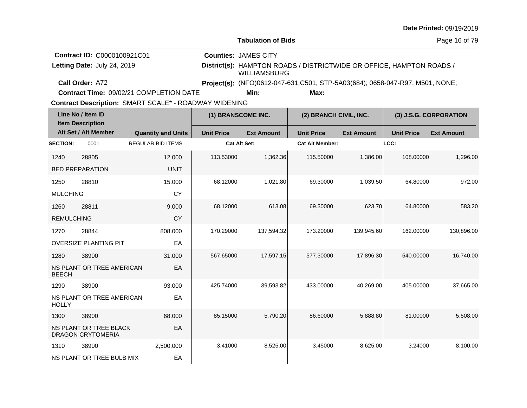| <b>Date Printed: 09/19/2019</b> |  |
|---------------------------------|--|
|---------------------------------|--|

**Contract Time:** 09/02/21 COMPLETION DATE

**Min: Max:**

| Line No / Item ID<br><b>Item Description</b>       |                              | (1) BRANSCOME INC.        |                     | (2) BRANCH CIVIL, INC. |                        | (3) J.S.G. CORPORATION |                   |                   |
|----------------------------------------------------|------------------------------|---------------------------|---------------------|------------------------|------------------------|------------------------|-------------------|-------------------|
|                                                    | Alt Set / Alt Member         | <b>Quantity and Units</b> | <b>Unit Price</b>   | <b>Ext Amount</b>      | <b>Unit Price</b>      | <b>Ext Amount</b>      | <b>Unit Price</b> | <b>Ext Amount</b> |
| <b>SECTION:</b>                                    | 0001                         | <b>REGULAR BID ITEMS</b>  | <b>Cat Alt Set:</b> |                        | <b>Cat Alt Member:</b> |                        | LCC:              |                   |
| 1240                                               | 28805                        | 12.000                    | 113.53000           | 1,362.36               | 115.50000              | 1,386.00               | 108.00000         | 1,296.00          |
|                                                    | <b>BED PREPARATION</b>       | <b>UNIT</b>               |                     |                        |                        |                        |                   |                   |
| 1250                                               | 28810                        | 15.000                    | 68.12000            | 1,021.80               | 69.30000               | 1,039.50               | 64.80000          | 972.00            |
| <b>MULCHING</b>                                    |                              | <b>CY</b>                 |                     |                        |                        |                        |                   |                   |
| 1260                                               | 28811                        | 9.000                     | 68.12000            | 613.08                 | 69.30000               | 623.70                 | 64.80000          | 583.20            |
| <b>REMULCHING</b>                                  |                              | <b>CY</b>                 |                     |                        |                        |                        |                   |                   |
| 1270                                               | 28844                        | 808.000                   | 170.29000           | 137,594.32             | 173.20000              | 139,945.60             | 162.00000         | 130,896.00        |
|                                                    | <b>OVERSIZE PLANTING PIT</b> | EA                        |                     |                        |                        |                        |                   |                   |
| 1280                                               | 38900                        | 31.000                    | 567.65000           | 17,597.15              | 577.30000              | 17,896.30              | 540.00000         | 16,740.00         |
| <b>BEECH</b>                                       | NS PLANT OR TREE AMERICAN    | EA                        |                     |                        |                        |                        |                   |                   |
| 1290                                               | 38900                        | 93.000                    | 425.74000           | 39,593.82              | 433.00000              | 40,269.00              | 405.00000         | 37,665.00         |
| <b>HOLLY</b>                                       | NS PLANT OR TREE AMERICAN    | EA                        |                     |                        |                        |                        |                   |                   |
| 1300                                               | 38900                        | 68.000                    | 85.15000            | 5,790.20               | 86.60000               | 5,888.80               | 81.00000          | 5,508.00          |
| NS PLANT OR TREE BLACK<br><b>DRAGON CRYTOMERIA</b> |                              | EA                        |                     |                        |                        |                        |                   |                   |
| 1310                                               | 38900                        | 2,500.000                 | 3.41000             | 8,525.00               | 3.45000                | 8,625.00               | 3.24000           | 8,100.00          |
|                                                    | NS PLANT OR TREE BULB MIX    | EA                        |                     |                        |                        |                        |                   |                   |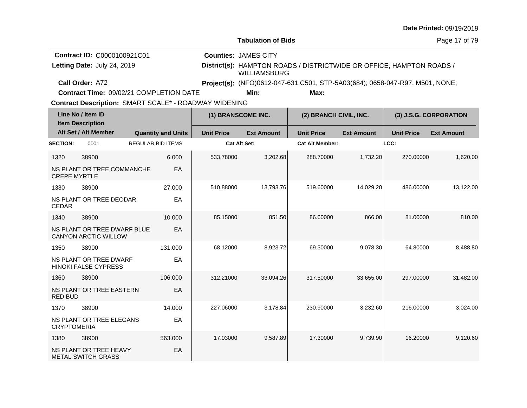|  |  | <b>Date Printed: 09/19/2019</b> |
|--|--|---------------------------------|
|--|--|---------------------------------|

**Counties:** JAMES CITY

Page 17 of 79

**Contract ID:** C0000100921C01 Letting Date: July 24, 2019

**Letting Date:** July 24, 2019 **District(s):** HAMPTON ROADS / DISTRICTWIDE OR OFFICE, HAMPTON ROADS / WILLIAMSBURG

**Call Order:**

A72 **Project(s):** (NFO)0612-047-631,C501, STP-5A03(684); 0658-047-R97, M501, NONE;**Min: Max:**

Contract Description: SMART SCALE\* - ROADWAY WIDENING

**Contract Time:** 09/02/21 COMPLETION DATE

| Line No / Item ID<br><b>Item Description</b> |                                                       |                          | (1) BRANSCOME INC.        |                     | (2) BRANCH CIVIL, INC. |                        | (3) J.S.G. CORPORATION |                   |                   |
|----------------------------------------------|-------------------------------------------------------|--------------------------|---------------------------|---------------------|------------------------|------------------------|------------------------|-------------------|-------------------|
|                                              | Alt Set / Alt Member                                  |                          | <b>Quantity and Units</b> | <b>Unit Price</b>   | <b>Ext Amount</b>      | <b>Unit Price</b>      | <b>Ext Amount</b>      | <b>Unit Price</b> | <b>Ext Amount</b> |
| <b>SECTION:</b>                              | 0001                                                  | <b>REGULAR BID ITEMS</b> |                           | <b>Cat Alt Set:</b> |                        | <b>Cat Alt Member:</b> |                        | LCC:              |                   |
| 1320                                         | 38900                                                 |                          | 6.000                     | 533.78000           | 3,202.68               | 288.70000              | 1,732.20               | 270.00000         | 1,620.00          |
| <b>CREPE MYRTLE</b>                          | NS PLANT OR TREE COMMANCHE                            |                          | EA                        |                     |                        |                        |                        |                   |                   |
| 1330                                         | 38900                                                 |                          | 27,000                    | 510.88000           | 13,793.76              | 519.60000              | 14,029.20              | 486.00000         | 13,122.00         |
| <b>CEDAR</b>                                 | NS PLANT OR TREE DEODAR                               |                          | EA                        |                     |                        |                        |                        |                   |                   |
| 1340                                         | 38900                                                 |                          | 10.000                    | 85.15000            | 851.50                 | 86.60000               | 866.00                 | 81.00000          | 810.00            |
|                                              | NS PLANT OR TREE DWARF BLUE<br>CANYON ARCTIC WILLOW   |                          | EA                        |                     |                        |                        |                        |                   |                   |
| 1350                                         | 38900                                                 |                          | 131.000                   | 68.12000            | 8,923.72               | 69.30000               | 9,078.30               | 64.80000          | 8,488.80          |
|                                              | NS PLANT OR TREE DWARF<br><b>HINOKI FALSE CYPRESS</b> |                          | EA                        |                     |                        |                        |                        |                   |                   |
| 1360                                         | 38900                                                 |                          | 106.000                   | 312.21000           | 33,094.26              | 317.50000              | 33,655.00              | 297.00000         | 31,482.00         |
| <b>RED BUD</b>                               | NS PLANT OR TREE EASTERN                              |                          | EA                        |                     |                        |                        |                        |                   |                   |
| 1370                                         | 38900                                                 |                          | 14.000                    | 227.06000           | 3,178.84               | 230.90000              | 3,232.60               | 216.00000         | 3,024.00          |
| <b>CRYPTOMERIA</b>                           | NS PLANT OR TREE ELEGANS                              |                          | EA                        |                     |                        |                        |                        |                   |                   |
| 1380                                         | 38900                                                 |                          | 563.000                   | 17.03000            | 9,587.89               | 17.30000               | 9,739.90               | 16.20000          | 9,120.60          |
|                                              | NS PLANT OR TREE HEAVY<br><b>METAL SWITCH GRASS</b>   |                          | EA                        |                     |                        |                        |                        |                   |                   |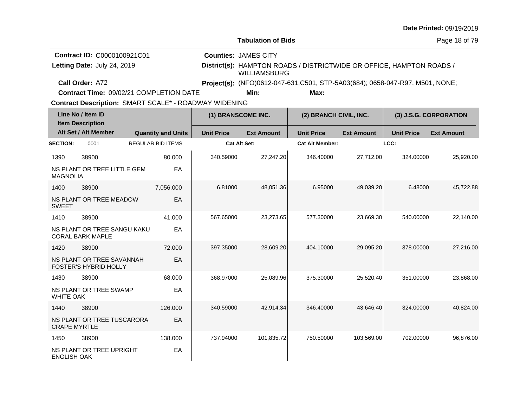| <b>Date Printed: 09/19/2019</b> |  |
|---------------------------------|--|
|---------------------------------|--|

**Contract Time:** 09/02/21 COMPLETION DATE

**Min: Max:**

| Line No / Item ID<br><b>Item Description</b> |                                                        | (1) BRANSCOME INC.        |                     | (2) BRANCH CIVIL, INC. |                        | (3) J.S.G. CORPORATION |                   |                   |
|----------------------------------------------|--------------------------------------------------------|---------------------------|---------------------|------------------------|------------------------|------------------------|-------------------|-------------------|
|                                              | Alt Set / Alt Member                                   | <b>Quantity and Units</b> | <b>Unit Price</b>   | <b>Ext Amount</b>      | <b>Unit Price</b>      | <b>Ext Amount</b>      | <b>Unit Price</b> | <b>Ext Amount</b> |
| <b>SECTION:</b>                              | 0001                                                   | <b>REGULAR BID ITEMS</b>  | <b>Cat Alt Set:</b> |                        | <b>Cat Alt Member:</b> |                        | LCC:              |                   |
| 1390                                         | 38900                                                  | 80.000                    | 340.59000           | 27,247.20              | 346.40000              | 27,712.00              | 324.00000         | 25,920.00         |
| <b>MAGNOLIA</b>                              | NS PLANT OR TREE LITTLE GEM                            | EA                        |                     |                        |                        |                        |                   |                   |
| 1400                                         | 38900                                                  | 7,056.000                 | 6.81000             | 48,051.36              | 6.95000                | 49,039.20              | 6.48000           | 45,722.88         |
| <b>SWEET</b>                                 | NS PLANT OR TREE MEADOW                                | EA                        |                     |                        |                        |                        |                   |                   |
| 1410                                         | 38900                                                  | 41.000                    | 567.65000           | 23,273.65              | 577.30000              | 23,669.30              | 540.00000         | 22,140.00         |
|                                              | NS PLANT OR TREE SANGU KAKU<br><b>CORAL BARK MAPLE</b> | EA                        |                     |                        |                        |                        |                   |                   |
| 1420                                         | 38900                                                  | 72.000                    | 397.35000           | 28,609.20              | 404.10000              | 29,095.20              | 378,00000         | 27,216.00         |
|                                              | NS PLANT OR TREE SAVANNAH<br>FOSTER'S HYBRID HOLLY     | EA                        |                     |                        |                        |                        |                   |                   |
| 1430                                         | 38900                                                  | 68.000                    | 368.97000           | 25,089.96              | 375.30000              | 25,520.40              | 351.00000         | 23,868.00         |
| <b>WHITE OAK</b>                             | NS PLANT OR TREE SWAMP                                 | EA                        |                     |                        |                        |                        |                   |                   |
| 1440                                         | 38900                                                  | 126,000                   | 340.59000           | 42,914.34              | 346.40000              | 43,646.40              | 324.00000         | 40,824.00         |
| <b>CRAPE MYRTLE</b>                          | NS PLANT OR TREE TUSCARORA                             | EA                        |                     |                        |                        |                        |                   |                   |
| 1450                                         | 38900                                                  | 138.000                   | 737.94000           | 101,835.72             | 750.50000              | 103,569.00             | 702.00000         | 96,876.00         |
| <b>ENGLISH OAK</b>                           | NS PLANT OR TREE UPRIGHT                               | EA                        |                     |                        |                        |                        |                   |                   |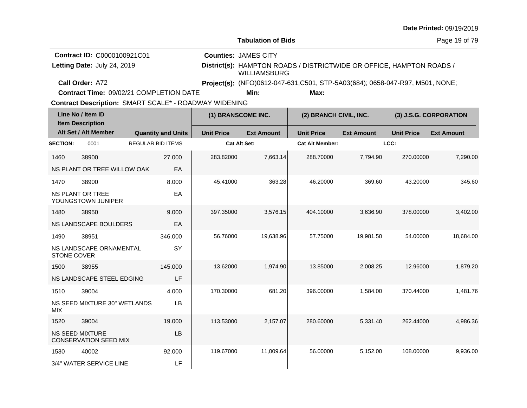|  |  | <b>Date Printed: 09/19/2019</b> |
|--|--|---------------------------------|
|--|--|---------------------------------|

| <b>Contract ID: C0000100921C01</b> | <b>Counties: JAMES CITY</b>                                                          |
|------------------------------------|--------------------------------------------------------------------------------------|
| Letting Date: July 24, 2019        | District(s): HAMPTON ROADS / DISTRICTWIDE OR OFFICE, HAMPTON ROADS /<br>WILLIAMSBURG |
| Call Order: A72                    | Project(s): (NFO)0612-047-631, C501, STP-5A03(684); 0658-047-R97, M501, NONE;        |

**Contract Time:** 09/02/21 COMPLETION DATE

**Min: Max:**

| Line No / Item ID<br><b>Item Description</b> |                                                        |                          | (1) BRANSCOME INC.        |                   | (2) BRANCH CIVIL, INC. |                        | (3) J.S.G. CORPORATION |                   |                   |
|----------------------------------------------|--------------------------------------------------------|--------------------------|---------------------------|-------------------|------------------------|------------------------|------------------------|-------------------|-------------------|
|                                              | Alt Set / Alt Member                                   |                          | <b>Quantity and Units</b> | <b>Unit Price</b> | <b>Ext Amount</b>      | <b>Unit Price</b>      | <b>Ext Amount</b>      | <b>Unit Price</b> | <b>Ext Amount</b> |
| <b>SECTION:</b>                              | 0001                                                   | <b>REGULAR BID ITEMS</b> |                           | Cat Alt Set:      |                        | <b>Cat Alt Member:</b> |                        | LCC:              |                   |
| 1460                                         | 38900                                                  |                          | 27.000                    | 283.82000         | 7,663.14               | 288.70000              | 7,794.90               | 270.00000         | 7,290.00          |
|                                              | NS PLANT OR TREE WILLOW OAK                            |                          | EA                        |                   |                        |                        |                        |                   |                   |
| 1470                                         | 38900                                                  |                          | 8.000                     | 45.41000          | 363.28                 | 46.20000               | 369.60                 | 43.20000          | 345.60            |
|                                              | NS PLANT OR TREE<br>YOUNGSTOWN JUNIPER                 |                          | EA                        |                   |                        |                        |                        |                   |                   |
| 1480                                         | 38950                                                  |                          | 9.000                     | 397.35000         | 3,576.15               | 404.10000              | 3,636.90               | 378,00000         | 3,402.00          |
|                                              | NS LANDSCAPE BOULDERS                                  |                          | EA                        |                   |                        |                        |                        |                   |                   |
| 1490                                         | 38951                                                  |                          | 346.000                   | 56.76000          | 19,638.96              | 57.75000               | 19,981.50              | 54.00000          | 18,684.00         |
| STONE COVER                                  | NS LANDSCAPE ORNAMENTAL                                |                          | SY                        |                   |                        |                        |                        |                   |                   |
| 1500                                         | 38955                                                  |                          | 145.000                   | 13.62000          | 1,974.90               | 13.85000               | 2,008.25               | 12.96000          | 1,879.20          |
|                                              | NS LANDSCAPE STEEL EDGING                              |                          | LF                        |                   |                        |                        |                        |                   |                   |
| 1510                                         | 39004                                                  |                          | 4.000                     | 170.30000         | 681.20                 | 396.00000              | 1,584.00               | 370.44000         | 1,481.76          |
| <b>MIX</b>                                   | NS SEED MIXTURE 30" WETLANDS                           |                          | LB                        |                   |                        |                        |                        |                   |                   |
| 1520                                         | 39004                                                  |                          | 19.000                    | 113.53000         | 2,157.07               | 280.60000              | 5,331.40               | 262.44000         | 4,986.36          |
|                                              | <b>NS SEED MIXTURE</b><br><b>CONSERVATION SEED MIX</b> |                          | LB                        |                   |                        |                        |                        |                   |                   |
| 1530                                         | 40002                                                  |                          | 92.000                    | 119.67000         | 11,009.64              | 56.00000               | 5,152.00               | 108.00000         | 9,936.00          |
|                                              | 3/4" WATER SERVICE LINE                                |                          | LF                        |                   |                        |                        |                        |                   |                   |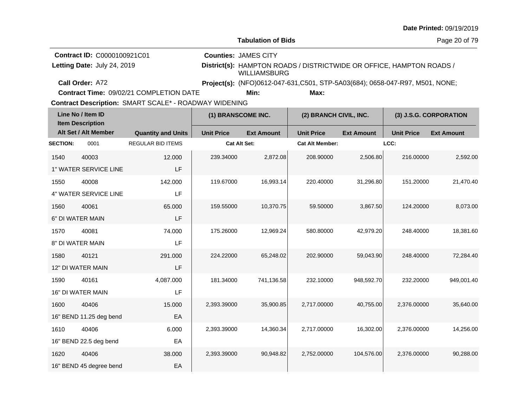| <b>Date Printed: 09/19/2019</b> |  |
|---------------------------------|--|
|---------------------------------|--|

**Letting Date:** July 24, 2019 **District(s):** HAMPTON ROADS / DISTRICTWIDE OR OFFICE, HAMPTON ROADS / WILLIAMSBURG **Contract ID:** C0000100921C01 **Counties:** JAMES CITY Letting Date: July 24, 2019

**Call Order:**

A72 **Project(s):** (NFO)0612-047-631,C501, STP-5A03(684); 0658-047-R97, M501, NONE;

**Contract Time:** 09/02/21 COMPLETION DATE

**Min: Max:**

| Line No / Item ID<br><b>Item Description</b> |                          | (1) BRANSCOME INC.        |                     | (2) BRANCH CIVIL, INC. |                        | (3) J.S.G. CORPORATION |                   |                   |
|----------------------------------------------|--------------------------|---------------------------|---------------------|------------------------|------------------------|------------------------|-------------------|-------------------|
|                                              | Alt Set / Alt Member     | <b>Quantity and Units</b> | <b>Unit Price</b>   | <b>Ext Amount</b>      | <b>Unit Price</b>      | <b>Ext Amount</b>      | <b>Unit Price</b> | <b>Ext Amount</b> |
| <b>SECTION:</b>                              | 0001                     | <b>REGULAR BID ITEMS</b>  | <b>Cat Alt Set:</b> |                        | <b>Cat Alt Member:</b> |                        | LCC:              |                   |
| 1540                                         | 40003                    | 12.000                    | 239.34000           | 2,872.08               | 208.90000              | 2,506.80               | 216.00000         | 2,592.00          |
|                                              | 1" WATER SERVICE LINE    | LF                        |                     |                        |                        |                        |                   |                   |
| 1550                                         | 40008                    | 142.000                   | 119.67000           | 16,993.14              | 220.40000              | 31,296.80              | 151.20000         | 21,470.40         |
|                                              | 4" WATER SERVICE LINE    | LF                        |                     |                        |                        |                        |                   |                   |
| 1560                                         | 40061                    | 65.000                    | 159.55000           | 10,370.75              | 59.50000               | 3,867.50               | 124.20000         | 8,073.00          |
|                                              | 6" DI WATER MAIN         | LF                        |                     |                        |                        |                        |                   |                   |
| 1570                                         | 40081                    | 74.000                    | 175.26000           | 12,969.24              | 580.80000              | 42,979.20              | 248.40000         | 18,381.60         |
|                                              | 8" DI WATER MAIN         | LF                        |                     |                        |                        |                        |                   |                   |
| 1580                                         | 40121                    | 291.000                   | 224.22000           | 65,248.02              | 202.90000              | 59,043.90              | 248.40000         | 72,284.40         |
|                                              | 12" DI WATER MAIN        | LF                        |                     |                        |                        |                        |                   |                   |
| 1590                                         | 40161                    | 4,087.000                 | 181.34000           | 741,136.58             | 232.10000              | 948,592.70             | 232.20000         | 949,001.40        |
|                                              | <b>16" DI WATER MAIN</b> | LF                        |                     |                        |                        |                        |                   |                   |
| 1600                                         | 40406                    | 15.000                    | 2,393.39000         | 35,900.85              | 2,717.00000            | 40,755.00              | 2,376.00000       | 35,640.00         |
|                                              | 16" BEND 11.25 deg bend  | EA                        |                     |                        |                        |                        |                   |                   |
| 1610                                         | 40406                    | 6.000                     | 2,393.39000         | 14,360.34              | 2,717.00000            | 16,302.00              | 2,376.00000       | 14,256.00         |
|                                              | 16" BEND 22.5 deg bend   | EA                        |                     |                        |                        |                        |                   |                   |
| 1620                                         | 40406                    | 38.000                    | 2,393.39000         | 90,948.82              | 2,752.00000            | 104,576.00             | 2,376.00000       | 90,288.00         |
|                                              | 16" BEND 45 degree bend  | EA                        |                     |                        |                        |                        |                   |                   |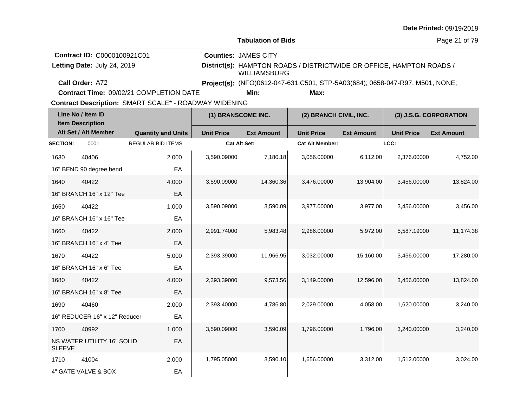| <b>Date Printed: 09/19/2019</b> |  |  |
|---------------------------------|--|--|
|---------------------------------|--|--|

Page 21 of 79

**Call Order: Letting Date:** July 24, 2019 **District(s):** HAMPTON ROADS / DISTRICTWIDE OR OFFICE, HAMPTON ROADS / WILLIAMSBURG **Contract ID:** C0000100921C01 **Counties:** JAMES CITY A72 **Project(s):** (NFO)0612-047-631,C501, STP-5A03(684); 0658-047-R97, M501, NONE;Letting Date: July 24, 2019 **Min: Max:**

**Contract Time:** 09/02/21 COMPLETION DATE

|                 | Line No / Item ID<br><b>Item Description</b> |                           | (1) BRANSCOME INC.  |                   | (2) BRANCH CIVIL, INC. |                   |                   | (3) J.S.G. CORPORATION |
|-----------------|----------------------------------------------|---------------------------|---------------------|-------------------|------------------------|-------------------|-------------------|------------------------|
|                 | Alt Set / Alt Member                         | <b>Quantity and Units</b> | <b>Unit Price</b>   | <b>Ext Amount</b> | <b>Unit Price</b>      | <b>Ext Amount</b> | <b>Unit Price</b> | <b>Ext Amount</b>      |
| <b>SECTION:</b> | 0001                                         | <b>REGULAR BID ITEMS</b>  | <b>Cat Alt Set:</b> |                   | <b>Cat Alt Member:</b> |                   | LCC:              |                        |
| 1630            | 40406                                        | 2.000                     | 3,590.09000         | 7,180.18          | 3,056.00000            | 6,112.00          | 2,376.00000       | 4,752.00               |
|                 | 16" BEND 90 degree bend                      | EA                        |                     |                   |                        |                   |                   |                        |
| 1640            | 40422                                        | 4.000                     | 3,590.09000         | 14,360.36         | 3,476.00000            | 13,904.00         | 3,456.00000       | 13,824.00              |
|                 | 16" BRANCH 16" x 12" Tee                     | EA                        |                     |                   |                        |                   |                   |                        |
| 1650            | 40422                                        | 1.000                     | 3,590.09000         | 3,590.09          | 3,977.00000            | 3,977.00          | 3,456.00000       | 3,456.00               |
|                 | 16" BRANCH 16" x 16" Tee                     | EA                        |                     |                   |                        |                   |                   |                        |
| 1660            | 40422                                        | 2.000                     | 2,991.74000         | 5,983.48          | 2,986.00000            | 5,972.00          | 5,587.19000       | 11,174.38              |
|                 | 16" BRANCH 16" x 4" Tee                      | EA                        |                     |                   |                        |                   |                   |                        |
| 1670            | 40422                                        | 5.000                     | 2,393.39000         | 11,966.95         | 3,032.00000            | 15,160.00         | 3,456.00000       | 17,280.00              |
|                 | 16" BRANCH 16" x 6" Tee                      | EA                        |                     |                   |                        |                   |                   |                        |
| 1680            | 40422                                        | 4.000                     | 2,393.39000         | 9,573.56          | 3,149.00000            | 12,596.00         | 3,456.00000       | 13,824.00              |
|                 | 16" BRANCH 16" x 8" Tee                      | EA                        |                     |                   |                        |                   |                   |                        |
| 1690            | 40460                                        | 2.000                     | 2,393.40000         | 4,786.80          | 2,029.00000            | 4,058.00          | 1,620.00000       | 3,240.00               |
|                 | 16" REDUCER 16" x 12" Reducer                | EA                        |                     |                   |                        |                   |                   |                        |
| 1700            | 40992                                        | 1.000                     | 3,590.09000         | 3,590.09          | 1.796.00000            | 1.796.00          | 3.240.00000       | 3.240.00               |
| <b>SLEEVE</b>   | NS WATER UTILITY 16" SOLID                   | EA                        |                     |                   |                        |                   |                   |                        |
| 1710            | 41004                                        | 2.000                     | 1,795.05000         | 3,590.10          | 1,656.00000            | 3,312.00          | 1,512.00000       | 3,024.00               |
|                 | 4" GATE VALVE & BOX                          | EA                        |                     |                   |                        |                   |                   |                        |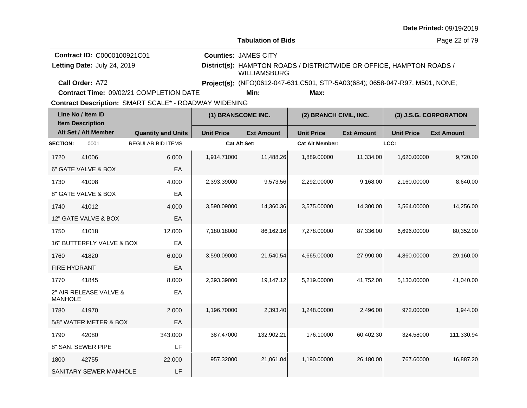|  |  | <b>Date Printed: 09/19/2019</b> |
|--|--|---------------------------------|
|--|--|---------------------------------|

**Contract Time:** 09/02/21 COMPLETION DATE

|                 | Line No / Item ID<br><b>Item Description</b> |                           | (1) BRANSCOME INC.  |                   | (2) BRANCH CIVIL, INC. |                   |                   | (3) J.S.G. CORPORATION |
|-----------------|----------------------------------------------|---------------------------|---------------------|-------------------|------------------------|-------------------|-------------------|------------------------|
|                 | Alt Set / Alt Member                         | <b>Quantity and Units</b> | <b>Unit Price</b>   | <b>Ext Amount</b> | <b>Unit Price</b>      | <b>Ext Amount</b> | <b>Unit Price</b> | <b>Ext Amount</b>      |
| <b>SECTION:</b> | 0001                                         | <b>REGULAR BID ITEMS</b>  | <b>Cat Alt Set:</b> |                   | <b>Cat Alt Member:</b> |                   | LCC:              |                        |
| 1720            | 41006                                        | 6.000                     | 1,914.71000         | 11,488.26         | 1,889.00000            | 11,334.00         | 1,620.00000       | 9,720.00               |
|                 | 6" GATE VALVE & BOX                          | EA                        |                     |                   |                        |                   |                   |                        |
| 1730            | 41008                                        | 4.000                     | 2,393.39000         | 9,573.56          | 2,292.00000            | 9,168.00          | 2,160.00000       | 8,640.00               |
|                 | 8" GATE VALVE & BOX                          | EA                        |                     |                   |                        |                   |                   |                        |
| 1740            | 41012                                        | 4.000                     | 3,590.09000         | 14,360.36         | 3,575.00000            | 14,300.00         | 3,564.00000       | 14,256.00              |
|                 | 12" GATE VALVE & BOX                         | EA                        |                     |                   |                        |                   |                   |                        |
| 1750            | 41018                                        | 12.000                    | 7,180.18000         | 86,162.16         | 7,278.00000            | 87,336.00         | 6,696.00000       | 80,352.00              |
|                 | 16" BUTTERFLY VALVE & BOX                    | EA                        |                     |                   |                        |                   |                   |                        |
| 1760            | 41820                                        | 6.000                     | 3,590.09000         | 21,540.54         | 4,665.00000            | 27,990.00         | 4,860.00000       | 29,160.00              |
| FIRE HYDRANT    |                                              | EA                        |                     |                   |                        |                   |                   |                        |
| 1770            | 41845                                        | 8.000                     | 2,393.39000         | 19,147.12         | 5,219.00000            | 41,752.00         | 5,130.00000       | 41,040.00              |
| <b>MANHOLE</b>  | 2" AIR RELEASE VALVE &                       | EA                        |                     |                   |                        |                   |                   |                        |
| 1780            | 41970                                        | 2.000                     | 1,196.70000         | 2,393.40          | 1,248.00000            | 2,496.00          | 972.00000         | 1,944.00               |
|                 | 5/8" WATER METER & BOX                       | EA                        |                     |                   |                        |                   |                   |                        |
| 1790            | 42080                                        | 343.000                   | 387.47000           | 132,902.21        | 176.10000              | 60,402.30         | 324.58000         | 111,330.94             |
|                 | 8" SAN. SEWER PIPE                           | LF                        |                     |                   |                        |                   |                   |                        |
| 1800            | 42755                                        | 22.000                    | 957.32000           | 21,061.04         | 1,190.00000            | 26,180.00         | 767.60000         | 16,887.20              |
|                 | SANITARY SEWER MANHOLE                       | LF                        |                     |                   |                        |                   |                   |                        |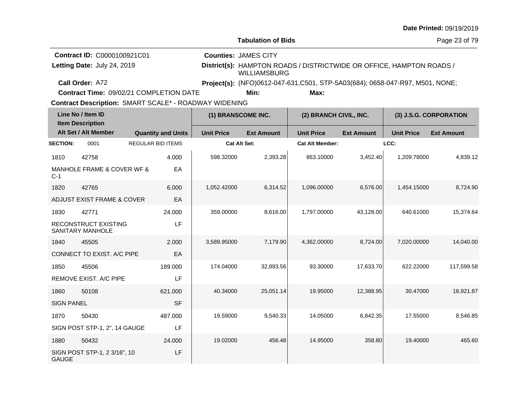| <b>Date Printed: 09/19/2019</b> |  |
|---------------------------------|--|
|---------------------------------|--|

**Contract Time:** 09/02/21 COMPLETION DATE

|                   | Line No / Item ID<br><b>Item Description</b> |                           | (1) BRANSCOME INC.  |                   | (2) BRANCH CIVIL, INC. |                   |                   | (3) J.S.G. CORPORATION |
|-------------------|----------------------------------------------|---------------------------|---------------------|-------------------|------------------------|-------------------|-------------------|------------------------|
|                   | Alt Set / Alt Member                         | <b>Quantity and Units</b> | <b>Unit Price</b>   | <b>Ext Amount</b> | <b>Unit Price</b>      | <b>Ext Amount</b> | <b>Unit Price</b> | <b>Ext Amount</b>      |
| <b>SECTION:</b>   | 0001                                         | <b>REGULAR BID ITEMS</b>  | <b>Cat Alt Set:</b> |                   | <b>Cat Alt Member:</b> |                   | LCC:              |                        |
| 1810              | 42758                                        | 4.000                     | 598.32000           | 2,393.28          | 863.10000              | 3,452.40          | 1,209.78000       | 4,839.12               |
| $C-1$             | MANHOLE FRAME & COVER WF &                   | EA                        |                     |                   |                        |                   |                   |                        |
| 1820              | 42765                                        | 6.000                     | 1,052.42000         | 6,314.52          | 1,096.00000            | 6,576.00          | 1,454.15000       | 8,724.90               |
|                   | ADJUST EXIST FRAME & COVER                   | EA                        |                     |                   |                        |                   |                   |                        |
| 1830              | 42771                                        | 24.000                    | 359.00000           | 8,616.00          | 1,797.00000            | 43,128.00         | 640.61000         | 15,374.64              |
|                   | RECONSTRUCT EXISTING<br>SANITARY MANHOLE     | LF                        |                     |                   |                        |                   |                   |                        |
| 1840              | 45505                                        | 2.000                     | 3,589.95000         | 7,179.90          | 4,362.00000            | 8,724.00          | 7,020.00000       | 14,040.00              |
|                   | CONNECT TO EXIST. A/C PIPE                   | EA                        |                     |                   |                        |                   |                   |                        |
| 1850              | 45506                                        | 189.000                   | 174.04000           | 32,893.56         | 93.30000               | 17,633.70         | 622.22000         | 117,599.58             |
|                   | REMOVE EXIST. A/C PIPE                       | LF                        |                     |                   |                        |                   |                   |                        |
| 1860              | 50108                                        | 621.000                   | 40.34000            | 25,051.14         | 19.95000               | 12,388.95         | 30.47000          | 18,921.87              |
| <b>SIGN PANEL</b> |                                              | <b>SF</b>                 |                     |                   |                        |                   |                   |                        |
| 1870              | 50430                                        | 487.000                   | 19.59000            | 9,540.33          | 14.05000               | 6,842.35          | 17.55000          | 8,546.85               |
|                   | SIGN POST STP-1, 2", 14 GAUGE                | LF                        |                     |                   |                        |                   |                   |                        |
| 1880              | 50432                                        | 24.000                    | 19.02000            | 456.48            | 14.95000               | 358.80            | 19.40000          | 465.60                 |
| <b>GAUGE</b>      | SIGN POST STP-1, 2 3/16", 10                 | LF                        |                     |                   |                        |                   |                   |                        |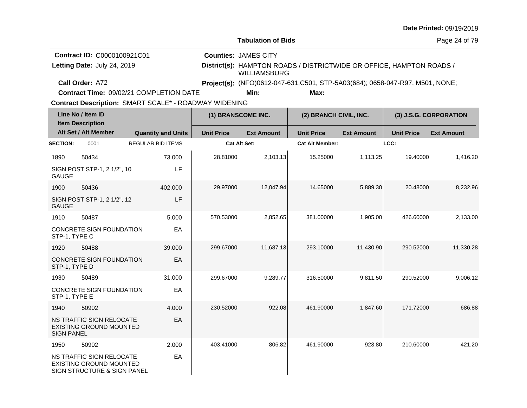| <b>Date Printed: 09/19/2019</b> |  |  |
|---------------------------------|--|--|
|---------------------------------|--|--|

Page 24 of 79

| <b>Contract ID: C0000100921C01</b> | <b>Counties: JAMES CITY</b>                                                          |
|------------------------------------|--------------------------------------------------------------------------------------|
| Letting Date: July 24, 2019        | District(s): HAMPTON ROADS / DISTRICTWIDE OR OFFICE, HAMPTON ROADS /<br>WILLIAMSBURG |
| Call Order: A72                    | <b>Project(s):</b> (NFO)0612-047-631, C501, STP-5A03(684); 0658-047-R97, M501, NONE; |

**Contract Time:** 09/02/21 COMPLETION DATE

**Min: Max:**

|                   | Line No / Item ID<br><b>Item Description</b>                                              |                           | (1) BRANSCOME INC.  |                   | (2) BRANCH CIVIL, INC. |                   |                   | (3) J.S.G. CORPORATION |
|-------------------|-------------------------------------------------------------------------------------------|---------------------------|---------------------|-------------------|------------------------|-------------------|-------------------|------------------------|
|                   | Alt Set / Alt Member                                                                      | <b>Quantity and Units</b> | <b>Unit Price</b>   | <b>Ext Amount</b> | <b>Unit Price</b>      | <b>Ext Amount</b> | <b>Unit Price</b> | <b>Ext Amount</b>      |
| <b>SECTION:</b>   | 0001                                                                                      | <b>REGULAR BID ITEMS</b>  | <b>Cat Alt Set:</b> |                   | <b>Cat Alt Member:</b> |                   | LCC:              |                        |
| 1890              | 50434                                                                                     | 73.000                    | 28.81000            | 2,103.13          | 15.25000               | 1.113.25          | 19.40000          | 1,416.20               |
| <b>GAUGE</b>      | SIGN POST STP-1, 2 1/2", 10                                                               | LF                        |                     |                   |                        |                   |                   |                        |
| 1900              | 50436                                                                                     | 402.000                   | 29.97000            | 12,047.94         | 14.65000               | 5,889.30          | 20.48000          | 8,232.96               |
| <b>GAUGE</b>      | SIGN POST STP-1, 2 1/2", 12                                                               | LF                        |                     |                   |                        |                   |                   |                        |
| 1910              | 50487                                                                                     | 5.000                     | 570.53000           | 2,852.65          | 381.00000              | 1,905.00          | 426.60000         | 2,133.00               |
| STP-1, TYPE C     | <b>CONCRETE SIGN FOUNDATION</b>                                                           | EA                        |                     |                   |                        |                   |                   |                        |
| 1920              | 50488                                                                                     | 39,000                    | 299.67000           | 11,687.13         | 293.10000              | 11,430.90         | 290.52000         | 11,330.28              |
| STP-1, TYPE D     | <b>CONCRETE SIGN FOUNDATION</b>                                                           | EA                        |                     |                   |                        |                   |                   |                        |
| 1930              | 50489                                                                                     | 31.000                    | 299.67000           | 9,289.77          | 316.50000              | 9.811.50          | 290.52000         | 9,006.12               |
| STP-1, TYPE E     | CONCRETE SIGN FOUNDATION                                                                  | EA                        |                     |                   |                        |                   |                   |                        |
| 1940              | 50902                                                                                     | 4.000                     | 230.52000           | 922.08            | 461.90000              | 1,847.60          | 171.72000         | 686.88                 |
| <b>SIGN PANEL</b> | NS TRAFFIC SIGN RELOCATE<br>EXISTING GROUND MOUNTED                                       | EA                        |                     |                   |                        |                   |                   |                        |
| 1950              | 50902                                                                                     | 2.000                     | 403.41000           | 806.82            | 461.90000              | 923.80            | 210.60000         | 421.20                 |
|                   | NS TRAFFIC SIGN RELOCATE<br><b>EXISTING GROUND MOUNTED</b><br>SIGN STRUCTURE & SIGN PANEL | EA                        |                     |                   |                        |                   |                   |                        |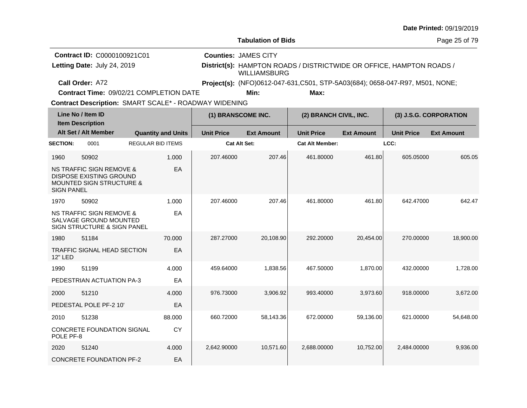|                                                                                                                        |                                                |                     |                             |                                                                              |                   |                   | <b>Date Printed: 09/19/2019</b> |
|------------------------------------------------------------------------------------------------------------------------|------------------------------------------------|---------------------|-----------------------------|------------------------------------------------------------------------------|-------------------|-------------------|---------------------------------|
|                                                                                                                        |                                                |                     | <b>Tabulation of Bids</b>   |                                                                              |                   |                   | Page 25 of 79                   |
| Contract ID: C0000100921C01                                                                                            |                                                |                     | <b>Counties: JAMES CITY</b> |                                                                              |                   |                   |                                 |
| Letting Date: July 24, 2019                                                                                            |                                                |                     | <b>WILLIAMSBURG</b>         | District(s): HAMPTON ROADS / DISTRICTWIDE OR OFFICE, HAMPTON ROADS /         |                   |                   |                                 |
| Call Order: A72                                                                                                        |                                                |                     |                             | Project(s): (NFO)0612-047-631,C501, STP-5A03(684); 0658-047-R97, M501, NONE; |                   |                   |                                 |
|                                                                                                                        | <b>Contract Time: 09/02/21 COMPLETION DATE</b> |                     | Min:                        | Max:                                                                         |                   |                   |                                 |
| <b>Contract Description: SMART SCALE* - ROADWAY WIDENING</b>                                                           |                                                |                     |                             |                                                                              |                   |                   |                                 |
| Line No / Item ID<br><b>Item Description</b>                                                                           |                                                | (1) BRANSCOME INC.  |                             | (2) BRANCH CIVIL, INC.                                                       |                   |                   | (3) J.S.G. CORPORATION          |
| Alt Set / Alt Member                                                                                                   | <b>Quantity and Units</b>                      | <b>Unit Price</b>   | <b>Ext Amount</b>           | <b>Unit Price</b>                                                            | <b>Ext Amount</b> | <b>Unit Price</b> | <b>Ext Amount</b>               |
| <b>SECTION:</b><br>0001                                                                                                | <b>REGULAR BID ITEMS</b>                       | <b>Cat Alt Set:</b> |                             | <b>Cat Alt Member:</b>                                                       |                   | LCC:              |                                 |
| 1960<br>50902                                                                                                          | 1.000                                          | 207.46000           | 207.46                      | 461.80000                                                                    | 461.80            | 605.05000         | 605.05                          |
| NS TRAFFIC SIGN REMOVE &<br><b>DISPOSE EXISTING GROUND</b><br><b>MOUNTED SIGN STRUCTURE &amp;</b><br><b>SIGN PANEL</b> | EA                                             |                     |                             |                                                                              |                   |                   |                                 |
| 1970<br>50902                                                                                                          | 1.000                                          | 207.46000           | 207.46                      | 461.80000                                                                    | 461.80            | 642.47000         | 642.47                          |
| NS TRAFFIC SIGN REMOVE &                                                                                               | EA                                             |                     |                             |                                                                              |                   |                   |                                 |

| 1970<br>50902                                                                     | 1.000     | 207.46000   | 207.46    | 461.80000   | 461.80    | 642.47000   | 642.47    |
|-----------------------------------------------------------------------------------|-----------|-------------|-----------|-------------|-----------|-------------|-----------|
| NS TRAFFIC SIGN REMOVE &<br>SALVAGE GROUND MOUNTED<br>SIGN STRUCTURE & SIGN PANEL | EA        |             |           |             |           |             |           |
| 51184<br>1980                                                                     | 70.000    | 287.27000   | 20,108.90 | 292,20000   | 20,454.00 | 270,00000   | 18,900.00 |
| TRAFFIC SIGNAL HEAD SECTION<br>12" LED                                            | EA        |             |           |             |           |             |           |
| 51199<br>1990                                                                     | 4.000     | 459.64000   | 1,838.56  | 467.50000   | 1,870.00  | 432.00000   | 1,728.00  |
| PEDESTRIAN ACTUATION PA-3                                                         | EA        |             |           |             |           |             |           |
| 2000<br>51210                                                                     | 4.000     | 976.73000   | 3,906.92  | 993.40000   | 3,973.60  | 918.00000   | 3,672.00  |
| PEDESTAL POLE PF-2 10'                                                            | EA        |             |           |             |           |             |           |
| 51238<br>2010                                                                     | 88,000    | 660.72000   | 58,143.36 | 672.00000   | 59,136.00 | 621.00000   | 54,648.00 |
| <b>CONCRETE FOUNDATION SIGNAL</b><br>POLE PF-8                                    | <b>CY</b> |             |           |             |           |             |           |
| 51240<br>2020                                                                     | 4.000     | 2,642.90000 | 10,571.60 | 2,688.00000 | 10,752.00 | 2,484.00000 | 9,936.00  |
| <b>CONCRETE FOUNDATION PF-2</b>                                                   | EA        |             |           |             |           |             |           |

## **Date Printed:** 09/19/2019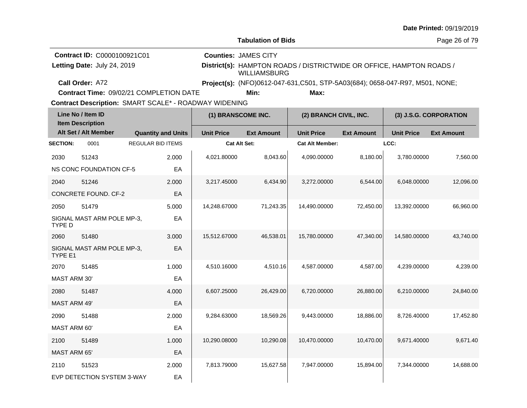|  |  | <b>Date Printed: 09/19/2019</b> |
|--|--|---------------------------------|
|--|--|---------------------------------|

**Contract Time:** 09/02/21 COMPLETION DATE

| Line No / Item ID<br><b>Item Description</b> |                                |                           | (1) BRANSCOME INC.  |                   | (2) BRANCH CIVIL, INC. |                   | (3) J.S.G. CORPORATION |                   |
|----------------------------------------------|--------------------------------|---------------------------|---------------------|-------------------|------------------------|-------------------|------------------------|-------------------|
|                                              | Alt Set / Alt Member           | <b>Quantity and Units</b> | <b>Unit Price</b>   | <b>Ext Amount</b> | <b>Unit Price</b>      | <b>Ext Amount</b> | <b>Unit Price</b>      | <b>Ext Amount</b> |
| <b>SECTION:</b>                              | 0001                           | <b>REGULAR BID ITEMS</b>  | <b>Cat Alt Set:</b> |                   | <b>Cat Alt Member:</b> |                   | LCC:                   |                   |
| 2030                                         | 51243                          | 2.000                     | 4,021.80000         | 8,043.60          | 4,090.00000            | 8,180.00          | 3,780.00000            | 7,560.00          |
|                                              | <b>NS CONC FOUNDATION CF-5</b> | EA                        |                     |                   |                        |                   |                        |                   |
| 2040                                         | 51246                          | 2.000                     | 3,217.45000         | 6,434.90          | 3,272.00000            | 6,544.00          | 6,048.00000            | 12,096.00         |
|                                              | <b>CONCRETE FOUND. CF-2</b>    | EA                        |                     |                   |                        |                   |                        |                   |
| 2050                                         | 51479                          | 5.000                     | 14,248.67000        | 71,243.35         | 14,490.00000           | 72,450.00         | 13,392.00000           | 66,960.00         |
| TYPE D                                       | SIGNAL MAST ARM POLE MP-3,     | EA                        |                     |                   |                        |                   |                        |                   |
| 2060                                         | 51480                          | 3.000                     | 15,512.67000        | 46,538.01         | 15,780.00000           | 47,340.00         | 14,580.00000           | 43,740.00         |
| TYPE E1                                      | SIGNAL MAST ARM POLE MP-3,     | EA                        |                     |                   |                        |                   |                        |                   |
| 2070                                         | 51485                          | 1.000                     | 4,510.16000         | 4,510.16          | 4,587.00000            | 4,587.00          | 4,239.00000            | 4,239.00          |
| <b>MAST ARM 30'</b>                          |                                | EA                        |                     |                   |                        |                   |                        |                   |
| 2080                                         | 51487                          | 4.000                     | 6,607.25000         | 26,429.00         | 6,720.00000            | 26,880.00         | 6,210.00000            | 24,840.00         |
| <b>MAST ARM 49'</b>                          |                                | EA                        |                     |                   |                        |                   |                        |                   |
| 2090                                         | 51488                          | 2.000                     | 9,284.63000         | 18,569.26         | 9,443.00000            | 18,886.00         | 8,726.40000            | 17,452.80         |
| <b>MAST ARM 60'</b>                          |                                | EA                        |                     |                   |                        |                   |                        |                   |
| 2100                                         | 51489                          | 1.000                     | 10,290.08000        | 10,290.08         | 10,470.00000           | 10,470.00         | 9,671.40000            | 9,671.40          |
| <b>MAST ARM 65'</b>                          |                                | EA                        |                     |                   |                        |                   |                        |                   |
| 2110                                         | 51523                          | 2.000                     | 7,813.79000         | 15,627.58         | 7,947.00000            | 15,894.00         | 7,344.00000            | 14,688.00         |
|                                              | EVP DETECTION SYSTEM 3-WAY     | EA                        |                     |                   |                        |                   |                        |                   |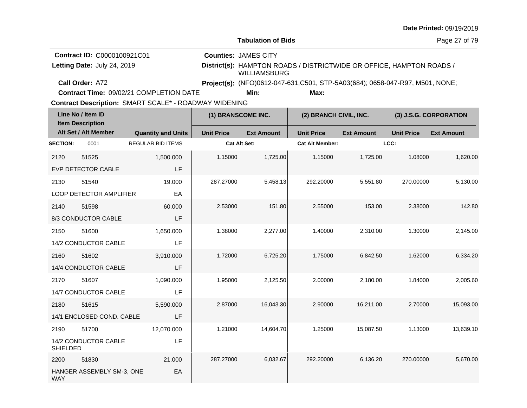|  |  | <b>Date Printed: 09/19/2019</b> |
|--|--|---------------------------------|
|--|--|---------------------------------|

**Contract Time:** 09/02/21 COMPLETION DATE

| Line No / Item ID<br><b>Item Description</b> |                           |                           | (1) BRANSCOME INC.  |                   | (2) BRANCH CIVIL, INC. |                   | (3) J.S.G. CORPORATION |                   |
|----------------------------------------------|---------------------------|---------------------------|---------------------|-------------------|------------------------|-------------------|------------------------|-------------------|
|                                              | Alt Set / Alt Member      | <b>Quantity and Units</b> | <b>Unit Price</b>   | <b>Ext Amount</b> | <b>Unit Price</b>      | <b>Ext Amount</b> | <b>Unit Price</b>      | <b>Ext Amount</b> |
| <b>SECTION:</b>                              | 0001                      | <b>REGULAR BID ITEMS</b>  | <b>Cat Alt Set:</b> |                   | <b>Cat Alt Member:</b> |                   | LCC:                   |                   |
| 2120                                         | 51525                     | 1,500.000                 | 1.15000             | 1,725.00          | 1.15000                | 1,725.00          | 1.08000                | 1,620.00          |
|                                              | <b>EVP DETECTOR CABLE</b> | LF                        |                     |                   |                        |                   |                        |                   |
| 2130                                         | 51540                     | 19.000                    | 287.27000           | 5,458.13          | 292.20000              | 5,551.80          | 270.00000              | 5,130.00          |
|                                              | LOOP DETECTOR AMPLIFIER   | EA                        |                     |                   |                        |                   |                        |                   |
| 2140                                         | 51598                     | 60.000                    | 2.53000             | 151.80            | 2.55000                | 153.00            | 2.38000                | 142.80            |
|                                              | 8/3 CONDUCTOR CABLE       | LF                        |                     |                   |                        |                   |                        |                   |
| 2150                                         | 51600                     | 1,650.000                 | 1.38000             | 2,277.00          | 1.40000                | 2,310.00          | 1.30000                | 2,145.00          |
|                                              | 14/2 CONDUCTOR CABLE      | LF                        |                     |                   |                        |                   |                        |                   |
| 2160                                         | 51602                     | 3,910.000                 | 1.72000             | 6,725.20          | 1.75000                | 6,842.50          | 1.62000                | 6,334.20          |
|                                              | 14/4 CONDUCTOR CABLE      | LF                        |                     |                   |                        |                   |                        |                   |
| 2170                                         | 51607                     | 1,090.000                 | 1.95000             | 2,125.50          | 2.00000                | 2,180.00          | 1.84000                | 2,005.60          |
|                                              | 14/7 CONDUCTOR CABLE      | LF                        |                     |                   |                        |                   |                        |                   |
| 2180                                         | 51615                     | 5,590.000                 | 2.87000             | 16,043.30         | 2.90000                | 16,211.00         | 2.70000                | 15,093.00         |
|                                              | 14/1 ENCLOSED COND. CABLE | LF                        |                     |                   |                        |                   |                        |                   |
| 2190                                         | 51700                     | 12,070.000                | 1.21000             | 14,604.70         | 1.25000                | 15,087.50         | 1.13000                | 13,639.10         |
| <b>SHIELDED</b>                              | 14/2 CONDUCTOR CABLE      | LF                        |                     |                   |                        |                   |                        |                   |
| 2200                                         | 51830                     | 21.000                    | 287.27000           | 6,032.67          | 292.20000              | 6,136.20          | 270.00000              | 5,670.00          |
| <b>WAY</b>                                   | HANGER ASSEMBLY SM-3, ONE | EA                        |                     |                   |                        |                   |                        |                   |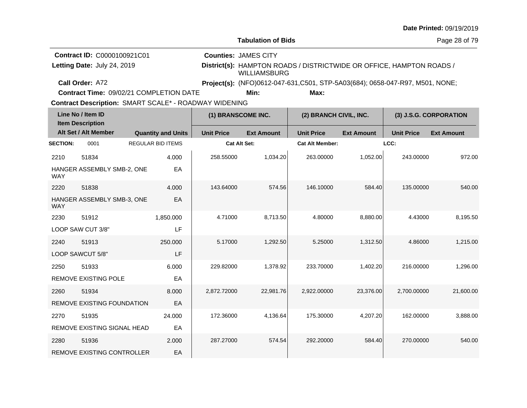| <b>Date Printed: 09/19/2019</b> |  |
|---------------------------------|--|
|---------------------------------|--|

**Contract Time:** 09/02/21 COMPLETION DATE

**Min: Max:**

| Line No / Item ID<br><b>Item Description</b> |                                   |                           | (1) BRANSCOME INC.  |                   | (2) BRANCH CIVIL, INC. |                   | (3) J.S.G. CORPORATION |                   |
|----------------------------------------------|-----------------------------------|---------------------------|---------------------|-------------------|------------------------|-------------------|------------------------|-------------------|
|                                              | Alt Set / Alt Member              | <b>Quantity and Units</b> | <b>Unit Price</b>   | <b>Ext Amount</b> | <b>Unit Price</b>      | <b>Ext Amount</b> | <b>Unit Price</b>      | <b>Ext Amount</b> |
| <b>SECTION:</b>                              | 0001                              | <b>REGULAR BID ITEMS</b>  | <b>Cat Alt Set:</b> |                   | <b>Cat Alt Member:</b> |                   | LCC:                   |                   |
| 2210                                         | 51834                             | 4.000                     | 258.55000           | 1,034.20          | 263.00000              | 1,052.00          | 243.00000              | 972.00            |
| <b>WAY</b>                                   | HANGER ASSEMBLY SMB-2, ONE        | EA                        |                     |                   |                        |                   |                        |                   |
| 2220                                         | 51838                             | 4.000                     | 143.64000           | 574.56            | 146.10000              | 584.40            | 135.00000              | 540.00            |
| <b>WAY</b>                                   | HANGER ASSEMBLY SMB-3, ONE        | EA                        |                     |                   |                        |                   |                        |                   |
| 2230                                         | 51912                             | 1,850.000                 | 4.71000             | 8,713.50          | 4.80000                | 8,880.00          | 4.43000                | 8,195.50          |
|                                              | LOOP SAW CUT 3/8"                 | LF                        |                     |                   |                        |                   |                        |                   |
| 2240                                         | 51913                             | 250.000                   | 5.17000             | 1,292.50          | 5.25000                | 1,312.50          | 4.86000                | 1,215.00          |
|                                              | LOOP SAWCUT 5/8"                  | LF                        |                     |                   |                        |                   |                        |                   |
| 2250                                         | 51933                             | 6.000                     | 229.82000           | 1,378.92          | 233.70000              | 1,402.20          | 216.00000              | 1,296.00          |
|                                              | <b>REMOVE EXISTING POLE</b>       | EA                        |                     |                   |                        |                   |                        |                   |
| 2260                                         | 51934                             | 8.000                     | 2,872.72000         | 22,981.76         | 2,922.00000            | 23,376.00         | 2,700.00000            | 21,600.00         |
|                                              | REMOVE EXISTING FOUNDATION        | EA                        |                     |                   |                        |                   |                        |                   |
| 2270                                         | 51935                             | 24.000                    | 172.36000           | 4,136.64          | 175.30000              | 4,207.20          | 162.00000              | 3,888.00          |
|                                              | REMOVE EXISTING SIGNAL HEAD       | EA                        |                     |                   |                        |                   |                        |                   |
| 2280                                         | 51936                             | 2.000                     | 287.27000           | 574.54            | 292.20000              | 584.40            | 270.00000              | 540.00            |
|                                              | <b>REMOVE EXISTING CONTROLLER</b> | EA                        |                     |                   |                        |                   |                        |                   |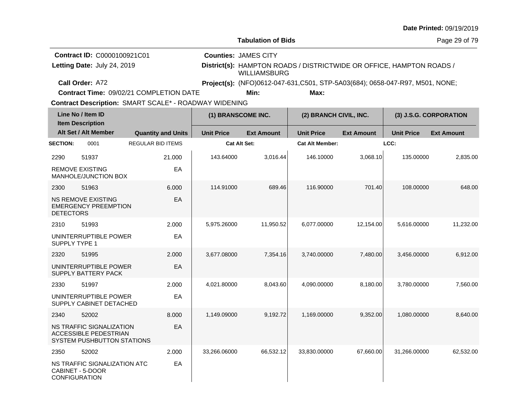| <b>Date Printed: 09/19/2019</b> |  |
|---------------------------------|--|
|---------------------------------|--|

**Tabulation of Bids**

Page 29 of 79

| <b>Contract ID: C0000100921C01</b> | <b>Counties: JAMES CITY</b>                                                          |
|------------------------------------|--------------------------------------------------------------------------------------|
| Letting Date: July 24, 2019        | District(s): HAMPTON ROADS / DISTRICTWIDE OR OFFICE, HAMPTON ROADS /<br>WILLIAMSBURG |
| Call Order: A72                    | Project(s): (NFO)0612-047-631, C501, STP-5A03(684); 0658-047-R97, M501, NONE;        |

**Contract Time:** 09/02/21 COMPLETION DATE

**Min: Max:**

| Line No / Item ID<br><b>Item Description</b> |                                                                                        | (1) BRANSCOME INC.        |                     | (2) BRANCH CIVIL, INC. |                        | (3) J.S.G. CORPORATION |                   |                   |
|----------------------------------------------|----------------------------------------------------------------------------------------|---------------------------|---------------------|------------------------|------------------------|------------------------|-------------------|-------------------|
|                                              | Alt Set / Alt Member                                                                   | <b>Quantity and Units</b> | <b>Unit Price</b>   | <b>Ext Amount</b>      | <b>Unit Price</b>      | <b>Ext Amount</b>      | <b>Unit Price</b> | <b>Ext Amount</b> |
| <b>SECTION:</b>                              | 0001                                                                                   | <b>REGULAR BID ITEMS</b>  | <b>Cat Alt Set:</b> |                        | <b>Cat Alt Member:</b> |                        | LCC:              |                   |
| 2290                                         | 51937                                                                                  | 21.000                    | 143.64000           | 3,016.44               | 146.10000              | 3,068.10               | 135.00000         | 2,835.00          |
|                                              | <b>REMOVE EXISTING</b><br><b>MANHOLE/JUNCTION BOX</b>                                  | EA                        |                     |                        |                        |                        |                   |                   |
| 2300                                         | 51963                                                                                  | 6.000                     | 114.91000           | 689.46                 | 116.90000              | 701.40                 | 108.00000         | 648.00            |
| <b>DETECTORS</b>                             | <b>NS REMOVE EXISTING</b><br><b>EMERGENCY PREEMPTION</b>                               | EA                        |                     |                        |                        |                        |                   |                   |
| 2310                                         | 51993                                                                                  | 2.000                     | 5,975.26000         | 11,950.52              | 6,077.00000            | 12,154.00              | 5,616.00000       | 11,232.00         |
| SUPPLY TYPE 1                                | UNINTERRUPTIBLE POWER                                                                  | EA                        |                     |                        |                        |                        |                   |                   |
| 2320                                         | 51995                                                                                  | 2.000                     | 3,677.08000         | 7,354.16               | 3,740.00000            | 7,480.00               | 3,456.00000       | 6,912.00          |
|                                              | UNINTERRUPTIBLE POWER<br>SUPPLY BATTERY PACK                                           | EA                        |                     |                        |                        |                        |                   |                   |
| 2330                                         | 51997                                                                                  | 2.000                     | 4,021.80000         | 8,043.60               | 4.090.00000            | 8,180.00               | 3,780.00000       | 7,560.00          |
|                                              | UNINTERRUPTIBLE POWER<br>SUPPLY CABINET DETACHED                                       | EA                        |                     |                        |                        |                        |                   |                   |
| 2340                                         | 52002                                                                                  | 8.000                     | 1,149.09000         | 9,192.72               | 1,169.00000            | 9,352.00               | 1,080.00000       | 8,640.00          |
|                                              | NS TRAFFIC SIGNALIZATION<br><b>ACCESSIBLE PEDESTRIAN</b><br>SYSTEM PUSHBUTTON STATIONS | EA                        |                     |                        |                        |                        |                   |                   |
| 2350                                         | 52002                                                                                  | 2.000                     | 33,266.06000        | 66,532.12              | 33,830.00000           | 67,660.00              | 31,266.00000      | 62,532.00         |
| <b>CONFIGURATION</b>                         | NS TRAFFIC SIGNALIZATION ATC<br>CABINET - 5-DOOR                                       | EA                        |                     |                        |                        |                        |                   |                   |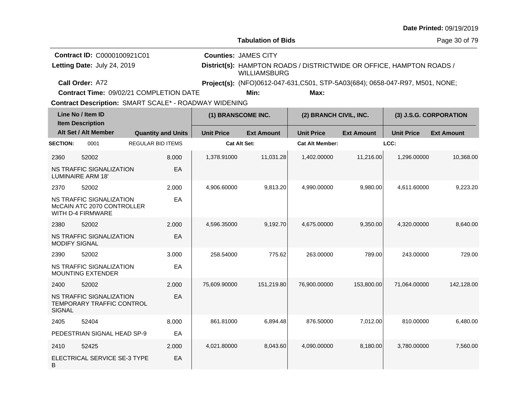|  |  | <b>Date Printed: 09/19/2019</b> |
|--|--|---------------------------------|
|--|--|---------------------------------|

| <b>Contract ID: C0000100921C01</b>      | <b>Counties: JAMES CITY</b> |      |                                                                              |
|-----------------------------------------|-----------------------------|------|------------------------------------------------------------------------------|
| Letting Date: July 24, 2019             | WILLIAMSBURG                |      | District(s): HAMPTON ROADS / DISTRICTWIDE OR OFFICE, HAMPTON ROADS /         |
| Call Order: A72                         |                             |      | Project(s): (NFO)0612-047-631,C501, STP-5A03(684); 0658-047-R97, M501, NONE; |
| Contract Time: 09/02/21 COMPLETION DATE | Min:                        | Max: |                                                                              |

**Contract Time:** 09/02/21 COMPLETION DATE

| Line No / Item ID<br><b>Item Description</b> |                                                                                    | (1) BRANSCOME INC.        |                     | (2) BRANCH CIVIL, INC. |                        | (3) J.S.G. CORPORATION |                   |                   |
|----------------------------------------------|------------------------------------------------------------------------------------|---------------------------|---------------------|------------------------|------------------------|------------------------|-------------------|-------------------|
|                                              | Alt Set / Alt Member                                                               | <b>Quantity and Units</b> | <b>Unit Price</b>   | <b>Ext Amount</b>      | <b>Unit Price</b>      | <b>Ext Amount</b>      | <b>Unit Price</b> | <b>Ext Amount</b> |
| <b>SECTION:</b>                              | 0001                                                                               | <b>REGULAR BID ITEMS</b>  | <b>Cat Alt Set:</b> |                        | <b>Cat Alt Member:</b> |                        | LCC:              |                   |
| 2360                                         | 52002                                                                              | 8.000                     | 1,378.91000         | 11,031.28              | 1,402.00000            | 11,216.00              | 1,296.00000       | 10,368.00         |
|                                              | NS TRAFFIC SIGNALIZATION<br><b>LUMINAIRE ARM 18'</b>                               | EA                        |                     |                        |                        |                        |                   |                   |
| 2370                                         | 52002                                                                              | 2.000                     | 4,906.60000         | 9,813.20               | 4,990.00000            | 9,980.00               | 4,611.60000       | 9,223.20          |
|                                              | NS TRAFFIC SIGNALIZATION<br>McCAIN ATC 2070 CONTROLLER<br><b>WITH D-4 FIRMWARE</b> | EA                        |                     |                        |                        |                        |                   |                   |
| 2380                                         | 52002                                                                              | 2.000                     | 4,596.35000         | 9,192.70               | 4,675.00000            | 9,350.00               | 4,320.00000       | 8,640.00          |
| <b>MODIFY SIGNAL</b>                         | <b>NS TRAFFIC SIGNALIZATION</b>                                                    | EA                        |                     |                        |                        |                        |                   |                   |
| 2390                                         | 52002                                                                              | 3.000                     | 258.54000           | 775.62                 | 263.00000              | 789.00                 | 243.00000         | 729.00            |
|                                              | NS TRAFFIC SIGNALIZATION<br><b>MOUNTING EXTENDER</b>                               | EA                        |                     |                        |                        |                        |                   |                   |
| 2400                                         | 52002                                                                              | 2.000                     | 75,609.90000        | 151,219.80             | 76,900.00000           | 153,800.00             | 71,064.00000      | 142,128.00        |
| <b>SIGNAL</b>                                | <b>NS TRAFFIC SIGNALIZATION</b><br>TEMPORARY TRAFFIC CONTROL                       | EA                        |                     |                        |                        |                        |                   |                   |
| 2405                                         | 52404                                                                              | 8.000                     | 861.81000           | 6,894.48               | 876.50000              | 7,012.00               | 810.00000         | 6,480.00          |
|                                              | PEDESTRIAN SIGNAL HEAD SP-9                                                        | EA                        |                     |                        |                        |                        |                   |                   |
| 2410                                         | 52425                                                                              | 2.000                     | 4,021.80000         | 8,043.60               | 4,090.00000            | 8,180.00               | 3,780.00000       | 7,560.00          |
| B                                            | ELECTRICAL SERVICE SE-3 TYPE                                                       | EA                        |                     |                        |                        |                        |                   |                   |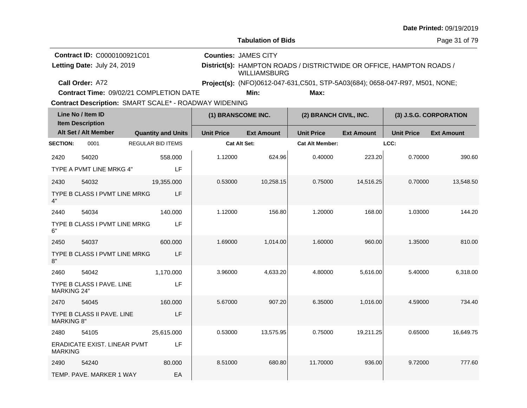|  |  | <b>Date Printed: 09/19/2019</b> |
|--|--|---------------------------------|
|--|--|---------------------------------|

**Tabulation of Bids**

**Counties:** JAMES CITY

Page 31 of 79

**Contract ID:** C0000100921C01 Letting Date: July 24, 2019

**Letting Date:** July 24, 2019 **District(s):** HAMPTON ROADS / DISTRICTWIDE OR OFFICE, HAMPTON ROADS / WILLIAMSBURG

**Call Order:** A72 **Project(s):** (NFO)0612-047-631,C501, STP-5A03(684); 0658-047-R97, M501, NONE;

**Min: Max:**

Contract Description: SMART SCALE\* - ROADWAY WIDENING

**Contract Time:** 09/02/21 COMPLETION DATE

| Line No / Item ID<br><b>Item Description</b> |                               | (1) BRANSCOME INC.        |                     | (2) BRANCH CIVIL, INC. |                        | (3) J.S.G. CORPORATION |                   |                   |
|----------------------------------------------|-------------------------------|---------------------------|---------------------|------------------------|------------------------|------------------------|-------------------|-------------------|
|                                              | Alt Set / Alt Member          | <b>Quantity and Units</b> | <b>Unit Price</b>   | <b>Ext Amount</b>      | <b>Unit Price</b>      | <b>Ext Amount</b>      | <b>Unit Price</b> | <b>Ext Amount</b> |
| <b>SECTION:</b>                              | 0001                          | <b>REGULAR BID ITEMS</b>  | <b>Cat Alt Set:</b> |                        | <b>Cat Alt Member:</b> |                        | LCC:              |                   |
| 2420                                         | 54020                         | 558.000                   | 1.12000             | 624.96                 | 0.40000                | 223.20                 | 0.70000           | 390.60            |
|                                              | TYPE A PVMT LINE MRKG 4"      | LF                        |                     |                        |                        |                        |                   |                   |
| 2430                                         | 54032                         | 19,355.000                | 0.53000             | 10,258.15              | 0.75000                | 14,516.25              | 0.70000           | 13,548.50         |
| 4"                                           | TYPE B CLASS I PVMT LINE MRKG | LF                        |                     |                        |                        |                        |                   |                   |
| 2440                                         | 54034                         | 140.000                   | 1.12000             | 156.80                 | 1.20000                | 168.00                 | 1.03000           | 144.20            |
| 6"                                           | TYPE B CLASS I PVMT LINE MRKG | LF                        |                     |                        |                        |                        |                   |                   |
| 2450                                         | 54037                         | 600.000                   | 1.69000             | 1,014.00               | 1.60000                | 960.00                 | 1.35000           | 810.00            |
| 8"                                           | TYPE B CLASS I PVMT LINE MRKG | LF                        |                     |                        |                        |                        |                   |                   |
| 2460                                         | 54042                         | 1,170.000                 | 3.96000             | 4,633.20               | 4.80000                | 5,616.00               | 5.40000           | 6,318.00          |
| <b>MARKING 24"</b>                           | TYPE B CLASS I PAVE. LINE     | LF                        |                     |                        |                        |                        |                   |                   |
| 2470                                         | 54045                         | 160.000                   | 5.67000             | 907.20                 | 6.35000                | 1,016.00               | 4.59000           | 734.40            |
| <b>MARKING 8"</b>                            | TYPE B CLASS II PAVE. LINE    | LF                        |                     |                        |                        |                        |                   |                   |
| 2480                                         | 54105                         | 25,615.000                | 0.53000             | 13,575.95              | 0.75000                | 19,211.25              | 0.65000           | 16,649.75         |
| <b>MARKING</b>                               | ERADICATE EXIST. LINEAR PVMT  | LF                        |                     |                        |                        |                        |                   |                   |
| 2490                                         | 54240                         | 80.000                    | 8.51000             | 680.80                 | 11.70000               | 936.00                 | 9.72000           | 777.60            |
|                                              | TEMP. PAVE. MARKER 1 WAY      | EA                        |                     |                        |                        |                        |                   |                   |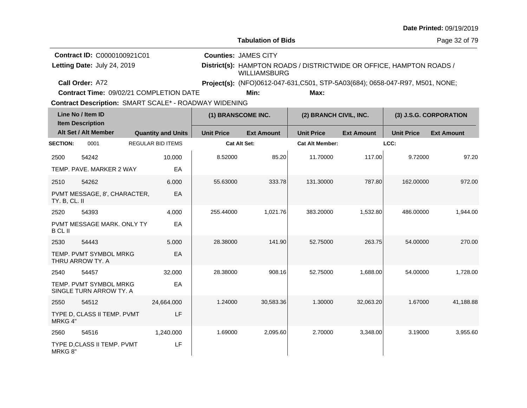| <b>Date Printed: 09/19/2019</b> |  |
|---------------------------------|--|
|---------------------------------|--|

**Contract Time:** 09/02/21 COMPLETION DATE

|                 | Line No / Item ID<br><b>Item Description</b>      |                           | (1) BRANSCOME INC. |                   | (2) BRANCH CIVIL, INC. |                   | (3) J.S.G. CORPORATION |                   |
|-----------------|---------------------------------------------------|---------------------------|--------------------|-------------------|------------------------|-------------------|------------------------|-------------------|
|                 | Alt Set / Alt Member                              | <b>Quantity and Units</b> | <b>Unit Price</b>  | <b>Ext Amount</b> | <b>Unit Price</b>      | <b>Ext Amount</b> | <b>Unit Price</b>      | <b>Ext Amount</b> |
| <b>SECTION:</b> | 0001                                              | <b>REGULAR BID ITEMS</b>  | Cat Alt Set:       |                   | <b>Cat Alt Member:</b> |                   | LCC:                   |                   |
| 2500            | 54242                                             | 10.000                    | 8.52000            | 85.20             | 11.70000               | 117.00            | 9.72000                | 97.20             |
|                 | TEMP, PAVE, MARKER 2 WAY                          | EA                        |                    |                   |                        |                   |                        |                   |
| 2510            | 54262                                             | 6.000                     | 55.63000           | 333.78            | 131.30000              | 787.80            | 162.00000              | 972.00            |
| TY. B, CL. II   | PVMT MESSAGE, 8', CHARACTER,                      | EA                        |                    |                   |                        |                   |                        |                   |
| 2520            | 54393                                             | 4.000                     | 255.44000          | 1,021.76          | 383.20000              | 1,532.80          | 486.00000              | 1,944.00          |
| <b>BCLII</b>    | PVMT MESSAGE MARK, ONLY TY                        | EA                        |                    |                   |                        |                   |                        |                   |
| 2530            | 54443                                             | 5.000                     | 28.38000           | 141.90            | 52.75000               | 263.75            | 54.00000               | 270.00            |
|                 | TEMP. PVMT SYMBOL MRKG<br>THRU ARROW TY, A        | EA                        |                    |                   |                        |                   |                        |                   |
| 2540            | 54457                                             | 32.000                    | 28.38000           | 908.16            | 52.75000               | 1,688.00          | 54.00000               | 1,728.00          |
|                 | TEMP. PVMT SYMBOL MRKG<br>SINGLE TURN ARROW TY. A | EA                        |                    |                   |                        |                   |                        |                   |
| 2550            | 54512                                             | 24,664.000                | 1.24000            | 30,583.36         | 1.30000                | 32,063.20         | 1.67000                | 41,188.88         |
| MRKG 4"         | TYPE D, CLASS II TEMP. PVMT                       | LF                        |                    |                   |                        |                   |                        |                   |
| 2560            | 54516                                             | 1,240.000                 | 1.69000            | 2,095.60          | 2.70000                | 3,348.00          | 3.19000                | 3,955.60          |
| MRKG 8"         | TYPE D, CLASS II TEMP. PVMT                       | LF                        |                    |                   |                        |                   |                        |                   |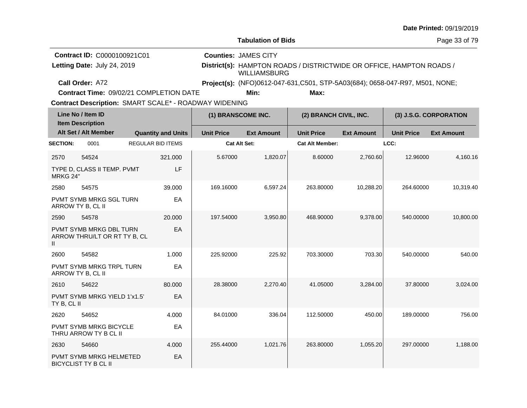| <b>Date Printed: 09/19/2019</b> |  |
|---------------------------------|--|
|---------------------------------|--|

**Contract Time:** 09/02/21 COMPLETION DATE

| Line No / Item ID<br><b>Item Description</b> |                                                               |                           | (1) BRANSCOME INC.  |                   | (2) BRANCH CIVIL, INC. |                   | (3) J.S.G. CORPORATION |                   |
|----------------------------------------------|---------------------------------------------------------------|---------------------------|---------------------|-------------------|------------------------|-------------------|------------------------|-------------------|
|                                              | Alt Set / Alt Member                                          | <b>Quantity and Units</b> | <b>Unit Price</b>   | <b>Ext Amount</b> | <b>Unit Price</b>      | <b>Ext Amount</b> | <b>Unit Price</b>      | <b>Ext Amount</b> |
| <b>SECTION:</b>                              | 0001                                                          | <b>REGULAR BID ITEMS</b>  | <b>Cat Alt Set:</b> |                   | <b>Cat Alt Member:</b> |                   | LCC:                   |                   |
| 2570                                         | 54524                                                         | 321.000                   | 5.67000             | 1,820.07          | 8.60000                | 2,760.60          | 12.96000               | 4,160.16          |
| MRKG 24"                                     | TYPE D, CLASS II TEMP. PVMT                                   | LF                        |                     |                   |                        |                   |                        |                   |
| 2580                                         | 54575                                                         | 39,000                    | 169.16000           | 6,597.24          | 263.80000              | 10,288.20         | 264.60000              | 10,319.40         |
|                                              | <b>PVMT SYMB MRKG SGL TURN</b><br>ARROW TY B, CL II           | EA                        |                     |                   |                        |                   |                        |                   |
| 2590                                         | 54578                                                         | 20.000                    | 197.54000           | 3,950.80          | 468.90000              | 9,378.00          | 540.00000              | 10,800.00         |
| $\mathbf{II}$                                | PVMT SYMB MRKG DBL TURN<br>ARROW THRU/LT OR RT TY B, CL       | EA                        |                     |                   |                        |                   |                        |                   |
| 2600                                         | 54582                                                         | 1.000                     | 225.92000           | 225.92            | 703.30000              | 703.30            | 540.00000              | 540.00            |
|                                              | PVMT SYMB MRKG TRPL TURN<br>ARROW TY B, CL II                 | EA                        |                     |                   |                        |                   |                        |                   |
| 2610                                         | 54622                                                         | 80.000                    | 28.38000            | 2,270.40          | 41.05000               | 3,284.00          | 37,80000               | 3,024.00          |
| TY B, CL II                                  | PVMT SYMB MRKG YIELD 1'x1.5"                                  | EA                        |                     |                   |                        |                   |                        |                   |
| 2620                                         | 54652                                                         | 4.000                     | 84.01000            | 336.04            | 112.50000              | 450.00            | 189.00000              | 756.00            |
|                                              | PVMT SYMB MRKG BICYCLE<br>THRU ARROW TY B CL II               | EA                        |                     |                   |                        |                   |                        |                   |
| 2630                                         | 54660                                                         | 4.000                     | 255.44000           | 1,021.76          | 263.80000              | 1,055.20          | 297.00000              | 1,188.00          |
|                                              | <b>PVMT SYMB MRKG HELMETED</b><br><b>BICYCLIST TY B CL II</b> | EA                        |                     |                   |                        |                   |                        |                   |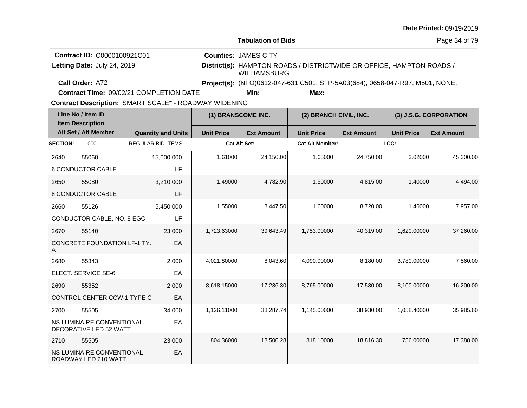| <b>Date Printed: 09/19/2019</b> |  |
|---------------------------------|--|
|---------------------------------|--|

**Tabulation of Bids**

Page 34 of 79

| <b>Contract ID: C0000100921C01</b> | <b>Counties: JAMES CITY</b>                                                          |
|------------------------------------|--------------------------------------------------------------------------------------|
| Letting Date: July 24, 2019        | District(s): HAMPTON ROADS / DISTRICTWIDE OR OFFICE, HAMPTON ROADS /<br>WILLIAMSBURG |
| Call Order: A72                    | <b>Project(s):</b> (NFO)0612-047-631, C501, STP-5A03(684); 0658-047-R97, M501, NONE; |

**Contract Time:** 09/02/21 COMPLETION DATE

**Min: Max:**

|                 | Line No / Item ID<br>(1) BRANSCOME INC.<br><b>Item Description</b> |                           | (2) BRANCH CIVIL, INC. |                   | (3) J.S.G. CORPORATION |                   |                   |                   |
|-----------------|--------------------------------------------------------------------|---------------------------|------------------------|-------------------|------------------------|-------------------|-------------------|-------------------|
|                 | Alt Set / Alt Member                                               | <b>Quantity and Units</b> | <b>Unit Price</b>      | <b>Ext Amount</b> | <b>Unit Price</b>      | <b>Ext Amount</b> | <b>Unit Price</b> | <b>Ext Amount</b> |
| <b>SECTION:</b> | 0001                                                               | <b>REGULAR BID ITEMS</b>  | <b>Cat Alt Set:</b>    |                   | <b>Cat Alt Member:</b> |                   | LCC:              |                   |
| 2640            | 55060                                                              | 15,000.000                | 1.61000                | 24,150.00         | 1.65000                | 24,750.00         | 3.02000           | 45,300.00         |
|                 | <b>6 CONDUCTOR CABLE</b>                                           | LF                        |                        |                   |                        |                   |                   |                   |
| 2650            | 55080                                                              | 3,210.000                 | 1.49000                | 4,782.90          | 1.50000                | 4,815.00          | 1.40000           | 4,494.00          |
|                 | 8 CONDUCTOR CABLE                                                  | LF                        |                        |                   |                        |                   |                   |                   |
| 2660            | 55126                                                              | 5,450.000                 | 1.55000                | 8,447.50          | 1.60000                | 8,720.00          | 1.46000           | 7,957.00          |
|                 | CONDUCTOR CABLE, NO. 8 EGC                                         | LF                        |                        |                   |                        |                   |                   |                   |
| 2670            | 55140                                                              | 23,000                    | 1,723.63000            | 39,643.49         | 1,753.00000            | 40,319.00         | 1,620.00000       | 37,260.00         |
| A               | CONCRETE FOUNDATION LF-1 TY.                                       | EA                        |                        |                   |                        |                   |                   |                   |
| 2680            | 55343                                                              | 2.000                     | 4,021.80000            | 8,043.60          | 4.090.00000            | 8,180.00          | 3,780.00000       | 7,560.00          |
|                 | ELECT. SERVICE SE-6                                                | EA                        |                        |                   |                        |                   |                   |                   |
| 2690            | 55352                                                              | 2.000                     | 8,618.15000            | 17,236.30         | 8,765.00000            | 17,530.00         | 8,100.00000       | 16,200.00         |
|                 | CONTROL CENTER CCW-1 TYPE C                                        | EA                        |                        |                   |                        |                   |                   |                   |
| 2700            | 55505                                                              | 34.000                    | 1,126.11000            | 38,287.74         | 1,145.00000            | 38,930.00         | 1,058.40000       | 35,985.60         |
|                 | NS LUMINAIRE CONVENTIONAL<br>DECORATIVE LED 52 WATT                | EA                        |                        |                   |                        |                   |                   |                   |
| 2710            | 55505                                                              | 23,000                    | 804.36000              | 18,500.28         | 818.10000              | 18,816.30         | 756.00000         | 17,388.00         |
|                 | NS LUMINAIRE CONVENTIONAL<br>ROADWAY LED 210 WATT                  | EA                        |                        |                   |                        |                   |                   |                   |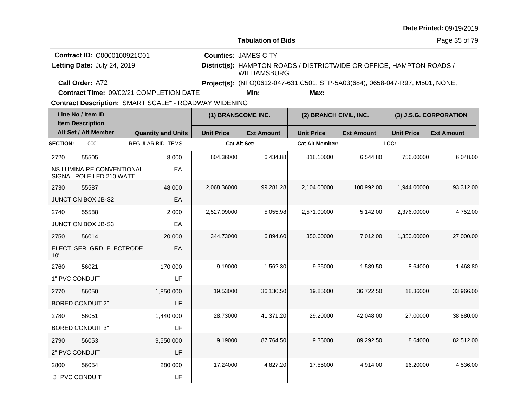|  |  | <b>Date Printed: 09/19/2019</b> |
|--|--|---------------------------------|
|--|--|---------------------------------|

**Contract Time:** 09/02/21 COMPLETION DATE

|                 | Line No / Item ID<br><b>Item Description</b>                 |                           | (1) BRANSCOME INC.  |                   | (2) BRANCH CIVIL, INC. |                   | (3) J.S.G. CORPORATION |                   |
|-----------------|--------------------------------------------------------------|---------------------------|---------------------|-------------------|------------------------|-------------------|------------------------|-------------------|
|                 | Alt Set / Alt Member                                         | <b>Quantity and Units</b> | <b>Unit Price</b>   | <b>Ext Amount</b> | <b>Unit Price</b>      | <b>Ext Amount</b> | <b>Unit Price</b>      | <b>Ext Amount</b> |
| <b>SECTION:</b> | 0001                                                         | <b>REGULAR BID ITEMS</b>  | <b>Cat Alt Set:</b> |                   | <b>Cat Alt Member:</b> |                   | LCC:                   |                   |
| 2720            | 55505                                                        | 8.000                     | 804.36000           | 6,434.88          | 818.10000              | 6,544.80          | 756.00000              | 6,048.00          |
|                 | <b>NS LUMINAIRE CONVENTIONAL</b><br>SIGNAL POLE LED 210 WATT | EA                        |                     |                   |                        |                   |                        |                   |
| 2730            | 55587                                                        | 48,000                    | 2,068.36000         | 99,281.28         | 2,104.00000            | 100,992.00        | 1,944.00000            | 93,312.00         |
|                 | JUNCTION BOX JB-S2                                           | EA                        |                     |                   |                        |                   |                        |                   |
| 2740            | 55588                                                        | 2.000                     | 2,527.99000         | 5,055.98          | 2,571.00000            | 5,142.00          | 2,376.00000            | 4,752.00          |
|                 | JUNCTION BOX JB-S3                                           | EA                        |                     |                   |                        |                   |                        |                   |
| 2750            | 56014                                                        | 20.000                    | 344.73000           | 6,894.60          | 350.60000              | 7,012.00          | 1,350.00000            | 27,000.00         |
| 10'             | ELECT. SER. GRD. ELECTRODE                                   | EA                        |                     |                   |                        |                   |                        |                   |
| 2760            | 56021                                                        | 170.000                   | 9.19000             | 1,562.30          | 9.35000                | 1,589.50          | 8.64000                | 1.468.80          |
| 1" PVC CONDUIT  |                                                              | LF                        |                     |                   |                        |                   |                        |                   |
| 2770            | 56050                                                        | 1,850.000                 | 19.53000            | 36,130.50         | 19.85000               | 36,722.50         | 18.36000               | 33,966.00         |
|                 | <b>BORED CONDUIT 2"</b>                                      | LF                        |                     |                   |                        |                   |                        |                   |
| 2780            | 56051                                                        | 1,440.000                 | 28.73000            | 41,371.20         | 29.20000               | 42,048.00         | 27.00000               | 38,880.00         |
|                 | <b>BORED CONDUIT 3"</b>                                      | LF                        |                     |                   |                        |                   |                        |                   |
| 2790            | 56053                                                        | 9,550.000                 | 9.19000             | 87,764.50         | 9.35000                | 89,292.50         | 8.64000                | 82,512.00         |
| 2" PVC CONDUIT  |                                                              | LF                        |                     |                   |                        |                   |                        |                   |
| 2800            | 56054                                                        | 280.000                   | 17.24000            | 4,827.20          | 17.55000               | 4,914.00          | 16.20000               | 4,536.00          |
|                 | 3" PVC CONDUIT                                               | LF                        |                     |                   |                        |                   |                        |                   |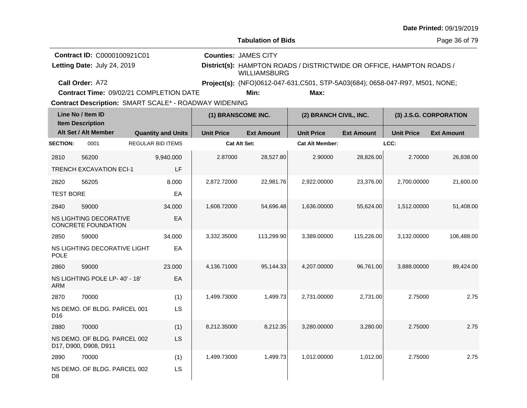|  |  | <b>Date Printed: 09/19/2019</b> |
|--|--|---------------------------------|
|--|--|---------------------------------|

**Contract Time:** 09/02/21 COMPLETION DATE

| Line No / Item ID<br><b>Item Description</b> |                                                       |                           | (1) BRANSCOME INC. |                   | (2) BRANCH CIVIL, INC. |                   | (3) J.S.G. CORPORATION |                   |
|----------------------------------------------|-------------------------------------------------------|---------------------------|--------------------|-------------------|------------------------|-------------------|------------------------|-------------------|
|                                              | Alt Set / Alt Member                                  | <b>Quantity and Units</b> | <b>Unit Price</b>  | <b>Ext Amount</b> | <b>Unit Price</b>      | <b>Ext Amount</b> | <b>Unit Price</b>      | <b>Ext Amount</b> |
| <b>SECTION:</b>                              | 0001                                                  | <b>REGULAR BID ITEMS</b>  | Cat Alt Set:       |                   | <b>Cat Alt Member:</b> |                   | LCC:                   |                   |
| 2810                                         | 56200                                                 | 9,940.000                 | 2.87000            | 28,527.80         | 2.90000                | 28,826.00         | 2.70000                | 26,838.00         |
|                                              | <b>TRENCH EXCAVATION ECI-1</b>                        | LF                        |                    |                   |                        |                   |                        |                   |
| 2820                                         | 56205                                                 | 8.000                     | 2,872.72000        | 22,981.76         | 2,922.00000            | 23,376.00         | 2.700.00000            | 21,600.00         |
| <b>TEST BORE</b>                             |                                                       | EA                        |                    |                   |                        |                   |                        |                   |
| 2840                                         | 59000                                                 | 34.000                    | 1,608.72000        | 54,696.48         | 1,636.00000            | 55,624.00         | 1,512.00000            | 51,408.00         |
|                                              | NS LIGHTING DECORATIVE<br>CONCRETE FOUNDATION         | EA                        |                    |                   |                        |                   |                        |                   |
| 2850                                         | 59000                                                 | 34.000                    | 3,332.35000        | 113,299.90        | 3,389.00000            | 115,226.00        | 3,132.00000            | 106,488.00        |
| <b>POLE</b>                                  | NS LIGHTING DECORATIVE LIGHT                          | EA                        |                    |                   |                        |                   |                        |                   |
| 2860                                         | 59000                                                 | 23.000                    | 4,136.71000        | 95,144.33         | 4,207.00000            | 96,761.00         | 3,888.00000            | 89,424.00         |
| <b>ARM</b>                                   | NS LIGHTING POLE LP-40' - 18'                         | EA                        |                    |                   |                        |                   |                        |                   |
| 2870                                         | 70000                                                 | (1)                       | 1,499.73000        | 1,499.73          | 2,731.00000            | 2,731.00          | 2.75000                | 2.75              |
| D <sub>16</sub>                              | NS DEMO. OF BLDG. PARCEL 001                          | LS                        |                    |                   |                        |                   |                        |                   |
| 2880                                         | 70000                                                 | (1)                       | 8,212.35000        | 8,212.35          | 3,280.00000            | 3,280.00          | 2.75000                | 2.75              |
|                                              | NS DEMO. OF BLDG. PARCEL 002<br>D17, D900, D908, D911 | LS                        |                    |                   |                        |                   |                        |                   |
| 2890                                         | 70000                                                 | (1)                       | 1,499.73000        | 1,499.73          | 1,012.00000            | 1,012.00          | 2.75000                | 2.75              |
| D <sub>8</sub>                               | NS DEMO. OF BLDG. PARCEL 002                          | LS                        |                    |                   |                        |                   |                        |                   |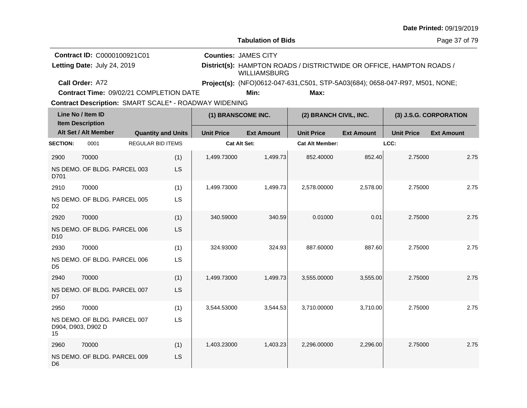| <b>Date Printed: 09/19/2019</b> |  |
|---------------------------------|--|
|---------------------------------|--|

| <b>Contract ID: C0000100921C01</b>      | <b>Counties: JAMES CITY</b> |      |                                                                              |  |
|-----------------------------------------|-----------------------------|------|------------------------------------------------------------------------------|--|
| Letting Date: July 24, 2019             | <b>WILLIAMSBURG</b>         |      | District(s): HAMPTON ROADS / DISTRICTWIDE OR OFFICE, HAMPTON ROADS /         |  |
| Call Order: A72                         |                             |      | Project(s): (NFO)0612-047-631,C501, STP-5A03(684); 0658-047-R97, M501, NONE; |  |
| Contract Time: 09/02/21 COMPLETION DATE | Min:                        | Max: |                                                                              |  |

**Contract Time:** 09/02/21 COMPLETION DATE

|                 | Line No / Item ID<br><b>Item Description</b>       |                           | (1) BRANSCOME INC. |                     | (2) BRANCH CIVIL, INC. |                        | (3) J.S.G. CORPORATION |                   |                   |
|-----------------|----------------------------------------------------|---------------------------|--------------------|---------------------|------------------------|------------------------|------------------------|-------------------|-------------------|
|                 | Alt Set / Alt Member                               | <b>Quantity and Units</b> |                    | <b>Unit Price</b>   | <b>Ext Amount</b>      | <b>Unit Price</b>      | <b>Ext Amount</b>      | <b>Unit Price</b> | <b>Ext Amount</b> |
| <b>SECTION:</b> | 0001                                               | <b>REGULAR BID ITEMS</b>  |                    | <b>Cat Alt Set:</b> |                        | <b>Cat Alt Member:</b> |                        | LCC:              |                   |
| 2900            | 70000                                              |                           | (1)                | 1,499.73000         | 1,499.73               | 852.40000              | 852.40                 | 2.75000           | 2.75              |
| D701            | NS DEMO. OF BLDG. PARCEL 003                       |                           | LS                 |                     |                        |                        |                        |                   |                   |
| 2910            | 70000                                              |                           | (1)                | 1,499.73000         | 1,499.73               | 2,578.00000            | 2,578.00               | 2.75000           | 2.75              |
| D <sub>2</sub>  | NS DEMO. OF BLDG. PARCEL 005                       |                           | LS                 |                     |                        |                        |                        |                   |                   |
| 2920            | 70000                                              |                           | (1)                | 340.59000           | 340.59                 | 0.01000                | 0.01                   | 2.75000           | 2.75              |
| D <sub>10</sub> | NS DEMO. OF BLDG. PARCEL 006                       |                           | LS                 |                     |                        |                        |                        |                   |                   |
| 2930            | 70000                                              |                           | (1)                | 324.93000           | 324.93                 | 887.60000              | 887.60                 | 2.75000           | 2.75              |
| D <sub>5</sub>  | NS DEMO. OF BLDG. PARCEL 006                       |                           | LS                 |                     |                        |                        |                        |                   |                   |
| 2940            | 70000                                              |                           | (1)                | 1,499.73000         | 1,499.73               | 3,555.00000            | 3,555.00               | 2.75000           | 2.75              |
| D <sub>7</sub>  | NS DEMO. OF BLDG. PARCEL 007                       |                           | LS                 |                     |                        |                        |                        |                   |                   |
| 2950            | 70000                                              |                           | (1)                | 3,544.53000         | 3,544.53               | 3,710.00000            | 3,710.00               | 2.75000           | 2.75              |
| 15              | NS DEMO. OF BLDG. PARCEL 007<br>D904, D903, D902 D |                           | LS                 |                     |                        |                        |                        |                   |                   |
| 2960            | 70000                                              |                           | (1)                | 1,403.23000         | 1,403.23               | 2,296.00000            | 2,296.00               | 2.75000           | 2.75              |
| D <sub>6</sub>  | NS DEMO. OF BLDG. PARCEL 009                       |                           | LS                 |                     |                        |                        |                        |                   |                   |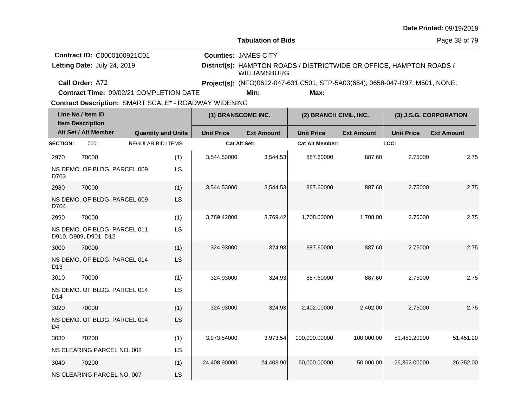| <b>Date Printed: 09/19/2019</b> |  |
|---------------------------------|--|
|---------------------------------|--|

**Contract Time:** 09/02/21 COMPLETION DATE

|                 | Line No / Item ID<br><b>Item Description</b>          |                          |                           | (1) BRANSCOME INC.  |                   | (2) BRANCH CIVIL, INC. |                   | (3) J.S.G. CORPORATION |                   |  |
|-----------------|-------------------------------------------------------|--------------------------|---------------------------|---------------------|-------------------|------------------------|-------------------|------------------------|-------------------|--|
|                 | Alt Set / Alt Member                                  |                          | <b>Quantity and Units</b> | <b>Unit Price</b>   | <b>Ext Amount</b> | <b>Unit Price</b>      | <b>Ext Amount</b> | <b>Unit Price</b>      | <b>Ext Amount</b> |  |
| <b>SECTION:</b> | 0001                                                  | <b>REGULAR BID ITEMS</b> |                           | <b>Cat Alt Set:</b> |                   | <b>Cat Alt Member:</b> |                   | LCC:                   |                   |  |
| 2970            | 70000                                                 |                          | (1)                       | 3,544.53000         | 3,544.53          | 887.60000              | 887.60            | 2.75000                | 2.75              |  |
| D703            | NS DEMO. OF BLDG. PARCEL 009                          |                          | LS                        |                     |                   |                        |                   |                        |                   |  |
| 2980            | 70000                                                 |                          | (1)                       | 3,544.53000         | 3,544.53          | 887.60000              | 887.60            | 2.75000                | 2.75              |  |
| D704            | NS DEMO. OF BLDG. PARCEL 009                          |                          | <b>LS</b>                 |                     |                   |                        |                   |                        |                   |  |
| 2990            | 70000                                                 |                          | (1)                       | 3,769.42000         | 3,769.42          | 1,708.00000            | 1,708.00          | 2.75000                | 2.75              |  |
|                 | NS DEMO. OF BLDG. PARCEL 011<br>D910, D909, D901, D12 |                          | LS                        |                     |                   |                        |                   |                        |                   |  |
| 3000            | 70000                                                 |                          | (1)                       | 324.93000           | 324.93            | 887.60000              | 887.60            | 2.75000                | 2.75              |  |
| D <sub>13</sub> | NS DEMO. OF BLDG. PARCEL 014                          |                          | LS                        |                     |                   |                        |                   |                        |                   |  |
| 3010            | 70000                                                 |                          | (1)                       | 324.93000           | 324.93            | 887.60000              | 887.60            | 2.75000                | 2.75              |  |
| D <sub>14</sub> | NS DEMO. OF BLDG. PARCEL 014                          |                          | LS                        |                     |                   |                        |                   |                        |                   |  |
| 3020            | 70000                                                 |                          | (1)                       | 324.93000           | 324.93            | 2,402.00000            | 2,402.00          | 2.75000                | 2.75              |  |
| D <sub>4</sub>  | NS DEMO. OF BLDG. PARCEL 014                          |                          | <b>LS</b>                 |                     |                   |                        |                   |                        |                   |  |
| 3030            | 70200                                                 |                          | (1)                       | 3,973.54000         | 3,973.54          | 100,000.00000          | 100,000.00        | 51,451.20000           | 51,451.20         |  |
|                 | NS CLEARING PARCEL NO. 002                            |                          | LS                        |                     |                   |                        |                   |                        |                   |  |
| 3040            | 70200                                                 |                          | (1)                       | 24,408.90000        | 24,408.90         | 50,000.00000           | 50,000.00         | 26,352.00000           | 26,352.00         |  |
|                 | NS CLEARING PARCEL NO. 007                            |                          | LS                        |                     |                   |                        |                   |                        |                   |  |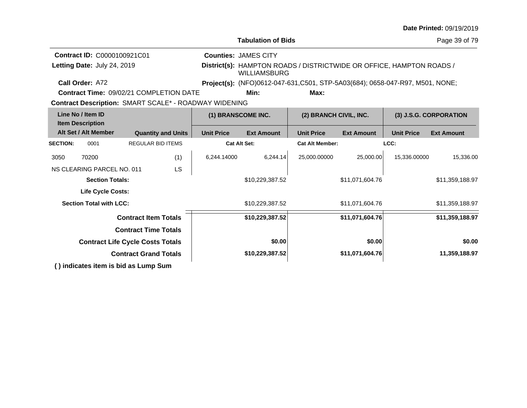|                                              |                                         |                              |                           |                                                              |                                                                                             |                        |                        |                   | Date Printed: 09/19/2019 |
|----------------------------------------------|-----------------------------------------|------------------------------|---------------------------|--------------------------------------------------------------|---------------------------------------------------------------------------------------------|------------------------|------------------------|-------------------|--------------------------|
|                                              |                                         |                              |                           |                                                              | <b>Tabulation of Bids</b>                                                                   |                        |                        |                   | Page 39 of 79            |
|                                              | Contract ID: C0000100921C01             |                              |                           |                                                              | <b>Counties: JAMES CITY</b>                                                                 |                        |                        |                   |                          |
|                                              | Letting Date: July 24, 2019             |                              |                           |                                                              | District(s): HAMPTON ROADS / DISTRICTWIDE OR OFFICE, HAMPTON ROADS /<br><b>WILLIAMSBURG</b> |                        |                        |                   |                          |
|                                              | Call Order: A72                         |                              |                           |                                                              | Project(s): (NFO)0612-047-631,C501, STP-5A03(684); 0658-047-R97, M501, NONE;                |                        |                        |                   |                          |
|                                              | Contract Time: 09/02/21 COMPLETION DATE |                              |                           |                                                              | Min:                                                                                        | Max:                   |                        |                   |                          |
|                                              |                                         |                              |                           | <b>Contract Description: SMART SCALE* - ROADWAY WIDENING</b> |                                                                                             |                        |                        |                   |                          |
| Line No / Item ID<br><b>Item Description</b> |                                         |                              | (1) BRANSCOME INC.        |                                                              | (2) BRANCH CIVIL, INC.                                                                      |                        | (3) J.S.G. CORPORATION |                   |                          |
|                                              | Alt Set / Alt Member                    |                              | <b>Quantity and Units</b> | <b>Unit Price</b>                                            | <b>Ext Amount</b>                                                                           | <b>Unit Price</b>      | <b>Ext Amount</b>      | <b>Unit Price</b> | <b>Ext Amount</b>        |
| <b>SECTION:</b>                              | 0001                                    |                              | <b>REGULAR BID ITEMS</b>  | <b>Cat Alt Set:</b>                                          |                                                                                             | <b>Cat Alt Member:</b> |                        | LCC:              |                          |
| 3050                                         | 70200                                   |                              | (1)                       | 6,244.14000                                                  | 6,244.14                                                                                    | 25,000.00000           | 25,000.00              | 15,336.00000      | 15,336.00                |
|                                              | NS CLEARING PARCEL NO. 011              |                              | LS                        |                                                              |                                                                                             |                        |                        |                   |                          |
|                                              | <b>Section Totals:</b>                  |                              |                           |                                                              | \$10,229,387.52                                                                             |                        | \$11,071,604.76        |                   | \$11,359,188.97          |
|                                              | <b>Life Cycle Costs:</b>                |                              |                           |                                                              |                                                                                             |                        |                        |                   |                          |
|                                              | <b>Section Total with LCC:</b>          |                              |                           |                                                              | \$10,229,387.52                                                                             |                        | \$11,071,604.76        |                   | \$11,359,188.97          |
|                                              |                                         | <b>Contract Item Totals</b>  |                           |                                                              | \$10,229,387.52                                                                             |                        | \$11,071,604.76        |                   | \$11,359,188.97          |
|                                              |                                         | <b>Contract Time Totals</b>  |                           |                                                              |                                                                                             |                        |                        |                   |                          |
|                                              | <b>Contract Life Cycle Costs Totals</b> |                              |                           |                                                              | \$0.00                                                                                      |                        | \$0.00                 |                   | \$0.00                   |
|                                              |                                         | <b>Contract Grand Totals</b> |                           |                                                              | \$10,229,387.52                                                                             |                        | \$11,071,604.76        |                   | 11,359,188.97            |
|                                              | () indicates item is bid as Lump Sum    |                              |                           |                                                              |                                                                                             |                        |                        |                   |                          |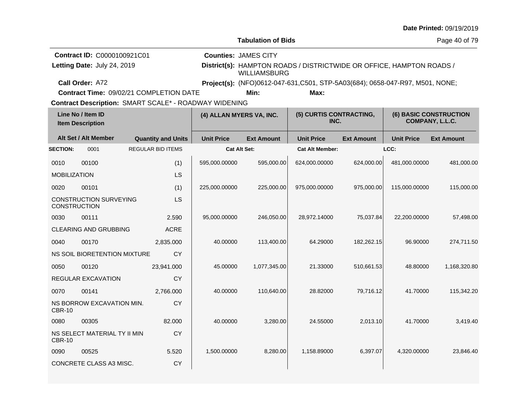|                     |                                                                   |                                                                                                  |                   |                                                                               |                                                                      |                   |                   | Date Printed: 09/19/2019                         |
|---------------------|-------------------------------------------------------------------|--------------------------------------------------------------------------------------------------|-------------------|-------------------------------------------------------------------------------|----------------------------------------------------------------------|-------------------|-------------------|--------------------------------------------------|
|                     |                                                                   |                                                                                                  |                   | <b>Tabulation of Bids</b>                                                     |                                                                      |                   |                   | Page 40 of 79                                    |
|                     | <b>Contract ID: C0000100921C01</b><br>Letting Date: July 24, 2019 |                                                                                                  |                   | <b>Counties: JAMES CITY</b><br><b>WILLIAMSBURG</b>                            | District(s): HAMPTON ROADS / DISTRICTWIDE OR OFFICE, HAMPTON ROADS / |                   |                   |                                                  |
|                     | Call Order: A72                                                   |                                                                                                  |                   | Project(s): (NFO)0612-047-631, C501, STP-5A03(684); 0658-047-R97, M501, NONE; |                                                                      |                   |                   |                                                  |
|                     |                                                                   | Contract Time: 09/02/21 COMPLETION DATE<br>Contract Description: SMART SCALE* - ROADWAY WIDENING |                   | Min:                                                                          | Max:                                                                 |                   |                   |                                                  |
|                     | Line No / Item ID<br><b>Item Description</b>                      |                                                                                                  |                   | (4) ALLAN MYERS VA, INC.                                                      | (5) CURTIS CONTRACTING,<br>INC.                                      |                   |                   | <b>(6) BASIC CONSTRUCTION</b><br>COMPANY, L.L.C. |
|                     | Alt Set / Alt Member                                              | <b>Quantity and Units</b>                                                                        | <b>Unit Price</b> | <b>Ext Amount</b>                                                             | <b>Unit Price</b>                                                    | <b>Ext Amount</b> | <b>Unit Price</b> | <b>Ext Amount</b>                                |
| <b>SECTION:</b>     | 0001                                                              | <b>REGULAR BID ITEMS</b>                                                                         |                   | <b>Cat Alt Set:</b>                                                           | <b>Cat Alt Member:</b>                                               |                   | LCC:              |                                                  |
| 0010                | 00100                                                             | (1)                                                                                              | 595,000.00000     | 595,000.00                                                                    | 624,000.00000                                                        | 624,000.00        | 481,000.00000     | 481,000.00                                       |
| <b>MOBILIZATION</b> |                                                                   | <b>LS</b>                                                                                        |                   |                                                                               |                                                                      |                   |                   |                                                  |
| 0020                | 00101                                                             | (1)                                                                                              | 225,000.00000     | 225,000.00                                                                    | 975,000.00000                                                        | 975,000.00        | 115,000.00000     | 115,000.00                                       |
|                     | <b>CONSTRUCTION SURVEYING</b><br><b>CONSTRUCTION</b>              | <b>LS</b>                                                                                        |                   |                                                                               |                                                                      |                   |                   |                                                  |
| 0030                | 00111                                                             | 2.590                                                                                            | 95,000.00000      | 246,050.00                                                                    | 28,972.14000                                                         | 75,037.84         | 22,200.00000      | 57,498.00                                        |
|                     | CLEARING AND GRUBBING                                             | <b>ACRE</b>                                                                                      |                   |                                                                               |                                                                      |                   |                   |                                                  |
| 0040                | 00170                                                             | 2.835.000                                                                                        | 40.00000          | 113,400.00                                                                    | 64.29000                                                             | 182,262.15        | 96.90000          | 274,711.50                                       |
|                     | NS SOIL BIORETENTION MIXTURE                                      | CY                                                                                               |                   |                                                                               |                                                                      |                   |                   |                                                  |
| 0050                | 00120                                                             | 23,941.000                                                                                       | 45.00000          | 1,077,345.00                                                                  | 21.33000                                                             | 510,661.53        | 48.80000          | 1,168,320.80                                     |
|                     | REGULAR EXCAVATION                                                | CY                                                                                               |                   |                                                                               |                                                                      |                   |                   |                                                  |
| 0070                | 00141                                                             | 2,766.000                                                                                        | 40.00000          | 110,640.00                                                                    | 28.82000                                                             | 79,716.12         | 41.70000          | 115,342.20                                       |
| <b>CBR-10</b>       | NS BORROW EXCAVATION MIN.                                         | CY                                                                                               |                   |                                                                               |                                                                      |                   |                   |                                                  |
| 0080                | 00305                                                             | 82.000                                                                                           | 40.00000          | 3.280.00                                                                      | 24.55000                                                             | 2.013.10          | 41.70000          | 3,419.40                                         |
| <b>CBR-10</b>       | NS SELECT MATERIAL TY II MIN                                      | CY                                                                                               |                   |                                                                               |                                                                      |                   |                   |                                                  |
| 0090                | 00525                                                             | 5.520                                                                                            | 1,500.00000       | 8,280.00                                                                      | 1,158.89000                                                          | 6,397.07          | 4,320,00000       | 23,846.40                                        |
|                     | CONCRETE CLASS A3 MISC.                                           | <b>CY</b>                                                                                        |                   |                                                                               |                                                                      |                   |                   |                                                  |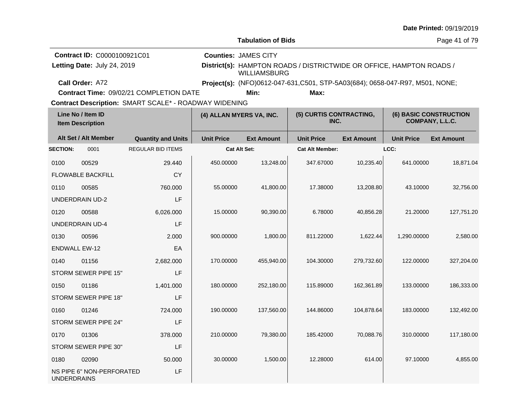|                              |                                                            |                                                              |                             |                     |                                                                               |                   |                   | Date Printed: 09/19/2019                  |  |
|------------------------------|------------------------------------------------------------|--------------------------------------------------------------|-----------------------------|---------------------|-------------------------------------------------------------------------------|-------------------|-------------------|-------------------------------------------|--|
| <b>Tabulation of Bids</b>    |                                                            |                                                              |                             |                     |                                                                               |                   |                   |                                           |  |
|                              | Contract ID: C0000100921C01<br>Letting Date: July 24, 2019 |                                                              | <b>Counties: JAMES CITY</b> | <b>WILLIAMSBURG</b> | District(s): HAMPTON ROADS / DISTRICTWIDE OR OFFICE, HAMPTON ROADS /          |                   |                   |                                           |  |
|                              | Call Order: A72                                            |                                                              |                             |                     | Project(s): (NFO)0612-047-631, C501, STP-5A03(684); 0658-047-R97, M501, NONE; |                   |                   |                                           |  |
|                              |                                                            | Contract Time: 09/02/21 COMPLETION DATE                      |                             | Min:                |                                                                               |                   |                   |                                           |  |
|                              | Line No / Item ID<br><b>Item Description</b>               | <b>Contract Description: SMART SCALE* - ROADWAY WIDENING</b> | (4) ALLAN MYERS VA, INC.    |                     | (5) CURTIS CONTRACTING,<br>INC.                                               |                   |                   | (6) BASIC CONSTRUCTION<br>COMPANY, L.L.C. |  |
|                              | Alt Set / Alt Member                                       | <b>Quantity and Units</b>                                    | <b>Unit Price</b>           | <b>Ext Amount</b>   | <b>Unit Price</b>                                                             | <b>Ext Amount</b> | <b>Unit Price</b> | <b>Ext Amount</b>                         |  |
| <b>SECTION:</b>              | 0001                                                       | <b>REGULAR BID ITEMS</b>                                     | Cat Alt Set:                |                     | <b>Cat Alt Member:</b>                                                        |                   | LCC:              |                                           |  |
| 0100                         | 00529                                                      | 29.440                                                       | 450.00000                   | 13,248.00           | 347.67000                                                                     | 10,235.40         | 641.00000         | 18,871.04                                 |  |
|                              | <b>FLOWABLE BACKFILL</b>                                   | <b>CY</b>                                                    |                             |                     |                                                                               |                   |                   |                                           |  |
| 0110                         | 00585                                                      | 760.000                                                      | 55.00000                    | 41,800.00           | 17.38000                                                                      | 13,208.80         | 43.10000          | 32,756.00                                 |  |
| LF<br><b>UNDERDRAIN UD-2</b> |                                                            |                                                              |                             |                     |                                                                               |                   |                   |                                           |  |
| 0120                         | 00588                                                      | 6,026.000                                                    | 15.00000                    | 90,390.00           | 6.78000                                                                       | 40,856.28         | 21.20000          | 127,751.20                                |  |
|                              | <b>UNDERDRAIN UD-4</b>                                     | LF                                                           |                             |                     |                                                                               |                   |                   |                                           |  |
| 0130                         | 00596                                                      | 2.000                                                        | 900.00000                   | 1,800.00            | 811.22000                                                                     | 1,622.44          | 1,290.00000       | 2,580.00                                  |  |
|                              | <b>ENDWALL EW-12</b>                                       | EA                                                           |                             |                     |                                                                               |                   |                   |                                           |  |
| 0140                         | 01156                                                      | 2,682.000                                                    | 170.00000                   | 455,940.00          | 104.30000                                                                     | 279,732.60        | 122.00000         | 327,204.00                                |  |
|                              | STORM SEWER PIPE 15"                                       | LF                                                           |                             |                     |                                                                               |                   |                   |                                           |  |
| 0150                         | 01186                                                      | 1,401.000                                                    | 180.00000                   | 252,180.00          | 115.89000                                                                     | 162,361.89        | 133.00000         | 186,333.00                                |  |
|                              | STORM SEWER PIPE 18"                                       | LF                                                           |                             |                     |                                                                               |                   |                   |                                           |  |
| 0160                         | 01246                                                      | 724.000                                                      | 190.00000                   | 137,560.00          | 144.86000                                                                     | 104,878.64        | 183.00000         | 132,492.00                                |  |
|                              | STORM SEWER PIPE 24"                                       | LF                                                           |                             |                     |                                                                               |                   |                   |                                           |  |
| 0170                         | 01306                                                      | 378.000                                                      | 210.00000                   | 79,380.00           | 185.42000                                                                     | 70,088.76         | 310.00000         | 117,180.00                                |  |
|                              | STORM SEWER PIPE 30"                                       | LF                                                           |                             |                     |                                                                               |                   |                   |                                           |  |
| 0180                         | 02090                                                      | 50.000                                                       | 30.00000                    | 1,500.00            | 12.28000                                                                      | 614.00            | 97.10000          | 4,855.00                                  |  |
| <b>UNDERDRAINS</b>           | NS PIPE 6" NON-PERFORATED                                  | LF                                                           |                             |                     |                                                                               |                   |                   |                                           |  |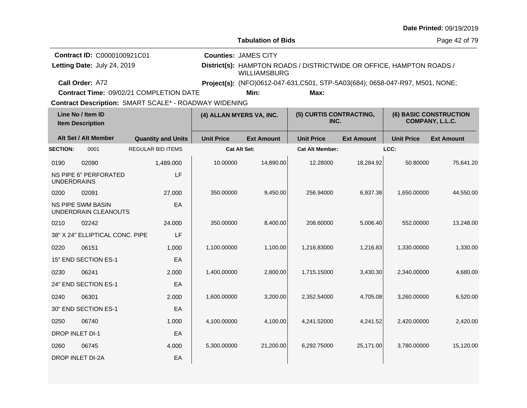|                    |                                                  |                           |        |                                                       |                                                                                             |                                                                               |                   |                   | Date Littled: $0.311372013$                      |
|--------------------|--------------------------------------------------|---------------------------|--------|-------------------------------------------------------|---------------------------------------------------------------------------------------------|-------------------------------------------------------------------------------|-------------------|-------------------|--------------------------------------------------|
|                    |                                                  |                           |        |                                                       | <b>Tabulation of Bids</b>                                                                   |                                                                               |                   |                   | Page 42 of 79                                    |
|                    | Contract ID: C0000100921C01                      |                           |        |                                                       | <b>Counties: JAMES CITY</b>                                                                 |                                                                               |                   |                   |                                                  |
|                    | Letting Date: July 24, 2019                      |                           |        |                                                       | District(s): HAMPTON ROADS / DISTRICTWIDE OR OFFICE, HAMPTON ROADS /<br><b>WILLIAMSBURG</b> |                                                                               |                   |                   |                                                  |
|                    | Call Order: A72                                  |                           |        |                                                       |                                                                                             | Project(s): (NFO)0612-047-631, C501, STP-5A03(684); 0658-047-R97, M501, NONE; |                   |                   |                                                  |
|                    | <b>Contract Time: 09/02/21 COMPLETION DATE</b>   |                           |        |                                                       | Min:                                                                                        | Max:                                                                          |                   |                   |                                                  |
|                    |                                                  |                           |        | Contract Description: SMART SCALE* - ROADWAY WIDENING |                                                                                             |                                                                               |                   |                   |                                                  |
|                    | Line No / Item ID<br><b>Item Description</b>     |                           |        | (4) ALLAN MYERS VA, INC.                              |                                                                                             | (5) CURTIS CONTRACTING,<br>INC.                                               |                   |                   | <b>(6) BASIC CONSTRUCTION</b><br>COMPANY, L.L.C. |
|                    | Alt Set / Alt Member                             | <b>Quantity and Units</b> |        | <b>Unit Price</b>                                     | <b>Ext Amount</b>                                                                           | <b>Unit Price</b>                                                             | <b>Ext Amount</b> | <b>Unit Price</b> | <b>Ext Amount</b>                                |
| <b>SECTION:</b>    | 0001                                             | <b>REGULAR BID ITEMS</b>  |        |                                                       | <b>Cat Alt Set:</b>                                                                         | <b>Cat Alt Member:</b>                                                        |                   | LCC:              |                                                  |
| 0190               | 02090                                            | 1,489.000                 |        | 10.00000                                              | 14,890.00                                                                                   | 12.28000                                                                      | 18,284.92         | 50.80000          | 75,641.20                                        |
| <b>UNDERDRAINS</b> | <b>NS PIPE 6" PERFORATED</b>                     |                           | LF     |                                                       |                                                                                             |                                                                               |                   |                   |                                                  |
| 0200               | 02091                                            |                           | 27.000 | 350.00000                                             | 9,450.00                                                                                    | 256.94000                                                                     | 6,937.38          | 1,650.00000       | 44,550.00                                        |
|                    | <b>NS PIPE SWM BASIN</b><br>UNDERDRAIN CLEANOUTS |                           | EA     |                                                       |                                                                                             |                                                                               |                   |                   |                                                  |
| 0210               | 02242                                            |                           | 24.000 | 350.00000                                             | 8,400.00                                                                                    | 208.60000                                                                     | 5,006.40          | 552.00000         | 13,248.00                                        |
|                    | 38" X 24" ELLIPTICAL CONC. PIPE                  |                           | LF     |                                                       |                                                                                             |                                                                               |                   |                   |                                                  |
| 0220               | 06151                                            |                           | 1.000  | 1,100.00000                                           | 1,100.00                                                                                    | 1,216.83000                                                                   | 1,216.83          | 1,330.00000       | 1,330.00                                         |
|                    | 15" END SECTION ES-1                             |                           | EA     |                                                       |                                                                                             |                                                                               |                   |                   |                                                  |
| 0230               | 06241                                            |                           | 2.000  | 1,400.00000                                           | 2,800.00                                                                                    | 1,715.15000                                                                   | 3,430.30          | 2,340.00000       | 4,680.00                                         |
|                    | 24" END SECTION ES-1                             |                           | EA     |                                                       |                                                                                             |                                                                               |                   |                   |                                                  |
| 0240               | 06301                                            |                           | 2.000  | 1,600.00000                                           | 3,200.00                                                                                    | 2,352.54000                                                                   | 4,705.08          | 3,260.00000       | 6,520.00                                         |
|                    | 30" END SECTION ES-1                             |                           | EA     |                                                       |                                                                                             |                                                                               |                   |                   |                                                  |
| 0250               | 06740                                            |                           | 1.000  | 4,100.00000                                           | 4,100.00                                                                                    | 4,241.52000                                                                   | 4,241.52          | 2,420.00000       | 2,420.00                                         |
|                    | <b>DROP INLET DI-1</b>                           |                           | EA     |                                                       |                                                                                             |                                                                               |                   |                   |                                                  |
| 0260               | 06745                                            |                           | 4.000  | 5,300.00000                                           | 21,200.00                                                                                   | 6,292.75000                                                                   | 25,171.00         | 3,780.00000       | 15,120.00                                        |
|                    | <b>DROP INLET DI-2A</b>                          |                           | EA     |                                                       |                                                                                             |                                                                               |                   |                   |                                                  |
|                    |                                                  |                           |        |                                                       |                                                                                             |                                                                               |                   |                   |                                                  |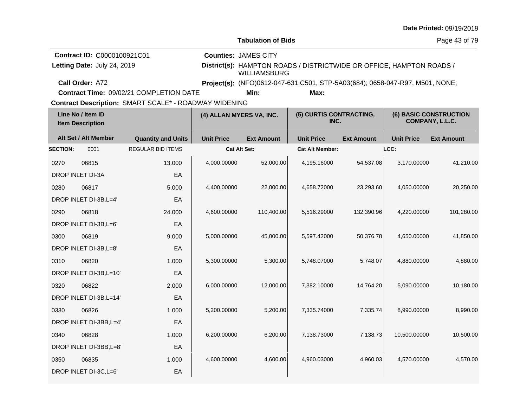|                                              |                           |                                                            |                                                                                             |                                                                                                             |                           |                                                   | $\mu$ alg Filihgu. Uy/ 19/2019                                                                                                                                                                                                              |  |  |
|----------------------------------------------|---------------------------|------------------------------------------------------------|---------------------------------------------------------------------------------------------|-------------------------------------------------------------------------------------------------------------|---------------------------|---------------------------------------------------|---------------------------------------------------------------------------------------------------------------------------------------------------------------------------------------------------------------------------------------------|--|--|
|                                              |                           |                                                            |                                                                                             |                                                                                                             |                           |                                                   | Page 43 of 79                                                                                                                                                                                                                               |  |  |
|                                              |                           |                                                            |                                                                                             |                                                                                                             |                           |                                                   |                                                                                                                                                                                                                                             |  |  |
|                                              |                           |                                                            | District(s): HAMPTON ROADS / DISTRICTWIDE OR OFFICE, HAMPTON ROADS /<br><b>WILLIAMSBURG</b> |                                                                                                             |                           |                                                   |                                                                                                                                                                                                                                             |  |  |
| Call Order: A72                              |                           |                                                            |                                                                                             |                                                                                                             |                           |                                                   |                                                                                                                                                                                                                                             |  |  |
|                                              |                           |                                                            | Min:                                                                                        | Max:                                                                                                        |                           |                                                   |                                                                                                                                                                                                                                             |  |  |
|                                              |                           |                                                            |                                                                                             |                                                                                                             |                           |                                                   |                                                                                                                                                                                                                                             |  |  |
| Line No / Item ID<br><b>Item Description</b> |                           |                                                            | (4) ALLAN MYERS VA, INC.<br>INC.                                                            |                                                                                                             |                           |                                                   | <b>(6) BASIC CONSTRUCTION</b><br>COMPANY, L.L.C.                                                                                                                                                                                            |  |  |
| Alt Set / Alt Member                         | <b>Quantity and Units</b> | <b>Unit Price</b>                                          | <b>Ext Amount</b>                                                                           | <b>Unit Price</b>                                                                                           | <b>Ext Amount</b>         | <b>Unit Price</b>                                 | <b>Ext Amount</b>                                                                                                                                                                                                                           |  |  |
| <b>SECTION:</b><br>0001                      | <b>REGULAR BID ITEMS</b>  |                                                            |                                                                                             |                                                                                                             |                           |                                                   |                                                                                                                                                                                                                                             |  |  |
| 06815                                        | 13.000                    | 4,000.00000                                                | 52,000.00                                                                                   | 4,195.16000                                                                                                 | 54,537.08                 |                                                   | 41,210.00                                                                                                                                                                                                                                   |  |  |
| DROP INLET DI-3A                             | EA                        |                                                            |                                                                                             |                                                                                                             |                           |                                                   |                                                                                                                                                                                                                                             |  |  |
| 06817                                        | 5.000                     | 4,400.00000                                                | 22,000.00                                                                                   | 4,658.72000                                                                                                 | 23,293.60                 |                                                   | 20,250.00                                                                                                                                                                                                                                   |  |  |
| DROP INLET DI-3B, L=4'                       | EA                        |                                                            |                                                                                             |                                                                                                             |                           |                                                   |                                                                                                                                                                                                                                             |  |  |
| 06818                                        | 24.000                    | 4,600.00000                                                | 110,400.00                                                                                  | 5,516.29000                                                                                                 |                           |                                                   | 101,280.00                                                                                                                                                                                                                                  |  |  |
| DROP INLET DI-3B, L=6'                       | EA                        |                                                            |                                                                                             |                                                                                                             |                           |                                                   |                                                                                                                                                                                                                                             |  |  |
| 06819                                        | 9.000                     | 5,000.00000                                                | 45,000.00                                                                                   | 5,597.42000                                                                                                 | 50,376.78                 |                                                   | 41,850.00                                                                                                                                                                                                                                   |  |  |
| DROP INLET DI-3B, L=8'                       | EA                        |                                                            |                                                                                             |                                                                                                             |                           |                                                   |                                                                                                                                                                                                                                             |  |  |
| 06820                                        | 1.000                     | 5,300.00000                                                | 5,300.00                                                                                    | 5,748.07000                                                                                                 | 5,748.07                  |                                                   | 4,880.00                                                                                                                                                                                                                                    |  |  |
| DROP INLET DI-3B, L=10'                      | EA                        |                                                            |                                                                                             |                                                                                                             |                           |                                                   |                                                                                                                                                                                                                                             |  |  |
| 06822                                        | 2.000                     | 6,000.00000                                                | 12,000.00                                                                                   | 7,382.10000                                                                                                 | 14,764.20                 |                                                   | 10,180.00                                                                                                                                                                                                                                   |  |  |
| DROP INLET DI-3B, L=14'                      | EA                        |                                                            |                                                                                             |                                                                                                             |                           |                                                   |                                                                                                                                                                                                                                             |  |  |
| 06826                                        | 1.000                     | 5,200.00000                                                | 5,200.00                                                                                    | 7,335.74000                                                                                                 | 7,335.74                  |                                                   | 8,990.00                                                                                                                                                                                                                                    |  |  |
| DROP INLET DI-3BB, L=4'                      | EA                        |                                                            |                                                                                             |                                                                                                             |                           |                                                   |                                                                                                                                                                                                                                             |  |  |
| 06828                                        | 1.000                     | 6,200.00000                                                | 6,200.00                                                                                    | 7,138.73000                                                                                                 | 7,138.73                  |                                                   | 10,500.00                                                                                                                                                                                                                                   |  |  |
| EA<br>DROP INLET DI-3BB, L=8'                |                           |                                                            |                                                                                             |                                                                                                             |                           |                                                   |                                                                                                                                                                                                                                             |  |  |
| 06835                                        | 1.000                     | 4,600.00000                                                | 4,600.00                                                                                    | 4,960.03000                                                                                                 | 4,960.03                  |                                                   | 4,570.00                                                                                                                                                                                                                                    |  |  |
| DROP INLET DI-3C, L=6'                       | EA                        |                                                            |                                                                                             |                                                                                                             |                           |                                                   |                                                                                                                                                                                                                                             |  |  |
|                                              |                           | Contract ID: C0000100921C01<br>Letting Date: July 24, 2019 | <b>Contract Time: 09/02/21 COMPLETION DATE</b>                                              | <b>Counties: JAMES CITY</b><br>Contract Description: SMART SCALE* - ROADWAY WIDENING<br><b>Cat Alt Set:</b> | <b>Tabulation of Bids</b> | (5) CURTIS CONTRACTING,<br><b>Cat Alt Member:</b> | Project(s): (NFO)0612-047-631, C501, STP-5A03(684); 0658-047-R97, M501, NONE;<br>LCC:<br>3,170.00000<br>4,050.00000<br>132.390.96<br>4,220.00000<br>4,650.00000<br>4,880.00000<br>5,090.00000<br>8,990.00000<br>10,500.00000<br>4,570.00000 |  |  |

## **Date Printed:** 09/19/2019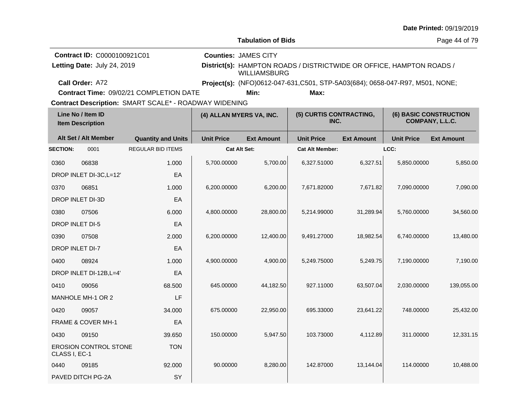|                                              |                                                            |                                                                                                  |                                                                                                                            |                                                                              |                                 |                   |                   | Date Printed: 09/19/2019                  |  |
|----------------------------------------------|------------------------------------------------------------|--------------------------------------------------------------------------------------------------|----------------------------------------------------------------------------------------------------------------------------|------------------------------------------------------------------------------|---------------------------------|-------------------|-------------------|-------------------------------------------|--|
|                                              |                                                            |                                                                                                  |                                                                                                                            | <b>Tabulation of Bids</b>                                                    |                                 |                   |                   | Page 44 of 79                             |  |
|                                              | Contract ID: C0000100921C01<br>Letting Date: July 24, 2019 |                                                                                                  | <b>Counties: JAMES CITY</b><br>District(s): HAMPTON ROADS / DISTRICTWIDE OR OFFICE, HAMPTON ROADS /<br><b>WILLIAMSBURG</b> |                                                                              |                                 |                   |                   |                                           |  |
|                                              | Call Order: A72                                            |                                                                                                  |                                                                                                                            | Project(s): (NFO)0612-047-631,C501, STP-5A03(684); 0658-047-R97, M501, NONE; |                                 |                   |                   |                                           |  |
|                                              |                                                            | Contract Time: 09/02/21 COMPLETION DATE<br>Contract Description: SMART SCALE* - ROADWAY WIDENING |                                                                                                                            | Min:                                                                         | Max:                            |                   |                   |                                           |  |
| Line No / Item ID<br><b>Item Description</b> |                                                            |                                                                                                  | (4) ALLAN MYERS VA, INC.                                                                                                   |                                                                              | (5) CURTIS CONTRACTING,<br>INC. |                   |                   | (6) BASIC CONSTRUCTION<br>COMPANY, L.L.C. |  |
|                                              | Alt Set / Alt Member                                       | <b>Quantity and Units</b>                                                                        | <b>Unit Price</b>                                                                                                          | <b>Ext Amount</b>                                                            | <b>Unit Price</b>               | <b>Ext Amount</b> | <b>Unit Price</b> | <b>Ext Amount</b>                         |  |
| <b>SECTION:</b>                              | 0001                                                       | <b>REGULAR BID ITEMS</b>                                                                         | <b>Cat Alt Set:</b>                                                                                                        |                                                                              | <b>Cat Alt Member:</b>          |                   | LCC:              |                                           |  |
| 0360                                         | 06838                                                      | 1.000                                                                                            | 5,700.00000                                                                                                                | 5,700.00                                                                     | 6,327.51000                     | 6,327.51          | 5,850.00000       | 5,850.00                                  |  |
|                                              | DROP INLET DI-3C, L=12'                                    | EA                                                                                               |                                                                                                                            |                                                                              |                                 |                   |                   |                                           |  |
| 0370                                         | 06851                                                      | 1.000                                                                                            | 6,200.00000                                                                                                                | 6,200.00                                                                     | 7,671.82000                     | 7,671.82          | 7,090.00000       | 7,090.00                                  |  |
| DROP INLET DI-3D<br>EA                       |                                                            |                                                                                                  |                                                                                                                            |                                                                              |                                 |                   |                   |                                           |  |
| 0380                                         | 07506                                                      | 6.000                                                                                            | 4,800.00000                                                                                                                | 28,800.00                                                                    | 5,214.99000                     | 31,289.94         | 5,760.00000       | 34,560.00                                 |  |
|                                              | DROP INLET DI-5                                            | EA                                                                                               |                                                                                                                            |                                                                              |                                 |                   |                   |                                           |  |
| 0390                                         | 07508                                                      | 2.000                                                                                            | 6,200.00000                                                                                                                | 12,400.00                                                                    | 9,491.27000                     | 18,982.54         | 6,740.00000       | 13,480.00                                 |  |
|                                              | DROP INLET DI-7                                            | EA                                                                                               |                                                                                                                            |                                                                              |                                 |                   |                   |                                           |  |
| 0400                                         | 08924                                                      | 1.000                                                                                            | 4,900.00000                                                                                                                | 4,900.00                                                                     | 5,249.75000                     | 5,249.75          | 7,190.00000       | 7,190.00                                  |  |
|                                              | DROP INLET DI-12B, L=4'                                    | EA                                                                                               |                                                                                                                            |                                                                              |                                 |                   |                   |                                           |  |
| 0410                                         | 09056                                                      | 68.500                                                                                           | 645.00000                                                                                                                  | 44,182.50                                                                    | 927.11000                       | 63,507.04         | 2,030.00000       | 139,055.00                                |  |
|                                              | MANHOLE MH-1 OR 2                                          | LF                                                                                               |                                                                                                                            |                                                                              |                                 |                   |                   |                                           |  |
| 0420                                         | 09057                                                      | 34.000                                                                                           | 675.00000                                                                                                                  | 22,950.00                                                                    | 695.33000                       | 23,641.22         | 748.00000         | 25,432.00                                 |  |
|                                              | FRAME & COVER MH-1                                         | EA                                                                                               |                                                                                                                            |                                                                              |                                 |                   |                   |                                           |  |
| 0430                                         | 09150                                                      | 39.650                                                                                           | 150.00000                                                                                                                  | 5,947.50                                                                     | 103.73000                       | 4,112.89          | 311.00000         | 12,331.15                                 |  |
| CLASS I, EC-1                                | EROSION CONTROL STONE                                      | <b>TON</b>                                                                                       |                                                                                                                            |                                                                              |                                 |                   |                   |                                           |  |
| 0440                                         | 09185                                                      | 92.000                                                                                           | 90.00000                                                                                                                   | 8,280.00                                                                     | 142.87000                       | 13,144.04         | 114.00000         | 10,488.00                                 |  |
|                                              | PAVED DITCH PG-2A                                          | SY                                                                                               |                                                                                                                            |                                                                              |                                 |                   |                   |                                           |  |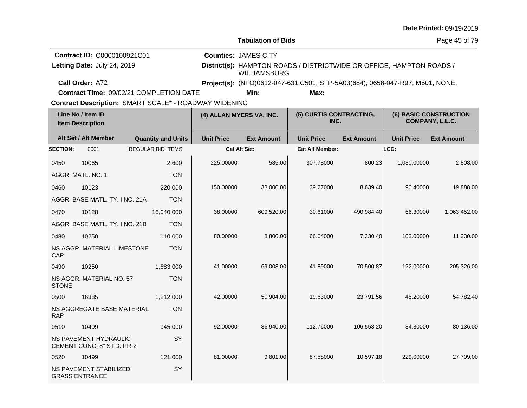|                 |                                                                                                  |                           |                          |                                                                              |                                                                      |                   |                   | Date Printed: 09/19/2019                  |
|-----------------|--------------------------------------------------------------------------------------------------|---------------------------|--------------------------|------------------------------------------------------------------------------|----------------------------------------------------------------------|-------------------|-------------------|-------------------------------------------|
|                 |                                                                                                  |                           |                          | <b>Tabulation of Bids</b>                                                    |                                                                      |                   |                   | Page 45 of 79                             |
|                 | Contract ID: C0000100921C01<br>Letting Date: July 24, 2019                                       |                           |                          | <b>Counties: JAMES CITY</b><br><b>WILLIAMSBURG</b>                           | District(s): HAMPTON ROADS / DISTRICTWIDE OR OFFICE, HAMPTON ROADS / |                   |                   |                                           |
|                 | Call Order: A72                                                                                  |                           |                          | Project(s): (NFO)0612-047-631,C501, STP-5A03(684); 0658-047-R97, M501, NONE; |                                                                      |                   |                   |                                           |
|                 | Contract Time: 09/02/21 COMPLETION DATE<br>Contract Description: SMART SCALE* - ROADWAY WIDENING |                           |                          | Min:                                                                         |                                                                      |                   |                   |                                           |
|                 | Line No / Item ID<br><b>Item Description</b>                                                     |                           | (4) ALLAN MYERS VA, INC. |                                                                              | (5) CURTIS CONTRACTING,<br>INC.                                      |                   |                   | (6) BASIC CONSTRUCTION<br>COMPANY, L.L.C. |
|                 | Alt Set / Alt Member                                                                             | <b>Quantity and Units</b> | <b>Unit Price</b>        | <b>Ext Amount</b>                                                            | <b>Unit Price</b>                                                    | <b>Ext Amount</b> | <b>Unit Price</b> | <b>Ext Amount</b>                         |
| <b>SECTION:</b> | 0001                                                                                             | <b>REGULAR BID ITEMS</b>  |                          | Cat Alt Set:                                                                 | <b>Cat Alt Member:</b>                                               |                   | LCC:              |                                           |
| 0450            | 10065                                                                                            | 2.600                     | 225.00000                | 585.00                                                                       | 307.78000                                                            | 800.23            | 1,080.00000       | 2,808.00                                  |
|                 | AGGR, MATL, NO. 1                                                                                | <b>TON</b>                |                          |                                                                              |                                                                      |                   |                   |                                           |
| 0460            | 10123                                                                                            | 220.000                   | 150.00000                | 33,000.00                                                                    | 39.27000                                                             | 8,639.40          | 90.40000          | 19,888.00                                 |
|                 | AGGR. BASE MATL. TY. I NO. 21A                                                                   | <b>TON</b>                |                          |                                                                              |                                                                      |                   |                   |                                           |
| 0470            | 10128                                                                                            | 16,040.000                | 38.00000                 | 609,520.00                                                                   | 30.61000                                                             | 490,984.40        | 66.30000          | 1,063,452.00                              |
|                 | AGGR. BASE MATL. TY. I NO. 21B                                                                   | <b>TON</b>                |                          |                                                                              |                                                                      |                   |                   |                                           |
| 0480            | 10250                                                                                            | 110.000                   | 80.00000                 | 8,800.00                                                                     | 66.64000                                                             | 7,330.40          | 103.00000         | 11,330.00                                 |
| CAP             | NS AGGR. MATERIAL LIMESTONE                                                                      | <b>TON</b>                |                          |                                                                              |                                                                      |                   |                   |                                           |
| 0490            | 10250                                                                                            | 1,683.000                 | 41.00000                 | 69,003.00                                                                    | 41.89000                                                             | 70,500.87         | 122.00000         | 205,326.00                                |
| <b>STONE</b>    | NS AGGR. MATERIAL NO. 57                                                                         | <b>TON</b>                |                          |                                                                              |                                                                      |                   |                   |                                           |
| 0500            | 16385                                                                                            | 1,212.000                 | 42.00000                 | 50,904.00                                                                    | 19.63000                                                             | 23,791.56         | 45.20000          | 54,782.40                                 |
| <b>RAP</b>      | NS AGGREGATE BASE MATERIAL                                                                       | <b>TON</b>                |                          |                                                                              |                                                                      |                   |                   |                                           |
| 0510            | 10499                                                                                            | 945.000                   | 92.00000                 | 86,940.00                                                                    | 112.76000                                                            | 106,558.20        | 84.80000          | 80,136.00                                 |
|                 | NS PAVEMENT HYDRAULIC<br>CEMENT CONC. 8" ST'D. PR-2                                              | SY                        |                          |                                                                              |                                                                      |                   |                   |                                           |
| 0520            | 10499                                                                                            | 121.000                   | 81.00000                 | 9,801.00                                                                     | 87.58000                                                             | 10,597.18         | 229.00000         | 27,709.00                                 |
|                 | NS PAVEMENT STABILIZED<br><b>GRASS ENTRANCE</b>                                                  | SY                        |                          |                                                                              |                                                                      |                   |                   |                                           |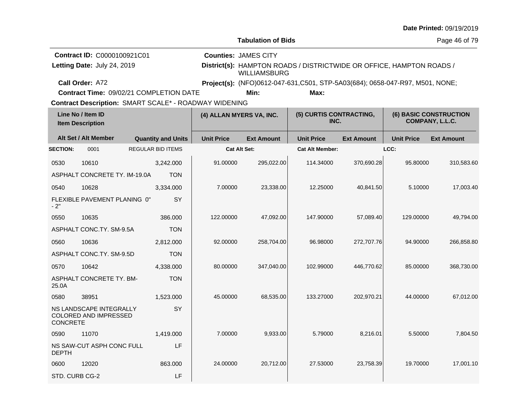|                 |                                                                               |                           |                                                                                                                                                                                                             |                           |                                 |                   |                   | Date Printed: 09/19/2019                         |  |
|-----------------|-------------------------------------------------------------------------------|---------------------------|-------------------------------------------------------------------------------------------------------------------------------------------------------------------------------------------------------------|---------------------------|---------------------------------|-------------------|-------------------|--------------------------------------------------|--|
|                 |                                                                               |                           |                                                                                                                                                                                                             | <b>Tabulation of Bids</b> |                                 |                   |                   | Page 46 of 79                                    |  |
|                 | Contract ID: C0000100921C01<br>Letting Date: July 24, 2019<br>Call Order: A72 |                           | <b>Counties: JAMES CITY</b><br>District(s): HAMPTON ROADS / DISTRICTWIDE OR OFFICE, HAMPTON ROADS /<br><b>WILLIAMSBURG</b><br>Project(s): (NFO)0612-047-631, C501, STP-5A03(684); 0658-047-R97, M501, NONE; |                           |                                 |                   |                   |                                                  |  |
|                 | Contract Time: 09/02/21 COMPLETION DATE                                       |                           |                                                                                                                                                                                                             | Min:                      | Max:                            |                   |                   |                                                  |  |
|                 |                                                                               |                           | Contract Description: SMART SCALE* - ROADWAY WIDENING                                                                                                                                                       |                           |                                 |                   |                   |                                                  |  |
|                 | Line No / Item ID<br><b>Item Description</b>                                  |                           | (4) ALLAN MYERS VA, INC.                                                                                                                                                                                    |                           | (5) CURTIS CONTRACTING,<br>INC. |                   |                   | <b>(6) BASIC CONSTRUCTION</b><br>COMPANY, L.L.C. |  |
|                 | Alt Set / Alt Member                                                          | <b>Quantity and Units</b> | <b>Unit Price</b>                                                                                                                                                                                           | <b>Ext Amount</b>         | <b>Unit Price</b>               | <b>Ext Amount</b> | <b>Unit Price</b> | <b>Ext Amount</b>                                |  |
| <b>SECTION:</b> | 0001                                                                          | <b>REGULAR BID ITEMS</b>  |                                                                                                                                                                                                             | <b>Cat Alt Set:</b>       | <b>Cat Alt Member:</b>          |                   | LCC:              |                                                  |  |
| 0530            | 10610                                                                         | 3,242.000                 | 91.00000                                                                                                                                                                                                    | 295,022.00                | 114.34000                       | 370,690.28        | 95.80000          | 310,583.60                                       |  |
|                 | ASPHALT CONCRETE TY. IM-19.0A                                                 | <b>TON</b>                |                                                                                                                                                                                                             |                           |                                 |                   |                   |                                                  |  |
| 0540            | 10628                                                                         | 3.334.000                 | 7.00000                                                                                                                                                                                                     | 23,338.00                 | 12.25000                        | 40,841.50         | 5.10000           | 17,003.40                                        |  |
| $-2"$           | FLEXIBLE PAVEMENT PLANING 0"                                                  | SY                        |                                                                                                                                                                                                             |                           |                                 |                   |                   |                                                  |  |
| 0550            | 10635                                                                         | 386.000                   | 122.00000                                                                                                                                                                                                   | 47,092.00                 | 147.90000                       | 57,089.40         | 129.00000         | 49,794.00                                        |  |
|                 | ASPHALT CONC.TY. SM-9.5A                                                      | <b>TON</b>                |                                                                                                                                                                                                             |                           |                                 |                   |                   |                                                  |  |
| 0560            | 10636                                                                         | 2,812.000                 | 92.00000                                                                                                                                                                                                    | 258,704.00                | 96.98000                        | 272,707.76        | 94.90000          | 266,858.80                                       |  |
|                 | ASPHALT CONC.TY. SM-9.5D                                                      | <b>TON</b>                |                                                                                                                                                                                                             |                           |                                 |                   |                   |                                                  |  |
| 0570            | 10642                                                                         | 4,338.000                 | 80.00000                                                                                                                                                                                                    | 347,040.00                | 102.99000                       | 446,770.62        | 85.00000          | 368,730.00                                       |  |
| 25.0A           | ASPHALT CONCRETE TY. BM-                                                      | <b>TON</b>                |                                                                                                                                                                                                             |                           |                                 |                   |                   |                                                  |  |
| 0580            | 38951                                                                         | 1,523.000                 | 45.00000                                                                                                                                                                                                    | 68,535.00                 | 133.27000                       | 202,970.21        | 44.00000          | 67,012.00                                        |  |
| CONCRETE        | NS LANDSCAPE INTEGRALLY<br>COLORED AND IMPRESSED                              | SY                        |                                                                                                                                                                                                             |                           |                                 |                   |                   |                                                  |  |
| 0590            | 11070                                                                         | 1,419.000                 | 7.00000                                                                                                                                                                                                     | 9,933.00                  | 5.79000                         | 8,216.01          | 5.50000           | 7,804.50                                         |  |
| <b>DEPTH</b>    | NS SAW-CUT ASPH CONC FULL                                                     | LF                        |                                                                                                                                                                                                             |                           |                                 |                   |                   |                                                  |  |
| 0600            | 12020                                                                         | 863.000                   | 24.00000                                                                                                                                                                                                    | 20,712.00                 | 27.53000                        | 23,758.39         | 19.70000          | 17,001.10                                        |  |
| STD. CURB CG-2  |                                                                               | LF                        |                                                                                                                                                                                                             |                           |                                 |                   |                   |                                                  |  |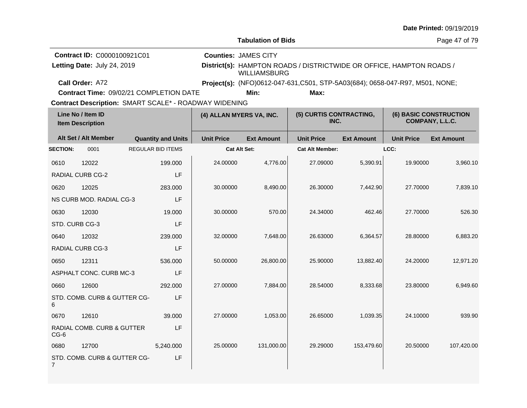|                                              |                                                            |  |                           |                                                                                                                            |                                                                              |                                 |                   |                   | Date Printed: 09/19/2019                         |  |
|----------------------------------------------|------------------------------------------------------------|--|---------------------------|----------------------------------------------------------------------------------------------------------------------------|------------------------------------------------------------------------------|---------------------------------|-------------------|-------------------|--------------------------------------------------|--|
|                                              |                                                            |  |                           |                                                                                                                            | <b>Tabulation of Bids</b>                                                    |                                 |                   | Page 47 of 79     |                                                  |  |
|                                              | Contract ID: C0000100921C01<br>Letting Date: July 24, 2019 |  |                           | <b>Counties: JAMES CITY</b><br>District(s): HAMPTON ROADS / DISTRICTWIDE OR OFFICE, HAMPTON ROADS /<br><b>WILLIAMSBURG</b> |                                                                              |                                 |                   |                   |                                                  |  |
|                                              | Call Order: A72                                            |  |                           |                                                                                                                            | Project(s): (NFO)0612-047-631,C501, STP-5A03(684); 0658-047-R97, M501, NONE; |                                 |                   |                   |                                                  |  |
|                                              | Contract Time: 09/02/21 COMPLETION DATE                    |  |                           |                                                                                                                            | Min:                                                                         | Max:                            |                   |                   |                                                  |  |
|                                              | Contract Description: SMART SCALE* - ROADWAY WIDENING      |  |                           |                                                                                                                            |                                                                              |                                 |                   |                   |                                                  |  |
| Line No / Item ID<br><b>Item Description</b> |                                                            |  |                           |                                                                                                                            | (4) ALLAN MYERS VA, INC.                                                     | (5) CURTIS CONTRACTING,<br>INC. |                   |                   | <b>(6) BASIC CONSTRUCTION</b><br>COMPANY, L.L.C. |  |
|                                              | Alt Set / Alt Member                                       |  | <b>Quantity and Units</b> | <b>Unit Price</b>                                                                                                          | <b>Ext Amount</b>                                                            | <b>Unit Price</b>               | <b>Ext Amount</b> | <b>Unit Price</b> | <b>Ext Amount</b>                                |  |
| <b>SECTION:</b>                              | 0001                                                       |  | <b>REGULAR BID ITEMS</b>  |                                                                                                                            | <b>Cat Alt Set:</b>                                                          | <b>Cat Alt Member:</b>          |                   | LCC:              |                                                  |  |
| 0610                                         | 12022                                                      |  | 199.000                   | 24.00000                                                                                                                   | 4,776.00                                                                     | 27.09000                        | 5,390.91          | 19.90000          | 3,960.10                                         |  |
|                                              | <b>RADIAL CURB CG-2</b>                                    |  | LF                        |                                                                                                                            |                                                                              |                                 |                   |                   |                                                  |  |
| 0620                                         | 12025                                                      |  | 283.000                   | 30.00000                                                                                                                   | 8,490.00                                                                     | 26.30000                        | 7,442.90          | 27.70000          | 7,839.10                                         |  |
|                                              | NS CURB MOD. RADIAL CG-3                                   |  | LF                        |                                                                                                                            |                                                                              |                                 |                   |                   |                                                  |  |
| 0630                                         | 12030                                                      |  | 19.000                    | 30.00000                                                                                                                   | 570.00                                                                       | 24.34000                        | 462.46            | 27.70000          | 526.30                                           |  |
|                                              | STD. CURB CG-3                                             |  | LF                        |                                                                                                                            |                                                                              |                                 |                   |                   |                                                  |  |
| 0640                                         | 12032                                                      |  | 239,000                   | 32.00000                                                                                                                   | 7,648.00                                                                     | 26.63000                        | 6,364.57          | 28.80000          | 6,883.20                                         |  |
|                                              | RADIAL CURB CG-3                                           |  | LF                        |                                                                                                                            |                                                                              |                                 |                   |                   |                                                  |  |
| 0650                                         | 12311                                                      |  | 536.000                   | 50.00000                                                                                                                   | 26,800.00                                                                    | 25.90000                        | 13,882.40         | 24.20000          | 12,971.20                                        |  |
|                                              | ASPHALT CONC. CURB MC-3                                    |  | LF                        |                                                                                                                            |                                                                              |                                 |                   |                   |                                                  |  |
| 0660                                         | 12600                                                      |  | 292,000                   | 27.00000                                                                                                                   | 7,884.00                                                                     | 28.54000                        | 8,333.68          | 23.80000          | 6,949.60                                         |  |
| 6                                            | STD. COMB. CURB & GUTTER CG-                               |  | LF                        |                                                                                                                            |                                                                              |                                 |                   |                   |                                                  |  |
| 0670                                         | 12610                                                      |  | 39.000                    | 27.00000                                                                                                                   | 1,053.00                                                                     | 26.65000                        | 1,039.35          | 24.10000          | 939.90                                           |  |
| $CG-6$                                       | RADIAL COMB. CURB & GUTTER                                 |  | LF                        |                                                                                                                            |                                                                              |                                 |                   |                   |                                                  |  |
| 0680                                         | 12700                                                      |  | 5,240.000                 | 25.00000                                                                                                                   | 131,000.00                                                                   | 29.29000                        | 153,479.60        | 20.50000          | 107,420.00                                       |  |
| 7                                            | STD. COMB. CURB & GUTTER CG-                               |  | LF                        |                                                                                                                            |                                                                              |                                 |                   |                   |                                                  |  |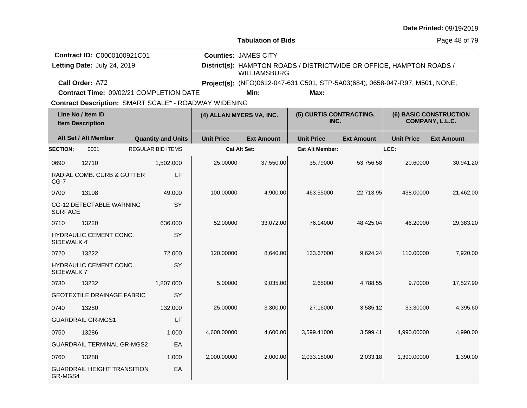|                                                                                                              |                                                            |                          |                           |                                                                                                                            |                           |                                 |                   |                                                  | Date Printed: 09/19/2019 |  |  |
|--------------------------------------------------------------------------------------------------------------|------------------------------------------------------------|--------------------------|---------------------------|----------------------------------------------------------------------------------------------------------------------------|---------------------------|---------------------------------|-------------------|--------------------------------------------------|--------------------------|--|--|
|                                                                                                              |                                                            |                          |                           |                                                                                                                            | <b>Tabulation of Bids</b> |                                 |                   |                                                  | Page 48 of 79            |  |  |
|                                                                                                              | Contract ID: C0000100921C01<br>Letting Date: July 24, 2019 |                          |                           | <b>Counties: JAMES CITY</b><br>District(s): HAMPTON ROADS / DISTRICTWIDE OR OFFICE, HAMPTON ROADS /<br><b>WILLIAMSBURG</b> |                           |                                 |                   |                                                  |                          |  |  |
|                                                                                                              | Call Order: A72                                            |                          |                           | Project(s): (NFO)0612-047-631, C501, STP-5A03(684); 0658-047-R97, M501, NONE;                                              |                           |                                 |                   |                                                  |                          |  |  |
|                                                                                                              | Contract Time: 09/02/21 COMPLETION DATE                    |                          |                           |                                                                                                                            | Min:                      | Max:                            |                   |                                                  |                          |  |  |
| <b>Contract Description: SMART SCALE* - ROADWAY WIDENING</b><br>Line No / Item ID<br><b>Item Description</b> |                                                            |                          |                           | (4) ALLAN MYERS VA, INC.                                                                                                   |                           | (5) CURTIS CONTRACTING,<br>INC. |                   | <b>(6) BASIC CONSTRUCTION</b><br>COMPANY, L.L.C. |                          |  |  |
|                                                                                                              | Alt Set / Alt Member                                       |                          | <b>Quantity and Units</b> | <b>Unit Price</b>                                                                                                          | <b>Ext Amount</b>         | <b>Unit Price</b>               | <b>Ext Amount</b> | <b>Unit Price</b>                                | <b>Ext Amount</b>        |  |  |
| <b>SECTION:</b>                                                                                              | 0001                                                       | <b>REGULAR BID ITEMS</b> |                           |                                                                                                                            | <b>Cat Alt Set:</b>       | <b>Cat Alt Member:</b>          |                   | LCC:                                             |                          |  |  |
| 0690                                                                                                         | 12710                                                      |                          | 1,502.000                 | 25.00000                                                                                                                   | 37,550.00                 | 35.79000                        | 53,756.58         | 20.60000                                         | 30,941.20                |  |  |
| $CG-7$                                                                                                       | RADIAL COMB. CURB & GUTTER                                 |                          | LF                        |                                                                                                                            |                           |                                 |                   |                                                  |                          |  |  |
| 0700                                                                                                         | 13108                                                      |                          | 49.000                    | 100.00000                                                                                                                  | 4,900.00                  | 463.55000                       | 22,713.95         | 438.00000                                        | 21,462.00                |  |  |
| <b>SURFACE</b>                                                                                               | CG-12 DETECTABLE WARNING                                   |                          | SY                        |                                                                                                                            |                           |                                 |                   |                                                  |                          |  |  |
| 0710                                                                                                         | 13220                                                      |                          | 636.000                   | 52.00000                                                                                                                   | 33,072.00                 | 76.14000                        | 48,425.04         | 46.20000                                         | 29,383.20                |  |  |
| SIDEWALK 4"                                                                                                  | HYDRAULIC CEMENT CONC.                                     |                          | SY                        |                                                                                                                            |                           |                                 |                   |                                                  |                          |  |  |
| 0720                                                                                                         | 13222                                                      |                          | 72.000                    | 120.00000                                                                                                                  | 8,640.00                  | 133.67000                       | 9,624.24          | 110.00000                                        | 7,920.00                 |  |  |
| SIDEWALK 7"                                                                                                  | HYDRAULIC CEMENT CONC.                                     |                          | SY                        |                                                                                                                            |                           |                                 |                   |                                                  |                          |  |  |
| 0730                                                                                                         | 13232                                                      |                          | 1,807.000                 | 5.00000                                                                                                                    | 9,035.00                  | 2.65000                         | 4,788.55          | 9.70000                                          | 17,527.90                |  |  |
|                                                                                                              | <b>GEOTEXTILE DRAINAGE FABRIC</b>                          |                          | SY                        |                                                                                                                            |                           |                                 |                   |                                                  |                          |  |  |
| 0740                                                                                                         | 13280                                                      |                          | 132.000                   | 25.00000                                                                                                                   | 3,300.00                  | 27.16000                        | 3,585.12          | 33.30000                                         | 4,395.60                 |  |  |
|                                                                                                              | <b>GUARDRAIL GR-MGS1</b>                                   |                          | LF                        |                                                                                                                            |                           |                                 |                   |                                                  |                          |  |  |
| 0750                                                                                                         | 13286                                                      |                          | 1.000                     | 4,600.00000                                                                                                                | 4,600.00                  | 3,599.41000                     | 3,599.41          | 4,990.00000                                      | 4,990.00                 |  |  |
|                                                                                                              | <b>GUARDRAIL TERMINAL GR-MGS2</b>                          |                          | EA                        |                                                                                                                            |                           |                                 |                   |                                                  |                          |  |  |
| 0760                                                                                                         | 13288                                                      |                          | 1.000                     | 2,000.00000                                                                                                                | 2,000.00                  | 2,033.18000                     | 2,033.18          | 1,390.00000                                      | 1,390.00                 |  |  |
| GR-MGS4                                                                                                      | <b>GUARDRAIL HEIGHT TRANSITION</b>                         |                          | EA                        |                                                                                                                            |                           |                                 |                   |                                                  |                          |  |  |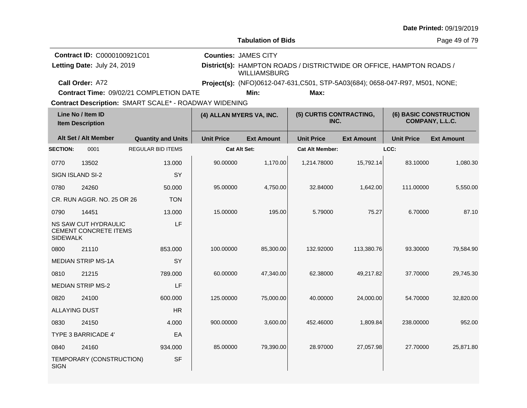|                                              |                                                            |                                                       |                                                                                                                            |                                                                               |                                 |                   |                   | Date Printed: 09/19/2019                         |  |
|----------------------------------------------|------------------------------------------------------------|-------------------------------------------------------|----------------------------------------------------------------------------------------------------------------------------|-------------------------------------------------------------------------------|---------------------------------|-------------------|-------------------|--------------------------------------------------|--|
|                                              |                                                            |                                                       |                                                                                                                            | <b>Tabulation of Bids</b>                                                     |                                 |                   | Page 49 of 79     |                                                  |  |
|                                              | Contract ID: C0000100921C01<br>Letting Date: July 24, 2019 |                                                       | <b>Counties: JAMES CITY</b><br>District(s): HAMPTON ROADS / DISTRICTWIDE OR OFFICE, HAMPTON ROADS /<br><b>WILLIAMSBURG</b> |                                                                               |                                 |                   |                   |                                                  |  |
|                                              | Call Order: A72                                            |                                                       |                                                                                                                            | Project(s): (NFO)0612-047-631, C501, STP-5A03(684); 0658-047-R97, M501, NONE; |                                 |                   |                   |                                                  |  |
|                                              |                                                            | Contract Time: 09/02/21 COMPLETION DATE               |                                                                                                                            | Min:                                                                          | Max:                            |                   |                   |                                                  |  |
|                                              |                                                            | Contract Description: SMART SCALE* - ROADWAY WIDENING |                                                                                                                            |                                                                               |                                 |                   |                   |                                                  |  |
| Line No / Item ID<br><b>Item Description</b> |                                                            |                                                       |                                                                                                                            | (4) ALLAN MYERS VA, INC.                                                      | (5) CURTIS CONTRACTING,<br>INC. |                   |                   | <b>(6) BASIC CONSTRUCTION</b><br>COMPANY, L.L.C. |  |
|                                              | Alt Set / Alt Member                                       | <b>Quantity and Units</b>                             | <b>Unit Price</b>                                                                                                          | <b>Ext Amount</b>                                                             | <b>Unit Price</b>               | <b>Ext Amount</b> | <b>Unit Price</b> | <b>Ext Amount</b>                                |  |
| <b>SECTION:</b>                              | 0001                                                       | <b>REGULAR BID ITEMS</b>                              |                                                                                                                            | <b>Cat Alt Set:</b>                                                           | <b>Cat Alt Member:</b>          |                   | LCC:              |                                                  |  |
| 0770                                         | 13502                                                      | 13.000                                                | 90.00000                                                                                                                   | 1,170.00                                                                      | 1,214.78000                     | 15,792.14         | 83.10000          | 1,080.30                                         |  |
|                                              | SIGN ISLAND SI-2                                           | <b>SY</b>                                             |                                                                                                                            |                                                                               |                                 |                   |                   |                                                  |  |
| 0780                                         | 24260                                                      | 50.000                                                | 95.00000                                                                                                                   | 4,750.00                                                                      | 32.84000                        | 1,642.00          | 111.00000         | 5,550.00                                         |  |
|                                              | CR. RUN AGGR. NO. 25 OR 26                                 | <b>TON</b>                                            |                                                                                                                            |                                                                               |                                 |                   |                   |                                                  |  |
| 0790                                         | 14451                                                      | 13.000                                                | 15.00000                                                                                                                   | 195.00                                                                        | 5.79000                         | 75.27             | 6.70000           | 87.10                                            |  |
| <b>SIDEWALK</b>                              | <b>NS SAW CUT HYDRAULIC</b><br>CEMENT CONCRETE ITEMS       | LF                                                    |                                                                                                                            |                                                                               |                                 |                   |                   |                                                  |  |
| 0800                                         | 21110                                                      | 853.000                                               | 100.00000                                                                                                                  | 85,300.00                                                                     | 132.92000                       | 113,380.76        | 93.30000          | 79,584.90                                        |  |
|                                              | <b>MEDIAN STRIP MS-1A</b>                                  | <b>SY</b>                                             |                                                                                                                            |                                                                               |                                 |                   |                   |                                                  |  |
| 0810                                         | 21215                                                      | 789.000                                               | 60.00000                                                                                                                   | 47,340.00                                                                     | 62.38000                        | 49,217.82         | 37.70000          | 29,745.30                                        |  |
|                                              | <b>MEDIAN STRIP MS-2</b>                                   | LF                                                    |                                                                                                                            |                                                                               |                                 |                   |                   |                                                  |  |
| 0820                                         | 24100                                                      | 600.000                                               | 125.00000                                                                                                                  | 75,000.00                                                                     | 40.00000                        | 24,000.00         | 54.70000          | 32,820.00                                        |  |
| <b>ALLAYING DUST</b>                         |                                                            | <b>HR</b>                                             |                                                                                                                            |                                                                               |                                 |                   |                   |                                                  |  |
| 0830                                         | 24150                                                      | 4.000                                                 | 900.00000                                                                                                                  | 3,600.00                                                                      | 452.46000                       | 1,809.84          | 238.00000         | 952.00                                           |  |
|                                              | <b>TYPE 3 BARRICADE 4'</b>                                 | EA                                                    |                                                                                                                            |                                                                               |                                 |                   |                   |                                                  |  |
| 0840                                         | 24160                                                      | 934.000                                               | 85.00000                                                                                                                   | 79,390.00                                                                     | 28.97000                        | 27,057.98         | 27.70000          | 25,871.80                                        |  |
| <b>SIGN</b>                                  | TEMPORARY (CONSTRUCTION)                                   | <b>SF</b>                                             |                                                                                                                            |                                                                               |                                 |                   |                   |                                                  |  |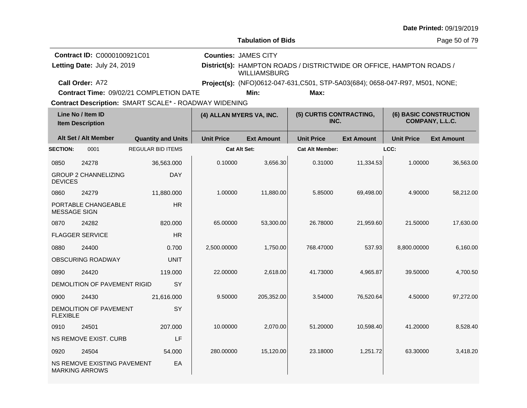|                                                                                                              |                                                            |                                         |                                                                                                                            |                                                                               |                                 |                   |                   | Date Printed: 09/19/2019                         |  |
|--------------------------------------------------------------------------------------------------------------|------------------------------------------------------------|-----------------------------------------|----------------------------------------------------------------------------------------------------------------------------|-------------------------------------------------------------------------------|---------------------------------|-------------------|-------------------|--------------------------------------------------|--|
|                                                                                                              |                                                            |                                         |                                                                                                                            | <b>Tabulation of Bids</b>                                                     |                                 |                   |                   | Page 50 of 79                                    |  |
|                                                                                                              | Contract ID: C0000100921C01<br>Letting Date: July 24, 2019 |                                         | <b>Counties: JAMES CITY</b><br>District(s): HAMPTON ROADS / DISTRICTWIDE OR OFFICE, HAMPTON ROADS /<br><b>WILLIAMSBURG</b> |                                                                               |                                 |                   |                   |                                                  |  |
|                                                                                                              | Call Order: A72                                            |                                         |                                                                                                                            | Project(s): (NFO)0612-047-631, C501, STP-5A03(684); 0658-047-R97, M501, NONE; |                                 |                   |                   |                                                  |  |
|                                                                                                              |                                                            | Contract Time: 09/02/21 COMPLETION DATE |                                                                                                                            | Min:                                                                          | Max:                            |                   |                   |                                                  |  |
| <b>Contract Description: SMART SCALE* - ROADWAY WIDENING</b><br>Line No / Item ID<br><b>Item Description</b> |                                                            |                                         | (4) ALLAN MYERS VA, INC.                                                                                                   |                                                                               | (5) CURTIS CONTRACTING,<br>INC. |                   |                   | <b>(6) BASIC CONSTRUCTION</b><br>COMPANY, L.L.C. |  |
|                                                                                                              | Alt Set / Alt Member                                       | <b>Quantity and Units</b>               | <b>Unit Price</b>                                                                                                          | <b>Ext Amount</b>                                                             | <b>Unit Price</b>               | <b>Ext Amount</b> | <b>Unit Price</b> | <b>Ext Amount</b>                                |  |
| <b>SECTION:</b>                                                                                              | 0001                                                       | <b>REGULAR BID ITEMS</b>                |                                                                                                                            | Cat Alt Set:                                                                  | <b>Cat Alt Member:</b>          |                   | LCC:              |                                                  |  |
| 0850                                                                                                         | 24278                                                      | 36,563.000                              | 0.10000                                                                                                                    | 3,656.30                                                                      | 0.31000                         | 11,334.53         | 1.00000           | 36,563.00                                        |  |
| <b>DEVICES</b>                                                                                               | <b>GROUP 2 CHANNELIZING</b>                                | <b>DAY</b>                              |                                                                                                                            |                                                                               |                                 |                   |                   |                                                  |  |
| 0860                                                                                                         | 24279                                                      | 11,880.000                              | 1.00000                                                                                                                    | 11,880.00                                                                     | 5.85000                         | 69,498.00         | 4.90000           | 58,212.00                                        |  |
| <b>MESSAGE SIGN</b>                                                                                          | PORTABLE CHANGEABLE                                        | <b>HR</b>                               |                                                                                                                            |                                                                               |                                 |                   |                   |                                                  |  |
| 0870                                                                                                         | 24282                                                      | 820.000                                 | 65.00000                                                                                                                   | 53,300.00                                                                     | 26.78000                        | 21,959.60         | 21.50000          | 17,630.00                                        |  |
|                                                                                                              | <b>FLAGGER SERVICE</b>                                     | <b>HR</b>                               |                                                                                                                            |                                                                               |                                 |                   |                   |                                                  |  |
| 0880                                                                                                         | 24400                                                      | 0.700                                   | 2,500.00000                                                                                                                | 1,750.00                                                                      | 768.47000                       | 537.93            | 8,800.00000       | 6,160.00                                         |  |
|                                                                                                              | OBSCURING ROADWAY                                          | <b>UNIT</b>                             |                                                                                                                            |                                                                               |                                 |                   |                   |                                                  |  |
| 0890                                                                                                         | 24420                                                      | 119.000                                 | 22.00000                                                                                                                   | 2,618.00                                                                      | 41.73000                        | 4,965.87          | 39.50000          | 4,700.50                                         |  |
|                                                                                                              | DEMOLITION OF PAVEMENT RIGID                               | <b>SY</b>                               |                                                                                                                            |                                                                               |                                 |                   |                   |                                                  |  |
| 0900                                                                                                         | 24430                                                      | 21,616.000                              | 9.50000                                                                                                                    | 205,352.00                                                                    | 3.54000                         | 76,520.64         | 4.50000           | 97,272.00                                        |  |
| <b>FLEXIBLE</b>                                                                                              | DEMOLITION OF PAVEMENT                                     | SY                                      |                                                                                                                            |                                                                               |                                 |                   |                   |                                                  |  |
| 0910                                                                                                         | 24501                                                      | 207.000                                 | 10.00000                                                                                                                   | 2,070.00                                                                      | 51.20000                        | 10,598.40         | 41.20000          | 8,528.40                                         |  |
|                                                                                                              | NS REMOVE EXIST. CURB                                      | LF                                      |                                                                                                                            |                                                                               |                                 |                   |                   |                                                  |  |
| 0920                                                                                                         | 24504                                                      | 54.000                                  | 280.00000                                                                                                                  | 15,120.00                                                                     | 23.18000                        | 1,251.72          | 63.30000          | 3,418.20                                         |  |
|                                                                                                              | NS REMOVE EXISTING PAVEMENT<br><b>MARKING ARROWS</b>       | EA                                      |                                                                                                                            |                                                                               |                                 |                   |                   |                                                  |  |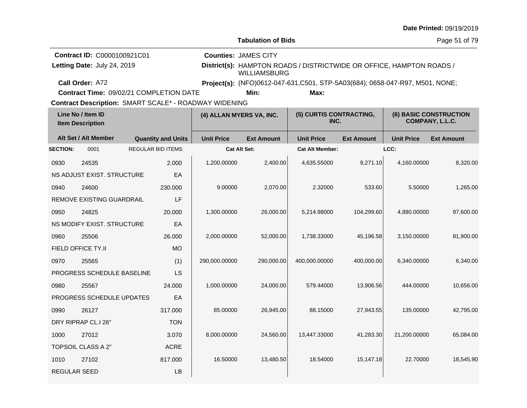|                                                                                                              |                                                            |  |                           |                                                                                                                            |                                                                              |                                 |                   |                                           | Date Printed: 09/19/2019 |  |
|--------------------------------------------------------------------------------------------------------------|------------------------------------------------------------|--|---------------------------|----------------------------------------------------------------------------------------------------------------------------|------------------------------------------------------------------------------|---------------------------------|-------------------|-------------------------------------------|--------------------------|--|
|                                                                                                              |                                                            |  |                           |                                                                                                                            | <b>Tabulation of Bids</b>                                                    |                                 |                   |                                           | Page 51 of 79            |  |
|                                                                                                              | Contract ID: C0000100921C01<br>Letting Date: July 24, 2019 |  |                           | <b>Counties: JAMES CITY</b><br>District(s): HAMPTON ROADS / DISTRICTWIDE OR OFFICE, HAMPTON ROADS /<br><b>WILLIAMSBURG</b> |                                                                              |                                 |                   |                                           |                          |  |
|                                                                                                              | Call Order: A72                                            |  |                           |                                                                                                                            | Project(s): (NFO)0612-047-631,C501, STP-5A03(684); 0658-047-R97, M501, NONE; |                                 |                   |                                           |                          |  |
|                                                                                                              | Contract Time: 09/02/21 COMPLETION DATE                    |  |                           |                                                                                                                            | Min:                                                                         | Max:                            |                   |                                           |                          |  |
| <b>Contract Description: SMART SCALE* - ROADWAY WIDENING</b><br>Line No / Item ID<br><b>Item Description</b> |                                                            |  |                           | (4) ALLAN MYERS VA, INC.                                                                                                   |                                                                              | (5) CURTIS CONTRACTING,<br>INC. |                   | (6) BASIC CONSTRUCTION<br>COMPANY, L.L.C. |                          |  |
|                                                                                                              | Alt Set / Alt Member                                       |  | <b>Quantity and Units</b> | <b>Unit Price</b>                                                                                                          | <b>Ext Amount</b>                                                            | <b>Unit Price</b>               | <b>Ext Amount</b> | <b>Unit Price</b>                         | <b>Ext Amount</b>        |  |
| <b>SECTION:</b>                                                                                              | 0001                                                       |  | <b>REGULAR BID ITEMS</b>  |                                                                                                                            | <b>Cat Alt Set:</b>                                                          | <b>Cat Alt Member:</b>          |                   | LCC:                                      |                          |  |
| 0930                                                                                                         | 24535                                                      |  | 2.000                     | 1,200.00000                                                                                                                | 2,400.00                                                                     | 4,635.55000                     | 9,271.10          | 4,160.00000                               | 8,320.00                 |  |
|                                                                                                              | NS ADJUST EXIST. STRUCTURE                                 |  | EA                        |                                                                                                                            |                                                                              |                                 |                   |                                           |                          |  |
| 0940                                                                                                         | 24600                                                      |  | 230.000                   | 9.00000                                                                                                                    | 2,070.00                                                                     | 2.32000                         | 533.60            | 5.50000                                   | 1,265.00                 |  |
|                                                                                                              | REMOVE EXISTING GUARDRAIL                                  |  | LF                        |                                                                                                                            |                                                                              |                                 |                   |                                           |                          |  |
| 0950                                                                                                         | 24825                                                      |  | 20.000                    | 1,300.00000                                                                                                                | 26,000.00                                                                    | 5,214.98000                     | 104,299.60        | 4,880.00000                               | 97,600.00                |  |
|                                                                                                              | NS MODIFY EXIST. STRUCTURE                                 |  | EA                        |                                                                                                                            |                                                                              |                                 |                   |                                           |                          |  |
| 0960                                                                                                         | 25506                                                      |  | 26.000                    | 2,000.00000                                                                                                                | 52,000.00                                                                    | 1,738.33000                     | 45,196.58         | 3,150.00000                               | 81,900.00                |  |
|                                                                                                              | <b>FIELD OFFICE TY.II</b>                                  |  | <b>MO</b>                 |                                                                                                                            |                                                                              |                                 |                   |                                           |                          |  |
| 0970                                                                                                         | 25565                                                      |  | (1)                       | 290,000.00000                                                                                                              | 290,000.00                                                                   | 400,000.00000                   | 400,000.00        | 6,340.00000                               | 6,340.00                 |  |
|                                                                                                              | PROGRESS SCHEDULE BASELINE                                 |  | <b>LS</b>                 |                                                                                                                            |                                                                              |                                 |                   |                                           |                          |  |
| 0980                                                                                                         | 25567                                                      |  | 24.000                    | 1,000.00000                                                                                                                | 24,000.00                                                                    | 579.44000                       | 13,906.56         | 444.00000                                 | 10,656.00                |  |
|                                                                                                              | PROGRESS SCHEDULE UPDATES                                  |  | EA                        |                                                                                                                            |                                                                              |                                 |                   |                                           |                          |  |
| 0990                                                                                                         | 26127                                                      |  | 317.000                   | 85.00000                                                                                                                   | 26,945.00                                                                    | 88.15000                        | 27,943.55         | 135.00000                                 | 42,795.00                |  |
|                                                                                                              | DRY RIPRAP CL.I 26"                                        |  | <b>TON</b>                |                                                                                                                            |                                                                              |                                 |                   |                                           |                          |  |
| 1000                                                                                                         | 27012                                                      |  | 3.070                     | 8,000.00000                                                                                                                | 24,560.00                                                                    | 13,447.33000                    | 41,283.30         | 21,200.00000                              | 65,084.00                |  |
|                                                                                                              | TOPSOIL CLASS A 2"<br>ACRE                                 |  |                           |                                                                                                                            |                                                                              |                                 |                   |                                           |                          |  |
| 1010                                                                                                         | 27102                                                      |  | 817.000                   | 16.50000                                                                                                                   | 13,480.50                                                                    | 18.54000                        | 15,147.18         | 22.70000                                  | 18,545.90                |  |
| REGULAR SEED                                                                                                 |                                                            |  | LB                        |                                                                                                                            |                                                                              |                                 |                   |                                           |                          |  |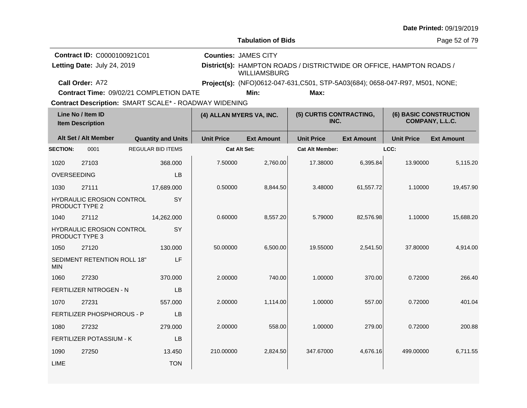|                                              |                                                            |  |                           |                                                       |                                                                              |                                                                      |                   |                   | Date Printed: 09/19/2019                         |  |  |
|----------------------------------------------|------------------------------------------------------------|--|---------------------------|-------------------------------------------------------|------------------------------------------------------------------------------|----------------------------------------------------------------------|-------------------|-------------------|--------------------------------------------------|--|--|
|                                              |                                                            |  |                           |                                                       | <b>Tabulation of Bids</b><br>Page 52 of 79                                   |                                                                      |                   |                   |                                                  |  |  |
|                                              | Contract ID: C0000100921C01<br>Letting Date: July 24, 2019 |  |                           |                                                       | <b>Counties: JAMES CITY</b><br><b>WILLIAMSBURG</b>                           | District(s): HAMPTON ROADS / DISTRICTWIDE OR OFFICE, HAMPTON ROADS / |                   |                   |                                                  |  |  |
|                                              | Call Order: A72                                            |  |                           |                                                       | Project(s): (NFO)0612-047-631,C501, STP-5A03(684); 0658-047-R97, M501, NONE; |                                                                      |                   |                   |                                                  |  |  |
|                                              | Contract Time: 09/02/21 COMPLETION DATE                    |  |                           | Contract Description: SMART SCALE* - ROADWAY WIDENING | Min:                                                                         | Max:                                                                 |                   |                   |                                                  |  |  |
| Line No / Item ID<br><b>Item Description</b> |                                                            |  |                           |                                                       | (4) ALLAN MYERS VA, INC.                                                     | (5) CURTIS CONTRACTING,<br>INC.                                      |                   |                   | <b>(6) BASIC CONSTRUCTION</b><br>COMPANY, L.L.C. |  |  |
|                                              | Alt Set / Alt Member                                       |  | <b>Quantity and Units</b> | <b>Unit Price</b>                                     | <b>Ext Amount</b>                                                            | <b>Unit Price</b>                                                    | <b>Ext Amount</b> | <b>Unit Price</b> | <b>Ext Amount</b>                                |  |  |
| <b>SECTION:</b>                              | 0001                                                       |  | <b>REGULAR BID ITEMS</b>  |                                                       | <b>Cat Alt Set:</b>                                                          | <b>Cat Alt Member:</b>                                               |                   | LCC:              |                                                  |  |  |
| 1020                                         | 27103                                                      |  | 368,000                   | 7.50000                                               | 2,760.00                                                                     | 17.38000                                                             | 6,395.84          | 13.90000          | 5,115.20                                         |  |  |
| <b>OVERSEEDING</b>                           |                                                            |  | LB                        |                                                       |                                                                              |                                                                      |                   |                   |                                                  |  |  |
| 1030                                         | 27111                                                      |  | 17,689.000                | 0.50000                                               | 8,844.50                                                                     | 3.48000                                                              | 61,557.72         | 1.10000           | 19,457.90                                        |  |  |
|                                              | <b>HYDRAULIC EROSION CONTROL</b><br><b>PRODUCT TYPE 2</b>  |  | <b>SY</b>                 |                                                       |                                                                              |                                                                      |                   |                   |                                                  |  |  |
| 1040                                         | 27112                                                      |  | 14,262.000                | 0.60000                                               | 8,557.20                                                                     | 5.79000                                                              | 82,576.98         | 1.10000           | 15,688.20                                        |  |  |
|                                              | <b>HYDRAULIC EROSION CONTROL</b><br>PRODUCT TYPE 3         |  | SY                        |                                                       |                                                                              |                                                                      |                   |                   |                                                  |  |  |
| 1050                                         | 27120                                                      |  | 130,000                   | 50.00000                                              | 6,500.00                                                                     | 19.55000                                                             | 2,541.50          | 37.80000          | 4,914.00                                         |  |  |
| <b>MIN</b>                                   | SEDIMENT RETENTION ROLL 18"                                |  | LF                        |                                                       |                                                                              |                                                                      |                   |                   |                                                  |  |  |
| 1060                                         | 27230                                                      |  | 370.000                   | 2.00000                                               | 740.00                                                                       | 1.00000                                                              | 370.00            | 0.72000           | 266.40                                           |  |  |
|                                              | <b>FERTILIZER NITROGEN - N</b>                             |  | LB                        |                                                       |                                                                              |                                                                      |                   |                   |                                                  |  |  |
| 1070                                         | 27231                                                      |  | 557.000                   | 2.00000                                               | 1,114.00                                                                     | 1.00000                                                              | 557.00            | 0.72000           | 401.04                                           |  |  |
|                                              | FERTILIZER PHOSPHOROUS - P                                 |  | <b>LB</b>                 |                                                       |                                                                              |                                                                      |                   |                   |                                                  |  |  |
| 1080                                         | 27232                                                      |  | 279.000                   | 2.00000                                               | 558.00                                                                       | 1.00000                                                              | 279.00            | 0.72000           | 200.88                                           |  |  |
| <b>FERTILIZER POTASSIUM - K</b><br>LB        |                                                            |  |                           |                                                       |                                                                              |                                                                      |                   |                   |                                                  |  |  |
| 1090                                         | 27250                                                      |  | 13.450                    | 210.00000                                             | 2,824.50                                                                     | 347.67000                                                            | 4,676.16          | 499.00000         | 6,711.55                                         |  |  |
| <b>LIME</b>                                  |                                                            |  | <b>TON</b>                |                                                       |                                                                              |                                                                      |                   |                   |                                                  |  |  |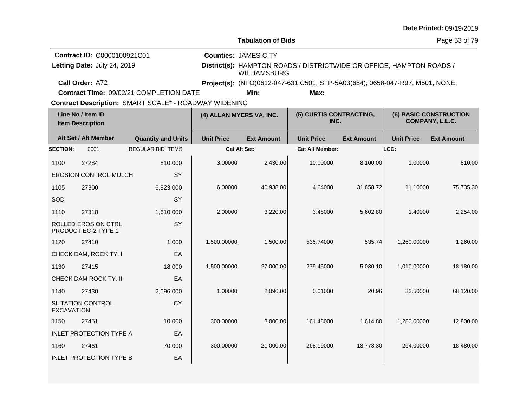|                                              |                                                   |                                                       |                   |                                                                                             |                                 |                   |                   | Date Printed: 09/19/2019                  |  |  |
|----------------------------------------------|---------------------------------------------------|-------------------------------------------------------|-------------------|---------------------------------------------------------------------------------------------|---------------------------------|-------------------|-------------------|-------------------------------------------|--|--|
|                                              |                                                   |                                                       |                   | <b>Tabulation of Bids</b>                                                                   |                                 | Page 53 of 79     |                   |                                           |  |  |
|                                              | Contract ID: C0000100921C01                       |                                                       |                   | <b>Counties: JAMES CITY</b>                                                                 |                                 |                   |                   |                                           |  |  |
|                                              | Letting Date: July 24, 2019                       |                                                       |                   | District(s): HAMPTON ROADS / DISTRICTWIDE OR OFFICE, HAMPTON ROADS /<br><b>WILLIAMSBURG</b> |                                 |                   |                   |                                           |  |  |
|                                              | Call Order: A72                                   |                                                       |                   | Project(s): (NFO)0612-047-631,C501, STP-5A03(684); 0658-047-R97, M501, NONE;                |                                 |                   |                   |                                           |  |  |
|                                              |                                                   | Contract Time: 09/02/21 COMPLETION DATE               |                   | Min:                                                                                        | Max:                            |                   |                   |                                           |  |  |
|                                              |                                                   | Contract Description: SMART SCALE* - ROADWAY WIDENING |                   |                                                                                             |                                 |                   |                   |                                           |  |  |
| Line No / Item ID<br><b>Item Description</b> |                                                   |                                                       |                   | (4) ALLAN MYERS VA, INC.                                                                    | (5) CURTIS CONTRACTING,<br>INC. |                   |                   | (6) BASIC CONSTRUCTION<br>COMPANY, L.L.C. |  |  |
|                                              | Alt Set / Alt Member                              | <b>Quantity and Units</b>                             | <b>Unit Price</b> | <b>Ext Amount</b>                                                                           | <b>Unit Price</b>               | <b>Ext Amount</b> | <b>Unit Price</b> | <b>Ext Amount</b>                         |  |  |
| <b>SECTION:</b>                              | 0001                                              | <b>REGULAR BID ITEMS</b>                              |                   | Cat Alt Set:                                                                                | <b>Cat Alt Member:</b>          |                   | LCC:              |                                           |  |  |
| 1100                                         | 27284                                             | 810.000                                               | 3.00000           | 2,430.00                                                                                    | 10.00000                        | 8,100.00          | 1.00000           | 810.00                                    |  |  |
|                                              | <b>EROSION CONTROL MULCH</b>                      | SY                                                    |                   |                                                                                             |                                 |                   |                   |                                           |  |  |
| 1105                                         | 27300                                             | 6,823.000                                             | 6.00000           | 40,938.00                                                                                   | 4.64000                         | 31,658.72         | 11.10000          | 75,735.30                                 |  |  |
| SOD                                          |                                                   | SY                                                    |                   |                                                                                             |                                 |                   |                   |                                           |  |  |
| 1110                                         | 27318                                             | 1,610.000                                             | 2.00000           | 3,220.00                                                                                    | 3.48000                         | 5,602.80          | 1.40000           | 2,254.00                                  |  |  |
|                                              | ROLLED EROSION CTRL<br><b>PRODUCT EC-2 TYPE 1</b> | SY                                                    |                   |                                                                                             |                                 |                   |                   |                                           |  |  |
| 1120                                         | 27410                                             | 1.000                                                 | 1,500.00000       | 1,500.00                                                                                    | 535.74000                       | 535.74            | 1,260.00000       | 1,260.00                                  |  |  |
|                                              | CHECK DAM, ROCK TY. I                             | EA                                                    |                   |                                                                                             |                                 |                   |                   |                                           |  |  |
| 1130                                         | 27415                                             | 18.000                                                | 1,500.00000       | 27,000.00                                                                                   | 279.45000                       | 5,030.10          | 1,010.00000       | 18,180.00                                 |  |  |
|                                              | CHECK DAM ROCK TY. II                             | EA                                                    |                   |                                                                                             |                                 |                   |                   |                                           |  |  |
| 1140                                         | 27430                                             | 2,096.000                                             | 1.00000           | 2,096.00                                                                                    | 0.01000                         | 20.96             | 32.50000          | 68,120.00                                 |  |  |
| <b>EXCAVATION</b>                            | SILTATION CONTROL                                 | CY                                                    |                   |                                                                                             |                                 |                   |                   |                                           |  |  |
| 1150                                         | 27451                                             | 10.000                                                | 300.00000         | 3,000.00                                                                                    | 161.48000                       | 1,614.80          | 1,280.00000       | 12,800.00                                 |  |  |
|                                              | <b>INLET PROTECTION TYPE A</b>                    | EA                                                    |                   |                                                                                             |                                 |                   |                   |                                           |  |  |
| 1160                                         | 27461                                             | 70.000                                                | 300.00000         | 21,000.00                                                                                   | 268.19000                       | 18,773.30         | 264.00000         | 18,480.00                                 |  |  |
|                                              | <b>INLET PROTECTION TYPE B</b>                    | EA                                                    |                   |                                                                                             |                                 |                   |                   |                                           |  |  |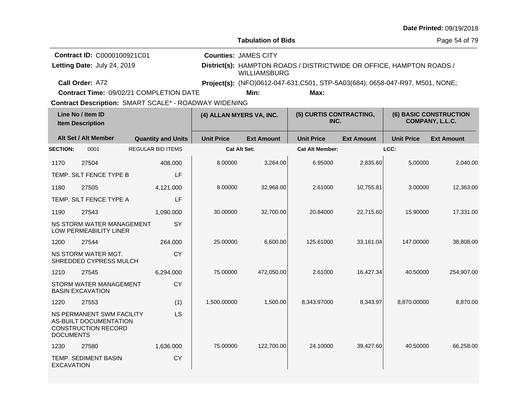|                                                              |                                                                                          |  |                           |                                                                                             |                             |                                                                               |                   |                   | Date Printed: 09/19/2019                         |  |
|--------------------------------------------------------------|------------------------------------------------------------------------------------------|--|---------------------------|---------------------------------------------------------------------------------------------|-----------------------------|-------------------------------------------------------------------------------|-------------------|-------------------|--------------------------------------------------|--|
|                                                              |                                                                                          |  |                           |                                                                                             | <b>Tabulation of Bids</b>   |                                                                               |                   | Page 54 of 79     |                                                  |  |
|                                                              | Contract ID: C0000100921C01                                                              |  |                           |                                                                                             | <b>Counties: JAMES CITY</b> |                                                                               |                   |                   |                                                  |  |
|                                                              | Letting Date: July 24, 2019                                                              |  |                           | District(s): HAMPTON ROADS / DISTRICTWIDE OR OFFICE, HAMPTON ROADS /<br><b>WILLIAMSBURG</b> |                             |                                                                               |                   |                   |                                                  |  |
|                                                              | Call Order: A72                                                                          |  |                           |                                                                                             |                             | Project(s): (NFO)0612-047-631, C501, STP-5A03(684); 0658-047-R97, M501, NONE; |                   |                   |                                                  |  |
|                                                              | Contract Time: 09/02/21 COMPLETION DATE                                                  |  |                           |                                                                                             | Min:                        | Max:                                                                          |                   |                   |                                                  |  |
| <b>Contract Description: SMART SCALE* - ROADWAY WIDENING</b> |                                                                                          |  |                           |                                                                                             |                             |                                                                               |                   |                   |                                                  |  |
| Line No / Item ID<br><b>Item Description</b>                 |                                                                                          |  |                           |                                                                                             | (4) ALLAN MYERS VA, INC.    | (5) CURTIS CONTRACTING,<br>INC.                                               |                   |                   | <b>(6) BASIC CONSTRUCTION</b><br>COMPANY, L.L.C. |  |
|                                                              | Alt Set / Alt Member                                                                     |  | <b>Quantity and Units</b> | <b>Unit Price</b>                                                                           | <b>Ext Amount</b>           | <b>Unit Price</b>                                                             | <b>Ext Amount</b> | <b>Unit Price</b> | <b>Ext Amount</b>                                |  |
| <b>SECTION:</b>                                              | 0001                                                                                     |  | <b>REGULAR BID ITEMS</b>  |                                                                                             | Cat Alt Set:                | <b>Cat Alt Member:</b>                                                        |                   | LCC:              |                                                  |  |
| 1170                                                         | 27504                                                                                    |  | 408.000                   | 8.00000                                                                                     | 3,264.00                    | 6.95000                                                                       | 2,835.60          | 5.00000           | 2,040.00                                         |  |
|                                                              | TEMP. SILT FENCE TYPE B                                                                  |  | LF                        |                                                                                             |                             |                                                                               |                   |                   |                                                  |  |
| 1180                                                         | 27505                                                                                    |  | 4,121.000                 | 8.00000                                                                                     | 32,968.00                   | 2.61000                                                                       | 10,755.81         | 3.00000           | 12,363.00                                        |  |
|                                                              | TEMP. SILT FENCE TYPE A                                                                  |  | LF                        |                                                                                             |                             |                                                                               |                   |                   |                                                  |  |
| 1190                                                         | 27543                                                                                    |  | 1,090.000                 | 30.00000                                                                                    | 32,700.00                   | 20.84000                                                                      | 22,715.60         | 15.90000          | 17,331.00                                        |  |
|                                                              | NS STORM WATER MANAGEMENT<br>LOW PERMEABILITY LINER                                      |  | <b>SY</b>                 |                                                                                             |                             |                                                                               |                   |                   |                                                  |  |
| 1200                                                         | 27544                                                                                    |  | 264.000                   | 25.00000                                                                                    | 6,600.00                    | 125.61000                                                                     | 33,161.04         | 147.00000         | 38,808.00                                        |  |
|                                                              | NS STORM WATER MGT.<br>SHREDDED CYPRESS MULCH                                            |  | <b>CY</b>                 |                                                                                             |                             |                                                                               |                   |                   |                                                  |  |
| 1210                                                         | 27545                                                                                    |  | 6,294.000                 | 75.00000                                                                                    | 472,050.00                  | 2.61000                                                                       | 16,427.34         | 40.50000          | 254,907.00                                       |  |
|                                                              | STORM WATER MANAGEMENT<br><b>BASIN EXCAVATION</b>                                        |  | <b>CY</b>                 |                                                                                             |                             |                                                                               |                   |                   |                                                  |  |
| 1220                                                         | 27553                                                                                    |  | (1)                       | 1,500.00000                                                                                 | 1,500.00                    | 8,343.97000                                                                   | 8,343.97          | 8,870.00000       | 8,870.00                                         |  |
| <b>DOCUMENTS</b>                                             | <b>NS PERMANENT SWM FACILITY</b><br>AS-BUILT DOCUMENTATION<br><b>CONSTRUCTION RECORD</b> |  | LS                        |                                                                                             |                             |                                                                               |                   |                   |                                                  |  |
| 1230                                                         | 27580                                                                                    |  | 1,636.000                 | 75.00000                                                                                    | 122,700.00                  | 24.10000                                                                      | 39,427.60         | 40.50000          | 66,258.00                                        |  |
| <b>EXCAVATION</b>                                            | TEMP. SEDIMENT BASIN                                                                     |  | CY                        |                                                                                             |                             |                                                                               |                   |                   |                                                  |  |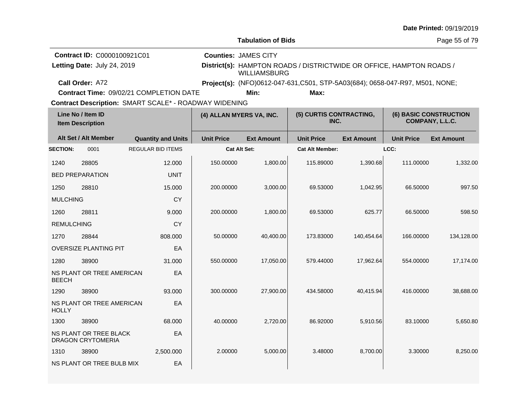|                   |                                                                   |                                                                                                  |                   |                                                    |                                                                               |                   |                   | Date Printed: 09/19/2019                         |  |
|-------------------|-------------------------------------------------------------------|--------------------------------------------------------------------------------------------------|-------------------|----------------------------------------------------|-------------------------------------------------------------------------------|-------------------|-------------------|--------------------------------------------------|--|
|                   |                                                                   |                                                                                                  |                   | <b>Tabulation of Bids</b>                          |                                                                               |                   | Page 55 of 79     |                                                  |  |
|                   | <b>Contract ID: C0000100921C01</b><br>Letting Date: July 24, 2019 |                                                                                                  |                   | <b>Counties: JAMES CITY</b><br><b>WILLIAMSBURG</b> | District(s): HAMPTON ROADS / DISTRICTWIDE OR OFFICE, HAMPTON ROADS /          |                   |                   |                                                  |  |
|                   | Call Order: A72                                                   |                                                                                                  |                   |                                                    | Project(s): (NFO)0612-047-631, C501, STP-5A03(684); 0658-047-R97, M501, NONE; |                   |                   |                                                  |  |
|                   |                                                                   | Contract Time: 09/02/21 COMPLETION DATE<br>Contract Description: SMART SCALE* - ROADWAY WIDENING |                   | Min:                                               | Max:                                                                          |                   |                   |                                                  |  |
|                   | Line No / Item ID<br><b>Item Description</b>                      |                                                                                                  |                   | (4) ALLAN MYERS VA, INC.                           | (5) CURTIS CONTRACTING,<br>INC.                                               |                   |                   | <b>(6) BASIC CONSTRUCTION</b><br>COMPANY, L.L.C. |  |
|                   | Alt Set / Alt Member                                              | <b>Quantity and Units</b>                                                                        | <b>Unit Price</b> | <b>Ext Amount</b>                                  | <b>Unit Price</b>                                                             | <b>Ext Amount</b> | <b>Unit Price</b> | <b>Ext Amount</b>                                |  |
| <b>SECTION:</b>   | 0001                                                              | <b>REGULAR BID ITEMS</b>                                                                         |                   | <b>Cat Alt Set:</b>                                | <b>Cat Alt Member:</b>                                                        |                   | LCC:              |                                                  |  |
| 1240              | 28805                                                             | 12.000                                                                                           | 150.00000         | 1,800.00                                           | 115.89000                                                                     | 1,390.68          | 111.00000         | 1,332.00                                         |  |
|                   | <b>BED PREPARATION</b>                                            | <b>UNIT</b>                                                                                      |                   |                                                    |                                                                               |                   |                   |                                                  |  |
| 1250              | 28810                                                             | 15.000                                                                                           | 200.00000         | 3,000.00                                           | 69.53000                                                                      | 1,042.95          | 66.50000          | 997.50                                           |  |
| <b>MULCHING</b>   |                                                                   | <b>CY</b>                                                                                        |                   |                                                    |                                                                               |                   |                   |                                                  |  |
| 1260              | 28811                                                             | 9.000                                                                                            | 200.00000         | 1,800.00                                           | 69.53000                                                                      | 625.77            | 66.50000          | 598.50                                           |  |
| <b>REMULCHING</b> |                                                                   | CY                                                                                               |                   |                                                    |                                                                               |                   |                   |                                                  |  |
| 1270              | 28844                                                             | 808.000                                                                                          | 50.00000          | 40,400.00                                          | 173.83000                                                                     | 140,454.64        | 166.00000         | 134,128.00                                       |  |
|                   | <b>OVERSIZE PLANTING PIT</b>                                      | EA                                                                                               |                   |                                                    |                                                                               |                   |                   |                                                  |  |
| 1280              | 38900                                                             | 31.000                                                                                           | 550.00000         | 17,050.00                                          | 579.44000                                                                     | 17,962.64         | 554.00000         | 17,174.00                                        |  |
| <b>BEECH</b>      | NS PLANT OR TREE AMERICAN                                         | EA                                                                                               |                   |                                                    |                                                                               |                   |                   |                                                  |  |
| 1290              | 38900                                                             | 93.000                                                                                           | 300.00000         | 27,900.00                                          | 434.58000                                                                     | 40,415.94         | 416.00000         | 38,688.00                                        |  |
| <b>HOLLY</b>      | NS PLANT OR TREE AMERICAN                                         | EA                                                                                               |                   |                                                    |                                                                               |                   |                   |                                                  |  |
| 1300              | 38900                                                             | 68,000                                                                                           | 40.00000          | 2.720.00                                           | 86.92000                                                                      | 5,910.56          | 83.10000          | 5.650.80                                         |  |
|                   | NS PLANT OR TREE BLACK<br><b>DRAGON CRYTOMERIA</b>                | EA                                                                                               |                   |                                                    |                                                                               |                   |                   |                                                  |  |
| 1310              | 38900                                                             | 2,500.000                                                                                        | 2.00000           | 5,000.00                                           | 3.48000                                                                       | 8.700.00          | 3.30000           | 8,250.00                                         |  |
|                   | NS PLANT OR TREE BULB MIX                                         | EA                                                                                               |                   |                                                    |                                                                               |                   |                   |                                                  |  |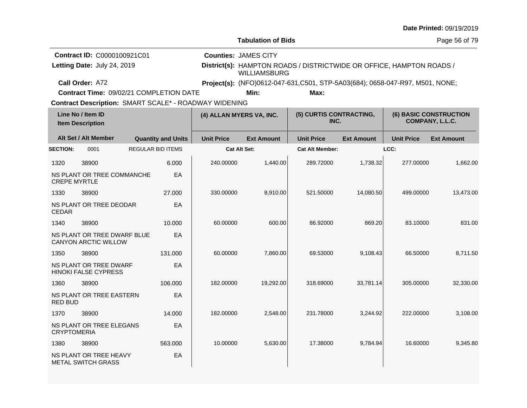|                                              |                                                            |  |                           |                                                                                                                                                                                                             |                           |                                 |                   |                   | Date Printed: 09/19/2019                         |  |
|----------------------------------------------|------------------------------------------------------------|--|---------------------------|-------------------------------------------------------------------------------------------------------------------------------------------------------------------------------------------------------------|---------------------------|---------------------------------|-------------------|-------------------|--------------------------------------------------|--|
|                                              |                                                            |  |                           |                                                                                                                                                                                                             | <b>Tabulation of Bids</b> |                                 |                   | Page 56 of 79     |                                                  |  |
|                                              | Contract ID: C0000100921C01<br>Letting Date: July 24, 2019 |  |                           | <b>Counties: JAMES CITY</b><br>District(s): HAMPTON ROADS / DISTRICTWIDE OR OFFICE, HAMPTON ROADS /<br><b>WILLIAMSBURG</b><br>Project(s): (NFO)0612-047-631, C501, STP-5A03(684); 0658-047-R97, M501, NONE; |                           |                                 |                   |                   |                                                  |  |
|                                              | Call Order: A72<br>Contract Time: 09/02/21 COMPLETION DATE |  |                           |                                                                                                                                                                                                             | Min:                      | Max:                            |                   |                   |                                                  |  |
|                                              |                                                            |  |                           | Contract Description: SMART SCALE* - ROADWAY WIDENING                                                                                                                                                       |                           |                                 |                   |                   |                                                  |  |
| Line No / Item ID<br><b>Item Description</b> |                                                            |  |                           |                                                                                                                                                                                                             | (4) ALLAN MYERS VA, INC.  | (5) CURTIS CONTRACTING,<br>INC. |                   |                   | <b>(6) BASIC CONSTRUCTION</b><br>COMPANY, L.L.C. |  |
|                                              | Alt Set / Alt Member                                       |  | <b>Quantity and Units</b> | <b>Unit Price</b>                                                                                                                                                                                           | <b>Ext Amount</b>         | <b>Unit Price</b>               | <b>Ext Amount</b> | <b>Unit Price</b> | <b>Ext Amount</b>                                |  |
| <b>SECTION:</b>                              | 0001                                                       |  | <b>REGULAR BID ITEMS</b>  |                                                                                                                                                                                                             | <b>Cat Alt Set:</b>       | <b>Cat Alt Member:</b>          |                   | LCC:              |                                                  |  |
| 1320                                         | 38900                                                      |  | 6.000                     | 240.00000                                                                                                                                                                                                   | 1,440.00                  | 289.72000                       | 1,738.32          | 277.00000         | 1,662.00                                         |  |
| <b>CREPE MYRTLE</b>                          | NS PLANT OR TREE COMMANCHE                                 |  | EA                        |                                                                                                                                                                                                             |                           |                                 |                   |                   |                                                  |  |
| 1330                                         | 38900                                                      |  | 27.000                    | 330.00000                                                                                                                                                                                                   | 8,910.00                  | 521.50000                       | 14,080.50         | 499.00000         | 13,473.00                                        |  |
| <b>CEDAR</b>                                 | NS PLANT OR TREE DEODAR                                    |  | EA                        |                                                                                                                                                                                                             |                           |                                 |                   |                   |                                                  |  |
| 1340                                         | 38900                                                      |  | 10.000                    | 60.00000                                                                                                                                                                                                    | 600.00                    | 86.92000                        | 869.20            | 83.10000          | 831.00                                           |  |
|                                              | NS PLANT OR TREE DWARF BLUE<br><b>CANYON ARCTIC WILLOW</b> |  | EA                        |                                                                                                                                                                                                             |                           |                                 |                   |                   |                                                  |  |
| 1350                                         | 38900                                                      |  | 131.000                   | 60.00000                                                                                                                                                                                                    | 7,860.00                  | 69.53000                        | 9,108.43          | 66.50000          | 8.711.50                                         |  |
|                                              | NS PLANT OR TREE DWARF<br><b>HINOKI FALSE CYPRESS</b>      |  | EA                        |                                                                                                                                                                                                             |                           |                                 |                   |                   |                                                  |  |
| 1360                                         | 38900                                                      |  | 106,000                   | 182.00000                                                                                                                                                                                                   | 19,292.00                 | 318.69000                       | 33,781.14         | 305.00000         | 32,330.00                                        |  |
| <b>RED BUD</b>                               | NS PLANT OR TREE EASTERN                                   |  | EA                        |                                                                                                                                                                                                             |                           |                                 |                   |                   |                                                  |  |
| 1370                                         | 38900                                                      |  | 14.000                    | 182.00000                                                                                                                                                                                                   | 2,548.00                  | 231.78000                       | 3,244.92          | 222.00000         | 3,108.00                                         |  |
| <b>CRYPTOMERIA</b>                           | NS PLANT OR TREE ELEGANS                                   |  | EA                        |                                                                                                                                                                                                             |                           |                                 |                   |                   |                                                  |  |
| 1380                                         | 38900                                                      |  | 563.000                   | 10.00000                                                                                                                                                                                                    | 5,630.00                  | 17.38000                        | 9,784.94          | 16.60000          | 9,345.80                                         |  |
|                                              | NS PLANT OR TREE HEAVY<br><b>METAL SWITCH GRASS</b>        |  | EA                        |                                                                                                                                                                                                             |                           |                                 |                   |                   |                                                  |  |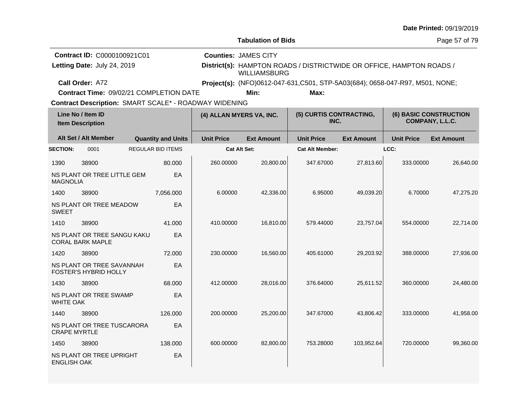|                                              |                                                                   |  |                           |                                                                                                                            |                                                                               |                        |                   |                                                  | Date Printed: 09/19/2019 |  |
|----------------------------------------------|-------------------------------------------------------------------|--|---------------------------|----------------------------------------------------------------------------------------------------------------------------|-------------------------------------------------------------------------------|------------------------|-------------------|--------------------------------------------------|--------------------------|--|
|                                              |                                                                   |  |                           |                                                                                                                            | <b>Tabulation of Bids</b>                                                     |                        |                   | Page 57 of 79                                    |                          |  |
|                                              | <b>Contract ID: C0000100921C01</b><br>Letting Date: July 24, 2019 |  |                           | <b>Counties: JAMES CITY</b><br>District(s): HAMPTON ROADS / DISTRICTWIDE OR OFFICE, HAMPTON ROADS /<br><b>WILLIAMSBURG</b> |                                                                               |                        |                   |                                                  |                          |  |
|                                              | Call Order: A72                                                   |  |                           |                                                                                                                            | Project(s): (NFO)0612-047-631, C501, STP-5A03(684); 0658-047-R97, M501, NONE; |                        |                   |                                                  |                          |  |
|                                              | <b>Contract Time: 09/02/21 COMPLETION DATE</b>                    |  |                           |                                                                                                                            | Min:                                                                          | Max:                   |                   |                                                  |                          |  |
|                                              | <b>Contract Description: SMART SCALE* - ROADWAY WIDENING</b>      |  |                           |                                                                                                                            |                                                                               |                        |                   |                                                  |                          |  |
| Line No / Item ID<br><b>Item Description</b> |                                                                   |  | (4) ALLAN MYERS VA, INC.  |                                                                                                                            | (5) CURTIS CONTRACTING,<br>INC.                                               |                        |                   | <b>(6) BASIC CONSTRUCTION</b><br>COMPANY, L.L.C. |                          |  |
|                                              | Alt Set / Alt Member                                              |  | <b>Quantity and Units</b> | <b>Unit Price</b>                                                                                                          | <b>Ext Amount</b>                                                             | <b>Unit Price</b>      | <b>Ext Amount</b> | <b>Unit Price</b>                                | <b>Ext Amount</b>        |  |
| <b>SECTION:</b>                              | 0001                                                              |  | <b>REGULAR BID ITEMS</b>  |                                                                                                                            | Cat Alt Set:                                                                  | <b>Cat Alt Member:</b> |                   | LCC:                                             |                          |  |
| 1390                                         | 38900                                                             |  | 80.000                    | 260,00000                                                                                                                  | 20,800.00                                                                     | 347.67000              | 27,813.60         | 333.00000                                        | 26,640.00                |  |
| <b>MAGNOLIA</b>                              | NS PLANT OR TREE LITTLE GEM                                       |  | EA                        |                                                                                                                            |                                                                               |                        |                   |                                                  |                          |  |
| 1400                                         | 38900                                                             |  | 7,056.000                 | 6.00000                                                                                                                    | 42,336.00                                                                     | 6.95000                | 49,039.20         | 6.70000                                          | 47,275.20                |  |
| <b>SWEET</b>                                 | NS PLANT OR TREE MEADOW                                           |  | EA                        |                                                                                                                            |                                                                               |                        |                   |                                                  |                          |  |
| 1410                                         | 38900                                                             |  | 41.000                    | 410.00000                                                                                                                  | 16,810.00                                                                     | 579.44000              | 23,757.04         | 554.00000                                        | 22,714.00                |  |
|                                              | NS PLANT OR TREE SANGU KAKU<br><b>CORAL BARK MAPLE</b>            |  | EA                        |                                                                                                                            |                                                                               |                        |                   |                                                  |                          |  |
| 1420                                         | 38900                                                             |  | 72,000                    | 230.00000                                                                                                                  | 16,560.00                                                                     | 405.61000              | 29,203.92         | 388,00000                                        | 27,936.00                |  |
|                                              | NS PLANT OR TREE SAVANNAH<br>FOSTER'S HYBRID HOLLY                |  | EA                        |                                                                                                                            |                                                                               |                        |                   |                                                  |                          |  |
| 1430                                         | 38900                                                             |  | 68,000                    | 412.00000                                                                                                                  | 28,016.00                                                                     | 376.64000              | 25,611.52         | 360,00000                                        | 24,480.00                |  |
| <b>WHITE OAK</b>                             | NS PLANT OR TREE SWAMP                                            |  | EA                        |                                                                                                                            |                                                                               |                        |                   |                                                  |                          |  |
| 1440                                         | 38900                                                             |  | 126.000                   | 200.00000                                                                                                                  | 25,200.00                                                                     | 347.67000              | 43,806.42         | 333.00000                                        | 41,958.00                |  |
| <b>CRAPE MYRTLE</b>                          | NS PLANT OR TREE TUSCARORA                                        |  | EA                        |                                                                                                                            |                                                                               |                        |                   |                                                  |                          |  |
| 1450                                         | 38900                                                             |  | 138.000                   | 600.00000                                                                                                                  | 82,800.00                                                                     | 753.28000              | 103,952.64        | 720.00000                                        | 99,360.00                |  |
| <b>ENGLISH OAK</b>                           | NS PLANT OR TREE UPRIGHT                                          |  | EA                        |                                                                                                                            |                                                                               |                        |                   |                                                  |                          |  |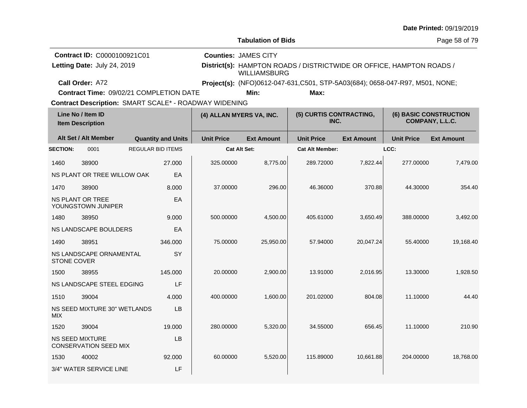|                                                                                                              |                                                            |  |                           |                          |                                                    |                                                                               |                   |                   | Date Printed: 09/19/2019                         |  |
|--------------------------------------------------------------------------------------------------------------|------------------------------------------------------------|--|---------------------------|--------------------------|----------------------------------------------------|-------------------------------------------------------------------------------|-------------------|-------------------|--------------------------------------------------|--|
|                                                                                                              |                                                            |  |                           |                          | <b>Tabulation of Bids</b>                          |                                                                               |                   | Page 58 of 79     |                                                  |  |
|                                                                                                              | Contract ID: C0000100921C01<br>Letting Date: July 24, 2019 |  |                           |                          | <b>Counties: JAMES CITY</b><br><b>WILLIAMSBURG</b> | District(s): HAMPTON ROADS / DISTRICTWIDE OR OFFICE, HAMPTON ROADS /          |                   |                   |                                                  |  |
|                                                                                                              | Call Order: A72                                            |  |                           |                          |                                                    | Project(s): (NFO)0612-047-631, C501, STP-5A03(684); 0658-047-R97, M501, NONE; |                   |                   |                                                  |  |
|                                                                                                              | Contract Time: 09/02/21 COMPLETION DATE                    |  |                           |                          | Min:                                               | Max:                                                                          |                   |                   |                                                  |  |
| <b>Contract Description: SMART SCALE* - ROADWAY WIDENING</b><br>Line No / Item ID<br><b>Item Description</b> |                                                            |  |                           | (4) ALLAN MYERS VA, INC. |                                                    | (5) CURTIS CONTRACTING,<br>INC.                                               |                   |                   | <b>(6) BASIC CONSTRUCTION</b><br>COMPANY, L.L.C. |  |
|                                                                                                              | Alt Set / Alt Member                                       |  | <b>Quantity and Units</b> | <b>Unit Price</b>        | <b>Ext Amount</b>                                  | <b>Unit Price</b>                                                             | <b>Ext Amount</b> | <b>Unit Price</b> | <b>Ext Amount</b>                                |  |
| <b>SECTION:</b>                                                                                              | 0001                                                       |  | <b>REGULAR BID ITEMS</b>  |                          | <b>Cat Alt Set:</b>                                | <b>Cat Alt Member:</b>                                                        |                   | LCC:              |                                                  |  |
| 1460                                                                                                         | 38900                                                      |  | 27.000                    | 325.00000                | 8,775.00                                           | 289.72000                                                                     | 7,822.44          | 277.00000         | 7,479.00                                         |  |
|                                                                                                              | NS PLANT OR TREE WILLOW OAK                                |  | EA                        |                          |                                                    |                                                                               |                   |                   |                                                  |  |
| 1470                                                                                                         | 38900                                                      |  | 8.000                     | 37,00000                 | 296.00                                             | 46.36000                                                                      | 370.88            | 44.30000          | 354.40                                           |  |
|                                                                                                              | NS PLANT OR TREE<br>YOUNGSTOWN JUNIPER                     |  | EA                        |                          |                                                    |                                                                               |                   |                   |                                                  |  |
| 1480                                                                                                         | 38950                                                      |  | 9.000                     | 500.00000                | 4,500.00                                           | 405.61000                                                                     | 3,650.49          | 388.00000         | 3,492.00                                         |  |
|                                                                                                              | NS LANDSCAPE BOULDERS                                      |  | EA                        |                          |                                                    |                                                                               |                   |                   |                                                  |  |
| 1490                                                                                                         | 38951                                                      |  | 346,000                   | 75,00000                 | 25,950.00                                          | 57.94000                                                                      | 20,047.24         | 55.40000          | 19,168.40                                        |  |
| <b>STONE COVER</b>                                                                                           | NS LANDSCAPE ORNAMENTAL                                    |  | SY                        |                          |                                                    |                                                                               |                   |                   |                                                  |  |
| 1500                                                                                                         | 38955                                                      |  | 145.000                   | 20.00000                 | 2,900.00                                           | 13.91000                                                                      | 2,016.95          | 13.30000          | 1,928.50                                         |  |
|                                                                                                              | NS LANDSCAPE STEEL EDGING                                  |  | LF                        |                          |                                                    |                                                                               |                   |                   |                                                  |  |
| 1510                                                                                                         | 39004                                                      |  | 4.000                     | 400.00000                | 1,600.00                                           | 201.02000                                                                     | 804.08            | 11.10000          | 44.40                                            |  |
| <b>MIX</b>                                                                                                   | NS SEED MIXTURE 30" WETLANDS                               |  | <b>LB</b>                 |                          |                                                    |                                                                               |                   |                   |                                                  |  |
| 1520                                                                                                         | 39004                                                      |  | 19.000                    | 280.00000                | 5,320.00                                           | 34.55000                                                                      | 656.45            | 11.10000          | 210.90                                           |  |
|                                                                                                              | <b>NS SEED MIXTURE</b><br><b>CONSERVATION SEED MIX</b>     |  | LB                        |                          |                                                    |                                                                               |                   |                   |                                                  |  |
| 1530                                                                                                         | 40002                                                      |  | 92.000                    | 60.00000                 | 5,520.00                                           | 115.89000                                                                     | 10,661.88         | 204.00000         | 18,768.00                                        |  |
|                                                                                                              | 3/4" WATER SERVICE LINE                                    |  | LF                        |                          |                                                    |                                                                               |                   |                   |                                                  |  |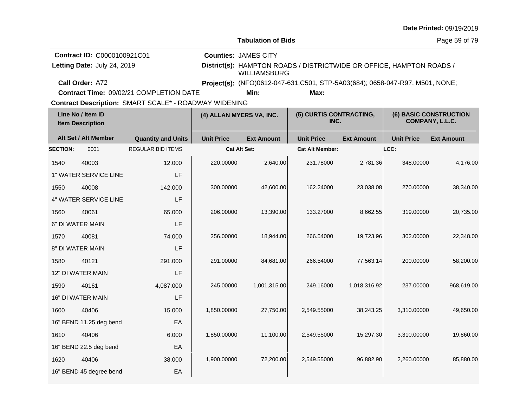|                                                                               |                         |                                                              |                                                    |                                                                                                                                                       |                                 |                   |                                           | Date Printed: 09/19/2019 |
|-------------------------------------------------------------------------------|-------------------------|--------------------------------------------------------------|----------------------------------------------------|-------------------------------------------------------------------------------------------------------------------------------------------------------|---------------------------------|-------------------|-------------------------------------------|--------------------------|
|                                                                               |                         |                                                              |                                                    | <b>Tabulation of Bids</b>                                                                                                                             |                                 |                   |                                           | Page 59 of 79            |
| Contract ID: C0000100921C01<br>Letting Date: July 24, 2019<br>Call Order: A72 |                         |                                                              | <b>Counties: JAMES CITY</b><br><b>WILLIAMSBURG</b> | District(s): HAMPTON ROADS / DISTRICTWIDE OR OFFICE, HAMPTON ROADS /<br>Project(s): (NFO)0612-047-631, C501, STP-5A03(684); 0658-047-R97, M501, NONE; |                                 |                   |                                           |                          |
|                                                                               |                         | Contract Time: 09/02/21 COMPLETION DATE                      |                                                    | Min:                                                                                                                                                  | Max:                            |                   |                                           |                          |
|                                                                               |                         | <b>Contract Description: SMART SCALE* - ROADWAY WIDENING</b> |                                                    |                                                                                                                                                       |                                 |                   |                                           |                          |
| Line No / Item ID<br><b>Item Description</b>                                  |                         |                                                              | (4) ALLAN MYERS VA, INC.                           |                                                                                                                                                       | (5) CURTIS CONTRACTING,<br>INC. |                   | (6) BASIC CONSTRUCTION<br>COMPANY, L.L.C. |                          |
|                                                                               | Alt Set / Alt Member    | <b>Quantity and Units</b>                                    | <b>Unit Price</b>                                  | <b>Ext Amount</b>                                                                                                                                     | <b>Unit Price</b>               | <b>Ext Amount</b> | <b>Unit Price</b>                         | <b>Ext Amount</b>        |
| <b>SECTION:</b>                                                               | 0001                    | <b>REGULAR BID ITEMS</b>                                     |                                                    | Cat Alt Set:                                                                                                                                          | <b>Cat Alt Member:</b>          |                   | LCC:                                      |                          |
| 1540                                                                          | 40003                   | 12.000                                                       | 220.00000                                          | 2,640.00                                                                                                                                              | 231.78000                       | 2,781.36          | 348.00000                                 | 4,176.00                 |
|                                                                               | 1" WATER SERVICE LINE   | LF                                                           |                                                    |                                                                                                                                                       |                                 |                   |                                           |                          |
| 1550                                                                          | 40008                   | 142.000                                                      | 300.00000                                          | 42,600.00                                                                                                                                             | 162.24000                       | 23,038.08         | 270.00000                                 | 38,340.00                |
|                                                                               | 4" WATER SERVICE LINE   | LF                                                           |                                                    |                                                                                                                                                       |                                 |                   |                                           |                          |
| 1560                                                                          | 40061                   | 65.000                                                       | 206.00000                                          | 13,390.00                                                                                                                                             | 133.27000                       | 8,662.55          | 319.00000                                 | 20,735.00                |
|                                                                               | 6" DI WATER MAIN        | LF                                                           |                                                    |                                                                                                                                                       |                                 |                   |                                           |                          |
| 1570                                                                          | 40081                   | 74.000                                                       | 256.00000                                          | 18,944.00                                                                                                                                             | 266.54000                       | 19,723.96         | 302.00000                                 | 22,348.00                |
|                                                                               | 8" DI WATER MAIN        | LF                                                           |                                                    |                                                                                                                                                       |                                 |                   |                                           |                          |
| 1580                                                                          | 40121                   | 291.000                                                      | 291.00000                                          | 84,681.00                                                                                                                                             | 266.54000                       | 77,563.14         | 200.00000                                 | 58,200.00                |
| 12" DI WATER MAIN                                                             |                         | LF                                                           |                                                    |                                                                                                                                                       |                                 |                   |                                           |                          |
| 1590                                                                          | 40161                   | 4,087.000                                                    | 245.00000                                          | 1,001,315.00                                                                                                                                          | 249.16000                       | 1,018,316.92      | 237.00000                                 | 968,619.00               |
|                                                                               | 16" DI WATER MAIN       | LF                                                           |                                                    |                                                                                                                                                       |                                 |                   |                                           |                          |
| 1600                                                                          | 40406                   | 15.000                                                       | 1,850.00000                                        | 27,750.00                                                                                                                                             | 2,549.55000                     | 38,243.25         | 3,310.00000                               | 49,650.00                |
|                                                                               | 16" BEND 11.25 deg bend | EA                                                           |                                                    |                                                                                                                                                       |                                 |                   |                                           |                          |
| 1610                                                                          | 40406                   | 6.000                                                        | 1,850.00000                                        | 11,100.00                                                                                                                                             | 2,549.55000                     | 15,297.30         | 3,310.00000                               | 19,860.00                |
| 16" BEND 22.5 deg bend                                                        |                         | EA                                                           |                                                    |                                                                                                                                                       |                                 |                   |                                           |                          |
| 1620                                                                          | 40406                   | 38.000                                                       | 1,900.00000                                        | 72,200.00                                                                                                                                             | 2,549.55000                     | 96,882.90         | 2,260.00000                               | 85,880.00                |
|                                                                               | 16" BEND 45 degree bend | EA                                                           |                                                    |                                                                                                                                                       |                                 |                   |                                           |                          |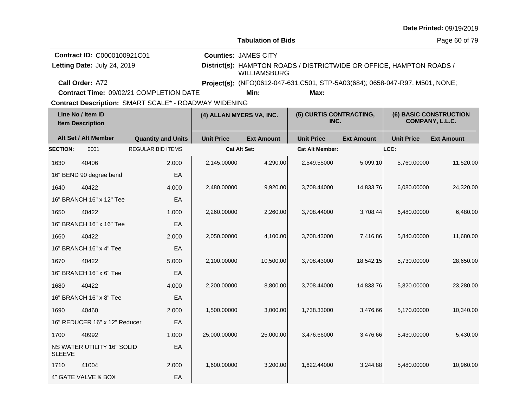|                                                            |                               |                                                       |                                                                                                                            |                                 |                                                                                      |                                                  |                   | Date Printed: 09/19/2019 |
|------------------------------------------------------------|-------------------------------|-------------------------------------------------------|----------------------------------------------------------------------------------------------------------------------------|---------------------------------|--------------------------------------------------------------------------------------|--------------------------------------------------|-------------------|--------------------------|
|                                                            |                               |                                                       |                                                                                                                            | <b>Tabulation of Bids</b>       |                                                                                      |                                                  |                   | Page 60 of 79            |
| Contract ID: C0000100921C01<br>Letting Date: July 24, 2019 |                               |                                                       | <b>Counties: JAMES CITY</b><br>District(s): HAMPTON ROADS / DISTRICTWIDE OR OFFICE, HAMPTON ROADS /<br><b>WILLIAMSBURG</b> |                                 |                                                                                      |                                                  |                   |                          |
|                                                            | Call Order: A72               | Contract Time: 09/02/21 COMPLETION DATE               |                                                                                                                            | Min:                            | Project(s): (NFO)0612-047-631,C501, STP-5A03(684); 0658-047-R97, M501, NONE;<br>Max: |                                                  |                   |                          |
|                                                            |                               | Contract Description: SMART SCALE* - ROADWAY WIDENING |                                                                                                                            |                                 |                                                                                      |                                                  |                   |                          |
| Line No / Item ID<br><b>Item Description</b>               |                               | (4) ALLAN MYERS VA, INC.                              |                                                                                                                            | (5) CURTIS CONTRACTING,<br>INC. |                                                                                      | <b>(6) BASIC CONSTRUCTION</b><br>COMPANY, L.L.C. |                   |                          |
|                                                            | Alt Set / Alt Member          | <b>Quantity and Units</b>                             | <b>Unit Price</b>                                                                                                          | <b>Ext Amount</b>               | <b>Unit Price</b>                                                                    | <b>Ext Amount</b>                                | <b>Unit Price</b> | <b>Ext Amount</b>        |
| <b>SECTION:</b>                                            | 0001                          | <b>REGULAR BID ITEMS</b>                              | Cat Alt Set:                                                                                                               |                                 | <b>Cat Alt Member:</b>                                                               |                                                  | LCC:              |                          |
| 1630                                                       | 40406                         | 2.000                                                 | 2,145.00000                                                                                                                | 4,290.00                        | 2,549.55000                                                                          | 5,099.10                                         | 5,760.00000       | 11,520.00                |
|                                                            | 16" BEND 90 degree bend       | EA                                                    |                                                                                                                            |                                 |                                                                                      |                                                  |                   |                          |
| 1640                                                       | 40422                         | 4.000                                                 | 2,480.00000                                                                                                                | 9,920.00                        | 3,708.44000                                                                          | 14,833.76                                        | 6,080.00000       | 24,320.00                |
| 16" BRANCH 16" x 12" Tee                                   |                               | EA                                                    |                                                                                                                            |                                 |                                                                                      |                                                  |                   |                          |
| 1650                                                       | 40422                         | 1.000                                                 | 2,260.00000                                                                                                                | 2,260.00                        | 3,708.44000                                                                          | 3,708.44                                         | 6,480.00000       | 6,480.00                 |
|                                                            | 16" BRANCH 16" x 16" Tee      | EA                                                    |                                                                                                                            |                                 |                                                                                      |                                                  |                   |                          |
| 1660                                                       | 40422                         | 2.000                                                 | 2,050.00000                                                                                                                | 4,100.00                        | 3,708.43000                                                                          | 7,416.86                                         | 5,840.00000       | 11,680.00                |
|                                                            | 16" BRANCH 16" x 4" Tee       | EA                                                    |                                                                                                                            |                                 |                                                                                      |                                                  |                   |                          |
| 1670                                                       | 40422                         | 5.000                                                 | 2,100.00000                                                                                                                | 10,500.00                       | 3,708.43000                                                                          | 18,542.15                                        | 5,730.00000       | 28,650.00                |
|                                                            | 16" BRANCH 16" x 6" Tee       | EA                                                    |                                                                                                                            |                                 |                                                                                      |                                                  |                   |                          |
| 1680                                                       | 40422                         | 4.000                                                 | 2,200.00000                                                                                                                | 8,800.00                        | 3,708.44000                                                                          | 14,833.76                                        | 5,820.00000       | 23,280.00                |
|                                                            | 16" BRANCH 16" x 8" Tee       | EA                                                    |                                                                                                                            |                                 |                                                                                      |                                                  |                   |                          |
| 1690                                                       | 40460                         | 2.000                                                 | 1,500.00000                                                                                                                | 3,000.00                        | 1,738.33000                                                                          | 3,476.66                                         | 5.170.00000       | 10,340.00                |
|                                                            | 16" REDUCER 16" x 12" Reducer | EA                                                    |                                                                                                                            |                                 |                                                                                      |                                                  |                   |                          |
| 1700                                                       | 40992                         | 1.000                                                 | 25,000.00000                                                                                                               | 25,000.00                       | 3,476.66000                                                                          | 3,476.66                                         | 5,430.00000       | 5,430.00                 |
| NS WATER UTILITY 16" SOLID<br><b>SLEEVE</b>                |                               | EA                                                    |                                                                                                                            |                                 |                                                                                      |                                                  |                   |                          |
| 1710                                                       | 41004                         | 2.000                                                 | 1,600.00000                                                                                                                | 3,200.00                        | 1,622.44000                                                                          | 3,244.88                                         | 5,480.00000       | 10,960.00                |
|                                                            | 4" GATE VALVE & BOX           | EA                                                    |                                                                                                                            |                                 |                                                                                      |                                                  |                   |                          |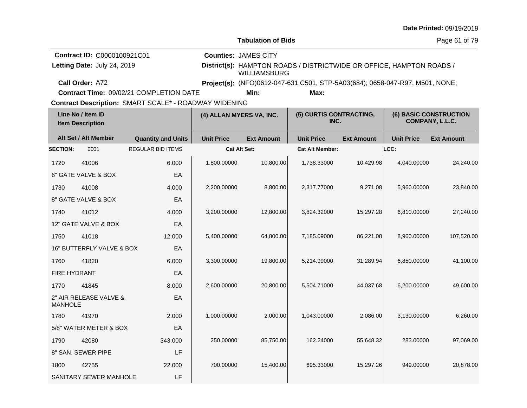|                                                                                                       |                           |                                         |                                                    |                                                                                                                                                       |                        |                                           |                   | Date Printed: 09/19/2019 |
|-------------------------------------------------------------------------------------------------------|---------------------------|-----------------------------------------|----------------------------------------------------|-------------------------------------------------------------------------------------------------------------------------------------------------------|------------------------|-------------------------------------------|-------------------|--------------------------|
|                                                                                                       |                           |                                         |                                                    | <b>Tabulation of Bids</b>                                                                                                                             |                        |                                           |                   | Page 61 of 79            |
| Contract ID: C0000100921C01<br>Letting Date: July 24, 2019<br>Call Order: A72                         |                           |                                         | <b>Counties: JAMES CITY</b><br><b>WILLIAMSBURG</b> | District(s): HAMPTON ROADS / DISTRICTWIDE OR OFFICE, HAMPTON ROADS /<br>Project(s): (NFO)0612-047-631, C501, STP-5A03(684); 0658-047-R97, M501, NONE; |                        |                                           |                   |                          |
|                                                                                                       |                           | Contract Time: 09/02/21 COMPLETION DATE |                                                    | Min:                                                                                                                                                  | Max:                   |                                           |                   |                          |
| Contract Description: SMART SCALE* - ROADWAY WIDENING<br>Line No / Item ID<br><b>Item Description</b> |                           | (4) ALLAN MYERS VA, INC.                |                                                    | (5) CURTIS CONTRACTING,<br>INC.                                                                                                                       |                        | (6) BASIC CONSTRUCTION<br>COMPANY, L.L.C. |                   |                          |
|                                                                                                       | Alt Set / Alt Member      | <b>Quantity and Units</b>               | <b>Unit Price</b>                                  | <b>Ext Amount</b>                                                                                                                                     | <b>Unit Price</b>      | <b>Ext Amount</b>                         | <b>Unit Price</b> | <b>Ext Amount</b>        |
| <b>SECTION:</b>                                                                                       | 0001                      | <b>REGULAR BID ITEMS</b>                | <b>Cat Alt Set:</b>                                |                                                                                                                                                       | <b>Cat Alt Member:</b> |                                           | LCC:              |                          |
| 1720                                                                                                  | 41006                     | 6.000                                   | 1,800.00000                                        | 10,800.00                                                                                                                                             | 1,738.33000            | 10,429.98                                 | 4,040.00000       | 24,240.00                |
|                                                                                                       | 6" GATE VALVE & BOX       | EA                                      |                                                    |                                                                                                                                                       |                        |                                           |                   |                          |
| 1730                                                                                                  | 41008                     | 4.000                                   | 2,200.00000                                        | 8,800.00                                                                                                                                              | 2,317.77000            | 9,271.08                                  | 5,960.00000       | 23,840.00                |
|                                                                                                       | 8" GATE VALVE & BOX       | EA                                      |                                                    |                                                                                                                                                       |                        |                                           |                   |                          |
| 1740                                                                                                  | 41012                     | 4.000                                   | 3,200.00000                                        | 12,800.00                                                                                                                                             | 3,824.32000            | 15,297.28                                 | 6,810.00000       | 27,240.00                |
|                                                                                                       | 12" GATE VALVE & BOX      | EA                                      |                                                    |                                                                                                                                                       |                        |                                           |                   |                          |
| 1750                                                                                                  | 41018                     | 12.000                                  | 5,400.00000                                        | 64,800.00                                                                                                                                             | 7,185.09000            | 86,221.08                                 | 8,960.00000       | 107,520.00               |
|                                                                                                       | 16" BUTTERFLY VALVE & BOX | EA                                      |                                                    |                                                                                                                                                       |                        |                                           |                   |                          |
| 1760                                                                                                  | 41820                     | 6.000                                   | 3,300.00000                                        | 19,800.00                                                                                                                                             | 5,214.99000            | 31,289.94                                 | 6,850.00000       | 41,100.00                |
| FIRE HYDRANT                                                                                          |                           | EA                                      |                                                    |                                                                                                                                                       |                        |                                           |                   |                          |
| 1770                                                                                                  | 41845                     | 8.000                                   | 2,600.00000                                        | 20,800.00                                                                                                                                             | 5,504.71000            | 44,037.68                                 | 6,200.00000       | 49,600.00                |
| <b>MANHOLE</b>                                                                                        | 2" AIR RELEASE VALVE &    | EA                                      |                                                    |                                                                                                                                                       |                        |                                           |                   |                          |
| 1780                                                                                                  | 41970                     | 2.000                                   | 1,000.00000                                        | 2,000.00                                                                                                                                              | 1,043.00000            | 2,086.00                                  | 3,130.00000       | 6,260.00                 |
|                                                                                                       | 5/8" WATER METER & BOX    | EA                                      |                                                    |                                                                                                                                                       |                        |                                           |                   |                          |
| 1790                                                                                                  | 42080                     | 343.000                                 | 250.00000                                          | 85,750.00                                                                                                                                             | 162.24000              | 55,648.32                                 | 283.00000         | 97,069.00                |
| 8" SAN. SEWER PIPE                                                                                    |                           | LF                                      |                                                    |                                                                                                                                                       |                        |                                           |                   |                          |
| 1800                                                                                                  | 42755                     | 22.000                                  | 700.00000                                          | 15,400.00                                                                                                                                             | 695.33000              | 15,297.26                                 | 949.00000         | 20,878.00                |
|                                                                                                       | SANITARY SEWER MANHOLE    | LF                                      |                                                    |                                                                                                                                                       |                        |                                           |                   |                          |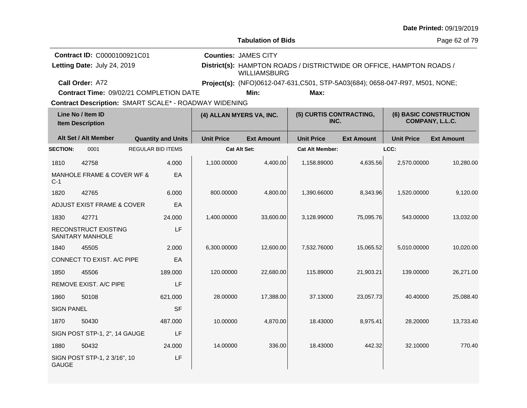|                                              |                                                 |                           |           |                                                              |                                                                                             |                                                                              |                   |                   | <b>Date Printed: 09/19/2019</b> |  |
|----------------------------------------------|-------------------------------------------------|---------------------------|-----------|--------------------------------------------------------------|---------------------------------------------------------------------------------------------|------------------------------------------------------------------------------|-------------------|-------------------|---------------------------------|--|
|                                              |                                                 |                           |           |                                                              | <b>Tabulation of Bids</b>                                                                   |                                                                              |                   |                   | Page 62 of 79                   |  |
| Contract ID: C0000100921C01                  |                                                 |                           |           |                                                              | <b>Counties: JAMES CITY</b>                                                                 |                                                                              |                   |                   |                                 |  |
| Letting Date: July 24, 2019                  |                                                 |                           |           |                                                              | District(s): HAMPTON ROADS / DISTRICTWIDE OR OFFICE, HAMPTON ROADS /<br><b>WILLIAMSBURG</b> |                                                                              |                   |                   |                                 |  |
|                                              | Call Order: A72                                 |                           |           |                                                              |                                                                                             | Project(s): (NFO)0612-047-631,C501, STP-5A03(684); 0658-047-R97, M501, NONE; |                   |                   |                                 |  |
|                                              | <b>Contract Time: 09/02/21 COMPLETION DATE</b>  |                           |           |                                                              | Min:                                                                                        | Max:                                                                         |                   |                   |                                 |  |
|                                              |                                                 |                           |           | <b>Contract Description: SMART SCALE* - ROADWAY WIDENING</b> |                                                                                             |                                                                              |                   |                   |                                 |  |
| Line No / Item ID<br><b>Item Description</b> |                                                 | (4) ALLAN MYERS VA, INC.  |           | (5) CURTIS CONTRACTING,<br>INC.                              |                                                                                             | <b>(6) BASIC CONSTRUCTION</b><br>COMPANY, L.L.C.                             |                   |                   |                                 |  |
|                                              | Alt Set / Alt Member                            | <b>Quantity and Units</b> |           | <b>Unit Price</b>                                            | <b>Ext Amount</b>                                                                           | <b>Unit Price</b>                                                            | <b>Ext Amount</b> | <b>Unit Price</b> | <b>Ext Amount</b>               |  |
| <b>SECTION:</b>                              | 0001                                            | <b>REGULAR BID ITEMS</b>  |           |                                                              | <b>Cat Alt Set:</b>                                                                         | <b>Cat Alt Member:</b>                                                       |                   | LCC:              |                                 |  |
| 1810                                         | 42758                                           | 4.000                     |           | 1,100.00000                                                  | 4,400.00                                                                                    | 1,158.89000                                                                  | 4,635.56          | 2,570.00000       | 10,280.00                       |  |
| $C-1$                                        | MANHOLE FRAME & COVER WF &                      |                           | EA        |                                                              |                                                                                             |                                                                              |                   |                   |                                 |  |
| 1820                                         | 42765                                           | 6.000                     |           | 800.00000                                                    | 4,800.00                                                                                    | 1,390.66000                                                                  | 8,343.96          | 1,520.00000       | 9,120.00                        |  |
|                                              | ADJUST EXIST FRAME & COVER                      |                           | EA        |                                                              |                                                                                             |                                                                              |                   |                   |                                 |  |
| 1830                                         | 42771                                           | 24.000                    |           | 1,400.00000                                                  | 33,600.00                                                                                   | 3,128.99000                                                                  | 75,095.76         | 543.00000         | 13,032.00                       |  |
|                                              | RECONSTRUCT EXISTING<br><b>SANITARY MANHOLE</b> |                           | LF        |                                                              |                                                                                             |                                                                              |                   |                   |                                 |  |
| 1840                                         | 45505                                           | 2.000                     |           | 6,300.00000                                                  | 12,600.00                                                                                   | 7,532.76000                                                                  | 15.065.52         | 5.010.00000       | 10,020.00                       |  |
|                                              | CONNECT TO EXIST. A/C PIPE                      |                           | EA        |                                                              |                                                                                             |                                                                              |                   |                   |                                 |  |
| 1850                                         | 45506                                           | 189,000                   |           | 120,00000                                                    | 22.680.00                                                                                   | 115.89000                                                                    | 21,903.21         | 139.00000         | 26,271.00                       |  |
|                                              | REMOVE EXIST. A/C PIPE                          |                           | LF        |                                                              |                                                                                             |                                                                              |                   |                   |                                 |  |
| 1860                                         | 50108                                           | 621.000                   |           | 28.00000                                                     | 17,388.00                                                                                   | 37.13000                                                                     | 23,057.73         | 40.40000          | 25,088.40                       |  |
| <b>SIGN PANEL</b>                            |                                                 |                           | <b>SF</b> |                                                              |                                                                                             |                                                                              |                   |                   |                                 |  |
| 1870                                         | 50430                                           | 487.000                   |           | 10.00000                                                     | 4,870.00                                                                                    | 18.43000                                                                     | 8,975.41          | 28.20000          | 13,733.40                       |  |
|                                              | SIGN POST STP-1, 2", 14 GAUGE                   |                           | LF        |                                                              |                                                                                             |                                                                              |                   |                   |                                 |  |
| 1880                                         | 50432                                           | 24.000                    |           | 14.00000                                                     | 336.00                                                                                      | 18.43000                                                                     | 442.32            | 32.10000          | 770.40                          |  |
| <b>GAUGE</b>                                 | SIGN POST STP-1, 2 3/16", 10                    |                           | LF        |                                                              |                                                                                             |                                                                              |                   |                   |                                 |  |

**Date Printed:** 09/19/2019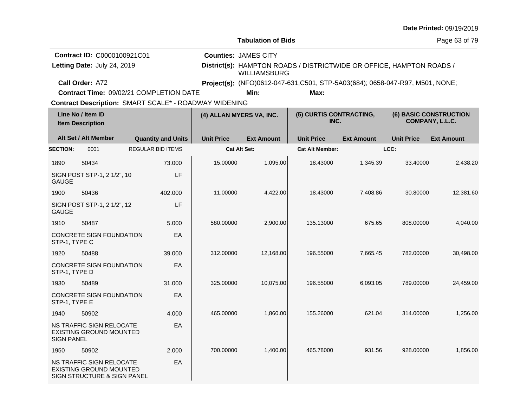|                                                                                                       |                                                                                    |                                         |                                                                                                                            |                                                                               |                                 |                   |                                                  | Date Printed: 09/19/2019 |
|-------------------------------------------------------------------------------------------------------|------------------------------------------------------------------------------------|-----------------------------------------|----------------------------------------------------------------------------------------------------------------------------|-------------------------------------------------------------------------------|---------------------------------|-------------------|--------------------------------------------------|--------------------------|
|                                                                                                       |                                                                                    |                                         |                                                                                                                            | <b>Tabulation of Bids</b>                                                     |                                 |                   |                                                  | Page 63 of 79            |
|                                                                                                       | Contract ID: C0000100921C01<br>Letting Date: July 24, 2019                         |                                         | <b>Counties: JAMES CITY</b><br>District(s): HAMPTON ROADS / DISTRICTWIDE OR OFFICE, HAMPTON ROADS /<br><b>WILLIAMSBURG</b> |                                                                               |                                 |                   |                                                  |                          |
|                                                                                                       | Call Order: A72                                                                    |                                         |                                                                                                                            | Project(s): (NFO)0612-047-631, C501, STP-5A03(684); 0658-047-R97, M501, NONE; |                                 |                   |                                                  |                          |
|                                                                                                       |                                                                                    | Contract Time: 09/02/21 COMPLETION DATE |                                                                                                                            | Min:                                                                          | Max:                            |                   |                                                  |                          |
| Contract Description: SMART SCALE* - ROADWAY WIDENING<br>Line No / Item ID<br><b>Item Description</b> |                                                                                    |                                         | (4) ALLAN MYERS VA, INC.                                                                                                   |                                                                               | (5) CURTIS CONTRACTING,<br>INC. |                   | <b>(6) BASIC CONSTRUCTION</b><br>COMPANY, L.L.C. |                          |
| Alt Set / Alt Member                                                                                  |                                                                                    | <b>Quantity and Units</b>               | <b>Unit Price</b>                                                                                                          | <b>Ext Amount</b>                                                             | <b>Unit Price</b>               | <b>Ext Amount</b> | <b>Unit Price</b>                                | <b>Ext Amount</b>        |
| <b>SECTION:</b>                                                                                       | 0001                                                                               | <b>REGULAR BID ITEMS</b>                |                                                                                                                            | Cat Alt Set:                                                                  | <b>Cat Alt Member:</b>          |                   | LCC:                                             |                          |
| 1890                                                                                                  | 50434                                                                              | 73,000                                  | 15.00000                                                                                                                   | 1,095.00                                                                      | 18.43000                        | 1,345.39          | 33.40000                                         | 2,438.20                 |
| <b>GAUGE</b>                                                                                          | SIGN POST STP-1, 2 1/2", 10                                                        | LF                                      |                                                                                                                            |                                                                               |                                 |                   |                                                  |                          |
| 1900                                                                                                  | 50436                                                                              | 402.000                                 | 11.00000                                                                                                                   | 4,422.00                                                                      | 18.43000                        | 7,408.86          | 30.80000                                         | 12,381.60                |
| <b>GAUGE</b>                                                                                          | SIGN POST STP-1, 2 1/2", 12                                                        | LF                                      |                                                                                                                            |                                                                               |                                 |                   |                                                  |                          |
| 1910                                                                                                  | 50487                                                                              | 5.000                                   | 580.00000                                                                                                                  | 2,900.00                                                                      | 135.13000                       | 675.65            | 808.00000                                        | 4,040.00                 |
| STP-1, TYPE C                                                                                         | CONCRETE SIGN FOUNDATION                                                           | EA                                      |                                                                                                                            |                                                                               |                                 |                   |                                                  |                          |
| 1920                                                                                                  | 50488                                                                              | 39.000                                  | 312.00000                                                                                                                  | 12,168.00                                                                     | 196.55000                       | 7,665.45          | 782.00000                                        | 30,498.00                |
| STP-1, TYPE D                                                                                         | CONCRETE SIGN FOUNDATION                                                           | EA                                      |                                                                                                                            |                                                                               |                                 |                   |                                                  |                          |
| 1930                                                                                                  | 50489                                                                              | 31.000                                  | 325.00000                                                                                                                  | 10,075.00                                                                     | 196.55000                       | 6,093.05          | 789.00000                                        | 24,459.00                |
| STP-1, TYPE E                                                                                         | CONCRETE SIGN FOUNDATION                                                           | EA                                      |                                                                                                                            |                                                                               |                                 |                   |                                                  |                          |
| 1940                                                                                                  | 50902                                                                              | 4.000                                   | 465.00000                                                                                                                  | 1,860.00                                                                      | 155.26000                       | 621.04            | 314.00000                                        | 1,256.00                 |
| <b>SIGN PANEL</b>                                                                                     | NS TRAFFIC SIGN RELOCATE<br><b>EXISTING GROUND MOUNTED</b>                         | EA                                      |                                                                                                                            |                                                                               |                                 |                   |                                                  |                          |
| 1950                                                                                                  | 50902                                                                              | 2.000                                   | 700.00000                                                                                                                  | 1,400.00                                                                      | 465.78000                       | 931.56            | 928.00000                                        | 1,856.00                 |
|                                                                                                       | NS TRAFFIC SIGN RELOCATE<br>EXISTING GROUND MOUNTED<br>SIGN STRUCTURE & SIGN PANEL | EA                                      |                                                                                                                            |                                                                               |                                 |                   |                                                  |                          |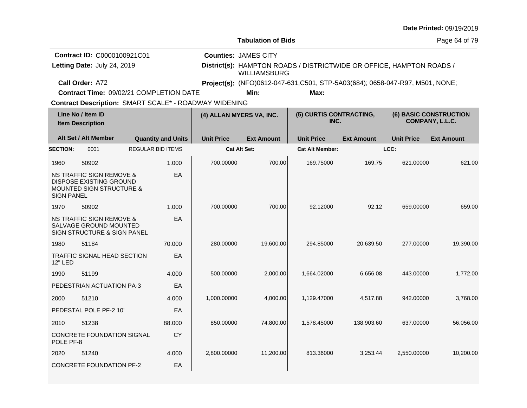|                                                                                            |                                                              |                           |                   |                                                                                             |                                 |                   |                   | Date Printed: 09/19/2019                         |  |
|--------------------------------------------------------------------------------------------|--------------------------------------------------------------|---------------------------|-------------------|---------------------------------------------------------------------------------------------|---------------------------------|-------------------|-------------------|--------------------------------------------------|--|
|                                                                                            |                                                              |                           |                   | <b>Tabulation of Bids</b>                                                                   |                                 |                   |                   | Page 64 of 79                                    |  |
|                                                                                            | <b>Contract ID: C0000100921C01</b>                           |                           |                   | <b>Counties: JAMES CITY</b>                                                                 |                                 |                   |                   |                                                  |  |
| Letting Date: July 24, 2019                                                                |                                                              |                           |                   | District(s): HAMPTON ROADS / DISTRICTWIDE OR OFFICE, HAMPTON ROADS /<br><b>WILLIAMSBURG</b> |                                 |                   |                   |                                                  |  |
| Call Order: A72                                                                            | Contract Time: 09/02/21 COMPLETION DATE                      |                           |                   | Project(s): (NFO)0612-047-631, C501, STP-5A03(684); 0658-047-R97, M501, NONE;               |                                 |                   |                   |                                                  |  |
|                                                                                            | <b>Contract Description: SMART SCALE* - ROADWAY WIDENING</b> |                           |                   | Min:                                                                                        | Max:                            |                   |                   |                                                  |  |
| Line No / Item ID<br><b>Item Description</b>                                               |                                                              |                           |                   | (4) ALLAN MYERS VA, INC.                                                                    | (5) CURTIS CONTRACTING,<br>INC. |                   |                   | <b>(6) BASIC CONSTRUCTION</b><br>COMPANY, L.L.C. |  |
| Alt Set / Alt Member                                                                       |                                                              | <b>Quantity and Units</b> | <b>Unit Price</b> | <b>Ext Amount</b>                                                                           | <b>Unit Price</b>               | <b>Ext Amount</b> | <b>Unit Price</b> | <b>Ext Amount</b>                                |  |
| <b>SECTION:</b><br>0001                                                                    |                                                              | <b>REGULAR BID ITEMS</b>  |                   | <b>Cat Alt Set:</b>                                                                         | <b>Cat Alt Member:</b>          |                   | LCC:              |                                                  |  |
| 1960<br>50902                                                                              |                                                              | 1.000                     | 700.00000         | 700.00                                                                                      | 169.75000                       | 169.75            | 621.00000         | 621.00                                           |  |
| <b>NS TRAFFIC SIGN REMOVE &amp;</b><br><b>DISPOSE EXISTING GROUND</b><br><b>SIGN PANEL</b> | <b>MOUNTED SIGN STRUCTURE &amp;</b>                          | EA                        |                   |                                                                                             |                                 |                   |                   |                                                  |  |
| 50902<br>1970                                                                              |                                                              | 1.000                     | 700.00000         | 700.00                                                                                      | 92.12000                        | 92.12             | 659.00000         | 659.00                                           |  |
| <b>NS TRAFFIC SIGN REMOVE &amp;</b>                                                        | SALVAGE GROUND MOUNTED<br>SIGN STRUCTURE & SIGN PANEL        | EA                        |                   |                                                                                             |                                 |                   |                   |                                                  |  |
| 51184<br>1980                                                                              |                                                              | 70.000                    | 280.00000         | 19,600.00                                                                                   | 294.85000                       | 20,639.50         | 277.00000         | 19,390.00                                        |  |
| 12" LED                                                                                    | TRAFFIC SIGNAL HEAD SECTION                                  | EA                        |                   |                                                                                             |                                 |                   |                   |                                                  |  |
| 51199<br>1990                                                                              |                                                              | 4.000                     | 500.00000         | 2,000.00                                                                                    | 1,664.02000                     | 6,656.08          | 443.00000         | 1,772.00                                         |  |
|                                                                                            | PEDESTRIAN ACTUATION PA-3                                    | EA                        |                   |                                                                                             |                                 |                   |                   |                                                  |  |
| 2000<br>51210                                                                              |                                                              | 4.000                     | 1,000.00000       | 4,000.00                                                                                    | 1,129.47000                     | 4,517.88          | 942.00000         | 3.768.00                                         |  |
| PEDESTAL POLE PF-2 10'                                                                     |                                                              | EA                        |                   |                                                                                             |                                 |                   |                   |                                                  |  |
| 2010<br>51238                                                                              |                                                              | 88.000                    | 850.00000         | 74,800.00                                                                                   | 1,578.45000                     | 138,903.60        | 637.00000         | 56,056.00                                        |  |
| POLE PF-8                                                                                  | <b>CONCRETE FOUNDATION SIGNAL</b>                            | CY                        |                   |                                                                                             |                                 |                   |                   |                                                  |  |
| 51240<br>2020                                                                              |                                                              | 4.000                     | 2,800.00000       | 11,200.00                                                                                   | 813.36000                       | 3,253.44          | 2,550.00000       | 10,200.00                                        |  |
|                                                                                            | <b>CONCRETE FOUNDATION PF-2</b>                              | EA                        |                   |                                                                                             |                                 |                   |                   |                                                  |  |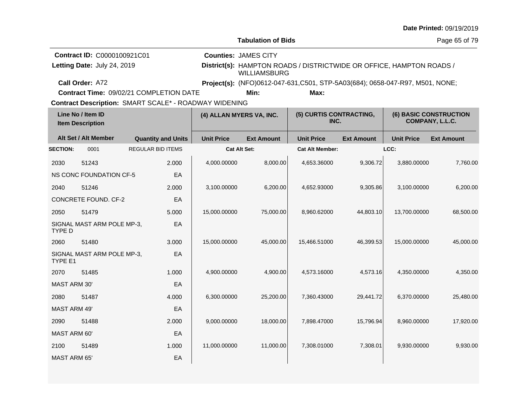| <b>Tabulation of Bids</b><br>Page 65 of 79<br><b>Contract ID: C0000100921C01</b><br><b>Counties: JAMES CITY</b><br>Letting Date: July 24, 2019<br>District(s): HAMPTON ROADS / DISTRICTWIDE OR OFFICE, HAMPTON ROADS /<br><b>WILLIAMSBURG</b><br>Call Order: A72<br>Project(s): (NFO)0612-047-631,C501, STP-5A03(684); 0658-047-R97, M501, NONE;<br><b>Contract Time: 09/02/21 COMPLETION DATE</b><br>Min:<br>Max:<br><b>Contract Description: SMART SCALE* - ROADWAY WIDENING</b><br>Line No / Item ID<br>(5) CURTIS CONTRACTING,<br><b>(6) BASIC CONSTRUCTION</b><br>(4) ALLAN MYERS VA, INC.<br>COMPANY, L.L.C.<br>INC.<br><b>Item Description</b><br>Alt Set / Alt Member<br><b>Unit Price</b><br><b>Quantity and Units</b><br><b>Unit Price</b><br><b>Ext Amount</b><br><b>Unit Price</b><br><b>Ext Amount</b><br><b>Ext Amount</b><br>LCC:<br><b>SECTION:</b><br>0001<br><b>REGULAR BID ITEMS</b><br><b>Cat Alt Set:</b><br><b>Cat Alt Member:</b><br>8,000.00<br>4,000.00000<br>9,306.72<br>3,880.00000<br>4,653.36000<br>2030<br>51243<br>2.000<br>NS CONC FOUNDATION CF-5<br>EA<br>2040<br>51246<br>2.000<br>3,100.00000<br>6,200.00<br>4,652.93000<br>9,305.86<br>3,100.00000<br><b>CONCRETE FOUND, CF-2</b><br>EA<br>2050<br>51479<br>5.000<br>15,000.00000<br>75,000.00<br>8,960.62000<br>44,803.10<br>13,700.00000<br>EA<br>SIGNAL MAST ARM POLE MP-3,<br><b>TYPE D</b><br>15,466.51000<br>46,399.53<br>15,000.00000<br>2060<br>51480<br>3.000<br>15,000.00000<br>45,000.00<br>SIGNAL MAST ARM POLE MP-3,<br>EA<br>TYPE E1<br>1.000<br>4,900.00000<br>4,900.00<br>4,573.16<br>4,350.00000<br>2070<br>51485<br>4,573.16000 |           |
|----------------------------------------------------------------------------------------------------------------------------------------------------------------------------------------------------------------------------------------------------------------------------------------------------------------------------------------------------------------------------------------------------------------------------------------------------------------------------------------------------------------------------------------------------------------------------------------------------------------------------------------------------------------------------------------------------------------------------------------------------------------------------------------------------------------------------------------------------------------------------------------------------------------------------------------------------------------------------------------------------------------------------------------------------------------------------------------------------------------------------------------------------------------------------------------------------------------------------------------------------------------------------------------------------------------------------------------------------------------------------------------------------------------------------------------------------------------------------------------------------------------------------------------------------------------------------------------------------------------------------------------|-----------|
|                                                                                                                                                                                                                                                                                                                                                                                                                                                                                                                                                                                                                                                                                                                                                                                                                                                                                                                                                                                                                                                                                                                                                                                                                                                                                                                                                                                                                                                                                                                                                                                                                                        |           |
|                                                                                                                                                                                                                                                                                                                                                                                                                                                                                                                                                                                                                                                                                                                                                                                                                                                                                                                                                                                                                                                                                                                                                                                                                                                                                                                                                                                                                                                                                                                                                                                                                                        |           |
|                                                                                                                                                                                                                                                                                                                                                                                                                                                                                                                                                                                                                                                                                                                                                                                                                                                                                                                                                                                                                                                                                                                                                                                                                                                                                                                                                                                                                                                                                                                                                                                                                                        |           |
|                                                                                                                                                                                                                                                                                                                                                                                                                                                                                                                                                                                                                                                                                                                                                                                                                                                                                                                                                                                                                                                                                                                                                                                                                                                                                                                                                                                                                                                                                                                                                                                                                                        |           |
|                                                                                                                                                                                                                                                                                                                                                                                                                                                                                                                                                                                                                                                                                                                                                                                                                                                                                                                                                                                                                                                                                                                                                                                                                                                                                                                                                                                                                                                                                                                                                                                                                                        |           |
|                                                                                                                                                                                                                                                                                                                                                                                                                                                                                                                                                                                                                                                                                                                                                                                                                                                                                                                                                                                                                                                                                                                                                                                                                                                                                                                                                                                                                                                                                                                                                                                                                                        |           |
|                                                                                                                                                                                                                                                                                                                                                                                                                                                                                                                                                                                                                                                                                                                                                                                                                                                                                                                                                                                                                                                                                                                                                                                                                                                                                                                                                                                                                                                                                                                                                                                                                                        |           |
|                                                                                                                                                                                                                                                                                                                                                                                                                                                                                                                                                                                                                                                                                                                                                                                                                                                                                                                                                                                                                                                                                                                                                                                                                                                                                                                                                                                                                                                                                                                                                                                                                                        |           |
|                                                                                                                                                                                                                                                                                                                                                                                                                                                                                                                                                                                                                                                                                                                                                                                                                                                                                                                                                                                                                                                                                                                                                                                                                                                                                                                                                                                                                                                                                                                                                                                                                                        |           |
|                                                                                                                                                                                                                                                                                                                                                                                                                                                                                                                                                                                                                                                                                                                                                                                                                                                                                                                                                                                                                                                                                                                                                                                                                                                                                                                                                                                                                                                                                                                                                                                                                                        | 7,760.00  |
|                                                                                                                                                                                                                                                                                                                                                                                                                                                                                                                                                                                                                                                                                                                                                                                                                                                                                                                                                                                                                                                                                                                                                                                                                                                                                                                                                                                                                                                                                                                                                                                                                                        |           |
|                                                                                                                                                                                                                                                                                                                                                                                                                                                                                                                                                                                                                                                                                                                                                                                                                                                                                                                                                                                                                                                                                                                                                                                                                                                                                                                                                                                                                                                                                                                                                                                                                                        | 6,200.00  |
|                                                                                                                                                                                                                                                                                                                                                                                                                                                                                                                                                                                                                                                                                                                                                                                                                                                                                                                                                                                                                                                                                                                                                                                                                                                                                                                                                                                                                                                                                                                                                                                                                                        |           |
|                                                                                                                                                                                                                                                                                                                                                                                                                                                                                                                                                                                                                                                                                                                                                                                                                                                                                                                                                                                                                                                                                                                                                                                                                                                                                                                                                                                                                                                                                                                                                                                                                                        | 68,500.00 |
|                                                                                                                                                                                                                                                                                                                                                                                                                                                                                                                                                                                                                                                                                                                                                                                                                                                                                                                                                                                                                                                                                                                                                                                                                                                                                                                                                                                                                                                                                                                                                                                                                                        |           |
|                                                                                                                                                                                                                                                                                                                                                                                                                                                                                                                                                                                                                                                                                                                                                                                                                                                                                                                                                                                                                                                                                                                                                                                                                                                                                                                                                                                                                                                                                                                                                                                                                                        | 45,000.00 |
|                                                                                                                                                                                                                                                                                                                                                                                                                                                                                                                                                                                                                                                                                                                                                                                                                                                                                                                                                                                                                                                                                                                                                                                                                                                                                                                                                                                                                                                                                                                                                                                                                                        |           |
|                                                                                                                                                                                                                                                                                                                                                                                                                                                                                                                                                                                                                                                                                                                                                                                                                                                                                                                                                                                                                                                                                                                                                                                                                                                                                                                                                                                                                                                                                                                                                                                                                                        | 4,350.00  |
| <b>MAST ARM 30'</b><br>EA                                                                                                                                                                                                                                                                                                                                                                                                                                                                                                                                                                                                                                                                                                                                                                                                                                                                                                                                                                                                                                                                                                                                                                                                                                                                                                                                                                                                                                                                                                                                                                                                              |           |
| 4.000<br>2080<br>51487<br>6,300.00000<br>25,200.00<br>7,360.43000<br>29,441.72<br>6,370.00000                                                                                                                                                                                                                                                                                                                                                                                                                                                                                                                                                                                                                                                                                                                                                                                                                                                                                                                                                                                                                                                                                                                                                                                                                                                                                                                                                                                                                                                                                                                                          | 25,480.00 |
| <b>MAST ARM 49'</b><br>EA                                                                                                                                                                                                                                                                                                                                                                                                                                                                                                                                                                                                                                                                                                                                                                                                                                                                                                                                                                                                                                                                                                                                                                                                                                                                                                                                                                                                                                                                                                                                                                                                              |           |
| 51488<br>2.000<br>9,000.00000<br>18,000.00<br>7,898.47000<br>15,796.94<br>8,960.00000<br>2090                                                                                                                                                                                                                                                                                                                                                                                                                                                                                                                                                                                                                                                                                                                                                                                                                                                                                                                                                                                                                                                                                                                                                                                                                                                                                                                                                                                                                                                                                                                                          | 17,920.00 |
| MAST ARM 60'<br>EA                                                                                                                                                                                                                                                                                                                                                                                                                                                                                                                                                                                                                                                                                                                                                                                                                                                                                                                                                                                                                                                                                                                                                                                                                                                                                                                                                                                                                                                                                                                                                                                                                     |           |
| 11,000.00<br>7,308.01<br>1.000<br>11,000.00000<br>7,308.01000<br>9,930.00000<br>2100<br>51489                                                                                                                                                                                                                                                                                                                                                                                                                                                                                                                                                                                                                                                                                                                                                                                                                                                                                                                                                                                                                                                                                                                                                                                                                                                                                                                                                                                                                                                                                                                                          | 9,930.00  |
| <b>MAST ARM 65'</b><br>EA                                                                                                                                                                                                                                                                                                                                                                                                                                                                                                                                                                                                                                                                                                                                                                                                                                                                                                                                                                                                                                                                                                                                                                                                                                                                                                                                                                                                                                                                                                                                                                                                              |           |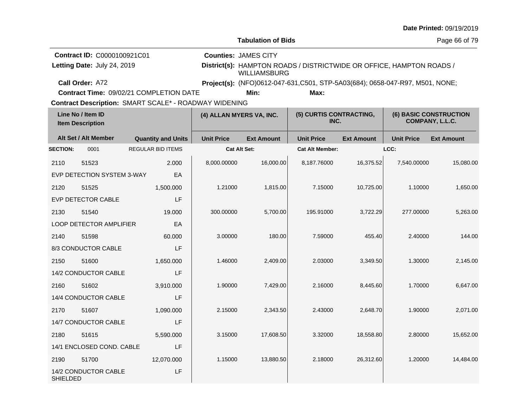|                 |                                                            |                                                                                                  |                          |                                                                                                                            |                        |                                                  |                   | Date Printed: 09/19/2019 |
|-----------------|------------------------------------------------------------|--------------------------------------------------------------------------------------------------|--------------------------|----------------------------------------------------------------------------------------------------------------------------|------------------------|--------------------------------------------------|-------------------|--------------------------|
|                 |                                                            |                                                                                                  |                          | <b>Tabulation of Bids</b>                                                                                                  |                        |                                                  |                   | Page 66 of 79            |
|                 | Contract ID: C0000100921C01<br>Letting Date: July 24, 2019 |                                                                                                  |                          | <b>Counties: JAMES CITY</b><br>District(s): HAMPTON ROADS / DISTRICTWIDE OR OFFICE, HAMPTON ROADS /<br><b>WILLIAMSBURG</b> |                        |                                                  |                   |                          |
|                 | Call Order: A72                                            |                                                                                                  |                          | Project(s): (NFO)0612-047-631,C501, STP-5A03(684); 0658-047-R97, M501, NONE;                                               |                        |                                                  |                   |                          |
|                 |                                                            | Contract Time: 09/02/21 COMPLETION DATE<br>Contract Description: SMART SCALE* - ROADWAY WIDENING |                          | Min:                                                                                                                       | Max:                   |                                                  |                   |                          |
|                 | Line No / Item ID<br><b>Item Description</b>               |                                                                                                  | (4) ALLAN MYERS VA, INC. | (5) CURTIS CONTRACTING,<br>INC.                                                                                            |                        | <b>(6) BASIC CONSTRUCTION</b><br>COMPANY, L.L.C. |                   |                          |
|                 | Alt Set / Alt Member                                       | <b>Quantity and Units</b>                                                                        | <b>Unit Price</b>        | <b>Ext Amount</b>                                                                                                          | <b>Unit Price</b>      | <b>Ext Amount</b>                                | <b>Unit Price</b> | <b>Ext Amount</b>        |
| <b>SECTION:</b> | 0001                                                       | <b>REGULAR BID ITEMS</b>                                                                         |                          | <b>Cat Alt Set:</b>                                                                                                        | <b>Cat Alt Member:</b> |                                                  | LCC:              |                          |
| 2110            | 51523                                                      | 2.000                                                                                            | 8,000.00000              | 16,000.00                                                                                                                  | 8,187.76000            | 16,375.52                                        | 7,540.00000       | 15,080.00                |
|                 | EVP DETECTION SYSTEM 3-WAY                                 | EA                                                                                               |                          |                                                                                                                            |                        |                                                  |                   |                          |
| 2120            | 51525                                                      | 1,500.000                                                                                        | 1.21000                  | 1,815.00                                                                                                                   | 7.15000                | 10,725.00                                        | 1.10000           | 1,650.00                 |
|                 | EVP DETECTOR CABLE                                         | LF                                                                                               |                          |                                                                                                                            |                        |                                                  |                   |                          |
| 2130            | 51540                                                      | 19.000                                                                                           | 300.00000                | 5,700.00                                                                                                                   | 195.91000              | 3,722.29                                         | 277.00000         | 5,263.00                 |
|                 | LOOP DETECTOR AMPLIFIER                                    | EA                                                                                               |                          |                                                                                                                            |                        |                                                  |                   |                          |
| 2140            | 51598                                                      | 60.000                                                                                           | 3.00000                  | 180.00                                                                                                                     | 7.59000                | 455.40                                           | 2.40000           | 144.00                   |
|                 | 8/3 CONDUCTOR CABLE                                        | LF                                                                                               |                          |                                                                                                                            |                        |                                                  |                   |                          |
| 2150            | 51600                                                      | 1,650.000                                                                                        | 1.46000                  | 2,409.00                                                                                                                   | 2.03000                | 3,349.50                                         | 1.30000           | 2,145.00                 |
|                 | 14/2 CONDUCTOR CABLE                                       | LF                                                                                               |                          |                                                                                                                            |                        |                                                  |                   |                          |
| 2160            | 51602                                                      | 3,910.000                                                                                        | 1.90000                  | 7,429.00                                                                                                                   | 2.16000                | 8,445.60                                         | 1.70000           | 6,647.00                 |
|                 | 14/4 CONDUCTOR CABLE                                       | LF                                                                                               |                          |                                                                                                                            |                        |                                                  |                   |                          |
| 2170            | 51607                                                      | 1,090.000                                                                                        | 2.15000                  | 2,343.50                                                                                                                   | 2.43000                | 2,648.70                                         | 1.90000           | 2,071.00                 |
|                 | 14/7 CONDUCTOR CABLE                                       | LF                                                                                               |                          |                                                                                                                            |                        |                                                  |                   |                          |
| 2180            | 51615                                                      | 5,590.000                                                                                        | 3.15000                  | 17,608.50                                                                                                                  | 3.32000                | 18,558.80                                        | 2.80000           | 15,652.00                |
|                 | LF<br>14/1 ENCLOSED COND. CABLE                            |                                                                                                  |                          |                                                                                                                            |                        |                                                  |                   |                          |
| 2190            | 51700                                                      | 12,070.000                                                                                       | 1.15000                  | 13,880.50                                                                                                                  | 2.18000                | 26,312.60                                        | 1.20000           | 14,484.00                |
| SHIELDED        | 14/2 CONDUCTOR CABLE                                       | LF                                                                                               |                          |                                                                                                                            |                        |                                                  |                   |                          |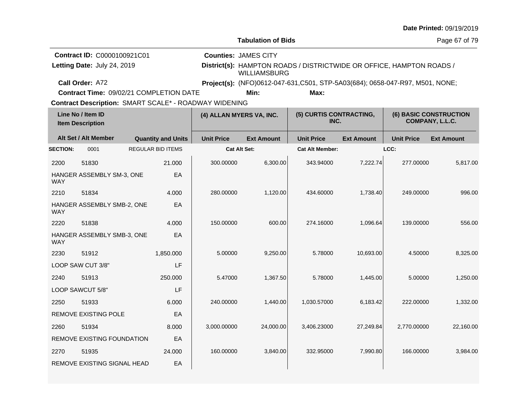|                                                                                                       |                                                                   |  |                           |                   |                                                    |                                                                               |                   |                   | Date Printed: 09/19/2019                         |
|-------------------------------------------------------------------------------------------------------|-------------------------------------------------------------------|--|---------------------------|-------------------|----------------------------------------------------|-------------------------------------------------------------------------------|-------------------|-------------------|--------------------------------------------------|
|                                                                                                       |                                                                   |  |                           |                   | <b>Tabulation of Bids</b>                          |                                                                               |                   |                   | Page 67 of 79                                    |
|                                                                                                       | <b>Contract ID: C0000100921C01</b><br>Letting Date: July 24, 2019 |  |                           |                   | <b>Counties: JAMES CITY</b><br><b>WILLIAMSBURG</b> | District(s): HAMPTON ROADS / DISTRICTWIDE OR OFFICE, HAMPTON ROADS /          |                   |                   |                                                  |
|                                                                                                       | Call Order: A72                                                   |  |                           |                   |                                                    | Project(s): (NFO)0612-047-631, C501, STP-5A03(684); 0658-047-R97, M501, NONE; |                   |                   |                                                  |
|                                                                                                       | Contract Time: 09/02/21 COMPLETION DATE                           |  |                           |                   | Min:                                               | Max:                                                                          |                   |                   |                                                  |
| Contract Description: SMART SCALE* - ROADWAY WIDENING<br>Line No / Item ID<br><b>Item Description</b> |                                                                   |  |                           |                   | (4) ALLAN MYERS VA, INC.                           | (5) CURTIS CONTRACTING,<br>INC.                                               |                   |                   | <b>(6) BASIC CONSTRUCTION</b><br>COMPANY, L.L.C. |
|                                                                                                       | Alt Set / Alt Member                                              |  | <b>Quantity and Units</b> | <b>Unit Price</b> | <b>Ext Amount</b>                                  | <b>Unit Price</b>                                                             | <b>Ext Amount</b> | <b>Unit Price</b> | <b>Ext Amount</b>                                |
| <b>SECTION:</b>                                                                                       | 0001                                                              |  | <b>REGULAR BID ITEMS</b>  |                   | <b>Cat Alt Set:</b>                                | <b>Cat Alt Member:</b>                                                        |                   | LCC:              |                                                  |
| 2200                                                                                                  | 51830                                                             |  | 21,000                    | 300.00000         | 6,300.00                                           | 343.94000                                                                     | 7,222.74          | 277.00000         | 5,817.00                                         |
| <b>WAY</b>                                                                                            | HANGER ASSEMBLY SM-3, ONE                                         |  | EA                        |                   |                                                    |                                                                               |                   |                   |                                                  |
| 2210                                                                                                  | 51834                                                             |  | 4.000                     | 280.00000         | 1,120.00                                           | 434.60000                                                                     | 1,738.40          | 249.00000         | 996.00                                           |
| <b>WAY</b>                                                                                            | HANGER ASSEMBLY SMB-2, ONE                                        |  | EA                        |                   |                                                    |                                                                               |                   |                   |                                                  |
| 2220                                                                                                  | 51838                                                             |  | 4.000                     | 150.00000         | 600.00                                             | 274.16000                                                                     | 1,096.64          | 139.00000         | 556.00                                           |
| <b>WAY</b>                                                                                            | HANGER ASSEMBLY SMB-3, ONE                                        |  | EA                        |                   |                                                    |                                                                               |                   |                   |                                                  |
| 2230                                                                                                  | 51912                                                             |  | 1,850.000                 | 5.00000           | 9,250.00                                           | 5.78000                                                                       | 10,693.00         | 4.50000           | 8,325.00                                         |
|                                                                                                       | LOOP SAW CUT 3/8"                                                 |  | LF                        |                   |                                                    |                                                                               |                   |                   |                                                  |
| 2240                                                                                                  | 51913                                                             |  | 250,000                   | 5.47000           | 1,367.50                                           | 5.78000                                                                       | 1,445.00          | 5.00000           | 1,250.00                                         |
|                                                                                                       | LOOP SAWCUT 5/8"                                                  |  | LF                        |                   |                                                    |                                                                               |                   |                   |                                                  |
| 2250                                                                                                  | 51933                                                             |  | 6.000                     | 240.00000         | 1,440.00                                           | 1,030.57000                                                                   | 6,183.42          | 222.00000         | 1,332.00                                         |
|                                                                                                       | <b>REMOVE EXISTING POLE</b>                                       |  | EA                        |                   |                                                    |                                                                               |                   |                   |                                                  |
| 2260                                                                                                  | 51934                                                             |  | 8.000                     | 3,000.00000       | 24,000.00                                          | 3,406.23000                                                                   | 27,249.84         | 2.770.00000       | 22.160.00                                        |
|                                                                                                       | REMOVE EXISTING FOUNDATION<br>EA                                  |  |                           |                   |                                                    |                                                                               |                   |                   |                                                  |
| 2270                                                                                                  | 51935                                                             |  | 24.000                    | 160.00000         | 3,840.00                                           | 332.95000                                                                     | 7,990.80          | 166.00000         | 3,984.00                                         |
|                                                                                                       | REMOVE EXISTING SIGNAL HEAD                                       |  | EA                        |                   |                                                    |                                                                               |                   |                   |                                                  |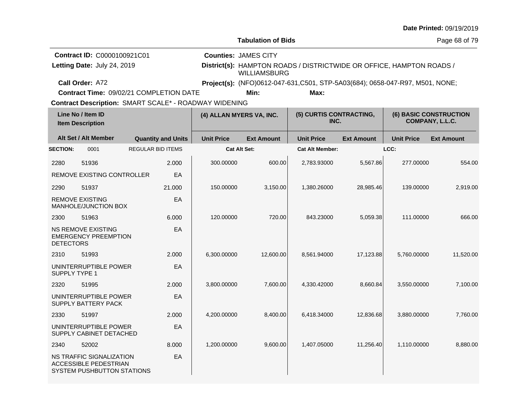|                  |                                                                                        |                                                              |                   |                                                                                             |                                 |                   |                   | Date Littled: 0a\1a\50.1a                        |  |
|------------------|----------------------------------------------------------------------------------------|--------------------------------------------------------------|-------------------|---------------------------------------------------------------------------------------------|---------------------------------|-------------------|-------------------|--------------------------------------------------|--|
|                  |                                                                                        |                                                              |                   | <b>Tabulation of Bids</b>                                                                   |                                 |                   |                   | Page 68 of 79                                    |  |
|                  | Contract ID: C0000100921C01                                                            |                                                              |                   | <b>Counties: JAMES CITY</b>                                                                 |                                 |                   |                   |                                                  |  |
|                  | Letting Date: July 24, 2019                                                            |                                                              |                   | District(s): HAMPTON ROADS / DISTRICTWIDE OR OFFICE, HAMPTON ROADS /<br><b>WILLIAMSBURG</b> |                                 |                   |                   |                                                  |  |
|                  | Call Order: A72                                                                        |                                                              |                   | Project(s): (NFO)0612-047-631,C501, STP-5A03(684); 0658-047-R97, M501, NONE;                |                                 |                   |                   |                                                  |  |
|                  |                                                                                        | Contract Time: 09/02/21 COMPLETION DATE                      |                   | Min:                                                                                        | Max:                            |                   |                   |                                                  |  |
|                  |                                                                                        | <b>Contract Description: SMART SCALE* - ROADWAY WIDENING</b> |                   |                                                                                             |                                 |                   |                   |                                                  |  |
|                  | Line No / Item ID<br><b>Item Description</b>                                           |                                                              |                   | (4) ALLAN MYERS VA, INC.                                                                    | (5) CURTIS CONTRACTING,<br>INC. |                   |                   | <b>(6) BASIC CONSTRUCTION</b><br>COMPANY, L.L.C. |  |
|                  | Alt Set / Alt Member                                                                   | <b>Quantity and Units</b>                                    | <b>Unit Price</b> | <b>Ext Amount</b>                                                                           | <b>Unit Price</b>               | <b>Ext Amount</b> | <b>Unit Price</b> | <b>Ext Amount</b>                                |  |
| <b>SECTION:</b>  | 0001                                                                                   | <b>REGULAR BID ITEMS</b>                                     |                   | <b>Cat Alt Set:</b>                                                                         | <b>Cat Alt Member:</b>          |                   | LCC:              |                                                  |  |
| 2280             | 51936                                                                                  | 2.000                                                        | 300.00000         | 600.00                                                                                      | 2,783.93000                     | 5,567.86          | 277.00000         | 554.00                                           |  |
|                  | REMOVE EXISTING CONTROLLER                                                             | EA                                                           |                   |                                                                                             |                                 |                   |                   |                                                  |  |
| 2290             | 51937                                                                                  | 21.000                                                       | 150.00000         | 3,150.00                                                                                    | 1,380.26000                     | 28,985.46         | 139.00000         | 2,919.00                                         |  |
|                  | <b>REMOVE EXISTING</b><br>MANHOLE/JUNCTION BOX                                         | EA                                                           |                   |                                                                                             |                                 |                   |                   |                                                  |  |
| 2300             | 51963                                                                                  | 6.000                                                        | 120.00000         | 720.00                                                                                      | 843.23000                       | 5,059.38          | 111.00000         | 666.00                                           |  |
| <b>DETECTORS</b> | <b>NS REMOVE EXISTING</b><br><b>EMERGENCY PREEMPTION</b>                               | EA                                                           |                   |                                                                                             |                                 |                   |                   |                                                  |  |
| 2310             | 51993                                                                                  | 2.000                                                        | 6,300.00000       | 12,600.00                                                                                   | 8,561.94000                     | 17,123.88         | 5,760.00000       | 11,520.00                                        |  |
| SUPPLY TYPE 1    | UNINTERRUPTIBLE POWER                                                                  | EA                                                           |                   |                                                                                             |                                 |                   |                   |                                                  |  |
| 2320             | 51995                                                                                  | 2.000                                                        | 3,800.00000       | 7,600.00                                                                                    | 4,330.42000                     | 8,660.84          | 3,550.00000       | 7,100.00                                         |  |
|                  | UNINTERRUPTIBLE POWER<br>SUPPLY BATTERY PACK                                           | EA                                                           |                   |                                                                                             |                                 |                   |                   |                                                  |  |
| 2330             | 51997                                                                                  | 2.000                                                        | 4,200.00000       | 8,400.00                                                                                    | 6.418.34000                     | 12,836.68         | 3,880.00000       | 7,760.00                                         |  |
|                  | UNINTERRUPTIBLE POWER<br>SUPPLY CABINET DETACHED                                       | EA                                                           |                   |                                                                                             |                                 |                   |                   |                                                  |  |
| 2340             | 52002                                                                                  | 8.000                                                        | 1,200.00000       | 9,600.00                                                                                    | 1,407.05000                     | 11,256.40         | 1,110.00000       | 8,880.00                                         |  |
|                  | NS TRAFFIC SIGNALIZATION<br><b>ACCESSIBLE PEDESTRIAN</b><br>SYSTEM PUSHBUTTON STATIONS | EA                                                           |                   |                                                                                             |                                 |                   |                   |                                                  |  |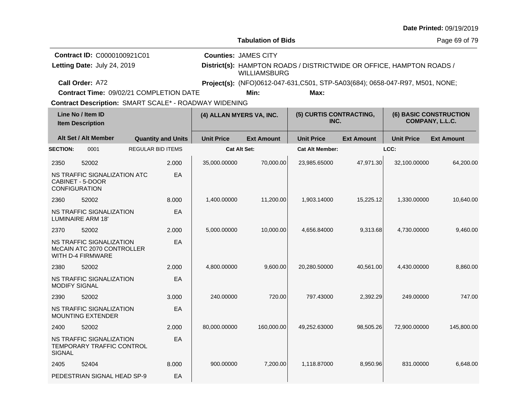|                                                                                                       |                                                                             |                                         |                             |                           |                                                                              |                   |                   | Date Printed: 09/19/2019                         |  |
|-------------------------------------------------------------------------------------------------------|-----------------------------------------------------------------------------|-----------------------------------------|-----------------------------|---------------------------|------------------------------------------------------------------------------|-------------------|-------------------|--------------------------------------------------|--|
|                                                                                                       |                                                                             |                                         |                             | <b>Tabulation of Bids</b> |                                                                              |                   |                   | Page 69 of 79                                    |  |
|                                                                                                       | <b>Contract ID: C0000100921C01</b><br>Letting Date: July 24, 2019           |                                         | <b>Counties: JAMES CITY</b> | <b>WILLIAMSBURG</b>       | District(s): HAMPTON ROADS / DISTRICTWIDE OR OFFICE, HAMPTON ROADS /         |                   |                   |                                                  |  |
|                                                                                                       | Call Order: A72                                                             |                                         |                             |                           | Project(s): (NFO)0612-047-631,C501, STP-5A03(684); 0658-047-R97, M501, NONE; |                   |                   |                                                  |  |
|                                                                                                       |                                                                             | Contract Time: 09/02/21 COMPLETION DATE |                             | Min:                      | Max:                                                                         |                   |                   |                                                  |  |
| Contract Description: SMART SCALE* - ROADWAY WIDENING<br>Line No / Item ID<br><b>Item Description</b> |                                                                             |                                         | (4) ALLAN MYERS VA, INC.    |                           | (5) CURTIS CONTRACTING,<br>INC.                                              |                   |                   | <b>(6) BASIC CONSTRUCTION</b><br>COMPANY, L.L.C. |  |
|                                                                                                       | Alt Set / Alt Member                                                        | <b>Quantity and Units</b>               | <b>Unit Price</b>           | <b>Ext Amount</b>         | <b>Unit Price</b>                                                            | <b>Ext Amount</b> | <b>Unit Price</b> | <b>Ext Amount</b>                                |  |
| <b>SECTION:</b>                                                                                       | 0001                                                                        | <b>REGULAR BID ITEMS</b>                |                             | Cat Alt Set:              | <b>Cat Alt Member:</b>                                                       |                   | LCC:              |                                                  |  |
| 2350                                                                                                  | 52002                                                                       | 2.000                                   | 35,000.00000                | 70,000.00                 | 23,985.65000                                                                 | 47,971.30         | 32,100.00000      | 64,200.00                                        |  |
|                                                                                                       | NS TRAFFIC SIGNALIZATION ATC<br>CABINET - 5-DOOR<br><b>CONFIGURATION</b>    | EA                                      |                             |                           |                                                                              |                   |                   |                                                  |  |
| 2360                                                                                                  | 52002                                                                       | 8.000                                   | 1,400.00000                 | 11,200.00                 | 1,903.14000                                                                  | 15,225.12         | 1,330.00000       | 10,640.00                                        |  |
|                                                                                                       | NS TRAFFIC SIGNALIZATION<br><b>LUMINAIRE ARM 18'</b>                        | EA                                      |                             |                           |                                                                              |                   |                   |                                                  |  |
| 2370                                                                                                  | 52002                                                                       | 2.000                                   | 5,000.00000                 | 10,000.00                 | 4,656.84000                                                                  | 9,313.68          | 4,730.00000       | 9,460.00                                         |  |
|                                                                                                       | NS TRAFFIC SIGNALIZATION<br>McCAIN ATC 2070 CONTROLLER<br>WITH D-4 FIRMWARE | EA                                      |                             |                           |                                                                              |                   |                   |                                                  |  |
| 2380                                                                                                  | 52002                                                                       | 2.000                                   | 4,800.00000                 | 9,600.00                  | 20,280.50000                                                                 | 40,561.00         | 4,430.00000       | 8,860.00                                         |  |
| <b>MODIFY SIGNAL</b>                                                                                  | NS TRAFFIC SIGNALIZATION                                                    | EA                                      |                             |                           |                                                                              |                   |                   |                                                  |  |
| 2390                                                                                                  | 52002                                                                       | 3.000                                   | 240.00000                   | 720.00                    | 797.43000                                                                    | 2,392.29          | 249.00000         | 747.00                                           |  |
|                                                                                                       | NS TRAFFIC SIGNALIZATION<br><b>MOUNTING EXTENDER</b>                        | EA                                      |                             |                           |                                                                              |                   |                   |                                                  |  |
| 2400                                                                                                  | 52002                                                                       | 2.000                                   | 80,000.00000                | 160,000.00                | 49,252.63000                                                                 | 98,505.26         | 72,900.00000      | 145,800.00                                       |  |
| <b>SIGNAL</b>                                                                                         | NS TRAFFIC SIGNALIZATION<br>TEMPORARY TRAFFIC CONTROL                       | EA                                      |                             |                           |                                                                              |                   |                   |                                                  |  |
| 2405                                                                                                  | 52404                                                                       | 8.000                                   | 900.00000                   | 7,200.00                  | 1,118.87000                                                                  | 8,950.96          | 831.00000         | 6,648.00                                         |  |
|                                                                                                       | PEDESTRIAN SIGNAL HEAD SP-9                                                 | EA                                      |                             |                           |                                                                              |                   |                   |                                                  |  |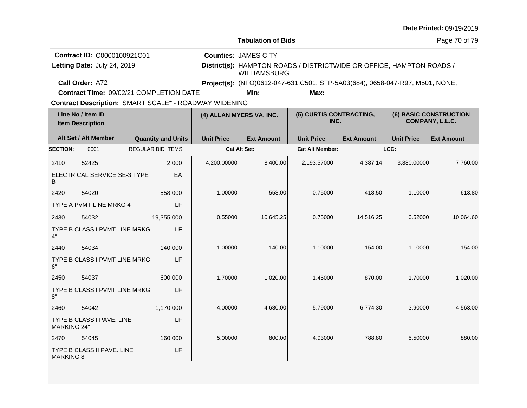|                    |                                                                                   |                           |                   |                                                                                             |                                                                               |                   |                   | Date Printed: 09/19/2019      |  |
|--------------------|-----------------------------------------------------------------------------------|---------------------------|-------------------|---------------------------------------------------------------------------------------------|-------------------------------------------------------------------------------|-------------------|-------------------|-------------------------------|--|
|                    |                                                                                   |                           |                   | <b>Tabulation of Bids</b>                                                                   |                                                                               |                   |                   | Page 70 of 79                 |  |
|                    | Contract ID: C0000100921C01<br>Letting Date: July 24, 2019                        |                           |                   | <b>Counties: JAMES CITY</b>                                                                 |                                                                               |                   |                   |                               |  |
|                    |                                                                                   |                           |                   | District(s): HAMPTON ROADS / DISTRICTWIDE OR OFFICE, HAMPTON ROADS /<br><b>WILLIAMSBURG</b> |                                                                               |                   |                   |                               |  |
|                    | Call Order: A72                                                                   |                           |                   |                                                                                             | Project(s): (NFO)0612-047-631, C501, STP-5A03(684); 0658-047-R97, M501, NONE; |                   |                   |                               |  |
|                    | Contract Time: 09/02/21 COMPLETION DATE                                           |                           |                   | Min:                                                                                        | Max:                                                                          |                   |                   |                               |  |
|                    | <b>Contract Description: SMART SCALE* - ROADWAY WIDENING</b><br>Line No / Item ID |                           |                   |                                                                                             | (5) CURTIS CONTRACTING,                                                       |                   |                   | <b>(6) BASIC CONSTRUCTION</b> |  |
|                    | <b>Item Description</b>                                                           |                           |                   | (4) ALLAN MYERS VA, INC.                                                                    | INC.                                                                          |                   |                   | COMPANY, L.L.C.               |  |
|                    | Alt Set / Alt Member                                                              | <b>Quantity and Units</b> | <b>Unit Price</b> | <b>Ext Amount</b>                                                                           | <b>Unit Price</b>                                                             | <b>Ext Amount</b> | <b>Unit Price</b> | <b>Ext Amount</b>             |  |
| <b>SECTION:</b>    | 0001                                                                              | <b>REGULAR BID ITEMS</b>  |                   | Cat Alt Set:                                                                                | <b>Cat Alt Member:</b>                                                        |                   | LCC:              |                               |  |
| 2410               | 52425                                                                             | 2.000                     | 4,200.00000       | 8,400.00                                                                                    | 2,193.57000                                                                   | 4,387.14          | 3,880.00000       | 7,760.00                      |  |
| B                  | ELECTRICAL SERVICE SE-3 TYPE                                                      | EA                        |                   |                                                                                             |                                                                               |                   |                   |                               |  |
| 2420               | 54020                                                                             | 558.000                   | 1.00000           | 558.00                                                                                      | 0.75000                                                                       | 418.50            | 1.10000           | 613.80                        |  |
|                    | TYPE A PVMT LINE MRKG 4"                                                          | LF                        |                   |                                                                                             |                                                                               |                   |                   |                               |  |
| 2430               | 54032                                                                             | 19,355.000                | 0.55000           | 10,645.25                                                                                   | 0.75000                                                                       | 14,516.25         | 0.52000           | 10,064.60                     |  |
| 4"                 | TYPE B CLASS I PVMT LINE MRKG                                                     | LF                        |                   |                                                                                             |                                                                               |                   |                   |                               |  |
| 2440               | 54034                                                                             | 140.000                   | 1.00000           | 140.00                                                                                      | 1.10000                                                                       | 154.00            | 1.10000           | 154.00                        |  |
| 6"                 | TYPE B CLASS I PVMT LINE MRKG                                                     | LF                        |                   |                                                                                             |                                                                               |                   |                   |                               |  |
| 2450               | 54037                                                                             | 600.000                   | 1.70000           | 1,020.00                                                                                    | 1.45000                                                                       | 870.00            | 1.70000           | 1,020.00                      |  |
| 8"                 | TYPE B CLASS I PVMT LINE MRKG                                                     | LF                        |                   |                                                                                             |                                                                               |                   |                   |                               |  |
| 2460               | 54042                                                                             | 1,170.000                 | 4.00000           | 4,680.00                                                                                    | 5.79000                                                                       | 6,774.30          | 3.90000           | 4,563.00                      |  |
| <b>MARKING 24"</b> | TYPE B CLASS I PAVE. LINE                                                         | LF                        |                   |                                                                                             |                                                                               |                   |                   |                               |  |
| 2470               | 54045                                                                             | 160.000                   | 5.00000           | 800.00                                                                                      | 4.93000                                                                       | 788.80            | 5.50000           | 880.00                        |  |
| <b>MARKING 8"</b>  | TYPE B CLASS II PAVE, LINE                                                        | LF                        |                   |                                                                                             |                                                                               |                   |                   |                               |  |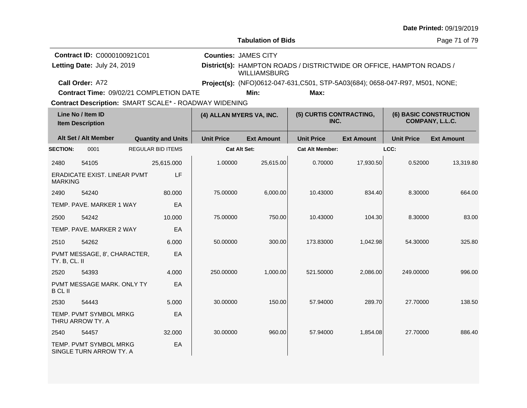|                 |                                                       |  |                           |                          |                                                                                      |                                 |                   |                   | Date Printed: 09/19/2019                  |
|-----------------|-------------------------------------------------------|--|---------------------------|--------------------------|--------------------------------------------------------------------------------------|---------------------------------|-------------------|-------------------|-------------------------------------------|
|                 |                                                       |  |                           |                          | <b>Tabulation of Bids</b>                                                            |                                 |                   |                   | Page 71 of 79                             |
|                 | Contract ID: C0000100921C01                           |  |                           |                          | <b>Counties: JAMES CITY</b>                                                          |                                 |                   |                   |                                           |
|                 | Letting Date: July 24, 2019                           |  |                           |                          | District(s): HAMPTON ROADS / DISTRICTWIDE OR OFFICE, HAMPTON ROADS /<br>WILLIAMSBURG |                                 |                   |                   |                                           |
|                 | Call Order: A72                                       |  |                           |                          | Project(s): (NFO)0612-047-631,C501, STP-5A03(684); 0658-047-R97, M501, NONE;         |                                 |                   |                   |                                           |
|                 | Contract Time: 09/02/21 COMPLETION DATE               |  |                           |                          | Min:                                                                                 | Max:                            |                   |                   |                                           |
|                 | Contract Description: SMART SCALE* - ROADWAY WIDENING |  |                           |                          |                                                                                      |                                 |                   |                   |                                           |
|                 | Line No / Item ID<br><b>Item Description</b>          |  |                           | (4) ALLAN MYERS VA, INC. |                                                                                      | (5) CURTIS CONTRACTING,<br>INC. |                   |                   | (6) BASIC CONSTRUCTION<br>COMPANY, L.L.C. |
|                 | Alt Set / Alt Member                                  |  | <b>Quantity and Units</b> | <b>Unit Price</b>        | <b>Ext Amount</b>                                                                    | <b>Unit Price</b>               | <b>Ext Amount</b> | <b>Unit Price</b> | <b>Ext Amount</b>                         |
| <b>SECTION:</b> | 0001                                                  |  | <b>REGULAR BID ITEMS</b>  |                          | <b>Cat Alt Set:</b>                                                                  | <b>Cat Alt Member:</b>          |                   | LCC:              |                                           |
| 2480            | 54105                                                 |  | 25,615.000                | 1.00000                  | 25,615.00                                                                            | 0.70000                         | 17,930.50         | 0.52000           | 13,319.80                                 |
| <b>MARKING</b>  | <b>ERADICATE EXIST, LINEAR PVMT</b>                   |  | LF                        |                          |                                                                                      |                                 |                   |                   |                                           |
| 2490            | 54240                                                 |  | 80.000                    | 75.00000                 | 6,000.00                                                                             | 10.43000                        | 834.40            | 8.30000           | 664.00                                    |
|                 | TEMP, PAVE, MARKER 1 WAY                              |  | EA                        |                          |                                                                                      |                                 |                   |                   |                                           |
| 2500            | 54242                                                 |  | 10.000                    | 75.00000                 | 750.00                                                                               | 10.43000                        | 104.30            | 8.30000           | 83.00                                     |
|                 | TEMP. PAVE. MARKER 2 WAY                              |  | EA                        |                          |                                                                                      |                                 |                   |                   |                                           |
| 2510            | 54262                                                 |  | 6.000                     | 50.00000                 | 300.00                                                                               | 173.83000                       | 1.042.98          | 54.30000          | 325.80                                    |
| TY. B, CL. II   | PVMT MESSAGE, 8', CHARACTER,                          |  | EA                        |                          |                                                                                      |                                 |                   |                   |                                           |
| 2520            | 54393                                                 |  | 4.000                     | 250.00000                | 1,000.00                                                                             | 521.50000                       | 2,086.00          | 249.00000         | 996.00                                    |
| <b>B</b> CL II  | PVMT MESSAGE MARK, ONLY TY                            |  | EA                        |                          |                                                                                      |                                 |                   |                   |                                           |
| 2530            | 54443                                                 |  | 5.000                     | 30.00000                 | 150.00                                                                               | 57.94000                        | 289.70            | 27.70000          | 138.50                                    |
|                 | TEMP. PVMT SYMBOL MRKG<br>THRU ARROW TY. A            |  | EA                        |                          |                                                                                      |                                 |                   |                   |                                           |
| 2540            | 54457                                                 |  | 32.000                    | 30.00000                 | 960.00                                                                               | 57.94000                        | 1,854.08          | 27.70000          | 886.40                                    |
|                 | TEMP. PVMT SYMBOL MRKG<br>SINGLE TURN ARROW TY. A     |  | EA                        |                          |                                                                                      |                                 |                   |                   |                                           |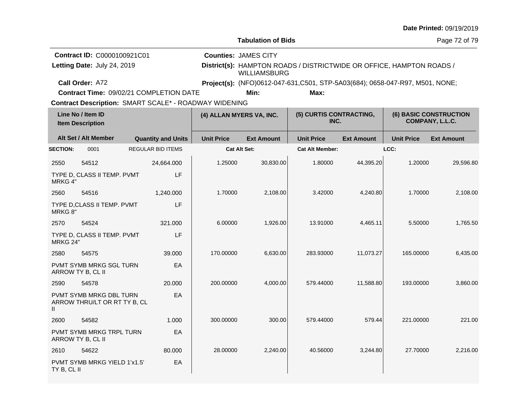|                 |                                                                |                                                       |                                                                                                     |                                                                                                              |                                 |                   |                   | Date Printed: 09/19/2019                         |  |
|-----------------|----------------------------------------------------------------|-------------------------------------------------------|-----------------------------------------------------------------------------------------------------|--------------------------------------------------------------------------------------------------------------|---------------------------------|-------------------|-------------------|--------------------------------------------------|--|
|                 |                                                                |                                                       |                                                                                                     | <b>Tabulation of Bids</b>                                                                                    |                                 |                   |                   | Page 72 of 79                                    |  |
|                 | Contract ID: C0000100921C01<br>Letting Date: July 24, 2019     |                                                       | <b>Counties: JAMES CITY</b><br>District(s): HAMPTON ROADS / DISTRICTWIDE OR OFFICE, HAMPTON ROADS / |                                                                                                              |                                 |                   |                   |                                                  |  |
|                 | Call Order: A72                                                | Contract Time: 09/02/21 COMPLETION DATE               |                                                                                                     | <b>WILLIAMSBURG</b><br>Project(s): (NFO)0612-047-631, C501, STP-5A03(684); 0658-047-R97, M501, NONE;<br>Min: |                                 |                   |                   |                                                  |  |
|                 |                                                                | Contract Description: SMART SCALE* - ROADWAY WIDENING |                                                                                                     |                                                                                                              |                                 |                   |                   |                                                  |  |
|                 | Line No / Item ID<br><b>Item Description</b>                   |                                                       | (4) ALLAN MYERS VA, INC.                                                                            |                                                                                                              | (5) CURTIS CONTRACTING,<br>INC. |                   |                   | <b>(6) BASIC CONSTRUCTION</b><br>COMPANY, L.L.C. |  |
|                 | Alt Set / Alt Member                                           | <b>Quantity and Units</b>                             | <b>Unit Price</b>                                                                                   | <b>Ext Amount</b>                                                                                            | <b>Unit Price</b>               | <b>Ext Amount</b> | <b>Unit Price</b> | <b>Ext Amount</b>                                |  |
| <b>SECTION:</b> | 0001                                                           | <b>REGULAR BID ITEMS</b>                              |                                                                                                     | Cat Alt Set:                                                                                                 | <b>Cat Alt Member:</b>          |                   | LCC:              |                                                  |  |
| 2550            | 54512                                                          | 24,664.000                                            | 1.25000                                                                                             | 30,830.00                                                                                                    | 1.80000                         | 44,395.20         | 1.20000           | 29,596.80                                        |  |
| MRKG 4"         | TYPE D, CLASS II TEMP. PVMT                                    | LF                                                    |                                                                                                     |                                                                                                              |                                 |                   |                   |                                                  |  |
| 2560            | 54516                                                          | 1,240.000                                             | 1.70000                                                                                             | 2,108.00                                                                                                     | 3.42000                         | 4,240.80          | 1.70000           | 2,108.00                                         |  |
| MRKG 8"         | TYPE D.CLASS II TEMP. PVMT                                     | LF                                                    |                                                                                                     |                                                                                                              |                                 |                   |                   |                                                  |  |
| 2570            | 54524                                                          | 321.000                                               | 6.00000                                                                                             | 1,926.00                                                                                                     | 13.91000                        | 4,465.11          | 5.50000           | 1,765.50                                         |  |
| MRKG 24"        | TYPE D, CLASS II TEMP. PVMT                                    | LF                                                    |                                                                                                     |                                                                                                              |                                 |                   |                   |                                                  |  |
| 2580            | 54575                                                          | 39.000                                                | 170.00000                                                                                           | 6,630.00                                                                                                     | 283.93000                       | 11,073.27         | 165.00000         | 6,435.00                                         |  |
|                 | PVMT SYMB MRKG SGL TURN<br>ARROW TY B, CL II                   | EA                                                    |                                                                                                     |                                                                                                              |                                 |                   |                   |                                                  |  |
| 2590            | 54578                                                          | 20.000                                                | 200.00000                                                                                           | 4,000.00                                                                                                     | 579.44000                       | 11,588.80         | 193.00000         | 3,860.00                                         |  |
| $\mathbf{H}$    | <b>PVMT SYMB MRKG DBL TURN</b><br>ARROW THRU/LT OR RT TY B, CL | EA                                                    |                                                                                                     |                                                                                                              |                                 |                   |                   |                                                  |  |
| 2600            | 54582                                                          | 1.000                                                 | 300.00000                                                                                           | 300.00                                                                                                       | 579.44000                       | 579.44            | 221.00000         | 221.00                                           |  |
|                 | PVMT SYMB MRKG TRPL TURN<br>ARROW TY B, CL II                  | EA                                                    |                                                                                                     |                                                                                                              |                                 |                   |                   |                                                  |  |
| 2610            | 54622                                                          | 80.000                                                | 28.00000                                                                                            | 2,240.00                                                                                                     | 40.56000                        | 3,244.80          | 27.70000          | 2,216.00                                         |  |
| TY B, CL II     | PVMT SYMB MRKG YIELD 1'x1.5'                                   | EA                                                    |                                                                                                     |                                                                                                              |                                 |                   |                   |                                                  |  |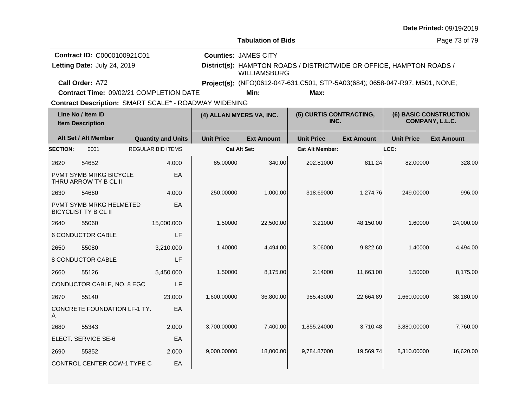|                                                                                                       |                                                                   |  |                           |                          |                                                    |                                                                               |                   |                                                  | Date Printed: 09/19/2019 |
|-------------------------------------------------------------------------------------------------------|-------------------------------------------------------------------|--|---------------------------|--------------------------|----------------------------------------------------|-------------------------------------------------------------------------------|-------------------|--------------------------------------------------|--------------------------|
|                                                                                                       |                                                                   |  |                           |                          | <b>Tabulation of Bids</b>                          |                                                                               |                   |                                                  | Page 73 of 79            |
|                                                                                                       | <b>Contract ID: C0000100921C01</b><br>Letting Date: July 24, 2019 |  |                           |                          | <b>Counties: JAMES CITY</b><br><b>WILLIAMSBURG</b> | District(s): HAMPTON ROADS / DISTRICTWIDE OR OFFICE, HAMPTON ROADS /          |                   |                                                  |                          |
|                                                                                                       | Call Order: A72                                                   |  |                           |                          |                                                    | Project(s): (NFO)0612-047-631, C501, STP-5A03(684); 0658-047-R97, M501, NONE; |                   |                                                  |                          |
|                                                                                                       | Contract Time: 09/02/21 COMPLETION DATE                           |  |                           |                          | Min:                                               | Max:                                                                          |                   |                                                  |                          |
| Contract Description: SMART SCALE* - ROADWAY WIDENING<br>Line No / Item ID<br><b>Item Description</b> |                                                                   |  |                           | (4) ALLAN MYERS VA, INC. |                                                    | (5) CURTIS CONTRACTING,<br>INC.                                               |                   | <b>(6) BASIC CONSTRUCTION</b><br>COMPANY, L.L.C. |                          |
|                                                                                                       | Alt Set / Alt Member                                              |  | <b>Quantity and Units</b> | <b>Unit Price</b>        | <b>Ext Amount</b>                                  | <b>Unit Price</b>                                                             | <b>Ext Amount</b> | <b>Unit Price</b>                                | <b>Ext Amount</b>        |
| <b>SECTION:</b>                                                                                       | 0001                                                              |  | <b>REGULAR BID ITEMS</b>  |                          | <b>Cat Alt Set:</b>                                | <b>Cat Alt Member:</b>                                                        |                   | LCC:                                             |                          |
| 2620                                                                                                  | 54652                                                             |  | 4.000                     | 85.00000                 | 340.00                                             | 202.81000                                                                     | 811.24            | 82.00000                                         | 328.00                   |
|                                                                                                       | <b>PVMT SYMB MRKG BICYCLE</b><br>THRU ARROW TY B CL II            |  | EA                        |                          |                                                    |                                                                               |                   |                                                  |                          |
| 2630                                                                                                  | 54660                                                             |  | 4.000                     | 250.00000                | 1,000.00                                           | 318.69000                                                                     | 1,274.76          | 249.00000                                        | 996.00                   |
|                                                                                                       | PVMT SYMB MRKG HELMETED<br><b>BICYCLIST TY B CL II</b>            |  | EA                        |                          |                                                    |                                                                               |                   |                                                  |                          |
| 2640                                                                                                  | 55060                                                             |  | 15,000.000                | 1.50000                  | 22,500.00                                          | 3.21000                                                                       | 48,150.00         | 1.60000                                          | 24,000.00                |
|                                                                                                       | <b>6 CONDUCTOR CABLE</b>                                          |  | LF                        |                          |                                                    |                                                                               |                   |                                                  |                          |
| 2650                                                                                                  | 55080                                                             |  | 3,210.000                 | 1.40000                  | 4,494.00                                           | 3.06000                                                                       | 9,822.60          | 1.40000                                          | 4,494.00                 |
|                                                                                                       | 8 CONDUCTOR CABLE                                                 |  | LF                        |                          |                                                    |                                                                               |                   |                                                  |                          |
| 2660                                                                                                  | 55126                                                             |  | 5,450.000                 | 1.50000                  | 8,175.00                                           | 2.14000                                                                       | 11,663.00         | 1.50000                                          | 8,175.00                 |
|                                                                                                       | CONDUCTOR CABLE, NO. 8 EGC                                        |  | LF                        |                          |                                                    |                                                                               |                   |                                                  |                          |
| 2670                                                                                                  | 55140                                                             |  | 23.000                    | 1,600.00000              | 36,800.00                                          | 985.43000                                                                     | 22,664.89         | 1,660.00000                                      | 38,180.00                |
| CONCRETE FOUNDATION LF-1 TY.<br>EA<br>A                                                               |                                                                   |  |                           |                          |                                                    |                                                                               |                   |                                                  |                          |
| 2680                                                                                                  | 55343                                                             |  | 2.000                     | 3,700.00000              | 7,400.00                                           | 1,855.24000                                                                   | 3.710.48          | 3.880.00000                                      | 7.760.00                 |
|                                                                                                       | ELECT. SERVICE SE-6<br>EA                                         |  |                           |                          |                                                    |                                                                               |                   |                                                  |                          |
| 2690                                                                                                  | 55352                                                             |  | 2.000                     | 9,000.00000              | 18,000.00                                          | 9,784.87000                                                                   | 19,569.74         | 8,310.00000                                      | 16,620.00                |
|                                                                                                       | <b>CONTROL CENTER CCW-1 TYPE C</b>                                |  | EA                        |                          |                                                    |                                                                               |                   |                                                  |                          |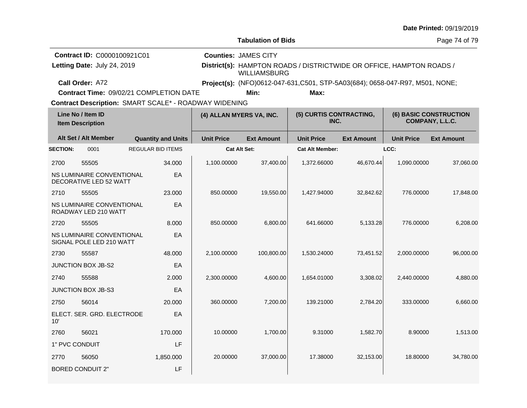|                                                              |                                                                                             |                                                                                                                            |                                                                               |                                 |                   |                   | Date Printed: 09/19/2019                         |
|--------------------------------------------------------------|---------------------------------------------------------------------------------------------|----------------------------------------------------------------------------------------------------------------------------|-------------------------------------------------------------------------------|---------------------------------|-------------------|-------------------|--------------------------------------------------|
|                                                              |                                                                                             |                                                                                                                            | <b>Tabulation of Bids</b>                                                     |                                 |                   |                   | Page 74 of 79                                    |
| Contract ID: C0000100921C01<br>Letting Date: July 24, 2019   |                                                                                             | <b>Counties: JAMES CITY</b><br>District(s): HAMPTON ROADS / DISTRICTWIDE OR OFFICE, HAMPTON ROADS /<br><b>WILLIAMSBURG</b> |                                                                               |                                 |                   |                   |                                                  |
| Call Order: A72                                              |                                                                                             |                                                                                                                            | Project(s): (NFO)0612-047-631, C501, STP-5A03(684); 0658-047-R97, M501, NONE; |                                 |                   |                   |                                                  |
| Contract Time: 09/02/21 COMPLETION DATE                      |                                                                                             |                                                                                                                            | Min:                                                                          | Max:                            |                   |                   |                                                  |
| <b>Contract Description: SMART SCALE* - ROADWAY WIDENING</b> |                                                                                             |                                                                                                                            |                                                                               |                                 |                   |                   |                                                  |
| Line No / Item ID<br><b>Item Description</b>                 |                                                                                             | (4) ALLAN MYERS VA, INC.                                                                                                   |                                                                               | (5) CURTIS CONTRACTING,<br>INC. |                   |                   | <b>(6) BASIC CONSTRUCTION</b><br>COMPANY, L.L.C. |
| Alt Set / Alt Member                                         | <b>Quantity and Units</b>                                                                   | <b>Unit Price</b>                                                                                                          | <b>Ext Amount</b>                                                             | <b>Unit Price</b>               | <b>Ext Amount</b> | <b>Unit Price</b> | <b>Ext Amount</b>                                |
| <b>SECTION:</b><br>0001                                      | <b>REGULAR BID ITEMS</b>                                                                    |                                                                                                                            | <b>Cat Alt Set:</b>                                                           | <b>Cat Alt Member:</b>          |                   | LCC:              |                                                  |
| 2700<br>55505                                                | 34.000                                                                                      | 1,100.00000                                                                                                                | 37,400.00                                                                     | 1,372.66000                     | 46,670.44         | 1,090.00000       | 37,060.00                                        |
| NS LUMINAIRE CONVENTIONAL<br>DECORATIVE LED 52 WATT          | EA                                                                                          |                                                                                                                            |                                                                               |                                 |                   |                   |                                                  |
| 2710<br>55505                                                | 23.000                                                                                      | 850.00000                                                                                                                  | 19,550.00                                                                     | 1,427.94000                     | 32,842.62         | 776.00000         | 17,848.00                                        |
| NS LUMINAIRE CONVENTIONAL<br>ROADWAY LED 210 WATT            | EA                                                                                          |                                                                                                                            |                                                                               |                                 |                   |                   |                                                  |
| 55505<br>2720                                                | 8.000                                                                                       | 850.00000                                                                                                                  | 6,800.00                                                                      | 641.66000                       | 5,133.28          | 776.00000         | 6,208.00                                         |
| NS LUMINAIRE CONVENTIONAL<br>SIGNAL POLE LED 210 WATT        | EA                                                                                          |                                                                                                                            |                                                                               |                                 |                   |                   |                                                  |
| 55587<br>2730                                                | 48.000                                                                                      | 2,100.00000                                                                                                                | 100,800.00                                                                    | 1,530.24000                     | 73,451.52         | 2,000.00000       | 96,000.00                                        |
| <b>JUNCTION BOX JB-S2</b>                                    | EA                                                                                          |                                                                                                                            |                                                                               |                                 |                   |                   |                                                  |
| 55588<br>2740                                                | 2.000                                                                                       | 2,300.00000                                                                                                                | 4,600.00                                                                      | 1,654.01000                     | 3,308.02          | 2,440.00000       | 4,880.00                                         |
| <b>JUNCTION BOX JB-S3</b>                                    | EA                                                                                          |                                                                                                                            |                                                                               |                                 |                   |                   |                                                  |
| 56014<br>2750                                                | 20.000                                                                                      | 360.00000                                                                                                                  | 7,200.00                                                                      | 139.21000                       | 2.784.20          | 333.00000         | 6,660.00                                         |
| ELECT. SER. GRD. ELECTRODE<br>10'                            | EA                                                                                          |                                                                                                                            |                                                                               |                                 |                   |                   |                                                  |
| 56021<br>2760                                                | 170.000                                                                                     | 10.00000                                                                                                                   | 1,700.00                                                                      | 9.31000                         | 1,582.70          | 8.90000           | 1,513.00                                         |
| LF<br>1" PVC CONDUIT                                         |                                                                                             |                                                                                                                            |                                                                               |                                 |                   |                   |                                                  |
| 2770<br>56050                                                | 1,850.000                                                                                   | 20.00000                                                                                                                   | 37,000.00                                                                     | 17.38000                        | 32,153.00         | 18.80000          | 34,780.00                                        |
| <b>BORED CONDUIT 2"</b>                                      | $\mathsf{LF}% _{0}\left( \mathcal{N}\right) \equiv\mathsf{LF}_{0}\left( \mathcal{N}\right)$ |                                                                                                                            |                                                                               |                                 |                   |                   |                                                  |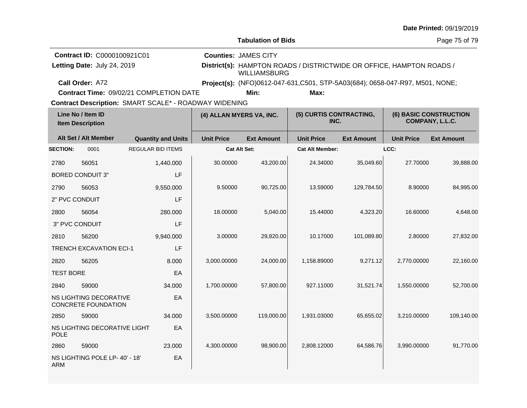|                                                            |                                                      |                                         |                          |                                                                              |                                                                      |                   |                                           | Date Printed: 09/19/2019 |  |
|------------------------------------------------------------|------------------------------------------------------|-----------------------------------------|--------------------------|------------------------------------------------------------------------------|----------------------------------------------------------------------|-------------------|-------------------------------------------|--------------------------|--|
|                                                            |                                                      |                                         |                          | <b>Tabulation of Bids</b>                                                    |                                                                      |                   | Page 75 of 79                             |                          |  |
| Contract ID: C0000100921C01<br>Letting Date: July 24, 2019 |                                                      |                                         |                          | <b>Counties: JAMES CITY</b><br><b>WILLIAMSBURG</b>                           | District(s): HAMPTON ROADS / DISTRICTWIDE OR OFFICE, HAMPTON ROADS / |                   |                                           |                          |  |
| Call Order: A72                                            |                                                      |                                         |                          | Project(s): (NFO)0612-047-631,C501, STP-5A03(684); 0658-047-R97, M501, NONE; |                                                                      |                   |                                           |                          |  |
|                                                            |                                                      | Contract Time: 09/02/21 COMPLETION DATE |                          | Min:                                                                         | Max:                                                                 |                   |                                           |                          |  |
| Contract Description: SMART SCALE* - ROADWAY WIDENING      |                                                      |                                         |                          |                                                                              |                                                                      |                   |                                           |                          |  |
|                                                            | Line No / Item ID<br><b>Item Description</b>         |                                         | (4) ALLAN MYERS VA, INC. |                                                                              | (5) CURTIS CONTRACTING,<br>INC.                                      |                   | (6) BASIC CONSTRUCTION<br>COMPANY, L.L.C. |                          |  |
|                                                            | Alt Set / Alt Member                                 | <b>Quantity and Units</b>               | <b>Unit Price</b>        | <b>Ext Amount</b>                                                            | <b>Unit Price</b>                                                    | <b>Ext Amount</b> | <b>Unit Price</b>                         | <b>Ext Amount</b>        |  |
| <b>SECTION:</b>                                            | 0001                                                 | <b>REGULAR BID ITEMS</b>                |                          | <b>Cat Alt Set:</b>                                                          | <b>Cat Alt Member:</b>                                               |                   | LCC:                                      |                          |  |
| 2780                                                       | 56051                                                | 1,440.000                               | 30.00000                 | 43,200.00                                                                    | 24.34000                                                             | 35,049.60         | 27.70000                                  | 39,888.00                |  |
|                                                            | <b>BORED CONDUIT 3"</b>                              | LF                                      |                          |                                                                              |                                                                      |                   |                                           |                          |  |
| 2790                                                       | 56053                                                | 9,550.000                               | 9.50000                  | 90,725.00                                                                    | 13.59000                                                             | 129,784.50        | 8.90000                                   | 84,995.00                |  |
|                                                            | 2" PVC CONDUIT                                       | LF                                      |                          |                                                                              |                                                                      |                   |                                           |                          |  |
| 2800                                                       | 56054                                                | 280.000                                 | 18.00000                 | 5,040.00                                                                     | 15.44000                                                             | 4,323.20          | 16.60000                                  | 4,648.00                 |  |
|                                                            | 3" PVC CONDUIT                                       | LF                                      |                          |                                                                              |                                                                      |                   |                                           |                          |  |
| 2810                                                       | 56200                                                | 9,940.000                               | 3.00000                  | 29,820.00                                                                    | 10.17000                                                             | 101,089.80        | 2.80000                                   | 27,832.00                |  |
|                                                            | <b>TRENCH EXCAVATION ECI-1</b>                       | LF                                      |                          |                                                                              |                                                                      |                   |                                           |                          |  |
| 2820                                                       | 56205                                                | 8.000                                   | 3,000.00000              | 24,000.00                                                                    | 1,158.89000                                                          | 9,271.12          | 2,770.00000                               | 22,160.00                |  |
| <b>TEST BORE</b>                                           |                                                      | EA                                      |                          |                                                                              |                                                                      |                   |                                           |                          |  |
| 2840                                                       | 59000                                                | 34.000                                  | 1,700.00000              | 57,800.00                                                                    | 927.11000                                                            | 31,521.74         | 1,550.00000                               | 52,700.00                |  |
|                                                            | NS LIGHTING DECORATIVE<br><b>CONCRETE FOUNDATION</b> | EA                                      |                          |                                                                              |                                                                      |                   |                                           |                          |  |
| 2850                                                       | 59000                                                | 34.000                                  | 3,500.00000              | 119,000.00                                                                   | 1,931.03000                                                          | 65,655.02         | 3,210.00000                               | 109,140.00               |  |
| <b>POLE</b>                                                | NS LIGHTING DECORATIVE LIGHT                         | EA                                      |                          |                                                                              |                                                                      |                   |                                           |                          |  |
| 2860                                                       | 59000                                                | 23.000                                  | 4,300.00000              | 98,900.00                                                                    | 2,808.12000                                                          | 64,586.76         | 3,990.00000                               | 91,770.00                |  |
| <b>ARM</b>                                                 | NS LIGHTING POLE LP-40' - 18'                        | EA                                      |                          |                                                                              |                                                                      |                   |                                           |                          |  |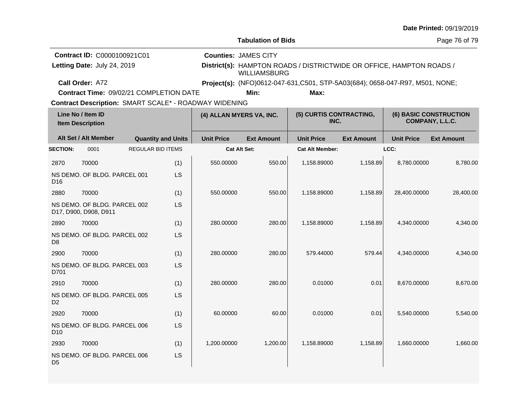|                 |                                                            |  |                           |                                                       |                                                    |                                                                               |                   |                   | Date Printed: 09/19/2019                         |
|-----------------|------------------------------------------------------------|--|---------------------------|-------------------------------------------------------|----------------------------------------------------|-------------------------------------------------------------------------------|-------------------|-------------------|--------------------------------------------------|
|                 |                                                            |  |                           |                                                       | <b>Tabulation of Bids</b>                          |                                                                               |                   |                   | Page 76 of 79                                    |
|                 | Contract ID: C0000100921C01<br>Letting Date: July 24, 2019 |  |                           |                                                       | <b>Counties: JAMES CITY</b><br><b>WILLIAMSBURG</b> | District(s): HAMPTON ROADS / DISTRICTWIDE OR OFFICE, HAMPTON ROADS /          |                   |                   |                                                  |
|                 | Call Order: A72                                            |  |                           |                                                       |                                                    | Project(s): (NFO)0612-047-631, C501, STP-5A03(684); 0658-047-R97, M501, NONE; |                   |                   |                                                  |
|                 | Contract Time: 09/02/21 COMPLETION DATE                    |  |                           |                                                       | Min:                                               | Max:                                                                          |                   |                   |                                                  |
|                 |                                                            |  |                           | Contract Description: SMART SCALE* - ROADWAY WIDENING |                                                    |                                                                               |                   |                   |                                                  |
|                 | Line No / Item ID<br><b>Item Description</b>               |  |                           | (4) ALLAN MYERS VA, INC.                              |                                                    | (5) CURTIS CONTRACTING,<br>INC.                                               |                   |                   | <b>(6) BASIC CONSTRUCTION</b><br>COMPANY, L.L.C. |
|                 | Alt Set / Alt Member                                       |  | <b>Quantity and Units</b> | <b>Unit Price</b>                                     | <b>Ext Amount</b>                                  | <b>Unit Price</b>                                                             | <b>Ext Amount</b> | <b>Unit Price</b> | <b>Ext Amount</b>                                |
| <b>SECTION:</b> | 0001                                                       |  | <b>REGULAR BID ITEMS</b>  |                                                       | <b>Cat Alt Set:</b>                                | <b>Cat Alt Member:</b>                                                        |                   | LCC:              |                                                  |
| 2870            | 70000                                                      |  | (1)                       | 550.00000                                             | 550.00                                             | 1,158.89000                                                                   | 1,158.89          | 8,780.00000       | 8,780.00                                         |
| D <sub>16</sub> | NS DEMO. OF BLDG. PARCEL 001                               |  | LS                        |                                                       |                                                    |                                                                               |                   |                   |                                                  |
| 2880            | 70000                                                      |  | (1)                       | 550.00000                                             | 550.00                                             | 1,158.89000                                                                   | 1,158.89          | 28,400.00000      | 28,400.00                                        |
|                 | NS DEMO, OF BLDG, PARCEL 002<br>D17, D900, D908, D911      |  | LS                        |                                                       |                                                    |                                                                               |                   |                   |                                                  |
| 2890            | 70000                                                      |  | (1)                       | 280.00000                                             | 280.00                                             | 1,158.89000                                                                   | 1.158.89          | 4,340.00000       | 4,340.00                                         |
| D <sub>8</sub>  | NS DEMO, OF BLDG, PARCEL 002                               |  | LS                        |                                                       |                                                    |                                                                               |                   |                   |                                                  |
| 2900            | 70000                                                      |  | (1)                       | 280.00000                                             | 280.00                                             | 579.44000                                                                     | 579.44            | 4,340.00000       | 4,340.00                                         |
| D701            | NS DEMO. OF BLDG. PARCEL 003                               |  | LS                        |                                                       |                                                    |                                                                               |                   |                   |                                                  |
| 2910            | 70000                                                      |  | (1)                       | 280.00000                                             | 280.00                                             | 0.01000                                                                       | 0.01              | 8,670.00000       | 8,670.00                                         |
| D <sub>2</sub>  | NS DEMO. OF BLDG. PARCEL 005                               |  | LS                        |                                                       |                                                    |                                                                               |                   |                   |                                                  |
| 2920            | 70000                                                      |  | (1)                       | 60.00000                                              | 60.00                                              | 0.01000                                                                       | 0.01              | 5.540.00000       | 5,540.00                                         |
| D <sub>10</sub> | NS DEMO. OF BLDG. PARCEL 006                               |  | LS                        |                                                       |                                                    |                                                                               |                   |                   |                                                  |
| 2930            | 70000                                                      |  | (1)                       | 1,200.00000                                           | 1,200.00                                           | 1,158.89000                                                                   | 1.158.89          | 1,660.00000       | 1,660.00                                         |
| D <sub>5</sub>  | NS DEMO. OF BLDG. PARCEL 006                               |  | LS                        |                                                       |                                                    |                                                                               |                   |                   |                                                  |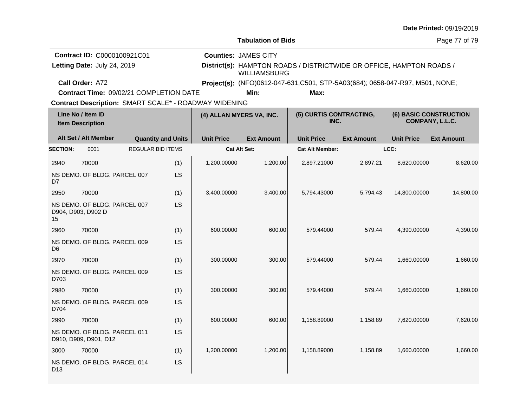|                                                            |                                                            |  |                           |                                                       |                                                                      |                                                                                       |                   |                                                  | Date Printed: 09/19/2019 |  |
|------------------------------------------------------------|------------------------------------------------------------|--|---------------------------|-------------------------------------------------------|----------------------------------------------------------------------|---------------------------------------------------------------------------------------|-------------------|--------------------------------------------------|--------------------------|--|
|                                                            |                                                            |  |                           |                                                       | <b>Tabulation of Bids</b>                                            |                                                                                       |                   | Page 77 of 79                                    |                          |  |
| Contract ID: C0000100921C01<br>Letting Date: July 24, 2019 |                                                            |  |                           | <b>Counties: JAMES CITY</b><br><b>WILLIAMSBURG</b>    | District(s): HAMPTON ROADS / DISTRICTWIDE OR OFFICE, HAMPTON ROADS / |                                                                                       |                   |                                                  |                          |  |
|                                                            | Call Order: A72<br>Contract Time: 09/02/21 COMPLETION DATE |  |                           |                                                       | Min:                                                                 | Project(s): (NFO)0612-047-631, C501, STP-5A03(684); 0658-047-R97, M501, NONE;<br>Max: |                   |                                                  |                          |  |
|                                                            |                                                            |  |                           | Contract Description: SMART SCALE* - ROADWAY WIDENING |                                                                      |                                                                                       |                   |                                                  |                          |  |
| Line No / Item ID<br><b>Item Description</b>               |                                                            |  | (4) ALLAN MYERS VA, INC.  |                                                       | (5) CURTIS CONTRACTING,<br>INC.                                      |                                                                                       |                   | <b>(6) BASIC CONSTRUCTION</b><br>COMPANY, L.L.C. |                          |  |
|                                                            | Alt Set / Alt Member                                       |  | <b>Quantity and Units</b> | <b>Unit Price</b>                                     | <b>Ext Amount</b>                                                    | <b>Unit Price</b>                                                                     | <b>Ext Amount</b> | <b>Unit Price</b>                                | <b>Ext Amount</b>        |  |
| <b>SECTION:</b>                                            | 0001                                                       |  | <b>REGULAR BID ITEMS</b>  |                                                       | Cat Alt Set:                                                         | <b>Cat Alt Member:</b>                                                                |                   | LCC:                                             |                          |  |
| 2940                                                       | 70000                                                      |  | (1)                       | 1,200.00000                                           | 1,200.00                                                             | 2,897.21000                                                                           | 2,897.21          | 8,620.00000                                      | 8,620.00                 |  |
| D <sub>7</sub>                                             | NS DEMO. OF BLDG. PARCEL 007                               |  | LS                        |                                                       |                                                                      |                                                                                       |                   |                                                  |                          |  |
| 2950                                                       | 70000                                                      |  | (1)                       | 3,400.00000                                           | 3,400.00                                                             | 5,794.43000                                                                           | 5,794.43          | 14,800.00000                                     | 14,800.00                |  |
| 15                                                         | NS DEMO. OF BLDG. PARCEL 007<br>D904, D903, D902 D         |  | LS                        |                                                       |                                                                      |                                                                                       |                   |                                                  |                          |  |
| 2960                                                       | 70000                                                      |  | (1)                       | 600.00000                                             | 600.00                                                               | 579.44000                                                                             | 579.44            | 4,390.00000                                      | 4,390.00                 |  |
| D <sub>6</sub>                                             | NS DEMO. OF BLDG. PARCEL 009                               |  | LS                        |                                                       |                                                                      |                                                                                       |                   |                                                  |                          |  |
| 2970                                                       | 70000                                                      |  | (1)                       | 300.00000                                             | 300.00                                                               | 579.44000                                                                             | 579.44            | 1,660.00000                                      | 1,660.00                 |  |
| D703                                                       | NS DEMO. OF BLDG. PARCEL 009                               |  | LS                        |                                                       |                                                                      |                                                                                       |                   |                                                  |                          |  |
| 2980                                                       | 70000                                                      |  | (1)                       | 300.00000                                             | 300.00                                                               | 579.44000                                                                             | 579.44            | 1,660.00000                                      | 1,660.00                 |  |
| D704                                                       | NS DEMO. OF BLDG. PARCEL 009                               |  | LS                        |                                                       |                                                                      |                                                                                       |                   |                                                  |                          |  |
| 2990                                                       | 70000                                                      |  | (1)                       | 600.00000                                             | 600.00                                                               | 1,158.89000                                                                           | 1,158.89          | 7,620.00000                                      | 7,620.00                 |  |
|                                                            | NS DEMO. OF BLDG. PARCEL 011<br>D910, D909, D901, D12      |  | LS                        |                                                       |                                                                      |                                                                                       |                   |                                                  |                          |  |
| 3000                                                       | 70000                                                      |  | (1)                       | 1,200.00000                                           | 1,200.00                                                             | 1,158.89000                                                                           | 1,158.89          | 1,660.00000                                      | 1,660.00                 |  |
| D <sub>13</sub>                                            | NS DEMO. OF BLDG. PARCEL 014                               |  | LS                        |                                                       |                                                                      |                                                                                       |                   |                                                  |                          |  |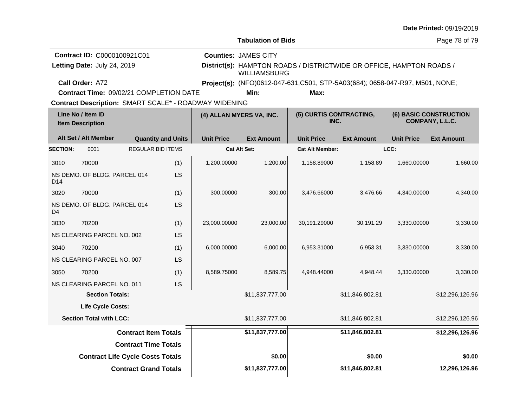|                                              |                                         |                              |                           |                                                              |                                 |                                                                               |                   |                                                  | Date Printed: 09/19/2019 |
|----------------------------------------------|-----------------------------------------|------------------------------|---------------------------|--------------------------------------------------------------|---------------------------------|-------------------------------------------------------------------------------|-------------------|--------------------------------------------------|--------------------------|
|                                              |                                         |                              |                           |                                                              | <b>Tabulation of Bids</b>       |                                                                               |                   |                                                  | Page 78 of 79            |
|                                              | Contract ID: C0000100921C01             |                              |                           |                                                              | <b>Counties: JAMES CITY</b>     |                                                                               |                   |                                                  |                          |
|                                              | Letting Date: July 24, 2019             |                              |                           |                                                              | <b>WILLIAMSBURG</b>             | District(s): HAMPTON ROADS / DISTRICTWIDE OR OFFICE, HAMPTON ROADS /          |                   |                                                  |                          |
|                                              | Call Order: A72                         |                              |                           |                                                              |                                 | Project(s): (NFO)0612-047-631, C501, STP-5A03(684); 0658-047-R97, M501, NONE; |                   |                                                  |                          |
|                                              | Contract Time: 09/02/21 COMPLETION DATE |                              |                           |                                                              | Min:                            | Max:                                                                          |                   |                                                  |                          |
|                                              |                                         |                              |                           | <b>Contract Description: SMART SCALE* - ROADWAY WIDENING</b> |                                 |                                                                               |                   |                                                  |                          |
| Line No / Item ID<br><b>Item Description</b> |                                         |                              | (4) ALLAN MYERS VA, INC.  |                                                              | (5) CURTIS CONTRACTING,<br>INC. |                                                                               |                   | <b>(6) BASIC CONSTRUCTION</b><br>COMPANY, L.L.C. |                          |
|                                              | Alt Set / Alt Member                    |                              | <b>Quantity and Units</b> | <b>Unit Price</b>                                            | <b>Ext Amount</b>               | <b>Unit Price</b>                                                             | <b>Ext Amount</b> | <b>Unit Price</b>                                | <b>Ext Amount</b>        |
| <b>SECTION:</b>                              | 0001                                    | <b>REGULAR BID ITEMS</b>     |                           |                                                              | Cat Alt Set:                    | <b>Cat Alt Member:</b>                                                        |                   | LCC:                                             |                          |
| 3010                                         | 70000                                   |                              | (1)                       | 1,200.00000                                                  | 1,200.00                        | 1,158.89000                                                                   | 1,158.89          | 1,660.00000                                      | 1,660.00                 |
| D <sub>14</sub>                              | NS DEMO. OF BLDG. PARCEL 014            |                              | <b>LS</b>                 |                                                              |                                 |                                                                               |                   |                                                  |                          |
| 3020                                         | 70000                                   |                              | (1)                       | 300.00000                                                    | 300.00                          | 3,476.66000                                                                   | 3,476.66          | 4,340.00000                                      | 4,340.00                 |
| D4                                           | NS DEMO. OF BLDG. PARCEL 014            |                              | LS                        |                                                              |                                 |                                                                               |                   |                                                  |                          |
| 3030                                         | 70200                                   |                              | (1)                       | 23,000.00000                                                 | 23,000.00                       | 30,191.29000                                                                  | 30,191.29         | 3,330.00000                                      | 3,330.00                 |
|                                              | NS CLEARING PARCEL NO. 002              |                              | <b>LS</b>                 |                                                              |                                 |                                                                               |                   |                                                  |                          |
| 3040                                         | 70200                                   |                              | (1)                       | 6,000.00000                                                  | 6,000.00                        | 6,953.31000                                                                   | 6,953.31          | 3,330.00000                                      | 3,330.00                 |
|                                              | NS CLEARING PARCEL NO. 007              |                              | LS                        |                                                              |                                 |                                                                               |                   |                                                  |                          |
| 3050                                         | 70200                                   |                              | (1)                       | 8,589.75000                                                  | 8,589.75                        | 4,948.44000                                                                   | 4,948.44          | 3,330.00000                                      | 3,330.00                 |
|                                              | NS CLEARING PARCEL NO. 011              |                              | LS                        |                                                              |                                 |                                                                               |                   |                                                  |                          |
|                                              | <b>Section Totals:</b>                  |                              |                           |                                                              | \$11,837,777.00                 |                                                                               | \$11,846,802.81   |                                                  | \$12,296,126.96          |
|                                              | Life Cycle Costs:                       |                              |                           |                                                              |                                 |                                                                               |                   |                                                  |                          |
|                                              | <b>Section Total with LCC:</b>          |                              |                           |                                                              | \$11,837,777.00                 |                                                                               | \$11,846,802.81   |                                                  | \$12,296,126.96          |
|                                              |                                         | <b>Contract Item Totals</b>  |                           |                                                              | \$11,837,777.00                 |                                                                               | \$11,846,802.81   |                                                  | \$12,296,126.96          |
|                                              |                                         | <b>Contract Time Totals</b>  |                           |                                                              |                                 |                                                                               |                   |                                                  |                          |
|                                              | <b>Contract Life Cycle Costs Totals</b> |                              |                           |                                                              | \$0.00                          |                                                                               | \$0.00            |                                                  | \$0.00                   |
|                                              |                                         | <b>Contract Grand Totals</b> |                           |                                                              | \$11,837,777.00                 |                                                                               | \$11,846,802.81   |                                                  | 12,296,126.96            |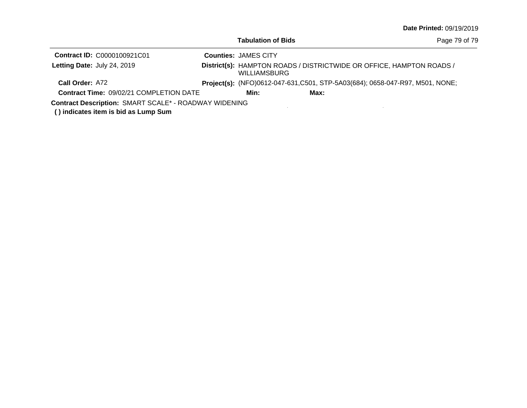| Tabulation of Bids |  |
|--------------------|--|
|--------------------|--|

| Page 79 of 79 |  |  |
|---------------|--|--|
|---------------|--|--|

| <b>Contract ID: C0000100921C01</b>                           | <b>Counties: JAMES CITY</b>                                                                 |      |                                                                              |  |
|--------------------------------------------------------------|---------------------------------------------------------------------------------------------|------|------------------------------------------------------------------------------|--|
| Letting Date: July 24, 2019                                  | District(s): HAMPTON ROADS / DISTRICTWIDE OR OFFICE, HAMPTON ROADS /<br><b>WILLIAMSBURG</b> |      |                                                                              |  |
| Call Order: A72                                              |                                                                                             |      | Project(s): (NFO)0612-047-631,C501, STP-5A03(684); 0658-047-R97, M501, NONE; |  |
| <b>Contract Time: 09/02/21 COMPLETION DATE</b>               | Min:                                                                                        | Max: |                                                                              |  |
| <b>Contract Description: SMART SCALE* - ROADWAY WIDENING</b> |                                                                                             |      |                                                                              |  |

**( ) indicates item is bid as Lump Sum**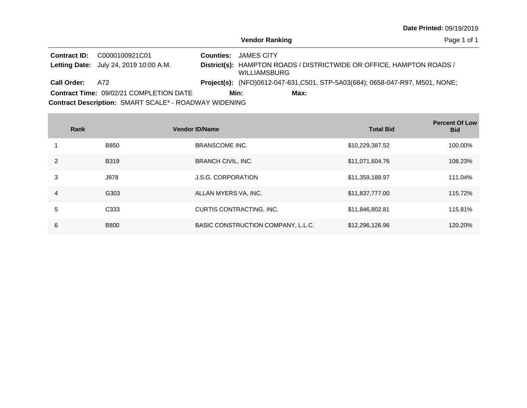Page 1 of 1

| <b>Contract ID:</b> | C0000100921C01<br><b>Letting Date:</b> July 24, 2019 10:00 A.M. | <b>Counties: JAMES CITY</b><br>District(s): HAMPTON ROADS / DISTRICTWIDE OR OFFICE, HAMPTON ROADS /<br><b>WILLIAMSBURG</b> |
|---------------------|-----------------------------------------------------------------|----------------------------------------------------------------------------------------------------------------------------|
| <b>Call Order:</b>  | - A72                                                           | <b>Project(s):</b> (NFO)0612-047-631, C501, STP-5A03(684); 0658-047-R97, M501, NONE;                                       |
|                     | <b>Contract Time: 09/02/21 COMPLETION DATE</b>                  | Min:<br>Max:                                                                                                               |
|                     | Contract Description: SMART SCALE* - ROADWAY WIDENING           |                                                                                                                            |

**Contract** 

|               | Rank             | <b>Vendor ID/Name</b>              | <b>Total Bid</b> | <b>Percent Of Low</b><br><b>Bid</b> |
|---------------|------------------|------------------------------------|------------------|-------------------------------------|
|               | <b>B850</b>      | <b>BRANSCOME INC.</b>              | \$10,229,387.52  | 100.00%                             |
| $\mathcal{P}$ | <b>B319</b>      | <b>BRANCH CIVIL, INC.</b>          | \$11,071,604.76  | 108.23%                             |
| 3             | J978             | <b>J.S.G. CORPORATION</b>          | \$11,359,188.97  | 111.04%                             |
| 4             | G303             | ALLAN MYERS VA, INC.               | \$11,837,777.00  | 115.72%                             |
| 5             | C <sub>333</sub> | CURTIS CONTRACTING, INC.           | \$11,846,802.81  | 115.81%                             |
| 6             | <b>B800</b>      | BASIC CONSTRUCTION COMPANY, L.L.C. | \$12,296,126.96  | 120.20%                             |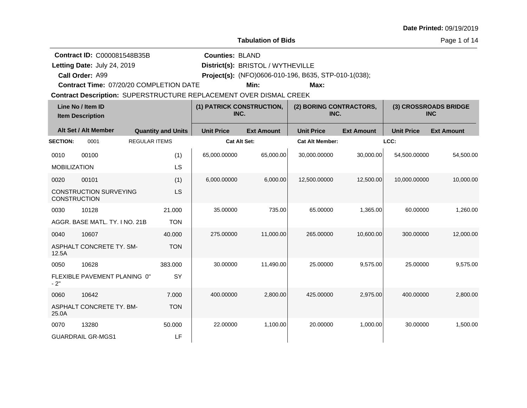**Tabulation of Bids**

Page 1 of 14

**Contract ID:** C000081548B35B

**Call Order:**

Letting Date: July 24, 2019

**Letting Date:** July 24, 2019 **District(s): BRISTOL** / WYTHEVILLE

**Counties:** BLAND

A99 **Project(s):** (NFO)0606-010-196, B635, STP-010-1(038);

**Contract Time:** 07/20/20 COMPLETION DATE

**Min: Max:**

| Line No / Item ID<br><b>Item Description</b> |                                | (1) PATRICK CONSTRUCTION,<br>INC. |                     | (2) BORING CONTRACTORS,<br>INC. |                        | (3) CROSSROADS BRIDGE<br><b>INC</b> |                   |                   |
|----------------------------------------------|--------------------------------|-----------------------------------|---------------------|---------------------------------|------------------------|-------------------------------------|-------------------|-------------------|
|                                              | Alt Set / Alt Member           | <b>Quantity and Units</b>         | <b>Unit Price</b>   | <b>Ext Amount</b>               | <b>Unit Price</b>      | <b>Ext Amount</b>                   | <b>Unit Price</b> | <b>Ext Amount</b> |
| <b>SECTION:</b>                              | 0001                           | <b>REGULAR ITEMS</b>              | <b>Cat Alt Set:</b> |                                 | <b>Cat Alt Member:</b> |                                     | LCC:              |                   |
| 0010                                         | 00100                          | (1)                               | 65,000.00000        | 65,000.00                       | 30,000.00000           | 30,000.00                           | 54,500.00000      | 54,500.00         |
| <b>MOBILIZATION</b>                          |                                | LS                                |                     |                                 |                        |                                     |                   |                   |
| 0020                                         | 00101                          | (1)                               | 6,000.00000         | 6,000.00                        | 12,500.00000           | 12,500.00                           | 10,000.00000      | 10,000.00         |
| <b>CONSTRUCTION</b>                          | <b>CONSTRUCTION SURVEYING</b>  | LS                                |                     |                                 |                        |                                     |                   |                   |
| 0030                                         | 10128                          | 21.000                            | 35.00000            | 735.00                          | 65.00000               | 1,365.00                            | 60.00000          | 1,260.00          |
|                                              | AGGR, BASE MATL, TY, I NO, 21B | <b>TON</b>                        |                     |                                 |                        |                                     |                   |                   |
| 0040                                         | 10607                          | 40.000                            | 275.00000           | 11.000.00                       | 265.00000              | 10,600.00                           | 300.00000         | 12,000.00         |
| 12.5A                                        | ASPHALT CONCRETE TY, SM-       | <b>TON</b>                        |                     |                                 |                        |                                     |                   |                   |
| 0050                                         | 10628                          | 383.000                           | 30.00000            | 11,490.00                       | 25.00000               | 9,575.00                            | 25.00000          | 9,575.00          |
| $-2"$                                        | FLEXIBLE PAVEMENT PLANING 0"   | SY                                |                     |                                 |                        |                                     |                   |                   |
| 0060                                         | 10642                          | 7.000                             | 400.00000           | 2,800.00                        | 425.00000              | 2,975.00                            | 400.00000         | 2,800.00          |
| 25.0A                                        | ASPHALT CONCRETE TY, BM-       | <b>TON</b>                        |                     |                                 |                        |                                     |                   |                   |
| 0070                                         | 13280                          | 50.000                            | 22.00000            | 1,100.00                        | 20.00000               | 1,000.00                            | 30.00000          | 1,500.00          |
|                                              | <b>GUARDRAIL GR-MGS1</b>       | LF                                |                     |                                 |                        |                                     |                   |                   |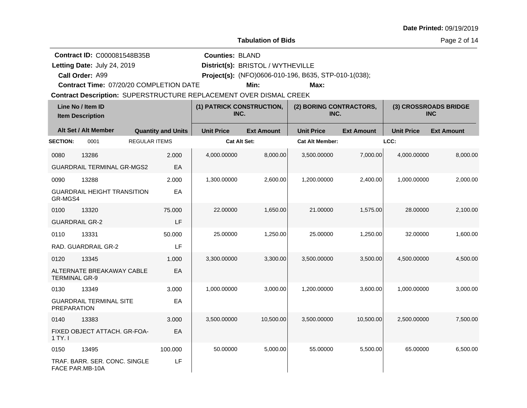**Tabulation of Bids**

Page 2 of 14

**Contract ID:** C000081548B35B

**Call Order:**

Letting Date: July 24, 2019

**Letting Date:** July 24, 2019 **District(s): BRISTOL** / WYTHEVILLE

**Counties:** BLAND

A99 **Project(s):** (NFO)0606-010-196, B635, STP-010-1(038);

**Contract Time:** 07/20/20 COMPLETION DATE

**Min: Max:**

| Line No / Item ID<br><b>Item Description</b> |                                                  | (1) PATRICK CONSTRUCTION,<br>INC. |                   | (2) BORING CONTRACTORS,<br>INC. |                        | (3) CROSSROADS BRIDGE<br><b>INC</b> |                   |                   |
|----------------------------------------------|--------------------------------------------------|-----------------------------------|-------------------|---------------------------------|------------------------|-------------------------------------|-------------------|-------------------|
|                                              | Alt Set / Alt Member                             | <b>Quantity and Units</b>         | <b>Unit Price</b> | <b>Ext Amount</b>               | <b>Unit Price</b>      | <b>Ext Amount</b>                   | <b>Unit Price</b> | <b>Ext Amount</b> |
| <b>SECTION:</b>                              | 0001                                             | <b>REGULAR ITEMS</b>              | Cat Alt Set:      |                                 | <b>Cat Alt Member:</b> |                                     | LCC:              |                   |
| 0080                                         | 13286                                            | 2.000                             | 4,000.00000       | 8,000.00                        | 3,500.00000            | 7,000.00                            | 4,000.00000       | 8,000.00          |
|                                              | <b>GUARDRAIL TERMINAL GR-MGS2</b>                | EA                                |                   |                                 |                        |                                     |                   |                   |
| 0090                                         | 13288                                            | 2.000                             | 1,300.00000       | 2,600.00                        | 1,200.00000            | 2,400.00                            | 1,000.00000       | 2,000.00          |
| GR-MGS4                                      | <b>GUARDRAIL HEIGHT TRANSITION</b>               | EA                                |                   |                                 |                        |                                     |                   |                   |
| 0100                                         | 13320                                            | 75.000                            | 22.00000          | 1,650.00                        | 21.00000               | 1,575.00                            | 28.00000          | 2,100.00          |
|                                              | <b>GUARDRAIL GR-2</b>                            | LF                                |                   |                                 |                        |                                     |                   |                   |
| 0110                                         | 13331                                            | 50.000                            | 25.00000          | 1,250.00                        | 25.00000               | 1,250.00                            | 32.00000          | 1,600.00          |
|                                              | RAD. GUARDRAIL GR-2                              | LF                                |                   |                                 |                        |                                     |                   |                   |
| 0120                                         | 13345                                            | 1.000                             | 3,300.00000       | 3,300.00                        | 3,500.00000            | 3,500.00                            | 4.500.00000       | 4,500.00          |
| <b>TERMINAL GR-9</b>                         | ALTERNATE BREAKAWAY CABLE                        | EA                                |                   |                                 |                        |                                     |                   |                   |
| 0130                                         | 13349                                            | 3.000                             | 1,000.00000       | 3,000.00                        | 1,200.00000            | 3,600.00                            | 1,000.00000       | 3,000.00          |
| PREPARATION                                  | <b>GUARDRAIL TERMINAL SITE</b>                   | EA                                |                   |                                 |                        |                                     |                   |                   |
| 0140                                         | 13383                                            | 3.000                             | 3,500.00000       | 10,500.00                       | 3,500.00000            | 10,500.00                           | 2,500.00000       | 7,500.00          |
| 1 TY. I                                      | FIXED OBJECT ATTACH, GR-FOA-                     | EA                                |                   |                                 |                        |                                     |                   |                   |
| 0150                                         | 13495                                            | 100.000                           | 50.00000          | 5,000.00                        | 55.00000               | 5,500.00                            | 65.00000          | 6,500.00          |
|                                              | TRAF. BARR. SER. CONC. SINGLE<br>FACE PAR.MB-10A | LF                                |                   |                                 |                        |                                     |                   |                   |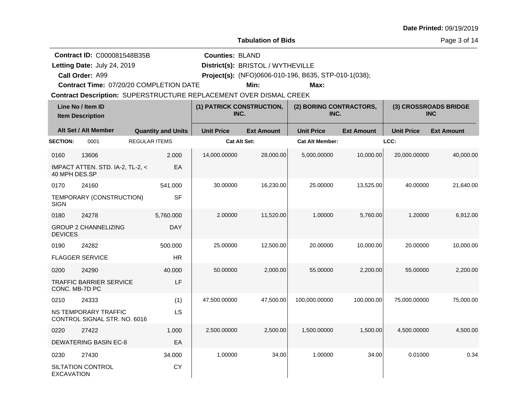**Tabulation of Bids**

Page 3 of 14

**Contract ID:** C000081548B35B

**Call Order:**

Letting Date: July 24, 2019

**Letting Date:** July 24, 2019 **District(s): BRISTOL** / WYTHEVILLE

**Counties:** BLAND

A99 **Project(s):** (NFO)0606-010-196, B635, STP-010-1(038);

**Contract Time:** 07/20/20 COMPLETION DATE

**Min: Max:**

|                   | Line No / Item ID<br><b>Item Description</b>         |                           | (1) PATRICK CONSTRUCTION,<br>INC. |                   | (2) BORING CONTRACTORS,<br>INC. |                   | (3) CROSSROADS BRIDGE<br><b>INC</b> |                   |
|-------------------|------------------------------------------------------|---------------------------|-----------------------------------|-------------------|---------------------------------|-------------------|-------------------------------------|-------------------|
|                   | Alt Set / Alt Member                                 | <b>Quantity and Units</b> | <b>Unit Price</b>                 | <b>Ext Amount</b> | <b>Unit Price</b>               | <b>Ext Amount</b> | <b>Unit Price</b>                   | <b>Ext Amount</b> |
| <b>SECTION:</b>   | 0001                                                 | <b>REGULAR ITEMS</b>      | <b>Cat Alt Set:</b>               |                   | <b>Cat Alt Member:</b>          |                   | LCC:                                |                   |
| 0160              | 13606                                                | 2.000                     | 14,000.00000                      | 28,000.00         | 5,000.00000                     | 10,000.00         | 20,000.00000                        | 40,000.00         |
| 40 MPH DES.SP     | IMPACT ATTEN. STD. IA-2, TL-2, <                     | EA                        |                                   |                   |                                 |                   |                                     |                   |
| 0170              | 24160                                                | 541.000                   | 30.00000                          | 16,230.00         | 25.00000                        | 13,525.00         | 40.00000                            | 21,640.00         |
| <b>SIGN</b>       | TEMPORARY (CONSTRUCTION)                             | <b>SF</b>                 |                                   |                   |                                 |                   |                                     |                   |
| 0180              | 24278                                                | 5,760.000                 | 2.00000                           | 11,520.00         | 1.00000                         | 5,760.00          | 1.20000                             | 6,912.00          |
| <b>DEVICES</b>    | <b>GROUP 2 CHANNELIZING</b>                          | <b>DAY</b>                |                                   |                   |                                 |                   |                                     |                   |
| 0190              | 24282                                                | 500.000                   | 25.00000                          | 12,500.00         | 20.00000                        | 10,000.00         | 20.00000                            | 10,000.00         |
|                   | <b>FLAGGER SERVICE</b>                               | <b>HR</b>                 |                                   |                   |                                 |                   |                                     |                   |
| 0200              | 24290                                                | 40.000                    | 50.00000                          | 2,000.00          | 55.00000                        | 2,200.00          | 55.00000                            | 2,200.00          |
| CONC. MB-7D PC    | <b>TRAFFIC BARRIER SERVICE</b>                       | LF                        |                                   |                   |                                 |                   |                                     |                   |
| 0210              | 24333                                                | (1)                       | 47,500.00000                      | 47,500.00         | 100,000.00000                   | 100,000.00        | 75,000.00000                        | 75,000.00         |
|                   | NS TEMPORARY TRAFFIC<br>CONTROL SIGNAL STR. NO. 6016 | LS                        |                                   |                   |                                 |                   |                                     |                   |
| 0220              | 27422                                                | 1.000                     | 2,500.00000                       | 2,500.00          | 1,500.00000                     | 1,500.00          | 4,500.00000                         | 4,500.00          |
|                   | <b>DEWATERING BASIN EC-8</b>                         | EA                        |                                   |                   |                                 |                   |                                     |                   |
| 0230              | 27430                                                | 34.000                    | 1.00000                           | 34.00             | 1.00000                         | 34.00             | 0.01000                             | 0.34              |
| <b>EXCAVATION</b> | SILTATION CONTROL                                    | CY                        |                                   |                   |                                 |                   |                                     |                   |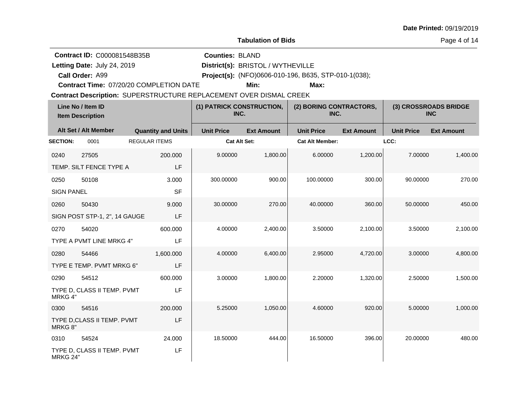**Tabulation of Bids**

Page 4 of 14

**Contract ID:** C000081548B35B

**Letting Date:** July 24, 2019 **District(s): BRISTOL** / WYTHEVILLE **Counties:** BLAND

A99 **Project(s):** (NFO)0606-010-196, B635, STP-010-1(038);

**Contract Time:** 07/20/20 COMPLETION DATE

**Call Order:**

Letting Date: July 24, 2019

**Min: Max:**

| Line No / Item ID<br><b>Item Description</b> |                               | (1) PATRICK CONSTRUCTION,<br>INC. |                   | (2) BORING CONTRACTORS,<br>INC. |                        | (3) CROSSROADS BRIDGE<br><b>INC</b> |                   |                   |
|----------------------------------------------|-------------------------------|-----------------------------------|-------------------|---------------------------------|------------------------|-------------------------------------|-------------------|-------------------|
|                                              | Alt Set / Alt Member          | <b>Quantity and Units</b>         | <b>Unit Price</b> | <b>Ext Amount</b>               | <b>Unit Price</b>      | <b>Ext Amount</b>                   | <b>Unit Price</b> | <b>Ext Amount</b> |
| <b>SECTION:</b>                              | 0001                          | <b>REGULAR ITEMS</b>              | Cat Alt Set:      |                                 | <b>Cat Alt Member:</b> |                                     | LCC:              |                   |
| 0240                                         | 27505                         | 200.000                           | 9.00000           | 1,800.00                        | 6.00000                | 1,200.00                            | 7.00000           | 1,400.00          |
|                                              | TEMP. SILT FENCE TYPE A       | LF                                |                   |                                 |                        |                                     |                   |                   |
| 0250                                         | 50108                         | 3.000                             | 300.00000         | 900.00                          | 100.00000              | 300.00                              | 90.00000          | 270.00            |
| <b>SIGN PANEL</b>                            |                               | <b>SF</b>                         |                   |                                 |                        |                                     |                   |                   |
| 0260                                         | 50430                         | 9.000                             | 30.00000          | 270.00                          | 40.00000               | 360.00                              | 50.00000          | 450.00            |
|                                              | SIGN POST STP-1, 2", 14 GAUGE | LF                                |                   |                                 |                        |                                     |                   |                   |
| 0270                                         | 54020                         | 600.000                           | 4.00000           | 2,400.00                        | 3.50000                | 2,100.00                            | 3.50000           | 2,100.00          |
|                                              | TYPE A PVMT LINE MRKG 4"      | LF                                |                   |                                 |                        |                                     |                   |                   |
| 0280                                         | 54466                         | 1,600.000                         | 4.00000           | 6,400.00                        | 2.95000                | 4,720.00                            | 3.00000           | 4,800.00          |
|                                              | TYPE E TEMP. PVMT MRKG 6"     | LF                                |                   |                                 |                        |                                     |                   |                   |
| 0290                                         | 54512                         | 600.000                           | 3.00000           | 1,800.00                        | 2.20000                | 1,320.00                            | 2.50000           | 1,500.00          |
| MRKG 4"                                      | TYPE D, CLASS II TEMP. PVMT   | LF                                |                   |                                 |                        |                                     |                   |                   |
| 0300                                         | 54516                         | 200.000                           | 5.25000           | 1,050.00                        | 4.60000                | 920.00                              | 5.00000           | 1,000.00          |
| MRKG 8"                                      | TYPE D, CLASS II TEMP. PVMT   | LF                                |                   |                                 |                        |                                     |                   |                   |
| 0310                                         | 54524                         | 24.000                            | 18.50000          | 444.00                          | 16.50000               | 396.00                              | 20.00000          | 480.00            |
| <b>MRKG 24"</b>                              | TYPE D, CLASS II TEMP. PVMT   | LF                                |                   |                                 |                        |                                     |                   |                   |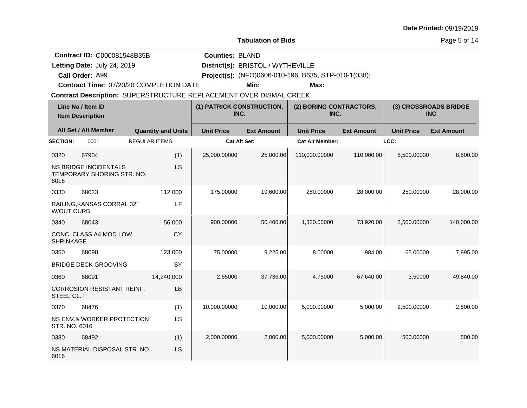| <b>Date Printed: 09/19/2019</b> |  |
|---------------------------------|--|
|---------------------------------|--|

Page 5 of 14

**Contract ID:** C000081548B35B

**Call Order:**

Letting Date: July 24, 2019

**Letting Date:** July 24, 2019 **District(s): BRISTOL** / WYTHEVILLE

**Counties:** BLAND

A99 **Project(s):** (NFO)0606-010-196, B635, STP-010-1(038);

**Contract Time:** 07/20/20 COMPLETION DATE

**Min: Max:**

| Line No / Item ID<br><b>Item Description</b> |                                                            | (1) PATRICK CONSTRUCTION,<br>INC. |                     | (2) BORING CONTRACTORS,<br>INC. |                        | (3) CROSSROADS BRIDGE<br><b>INC</b> |                   |                   |
|----------------------------------------------|------------------------------------------------------------|-----------------------------------|---------------------|---------------------------------|------------------------|-------------------------------------|-------------------|-------------------|
|                                              | Alt Set / Alt Member                                       | <b>Quantity and Units</b>         | <b>Unit Price</b>   | <b>Ext Amount</b>               | <b>Unit Price</b>      | <b>Ext Amount</b>                   | <b>Unit Price</b> | <b>Ext Amount</b> |
| <b>SECTION:</b>                              | 0001                                                       | <b>REGULAR ITEMS</b>              | <b>Cat Alt Set:</b> |                                 | <b>Cat Alt Member:</b> |                                     | LCC:              |                   |
| 0320                                         | 67904                                                      | (1)                               | 25,000.00000        | 25,000.00                       | 110,000.00000          | 110,000.00                          | 8,500.00000       | 8,500.00          |
| 6016                                         | <b>NS BRIDGE INCIDENTALS</b><br>TEMPORARY SHORING STR. NO. | LS                                |                     |                                 |                        |                                     |                   |                   |
| 0330                                         | 68023                                                      | 112.000                           | 175.00000           | 19,600.00                       | 250.00000              | 28,000.00                           | 250.00000         | 28,000.00         |
| <b>W/OUT CURB</b>                            | RAILING, KANSAS CORRAL 32"                                 | LF                                |                     |                                 |                        |                                     |                   |                   |
| 0340                                         | 68043                                                      | 56.000                            | 900.00000           | 50,400.00                       | 1,320.00000            | 73,920.00                           | 2,500.00000       | 140,000.00        |
| <b>SHRINKAGE</b>                             | CONC. CLASS A4 MOD.LOW                                     | CY                                |                     |                                 |                        |                                     |                   |                   |
| 0350                                         | 68090                                                      | 123.000                           | 75.00000            | 9,225.00                        | 8.00000                | 984.00                              | 65.00000          | 7,995.00          |
|                                              | <b>BRIDGE DECK GROOVING</b>                                | SY                                |                     |                                 |                        |                                     |                   |                   |
| 0360                                         | 68091                                                      | 14,240.000                        | 2.65000             | 37,736.00                       | 4.75000                | 67,640.00                           | 3.50000           | 49,840.00         |
| STEEL CL. I                                  | <b>CORROSION RESISTANT REINF.</b>                          | LB                                |                     |                                 |                        |                                     |                   |                   |
| 0370                                         | 68476                                                      | (1)                               | 10,000.00000        | 10,000.00                       | 5,000.00000            | 5,000.00                            | 2,500.00000       | 2,500.00          |
| STR. NO. 6016                                | NS ENV.& WORKER PROTECTION                                 | <b>LS</b>                         |                     |                                 |                        |                                     |                   |                   |
| 0380                                         | 68492                                                      | (1)                               | 2,000.00000         | 2,000.00                        | 5,000.00000            | 5,000.00                            | 500.00000         | 500.00            |
| 6016                                         | NS MATERIAL DISPOSAL STR. NO.                              | LS                                |                     |                                 |                        |                                     |                   |                   |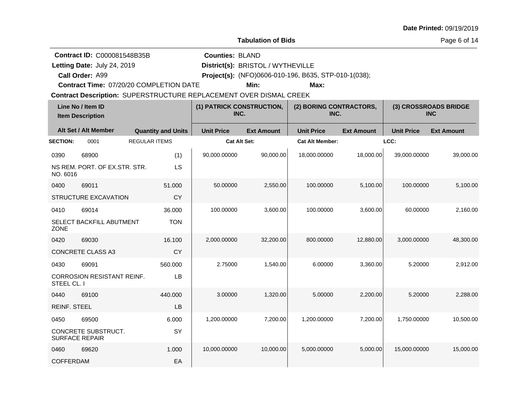**Tabulation of Bids**

Page 6 of 14

**Contract ID:** C000081548B35B

**Call Order:**

Letting Date: July 24, 2019

**Letting Date:** July 24, 2019 **District(s): BRISTOL** / WYTHEVILLE

**Counties:** BLAND

A99 **Project(s):** (NFO)0606-010-196, B635, STP-010-1(038);

**Contract Time:** 07/20/20 COMPLETION DATE

**Min: Max:**

| Line No / Item ID<br><b>Item Description</b> |                                              | (1) PATRICK CONSTRUCTION,<br>INC. |                     | (2) BORING CONTRACTORS,<br>INC. |                        | (3) CROSSROADS BRIDGE<br><b>INC</b> |                   |                   |
|----------------------------------------------|----------------------------------------------|-----------------------------------|---------------------|---------------------------------|------------------------|-------------------------------------|-------------------|-------------------|
|                                              | Alt Set / Alt Member                         | <b>Quantity and Units</b>         | <b>Unit Price</b>   | <b>Ext Amount</b>               | <b>Unit Price</b>      | <b>Ext Amount</b>                   | <b>Unit Price</b> | <b>Ext Amount</b> |
| <b>SECTION:</b>                              | 0001                                         | <b>REGULAR ITEMS</b>              | <b>Cat Alt Set:</b> |                                 | <b>Cat Alt Member:</b> |                                     | LCC:              |                   |
| 0390                                         | 68900                                        | (1)                               | 90,000.00000        | 90,000.00                       | 18,000.00000           | 18,000.00                           | 39,000.00000      | 39,000.00         |
| NO. 6016                                     | NS REM. PORT. OF EX.STR. STR.                | LS                                |                     |                                 |                        |                                     |                   |                   |
| 0400                                         | 69011                                        | 51.000                            | 50.00000            | 2,550.00                        | 100.00000              | 5,100.00                            | 100.00000         | 5,100.00          |
|                                              | STRUCTURE EXCAVATION                         | CY                                |                     |                                 |                        |                                     |                   |                   |
| 0410                                         | 69014                                        | 36.000                            | 100.00000           | 3,600.00                        | 100.00000              | 3,600.00                            | 60.00000          | 2,160.00          |
| <b>ZONE</b>                                  | SELECT BACKFILL ABUTMENT                     | <b>TON</b>                        |                     |                                 |                        |                                     |                   |                   |
| 0420                                         | 69030                                        | 16.100                            | 2,000.00000         | 32,200.00                       | 800.00000              | 12,880.00                           | 3,000.00000       | 48,300.00         |
|                                              | CONCRETE CLASS A3                            | CY                                |                     |                                 |                        |                                     |                   |                   |
| 0430                                         | 69091                                        | 560.000                           | 2.75000             | 1,540.00                        | 6.00000                | 3,360.00                            | 5.20000           | 2,912.00          |
| STEEL CL. I                                  | CORROSION RESISTANT REINF.                   | LB                                |                     |                                 |                        |                                     |                   |                   |
| 0440                                         | 69100                                        | 440.000                           | 3.00000             | 1,320.00                        | 5.00000                | 2,200.00                            | 5.20000           | 2,288.00          |
| <b>REINF. STEEL</b>                          |                                              | LB                                |                     |                                 |                        |                                     |                   |                   |
| 0450                                         | 69500                                        | 6.000                             | 1,200.00000         | 7,200.00                        | 1,200.00000            | 7,200.00                            | 1,750.00000       | 10,500.00         |
|                                              | CONCRETE SUBSTRUCT.<br><b>SURFACE REPAIR</b> | SY                                |                     |                                 |                        |                                     |                   |                   |
| 0460                                         | 69620                                        | 1.000                             | 10,000.00000        | 10,000.00                       | 5,000.00000            | 5,000.00                            | 15,000.00000      | 15,000.00         |
| <b>COFFERDAM</b>                             |                                              | EA                                |                     |                                 |                        |                                     |                   |                   |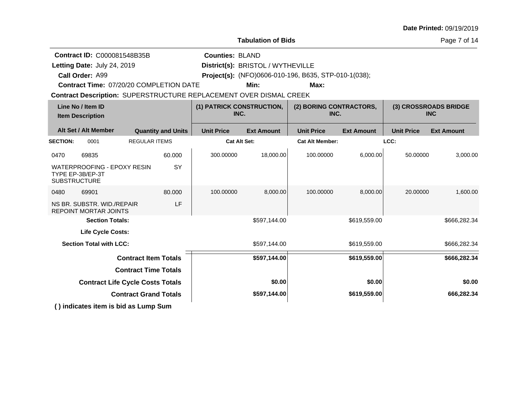|  |  | Date Printed: 09/19/2019 |
|--|--|--------------------------|
|--|--|--------------------------|

Page 7 of 14

|                                              | <b>Contract ID: C000081548B35B</b>                                            |                                   |                           | <b>Counties: BLAND</b>                                             |                                   |                                                      |                   |                   |                   |
|----------------------------------------------|-------------------------------------------------------------------------------|-----------------------------------|---------------------------|--------------------------------------------------------------------|-----------------------------------|------------------------------------------------------|-------------------|-------------------|-------------------|
|                                              | Letting Date: July 24, 2019                                                   |                                   |                           |                                                                    | District(s): BRISTOL / WYTHEVILLE |                                                      |                   |                   |                   |
|                                              | Call Order: A99                                                               |                                   |                           |                                                                    |                                   | Project(s): (NFO)0606-010-196, B635, STP-010-1(038); |                   |                   |                   |
|                                              | Contract Time: 07/20/20 COMPLETION DATE                                       |                                   |                           |                                                                    | Min:                              | Max:                                                 |                   |                   |                   |
|                                              |                                                                               |                                   |                           | Contract Description: SUPERSTRUCTURE REPLACEMENT OVER DISMAL CREEK |                                   |                                                      |                   |                   |                   |
| Line No / Item ID<br><b>Item Description</b> |                                                                               | (1) PATRICK CONSTRUCTION,<br>INC. |                           | (2) BORING CONTRACTORS,<br>INC.                                    |                                   | (3) CROSSROADS BRIDGE<br><b>INC</b>                  |                   |                   |                   |
|                                              | Alt Set / Alt Member                                                          |                                   | <b>Quantity and Units</b> | <b>Unit Price</b>                                                  | <b>Ext Amount</b>                 | <b>Unit Price</b>                                    | <b>Ext Amount</b> | <b>Unit Price</b> | <b>Ext Amount</b> |
| <b>SECTION:</b>                              | 0001                                                                          | <b>REGULAR ITEMS</b>              |                           | <b>Cat Alt Set:</b>                                                |                                   | <b>Cat Alt Member:</b>                               |                   | LCC:              |                   |
| 0470                                         | 69835                                                                         |                                   | 60,000                    | 300.00000                                                          | 18,000.00                         | 100.00000                                            | 6,000.00          | 50.00000          | 3,000.00          |
|                                              | <b>WATERPROOFING - EPOXY RESIN</b><br>TYPE EP-3B/EP-3T<br><b>SUBSTRUCTURE</b> |                                   | SY                        |                                                                    |                                   |                                                      |                   |                   |                   |
| 0480                                         | 69901                                                                         |                                   | 80,000                    | 100.00000                                                          | 8,000.00                          | 100.00000                                            | 8,000.00          | 20.00000          | 1,600.00          |
|                                              | NS BR. SUBSTR. WID./REPAIR<br><b>REPOINT MORTAR JOINTS</b>                    |                                   | LF                        |                                                                    |                                   |                                                      |                   |                   |                   |
|                                              | <b>Section Totals:</b>                                                        |                                   |                           |                                                                    | \$597,144.00                      |                                                      | \$619,559.00      |                   | \$666,282.34      |
|                                              | <b>Life Cycle Costs:</b>                                                      |                                   |                           |                                                                    |                                   |                                                      |                   |                   |                   |
|                                              | <b>Section Total with LCC:</b>                                                |                                   |                           |                                                                    | \$597,144.00                      |                                                      | \$619,559.00      |                   | \$666,282.34      |
|                                              |                                                                               | <b>Contract Item Totals</b>       |                           |                                                                    | \$597,144.00                      |                                                      | \$619,559.00      |                   | \$666,282.34      |
|                                              |                                                                               | <b>Contract Time Totals</b>       |                           |                                                                    |                                   |                                                      |                   |                   |                   |
|                                              | <b>Contract Life Cycle Costs Totals</b>                                       |                                   |                           |                                                                    | \$0.00                            |                                                      | \$0.00            |                   | \$0.00            |
|                                              |                                                                               | <b>Contract Grand Totals</b>      |                           |                                                                    | \$597,144.00                      |                                                      | \$619,559.00      |                   | 666,282.34        |
|                                              | () indicates item is bid as Lump Sum                                          |                                   |                           |                                                                    |                                   |                                                      |                   |                   |                   |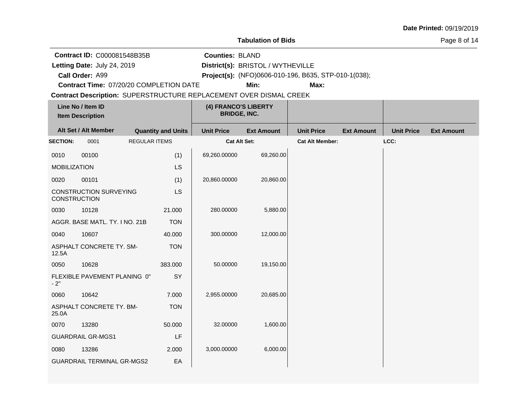**Tabulation of Bids**

Page 8 of 14

**Contract ID:** C000081548B35B

**Letting Date:** July 24, 2019 **District(s): BRISTOL** / WYTHEVILLE Letting Date: July 24, 2019

**Call Order:**

A99 **Project(s):** (NFO)0606-010-196, B635, STP-010-1(038);

**Counties:** BLAND

**Contract Time:** 07/20/20 COMPLETION DATE

**Min: Max:**

| Line No / Item ID<br><b>Item Description</b> |                                                   |                      | (4) FRANCO'S LIBERTY<br><b>BRIDGE, INC.</b> |                   |                        |                   |                   |                   |
|----------------------------------------------|---------------------------------------------------|----------------------|---------------------------------------------|-------------------|------------------------|-------------------|-------------------|-------------------|
|                                              | Alt Set / Alt Member<br><b>Quantity and Units</b> |                      | <b>Unit Price</b>                           | <b>Ext Amount</b> | <b>Unit Price</b>      | <b>Ext Amount</b> | <b>Unit Price</b> | <b>Ext Amount</b> |
| <b>SECTION:</b>                              | 0001                                              | <b>REGULAR ITEMS</b> | <b>Cat Alt Set:</b>                         |                   | <b>Cat Alt Member:</b> |                   | LCC:              |                   |
| 0010                                         | 00100                                             | (1)                  | 69,260.00000                                | 69,260.00         |                        |                   |                   |                   |
| <b>MOBILIZATION</b>                          |                                                   | LS                   |                                             |                   |                        |                   |                   |                   |
| 0020                                         | 00101                                             | (1)                  | 20,860.00000                                | 20,860.00         |                        |                   |                   |                   |
| <b>CONSTRUCTION</b>                          | <b>CONSTRUCTION SURVEYING</b>                     | <b>LS</b>            |                                             |                   |                        |                   |                   |                   |
| 0030                                         | 10128                                             | 21.000               | 280.00000                                   | 5,880.00          |                        |                   |                   |                   |
|                                              | AGGR. BASE MATL. TY. I NO. 21B                    | <b>TON</b>           |                                             |                   |                        |                   |                   |                   |
| 0040                                         | 10607                                             | 40.000               | 300.00000                                   | 12,000.00         |                        |                   |                   |                   |
| 12.5A                                        | ASPHALT CONCRETE TY. SM-                          | <b>TON</b>           |                                             |                   |                        |                   |                   |                   |
| 0050                                         | 10628                                             | 383.000              | 50.00000                                    | 19,150.00         |                        |                   |                   |                   |
| $-2"$                                        | FLEXIBLE PAVEMENT PLANING 0"                      | SY                   |                                             |                   |                        |                   |                   |                   |
| 0060                                         | 10642                                             | 7.000                | 2,955.00000                                 | 20,685.00         |                        |                   |                   |                   |
| 25.0A                                        | ASPHALT CONCRETE TY. BM-                          | <b>TON</b>           |                                             |                   |                        |                   |                   |                   |
| 0070                                         | 13280                                             | 50.000               | 32.00000                                    | 1,600.00          |                        |                   |                   |                   |
|                                              | <b>GUARDRAIL GR-MGS1</b>                          | LF                   |                                             |                   |                        |                   |                   |                   |
| 0080                                         | 13286                                             | 2.000                | 3,000.00000                                 | 6,000.00          |                        |                   |                   |                   |
|                                              | <b>GUARDRAIL TERMINAL GR-MGS2</b>                 | EA                   |                                             |                   |                        |                   |                   |                   |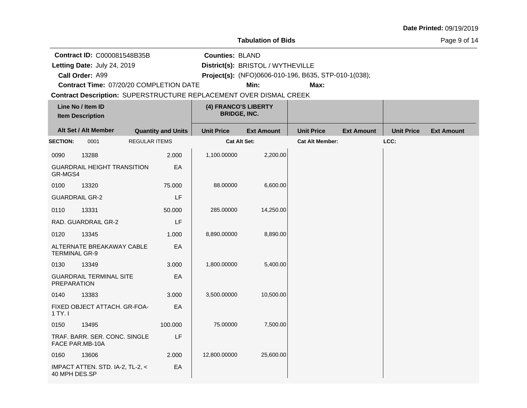**Tabulation of Bids**

Page 9 of 14

**Contract ID:** C000081548B35B

**Letting Date:** July 24, 2019 **District(s): BRISTOL** / WYTHEVILLE

**Counties:** BLAND

A99 **Project(s):** (NFO)0606-010-196, B635, STP-010-1(038);

**Contract Time:** 07/20/20 COMPLETION DATE

**Call Order:**

Letting Date: July 24, 2019

**Min: Max:**

| Line No / Item ID<br><b>Item Description</b> |                                                  |                      | (4) FRANCO'S LIBERTY<br><b>BRIDGE, INC.</b> |                   |                   |                        |                   |                   |                   |
|----------------------------------------------|--------------------------------------------------|----------------------|---------------------------------------------|-------------------|-------------------|------------------------|-------------------|-------------------|-------------------|
|                                              | Alt Set / Alt Member                             |                      | <b>Quantity and Units</b>                   | <b>Unit Price</b> | <b>Ext Amount</b> | <b>Unit Price</b>      | <b>Ext Amount</b> | <b>Unit Price</b> | <b>Ext Amount</b> |
| <b>SECTION:</b>                              | 0001                                             | <b>REGULAR ITEMS</b> |                                             | Cat Alt Set:      |                   | <b>Cat Alt Member:</b> |                   | LCC:              |                   |
| 0090                                         | 13288                                            |                      | 2.000                                       | 1,100.00000       | 2,200.00          |                        |                   |                   |                   |
| GR-MGS4                                      | <b>GUARDRAIL HEIGHT TRANSITION</b>               |                      | EA                                          |                   |                   |                        |                   |                   |                   |
| 0100                                         | 13320                                            |                      | 75.000                                      | 88.00000          | 6,600.00          |                        |                   |                   |                   |
| <b>GUARDRAIL GR-2</b>                        |                                                  |                      | LF                                          |                   |                   |                        |                   |                   |                   |
| 0110                                         | 13331                                            |                      | 50.000                                      | 285.00000         | 14,250.00         |                        |                   |                   |                   |
|                                              | RAD. GUARDRAIL GR-2                              |                      | LF                                          |                   |                   |                        |                   |                   |                   |
| 0120                                         | 13345                                            |                      | 1.000                                       | 8,890.00000       | 8,890.00          |                        |                   |                   |                   |
| <b>TERMINAL GR-9</b>                         | ALTERNATE BREAKAWAY CABLE                        |                      | EA                                          |                   |                   |                        |                   |                   |                   |
| 0130                                         | 13349                                            |                      | 3.000                                       | 1,800.00000       | 5,400.00          |                        |                   |                   |                   |
| <b>PREPARATION</b>                           | <b>GUARDRAIL TERMINAL SITE</b>                   |                      | EA                                          |                   |                   |                        |                   |                   |                   |
| 0140                                         | 13383                                            |                      | 3.000                                       | 3,500.00000       | 10,500.00         |                        |                   |                   |                   |
| 1 TY. I                                      | FIXED OBJECT ATTACH. GR-FOA-                     |                      | EA                                          |                   |                   |                        |                   |                   |                   |
| 0150                                         | 13495                                            |                      | 100.000                                     | 75.00000          | 7,500.00          |                        |                   |                   |                   |
|                                              | TRAF, BARR, SER, CONC, SINGLE<br>FACE PAR.MB-10A |                      | LF                                          |                   |                   |                        |                   |                   |                   |
| 0160                                         | 13606                                            |                      | 2.000                                       | 12,800.00000      | 25,600.00         |                        |                   |                   |                   |
| 40 MPH DES.SP                                | IMPACT ATTEN. STD. IA-2, TL-2, <                 |                      | EA                                          |                   |                   |                        |                   |                   |                   |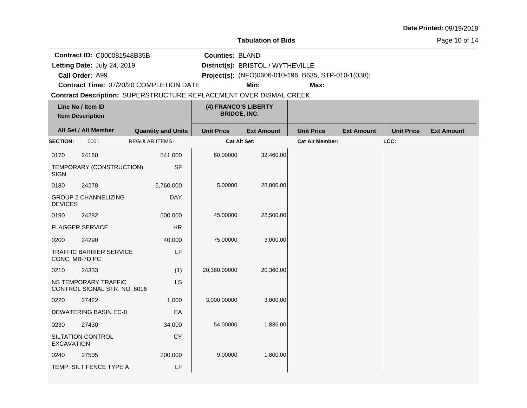**Tabulation of Bids**

Page 10 of 14

**Contract ID:** C000081548B35B

**Call Order:**

Letting Date: July 24, 2019

**Letting Date:** July 24, 2019 **District(s): BRISTOL** / WYTHEVILLE

**Counties:** BLAND

A99 **Project(s):** (NFO)0606-010-196, B635, STP-010-1(038);

**Contract Time:** 07/20/20 COMPLETION DATE

**Min: Max:**

| Line No / Item ID<br><b>Item Description</b> |                                                      | (4) FRANCO'S LIBERTY<br><b>BRIDGE, INC.</b> |                     |                   |                        |                   |                   |                   |
|----------------------------------------------|------------------------------------------------------|---------------------------------------------|---------------------|-------------------|------------------------|-------------------|-------------------|-------------------|
|                                              | Alt Set / Alt Member<br><b>Quantity and Units</b>    |                                             | <b>Unit Price</b>   | <b>Ext Amount</b> | <b>Unit Price</b>      | <b>Ext Amount</b> | <b>Unit Price</b> | <b>Ext Amount</b> |
| <b>SECTION:</b>                              | 0001                                                 | <b>REGULAR ITEMS</b>                        | <b>Cat Alt Set:</b> |                   | <b>Cat Alt Member:</b> |                   | LCC:              |                   |
| 0170                                         | 24160                                                | 541.000                                     | 60.00000            | 32,460.00         |                        |                   |                   |                   |
| <b>SIGN</b>                                  | TEMPORARY (CONSTRUCTION)                             | <b>SF</b>                                   |                     |                   |                        |                   |                   |                   |
| 0180                                         | 24278                                                | 5,760.000                                   | 5.00000             | 28,800.00         |                        |                   |                   |                   |
| <b>DEVICES</b>                               | <b>GROUP 2 CHANNELIZING</b>                          | <b>DAY</b>                                  |                     |                   |                        |                   |                   |                   |
| 0190                                         | 24282                                                | 500.000                                     | 45.00000            | 22,500.00         |                        |                   |                   |                   |
|                                              | <b>FLAGGER SERVICE</b>                               | HR                                          |                     |                   |                        |                   |                   |                   |
| 0200                                         | 24290                                                | 40.000                                      | 75.00000            | 3,000.00          |                        |                   |                   |                   |
| CONC. MB-7D PC                               | <b>TRAFFIC BARRIER SERVICE</b>                       | LF                                          |                     |                   |                        |                   |                   |                   |
| 0210                                         | 24333                                                | (1)                                         | 20,360.00000        | 20,360.00         |                        |                   |                   |                   |
|                                              | NS TEMPORARY TRAFFIC<br>CONTROL SIGNAL STR. NO. 6016 | LS                                          |                     |                   |                        |                   |                   |                   |
| 0220                                         | 27422                                                | 1.000                                       | 3,000.00000         | 3,000.00          |                        |                   |                   |                   |
|                                              | <b>DEWATERING BASIN EC-8</b>                         | EA                                          |                     |                   |                        |                   |                   |                   |
| 0230                                         | 27430                                                | 34.000                                      | 54.00000            | 1,836.00          |                        |                   |                   |                   |
| <b>EXCAVATION</b>                            | SILTATION CONTROL                                    | <b>CY</b>                                   |                     |                   |                        |                   |                   |                   |
| 0240                                         | 27505                                                | 200.000                                     | 9.00000             | 1,800.00          |                        |                   |                   |                   |
|                                              | TEMP. SILT FENCE TYPE A                              | LF                                          |                     |                   |                        |                   |                   |                   |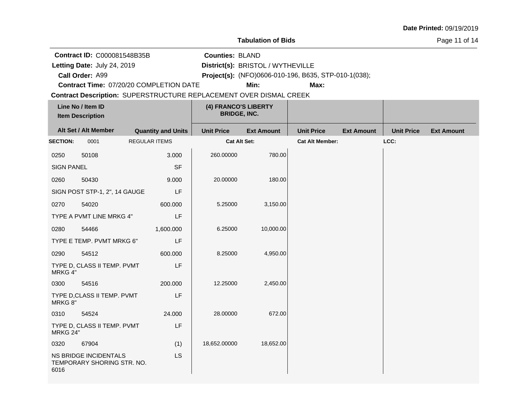#### **Tabulation of Bids**

Page 11 of 14

**Contract ID:** C000081548B35B

**Letting Date:** July 24, 2019 **District(s): BRISTOL** / WYTHEVILLE

**Counties:** BLAND

A99 **Project(s):** (NFO)0606-010-196, B635, STP-010-1(038);

**Contract Time:** 07/20/20 COMPLETION DATE

**Call Order:**

Letting Date: July 24, 2019

**Min: Max:**

| Line No / Item ID<br><b>Item Description</b> |                                                     |                           | (4) FRANCO'S LIBERTY<br><b>BRIDGE, INC.</b> |                   |                        |                   |                   |                   |
|----------------------------------------------|-----------------------------------------------------|---------------------------|---------------------------------------------|-------------------|------------------------|-------------------|-------------------|-------------------|
|                                              | Alt Set / Alt Member                                | <b>Quantity and Units</b> | <b>Unit Price</b>                           | <b>Ext Amount</b> | <b>Unit Price</b>      | <b>Ext Amount</b> | <b>Unit Price</b> | <b>Ext Amount</b> |
| <b>SECTION:</b>                              | 0001                                                | <b>REGULAR ITEMS</b>      | Cat Alt Set:                                |                   | <b>Cat Alt Member:</b> |                   | LCC:              |                   |
| 0250                                         | 50108                                               | 3.000                     | 260.00000                                   | 780.00            |                        |                   |                   |                   |
| <b>SIGN PANEL</b>                            |                                                     | <b>SF</b>                 |                                             |                   |                        |                   |                   |                   |
| 0260                                         | 50430                                               | 9.000                     | 20.00000                                    | 180.00            |                        |                   |                   |                   |
|                                              | SIGN POST STP-1, 2", 14 GAUGE                       | LF                        |                                             |                   |                        |                   |                   |                   |
| 0270                                         | 54020                                               | 600.000                   | 5.25000                                     | 3,150.00          |                        |                   |                   |                   |
|                                              | TYPE A PVMT LINE MRKG 4"                            | LF                        |                                             |                   |                        |                   |                   |                   |
| 0280                                         | 54466                                               | 1,600.000                 | 6.25000                                     | 10,000.00         |                        |                   |                   |                   |
|                                              | TYPE E TEMP. PVMT MRKG 6"                           | LF                        |                                             |                   |                        |                   |                   |                   |
| 0290                                         | 54512                                               | 600.000                   | 8.25000                                     | 4,950.00          |                        |                   |                   |                   |
| MRKG 4"                                      | TYPE D, CLASS II TEMP. PVMT                         | LF                        |                                             |                   |                        |                   |                   |                   |
| 0300                                         | 54516                                               | 200.000                   | 12.25000                                    | 2,450.00          |                        |                   |                   |                   |
| MRKG 8"                                      | TYPE D, CLASS II TEMP. PVMT                         | LF                        |                                             |                   |                        |                   |                   |                   |
| 0310                                         | 54524                                               | 24.000                    | 28.00000                                    | 672.00            |                        |                   |                   |                   |
| MRKG 24"                                     | TYPE D, CLASS II TEMP. PVMT                         | LF                        |                                             |                   |                        |                   |                   |                   |
| 0320                                         | 67904                                               | (1)                       | 18,652.00000                                | 18,652.00         |                        |                   |                   |                   |
| 6016                                         | NS BRIDGE INCIDENTALS<br>TEMPORARY SHORING STR. NO. | <b>LS</b>                 |                                             |                   |                        |                   |                   |                   |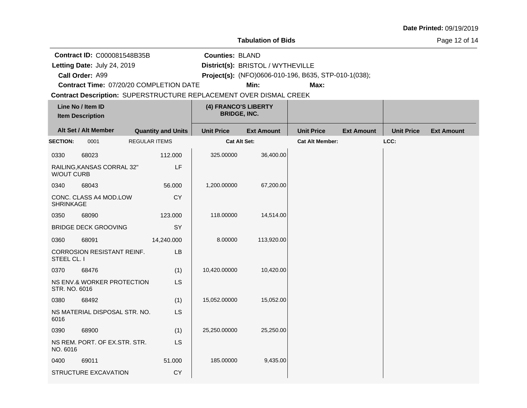**Tabulation of Bids**

Page 12 of 14

**Contract ID:** C000081548B35B

**Call Order:**

Letting Date: July 24, 2019

**Letting Date:** July 24, 2019 **District(s): BRISTOL** / WYTHEVILLE

**Counties:** BLAND

A99 **Project(s):** (NFO)0606-010-196, B635, STP-010-1(038);

**Contract Time:** 07/20/20 COMPLETION DATE

**Min: Max:**

| Line No / Item ID<br><b>Item Description</b> |                                   | (4) FRANCO'S LIBERTY<br><b>BRIDGE, INC.</b> |                   |                   |                        |                   |                   |                   |
|----------------------------------------------|-----------------------------------|---------------------------------------------|-------------------|-------------------|------------------------|-------------------|-------------------|-------------------|
|                                              | Alt Set / Alt Member              | <b>Quantity and Units</b>                   | <b>Unit Price</b> | <b>Ext Amount</b> | <b>Unit Price</b>      | <b>Ext Amount</b> | <b>Unit Price</b> | <b>Ext Amount</b> |
| <b>SECTION:</b>                              | 0001                              | <b>REGULAR ITEMS</b>                        | Cat Alt Set:      |                   | <b>Cat Alt Member:</b> |                   | LCC:              |                   |
| 0330                                         | 68023                             | 112.000                                     | 325.00000         | 36,400.00         |                        |                   |                   |                   |
| <b>W/OUT CURB</b>                            | RAILING, KANSAS CORRAL 32"        | LF                                          |                   |                   |                        |                   |                   |                   |
| 0340                                         | 68043                             | 56.000                                      | 1,200.00000       | 67,200.00         |                        |                   |                   |                   |
| <b>SHRINKAGE</b>                             | CONC. CLASS A4 MOD.LOW            | <b>CY</b>                                   |                   |                   |                        |                   |                   |                   |
| 0350                                         | 68090                             | 123.000                                     | 118.00000         | 14,514.00         |                        |                   |                   |                   |
|                                              | <b>BRIDGE DECK GROOVING</b>       | SY                                          |                   |                   |                        |                   |                   |                   |
| 0360                                         | 68091                             | 14,240.000                                  | 8.00000           | 113,920.00        |                        |                   |                   |                   |
| STEEL CL. I                                  | <b>CORROSION RESISTANT REINF.</b> | LB                                          |                   |                   |                        |                   |                   |                   |
| 0370                                         | 68476                             | (1)                                         | 10,420.00000      | 10,420.00         |                        |                   |                   |                   |
| STR. NO. 6016                                | NS ENV.& WORKER PROTECTION        | <b>LS</b>                                   |                   |                   |                        |                   |                   |                   |
| 0380                                         | 68492                             | (1)                                         | 15,052.00000      | 15,052.00         |                        |                   |                   |                   |
| 6016                                         | NS MATERIAL DISPOSAL STR. NO.     | <b>LS</b>                                   |                   |                   |                        |                   |                   |                   |
| 0390                                         | 68900                             | (1)                                         | 25,250.00000      | 25,250.00         |                        |                   |                   |                   |
| NO. 6016                                     | NS REM. PORT. OF EX.STR. STR.     | <b>LS</b>                                   |                   |                   |                        |                   |                   |                   |
| 0400                                         | 69011                             | 51.000                                      | 185.00000         | 9,435.00          |                        |                   |                   |                   |
|                                              | <b>STRUCTURE EXCAVATION</b>       | <b>CY</b>                                   |                   |                   |                        |                   |                   |                   |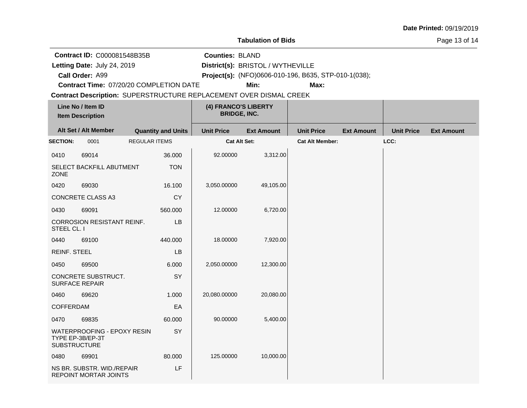**Tabulation of Bids**

Page 13 of 14

**Contract ID:** C000081548B35B

**Letting Date:** July 24, 2019 **District(s): BRISTOL** / WYTHEVILLE Letting Date: July 24, 2019

**Call Order:**

**Counties:** BLAND

A99 **Project(s):** (NFO)0606-010-196, B635, STP-010-1(038);

**Contract Time:** 07/20/20 COMPLETION DATE

**Min: Max:**

| Line No / Item ID<br><b>Item Description</b> |                                                     |                      | (4) FRANCO'S LIBERTY<br><b>BRIDGE, INC.</b> |                   |                        |                   |                   |                   |
|----------------------------------------------|-----------------------------------------------------|----------------------|---------------------------------------------|-------------------|------------------------|-------------------|-------------------|-------------------|
|                                              | Alt Set / Alt Member<br><b>Quantity and Units</b>   |                      | <b>Unit Price</b>                           | <b>Ext Amount</b> | <b>Unit Price</b>      | <b>Ext Amount</b> | <b>Unit Price</b> | <b>Ext Amount</b> |
| <b>SECTION:</b>                              | 0001                                                | <b>REGULAR ITEMS</b> | Cat Alt Set:                                |                   | <b>Cat Alt Member:</b> |                   | LCC:              |                   |
| 0410                                         | 69014                                               | 36.000               | 92.00000                                    | 3,312.00          |                        |                   |                   |                   |
| <b>ZONE</b>                                  | SELECT BACKFILL ABUTMENT                            | <b>TON</b>           |                                             |                   |                        |                   |                   |                   |
| 0420                                         | 69030                                               | 16.100               | 3,050.00000                                 | 49,105.00         |                        |                   |                   |                   |
|                                              | CONCRETE CLASS A3                                   | <b>CY</b>            |                                             |                   |                        |                   |                   |                   |
| 0430                                         | 69091                                               | 560.000              | 12.00000                                    | 6,720.00          |                        |                   |                   |                   |
| STEEL CL. I                                  | <b>CORROSION RESISTANT REINF.</b>                   | LB                   |                                             |                   |                        |                   |                   |                   |
| 0440                                         | 69100                                               | 440.000              | 18.00000                                    | 7,920.00          |                        |                   |                   |                   |
| <b>REINF. STEEL</b>                          |                                                     | LB                   |                                             |                   |                        |                   |                   |                   |
| 0450                                         | 69500                                               | 6.000                | 2,050.00000                                 | 12,300.00         |                        |                   |                   |                   |
|                                              | CONCRETE SUBSTRUCT.<br><b>SURFACE REPAIR</b>        | SY                   |                                             |                   |                        |                   |                   |                   |
| 0460                                         | 69620                                               | 1.000                | 20,080.00000                                | 20,080.00         |                        |                   |                   |                   |
| COFFERDAM                                    |                                                     | EA                   |                                             |                   |                        |                   |                   |                   |
| 0470                                         | 69835                                               | 60.000               | 90.00000                                    | 5,400.00          |                        |                   |                   |                   |
| <b>SUBSTRUCTURE</b>                          | WATERPROOFING - EPOXY RESIN<br>TYPE EP-3B/EP-3T     | SY                   |                                             |                   |                        |                   |                   |                   |
| 0480                                         | 69901                                               | 80.000               | 125.00000                                   | 10,000.00         |                        |                   |                   |                   |
|                                              | NS BR. SUBSTR. WID./REPAIR<br>REPOINT MORTAR JOINTS | LF                   |                                             |                   |                        |                   |                   |                   |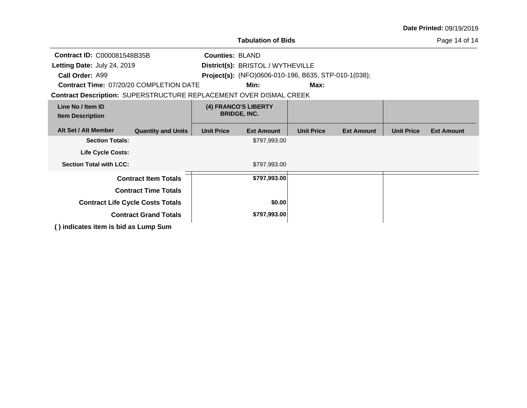|                                                                           |                              |                   |                                                             |                   |                   |                   | <b>Date Printed: 09/19/2019</b> |
|---------------------------------------------------------------------------|------------------------------|-------------------|-------------------------------------------------------------|-------------------|-------------------|-------------------|---------------------------------|
|                                                                           |                              |                   | <b>Tabulation of Bids</b>                                   |                   |                   |                   | Page 14 of 14                   |
| <b>Contract ID: C000081548B35B</b>                                        | <b>Counties: BLAND</b>       |                   |                                                             |                   |                   |                   |                                 |
| Letting Date: July 24, 2019                                               |                              |                   | District(s): BRISTOL / WYTHEVILLE                           |                   |                   |                   |                                 |
| Call Order: A99                                                           |                              |                   | <b>Project(s):</b> (NFO)0606-010-196, B635, STP-010-1(038); |                   |                   |                   |                                 |
| <b>Contract Time: 07/20/20 COMPLETION DATE</b>                            |                              |                   | Min:                                                        | Max:              |                   |                   |                                 |
| <b>Contract Description: SUPERSTRUCTURE REPLACEMENT OVER DISMAL CREEK</b> |                              |                   |                                                             |                   |                   |                   |                                 |
| Line No / Item ID<br><b>Item Description</b>                              |                              |                   | (4) FRANCO'S LIBERTY<br><b>BRIDGE, INC.</b>                 |                   |                   |                   |                                 |
| Alt Set / Alt Member                                                      | <b>Quantity and Units</b>    | <b>Unit Price</b> | <b>Ext Amount</b>                                           | <b>Unit Price</b> | <b>Ext Amount</b> | <b>Unit Price</b> | <b>Ext Amount</b>               |
| <b>Section Totals:</b>                                                    |                              |                   | \$797,993.00                                                |                   |                   |                   |                                 |
| <b>Life Cycle Costs:</b>                                                  |                              |                   |                                                             |                   |                   |                   |                                 |
| <b>Section Total with LCC:</b>                                            |                              |                   | \$797,993.00                                                |                   |                   |                   |                                 |
|                                                                           | <b>Contract Item Totals</b>  |                   | \$797,993.00                                                |                   |                   |                   |                                 |
|                                                                           | <b>Contract Time Totals</b>  |                   |                                                             |                   |                   |                   |                                 |
| <b>Contract Life Cycle Costs Totals</b>                                   |                              |                   | \$0.00                                                      |                   |                   |                   |                                 |
|                                                                           | <b>Contract Grand Totals</b> |                   | \$797,993.00                                                |                   |                   |                   |                                 |
| () indicates item is bid as Lump Sum                                      |                              |                   |                                                             |                   |                   |                   |                                 |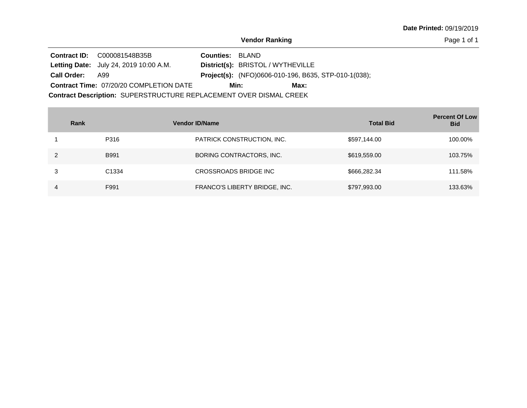Page 1 of 1

**Contract ID:** C000081548B35B Letting Date: July 24, 2019 10:00 A.M. **District(s): BRISTOL / WYTHEVILLE** District(s): BRISTOL / WYTHEVILLE Contract Time: 07/20/20 COMPLETION DATE Project(s): (NFO)0606-010-196, B635, STP-010-1(038); **Counties: BLAND** A99 **Call Order: Min: Max:**

| Rank |                   | <b>Vendor ID/Name</b>         | <b>Total Bid</b> | <b>Percent Of Low</b><br><b>Bid</b> |
|------|-------------------|-------------------------------|------------------|-------------------------------------|
|      | P316              | PATRICK CONSTRUCTION, INC.    | \$597,144.00     | 100.00%                             |
| າ    | <b>B991</b>       | BORING CONTRACTORS, INC.      | \$619,559.00     | 103.75%                             |
|      | C <sub>1334</sub> | CROSSROADS BRIDGE INC         | \$666,282.34     | 111.58%                             |
| 4    | F991              | FRANCO'S LIBERTY BRIDGE, INC. | \$797,993.00     | 133.63%                             |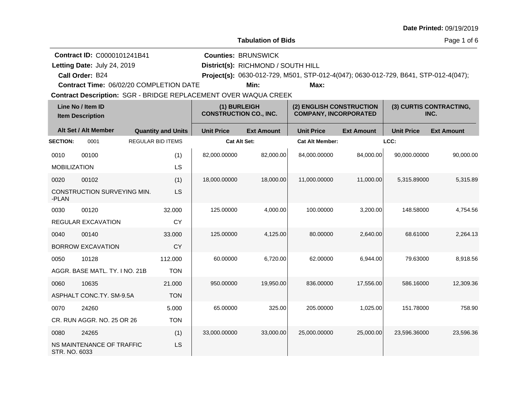| Date Printed: 09/19/2019 |  |  |  |
|--------------------------|--|--|--|
|--------------------------|--|--|--|

Page 1 of 6

|                                              |                                                |                          |                           |                                                                        | Lavulativii vi Dius                |                                                                                     |                   |                   | <b>raye</b> i vi v              |
|----------------------------------------------|------------------------------------------------|--------------------------|---------------------------|------------------------------------------------------------------------|------------------------------------|-------------------------------------------------------------------------------------|-------------------|-------------------|---------------------------------|
|                                              | <b>Contract ID: C0000101241B41</b>             |                          |                           |                                                                        | <b>Counties: BRUNSWICK</b>         |                                                                                     |                   |                   |                                 |
|                                              | Letting Date: July 24, 2019                    |                          |                           |                                                                        | District(s): RICHMOND / SOUTH HILL |                                                                                     |                   |                   |                                 |
|                                              | Call Order: B24                                |                          |                           |                                                                        |                                    | Project(s): 0630-012-729, M501, STP-012-4(047); 0630-012-729, B641, STP-012-4(047); |                   |                   |                                 |
|                                              | <b>Contract Time: 06/02/20 COMPLETION DATE</b> |                          |                           |                                                                        | Min:                               | Max:                                                                                |                   |                   |                                 |
|                                              |                                                |                          |                           | <b>Contract Description: SGR - BRIDGE REPLACEMENT OVER WAQUA CREEK</b> |                                    |                                                                                     |                   |                   |                                 |
| Line No / Item ID<br><b>Item Description</b> |                                                |                          |                           | (1) BURLEIGH<br><b>CONSTRUCTION CO., INC.</b>                          |                                    | (2) ENGLISH CONSTRUCTION<br><b>COMPANY, INCORPORATED</b>                            |                   |                   | (3) CURTIS CONTRACTING,<br>INC. |
|                                              | Alt Set / Alt Member                           |                          | <b>Quantity and Units</b> | <b>Unit Price</b>                                                      | <b>Ext Amount</b>                  | <b>Unit Price</b>                                                                   | <b>Ext Amount</b> | <b>Unit Price</b> | <b>Ext Amount</b>               |
| <b>SECTION:</b>                              | 0001                                           | <b>REGULAR BID ITEMS</b> |                           | <b>Cat Alt Set:</b>                                                    |                                    | <b>Cat Alt Member:</b>                                                              |                   | LCC:              |                                 |
| 0010                                         | 00100                                          |                          | (1)                       | 82.000.00000                                                           | 82.000.00                          | 84,000.00000                                                                        | 84,000.00         | 90.000.00000      | 90.000.00                       |
| <b>MOBILIZATION</b>                          |                                                |                          | LS                        |                                                                        |                                    |                                                                                     |                   |                   |                                 |
| 0020                                         | 00102                                          |                          | (1)                       | 18,000.00000                                                           | 18,000.00                          | 11,000.00000                                                                        | 11,000.00         | 5,315.89000       | 5,315.89                        |
| -PLAN                                        | CONSTRUCTION SURVEYING MIN.                    |                          | LS                        |                                                                        |                                    |                                                                                     |                   |                   |                                 |
| 0030                                         | 00120                                          |                          | 32.000                    | 125.00000                                                              | 4.000.00                           | 100.00000                                                                           | 3,200.00          | 148.58000         | 4.754.56                        |
|                                              | <b>REGULAR EXCAVATION</b>                      |                          | <b>CY</b>                 |                                                                        |                                    |                                                                                     |                   |                   |                                 |
| 0040                                         | 00140                                          |                          | 33,000                    | 125.00000                                                              | 4,125.00                           | 80.00000                                                                            | 2,640.00          | 68.61000          | 2,264.13                        |
|                                              | <b>DODDOMI EVO MIATIONI</b>                    |                          | $\sim$                    |                                                                        |                                    |                                                                                     |                   |                   |                                 |

| 0040          | 00140                          | 33,000     | 125.00000    | 4,125.00  | 80.00000     | 2,640.00  | 68.61000     | 2,264.13  |
|---------------|--------------------------------|------------|--------------|-----------|--------------|-----------|--------------|-----------|
|               | <b>BORROW EXCAVATION</b>       | <b>CY</b>  |              |           |              |           |              |           |
| 0050          | 10128                          | 112,000    | 60.00000     | 6,720.00  | 62.00000     | 6,944.00  | 79.63000     | 8,918.56  |
|               | AGGR. BASE MATL, TY, I NO. 21B | <b>TON</b> |              |           |              |           |              |           |
| 0060          | 10635                          | 21.000     | 950,00000    | 19,950.00 | 836,00000    | 17,556.00 | 586.16000    | 12,309.36 |
|               | ASPHALT CONC.TY, SM-9.5A       | <b>TON</b> |              |           |              |           |              |           |
| 0070          | 24260                          | 5.000      | 65.00000     | 325.00    | 205.00000    | 1,025.00  | 151.78000    | 758.90    |
|               | CR. RUN AGGR, NO. 25 OR 26     | <b>TON</b> |              |           |              |           |              |           |
| 0080          | 24265                          | (1)        | 33,000.00000 | 33,000.00 | 25,000.00000 | 25,000.00 | 23,596.36000 | 23,596.36 |
| STR. NO. 6033 | NS MAINTENANCE OF TRAFFIC      | LS         |              |           |              |           |              |           |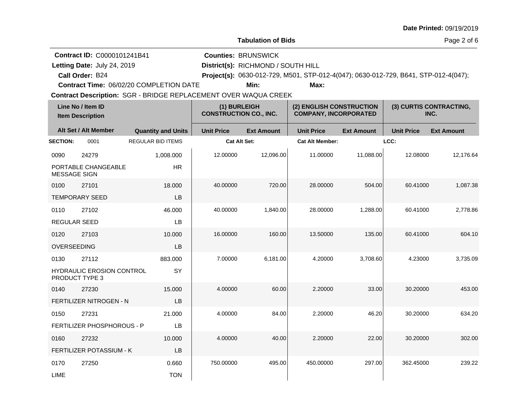| <b>Date Printed: 09/19/2019</b> |  |  |
|---------------------------------|--|--|
|---------------------------------|--|--|

Page 2 of 6

**Call Order: Letting Date:** July 24, 2019 **District(s): RICHMOND / SOUTH HILL Contract ID:** C0000101241B41 **Counties:** BRUNSWICK B24 **Project(s):** 0630-012-729, M501, STP-012-4(047); 0630-012-729, B641, STP-012-4(047);**Contract Time:** 06/02/20 COMPLETION DATE Letting Date: July 24, 2019 **Min: Max:**

Contract Description: SGR - BRIDGE REPLACEMENT OVER WAQUA CREEK

| Line No / Item ID<br><b>Item Description</b> |                                                           | (1) BURLEIGH<br><b>CONSTRUCTION CO., INC.</b> |                     | (2) ENGLISH CONSTRUCTION<br><b>COMPANY, INCORPORATED</b> |                        | (3) CURTIS CONTRACTING,<br>INC. |                   |                   |
|----------------------------------------------|-----------------------------------------------------------|-----------------------------------------------|---------------------|----------------------------------------------------------|------------------------|---------------------------------|-------------------|-------------------|
|                                              | Alt Set / Alt Member                                      | <b>Quantity and Units</b>                     | <b>Unit Price</b>   | <b>Ext Amount</b>                                        | <b>Unit Price</b>      | <b>Ext Amount</b>               | <b>Unit Price</b> | <b>Ext Amount</b> |
| <b>SECTION:</b>                              | 0001                                                      | <b>REGULAR BID ITEMS</b>                      | <b>Cat Alt Set:</b> |                                                          | <b>Cat Alt Member:</b> |                                 | LCC:              |                   |
| 0090                                         | 24279                                                     | 1,008.000                                     | 12.00000            | 12,096.00                                                | 11.00000               | 11,088.00                       | 12.08000          | 12,176.64         |
| <b>MESSAGE SIGN</b>                          | PORTABLE CHANGEABLE                                       | <b>HR</b>                                     |                     |                                                          |                        |                                 |                   |                   |
| 0100                                         | 27101                                                     | 18.000                                        | 40.00000            | 720.00                                                   | 28.00000               | 504.00                          | 60.41000          | 1,087.38          |
|                                              | <b>TEMPORARY SEED</b>                                     | LB                                            |                     |                                                          |                        |                                 |                   |                   |
| 0110                                         | 27102                                                     | 46.000                                        | 40.00000            | 1,840.00                                                 | 28.00000               | 1,288.00                        | 60.41000          | 2,778.86          |
| <b>REGULAR SEED</b>                          |                                                           | LB                                            |                     |                                                          |                        |                                 |                   |                   |
| 0120                                         | 27103                                                     | 10.000                                        | 16.00000            | 160.00                                                   | 13.50000               | 135.00                          | 60.41000          | 604.10            |
| OVERSEEDING                                  |                                                           | LB                                            |                     |                                                          |                        |                                 |                   |                   |
| 0130                                         | 27112                                                     | 883.000                                       | 7.00000             | 6,181.00                                                 | 4.20000                | 3,708.60                        | 4.23000           | 3,735.09          |
|                                              | <b>HYDRAULIC EROSION CONTROL</b><br><b>PRODUCT TYPE 3</b> | SY                                            |                     |                                                          |                        |                                 |                   |                   |
| 0140                                         | 27230                                                     | 15,000                                        | 4.00000             | 60.00                                                    | 2.20000                | 33.00                           | 30.20000          | 453.00            |
|                                              | FERTILIZER NITROGEN - N                                   | LB                                            |                     |                                                          |                        |                                 |                   |                   |
| 0150                                         | 27231                                                     | 21.000                                        | 4.00000             | 84.00                                                    | 2.20000                | 46.20                           | 30.20000          | 634.20            |
|                                              | FERTILIZER PHOSPHOROUS - P                                | LB                                            |                     |                                                          |                        |                                 |                   |                   |
| 0160                                         | 27232                                                     | 10.000                                        | 4.00000             | 40.00                                                    | 2.20000                | 22.00                           | 30.20000          | 302.00            |
|                                              | FERTILIZER POTASSIUM - K                                  | LB                                            |                     |                                                          |                        |                                 |                   |                   |
| 0170                                         | 27250                                                     | 0.660                                         | 750.00000           | 495.00                                                   | 450.00000              | 297.00                          | 362.45000         | 239.22            |
| LIME                                         |                                                           | <b>TON</b>                                    |                     |                                                          |                        |                                 |                   |                   |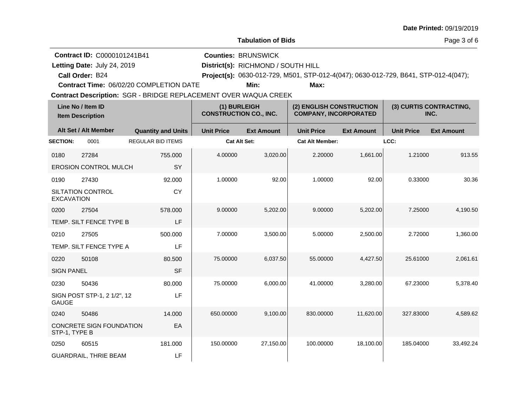|  |  | <b>Date Printed: 09/19/2019</b> |
|--|--|---------------------------------|
|--|--|---------------------------------|

Page 3 of 6

|                   |                                              |                                                                        |                                               | Lavulativii vi Dius                |                                                                                     |                   |                   | r ay <del>c</del> o or o        |
|-------------------|----------------------------------------------|------------------------------------------------------------------------|-----------------------------------------------|------------------------------------|-------------------------------------------------------------------------------------|-------------------|-------------------|---------------------------------|
|                   | Contract ID: C0000101241B41                  |                                                                        |                                               | <b>Counties: BRUNSWICK</b>         |                                                                                     |                   |                   |                                 |
|                   | Letting Date: July 24, 2019                  |                                                                        |                                               | District(s): RICHMOND / SOUTH HILL |                                                                                     |                   |                   |                                 |
|                   | Call Order: B24                              |                                                                        |                                               |                                    | Project(s): 0630-012-729, M501, STP-012-4(047); 0630-012-729, B641, STP-012-4(047); |                   |                   |                                 |
|                   |                                              | <b>Contract Time: 06/02/20 COMPLETION DATE</b>                         |                                               | Min:                               | Max:                                                                                |                   |                   |                                 |
|                   |                                              | <b>Contract Description: SGR - BRIDGE REPLACEMENT OVER WAQUA CREEK</b> |                                               |                                    |                                                                                     |                   |                   |                                 |
|                   | Line No / Item ID<br><b>Item Description</b> |                                                                        | (1) BURLEIGH<br><b>CONSTRUCTION CO., INC.</b> |                                    | (2) ENGLISH CONSTRUCTION<br><b>COMPANY, INCORPORATED</b>                            |                   |                   | (3) CURTIS CONTRACTING,<br>INC. |
|                   | Alt Set / Alt Member                         | <b>Quantity and Units</b>                                              | <b>Unit Price</b>                             | <b>Ext Amount</b>                  | <b>Unit Price</b>                                                                   | <b>Ext Amount</b> | <b>Unit Price</b> | <b>Ext Amount</b>               |
| <b>SECTION:</b>   | 0001                                         | <b>REGULAR BID ITEMS</b>                                               | <b>Cat Alt Set:</b>                           |                                    | <b>Cat Alt Member:</b>                                                              |                   | LCC:              |                                 |
| 0180              | 27284                                        | 755.000                                                                | 4.00000                                       | 3,020.00                           | 2.20000                                                                             | 1,661.00          | 1.21000           | 913.55                          |
|                   | <b>EROSION CONTROL MULCH</b>                 | <b>SY</b>                                                              |                                               |                                    |                                                                                     |                   |                   |                                 |
| 0190              | 27430                                        | 92.000                                                                 | 1.00000                                       | 92.00                              | 1.00000                                                                             | 92.00             | 0.33000           | 30.36                           |
| <b>EXCAVATION</b> | <b>SILTATION CONTROL</b>                     | <b>CY</b>                                                              |                                               |                                    |                                                                                     |                   |                   |                                 |
| 0200              | 27504                                        | 578.000                                                                | 9.00000                                       | 5,202.00                           | 9.00000                                                                             | 5,202.00          | 7.25000           | 4,190.50                        |
|                   | TEMP. SILT FENCE TYPE B                      | LF                                                                     |                                               |                                    |                                                                                     |                   |                   |                                 |
| 0210              | 27505                                        | 500.000                                                                | 7.00000                                       | 3,500.00                           | 5.00000                                                                             | 2.500.00          | 2.72000           | 1.360.00                        |
|                   | TEMP. SILT FENCE TYPE A                      | LF                                                                     |                                               |                                    |                                                                                     |                   |                   |                                 |

75.00000 6,037.50 55.00000 4,427.50 25.61000 2,061.61

75.00000 6,000.00 41.00000 3,280.00 67.23000 5,378.40

650.00000 9,100.00 830.00000 11,620.00 327.83000 4,589.62

150.00000 27,150.00 100.00000 18,100.00 185.04000 33,492.24

0220 50108 SIGN PANEL

0230 50436

0240 50486

STP-1, TYPE B

0250 60515

GAUGE

SIGN POST STP-1, 2 1/2", 12

CONCRETE SIGN FOUNDATION

GUARDRAIL, THRIE BEAM

80.500 SF

80.000 LF

14.000

181.000

EA

LF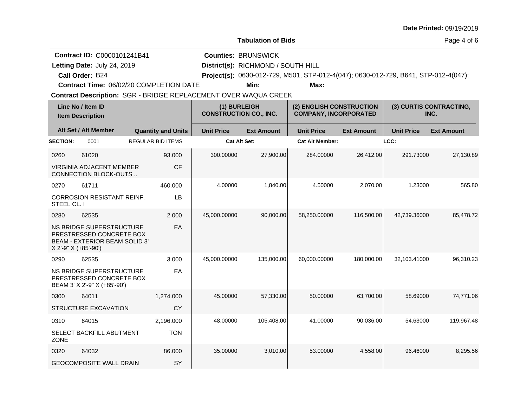|                     |                                                                                                                                                                                                    |                           |                                               |                                                                          |                                                                                             |                   |                   | <b>Date Printed: 09/19/2019</b> |
|---------------------|----------------------------------------------------------------------------------------------------------------------------------------------------------------------------------------------------|---------------------------|-----------------------------------------------|--------------------------------------------------------------------------|---------------------------------------------------------------------------------------------|-------------------|-------------------|---------------------------------|
|                     |                                                                                                                                                                                                    |                           |                                               | <b>Tabulation of Bids</b>                                                |                                                                                             |                   |                   | Page 4 of 6                     |
|                     | <b>Contract ID: C0000101241B41</b><br>Letting Date: July 24, 2019<br>Call Order: B24<br>Contract Time: 06/02/20 COMPLETION DATE<br>Contract Description: SGR - BRIDGE REPLACEMENT OVER WAQUA CREEK |                           |                                               | <b>Counties: BRUNSWICK</b><br>District(s): RICHMOND / SOUTH HILL<br>Min: | Project(s): 0630-012-729, M501, STP-012-4(047); 0630-012-729, B641, STP-012-4(047);<br>Max: |                   |                   |                                 |
|                     | Line No / Item ID<br><b>Item Description</b>                                                                                                                                                       |                           | (1) BURLEIGH<br><b>CONSTRUCTION CO., INC.</b> |                                                                          | (2) ENGLISH CONSTRUCTION<br><b>COMPANY, INCORPORATED</b>                                    |                   |                   | (3) CURTIS CONTRACTING,<br>INC. |
|                     | Alt Set / Alt Member                                                                                                                                                                               | <b>Quantity and Units</b> | <b>Unit Price</b>                             | <b>Ext Amount</b>                                                        | <b>Unit Price</b>                                                                           | <b>Ext Amount</b> | <b>Unit Price</b> | <b>Ext Amount</b>               |
| <b>SECTION:</b>     | 0001                                                                                                                                                                                               | <b>REGULAR BID ITEMS</b>  | <b>Cat Alt Set:</b>                           |                                                                          | <b>Cat Alt Member:</b>                                                                      |                   | LCC:              |                                 |
| 0260                | 61020<br>VIRGINIA ADJACENT MEMBER<br>CONNECTION BLOCK-OUTS                                                                                                                                         | 93.000<br><b>CF</b>       | 300.00000                                     | 27,900.00                                                                | 284.00000                                                                                   | 26,412.00         | 291.73000         | 27,130.89                       |
| 0270                | 61711                                                                                                                                                                                              | 460.000                   | 4.00000                                       | 1,840.00                                                                 | 4.50000                                                                                     | 2,070.00          | 1.23000           | 565.80                          |
| STEEL CL. I         | <b>CORROSION RESISTANT REINF.</b>                                                                                                                                                                  | LB                        |                                               |                                                                          |                                                                                             |                   |                   |                                 |
| 0280                | 62535<br>NS BRIDGE SUPERSTRUCTURE<br>PRESTRESSED CONCRETE BOX<br>BEAM - EXTERIOR BEAM SOLID 3'<br>X 2'-9" X (+85'-90')                                                                             | 2.000<br>EA               | 45.000.00000                                  | 90.000.00                                                                | 58.250.00000                                                                                | 116,500.00        | 42.739.36000      | 85.478.72                       |
| 0290                | 62535<br>NS BRIDGE SUPERSTRUCTURE<br>PRESTRESSED CONCRETE BOX<br>BEAM 3' X 2'-9" X (+85'-90')                                                                                                      | 3.000<br>EA               | 45,000.00000                                  | 135,000.00                                                               | 60,000.00000                                                                                | 180,000.00        | 32,103.41000      | 96,310.23                       |
| 0300                | 64011                                                                                                                                                                                              | 1,274.000                 | 45.00000                                      | 57,330.00                                                                | 50.00000                                                                                    | 63,700.00         | 58.69000          | 74,771.06                       |
|                     | STRUCTURE EXCAVATION                                                                                                                                                                               | CY                        |                                               |                                                                          |                                                                                             |                   |                   |                                 |
| 0310<br><b>ZONE</b> | 64015<br>SELECT BACKFILL ABUTMENT                                                                                                                                                                  | 2,196.000<br><b>TON</b>   | 48.00000                                      | 105,408.00                                                               | 41.00000                                                                                    | 90.036.00         | 54.63000          | 119,967.48                      |
| 0320                | 64032<br><b>GEOCOMPOSITE WALL DRAIN</b>                                                                                                                                                            | 86.000<br>SY              | 35.00000                                      | 3,010.00                                                                 | 53.00000                                                                                    | 4,558.00          | 96.46000          | 8,295.56                        |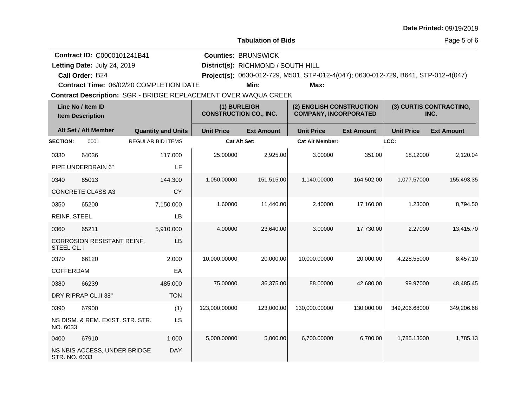|  |  | <b>Date Printed: 09/19/2019</b> |
|--|--|---------------------------------|
|--|--|---------------------------------|

Page 5 of 6

| <b>Contract ID: C0000101241B41</b>                                     | <b>Counties: BRUNSWICK</b>         |      |                                                                                     |  |
|------------------------------------------------------------------------|------------------------------------|------|-------------------------------------------------------------------------------------|--|
| Letting Date: July 24, 2019                                            | District(s): RICHMOND / SOUTH HILL |      |                                                                                     |  |
| Call Order: B24                                                        |                                    |      | Project(s): 0630-012-729, M501, STP-012-4(047); 0630-012-729, B641, STP-012-4(047); |  |
| <b>Contract Time: 06/02/20 COMPLETION DATE</b>                         | Min:                               | Max: |                                                                                     |  |
| <b>Contract Description: SGR - BRIDGE REPLACEMENT OVER WAQUA CREEK</b> |                                    |      |                                                                                     |  |
|                                                                        |                                    |      |                                                                                     |  |

| Line No / Item ID<br><b>Item Description</b> |                                   |                           | (1) BURLEIGH<br><b>CONSTRUCTION CO., INC.</b> |                   | (2) ENGLISH CONSTRUCTION<br><b>COMPANY, INCORPORATED</b> |                   | (3) CURTIS CONTRACTING,<br>INC. |                   |
|----------------------------------------------|-----------------------------------|---------------------------|-----------------------------------------------|-------------------|----------------------------------------------------------|-------------------|---------------------------------|-------------------|
|                                              | Alt Set / Alt Member              | <b>Quantity and Units</b> | <b>Unit Price</b>                             | <b>Ext Amount</b> | <b>Unit Price</b>                                        | <b>Ext Amount</b> | <b>Unit Price</b>               | <b>Ext Amount</b> |
| <b>SECTION:</b>                              | 0001                              | <b>REGULAR BID ITEMS</b>  | <b>Cat Alt Set:</b>                           |                   | <b>Cat Alt Member:</b>                                   |                   | LCC:                            |                   |
| 0330                                         | 64036                             | 117.000                   | 25.00000                                      | 2,925.00          | 3.00000                                                  | 351.00            | 18.12000                        | 2,120.04          |
|                                              | PIPE UNDERDRAIN 6"                | LF                        |                                               |                   |                                                          |                   |                                 |                   |
| 0340                                         | 65013                             | 144.300                   | 1,050.00000                                   | 151,515.00        | 1,140.00000                                              | 164,502.00        | 1,077.57000                     | 155,493.35        |
|                                              | <b>CONCRETE CLASS A3</b>          | <b>CY</b>                 |                                               |                   |                                                          |                   |                                 |                   |
| 0350                                         | 65200                             | 7,150.000                 | 1.60000                                       | 11,440.00         | 2.40000                                                  | 17,160.00         | 1.23000                         | 8,794.50          |
| <b>REINF. STEEL</b>                          |                                   | LB                        |                                               |                   |                                                          |                   |                                 |                   |
| 0360                                         | 65211                             | 5,910.000                 | 4.00000                                       | 23,640.00         | 3.00000                                                  | 17,730.00         | 2.27000                         | 13,415.70         |
| STEEL CL. I                                  | <b>CORROSION RESISTANT REINF.</b> | LB                        |                                               |                   |                                                          |                   |                                 |                   |
| 0370                                         | 66120                             | 2.000                     | 10,000.00000                                  | 20,000.00         | 10,000.00000                                             | 20,000.00         | 4,228.55000                     | 8,457.10          |
| COFFERDAM                                    |                                   | EA                        |                                               |                   |                                                          |                   |                                 |                   |
| 0380                                         | 66239                             | 485.000                   | 75.00000                                      | 36,375.00         | 88.00000                                                 | 42,680.00         | 99.97000                        | 48,485.45         |
|                                              | DRY RIPRAP CL.II 38"              | <b>TON</b>                |                                               |                   |                                                          |                   |                                 |                   |
| 0390                                         | 67900                             | (1)                       | 123,000.00000                                 | 123,000.00        | 130,000.00000                                            | 130,000.00        | 349,206.68000                   | 349,206.68        |
| NO. 6033                                     | NS DISM. & REM. EXIST. STR. STR.  | LS                        |                                               |                   |                                                          |                   |                                 |                   |
| 0400                                         | 67910                             | 1.000                     | 5,000.00000                                   | 5,000.00          | 6.700.00000                                              | 6,700.00          | 1.785.13000                     | 1,785.13          |
| STR. NO. 6033                                | NS NBIS ACCESS, UNDER BRIDGE      | <b>DAY</b>                |                                               |                   |                                                          |                   |                                 |                   |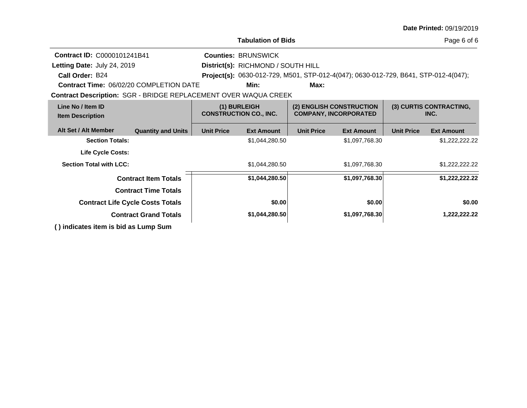|                                                                        |                                         |                                    |                                               |                                                          |                                                                                     |                   | <b>Date Printed: 09/19/2019</b> |
|------------------------------------------------------------------------|-----------------------------------------|------------------------------------|-----------------------------------------------|----------------------------------------------------------|-------------------------------------------------------------------------------------|-------------------|---------------------------------|
|                                                                        |                                         |                                    | <b>Tabulation of Bids</b>                     |                                                          |                                                                                     |                   | Page 6 of 6                     |
| <b>Contract ID: C0000101241B41</b>                                     |                                         |                                    | <b>Counties: BRUNSWICK</b>                    |                                                          |                                                                                     |                   |                                 |
| Letting Date: July 24, 2019                                            |                                         | District(s): RICHMOND / SOUTH HILL |                                               |                                                          |                                                                                     |                   |                                 |
| Call Order: B24                                                        |                                         |                                    |                                               |                                                          | Project(s): 0630-012-729, M501, STP-012-4(047); 0630-012-729, B641, STP-012-4(047); |                   |                                 |
| <b>Contract Time: 06/02/20 COMPLETION DATE</b>                         |                                         |                                    | Min:                                          | Max:                                                     |                                                                                     |                   |                                 |
| <b>Contract Description: SGR - BRIDGE REPLACEMENT OVER WAQUA CREEK</b> |                                         |                                    |                                               |                                                          |                                                                                     |                   |                                 |
| Line No / Item ID<br><b>Item Description</b>                           |                                         |                                    | (1) BURLEIGH<br><b>CONSTRUCTION CO., INC.</b> | (2) ENGLISH CONSTRUCTION<br><b>COMPANY, INCORPORATED</b> |                                                                                     |                   | (3) CURTIS CONTRACTING,<br>INC. |
| Alt Set / Alt Member                                                   | <b>Quantity and Units</b>               | <b>Unit Price</b>                  | <b>Ext Amount</b>                             | <b>Unit Price</b>                                        | <b>Ext Amount</b>                                                                   | <b>Unit Price</b> | <b>Ext Amount</b>               |
| <b>Section Totals:</b>                                                 |                                         |                                    | \$1,044,280.50                                |                                                          | \$1,097,768.30                                                                      |                   | \$1,222,222.22                  |
| Life Cycle Costs:                                                      |                                         |                                    |                                               |                                                          |                                                                                     |                   |                                 |
| <b>Section Total with LCC:</b>                                         |                                         |                                    | \$1,044,280.50                                |                                                          | \$1,097,768.30                                                                      |                   | \$1,222,222.22                  |
|                                                                        | <b>Contract Item Totals</b>             |                                    | \$1,044,280.50                                |                                                          | \$1,097,768.30                                                                      |                   | \$1,222,222.22                  |
|                                                                        | <b>Contract Time Totals</b>             |                                    |                                               |                                                          |                                                                                     |                   |                                 |
|                                                                        | <b>Contract Life Cycle Costs Totals</b> |                                    | \$0.00                                        |                                                          | \$0.00                                                                              |                   | \$0.00                          |
|                                                                        | <b>Contract Grand Totals</b>            |                                    | \$1,044,280.50                                |                                                          | \$1,097,768.30                                                                      |                   | 1,222,222.22                    |
| () indicates item is bid as Lump Sum                                   |                                         |                                    |                                               |                                                          |                                                                                     |                   |                                 |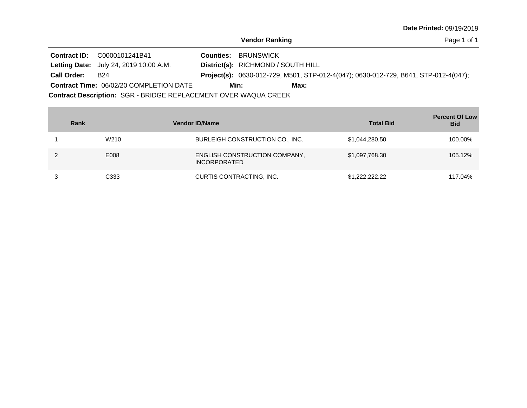Page 1 of 1

**Contract ID:** C0000101241B41 Contract Description: SGR - BRIDGE REPLACEMENT OVER WAQUA CREEK **Letting Date:** July 24, 2019 10:00 A.M. **District(s): RICHMOND / SOUTH HILL** District(s): RICHMOND / SOUTH HILL Contract Time: 06/02/20 COMPLETION DATE Project(s): 0630-012-729, M501, STP-012-4(047); 0630-012-729, B641, STP-012-4(047); BRUNSWICK **Counties:** B24 **Call Order: Min: Max:**

| Rank |                  | <b>Vendor ID/Name</b>                                | <b>Total Bid</b> | <b>Percent Of Low</b><br><b>Bid</b> |
|------|------------------|------------------------------------------------------|------------------|-------------------------------------|
|      | W <sub>210</sub> | BURLEIGH CONSTRUCTION CO., INC.                      | \$1,044,280.50   | 100.00%                             |
|      | E008             | ENGLISH CONSTRUCTION COMPANY,<br><b>INCORPORATED</b> | \$1,097,768.30   | 105.12%                             |
|      | C333             | CURTIS CONTRACTING, INC.                             | \$1,222,222,22   | 117.04%                             |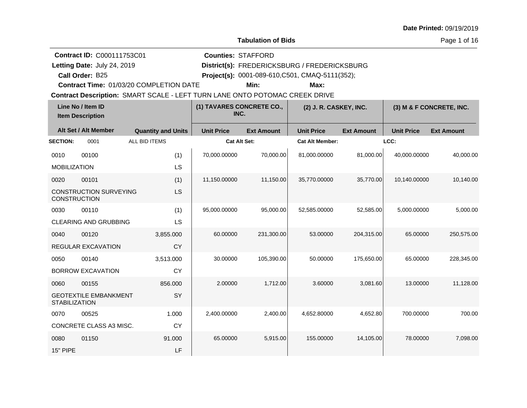**Tabulation of Bids**

Page 1 of 16

| Contract ID: C000111753C01<br>Letting Date: July 24, 2019<br>Call Order: B25 |                                              |                                                                             | <b>Counties: STAFFORD</b>         |                   | District(s): FREDERICKSBURG / FREDERICKSBURG<br>Project(s): 0001-089-610, C501, CMAQ-5111(352); |                   |                   |                          |
|------------------------------------------------------------------------------|----------------------------------------------|-----------------------------------------------------------------------------|-----------------------------------|-------------------|-------------------------------------------------------------------------------------------------|-------------------|-------------------|--------------------------|
|                                                                              |                                              | Contract Time: 01/03/20 COMPLETION DATE                                     |                                   | Min:              | Max:                                                                                            |                   |                   |                          |
|                                                                              |                                              | Contract Description: SMART SCALE - LEFT TURN LANE ONTO POTOMAC CREEK DRIVE |                                   |                   |                                                                                                 |                   |                   |                          |
|                                                                              | Line No / Item ID<br><b>Item Description</b> |                                                                             | (1) TAVARES CONCRETE CO.,<br>INC. |                   | (2) J. R. CASKEY, INC.                                                                          |                   |                   | (3) M & F CONCRETE, INC. |
|                                                                              | Alt Set / Alt Member                         | <b>Quantity and Units</b>                                                   | <b>Unit Price</b>                 | <b>Ext Amount</b> | <b>Unit Price</b>                                                                               | <b>Ext Amount</b> | <b>Unit Price</b> | <b>Ext Amount</b>        |
| <b>SECTION:</b>                                                              | 0001                                         | ALL BID ITEMS                                                               | <b>Cat Alt Set:</b>               |                   | <b>Cat Alt Member:</b>                                                                          |                   | LCC:              |                          |
| 0010                                                                         | 00100                                        | (1)                                                                         | 70,000.00000                      | 70,000.00         | 81,000.00000                                                                                    | 81,000.00         | 40.000.00000      | 40,000.00                |
| <b>MOBILIZATION</b>                                                          |                                              | LS                                                                          |                                   |                   |                                                                                                 |                   |                   |                          |
| 0020                                                                         | 00101                                        | (1)                                                                         | 11.150.00000                      | 11,150.00         | 35.770.00000                                                                                    | 35.770.00         | 10.140.00000      | 10.140.00                |
| <b>CONSTRUCTION</b>                                                          | <b>CONSTRUCTION SURVEYING</b>                | <b>LS</b>                                                                   |                                   |                   |                                                                                                 |                   |                   |                          |
| 0030                                                                         | 00110                                        | (1)                                                                         | 95,000.00000                      | 95,000.00         | 52,585.00000                                                                                    | 52,585.00         | 5,000.00000       | 5,000.00                 |
|                                                                              | CLEARING AND GRUBBING                        | LS                                                                          |                                   |                   |                                                                                                 |                   |                   |                          |
| 0040                                                                         | 00120                                        | 3,855.000                                                                   | 60.00000                          | 231,300.00        | 53.00000                                                                                        | 204,315.00        | 65.00000          | 250,575.00               |
|                                                                              | REGULAR EXCAVATION                           | <b>CY</b>                                                                   |                                   |                   |                                                                                                 |                   |                   |                          |
| 0050                                                                         | 00140                                        | 3,513.000                                                                   | 30.00000                          | 105,390.00        | 50.00000                                                                                        | 175,650.00        | 65.00000          | 228,345.00               |
|                                                                              | <b>BORROW EXCAVATION</b>                     | CY                                                                          |                                   |                   |                                                                                                 |                   |                   |                          |
| 0060                                                                         | 00155                                        | 856.000                                                                     | 2.00000                           | 1,712.00          | 3.60000                                                                                         | 3,081.60          | 13.00000          | 11,128.00                |
| <b>STABILIZATION</b>                                                         | <b>GEOTEXTILE EMBANKMENT</b>                 | SY                                                                          |                                   |                   |                                                                                                 |                   |                   |                          |
| 0070                                                                         | 00525                                        | 1.000                                                                       | 2,400.00000                       | 2,400.00          | 4,652.80000                                                                                     | 4,652.80          | 700.00000         | 700.00                   |
|                                                                              | CONCRETE CLASS A3 MISC.                      | <b>CY</b>                                                                   |                                   |                   |                                                                                                 |                   |                   |                          |
| 0080                                                                         | 01150                                        | 91.000                                                                      | 65.00000                          | 5,915.00          | 155.00000                                                                                       | 14,105.00         | 78,00000          | 7,098.00                 |
| <b>15" PIPE</b>                                                              |                                              | LF                                                                          |                                   |                   |                                                                                                 |                   |                   |                          |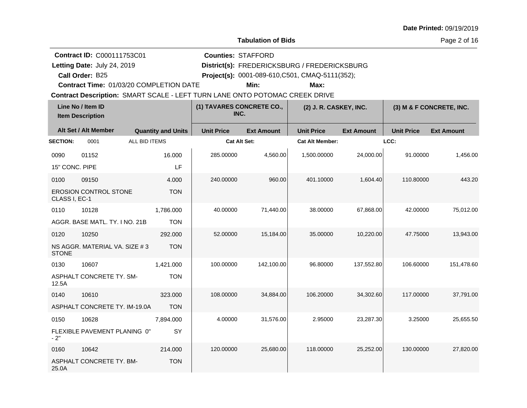**Tabulation of Bids**

**Counties:** STAFFORD

Page 2 of 16

| <b>Contract ID: C000111753C01</b> |
|-----------------------------------|
|-----------------------------------|

**Call Order:**

Letting Date: July 24, 2019

**Letting Date:** July 24, 2019 **District(s): FREDERICKSBURG** / FREDERICKSBURG

B25 **Project(s):** 0001-089-610,C501, CMAQ-5111(352);

**Contract Time:** 01/03/20 COMPLETION DATE

**Min: Max:**

| Line No / Item ID<br><b>Item Description</b> |                                | (1) TAVARES CONCRETE CO.,<br>INC. |                   | (2) J. R. CASKEY, INC. |                        | (3) M & F CONCRETE, INC. |                   |                   |
|----------------------------------------------|--------------------------------|-----------------------------------|-------------------|------------------------|------------------------|--------------------------|-------------------|-------------------|
|                                              | Alt Set / Alt Member           | <b>Quantity and Units</b>         | <b>Unit Price</b> | <b>Ext Amount</b>      | <b>Unit Price</b>      | <b>Ext Amount</b>        | <b>Unit Price</b> | <b>Ext Amount</b> |
| <b>SECTION:</b>                              | 0001                           | ALL BID ITEMS                     | Cat Alt Set:      |                        | <b>Cat Alt Member:</b> |                          | LCC:              |                   |
| 0090                                         | 01152                          | 16.000                            | 285.00000         | 4,560.00               | 1,500.00000            | 24,000.00                | 91.00000          | 1,456.00          |
| 15" CONC. PIPE                               |                                | LF                                |                   |                        |                        |                          |                   |                   |
| 0100                                         | 09150                          | 4.000                             | 240.00000         | 960.00                 | 401.10000              | 1,604.40                 | 110.80000         | 443.20            |
| CLASS I, EC-1                                | <b>EROSION CONTROL STONE</b>   | <b>TON</b>                        |                   |                        |                        |                          |                   |                   |
| 0110                                         | 10128                          | 1,786.000                         | 40.00000          | 71,440.00              | 38.00000               | 67,868.00                | 42.00000          | 75,012.00         |
|                                              | AGGR. BASE MATL. TY. I NO. 21B | <b>TON</b>                        |                   |                        |                        |                          |                   |                   |
| 0120                                         | 10250                          | 292,000                           | 52.00000          | 15,184.00              | 35.00000               | 10,220.00                | 47.75000          | 13,943.00         |
| <b>STONE</b>                                 | NS AGGR. MATERIAL VA. SIZE #3  | <b>TON</b>                        |                   |                        |                        |                          |                   |                   |
| 0130                                         | 10607                          | 1,421.000                         | 100.00000         | 142,100.00             | 96.80000               | 137,552.80               | 106.60000         | 151,478.60        |
| 12.5A                                        | ASPHALT CONCRETE TY, SM-       | <b>TON</b>                        |                   |                        |                        |                          |                   |                   |
| 0140                                         | 10610                          | 323.000                           | 108.00000         | 34,884.00              | 106.20000              | 34,302.60                | 117.00000         | 37,791.00         |
|                                              | ASPHALT CONCRETE TY. IM-19.0A  | <b>TON</b>                        |                   |                        |                        |                          |                   |                   |
| 0150                                         | 10628                          | 7,894.000                         | 4.00000           | 31,576.00              | 2.95000                | 23,287.30                | 3.25000           | 25,655.50         |
| $-2"$                                        | FLEXIBLE PAVEMENT PLANING 0"   | SY                                |                   |                        |                        |                          |                   |                   |
| 0160                                         | 10642                          | 214.000                           | 120.00000         | 25,680.00              | 118.00000              | 25,252.00                | 130.00000         | 27,820.00         |
| 25.0A                                        | ASPHALT CONCRETE TY. BM-       | <b>TON</b>                        |                   |                        |                        |                          |                   |                   |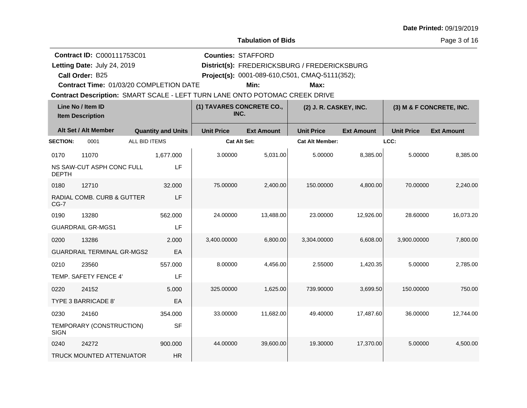**Tabulation of Bids**

**Counties:** STAFFORD

Page 3 of 16

**Call Order:**

Letting Date: July 24, 2019

**Letting Date:** July 24, 2019 **District(s): FREDERICKSBURG** / FREDERICKSBURG

B25 **Project(s):** 0001-089-610,C501, CMAQ-5111(352);

**Contract Time:** 01/03/20 COMPLETION DATE

**Min: Max:**

| Line No / Item ID<br><b>Item Description</b> |                                   |                           | (1) TAVARES CONCRETE CO.,<br>INC. |                   | (2) J. R. CASKEY, INC. |                   | (3) M & F CONCRETE, INC. |                   |
|----------------------------------------------|-----------------------------------|---------------------------|-----------------------------------|-------------------|------------------------|-------------------|--------------------------|-------------------|
|                                              | Alt Set / Alt Member              | <b>Quantity and Units</b> | <b>Unit Price</b>                 | <b>Ext Amount</b> | <b>Unit Price</b>      | <b>Ext Amount</b> | <b>Unit Price</b>        | <b>Ext Amount</b> |
| <b>SECTION:</b>                              | 0001                              | ALL BID ITEMS             | <b>Cat Alt Set:</b>               |                   | <b>Cat Alt Member:</b> |                   | LCC:                     |                   |
| 0170                                         | 11070                             | 1,677.000                 | 3.00000                           | 5,031.00          | 5.00000                | 8,385.00          | 5.00000                  | 8,385.00          |
| <b>DEPTH</b>                                 | NS SAW-CUT ASPH CONC FULL         | LF                        |                                   |                   |                        |                   |                          |                   |
| 0180                                         | 12710                             | 32.000                    | 75.00000                          | 2,400.00          | 150.00000              | 4,800.00          | 70.00000                 | 2,240.00          |
| $CG-7$                                       | RADIAL COMB. CURB & GUTTER        | LF                        |                                   |                   |                        |                   |                          |                   |
| 0190                                         | 13280                             | 562.000                   | 24.00000                          | 13.488.00         | 23.00000               | 12,926.00         | 28.60000                 | 16.073.20         |
|                                              | <b>GUARDRAIL GR-MGS1</b>          | LF                        |                                   |                   |                        |                   |                          |                   |
| 0200                                         | 13286                             | 2.000                     | 3,400.00000                       | 6,800.00          | 3,304.00000            | 6,608.00          | 3,900.00000              | 7,800.00          |
|                                              | <b>GUARDRAIL TERMINAL GR-MGS2</b> | EA                        |                                   |                   |                        |                   |                          |                   |
| 0210                                         | 23560                             | 557.000                   | 8.00000                           | 4,456.00          | 2.55000                | 1.420.35          | 5.00000                  | 2.785.00          |
|                                              | TEMP. SAFETY FENCE 4'             | LF                        |                                   |                   |                        |                   |                          |                   |
| 0220                                         | 24152                             | 5.000                     | 325.00000                         | 1,625.00          | 739.90000              | 3,699.50          | 150.00000                | 750.00            |
|                                              | TYPE 3 BARRICADE 8'               | EA                        |                                   |                   |                        |                   |                          |                   |
| 0230                                         | 24160                             | 354.000                   | 33.00000                          | 11,682.00         | 49.40000               | 17,487.60         | 36.00000                 | 12,744.00         |
| <b>SIGN</b>                                  | TEMPORARY (CONSTRUCTION)          | <b>SF</b>                 |                                   |                   |                        |                   |                          |                   |
| 0240                                         | 24272                             | 900.000                   | 44.00000                          | 39,600.00         | 19.30000               | 17,370.00         | 5.00000                  | 4,500.00          |
|                                              | <b>TRUCK MOUNTED ATTENUATOR</b>   | <b>HR</b>                 |                                   |                   |                        |                   |                          |                   |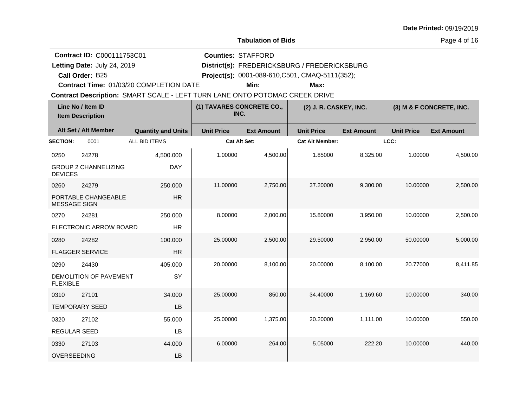**Tabulation of Bids**

**Counties:** STAFFORD

**Contract ID:** C000111753C01

**Letting Date:** July 24, 2019 **District(s): FREDERICKSBURG** / FREDERICKSBURG Letting Date: July 24, 2019

**Call Order:**

B25 **Project(s):** 0001-089-610,C501, CMAQ-5111(352);

**Contract Time:** 01/03/20 COMPLETION DATE

**Min: Max:**

| Line No / Item ID<br><b>Item Description</b> |                             | (1) TAVARES CONCRETE CO.,<br>INC. |                     | (2) J. R. CASKEY, INC. |                        | (3) M & F CONCRETE, INC. |                   |                   |
|----------------------------------------------|-----------------------------|-----------------------------------|---------------------|------------------------|------------------------|--------------------------|-------------------|-------------------|
|                                              | Alt Set / Alt Member        | <b>Quantity and Units</b>         | <b>Unit Price</b>   | <b>Ext Amount</b>      | <b>Unit Price</b>      | <b>Ext Amount</b>        | <b>Unit Price</b> | <b>Ext Amount</b> |
| <b>SECTION:</b>                              | 0001                        | ALL BID ITEMS                     | <b>Cat Alt Set:</b> |                        | <b>Cat Alt Member:</b> |                          | LCC:              |                   |
| 0250                                         | 24278                       | 4,500.000                         | 1.00000             | 4,500.00               | 1.85000                | 8,325.00                 | 1.00000           | 4,500.00          |
| <b>DEVICES</b>                               | <b>GROUP 2 CHANNELIZING</b> | <b>DAY</b>                        |                     |                        |                        |                          |                   |                   |
| 0260                                         | 24279                       | 250.000                           | 11.00000            | 2,750.00               | 37.20000               | 9,300.00                 | 10.00000          | 2,500.00          |
| <b>MESSAGE SIGN</b>                          | PORTABLE CHANGEABLE         | <b>HR</b>                         |                     |                        |                        |                          |                   |                   |
| 0270                                         | 24281                       | 250,000                           | 8.00000             | 2,000.00               | 15.80000               | 3,950.00                 | 10.00000          | 2,500.00          |
|                                              | ELECTRONIC ARROW BOARD      | <b>HR</b>                         |                     |                        |                        |                          |                   |                   |
| 0280                                         | 24282                       | 100.000                           | 25.00000            | 2,500.00               | 29.50000               | 2,950.00                 | 50.00000          | 5,000.00          |
|                                              | <b>FLAGGER SERVICE</b>      | <b>HR</b>                         |                     |                        |                        |                          |                   |                   |
| 0290                                         | 24430                       | 405.000                           | 20.00000            | 8,100.00               | 20.00000               | 8,100.00                 | 20.77000          | 8,411.85          |
| <b>FLEXIBLE</b>                              | DEMOLITION OF PAVEMENT      | SY                                |                     |                        |                        |                          |                   |                   |
| 0310                                         | 27101                       | 34.000                            | 25.00000            | 850.00                 | 34.40000               | 1,169.60                 | 10.00000          | 340.00            |
|                                              | <b>TEMPORARY SEED</b>       | LB                                |                     |                        |                        |                          |                   |                   |
| 0320                                         | 27102                       | 55.000                            | 25,00000            | 1,375.00               | 20.20000               | 1,111.00                 | 10.00000          | 550.00            |
| <b>REGULAR SEED</b>                          |                             | LB                                |                     |                        |                        |                          |                   |                   |
| 0330                                         | 27103                       | 44.000                            | 6.00000             | 264.00                 | 5.05000                | 222.20                   | 10.00000          | 440.00            |
| <b>OVERSEEDING</b>                           |                             | LB                                |                     |                        |                        |                          |                   |                   |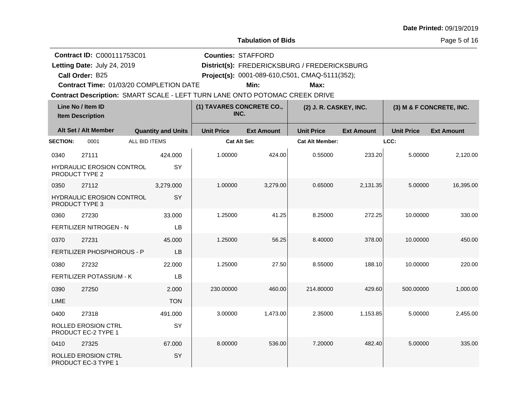**Tabulation of Bids**

**Counties:** STAFFORD

Page 5 of 16

|  | <b>Contract ID: C000111753C01</b> |
|--|-----------------------------------|
|--|-----------------------------------|

**Call Order:**

Letting Date: July 24, 2019

**Letting Date:** July 24, 2019 **District(s): FREDERICKSBURG** / FREDERICKSBURG

B25 **Project(s):** 0001-089-610,C501, CMAQ-5111(352);

**Contract Time:** 01/03/20 COMPLETION DATE

**Min: Max:**

| Line No / Item ID<br><b>Item Description</b> |                                                           | (1) TAVARES CONCRETE CO.,<br>INC. |                     | (2) J. R. CASKEY, INC. |                        | (3) M & F CONCRETE, INC. |                   |                   |
|----------------------------------------------|-----------------------------------------------------------|-----------------------------------|---------------------|------------------------|------------------------|--------------------------|-------------------|-------------------|
|                                              | Alt Set / Alt Member                                      | <b>Quantity and Units</b>         | <b>Unit Price</b>   | <b>Ext Amount</b>      | <b>Unit Price</b>      | <b>Ext Amount</b>        | <b>Unit Price</b> | <b>Ext Amount</b> |
| <b>SECTION:</b>                              | 0001                                                      | ALL BID ITEMS                     | <b>Cat Alt Set:</b> |                        | <b>Cat Alt Member:</b> |                          | LCC:              |                   |
| 0340                                         | 27111                                                     | 424.000                           | 1.00000             | 424.00                 | 0.55000                | 233.20                   | 5.00000           | 2,120.00          |
|                                              | <b>HYDRAULIC EROSION CONTROL</b><br><b>PRODUCT TYPE 2</b> | SY                                |                     |                        |                        |                          |                   |                   |
| 0350                                         | 27112                                                     | 3,279.000                         | 1.00000             | 3,279.00               | 0.65000                | 2,131.35                 | 5.00000           | 16,395.00         |
|                                              | HYDRAULIC EROSION CONTROL<br>PRODUCT TYPE 3               | SY                                |                     |                        |                        |                          |                   |                   |
| 0360                                         | 27230                                                     | 33.000                            | 1.25000             | 41.25                  | 8.25000                | 272.25                   | 10.00000          | 330.00            |
|                                              | <b>FERTILIZER NITROGEN - N</b>                            | LB                                |                     |                        |                        |                          |                   |                   |
| 0370                                         | 27231                                                     | 45,000                            | 1.25000             | 56.25                  | 8.40000                | 378.00                   | 10.00000          | 450.00            |
|                                              | FERTILIZER PHOSPHOROUS - P                                | LB                                |                     |                        |                        |                          |                   |                   |
| 0380                                         | 27232                                                     | 22.000                            | 1.25000             | 27.50                  | 8.55000                | 188.10                   | 10.00000          | 220.00            |
|                                              | FERTILIZER POTASSIUM - K                                  | LB                                |                     |                        |                        |                          |                   |                   |
| 0390                                         | 27250                                                     | 2.000                             | 230.00000           | 460.00                 | 214.80000              | 429.60                   | 500.00000         | 1,000.00          |
| <b>LIME</b>                                  |                                                           | <b>TON</b>                        |                     |                        |                        |                          |                   |                   |
| 0400                                         | 27318                                                     | 491.000                           | 3.00000             | 1,473.00               | 2.35000                | 1,153.85                 | 5.00000           | 2,455.00          |
|                                              | <b>ROLLED EROSION CTRL</b><br>PRODUCT EC-2 TYPE 1         | SY                                |                     |                        |                        |                          |                   |                   |
| 0410                                         | 27325                                                     | 67.000                            | 8.00000             | 536.00                 | 7.20000                | 482.40                   | 5.00000           | 335.00            |
|                                              | <b>ROLLED EROSION CTRL</b><br>PRODUCT EC-3 TYPE 1         | SY                                |                     |                        |                        |                          |                   |                   |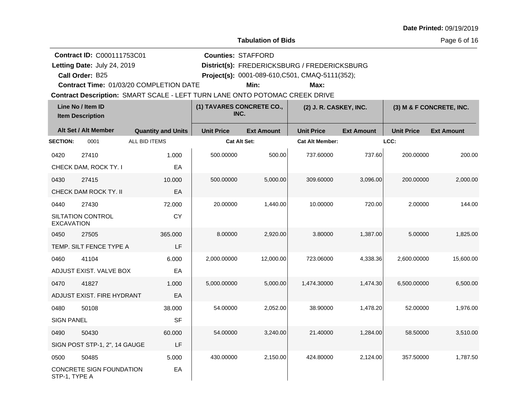**Tabulation of Bids**

Page 6 of 16

|                   | <b>Contract ID: C000111753C01</b>              |                                                                             |                   | <b>Counties: STAFFORD</b>         |                                                                                                 |                   |                   |                          |
|-------------------|------------------------------------------------|-----------------------------------------------------------------------------|-------------------|-----------------------------------|-------------------------------------------------------------------------------------------------|-------------------|-------------------|--------------------------|
|                   | Letting Date: July 24, 2019<br>Call Order: B25 |                                                                             |                   |                                   | District(s): FREDERICKSBURG / FREDERICKSBURG<br>Project(s): 0001-089-610, C501, CMAQ-5111(352); |                   |                   |                          |
|                   |                                                | Contract Time: 01/03/20 COMPLETION DATE                                     |                   | Min:                              | Max:                                                                                            |                   |                   |                          |
|                   |                                                | Contract Description: SMART SCALE - LEFT TURN LANE ONTO POTOMAC CREEK DRIVE |                   |                                   |                                                                                                 |                   |                   |                          |
|                   | Line No / Item ID<br><b>Item Description</b>   |                                                                             |                   | (1) TAVARES CONCRETE CO.,<br>INC. | (2) J. R. CASKEY, INC.                                                                          |                   |                   | (3) M & F CONCRETE, INC. |
|                   | Alt Set / Alt Member                           | <b>Quantity and Units</b>                                                   | <b>Unit Price</b> | <b>Ext Amount</b>                 | <b>Unit Price</b>                                                                               | <b>Ext Amount</b> | <b>Unit Price</b> | <b>Ext Amount</b>        |
| <b>SECTION:</b>   | 0001                                           | ALL BID ITEMS                                                               |                   | Cat Alt Set:                      | <b>Cat Alt Member:</b>                                                                          |                   | LCC:              |                          |
| 0420              | 27410                                          | 1.000                                                                       | 500.00000         | 500.00                            | 737.60000                                                                                       | 737.60            | 200.00000         | 200.00                   |
|                   | CHECK DAM, ROCK TY. I                          | EA                                                                          |                   |                                   |                                                                                                 |                   |                   |                          |
| 0430              | 27415                                          | 10.000                                                                      | 500.00000         | 5,000.00                          | 309.60000                                                                                       | 3,096.00          | 200.00000         | 2,000.00                 |
|                   | CHECK DAM ROCK TY. II                          | EA                                                                          |                   |                                   |                                                                                                 |                   |                   |                          |
| 0440              | 27430                                          | 72.000                                                                      | 20.00000          | 1,440.00                          | 10.00000                                                                                        | 720.00            | 2.00000           | 144.00                   |
| <b>EXCAVATION</b> | SILTATION CONTROL                              | <b>CY</b>                                                                   |                   |                                   |                                                                                                 |                   |                   |                          |
| 0450              | 27505                                          | 365.000                                                                     | 8.00000           | 2,920.00                          | 3.80000                                                                                         | 1,387.00          | 5.00000           | 1,825.00                 |
|                   | TEMP. SILT FENCE TYPE A                        | LF                                                                          |                   |                                   |                                                                                                 |                   |                   |                          |
| 0460              | 41104                                          | 6.000                                                                       | 2,000.00000       | 12,000.00                         | 723.06000                                                                                       | 4,338.36          | 2,600.00000       | 15,600.00                |
|                   | ADJUST EXIST. VALVE BOX                        | EA                                                                          |                   |                                   |                                                                                                 |                   |                   |                          |
| 0470              | 41827                                          | 1.000                                                                       | 5,000.00000       | 5,000.00                          | 1,474.30000                                                                                     | 1,474.30          | 6,500.00000       | 6,500.00                 |
|                   | ADJUST EXIST. FIRE HYDRANT                     | EA                                                                          |                   |                                   |                                                                                                 |                   |                   |                          |
| 0480              | 50108                                          | 38.000                                                                      | 54.00000          | 2,052.00                          | 38.90000                                                                                        | 1,478.20          | 52.00000          | 1,976.00                 |
| <b>SIGN PANEL</b> |                                                | SF                                                                          |                   |                                   |                                                                                                 |                   |                   |                          |
| 0490              | 50430                                          | 60.000                                                                      | 54.00000          | 3,240.00                          | 21.40000                                                                                        | 1,284.00          | 58.50000          | 3,510.00                 |
|                   | SIGN POST STP-1, 2", 14 GAUGE                  | LF                                                                          |                   |                                   |                                                                                                 |                   |                   |                          |
| 0500              | 50485                                          | 5.000                                                                       | 430.00000         | 2,150.00                          | 424.80000                                                                                       | 2,124.00          | 357.50000         | 1,787.50                 |
| STP-1, TYPE A     | CONCRETE SIGN FOUNDATION                       | EA                                                                          |                   |                                   |                                                                                                 |                   |                   |                          |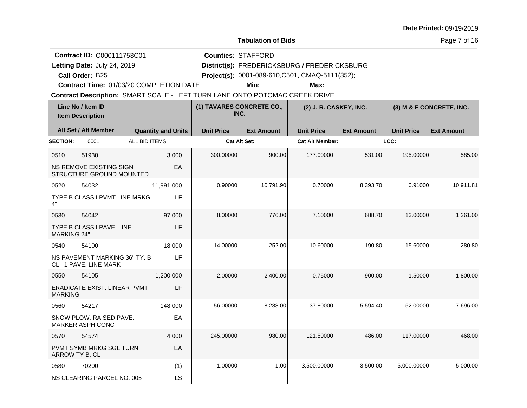|  | Date Printed: 09/19/2019 |  |  |
|--|--------------------------|--|--|
|--|--------------------------|--|--|

Page 7 of 16

|                                              | <b>Contract ID: C000111753C01</b>                                           |                           | <b>Counties: STAFFORD</b>         |                   |                                                         |                   |                   |                          |  |
|----------------------------------------------|-----------------------------------------------------------------------------|---------------------------|-----------------------------------|-------------------|---------------------------------------------------------|-------------------|-------------------|--------------------------|--|
|                                              | Letting Date: July 24, 2019                                                 |                           |                                   |                   | District(s): FREDERICKSBURG / FREDERICKSBURG            |                   |                   |                          |  |
|                                              | Call Order: B25<br>Contract Time: 01/03/20 COMPLETION DATE                  |                           |                                   | Min:              | Project(s): 0001-089-610, C501, CMAQ-5111(352);<br>Max: |                   |                   |                          |  |
|                                              | Contract Description: SMART SCALE - LEFT TURN LANE ONTO POTOMAC CREEK DRIVE |                           |                                   |                   |                                                         |                   |                   |                          |  |
| Line No / Item ID<br><b>Item Description</b> |                                                                             |                           | (1) TAVARES CONCRETE CO.,<br>INC. |                   | (2) J. R. CASKEY, INC.                                  |                   |                   | (3) M & F CONCRETE, INC. |  |
|                                              | Alt Set / Alt Member                                                        | <b>Quantity and Units</b> | <b>Unit Price</b>                 | <b>Ext Amount</b> | <b>Unit Price</b>                                       | <b>Ext Amount</b> | <b>Unit Price</b> | <b>Ext Amount</b>        |  |
| <b>SECTION:</b>                              | ALL BID ITEMS<br>0001                                                       |                           | Cat Alt Set:                      |                   | <b>Cat Alt Member:</b>                                  |                   | LCC:              |                          |  |
| 0510                                         | 51930                                                                       | 3.000                     | 300.00000                         | 900.00            | 177.00000                                               | 531.00            | 195.00000         | 585.00                   |  |
|                                              | NS REMOVE EXISTING SIGN<br>STRUCTURE GROUND MOUNTED                         | EA                        |                                   |                   |                                                         |                   |                   |                          |  |
| 0520                                         | 54032                                                                       | 11,991.000                | 0.90000                           | 10,791.90         | 0.70000                                                 | 8,393.70          | 0.91000           | 10,911.81                |  |
| 4"                                           | TYPE B CLASS I PVMT LINE MRKG                                               | LF                        |                                   |                   |                                                         |                   |                   |                          |  |
| 0530                                         | 54042                                                                       | 97.000                    | 8.00000                           | 776.00            | 7.10000                                                 | 688.70            | 13.00000          | 1,261.00                 |  |
| <b>MARKING 24"</b>                           | <b>TYPE B CLASS I PAVE, LINE</b>                                            | LF                        |                                   |                   |                                                         |                   |                   |                          |  |
| 0540                                         | 54100                                                                       | 18.000                    | 14.00000                          | 252.00            | 10.60000                                                | 190.80            | 15.60000          | 280.80                   |  |
|                                              | NS PAVEMENT MARKING 36" TY. B<br>CL. 1 PAVE. LINE MARK                      | LF                        |                                   |                   |                                                         |                   |                   |                          |  |
| 0550                                         | 54105                                                                       | 1,200.000                 | 2.00000                           | 2,400.00          | 0.75000                                                 | 900.00            | 1.50000           | 1,800.00                 |  |
| <b>MARKING</b>                               | ERADICATE EXIST. LINEAR PVMT                                                | LF                        |                                   |                   |                                                         |                   |                   |                          |  |
| 0560                                         | 54217                                                                       | 148.000                   | 56.00000                          | 8,288.00          | 37.80000                                                | 5,594.40          | 52.00000          | 7,696.00                 |  |
|                                              | SNOW PLOW. RAISED PAVE.<br><b>MARKER ASPH.CONC</b>                          | EA                        |                                   |                   |                                                         |                   |                   |                          |  |
| 0570                                         | 54574                                                                       | 4.000                     | 245.00000                         | 980.00            | 121.50000                                               | 486.00            | 117.00000         | 468.00                   |  |
| ARROW TY B, CL I                             | <b>PVMT SYMB MRKG SGL TURN</b>                                              | EA                        |                                   |                   |                                                         |                   |                   |                          |  |
| 0580                                         | 70200                                                                       | (1)                       | 1.00000                           | 1.00              | 3,500.00000                                             | 3,500.00          | 5,000.00000       | 5,000.00                 |  |
|                                              | NS CLEARING PARCEL NO. 005                                                  | LS                        |                                   |                   |                                                         |                   |                   |                          |  |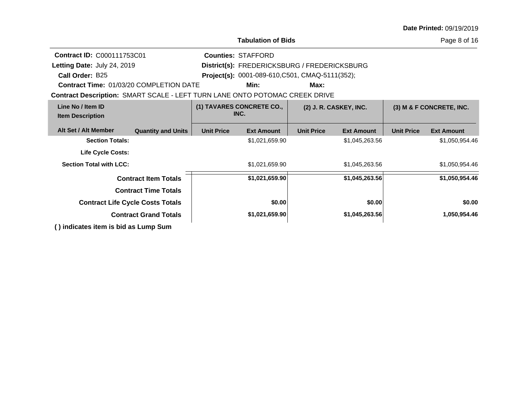|                                                                             |                                                             | Page 8 of 16                     |                                              |                          |                   |                   |                   |  |
|-----------------------------------------------------------------------------|-------------------------------------------------------------|----------------------------------|----------------------------------------------|--------------------------|-------------------|-------------------|-------------------|--|
| <b>Contract ID: C000111753C01</b>                                           |                                                             |                                  | <b>Counties: STAFFORD</b>                    |                          |                   |                   |                   |  |
| Letting Date: July 24, 2019                                                 |                                                             |                                  | District(s): FREDERICKSBURG / FREDERICKSBURG |                          |                   |                   |                   |  |
| Call Order: B25                                                             | Project(s): 0001-089-610, C501, CMAQ-5111(352);             |                                  |                                              |                          |                   |                   |                   |  |
| <b>Contract Time: 01/03/20 COMPLETION DATE</b>                              |                                                             |                                  | Min:                                         | Max:                     |                   |                   |                   |  |
| Contract Description: SMART SCALE - LEFT TURN LANE ONTO POTOMAC CREEK DRIVE |                                                             |                                  |                                              |                          |                   |                   |                   |  |
| Line No / Item ID<br><b>Item Description</b>                                | (1) TAVARES CONCRETE CO.,<br>(2) J. R. CASKEY, INC.<br>INC. |                                  |                                              | (3) M & F CONCRETE, INC. |                   |                   |                   |  |
| Alt Set / Alt Member                                                        | <b>Quantity and Units</b>                                   | <b>Unit Price</b>                | <b>Ext Amount</b>                            | <b>Unit Price</b>        | <b>Ext Amount</b> | <b>Unit Price</b> | <b>Ext Amount</b> |  |
| <b>Section Totals:</b>                                                      |                                                             | \$1,021,659.90                   |                                              |                          | \$1,045,263.56    |                   | \$1,050,954.46    |  |
| <b>Life Cycle Costs:</b>                                                    |                                                             |                                  |                                              |                          |                   |                   |                   |  |
| <b>Section Total with LCC:</b>                                              |                                                             |                                  | \$1,021,659.90                               |                          | \$1,045,263.56    | \$1,050,954.46    |                   |  |
|                                                                             | <b>Contract Item Totals</b>                                 |                                  | \$1,021,659.90                               |                          | \$1,045,263.56    |                   | \$1,050,954.46    |  |
|                                                                             | <b>Contract Time Totals</b>                                 |                                  |                                              |                          |                   |                   |                   |  |
|                                                                             | <b>Contract Life Cycle Costs Totals</b>                     |                                  | \$0.00                                       |                          | \$0.00            |                   | \$0.00            |  |
|                                                                             | <b>Contract Grand Totals</b>                                | \$1,021,659.90<br>\$1,045,263.56 |                                              |                          |                   | 1,050,954.46      |                   |  |
| () indicates item is bid as Lump Sum                                        |                                                             |                                  |                                              |                          |                   |                   |                   |  |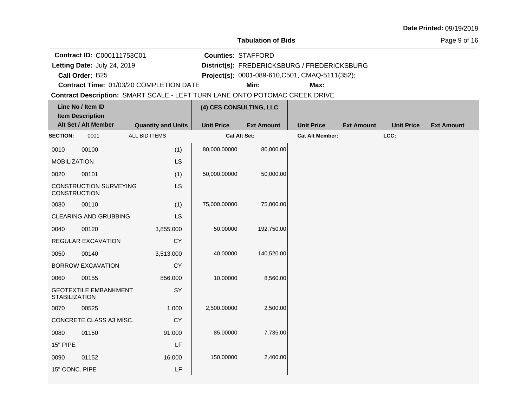#### **Tabulation of Bids**

**Counties:** STAFFORD

Page 9 of 16

**Contract ID:** C000111753C01

**Letting Date:** July 24, 2019 **District(s): FREDERICKSBURG** / FREDERICKSBURG Letting Date: July 24, 2019

**Call Order:**

B25 **Project(s):** 0001-089-610,C501, CMAQ-5111(352);

**Contract Time:** 01/03/20 COMPLETION DATE

**Min: Max:**

|                         | Line No / Item ID             |                           | (4) CES CONSULTING, LLC                |            |                        |                   |                   |                   |
|-------------------------|-------------------------------|---------------------------|----------------------------------------|------------|------------------------|-------------------|-------------------|-------------------|
| <b>Item Description</b> |                               |                           |                                        |            |                        |                   |                   |                   |
|                         | Alt Set / Alt Member          | <b>Quantity and Units</b> | <b>Unit Price</b><br><b>Ext Amount</b> |            | <b>Unit Price</b>      | <b>Ext Amount</b> | <b>Unit Price</b> | <b>Ext Amount</b> |
| <b>SECTION:</b>         | 0001                          | ALL BID ITEMS             | Cat Alt Set:                           |            | <b>Cat Alt Member:</b> |                   | LCC:              |                   |
| 0010                    | 00100                         | (1)                       | 80,000.00000                           | 80,000.00  |                        |                   |                   |                   |
| <b>MOBILIZATION</b>     |                               | LS                        |                                        |            |                        |                   |                   |                   |
| 0020                    | 00101                         | (1)                       | 50,000.00000                           | 50,000.00  |                        |                   |                   |                   |
| <b>CONSTRUCTION</b>     | <b>CONSTRUCTION SURVEYING</b> | LS                        |                                        |            |                        |                   |                   |                   |
| 0030                    | 00110                         | (1)                       | 75,000.00000                           | 75,000.00  |                        |                   |                   |                   |
|                         | <b>CLEARING AND GRUBBING</b>  | LS                        |                                        |            |                        |                   |                   |                   |
| 0040                    | 00120                         | 3,855.000                 | 50.00000                               | 192,750.00 |                        |                   |                   |                   |
|                         | REGULAR EXCAVATION            | <b>CY</b>                 |                                        |            |                        |                   |                   |                   |
| 0050                    | 00140                         | 3,513.000                 | 40.00000                               | 140,520.00 |                        |                   |                   |                   |
|                         | <b>BORROW EXCAVATION</b>      | <b>CY</b>                 |                                        |            |                        |                   |                   |                   |
| 0060                    | 00155                         | 856.000                   | 10.00000                               | 8,560.00   |                        |                   |                   |                   |
| <b>STABILIZATION</b>    | <b>GEOTEXTILE EMBANKMENT</b>  | SY                        |                                        |            |                        |                   |                   |                   |
| 0070                    | 00525                         | 1.000                     | 2,500.00000                            | 2,500.00   |                        |                   |                   |                   |
|                         | CONCRETE CLASS A3 MISC.       | <b>CY</b>                 |                                        |            |                        |                   |                   |                   |
| 0080                    | 01150                         | 91.000                    | 85.00000                               | 7,735.00   |                        |                   |                   |                   |
| 15" PIPE                |                               | LF                        |                                        |            |                        |                   |                   |                   |
| 0090                    | 01152                         | 16.000                    | 150.00000                              | 2,400.00   |                        |                   |                   |                   |
| 15" CONC. PIPE          |                               | LF                        |                                        |            |                        |                   |                   |                   |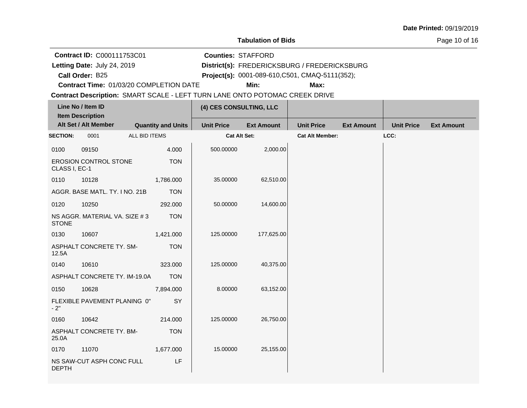#### **Tabulation of Bids**

Page 10 of 16

**Contract ID:** C000111753C01

Letting Date: July 24, 2019

**Call Order:**

**Letting Date:** July 24, 2019 **District(s): FREDERICKSBURG** / FREDERICKSBURG

B25 **Project(s):** 0001-089-610,C501, CMAQ-5111(352);

**Counties:** STAFFORD

**Contract Time:** 01/03/20 COMPLETION DATE

**Min: Max:**

|                 | Line No / Item ID<br><b>Item Description</b> |                           | (4) CES CONSULTING, LLC |                   |                        |                   |                   |                   |
|-----------------|----------------------------------------------|---------------------------|-------------------------|-------------------|------------------------|-------------------|-------------------|-------------------|
|                 | Alt Set / Alt Member                         | <b>Quantity and Units</b> | <b>Unit Price</b>       | <b>Ext Amount</b> | <b>Unit Price</b>      | <b>Ext Amount</b> | <b>Unit Price</b> | <b>Ext Amount</b> |
| <b>SECTION:</b> | 0001                                         | ALL BID ITEMS             | Cat Alt Set:            |                   | <b>Cat Alt Member:</b> |                   | LCC:              |                   |
| 0100            | 09150                                        | 4.000                     | 500.00000               | 2,000.00          |                        |                   |                   |                   |
| CLASS I, EC-1   | <b>EROSION CONTROL STONE</b>                 | <b>TON</b>                |                         |                   |                        |                   |                   |                   |
| 0110            | 10128                                        | 1,786.000                 | 35.00000                | 62,510.00         |                        |                   |                   |                   |
|                 | AGGR. BASE MATL. TY. I NO. 21B               | <b>TON</b>                |                         |                   |                        |                   |                   |                   |
| 0120            | 10250                                        | 292.000                   | 50.00000                | 14,600.00         |                        |                   |                   |                   |
| <b>STONE</b>    | NS AGGR. MATERIAL VA. SIZE #3                | <b>TON</b>                |                         |                   |                        |                   |                   |                   |
| 0130            | 10607                                        | 1,421.000                 | 125.00000               | 177,625.00        |                        |                   |                   |                   |
| 12.5A           | ASPHALT CONCRETE TY. SM-                     | <b>TON</b>                |                         |                   |                        |                   |                   |                   |
| 0140            | 10610                                        | 323.000                   | 125.00000               | 40,375.00         |                        |                   |                   |                   |
|                 | ASPHALT CONCRETE TY. IM-19.0A                | <b>TON</b>                |                         |                   |                        |                   |                   |                   |
| 0150            | 10628                                        | 7,894.000                 | 8.00000                 | 63,152.00         |                        |                   |                   |                   |
| $-2"$           | FLEXIBLE PAVEMENT PLANING 0"                 | SY                        |                         |                   |                        |                   |                   |                   |
| 0160            | 10642                                        | 214.000                   | 125.00000               | 26,750.00         |                        |                   |                   |                   |
| 25.0A           | ASPHALT CONCRETE TY. BM-                     | <b>TON</b>                |                         |                   |                        |                   |                   |                   |
| 0170            | 11070                                        | 1,677.000                 | 15.00000                | 25,155.00         |                        |                   |                   |                   |
| <b>DEPTH</b>    | NS SAW-CUT ASPH CONC FULL                    | LF                        |                         |                   |                        |                   |                   |                   |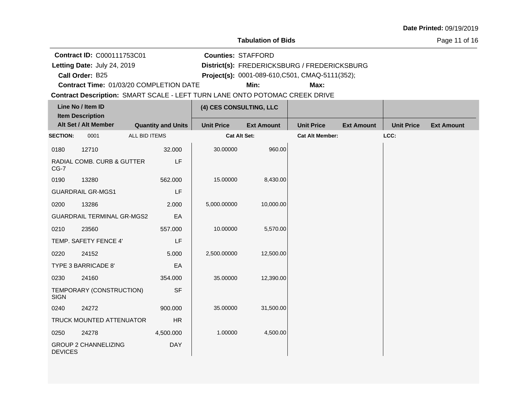#### **Tabulation of Bids**

**Counties:** STAFFORD

Page 11 of 16

**Contract ID:** C000111753C01

**Letting Date:** July 24, 2019 **District(s): FREDERICKSBURG** / FREDERICKSBURG Letting Date: July 24, 2019

**Call Order:**

B25 **Project(s):** 0001-089-610,C501, CMAQ-5111(352);

**Contract Time:** 01/03/20 COMPLETION DATE

**Min: Max:**

| Line No / Item ID<br><b>Item Description</b> |                                   | (4) CES CONSULTING, LLC   |                   |                   |                        |                   |                   |                   |
|----------------------------------------------|-----------------------------------|---------------------------|-------------------|-------------------|------------------------|-------------------|-------------------|-------------------|
|                                              | Alt Set / Alt Member              | <b>Quantity and Units</b> | <b>Unit Price</b> | <b>Ext Amount</b> | <b>Unit Price</b>      | <b>Ext Amount</b> | <b>Unit Price</b> | <b>Ext Amount</b> |
| <b>SECTION:</b>                              | 0001                              | ALL BID ITEMS             | Cat Alt Set:      |                   | <b>Cat Alt Member:</b> |                   | LCC:              |                   |
| 0180                                         | 12710                             | 32.000                    | 30.00000          | 960.00            |                        |                   |                   |                   |
| $CG-7$                                       | RADIAL COMB. CURB & GUTTER        | LF                        |                   |                   |                        |                   |                   |                   |
| 0190                                         | 13280                             | 562,000                   | 15.00000          | 8,430.00          |                        |                   |                   |                   |
|                                              | <b>GUARDRAIL GR-MGS1</b>          | LF                        |                   |                   |                        |                   |                   |                   |
| 0200                                         | 13286                             | 2.000                     | 5,000.00000       | 10,000.00         |                        |                   |                   |                   |
|                                              | <b>GUARDRAIL TERMINAL GR-MGS2</b> | EA                        |                   |                   |                        |                   |                   |                   |
| 0210                                         | 23560                             | 557.000                   | 10.00000          | 5,570.00          |                        |                   |                   |                   |
|                                              | TEMP. SAFETY FENCE 4'             | LF                        |                   |                   |                        |                   |                   |                   |
| 0220                                         | 24152                             | 5.000                     | 2,500.00000       | 12,500.00         |                        |                   |                   |                   |
|                                              | TYPE 3 BARRICADE 8'               | EA                        |                   |                   |                        |                   |                   |                   |
| 0230                                         | 24160                             | 354.000                   | 35.00000          | 12,390.00         |                        |                   |                   |                   |
| <b>SIGN</b>                                  | TEMPORARY (CONSTRUCTION)          | <b>SF</b>                 |                   |                   |                        |                   |                   |                   |
| 0240                                         | 24272                             | 900.000                   | 35.00000          | 31,500.00         |                        |                   |                   |                   |
|                                              | TRUCK MOUNTED ATTENUATOR          | ${\sf HR}$                |                   |                   |                        |                   |                   |                   |
| 0250                                         | 24278                             | 4,500.000                 | 1.00000           | 4,500.00          |                        |                   |                   |                   |
| <b>DEVICES</b>                               | <b>GROUP 2 CHANNELIZING</b>       | <b>DAY</b>                |                   |                   |                        |                   |                   |                   |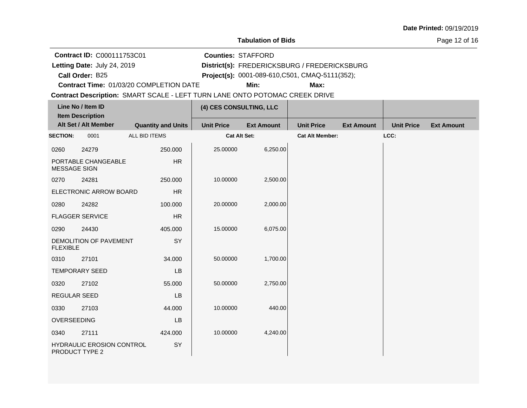#### **Tabulation of Bids**

Page 12 of 16

**Contract ID:** C000111753C01

**Letting Date:** July 24, 2019 **District(s): FREDERICKSBURG** / FREDERICKSBURG Letting Date: July 24, 2019

**Call Order:**

B25 **Project(s):** 0001-089-610,C501, CMAQ-5111(352);

**Counties:** STAFFORD

**Contract Time:** 01/03/20 COMPLETION DATE

**Min: Max:**

| Line No / Item ID<br><b>Item Description</b> |                                                    | (4) CES CONSULTING, LLC   |                     |                   |                        |                   |                   |                   |
|----------------------------------------------|----------------------------------------------------|---------------------------|---------------------|-------------------|------------------------|-------------------|-------------------|-------------------|
|                                              | Alt Set / Alt Member                               | <b>Quantity and Units</b> | <b>Unit Price</b>   | <b>Ext Amount</b> | <b>Unit Price</b>      | <b>Ext Amount</b> | <b>Unit Price</b> | <b>Ext Amount</b> |
| <b>SECTION:</b>                              | 0001                                               | ALL BID ITEMS             | <b>Cat Alt Set:</b> |                   | <b>Cat Alt Member:</b> |                   | LCC:              |                   |
| 0260                                         | 24279                                              | 250.000                   | 25.00000            | 6,250.00          |                        |                   |                   |                   |
| <b>MESSAGE SIGN</b>                          | PORTABLE CHANGEABLE                                | HR                        |                     |                   |                        |                   |                   |                   |
| 0270                                         | 24281                                              | 250,000                   | 10.00000            | 2,500.00          |                        |                   |                   |                   |
|                                              | ELECTRONIC ARROW BOARD                             | HR                        |                     |                   |                        |                   |                   |                   |
| 0280                                         | 24282                                              | 100.000                   | 20.00000            | 2,000.00          |                        |                   |                   |                   |
|                                              | <b>FLAGGER SERVICE</b>                             | <b>HR</b>                 |                     |                   |                        |                   |                   |                   |
| 0290                                         | 24430                                              | 405.000                   | 15.00000            | 6,075.00          |                        |                   |                   |                   |
| <b>FLEXIBLE</b>                              | DEMOLITION OF PAVEMENT                             | SY                        |                     |                   |                        |                   |                   |                   |
| 0310                                         | 27101                                              | 34.000                    | 50.00000            | 1,700.00          |                        |                   |                   |                   |
|                                              | <b>TEMPORARY SEED</b>                              | <b>LB</b>                 |                     |                   |                        |                   |                   |                   |
| 0320                                         | 27102                                              | 55.000                    | 50.00000            | 2,750.00          |                        |                   |                   |                   |
| REGULAR SEED                                 |                                                    | LB                        |                     |                   |                        |                   |                   |                   |
| 0330                                         | 27103                                              | 44.000                    | 10.00000            | 440.00            |                        |                   |                   |                   |
| OVERSEEDING                                  |                                                    | <b>LB</b>                 |                     |                   |                        |                   |                   |                   |
| 0340                                         | 27111                                              | 424.000                   | 10.00000            | 4,240.00          |                        |                   |                   |                   |
|                                              | <b>HYDRAULIC EROSION CONTROL</b><br>PRODUCT TYPE 2 | SY                        |                     |                   |                        |                   |                   |                   |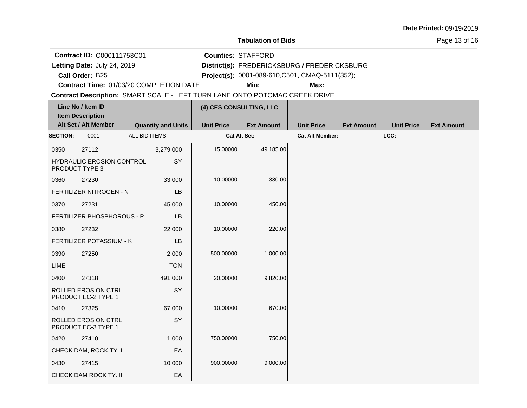#### **Tabulation of Bids**

**Counties:** STAFFORD

Page 13 of 16

**Contract ID:** C000111753C01

**Letting Date:** July 24, 2019 **District(s): FREDERICKSBURG** / FREDERICKSBURG Letting Date: July 24, 2019

**Call Order:**

B25 **Project(s):** 0001-089-610,C501, CMAQ-5111(352);

**Contract Time:** 01/03/20 COMPLETION DATE

**Min: Max:**

|                 | Line No / Item ID<br><b>Item Description</b>      |               |                           | (4) CES CONSULTING, LLC |                   |                        |                   |                   |                   |
|-----------------|---------------------------------------------------|---------------|---------------------------|-------------------------|-------------------|------------------------|-------------------|-------------------|-------------------|
|                 | Alt Set / Alt Member                              |               | <b>Quantity and Units</b> | <b>Unit Price</b>       | <b>Ext Amount</b> | <b>Unit Price</b>      | <b>Ext Amount</b> | <b>Unit Price</b> | <b>Ext Amount</b> |
| <b>SECTION:</b> | 0001                                              | ALL BID ITEMS |                           | Cat Alt Set:            |                   | <b>Cat Alt Member:</b> |                   | LCC:              |                   |
| 0350            | 27112                                             |               | 3,279.000                 | 15.00000                | 49,185.00         |                        |                   |                   |                   |
|                 | HYDRAULIC EROSION CONTROL<br>PRODUCT TYPE 3       |               | SY                        |                         |                   |                        |                   |                   |                   |
| 0360            | 27230                                             |               | 33.000                    | 10.00000                | 330.00            |                        |                   |                   |                   |
|                 | FERTILIZER NITROGEN - N                           |               | <b>LB</b>                 |                         |                   |                        |                   |                   |                   |
| 0370            | 27231                                             |               | 45.000                    | 10.00000                | 450.00            |                        |                   |                   |                   |
|                 | FERTILIZER PHOSPHOROUS - P                        |               | LB                        |                         |                   |                        |                   |                   |                   |
| 0380            | 27232                                             |               | 22.000                    | 10.00000                | 220.00            |                        |                   |                   |                   |
|                 | FERTILIZER POTASSIUM - K                          |               | LB                        |                         |                   |                        |                   |                   |                   |
| 0390            | 27250                                             |               | 2.000                     | 500.00000               | 1,000.00          |                        |                   |                   |                   |
| LIME            |                                                   |               | <b>TON</b>                |                         |                   |                        |                   |                   |                   |
| 0400            | 27318                                             |               | 491.000                   | 20.00000                | 9,820.00          |                        |                   |                   |                   |
|                 | <b>ROLLED EROSION CTRL</b><br>PRODUCT EC-2 TYPE 1 |               | SY                        |                         |                   |                        |                   |                   |                   |
| 0410            | 27325                                             |               | 67.000                    | 10.00000                | 670.00            |                        |                   |                   |                   |
|                 | ROLLED EROSION CTRL<br>PRODUCT EC-3 TYPE 1        |               | SY                        |                         |                   |                        |                   |                   |                   |
| 0420            | 27410                                             |               | 1.000                     | 750.00000               | 750.00            |                        |                   |                   |                   |
|                 | CHECK DAM, ROCK TY. I                             |               | EA                        |                         |                   |                        |                   |                   |                   |
| 0430            | 27415                                             |               | 10.000                    | 900.00000               | 9,000.00          |                        |                   |                   |                   |
|                 | CHECK DAM ROCK TY. II                             |               | EA                        |                         |                   |                        |                   |                   |                   |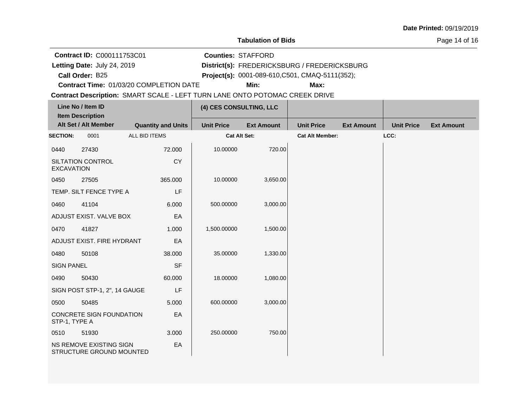#### **Tabulation of Bids**

Page 14 of 16

**Contract ID:** C000111753C01

**Letting Date:** July 24, 2019 **District(s): FREDERICKSBURG** / FREDERICKSBURG Letting Date: July 24, 2019

**Call Order:**

B25 **Project(s):** 0001-089-610,C501, CMAQ-5111(352);

**Counties:** STAFFORD

**Contract Time:** 01/03/20 COMPLETION DATE

**Min: Max:**

| Line No / Item ID       |                                                            |                           | (4) CES CONSULTING, LLC |                   |                        |                   |                   |                   |
|-------------------------|------------------------------------------------------------|---------------------------|-------------------------|-------------------|------------------------|-------------------|-------------------|-------------------|
| <b>Item Description</b> |                                                            |                           |                         |                   |                        |                   |                   |                   |
|                         | Alt Set / Alt Member                                       | <b>Quantity and Units</b> | <b>Unit Price</b>       | <b>Ext Amount</b> | <b>Unit Price</b>      | <b>Ext Amount</b> | <b>Unit Price</b> | <b>Ext Amount</b> |
| <b>SECTION:</b>         | 0001                                                       | ALL BID ITEMS             | <b>Cat Alt Set:</b>     |                   | <b>Cat Alt Member:</b> |                   | LCC:              |                   |
| 0440                    | 27430                                                      | 72.000                    | 10.00000                | 720.00            |                        |                   |                   |                   |
| <b>EXCAVATION</b>       | SILTATION CONTROL                                          | <b>CY</b>                 |                         |                   |                        |                   |                   |                   |
| 0450                    | 27505                                                      | 365.000                   | 10.00000                | 3,650.00          |                        |                   |                   |                   |
|                         | TEMP. SILT FENCE TYPE A                                    | LF                        |                         |                   |                        |                   |                   |                   |
| 0460                    | 41104                                                      | 6.000                     | 500.00000               | 3,000.00          |                        |                   |                   |                   |
|                         | ADJUST EXIST. VALVE BOX                                    | EA                        |                         |                   |                        |                   |                   |                   |
| 0470                    | 41827                                                      | 1.000                     | 1,500.00000             | 1,500.00          |                        |                   |                   |                   |
|                         | ADJUST EXIST. FIRE HYDRANT                                 | EA                        |                         |                   |                        |                   |                   |                   |
| 0480                    | 50108                                                      | 38,000                    | 35.00000                | 1,330.00          |                        |                   |                   |                   |
| <b>SIGN PANEL</b>       |                                                            | <b>SF</b>                 |                         |                   |                        |                   |                   |                   |
| 0490                    | 50430                                                      | 60.000                    | 18.00000                | 1,080.00          |                        |                   |                   |                   |
|                         | SIGN POST STP-1, 2", 14 GAUGE                              | LF                        |                         |                   |                        |                   |                   |                   |
| 0500                    | 50485                                                      | 5.000                     | 600.00000               | 3,000.00          |                        |                   |                   |                   |
| STP-1, TYPE A           | CONCRETE SIGN FOUNDATION                                   | EA                        |                         |                   |                        |                   |                   |                   |
| 0510                    | 51930                                                      | 3.000                     | 250.00000               | 750.00            |                        |                   |                   |                   |
|                         | <b>NS REMOVE EXISTING SIGN</b><br>STRUCTURE GROUND MOUNTED | EA                        |                         |                   |                        |                   |                   |                   |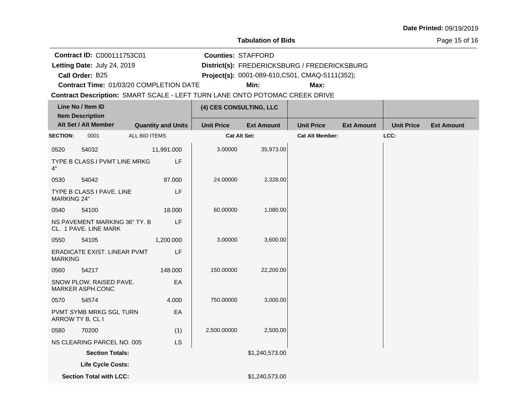#### **Tabulation of Bids**

**Counties:** STAFFORD

### Page 15 of 16

**Contract ID:** C000111753C01

**Letting Date:** July 24, 2019 **District(s): FREDERICKSBURG** / FREDERICKSBURG Letting Date: July 24, 2019

**Call Order:**

B25 **Project(s):** 0001-089-610,C501, CMAQ-5111(352);

**Contract Time:** 01/03/20 COMPLETION DATE

**Min: Max:**

| Line No / Item ID<br><b>Item Description</b> |                                                        |               | (4) CES CONSULTING, LLC   |                     |                   |                        |                   |                   |                   |
|----------------------------------------------|--------------------------------------------------------|---------------|---------------------------|---------------------|-------------------|------------------------|-------------------|-------------------|-------------------|
|                                              | Alt Set / Alt Member                                   |               | <b>Quantity and Units</b> | <b>Unit Price</b>   | <b>Ext Amount</b> | <b>Unit Price</b>      | <b>Ext Amount</b> | <b>Unit Price</b> | <b>Ext Amount</b> |
| <b>SECTION:</b>                              | 0001                                                   | ALL BID ITEMS |                           | <b>Cat Alt Set:</b> |                   | <b>Cat Alt Member:</b> |                   | LCC:              |                   |
| 0520                                         | 54032                                                  |               | 11,991.000                | 3.00000             | 35,973.00         |                        |                   |                   |                   |
| 4"                                           | TYPE B CLASS I PVMT LINE MRKG                          |               | LF                        |                     |                   |                        |                   |                   |                   |
| 0530                                         | 54042                                                  |               | 97.000                    | 24.00000            | 2,328.00          |                        |                   |                   |                   |
| <b>MARKING 24"</b>                           | TYPE B CLASS I PAVE, LINE                              |               | LF                        |                     |                   |                        |                   |                   |                   |
| 0540                                         | 54100                                                  |               | 18.000                    | 60.00000            | 1,080.00          |                        |                   |                   |                   |
|                                              | NS PAVEMENT MARKING 36" TY. B<br>CL. 1 PAVE. LINE MARK |               | LF                        |                     |                   |                        |                   |                   |                   |
| 0550                                         | 54105                                                  |               | 1,200.000                 | 3.00000             | 3,600.00          |                        |                   |                   |                   |
| <b>MARKING</b>                               | ERADICATE EXIST. LINEAR PVMT                           |               | LF                        |                     |                   |                        |                   |                   |                   |
| 0560                                         | 54217                                                  |               | 148.000                   | 150.00000           | 22,200.00         |                        |                   |                   |                   |
|                                              | SNOW PLOW. RAISED PAVE.<br>MARKER ASPH.CONC            |               | EA                        |                     |                   |                        |                   |                   |                   |
| 0570                                         | 54574                                                  |               | 4.000                     | 750.00000           | 3,000.00          |                        |                   |                   |                   |
|                                              | PVMT SYMB MRKG SGL TURN<br>ARROW TY B, CL I            |               | EA                        |                     |                   |                        |                   |                   |                   |
| 0580                                         | 70200                                                  |               | (1)                       | 2,500.00000         | 2,500.00          |                        |                   |                   |                   |
|                                              | NS CLEARING PARCEL NO. 005                             |               | <b>LS</b>                 |                     |                   |                        |                   |                   |                   |
|                                              | <b>Section Totals:</b>                                 |               |                           |                     | \$1,240,573.00    |                        |                   |                   |                   |
|                                              | Life Cycle Costs:                                      |               |                           |                     |                   |                        |                   |                   |                   |
|                                              | <b>Section Total with LCC:</b>                         |               |                           |                     | \$1,240,573.00    |                        |                   |                   |                   |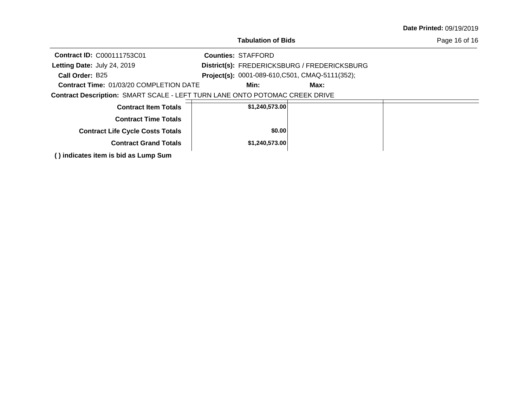| Date Printed: 09/19/2019 |  |
|--------------------------|--|
|--------------------------|--|

Page 16 of 16

**Call Order: Letting Date:** July 24, 2019 **District(s): FREDERICKSBURG** / FREDERICKSBURG **Contract ID:** C000111753C01 **Counties:** STAFFORD B25 **Project(s):** 0001-089-610,C501, CMAQ-5111(352);Letting Date: July 24, 2019

**Contract Time:** 01/03/20 COMPLETION DATE

**Min: Max:**

| <b>Contract Item Totals</b>             | \$1,240,573.00 |  |
|-----------------------------------------|----------------|--|
|                                         |                |  |
|                                         |                |  |
| <b>Contract Time Totals</b>             |                |  |
|                                         |                |  |
|                                         |                |  |
| <b>Contract Life Cycle Costs Totals</b> | \$0.00         |  |
|                                         |                |  |
|                                         |                |  |
| <b>Contract Grand Totals</b>            | \$1,240,573.00 |  |
|                                         |                |  |
|                                         |                |  |
| () indicates item is bid as Lump Sum    |                |  |
|                                         |                |  |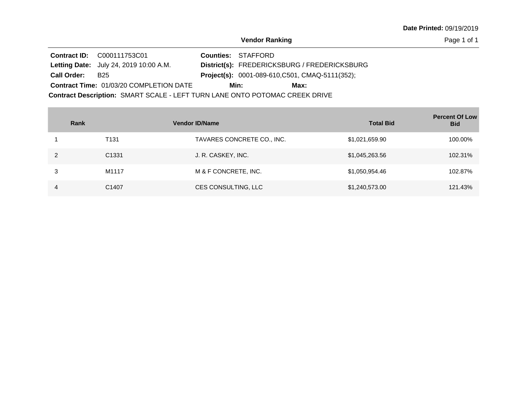Page 1 of 1

|                                                                             | <b>Contract ID: C000111753C01</b>              |  | <b>Counties: STAFFORD</b> |                                                        |  |
|-----------------------------------------------------------------------------|------------------------------------------------|--|---------------------------|--------------------------------------------------------|--|
|                                                                             | Letting Date: July 24, 2019 10:00 A.M.         |  |                           | District(s): FREDERICKSBURG / FREDERICKSBURG           |  |
| <b>Call Order:</b>                                                          | B <sub>25</sub>                                |  |                           | <b>Project(s):</b> 0001-089-610, C501, CMAQ-5111(352); |  |
|                                                                             | <b>Contract Time: 01/03/20 COMPLETION DATE</b> |  | Min:                      | Max:                                                   |  |
| Contract Description: SMART SCALE - LEFT TURN LANE ONTO POTOMAC CREEK DRIVE |                                                |  |                           |                                                        |  |

| Rank |                   | <b>Vendor ID/Name</b>      | <b>Total Bid</b> | <b>Percent Of Low</b><br><b>Bid</b> |
|------|-------------------|----------------------------|------------------|-------------------------------------|
|      | T <sub>131</sub>  | TAVARES CONCRETE CO., INC. | \$1,021,659.90   | 100.00%                             |
| 2    | C <sub>1331</sub> | J. R. CASKEY, INC.         | \$1,045,263.56   | 102.31%                             |
| 3    | M1117             | M & F CONCRETE, INC.       | \$1,050,954.46   | 102.87%                             |
|      | C1407             | CES CONSULTING, LLC        | \$1,240,573.00   | 121.43%                             |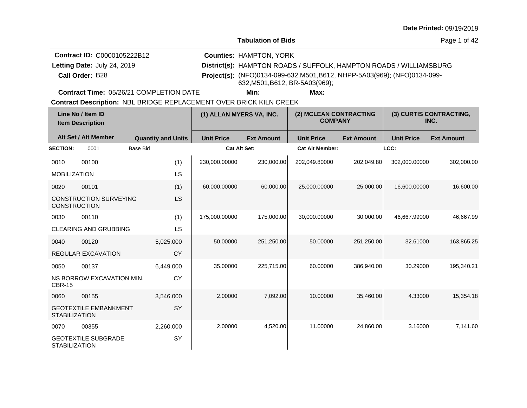**Tabulation of Bids**

Page 1 of 42

| <b>Contract ID: C0000105222B12</b> | <b>Counties: HAMPTON, YORK</b>                                                                              |
|------------------------------------|-------------------------------------------------------------------------------------------------------------|
| Letting Date: July 24, 2019        | District(s): HAMPTON ROADS / SUFFOLK, HAMPTON ROADS / WILLIAMSBURG                                          |
| Call Order: B28                    | Project(s): (NFO)0134-099-632, M501, B612, NHPP-5A03(969); (NFO)0134-099-<br>632, M501, B612, BR-5A03(969); |

**Contract Time:** 05/26/21 COMPLETION DATE

**Min: Max:**

| Line No / Item ID<br><b>Item Description</b> |                               | (1) ALLAN MYERS VA, INC.  |                     | (2) MCLEAN CONTRACTING<br><b>COMPANY</b> |                        | (3) CURTIS CONTRACTING,<br>INC. |                   |                   |
|----------------------------------------------|-------------------------------|---------------------------|---------------------|------------------------------------------|------------------------|---------------------------------|-------------------|-------------------|
|                                              | Alt Set / Alt Member          | <b>Quantity and Units</b> | <b>Unit Price</b>   | <b>Ext Amount</b>                        | <b>Unit Price</b>      | <b>Ext Amount</b>               | <b>Unit Price</b> | <b>Ext Amount</b> |
| <b>SECTION:</b>                              | 0001                          | <b>Base Bid</b>           | <b>Cat Alt Set:</b> |                                          | <b>Cat Alt Member:</b> |                                 | LCC:              |                   |
| 0010                                         | 00100                         | (1)                       | 230,000.00000       | 230,000.00                               | 202,049.80000          | 202,049.80                      | 302,000.00000     | 302,000.00        |
| <b>MOBILIZATION</b>                          |                               | LS                        |                     |                                          |                        |                                 |                   |                   |
| 0020                                         | 00101                         | (1)                       | 60,000.00000        | 60.000.00                                | 25,000.00000           | 25,000.00                       | 16,600.00000      | 16,600.00         |
| <b>CONSTRUCTION</b>                          | <b>CONSTRUCTION SURVEYING</b> | LS                        |                     |                                          |                        |                                 |                   |                   |
| 0030                                         | 00110                         | (1)                       | 175,000.00000       | 175,000.00                               | 30,000.00000           | 30,000.00                       | 46,667.99000      | 46,667.99         |
|                                              | <b>CLEARING AND GRUBBING</b>  | LS                        |                     |                                          |                        |                                 |                   |                   |
| 0040                                         | 00120                         | 5,025.000                 | 50.00000            | 251,250.00                               | 50.00000               | 251,250.00                      | 32.61000          | 163,865.25        |
|                                              | <b>REGULAR EXCAVATION</b>     | CY                        |                     |                                          |                        |                                 |                   |                   |
| 0050                                         | 00137                         | 6,449.000                 | 35.00000            | 225,715.00                               | 60.00000               | 386,940.00                      | 30.29000          | 195,340.21        |
| <b>CBR-15</b>                                | NS BORROW EXCAVATION MIN.     | <b>CY</b>                 |                     |                                          |                        |                                 |                   |                   |
| 0060                                         | 00155                         | 3.546.000                 | 2.00000             | 7,092.00                                 | 10.00000               | 35,460.00                       | 4.33000           | 15,354.18         |
| <b>STABILIZATION</b>                         | <b>GEOTEXTILE EMBANKMENT</b>  | SY                        |                     |                                          |                        |                                 |                   |                   |
| 0070                                         | 00355                         | 2,260.000                 | 2.00000             | 4,520.00                                 | 11.00000               | 24,860.00                       | 3.16000           | 7,141.60          |
| <b>STABILIZATION</b>                         | <b>GEOTEXTILE SUBGRADE</b>    | SY                        |                     |                                          |                        |                                 |                   |                   |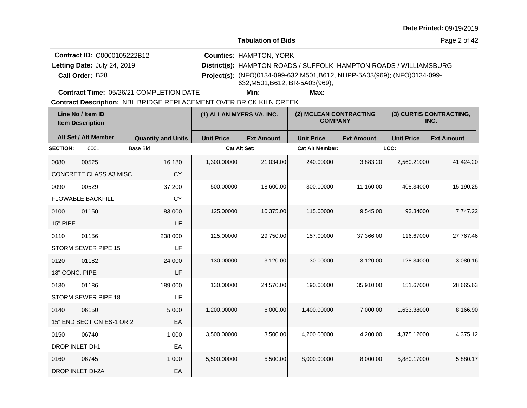Page 2 of 42

| <b>Contract ID: C0000105222B12</b> | <b>Counties: HAMPTON, YORK</b>                                                                              |
|------------------------------------|-------------------------------------------------------------------------------------------------------------|
| Letting Date: July 24, 2019        | District(s): HAMPTON ROADS / SUFFOLK, HAMPTON ROADS / WILLIAMSBURG                                          |
| Call Order: B28                    | Project(s): (NFO)0134-099-632, M501, B612, NHPP-5A03(969); (NFO)0134-099-<br>632, M501, B612, BR-5A03(969); |

**Contract Time:** 05/26/21 COMPLETION DATE

**Min: Max:**

| Line No / Item ID<br><b>Item Description</b> |                           | (1) ALLAN MYERS VA, INC.  |                   | (2) MCLEAN CONTRACTING<br><b>COMPANY</b> |                        | (3) CURTIS CONTRACTING,<br>INC. |                   |                   |
|----------------------------------------------|---------------------------|---------------------------|-------------------|------------------------------------------|------------------------|---------------------------------|-------------------|-------------------|
|                                              | Alt Set / Alt Member      | <b>Quantity and Units</b> | <b>Unit Price</b> | <b>Ext Amount</b>                        | <b>Unit Price</b>      | <b>Ext Amount</b>               | <b>Unit Price</b> | <b>Ext Amount</b> |
| <b>SECTION:</b>                              | 0001                      | <b>Base Bid</b>           | Cat Alt Set:      |                                          | <b>Cat Alt Member:</b> |                                 | LCC:              |                   |
| 0080                                         | 00525                     | 16.180                    | 1,300.00000       | 21,034.00                                | 240.00000              | 3,883.20                        | 2,560.21000       | 41,424.20         |
|                                              | CONCRETE CLASS A3 MISC.   | <b>CY</b>                 |                   |                                          |                        |                                 |                   |                   |
| 0090                                         | 00529                     | 37.200                    | 500.00000         | 18,600.00                                | 300.00000              | 11,160.00                       | 408.34000         | 15,190.25         |
|                                              | <b>FLOWABLE BACKFILL</b>  | <b>CY</b>                 |                   |                                          |                        |                                 |                   |                   |
| 0100                                         | 01150                     | 83.000                    | 125.00000         | 10,375.00                                | 115,00000              | 9,545.00                        | 93.34000          | 7,747.22          |
| 15" PIPE                                     |                           | LF                        |                   |                                          |                        |                                 |                   |                   |
| 0110                                         | 01156                     | 238.000                   | 125.00000         | 29,750.00                                | 157.00000              | 37,366.00                       | 116.67000         | 27,767.46         |
|                                              | STORM SEWER PIPE 15"      | LF                        |                   |                                          |                        |                                 |                   |                   |
| 0120                                         | 01182                     | 24.000                    | 130.00000         | 3,120.00                                 | 130.00000              | 3,120.00                        | 128.34000         | 3,080.16          |
| 18" CONC. PIPE                               |                           | LF                        |                   |                                          |                        |                                 |                   |                   |
| 0130                                         | 01186                     | 189.000                   | 130.00000         | 24,570.00                                | 190.00000              | 35,910.00                       | 151.67000         | 28,665.63         |
|                                              | STORM SEWER PIPE 18"      | LF                        |                   |                                          |                        |                                 |                   |                   |
| 0140                                         | 06150                     | 5.000                     | 1,200.00000       | 6,000.00                                 | 1,400.00000            | 7,000.00                        | 1,633.38000       | 8,166.90          |
|                                              | 15" END SECTION ES-1 OR 2 | EA                        |                   |                                          |                        |                                 |                   |                   |
| 0150                                         | 06740                     | 1.000                     | 3,500.00000       | 3,500.00                                 | 4,200.00000            | 4,200.00                        | 4,375.12000       | 4,375.12          |
| DROP INLET DI-1                              |                           | EA                        |                   |                                          |                        |                                 |                   |                   |
| 0160                                         | 06745                     | 1.000                     | 5,500.00000       | 5,500.00                                 | 8,000.00000            | 8,000.00                        | 5,880.17000       | 5,880.17          |
|                                              | DROP INLET DI-2A          | EA                        |                   |                                          |                        |                                 |                   |                   |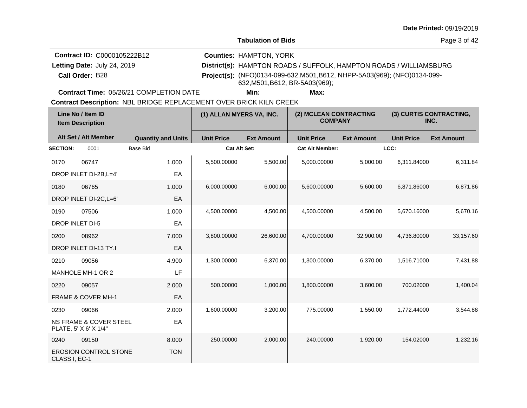Page 3 of 42

| <b>Contract ID: C0000105222B12</b> | <b>Counties: HAMPTON, YORK</b>                                                                              |
|------------------------------------|-------------------------------------------------------------------------------------------------------------|
| Letting Date: July 24, 2019        | District(s): HAMPTON ROADS / SUFFOLK, HAMPTON ROADS / WILLIAMSBURG                                          |
| Call Order: B28                    | Project(s): (NFO)0134-099-632, M501, B612, NHPP-5A03(969); (NFO)0134-099-<br>632, M501, B612, BR-5A03(969); |

**Contract Time:** 05/26/21 COMPLETION DATE

**Min: Max:**

| Line No / Item ID<br><b>Item Description</b> |                                                            | (1) ALLAN MYERS VA, INC.  |                     | (2) MCLEAN CONTRACTING<br><b>COMPANY</b> |                        | (3) CURTIS CONTRACTING,<br>INC. |                   |                   |
|----------------------------------------------|------------------------------------------------------------|---------------------------|---------------------|------------------------------------------|------------------------|---------------------------------|-------------------|-------------------|
|                                              | Alt Set / Alt Member                                       | <b>Quantity and Units</b> | <b>Unit Price</b>   | <b>Ext Amount</b>                        | <b>Unit Price</b>      | <b>Ext Amount</b>               | <b>Unit Price</b> | <b>Ext Amount</b> |
| <b>SECTION:</b>                              | 0001                                                       | <b>Base Bid</b>           | <b>Cat Alt Set:</b> |                                          | <b>Cat Alt Member:</b> |                                 | LCC:              |                   |
| 0170                                         | 06747                                                      | 1.000                     | 5,500.00000         | 5,500.00                                 | 5,000.00000            | 5,000.00                        | 6,311.84000       | 6,311.84          |
|                                              | DROP INLET DI-2B, L=4'                                     | EA                        |                     |                                          |                        |                                 |                   |                   |
| 0180                                         | 06765                                                      | 1.000                     | 6,000.00000         | 6,000.00                                 | 5,600.00000            | 5,600.00                        | 6,871.86000       | 6,871.86          |
|                                              | DROP INLET DI-2C, L=6'                                     | EA                        |                     |                                          |                        |                                 |                   |                   |
| 0190                                         | 07506                                                      | 1.000                     | 4,500.00000         | 4,500.00                                 | 4,500.00000            | 4,500.00                        | 5,670.16000       | 5,670.16          |
| <b>DROP INLET DI-5</b>                       |                                                            | EA                        |                     |                                          |                        |                                 |                   |                   |
| 0200                                         | 08962                                                      | 7.000                     | 3,800.00000         | 26,600.00                                | 4,700.00000            | 32,900.00                       | 4,736.80000       | 33,157.60         |
|                                              | DROP INLET DI-13 TY.I                                      | EA                        |                     |                                          |                        |                                 |                   |                   |
| 0210                                         | 09056                                                      | 4.900                     | 1,300.00000         | 6,370.00                                 | 1,300.00000            | 6,370.00                        | 1,516.71000       | 7,431.88          |
|                                              | MANHOLE MH-1 OR 2                                          | LF                        |                     |                                          |                        |                                 |                   |                   |
| 0220                                         | 09057                                                      | 2.000                     | 500.00000           | 1,000.00                                 | 1,800.00000            | 3,600.00                        | 700.02000         | 1,400.04          |
|                                              | <b>FRAME &amp; COVER MH-1</b>                              | EA                        |                     |                                          |                        |                                 |                   |                   |
| 0230                                         | 09066                                                      | 2.000                     | 1,600.00000         | 3,200.00                                 | 775.00000              | 1,550.00                        | 1,772.44000       | 3,544.88          |
|                                              | <b>NS FRAME &amp; COVER STEEL</b><br>PLATE, 5' X 6' X 1/4" | EA                        |                     |                                          |                        |                                 |                   |                   |
| 0240                                         | 09150                                                      | 8.000                     | 250.00000           | 2,000.00                                 | 240.00000              | 1,920.00                        | 154.02000         | 1,232.16          |
| CLASS I, EC-1                                | <b>EROSION CONTROL STONE</b>                               | <b>TON</b>                |                     |                                          |                        |                                 |                   |                   |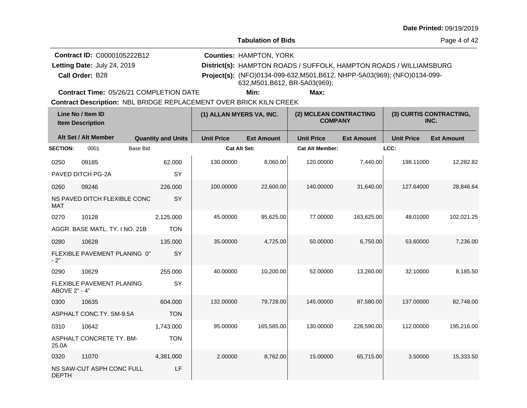**Tabulation of Bids**

Page 4 of 42

| <b>Contract ID: C0000105222B12</b> | <b>Counties: HAMPTON, YORK</b>                                                                              |
|------------------------------------|-------------------------------------------------------------------------------------------------------------|
| Letting Date: July 24, 2019        | District(s): HAMPTON ROADS / SUFFOLK, HAMPTON ROADS / WILLIAMSBURG                                          |
| Call Order: B28                    | Project(s): (NFO)0134-099-632, M501, B612, NHPP-5A03(969); (NFO)0134-099-<br>632, M501, B612, BR-5A03(969); |

**Contract Time:** 05/26/21 COMPLETION DATE

**Min: Max:**

| Line No / Item ID<br><b>Item Description</b> |                                | (1) ALLAN MYERS VA, INC.  |                     | (2) MCLEAN CONTRACTING<br><b>COMPANY</b> |                        | (3) CURTIS CONTRACTING,<br>INC. |                   |                   |
|----------------------------------------------|--------------------------------|---------------------------|---------------------|------------------------------------------|------------------------|---------------------------------|-------------------|-------------------|
|                                              | Alt Set / Alt Member           | <b>Quantity and Units</b> | <b>Unit Price</b>   | <b>Ext Amount</b>                        | <b>Unit Price</b>      | <b>Ext Amount</b>               | <b>Unit Price</b> | <b>Ext Amount</b> |
| <b>SECTION:</b>                              | 0001<br><b>Base Bid</b>        |                           | <b>Cat Alt Set:</b> |                                          | <b>Cat Alt Member:</b> |                                 | LCC:              |                   |
| 0250                                         | 09185                          | 62.000                    | 130.00000           | 8,060.00                                 | 120.00000              | 7,440.00                        | 198.11000         | 12,282.82         |
|                                              | PAVED DITCH PG-2A              | SY                        |                     |                                          |                        |                                 |                   |                   |
| 0260                                         | 09246                          | 226.000                   | 100.00000           | 22,600.00                                | 140.00000              | 31,640.00                       | 127.64000         | 28,846.64         |
| <b>MAT</b>                                   | NS PAVED DITCH FLEXIBLE CONC   | SY                        |                     |                                          |                        |                                 |                   |                   |
| 0270                                         | 10128                          | 2,125.000                 | 45.00000            | 95,625.00                                | 77.00000               | 163,625.00                      | 48.01000          | 102,021.25        |
|                                              | AGGR. BASE MATL. TY. I NO. 21B | <b>TON</b>                |                     |                                          |                        |                                 |                   |                   |
| 0280                                         | 10628                          | 135.000                   | 35.00000            | 4,725.00                                 | 50.00000               | 6,750.00                        | 53.60000          | 7,236.00          |
| $-2"$                                        | FLEXIBLE PAVEMENT PLANING 0"   | SY                        |                     |                                          |                        |                                 |                   |                   |
| 0290                                         | 10629                          | 255.000                   | 40.00000            | 10.200.00                                | 52.00000               | 13,260.00                       | 32.10000          | 8,185.50          |
| ABOVE 2" - 4"                                | FLEXIBLE PAVEMENT PLANING      | SY                        |                     |                                          |                        |                                 |                   |                   |
| 0300                                         | 10635                          | 604.000                   | 132.00000           | 79,728.00                                | 145.00000              | 87,580.00                       | 137.00000         | 82,748.00         |
|                                              | ASPHALT CONC.TY. SM-9.5A       | <b>TON</b>                |                     |                                          |                        |                                 |                   |                   |
| 0310                                         | 10642                          | 1,743.000                 | 95.00000            | 165,585.00                               | 130.00000              | 226,590.00                      | 112.00000         | 195,216.00        |
| 25.0A                                        | ASPHALT CONCRETE TY. BM-       | <b>TON</b>                |                     |                                          |                        |                                 |                   |                   |
| 0320                                         | 11070                          | 4,381.000                 | 2.00000             | 8,762.00                                 | 15.00000               | 65,715.00                       | 3.50000           | 15,333.50         |
| <b>DEPTH</b>                                 | NS SAW-CUT ASPH CONC FULL      | LF                        |                     |                                          |                        |                                 |                   |                   |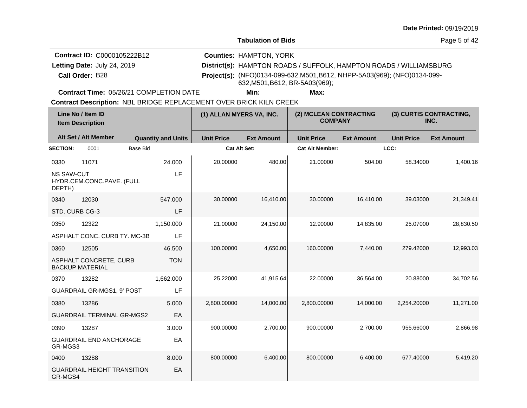Page 5 of 42

| <b>Contract ID: C0000105222B12</b> | <b>Counties: HAMPTON, YORK</b>                                                                              |
|------------------------------------|-------------------------------------------------------------------------------------------------------------|
| Letting Date: July 24, 2019        | District(s): HAMPTON ROADS / SUFFOLK, HAMPTON ROADS / WILLIAMSBURG                                          |
| Call Order: B28                    | Project(s): (NFO)0134-099-632, M501, B612, NHPP-5A03(969); (NFO)0134-099-<br>632, M501, B612, BR-5A03(969); |

**Contract Time:** 05/26/21 COMPLETION DATE

**Min: Max:**

| Line No / Item ID<br><b>Item Description</b> |                                                  | (1) ALLAN MYERS VA, INC.  |                     | (2) MCLEAN CONTRACTING<br><b>COMPANY</b> |                        | (3) CURTIS CONTRACTING,<br>INC. |                   |                   |
|----------------------------------------------|--------------------------------------------------|---------------------------|---------------------|------------------------------------------|------------------------|---------------------------------|-------------------|-------------------|
|                                              | Alt Set / Alt Member                             | <b>Quantity and Units</b> | <b>Unit Price</b>   | <b>Ext Amount</b>                        | <b>Unit Price</b>      | <b>Ext Amount</b>               | <b>Unit Price</b> | <b>Ext Amount</b> |
| <b>SECTION:</b>                              | <b>Base Bid</b><br>0001                          |                           | <b>Cat Alt Set:</b> |                                          | <b>Cat Alt Member:</b> |                                 | LCC:              |                   |
| 0330                                         | 11071                                            | 24.000                    | 20.00000            | 480.00                                   | 21.00000               | 504.00                          | 58.34000          | 1,400.16          |
| <b>NS SAW-CUT</b><br>DEPTH)                  | HYDR.CEM.CONC.PAVE. (FULL                        | LF                        |                     |                                          |                        |                                 |                   |                   |
| 0340                                         | 12030                                            | 547.000                   | 30.00000            | 16,410.00                                | 30.00000               | 16,410.00                       | 39.03000          | 21,349.41         |
| STD. CURB CG-3                               |                                                  | LF                        |                     |                                          |                        |                                 |                   |                   |
| 0350                                         | 12322                                            | 1,150.000                 | 21.00000            | 24,150.00                                | 12.90000               | 14,835.00                       | 25.07000          | 28,830.50         |
|                                              | ASPHALT CONC. CURB TY. MC-3B                     | LF                        |                     |                                          |                        |                                 |                   |                   |
| 0360                                         | 12505                                            | 46.500                    | 100.00000           | 4,650.00                                 | 160.00000              | 7,440.00                        | 279.42000         | 12,993.03         |
|                                              | ASPHALT CONCRETE, CURB<br><b>BACKUP MATERIAL</b> | <b>TON</b>                |                     |                                          |                        |                                 |                   |                   |
| 0370                                         | 13282                                            | 1,662.000                 | 25.22000            | 41,915.64                                | 22.00000               | 36,564.00                       | 20.88000          | 34,702.56         |
|                                              | <b>GUARDRAIL GR-MGS1, 9' POST</b>                | LF                        |                     |                                          |                        |                                 |                   |                   |
| 0380                                         | 13286                                            | 5.000                     | 2,800.00000         | 14,000.00                                | 2,800.00000            | 14,000.00                       | 2,254.20000       | 11,271.00         |
|                                              | <b>GUARDRAIL TERMINAL GR-MGS2</b>                | EA                        |                     |                                          |                        |                                 |                   |                   |
| 0390                                         | 13287                                            | 3.000                     | 900.00000           | 2,700.00                                 | 900.00000              | 2,700.00                        | 955.66000         | 2,866.98          |
| GR-MGS3                                      | <b>GUARDRAIL END ANCHORAGE</b>                   | EA                        |                     |                                          |                        |                                 |                   |                   |
| 0400                                         | 13288                                            | 8.000                     | 800.00000           | 6,400.00                                 | 800.00000              | 6,400.00                        | 677.40000         | 5,419.20          |
| GR-MGS4                                      | <b>GUARDRAIL HEIGHT TRANSITION</b>               | EA                        |                     |                                          |                        |                                 |                   |                   |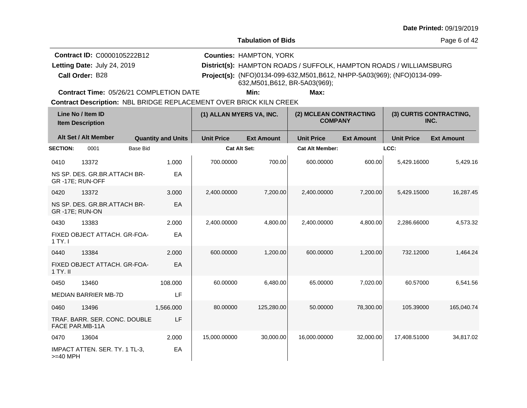Page 6 of 42

| <b>Contract ID: C0000105222B12</b> | <b>Counties: HAMPTON, YORK</b>                                                                              |
|------------------------------------|-------------------------------------------------------------------------------------------------------------|
| Letting Date: July 24, 2019        | District(s): HAMPTON ROADS / SUFFOLK, HAMPTON ROADS / WILLIAMSBURG                                          |
| Call Order: B28                    | Project(s): (NFO)0134-099-632, M501, B612, NHPP-5A03(969); (NFO)0134-099-<br>632, M501, B612, BR-5A03(969); |

**Contract Time:** 05/26/21 COMPLETION DATE

**Min: Max:**

|                       | Line No / Item ID<br><b>Item Description</b>            |                           | (1) ALLAN MYERS VA, INC. |                   | (2) MCLEAN CONTRACTING<br><b>COMPANY</b> |                   |                   | (3) CURTIS CONTRACTING,<br>INC. |
|-----------------------|---------------------------------------------------------|---------------------------|--------------------------|-------------------|------------------------------------------|-------------------|-------------------|---------------------------------|
|                       | Alt Set / Alt Member                                    | <b>Quantity and Units</b> | <b>Unit Price</b>        | <b>Ext Amount</b> | <b>Unit Price</b>                        | <b>Ext Amount</b> | <b>Unit Price</b> | <b>Ext Amount</b>               |
| <b>SECTION:</b>       | <b>Base Bid</b><br>0001                                 |                           | <b>Cat Alt Set:</b>      |                   | <b>Cat Alt Member:</b>                   |                   | LCC:              |                                 |
| 0410                  | 13372                                                   | 1.000                     | 700.00000                | 700.00            | 600.00000                                | 600.00            | 5,429.16000       | 5,429.16                        |
|                       | NS SP. DES. GR.BR.ATTACH BR-<br>GR-17E; RUN-OFF         | EA                        |                          |                   |                                          |                   |                   |                                 |
| 0420                  | 13372                                                   | 3.000                     | 2,400.00000              | 7,200.00          | 2,400.00000                              | 7,200.00          | 5,429.15000       | 16,287.45                       |
| <b>GR-17E; RUN-ON</b> | NS SP. DES. GR.BR.ATTACH BR-                            | EA                        |                          |                   |                                          |                   |                   |                                 |
| 0430                  | 13383                                                   | 2.000                     | 2,400.00000              | 4,800.00          | 2,400.00000                              | 4,800.00          | 2,286.66000       | 4,573.32                        |
| 1 TY. I               | FIXED OBJECT ATTACH, GR-FOA-                            | EA                        |                          |                   |                                          |                   |                   |                                 |
| 0440                  | 13384                                                   | 2.000                     | 600.00000                | 1,200.00          | 600.00000                                | 1,200.00          | 732.12000         | 1,464.24                        |
| $1$ TY. II            | FIXED OBJECT ATTACH, GR-FOA-                            | EA                        |                          |                   |                                          |                   |                   |                                 |
| 0450                  | 13460                                                   | 108.000                   | 60.00000                 | 6,480.00          | 65.00000                                 | 7,020.00          | 60.57000          | 6,541.56                        |
|                       | <b>MEDIAN BARRIER MB-7D</b>                             | LF                        |                          |                   |                                          |                   |                   |                                 |
| 0460                  | 13496                                                   | 1,566.000                 | 80.00000                 | 125,280.00        | 50.00000                                 | 78,300.00         | 105.39000         | 165,040.74                      |
|                       | TRAF. BARR. SER. CONC. DOUBLE<br><b>FACE PAR.MB-11A</b> | LF                        |                          |                   |                                          |                   |                   |                                 |
| 0470                  | 13604                                                   | 2.000                     | 15,000.00000             | 30,000.00         | 16,000.00000                             | 32,000.00         | 17,408.51000      | 34,817.02                       |
| $>=$ 40 MPH           | IMPACT ATTEN. SER. TY. 1 TL-3,                          | EA                        |                          |                   |                                          |                   |                   |                                 |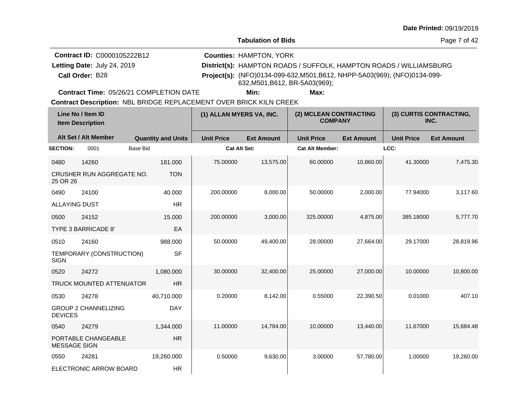Page 7 of 42

| <b>Contract ID: C0000105222B12</b> | <b>Counties: HAMPTON, YORK</b>                                                                              |
|------------------------------------|-------------------------------------------------------------------------------------------------------------|
| Letting Date: July 24, 2019        | District(s): HAMPTON ROADS / SUFFOLK, HAMPTON ROADS / WILLIAMSBURG                                          |
| Call Order: B28                    | Project(s): (NFO)0134-099-632, M501, B612, NHPP-5A03(969); (NFO)0134-099-<br>632, M501, B612, BR-5A03(969); |

**Contract Time:** 05/26/21 COMPLETION DATE

**Min: Max:**

| Line No / Item ID<br><b>Item Description</b> |                                 | (1) ALLAN MYERS VA, INC.  |                     | (2) MCLEAN CONTRACTING<br><b>COMPANY</b> |                        | (3) CURTIS CONTRACTING,<br>INC. |                   |                   |
|----------------------------------------------|---------------------------------|---------------------------|---------------------|------------------------------------------|------------------------|---------------------------------|-------------------|-------------------|
|                                              | Alt Set / Alt Member            | <b>Quantity and Units</b> | <b>Unit Price</b>   | <b>Ext Amount</b>                        | <b>Unit Price</b>      | <b>Ext Amount</b>               | <b>Unit Price</b> | <b>Ext Amount</b> |
| <b>SECTION:</b>                              | 0001<br><b>Base Bid</b>         |                           | <b>Cat Alt Set:</b> |                                          | <b>Cat Alt Member:</b> |                                 | LCC:              |                   |
| 0480                                         | 14260                           | 181.000                   | 75.00000            | 13,575.00                                | 60.00000               | 10,860.00                       | 41.30000          | 7,475.30          |
| 25 OR 26                                     | CRUSHER RUN AGGREGATE NO.       | <b>TON</b>                |                     |                                          |                        |                                 |                   |                   |
| 0490                                         | 24100                           | 40.000                    | 200.00000           | 8,000.00                                 | 50.00000               | 2,000.00                        | 77.94000          | 3,117.60          |
| <b>ALLAYING DUST</b>                         |                                 | <b>HR</b>                 |                     |                                          |                        |                                 |                   |                   |
| 0500                                         | 24152                           | 15,000                    | 200.00000           | 3,000.00                                 | 325.00000              | 4,875.00                        | 385.18000         | 5,777.70          |
|                                              | <b>TYPE 3 BARRICADE 8'</b>      | EA                        |                     |                                          |                        |                                 |                   |                   |
| 0510                                         | 24160                           | 988.000                   | 50.00000            | 49,400.00                                | 28.00000               | 27,664.00                       | 29.17000          | 28,819.96         |
| <b>SIGN</b>                                  | TEMPORARY (CONSTRUCTION)        | <b>SF</b>                 |                     |                                          |                        |                                 |                   |                   |
| 0520                                         | 24272                           | 1,080.000                 | 30.00000            | 32,400.00                                | 25.00000               | 27,000.00                       | 10.00000          | 10.800.00         |
|                                              | <b>TRUCK MOUNTED ATTENUATOR</b> | <b>HR</b>                 |                     |                                          |                        |                                 |                   |                   |
| 0530                                         | 24278                           | 40,710.000                | 0.20000             | 8,142.00                                 | 0.55000                | 22,390.50                       | 0.01000           | 407.10            |
| <b>DEVICES</b>                               | <b>GROUP 2 CHANNELIZING</b>     | <b>DAY</b>                |                     |                                          |                        |                                 |                   |                   |
| 0540                                         | 24279                           | 1.344.000                 | 11.00000            | 14,784.00                                | 10.00000               | 13,440.00                       | 11.67000          | 15,684.48         |
| <b>MESSAGE SIGN</b>                          | PORTABLE CHANGEABLE             | <b>HR</b>                 |                     |                                          |                        |                                 |                   |                   |
| 0550                                         | 24281                           | 19,260.000                | 0.50000             | 9,630.00                                 | 3.00000                | 57,780.00                       | 1.00000           | 19,260.00         |
|                                              | ELECTRONIC ARROW BOARD          | <b>HR</b>                 |                     |                                          |                        |                                 |                   |                   |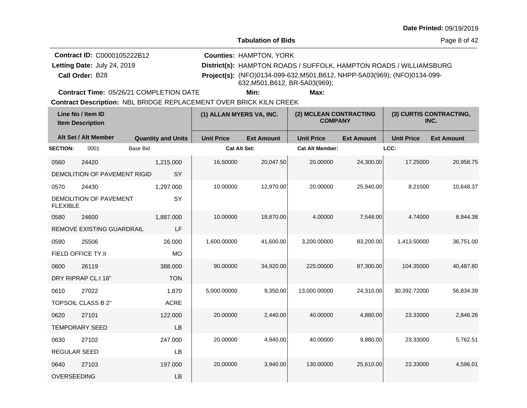Page 8 of 42

| <b>Contract ID: C0000105222B12</b> | <b>Counties: HAMPTON, YORK</b>                                                                              |
|------------------------------------|-------------------------------------------------------------------------------------------------------------|
| Letting Date: July 24, 2019        | District(s): HAMPTON ROADS / SUFFOLK, HAMPTON ROADS / WILLIAMSBURG                                          |
| Call Order: B28                    | Project(s): (NFO)0134-099-632, M501, B612, NHPP-5A03(969); (NFO)0134-099-<br>632, M501, B612, BR-5A03(969); |

**Contract Time:** 05/26/21 COMPLETION DATE

**Min: Max:**

| Line No / Item ID<br><b>Item Description</b> |                                  | (1) ALLAN MYERS VA, INC.  |                     | (2) MCLEAN CONTRACTING<br><b>COMPANY</b> |                        | (3) CURTIS CONTRACTING,<br>INC. |                   |                   |
|----------------------------------------------|----------------------------------|---------------------------|---------------------|------------------------------------------|------------------------|---------------------------------|-------------------|-------------------|
|                                              | Alt Set / Alt Member             | <b>Quantity and Units</b> | <b>Unit Price</b>   | <b>Ext Amount</b>                        | <b>Unit Price</b>      | <b>Ext Amount</b>               | <b>Unit Price</b> | <b>Ext Amount</b> |
| <b>SECTION:</b>                              | 0001                             | <b>Base Bid</b>           | <b>Cat Alt Set:</b> |                                          | <b>Cat Alt Member:</b> |                                 | LCC:              |                   |
| 0560                                         | 24420                            | 1,215.000                 | 16.50000            | 20,047.50                                | 20.00000               | 24,300.00                       | 17.25000          | 20,958.75         |
|                                              | DEMOLITION OF PAVEMENT RIGID     | <b>SY</b>                 |                     |                                          |                        |                                 |                   |                   |
| 0570                                         | 24430                            | 1,297.000                 | 10.00000            | 12,970.00                                | 20.00000               | 25,940.00                       | 8.21000           | 10,648.37         |
| <b>FLEXIBLE</b>                              | DEMOLITION OF PAVEMENT           | SY                        |                     |                                          |                        |                                 |                   |                   |
| 0580                                         | 24600                            | 1,887.000                 | 10.00000            | 18,870.00                                | 4.00000                | 7,548.00                        | 4.74000           | 8,944.38          |
|                                              | <b>REMOVE EXISTING GUARDRAIL</b> | LF                        |                     |                                          |                        |                                 |                   |                   |
| 0590                                         | 25506                            | 26.000                    | 1,600.00000         | 41,600.00                                | 3,200.00000            | 83,200.00                       | 1,413.50000       | 36,751.00         |
|                                              | FIELD OFFICE TY.II               | <b>MO</b>                 |                     |                                          |                        |                                 |                   |                   |
| 0600                                         | 26119                            | 388.000                   | 90.00000            | 34,920.00                                | 225.00000              | 87,300.00                       | 104.35000         | 40,487.80         |
|                                              | DRY RIPRAP CL.I 18"              | <b>TON</b>                |                     |                                          |                        |                                 |                   |                   |
| 0610                                         | 27022                            | 1.870                     | 5,000.00000         | 9,350.00                                 | 13.000.00000           | 24,310.00                       | 30,392.72000      | 56,834.39         |
|                                              | TOPSOIL CLASS B 2"               | <b>ACRE</b>               |                     |                                          |                        |                                 |                   |                   |
| 0620                                         | 27101                            | 122.000                   | 20.00000            | 2,440.00                                 | 40.00000               | 4,880.00                        | 23.33000          | 2,846.26          |
|                                              | <b>TEMPORARY SEED</b>            | LB                        |                     |                                          |                        |                                 |                   |                   |
| 0630                                         | 27102                            | 247.000                   | 20.00000            | 4,940.00                                 | 40.00000               | 9,880.00                        | 23.33000          | 5,762.51          |
| REGULAR SEED                                 |                                  | LB                        |                     |                                          |                        |                                 |                   |                   |
| 0640                                         | 27103                            | 197.000                   | 20.00000            | 3,940.00                                 | 130.00000              | 25.610.00                       | 23.33000          | 4,596.01          |
| OVERSEEDING                                  |                                  | LB                        |                     |                                          |                        |                                 |                   |                   |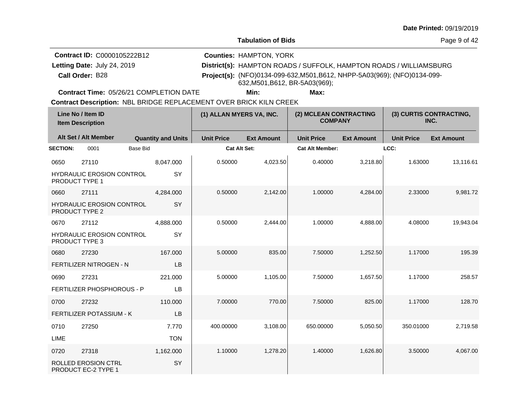**Tabulation of Bids**

Page 9 of 42

| <b>Contract ID: C0000105222B12</b> | <b>Counties: HAMPTON, YORK</b>                                                                              |
|------------------------------------|-------------------------------------------------------------------------------------------------------------|
| Letting Date: July 24, 2019        | District(s): HAMPTON ROADS / SUFFOLK, HAMPTON ROADS / WILLIAMSBURG                                          |
| Call Order: B28                    | Project(s): (NFO)0134-099-632, M501, B612, NHPP-5A03(969); (NFO)0134-099-<br>632, M501, B612, BR-5A03(969); |

**Contract Time:** 05/26/21 COMPLETION DATE

**Min: Max:**

|                 | Line No / Item ID<br><b>Item Description</b>       |                           | (1) ALLAN MYERS VA, INC. |                   | (2) MCLEAN CONTRACTING<br><b>COMPANY</b> |                   |                   | (3) CURTIS CONTRACTING,<br>INC. |
|-----------------|----------------------------------------------------|---------------------------|--------------------------|-------------------|------------------------------------------|-------------------|-------------------|---------------------------------|
|                 | Alt Set / Alt Member                               | <b>Quantity and Units</b> | <b>Unit Price</b>        | <b>Ext Amount</b> | <b>Unit Price</b>                        | <b>Ext Amount</b> | <b>Unit Price</b> | <b>Ext Amount</b>               |
| <b>SECTION:</b> | 0001                                               | Base Bid                  | <b>Cat Alt Set:</b>      |                   | <b>Cat Alt Member:</b>                   |                   | LCC:              |                                 |
| 0650            | 27110                                              | 8,047.000                 | 0.50000                  | 4,023.50          | 0.40000                                  | 3,218.80          | 1.63000           | 13,116.61                       |
| PRODUCT TYPE 1  | <b>HYDRAULIC EROSION CONTROL</b>                   | SY                        |                          |                   |                                          |                   |                   |                                 |
| 0660            | 27111                                              | 4,284.000                 | 0.50000                  | 2,142.00          | 1.00000                                  | 4,284.00          | 2.33000           | 9,981.72                        |
|                 | <b>HYDRAULIC EROSION CONTROL</b><br>PRODUCT TYPE 2 | SY                        |                          |                   |                                          |                   |                   |                                 |
| 0670            | 27112                                              | 4,888.000                 | 0.50000                  | 2,444.00          | 1.00000                                  | 4,888.00          | 4.08000           | 19,943.04                       |
|                 | <b>HYDRAULIC EROSION CONTROL</b><br>PRODUCT TYPE 3 | SY                        |                          |                   |                                          |                   |                   |                                 |
| 0680            | 27230                                              | 167.000                   | 5.00000                  | 835.00            | 7.50000                                  | 1,252.50          | 1.17000           | 195.39                          |
|                 | FERTILIZER NITROGEN - N                            | LB                        |                          |                   |                                          |                   |                   |                                 |
| 0690            | 27231                                              | 221.000                   | 5.00000                  | 1,105.00          | 7.50000                                  | 1,657.50          | 1.17000           | 258.57                          |
|                 | FERTILIZER PHOSPHOROUS - P                         | LB                        |                          |                   |                                          |                   |                   |                                 |
| 0700            | 27232                                              | 110.000                   | 7.00000                  | 770.00            | 7.50000                                  | 825.00            | 1.17000           | 128.70                          |
|                 | FERTILIZER POTASSIUM - K                           | LB                        |                          |                   |                                          |                   |                   |                                 |
| 0710            | 27250                                              | 7.770                     | 400.00000                | 3,108.00          | 650.00000                                | 5,050.50          | 350.01000         | 2,719.58                        |
| LIME            |                                                    | <b>TON</b>                |                          |                   |                                          |                   |                   |                                 |
| 0720            | 27318                                              | 1,162.000                 | 1.10000                  | 1,278.20          | 1.40000                                  | 1,626.80          | 3.50000           | 4,067.00                        |
|                 | ROLLED EROSION CTRL<br>PRODUCT EC-2 TYPE 1         | SY                        |                          |                   |                                          |                   |                   |                                 |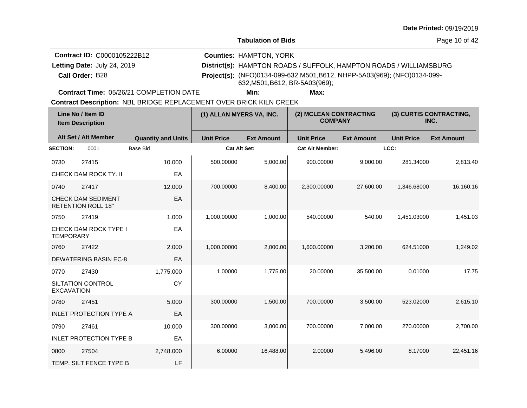**Tabulation of Bids**

Page 10 of 42

| <b>Contract ID: C0000105222B12</b> | <b>Counties: HAMPTON, YORK</b>                                                                              |
|------------------------------------|-------------------------------------------------------------------------------------------------------------|
| Letting Date: July 24, 2019        | District(s): HAMPTON ROADS / SUFFOLK, HAMPTON ROADS / WILLIAMSBURG                                          |
| <b>Call Order: B28</b>             | Project(s): (NFO)0134-099-632, M501, B612, NHPP-5A03(969); (NFO)0134-099-<br>632, M501, B612, BR-5A03(969); |

**Contract Time:** 05/26/21 COMPLETION DATE

**Min: Max:**

| Line No / Item ID<br><b>Item Description</b> |                                                        |                           | (2) MCLEAN CONTRACTING<br>(1) ALLAN MYERS VA, INC.<br><b>COMPANY</b> |                   | INC.                   |                   | (3) CURTIS CONTRACTING, |                   |
|----------------------------------------------|--------------------------------------------------------|---------------------------|----------------------------------------------------------------------|-------------------|------------------------|-------------------|-------------------------|-------------------|
|                                              | Alt Set / Alt Member                                   | <b>Quantity and Units</b> | <b>Unit Price</b>                                                    | <b>Ext Amount</b> | <b>Unit Price</b>      | <b>Ext Amount</b> | <b>Unit Price</b>       | <b>Ext Amount</b> |
| <b>SECTION:</b>                              | 0001                                                   | <b>Base Bid</b>           | <b>Cat Alt Set:</b>                                                  |                   | <b>Cat Alt Member:</b> |                   | LCC:                    |                   |
| 0730                                         | 27415                                                  | 10.000                    | 500.00000                                                            | 5,000.00          | 900.00000              | 9,000.00          | 281.34000               | 2,813.40          |
|                                              | CHECK DAM ROCK TY. II                                  | EA                        |                                                                      |                   |                        |                   |                         |                   |
| 0740                                         | 27417                                                  | 12.000                    | 700.00000                                                            | 8,400.00          | 2,300.00000            | 27,600.00         | 1,346.68000             | 16,160.16         |
|                                              | <b>CHECK DAM SEDIMENT</b><br><b>RETENTION ROLL 18"</b> | EA                        |                                                                      |                   |                        |                   |                         |                   |
| 0750                                         | 27419                                                  | 1.000                     | 1,000.00000                                                          | 1,000.00          | 540.00000              | 540.00            | 1,451.03000             | 1,451.03          |
| <b>TEMPORARY</b>                             | <b>CHECK DAM ROCK TYPE I</b>                           | EA                        |                                                                      |                   |                        |                   |                         |                   |
| 0760                                         | 27422                                                  | 2.000                     | 1,000.00000                                                          | 2,000.00          | 1,600.00000            | 3,200.00          | 624.51000               | 1,249.02          |
|                                              | <b>DEWATERING BASIN EC-8</b>                           | EA                        |                                                                      |                   |                        |                   |                         |                   |
| 0770                                         | 27430                                                  | 1,775.000                 | 1.00000                                                              | 1,775.00          | 20.00000               | 35,500.00         | 0.01000                 | 17.75             |
| <b>EXCAVATION</b>                            | <b>SILTATION CONTROL</b>                               | <b>CY</b>                 |                                                                      |                   |                        |                   |                         |                   |
| 0780                                         | 27451                                                  | 5.000                     | 300.00000                                                            | 1,500.00          | 700.00000              | 3,500.00          | 523.02000               | 2,615.10          |
|                                              | <b>INLET PROTECTION TYPE A</b>                         | EA                        |                                                                      |                   |                        |                   |                         |                   |
| 0790                                         | 27461                                                  | 10.000                    | 300.00000                                                            | 3,000.00          | 700.00000              | 7.000.00          | 270.00000               | 2,700.00          |
|                                              | <b>INLET PROTECTION TYPE B</b>                         | EA                        |                                                                      |                   |                        |                   |                         |                   |
| 0800                                         | 27504                                                  | 2,748.000                 | 6.00000                                                              | 16,488.00         | 2.00000                | 5,496.00          | 8.17000                 | 22,451.16         |
|                                              | TEMP. SILT FENCE TYPE B                                | LF                        |                                                                      |                   |                        |                   |                         |                   |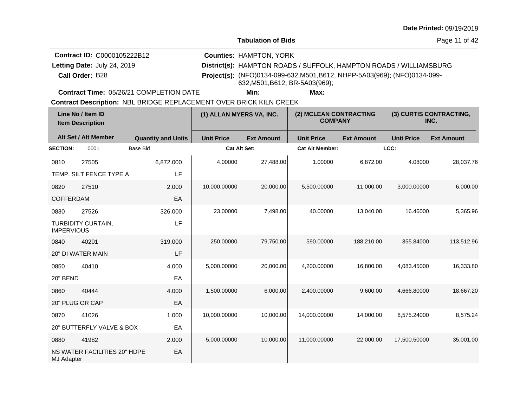**Tabulation of Bids**

Page 11 of 42

| <b>Contract ID: C0000105222B12</b> | <b>Counties: HAMPTON, YORK</b>                                                                              |
|------------------------------------|-------------------------------------------------------------------------------------------------------------|
| Letting Date: July 24, 2019        | District(s): HAMPTON ROADS / SUFFOLK, HAMPTON ROADS / WILLIAMSBURG                                          |
| Call Order: B28                    | Project(s): (NFO)0134-099-632, M501, B612, NHPP-5A03(969); (NFO)0134-099-<br>632, M501, B612, BR-5A03(969); |

**Contract Time:** 05/26/21 COMPLETION DATE

**Min: Max:**

| Line No / Item ID<br><b>Item Description</b> |                              |                           | (1) ALLAN MYERS VA, INC. |                   | (2) MCLEAN CONTRACTING<br><b>COMPANY</b> |                   | (3) CURTIS CONTRACTING,<br>INC. |                   |
|----------------------------------------------|------------------------------|---------------------------|--------------------------|-------------------|------------------------------------------|-------------------|---------------------------------|-------------------|
|                                              | Alt Set / Alt Member         | <b>Quantity and Units</b> | <b>Unit Price</b>        | <b>Ext Amount</b> | <b>Unit Price</b>                        | <b>Ext Amount</b> | <b>Unit Price</b>               | <b>Ext Amount</b> |
| <b>SECTION:</b>                              | 0001                         | <b>Base Bid</b>           | <b>Cat Alt Set:</b>      |                   | <b>Cat Alt Member:</b>                   |                   | LCC:                            |                   |
| 0810                                         | 27505                        | 6,872.000                 | 4.00000                  | 27,488.00         | 1.00000                                  | 6,872.00          | 4.08000                         | 28,037.76         |
|                                              | TEMP. SILT FENCE TYPE A      | LF                        |                          |                   |                                          |                   |                                 |                   |
| 0820                                         | 27510                        | 2.000                     | 10,000.00000             | 20,000.00         | 5,500.00000                              | 11,000.00         | 3,000.00000                     | 6,000.00          |
| <b>COFFERDAM</b>                             |                              | EA                        |                          |                   |                                          |                   |                                 |                   |
| 0830                                         | 27526                        | 326.000                   | 23.00000                 | 7,498.00          | 40.00000                                 | 13,040.00         | 16.46000                        | 5,365.96          |
| <b>IMPERVIOUS</b>                            | TURBIDITY CURTAIN,           | LF                        |                          |                   |                                          |                   |                                 |                   |
| 0840                                         | 40201                        | 319.000                   | 250.00000                | 79,750.00         | 590.00000                                | 188,210.00        | 355.84000                       | 113,512.96        |
|                                              | 20" DI WATER MAIN            | LF                        |                          |                   |                                          |                   |                                 |                   |
| 0850                                         | 40410                        | 4.000                     | 5,000.00000              | 20,000.00         | 4,200.00000                              | 16,800.00         | 4,083.45000                     | 16,333.80         |
| 20" BEND                                     |                              | EA                        |                          |                   |                                          |                   |                                 |                   |
| 0860                                         | 40444                        | 4.000                     | 1,500.00000              | 6,000.00          | 2,400.00000                              | 9,600.00          | 4,666.80000                     | 18,667.20         |
| 20" PLUG OR CAP                              |                              | EA                        |                          |                   |                                          |                   |                                 |                   |
| 0870                                         | 41026                        | 1.000                     | 10,000.00000             | 10,000.00         | 14,000.00000                             | 14,000.00         | 8,575.24000                     | 8,575.24          |
|                                              | 20" BUTTERFLY VALVE & BOX    | EA                        |                          |                   |                                          |                   |                                 |                   |
| 0880                                         | 41982                        | 2.000                     | 5,000.00000              | 10,000.00         | 11,000.00000                             | 22,000.00         | 17,500.50000                    | 35,001.00         |
| <b>MJ Adapter</b>                            | NS WATER FACILITIES 20" HDPE | EA                        |                          |                   |                                          |                   |                                 |                   |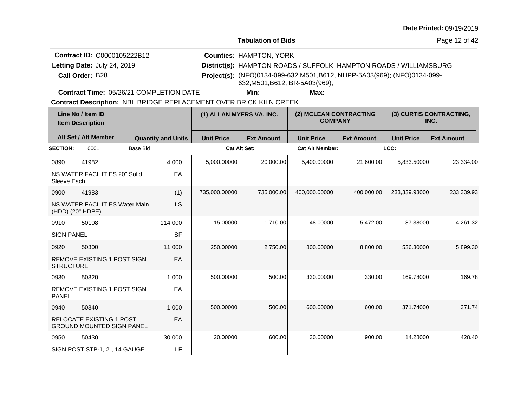**Tabulation of Bids**

Page 12 of 42

| <b>Contract ID: C0000105222B12</b> | <b>Counties: HAMPTON, YORK</b>                                                                              |
|------------------------------------|-------------------------------------------------------------------------------------------------------------|
| Letting Date: July 24, 2019        | District(s): HAMPTON ROADS / SUFFOLK, HAMPTON ROADS / WILLIAMSBURG                                          |
| Call Order: B28                    | Project(s): (NFO)0134-099-632, M501, B612, NHPP-5A03(969); (NFO)0134-099-<br>632, M501, B612, BR-5A03(969); |

**Contract Time:** 05/26/21 COMPLETION DATE

**Min: Max:**

| Line No / Item ID<br><b>Item Description</b> |                                                                     | (1) ALLAN MYERS VA, INC. |                           | (2) MCLEAN CONTRACTING<br><b>COMPANY</b> |                   | (3) CURTIS CONTRACTING,<br>INC. |                   |                   |                   |
|----------------------------------------------|---------------------------------------------------------------------|--------------------------|---------------------------|------------------------------------------|-------------------|---------------------------------|-------------------|-------------------|-------------------|
|                                              | Alt Set / Alt Member                                                |                          | <b>Quantity and Units</b> | <b>Unit Price</b>                        | <b>Ext Amount</b> | <b>Unit Price</b>               | <b>Ext Amount</b> | <b>Unit Price</b> | <b>Ext Amount</b> |
| <b>SECTION:</b>                              | 0001                                                                | <b>Base Bid</b>          |                           | <b>Cat Alt Set:</b>                      |                   | <b>Cat Alt Member:</b>          |                   | LCC:              |                   |
| 0890                                         | 41982                                                               |                          | 4.000                     | 5,000.00000                              | 20,000.00         | 5,400.00000                     | 21,600.00         | 5,833.50000       | 23,334.00         |
| Sleeve Each                                  | NS WATER FACILITIES 20" Solid                                       |                          | EA                        |                                          |                   |                                 |                   |                   |                   |
| 0900                                         | 41983                                                               |                          | (1)                       | 735,000.00000                            | 735.000.00        | 400,000.00000                   | 400,000.00        | 233,339.93000     | 233,339.93        |
| (HDD) (20" HDPE)                             | NS WATER FACILITIES Water Main                                      |                          | <b>LS</b>                 |                                          |                   |                                 |                   |                   |                   |
| 0910                                         | 50108                                                               |                          | 114.000                   | 15.00000                                 | 1,710.00          | 48.00000                        | 5,472.00          | 37.38000          | 4,261.32          |
| <b>SIGN PANEL</b>                            |                                                                     |                          | <b>SF</b>                 |                                          |                   |                                 |                   |                   |                   |
| 0920                                         | 50300                                                               |                          | 11.000                    | 250.00000                                | 2,750.00          | 800.00000                       | 8,800.00          | 536.30000         | 5,899.30          |
| <b>STRUCTURE</b>                             | REMOVE EXISTING 1 POST SIGN                                         |                          | EA                        |                                          |                   |                                 |                   |                   |                   |
| 0930                                         | 50320                                                               |                          | 1.000                     | 500.00000                                | 500.00            | 330.00000                       | 330.00            | 169.78000         | 169.78            |
| <b>PANEL</b>                                 | <b>REMOVE EXISTING 1 POST SIGN</b>                                  |                          | EA                        |                                          |                   |                                 |                   |                   |                   |
| 0940                                         | 50340                                                               |                          | 1.000                     | 500.00000                                | 500.00            | 600.00000                       | 600.00            | 371.74000         | 371.74            |
|                                              | <b>RELOCATE EXISTING 1 POST</b><br><b>GROUND MOUNTED SIGN PANEL</b> |                          | EA                        |                                          |                   |                                 |                   |                   |                   |
| 0950                                         | 50430                                                               |                          | 30,000                    | 20.00000                                 | 600.00            | 30.00000                        | 900.00            | 14.28000          | 428.40            |
|                                              | SIGN POST STP-1, 2", 14 GAUGE                                       |                          | LF                        |                                          |                   |                                 |                   |                   |                   |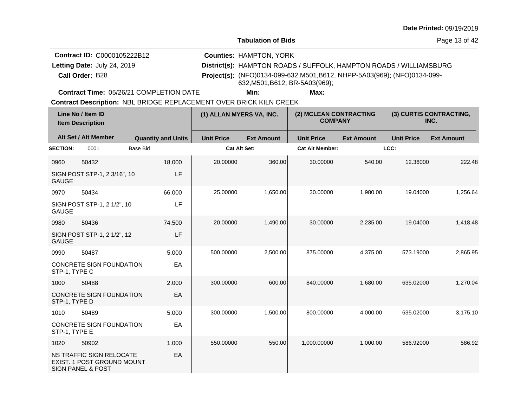**Tabulation of Bids**

Page 13 of 42

| <b>Contract ID: C0000105222B12</b> | <b>Counties: HAMPTON, YORK</b>                                                                              |
|------------------------------------|-------------------------------------------------------------------------------------------------------------|
| Letting Date: July 24, 2019        | District(s): HAMPTON ROADS / SUFFOLK, HAMPTON ROADS / WILLIAMSBURG                                          |
| Call Order: B28                    | Project(s): (NFO)0134-099-632, M501, B612, NHPP-5A03(969); (NFO)0134-099-<br>632, M501, B612, BR-5A03(969); |

**Contract Time:** 05/26/21 COMPLETION DATE

**Min: Max:**

| Line No / Item ID<br><b>Item Description</b> |                                                                                               | (1) ALLAN MYERS VA, INC.  | (2) MCLEAN CONTRACTING<br><b>COMPANY</b> |                   | (3) CURTIS CONTRACTING,<br>INC. |                   |                   |                   |
|----------------------------------------------|-----------------------------------------------------------------------------------------------|---------------------------|------------------------------------------|-------------------|---------------------------------|-------------------|-------------------|-------------------|
|                                              | Alt Set / Alt Member                                                                          | <b>Quantity and Units</b> | <b>Unit Price</b>                        | <b>Ext Amount</b> | <b>Unit Price</b>               | <b>Ext Amount</b> | <b>Unit Price</b> | <b>Ext Amount</b> |
| <b>SECTION:</b>                              | 0001                                                                                          | <b>Base Bid</b>           | <b>Cat Alt Set:</b>                      |                   | <b>Cat Alt Member:</b>          |                   | LCC:              |                   |
| 0960                                         | 50432                                                                                         | 18,000                    | 20.00000                                 | 360.00            | 30.00000                        | 540.00            | 12.36000          | 222.48            |
| <b>GAUGE</b>                                 | SIGN POST STP-1, 2 3/16", 10                                                                  | LF                        |                                          |                   |                                 |                   |                   |                   |
| 0970                                         | 50434                                                                                         | 66.000                    | 25.00000                                 | 1,650.00          | 30.00000                        | 1,980.00          | 19.04000          | 1,256.64          |
| <b>GAUGE</b>                                 | SIGN POST STP-1, 2 1/2", 10                                                                   | LF                        |                                          |                   |                                 |                   |                   |                   |
| 0980                                         | 50436                                                                                         | 74.500                    | 20.00000                                 | 1,490.00          | 30.00000                        | 2,235.00          | 19.04000          | 1,418.48          |
| <b>GAUGE</b>                                 | SIGN POST STP-1, 2 1/2", 12                                                                   | LF                        |                                          |                   |                                 |                   |                   |                   |
| 0990                                         | 50487                                                                                         | 5.000                     | 500.00000                                | 2,500.00          | 875.00000                       | 4,375.00          | 573.19000         | 2,865.95          |
| STP-1, TYPE C                                | CONCRETE SIGN FOUNDATION                                                                      | EA                        |                                          |                   |                                 |                   |                   |                   |
| 1000                                         | 50488                                                                                         | 2.000                     | 300.00000                                | 600.00            | 840,00000                       | 1,680.00          | 635.02000         | 1,270.04          |
| STP-1, TYPE D                                | <b>CONCRETE SIGN FOUNDATION</b>                                                               | EA                        |                                          |                   |                                 |                   |                   |                   |
| 1010                                         | 50489                                                                                         | 5.000                     | 300.00000                                | 1,500.00          | 800.00000                       | 4,000.00          | 635.02000         | 3,175.10          |
| STP-1, TYPE E                                | CONCRETE SIGN FOUNDATION                                                                      | EA                        |                                          |                   |                                 |                   |                   |                   |
| 1020                                         | 50902                                                                                         | 1.000                     | 550.00000                                | 550.00            | 1,000.00000                     | 1,000.00          | 586.92000         | 586.92            |
|                                              | <b>NS TRAFFIC SIGN RELOCATE</b><br>EXIST. 1 POST GROUND MOUNT<br><b>SIGN PANEL &amp; POST</b> | EA                        |                                          |                   |                                 |                   |                   |                   |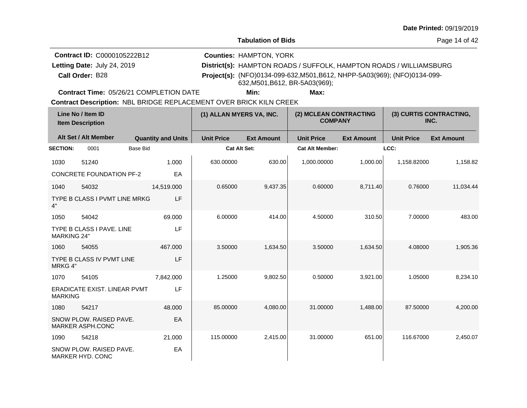**Tabulation of Bids**

Page 14 of 42

| <b>Contract ID: C0000105222B12</b> | <b>Counties: HAMPTON, YORK</b>                                                                              |
|------------------------------------|-------------------------------------------------------------------------------------------------------------|
| Letting Date: July 24, 2019        | District(s): HAMPTON ROADS / SUFFOLK, HAMPTON ROADS / WILLIAMSBURG                                          |
| Call Order: B28                    | Project(s): (NFO)0134-099-632, M501, B612, NHPP-5A03(969); (NFO)0134-099-<br>632, M501, B612, BR-5A03(969); |

**Contract Time:** 05/26/21 COMPLETION DATE

**Min: Max:**

| Line No / Item ID<br><b>Item Description</b> |                                                    | (1) ALLAN MYERS VA, INC.  |                     | (2) MCLEAN CONTRACTING<br><b>COMPANY</b> |                        | (3) CURTIS CONTRACTING,<br>INC. |                   |                   |
|----------------------------------------------|----------------------------------------------------|---------------------------|---------------------|------------------------------------------|------------------------|---------------------------------|-------------------|-------------------|
|                                              | Alt Set / Alt Member                               | <b>Quantity and Units</b> | <b>Unit Price</b>   | <b>Ext Amount</b>                        | <b>Unit Price</b>      | <b>Ext Amount</b>               | <b>Unit Price</b> | <b>Ext Amount</b> |
| <b>SECTION:</b>                              | 0001<br><b>Base Bid</b>                            |                           | <b>Cat Alt Set:</b> |                                          | <b>Cat Alt Member:</b> |                                 | LCC:              |                   |
| 1030                                         | 51240                                              | 1.000                     | 630.00000           | 630.00                                   | 1,000.00000            | 1,000.00                        | 1,158.82000       | 1,158.82          |
|                                              | <b>CONCRETE FOUNDATION PF-2</b>                    | EA                        |                     |                                          |                        |                                 |                   |                   |
| 1040                                         | 54032                                              | 14,519.000                | 0.65000             | 9,437.35                                 | 0.60000                | 8,711.40                        | 0.76000           | 11,034.44         |
| 4"                                           | TYPE B CLASS I PVMT LINE MRKG                      | LF                        |                     |                                          |                        |                                 |                   |                   |
| 1050                                         | 54042                                              | 69.000                    | 6.00000             | 414.00                                   | 4.50000                | 310.50                          | 7.00000           | 483.00            |
| <b>MARKING 24"</b>                           | TYPE B CLASS I PAVE. LINE                          | LF                        |                     |                                          |                        |                                 |                   |                   |
| 1060                                         | 54055                                              | 467.000                   | 3.50000             | 1,634.50                                 | 3.50000                | 1,634.50                        | 4.08000           | 1,905.36          |
| MRKG 4"                                      | TYPE B CLASS IV PVMT LINE                          | LF                        |                     |                                          |                        |                                 |                   |                   |
| 1070                                         | 54105                                              | 7,842.000                 | 1.25000             | 9,802.50                                 | 0.50000                | 3,921.00                        | 1.05000           | 8,234.10          |
| <b>MARKING</b>                               | ERADICATE EXIST. LINEAR PVMT                       | LF                        |                     |                                          |                        |                                 |                   |                   |
| 1080                                         | 54217                                              | 48.000                    | 85.00000            | 4,080.00                                 | 31.00000               | 1.488.00                        | 87.50000          | 4,200.00          |
|                                              | SNOW PLOW. RAISED PAVE.<br>MARKER ASPH.CONC        | EA                        |                     |                                          |                        |                                 |                   |                   |
| 1090                                         | 54218                                              | 21.000                    | 115.00000           | 2,415.00                                 | 31.00000               | 651.00                          | 116.67000         | 2,450.07          |
|                                              | SNOW PLOW, RAISED PAVE.<br><b>MARKER HYD, CONC</b> | EA                        |                     |                                          |                        |                                 |                   |                   |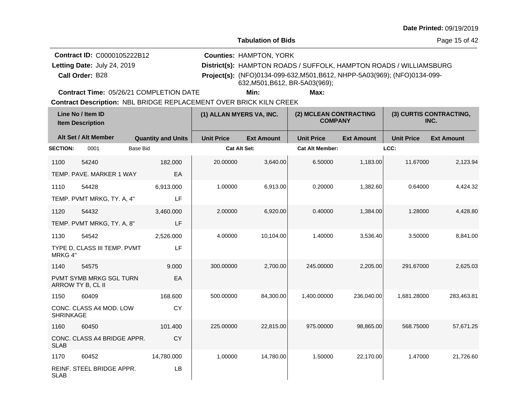**Tabulation of Bids**

Page 15 of 42

| <b>Contract ID: C0000105222B12</b> | <b>Counties: HAMPTON, YORK</b>                                                                              |
|------------------------------------|-------------------------------------------------------------------------------------------------------------|
| Letting Date: July 24, 2019        | District(s): HAMPTON ROADS / SUFFOLK, HAMPTON ROADS / WILLIAMSBURG                                          |
| Call Order: B28                    | Project(s): (NFO)0134-099-632, M501, B612, NHPP-5A03(969); (NFO)0134-099-<br>632, M501, B612, BR-5A03(969); |

**Contract Time:** 05/26/21 COMPLETION DATE

**Min: Max:**

| Line No / Item ID<br><b>Item Description</b> |                                              |                           | (2) MCLEAN CONTRACTING<br>(1) ALLAN MYERS VA, INC.<br><b>COMPANY</b> |                   |                        | (3) CURTIS CONTRACTING,<br>INC. |                   |                   |
|----------------------------------------------|----------------------------------------------|---------------------------|----------------------------------------------------------------------|-------------------|------------------------|---------------------------------|-------------------|-------------------|
|                                              | Alt Set / Alt Member                         | <b>Quantity and Units</b> | <b>Unit Price</b>                                                    | <b>Ext Amount</b> | <b>Unit Price</b>      | <b>Ext Amount</b>               | <b>Unit Price</b> | <b>Ext Amount</b> |
| <b>SECTION:</b>                              | 0001                                         | <b>Base Bid</b>           | Cat Alt Set:                                                         |                   | <b>Cat Alt Member:</b> |                                 | LCC:              |                   |
| 1100                                         | 54240                                        | 182,000                   | 20.00000                                                             | 3,640.00          | 6.50000                | 1,183.00                        | 11.67000          | 2,123.94          |
|                                              | TEMP. PAVE. MARKER 1 WAY                     | EA                        |                                                                      |                   |                        |                                 |                   |                   |
| 1110                                         | 54428                                        | 6,913.000                 | 1.00000                                                              | 6,913.00          | 0.20000                | 1,382.60                        | 0.64000           | 4,424.32          |
|                                              | TEMP. PVMT MRKG, TY. A, 4"                   | LF                        |                                                                      |                   |                        |                                 |                   |                   |
| 1120                                         | 54432                                        | 3,460.000                 | 2.00000                                                              | 6,920.00          | 0.40000                | 1,384.00                        | 1.28000           | 4,428.80          |
|                                              | TEMP. PVMT MRKG, TY. A, 8"                   | LF                        |                                                                      |                   |                        |                                 |                   |                   |
| 1130                                         | 54542                                        | 2,526.000                 | 4.00000                                                              | 10,104.00         | 1.40000                | 3,536.40                        | 3.50000           | 8,841.00          |
| MRKG 4"                                      | TYPE D, CLASS III TEMP. PVMT                 | LF                        |                                                                      |                   |                        |                                 |                   |                   |
| 1140                                         | 54575                                        | 9.000                     | 300.00000                                                            | 2,700.00          | 245.00000              | 2,205.00                        | 291.67000         | 2,625.03          |
|                                              | PVMT SYMB MRKG SGL TURN<br>ARROW TY B, CL II | EA                        |                                                                      |                   |                        |                                 |                   |                   |
| 1150                                         | 60409                                        | 168.600                   | 500.00000                                                            | 84,300.00         | 1,400.00000            | 236,040.00                      | 1,681.28000       | 283,463.81        |
| <b>SHRINKAGE</b>                             | CONC. CLASS A4 MOD. LOW                      | <b>CY</b>                 |                                                                      |                   |                        |                                 |                   |                   |
| 1160                                         | 60450                                        | 101.400                   | 225.00000                                                            | 22,815.00         | 975.00000              | 98,865.00                       | 568.75000         | 57,671.25         |
| <b>SLAB</b>                                  | CONC. CLASS A4 BRIDGE APPR.                  | CY                        |                                                                      |                   |                        |                                 |                   |                   |
| 1170                                         | 60452                                        | 14,780.000                | 1.00000                                                              | 14,780.00         | 1.50000                | 22,170.00                       | 1.47000           | 21,726.60         |
| <b>SLAB</b>                                  | REINF. STEEL BRIDGE APPR.                    | LB                        |                                                                      |                   |                        |                                 |                   |                   |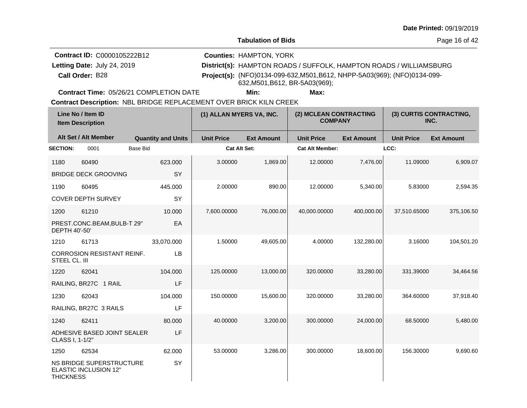**Tabulation of Bids**

Page 16 of 42

| <b>Contract ID: C0000105222B12</b> | <b>Counties: HAMPTON, YORK</b>                                                                              |
|------------------------------------|-------------------------------------------------------------------------------------------------------------|
| Letting Date: July 24, 2019        | District(s): HAMPTON ROADS / SUFFOLK, HAMPTON ROADS / WILLIAMSBURG                                          |
| Call Order: B28                    | Project(s): (NFO)0134-099-632, M501, B612, NHPP-5A03(969); (NFO)0134-099-<br>632, M501, B612, BR-5A03(969); |

**Contract Time:** 05/26/21 COMPLETION DATE

**Min: Max:**

| Line No / Item ID<br><b>Item Description</b> |                                                                 |                           | (1) ALLAN MYERS VA, INC. |                   | (2) MCLEAN CONTRACTING<br><b>COMPANY</b> |                   | (3) CURTIS CONTRACTING,<br>INC. |                   |
|----------------------------------------------|-----------------------------------------------------------------|---------------------------|--------------------------|-------------------|------------------------------------------|-------------------|---------------------------------|-------------------|
|                                              | Alt Set / Alt Member                                            | <b>Quantity and Units</b> | <b>Unit Price</b>        | <b>Ext Amount</b> | <b>Unit Price</b>                        | <b>Ext Amount</b> | <b>Unit Price</b>               | <b>Ext Amount</b> |
| <b>SECTION:</b>                              | 0001                                                            | <b>Base Bid</b>           | <b>Cat Alt Set:</b>      |                   | <b>Cat Alt Member:</b>                   |                   | LCC:                            |                   |
| 1180                                         | 60490                                                           | 623.000                   | 3.00000                  | 1,869.00          | 12.00000                                 | 7,476.00          | 11.09000                        | 6,909.07          |
|                                              | <b>BRIDGE DECK GROOVING</b>                                     | <b>SY</b>                 |                          |                   |                                          |                   |                                 |                   |
| 1190                                         | 60495                                                           | 445.000                   | 2.00000                  | 890.00            | 12.00000                                 | 5,340.00          | 5.83000                         | 2,594.35          |
|                                              | <b>COVER DEPTH SURVEY</b>                                       | SY                        |                          |                   |                                          |                   |                                 |                   |
| 1200                                         | 61210                                                           | 10.000                    | 7,600.00000              | 76,000.00         | 40,000.00000                             | 400,000.00        | 37,510.65000                    | 375,106.50        |
| DEPTH 40'-50'                                | PREST.CONC.BEAM, BULB-T 29"                                     | EA                        |                          |                   |                                          |                   |                                 |                   |
| 1210                                         | 61713                                                           | 33,070.000                | 1.50000                  | 49,605.00         | 4.00000                                  | 132,280.00        | 3.16000                         | 104,501.20        |
| STEEL CL. III                                | <b>CORROSION RESISTANT REINF.</b>                               | LB                        |                          |                   |                                          |                   |                                 |                   |
| 1220                                         | 62041                                                           | 104.000                   | 125.00000                | 13,000.00         | 320,00000                                | 33,280.00         | 331.39000                       | 34,464.56         |
|                                              | RAILING, BR27C 1 RAIL                                           | LF                        |                          |                   |                                          |                   |                                 |                   |
| 1230                                         | 62043                                                           | 104.000                   | 150.00000                | 15,600.00         | 320,00000                                | 33,280.00         | 364.60000                       | 37,918.40         |
|                                              | RAILING, BR27C 3 RAILS                                          | LF                        |                          |                   |                                          |                   |                                 |                   |
| 1240                                         | 62411                                                           | 80.000                    | 40.00000                 | 3,200.00          | 300.00000                                | 24,000.00         | 68.50000                        | 5,480.00          |
| CLASS I, 1-1/2"                              | ADHESIVE BASED JOINT SEALER                                     | LF                        |                          |                   |                                          |                   |                                 |                   |
| 1250                                         | 62534                                                           | 62.000                    | 53.00000                 | 3,286.00          | 300.00000                                | 18,600.00         | 156.30000                       | 9,690.60          |
| <b>THICKNESS</b>                             | <b>NS BRIDGE SUPERSTRUCTURE</b><br><b>ELASTIC INCLUSION 12"</b> | SY                        |                          |                   |                                          |                   |                                 |                   |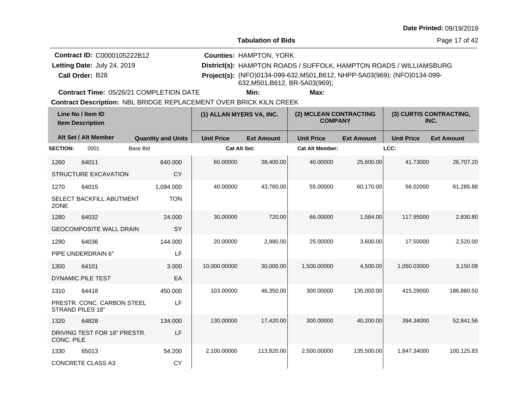**Tabulation of Bids**

Page 17 of 42

| <b>Contract ID: C0000105222B12</b> | <b>Counties: HAMPTON, YORK</b>                                                                              |
|------------------------------------|-------------------------------------------------------------------------------------------------------------|
| Letting Date: July 24, 2019        | District(s): HAMPTON ROADS / SUFFOLK, HAMPTON ROADS / WILLIAMSBURG                                          |
| Call Order: B28                    | Project(s): (NFO)0134-099-632, M501, B612, NHPP-5A03(969); (NFO)0134-099-<br>632, M501, B612, BR-5A03(969); |

**Contract Time:** 05/26/21 COMPLETION DATE

**Min: Max:**

| Line No / Item ID<br><b>Item Description</b> |                                                       |                           | (1) ALLAN MYERS VA, INC. |                   | (2) MCLEAN CONTRACTING<br><b>COMPANY</b> |                   | (3) CURTIS CONTRACTING,<br>INC. |                   |
|----------------------------------------------|-------------------------------------------------------|---------------------------|--------------------------|-------------------|------------------------------------------|-------------------|---------------------------------|-------------------|
|                                              | Alt Set / Alt Member                                  | <b>Quantity and Units</b> | <b>Unit Price</b>        | <b>Ext Amount</b> | <b>Unit Price</b>                        | <b>Ext Amount</b> | <b>Unit Price</b>               | <b>Ext Amount</b> |
| <b>SECTION:</b>                              | 0001                                                  | <b>Base Bid</b>           | <b>Cat Alt Set:</b>      |                   | <b>Cat Alt Member:</b>                   |                   | LCC:                            |                   |
| 1260                                         | 64011                                                 | 640.000                   | 60.00000                 | 38,400.00         | 40.00000                                 | 25,600.00         | 41.73000                        | 26.707.20         |
|                                              | <b>STRUCTURE EXCAVATION</b>                           | <b>CY</b>                 |                          |                   |                                          |                   |                                 |                   |
| 1270                                         | 64015                                                 | 1.094.000                 | 40.00000                 | 43.760.00         | 55.00000                                 | 60,170.00         | 56.02000                        | 61,285.88         |
| ZONE                                         | SELECT BACKFILL ABUTMENT                              | <b>TON</b>                |                          |                   |                                          |                   |                                 |                   |
| 1280                                         | 64032                                                 | 24,000                    | 30.00000                 | 720.00            | 66.00000                                 | 1,584.00          | 117.95000                       | 2,830.80          |
|                                              | <b>GEOCOMPOSITE WALL DRAIN</b>                        | SY                        |                          |                   |                                          |                   |                                 |                   |
| 1290                                         | 64036                                                 | 144.000                   | 20.00000                 | 2,880.00          | 25.00000                                 | 3,600.00          | 17.50000                        | 2,520.00          |
|                                              | PIPE UNDERDRAIN 6"                                    | LF                        |                          |                   |                                          |                   |                                 |                   |
| 1300                                         | 64101                                                 | 3.000                     | 10,000.00000             | 30,000.00         | 1,500.00000                              | 4,500.00          | 1,050.03000                     | 3,150.09          |
|                                              | <b>DYNAMIC PILE TEST</b>                              | EA                        |                          |                   |                                          |                   |                                 |                   |
| 1310                                         | 64418                                                 | 450.000                   | 103.00000                | 46,350.00         | 300.00000                                | 135,000.00        | 415.29000                       | 186,880.50        |
|                                              | PRESTR. CONC. CARBON STEEL<br><b>STRAND PILES 18"</b> | LF                        |                          |                   |                                          |                   |                                 |                   |
| 1320                                         | 64828                                                 | 134.000                   | 130.00000                | 17,420.00         | 300.00000                                | 40,200.00         | 394.34000                       | 52,841.56         |
| CONC. PILE                                   | DRIVING TEST FOR 18" PRESTR.                          | LF                        |                          |                   |                                          |                   |                                 |                   |
| 1330                                         | 65013                                                 | 54.200                    | 2,100.00000              | 113,820.00        | 2,500.00000                              | 135,500.00        | 1,847.34000                     | 100,125.83        |
|                                              | <b>CONCRETE CLASS A3</b>                              | <b>CY</b>                 |                          |                   |                                          |                   |                                 |                   |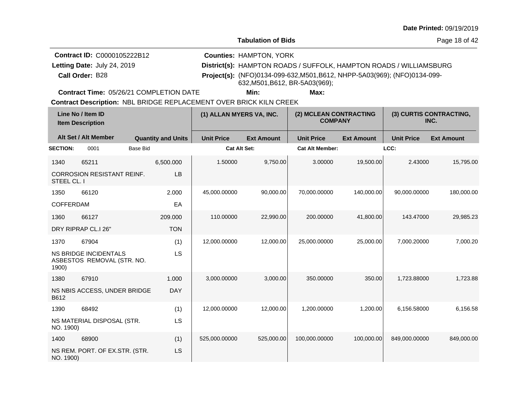**Tabulation of Bids**

Page 18 of 42

| <b>Contract ID: C0000105222B12</b> | <b>Counties: HAMPTON, YORK</b>                                                                              |
|------------------------------------|-------------------------------------------------------------------------------------------------------------|
| Letting Date: July 24, 2019        | District(s): HAMPTON ROADS / SUFFOLK, HAMPTON ROADS / WILLIAMSBURG                                          |
| Call Order: B28                    | Project(s): (NFO)0134-099-632, M501, B612, NHPP-5A03(969); (NFO)0134-099-<br>632, M501, B612, BR-5A03(969); |

**Contract Time:** 05/26/21 COMPLETION DATE

**Min: Max:**

| Line No / Item ID<br><b>Item Description</b> |                                                            |                           | (1) ALLAN MYERS VA, INC. |                   | (2) MCLEAN CONTRACTING<br><b>COMPANY</b> |                   | (3) CURTIS CONTRACTING,<br>INC. |                   |
|----------------------------------------------|------------------------------------------------------------|---------------------------|--------------------------|-------------------|------------------------------------------|-------------------|---------------------------------|-------------------|
|                                              | Alt Set / Alt Member                                       | <b>Quantity and Units</b> | <b>Unit Price</b>        | <b>Ext Amount</b> | <b>Unit Price</b>                        | <b>Ext Amount</b> | <b>Unit Price</b>               | <b>Ext Amount</b> |
| <b>SECTION:</b>                              | <b>Base Bid</b><br>0001                                    |                           | <b>Cat Alt Set:</b>      |                   | <b>Cat Alt Member:</b>                   |                   | LCC:                            |                   |
| 1340                                         | 65211                                                      | 6,500.000                 | 1.50000                  | 9,750.00          | 3.00000                                  | 19,500.00         | 2.43000                         | 15.795.00         |
| STEEL CL. I                                  | <b>CORROSION RESISTANT REINF.</b>                          | LB                        |                          |                   |                                          |                   |                                 |                   |
| 1350                                         | 66120                                                      | 2.000                     | 45,000.00000             | 90,000.00         | 70,000.00000                             | 140,000.00        | 90,000.00000                    | 180,000.00        |
| <b>COFFERDAM</b>                             |                                                            | EA                        |                          |                   |                                          |                   |                                 |                   |
| 1360                                         | 66127                                                      | 209.000                   | 110.00000                | 22,990.00         | 200.00000                                | 41,800.00         | 143.47000                       | 29,985.23         |
|                                              | DRY RIPRAP CL.I 26"                                        | <b>TON</b>                |                          |                   |                                          |                   |                                 |                   |
| 1370                                         | 67904                                                      | (1)                       | 12,000.00000             | 12,000.00         | 25,000.00000                             | 25,000.00         | 7,000.20000                     | 7,000.20          |
| 1900)                                        | <b>NS BRIDGE INCIDENTALS</b><br>ASBESTOS REMOVAL (STR. NO. | LS                        |                          |                   |                                          |                   |                                 |                   |
| 1380                                         | 67910                                                      | 1.000                     | 3,000.00000              | 3,000.00          | 350.00000                                | 350.00            | 1,723.88000                     | 1,723.88          |
| B612                                         | NS NBIS ACCESS, UNDER BRIDGE                               | <b>DAY</b>                |                          |                   |                                          |                   |                                 |                   |
| 1390                                         | 68492                                                      | (1)                       | 12,000.00000             | 12,000.00         | 1,200.00000                              | 1,200.00          | 6,156.58000                     | 6,156.58          |
| NO. 1900)                                    | NS MATERIAL DISPOSAL (STR.                                 | LS                        |                          |                   |                                          |                   |                                 |                   |
| 1400                                         | 68900                                                      | (1)                       | 525,000.00000            | 525,000.00        | 100,000.00000                            | 100,000.00        | 849,000.00000                   | 849,000.00        |
| NO. 1900)                                    | NS REM. PORT. OF EX.STR. (STR.                             | LS                        |                          |                   |                                          |                   |                                 |                   |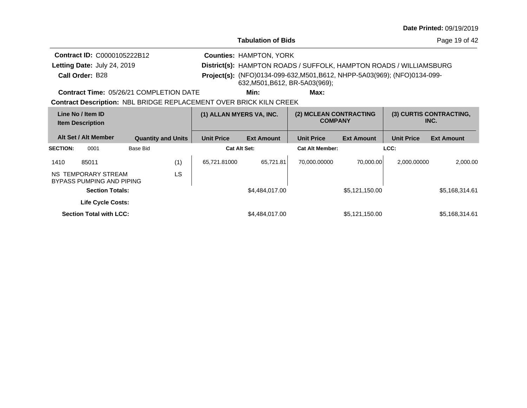| <b>Date Printed: 09/19/2019</b> |  |
|---------------------------------|--|
|---------------------------------|--|

Page 19 of 42

| <b>Contract ID: C0000105222B12</b> | <b>Counties: HAMPTON, YORK</b>                                                                            |
|------------------------------------|-----------------------------------------------------------------------------------------------------------|
| Letting Date: July 24, 2019        | District(s): HAMPTON ROADS / SUFFOLK, HAMPTON ROADS / WILLIAMSBURG                                        |
| Call Order: B28                    | Project(s): (NFO)0134-099-632, M501, B612, NHPP-5A03(969); (NFO)0134-099-<br>632,M501,B612, BR-5A03(969); |

**Contract Time:** 05/26/21 COMPLETION DATE

**Min: Max:**

| Line No / Item ID<br><b>Item Description</b> |                                                  |                           | (1) ALLAN MYERS VA, INC. |                     | (2) MCLEAN CONTRACTING<br><b>COMPANY</b> |                        | (3) CURTIS CONTRACTING,<br>INC. |                   |                   |
|----------------------------------------------|--------------------------------------------------|---------------------------|--------------------------|---------------------|------------------------------------------|------------------------|---------------------------------|-------------------|-------------------|
|                                              | Alt Set / Alt Member                             | <b>Quantity and Units</b> |                          | <b>Unit Price</b>   | <b>Ext Amount</b>                        | <b>Unit Price</b>      | <b>Ext Amount</b>               | <b>Unit Price</b> | <b>Ext Amount</b> |
| <b>SECTION:</b>                              | 0001                                             | Base Bid                  |                          | <b>Cat Alt Set:</b> |                                          | <b>Cat Alt Member:</b> |                                 | LCC:              |                   |
| 1410                                         | 85011                                            |                           | (1)                      | 65.721.81000        | 65,721.81                                | 70.000.00000           | 70.000.00                       | 2.000.00000       | 2.000.00          |
|                                              | NS TEMPORARY STREAM<br>BYPASS PUMPING AND PIPING |                           | LS.                      |                     |                                          |                        |                                 |                   |                   |
|                                              | <b>Section Totals:</b>                           |                           |                          |                     | \$4,484,017.00                           |                        | \$5,121,150.00                  |                   | \$5,168,314.61    |
|                                              | <b>Life Cycle Costs:</b>                         |                           |                          |                     |                                          |                        |                                 |                   |                   |
|                                              | <b>Section Total with LCC:</b>                   |                           |                          |                     | \$4,484,017.00                           |                        | \$5,121,150.00                  |                   | \$5,168,314.61    |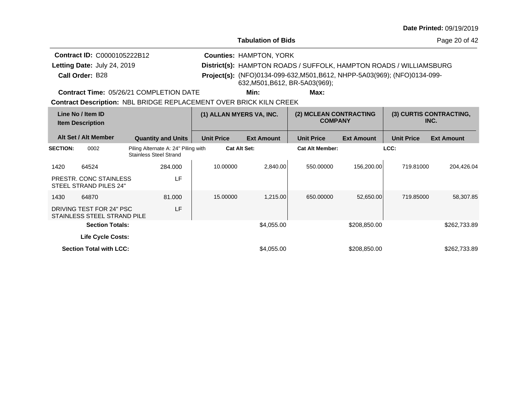**Tabulation of Bids**

Page 20 of 42

| <b>Contract ID: C0000105222B12</b> | <b>Counties: HAMPTON, YORK</b>                                                                              |
|------------------------------------|-------------------------------------------------------------------------------------------------------------|
| Letting Date: July 24, 2019        | District(s): HAMPTON ROADS / SUFFOLK, HAMPTON ROADS / WILLIAMSBURG                                          |
| Call Order: B28                    | Project(s): (NFO)0134-099-632, M501, B612, NHPP-5A03(969); (NFO)0134-099-<br>632, M501, B612, BR-5A03(969); |

**Contract Time:** 05/26/21 COMPLETION DATE

**Min: Max:**

| Line No / Item ID<br><b>Item Description</b> |                                                         |                                                                      | (1) ALLAN MYERS VA, INC. |                   | (2) MCLEAN CONTRACTING<br><b>COMPANY</b> |                   | (3) CURTIS CONTRACTING,<br>INC. |                   |
|----------------------------------------------|---------------------------------------------------------|----------------------------------------------------------------------|--------------------------|-------------------|------------------------------------------|-------------------|---------------------------------|-------------------|
|                                              | Alt Set / Alt Member                                    | <b>Quantity and Units</b>                                            | <b>Unit Price</b>        | <b>Ext Amount</b> | <b>Unit Price</b>                        | <b>Ext Amount</b> | <b>Unit Price</b>               | <b>Ext Amount</b> |
| <b>SECTION:</b>                              | 0002                                                    | Piling Alternate A: 24" Piling with<br><b>Stainless Steel Strand</b> |                          | Cat Alt Set:      | <b>Cat Alt Member:</b>                   |                   | LCC:                            |                   |
| 1420                                         | 64524                                                   | 284.000                                                              | 10.00000                 | 2.840.00          | 550.00000                                | 156,200.00        | 719.81000                       | 204,426.04        |
|                                              | PRESTR. CONC STAINLESS<br>STEEL STRAND PILES 24"        | LF                                                                   |                          |                   |                                          |                   |                                 |                   |
| 1430                                         | 64870                                                   | 81.000                                                               | 15,00000                 | 1,215.00          | 650,00000                                | 52,650.00         | 719.85000                       | 58,307.85         |
|                                              | DRIVING TEST FOR 24" PSC<br>STAINLESS STEEL STRAND PILE | LF                                                                   |                          |                   |                                          |                   |                                 |                   |
|                                              | <b>Section Totals:</b>                                  |                                                                      |                          | \$4,055,00        |                                          | \$208,850.00      |                                 | \$262,733.89      |
|                                              | Life Cycle Costs:                                       |                                                                      |                          |                   |                                          |                   |                                 |                   |
|                                              | <b>Section Total with LCC:</b>                          |                                                                      |                          | \$4,055.00        |                                          | \$208,850.00      |                                 | \$262,733.89      |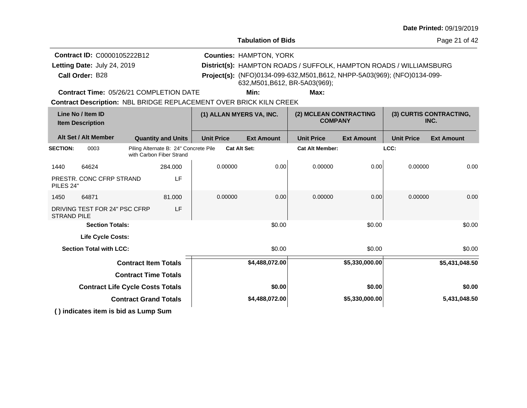**Tabulation of Bids**

Page 21 of 42

**Call Order:** Letting Date: July 24, 2019 **District(s): HAMPTON ROADS / SUFFOLK, HAMPTON ROADS / WILLIAMSBURG Contract ID:** C0000105222B12 **Counties:** HAMPTON, YORK B28 **Project(s):** (NFO)0134-099-632,M501,B612, NHPP-5A03(969); (NFO)0134-099- Letting Date: July 24, 2019 632,M501,B612, BR-5A03(969);

**Contract Time:** 05/26/21 COMPLETION DATE

**Min: Max:**

| Line No / Item ID<br><b>Item Description</b> |                                      |                             | (1) ALLAN MYERS VA, INC.                                          |                   | (2) MCLEAN CONTRACTING<br><b>COMPANY</b> |                        | (3) CURTIS CONTRACTING,<br>INC. |                   |                   |
|----------------------------------------------|--------------------------------------|-----------------------------|-------------------------------------------------------------------|-------------------|------------------------------------------|------------------------|---------------------------------|-------------------|-------------------|
|                                              | Alt Set / Alt Member                 |                             | <b>Quantity and Units</b>                                         | <b>Unit Price</b> | <b>Ext Amount</b>                        | <b>Unit Price</b>      | <b>Ext Amount</b>               | <b>Unit Price</b> | <b>Ext Amount</b> |
| <b>SECTION:</b>                              | 0003                                 |                             | Piling Alternate B: 24" Concrete Pile<br>with Carbon Fiber Strand |                   | <b>Cat Alt Set:</b>                      | <b>Cat Alt Member:</b> |                                 | LCC:              |                   |
| 1440                                         | 64624                                |                             | 284.000                                                           | 0.00000           | 0.00                                     | 0.00000                | 0.00                            | 0.00000           | 0.00              |
| PILES 24"                                    | PRESTR. CONC CFRP STRAND             |                             | LF                                                                |                   |                                          |                        |                                 |                   |                   |
| 1450                                         | 64871                                |                             | 81.000                                                            | 0.00000           | 0.00                                     | 0.00000                | 0.00                            | 0.00000           | 0.00              |
| <b>STRAND PILE</b>                           | DRIVING TEST FOR 24" PSC CFRP        |                             | LF                                                                |                   |                                          |                        |                                 |                   |                   |
|                                              | <b>Section Totals:</b>               |                             |                                                                   |                   | \$0.00                                   |                        | \$0.00                          |                   | \$0.00            |
|                                              | Life Cycle Costs:                    |                             |                                                                   |                   |                                          |                        |                                 |                   |                   |
|                                              | <b>Section Total with LCC:</b>       |                             |                                                                   |                   | \$0.00                                   |                        | \$0.00                          |                   | \$0.00            |
|                                              |                                      | <b>Contract Item Totals</b> |                                                                   |                   | \$4,488,072.00                           |                        | \$5,330,000.00                  |                   | \$5,431,048.50    |
| <b>Contract Time Totals</b>                  |                                      |                             |                                                                   |                   |                                          |                        |                                 |                   |                   |
| <b>Contract Life Cycle Costs Totals</b>      |                                      |                             |                                                                   |                   | \$0.00                                   |                        | \$0.00                          |                   | \$0.00            |
| <b>Contract Grand Totals</b>                 |                                      |                             |                                                                   |                   | \$4,488,072.00                           |                        | \$5,330,000.00                  |                   | 5,431,048.50      |
|                                              | () indicates item is bid as Lump Sum |                             |                                                                   |                   |                                          |                        |                                 |                   |                   |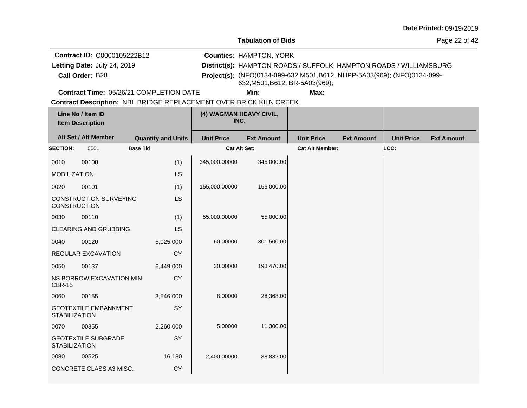**Tabulation of Bids**

Page 22 of 42

**Call Order:** Letting Date: July 24, 2019 **District(s): HAMPTON ROADS / SUFFOLK, HAMPTON ROADS / WILLIAMSBURG Contract ID:** C0000105222B12 **Counties:** HAMPTON, YORK B28 **Project(s):** (NFO)0134-099-632,M501,B612, NHPP-5A03(969); (NFO)0134-099- Letting Date: July 24, 2019 632,M501,B612, BR-5A03(969);

**Contract Time:** 05/26/21 COMPLETION DATE

**Min: Max:**

|                      | Line No / Item ID<br><b>Item Description</b> |                           | (4) WAGMAN HEAVY CIVIL,<br>INC. |                   |                        |                   |                   |                   |
|----------------------|----------------------------------------------|---------------------------|---------------------------------|-------------------|------------------------|-------------------|-------------------|-------------------|
|                      | Alt Set / Alt Member                         | <b>Quantity and Units</b> | <b>Unit Price</b>               | <b>Ext Amount</b> | <b>Unit Price</b>      | <b>Ext Amount</b> | <b>Unit Price</b> | <b>Ext Amount</b> |
| <b>SECTION:</b>      | 0001                                         | <b>Base Bid</b>           | Cat Alt Set:                    |                   | <b>Cat Alt Member:</b> |                   | LCC:              |                   |
| 0010                 | 00100                                        | (1)                       | 345,000.00000                   | 345,000.00        |                        |                   |                   |                   |
| <b>MOBILIZATION</b>  |                                              | <b>LS</b>                 |                                 |                   |                        |                   |                   |                   |
| 0020                 | 00101                                        | (1)                       | 155,000.00000                   | 155,000.00        |                        |                   |                   |                   |
| <b>CONSTRUCTION</b>  | <b>CONSTRUCTION SURVEYING</b>                | <b>LS</b>                 |                                 |                   |                        |                   |                   |                   |
| 0030                 | 00110                                        | (1)                       | 55,000.00000                    | 55,000.00         |                        |                   |                   |                   |
|                      | <b>CLEARING AND GRUBBING</b>                 | LS                        |                                 |                   |                        |                   |                   |                   |
| 0040                 | 00120                                        | 5,025.000                 | 60.00000                        | 301,500.00        |                        |                   |                   |                   |
|                      | REGULAR EXCAVATION                           | <b>CY</b>                 |                                 |                   |                        |                   |                   |                   |
| 0050                 | 00137                                        | 6,449.000                 | 30.00000                        | 193,470.00        |                        |                   |                   |                   |
| <b>CBR-15</b>        | NS BORROW EXCAVATION MIN.                    | <b>CY</b>                 |                                 |                   |                        |                   |                   |                   |
| 0060                 | 00155                                        | 3,546.000                 | 8.00000                         | 28,368.00         |                        |                   |                   |                   |
| <b>STABILIZATION</b> | <b>GEOTEXTILE EMBANKMENT</b>                 | SY                        |                                 |                   |                        |                   |                   |                   |
| 0070                 | 00355                                        | 2,260.000                 | 5.00000                         | 11,300.00         |                        |                   |                   |                   |
| <b>STABILIZATION</b> | <b>GEOTEXTILE SUBGRADE</b>                   | SY                        |                                 |                   |                        |                   |                   |                   |
| 0080                 | 00525                                        | 16.180                    | 2,400.00000                     | 38,832.00         |                        |                   |                   |                   |
|                      | CONCRETE CLASS A3 MISC.                      | <b>CY</b>                 |                                 |                   |                        |                   |                   |                   |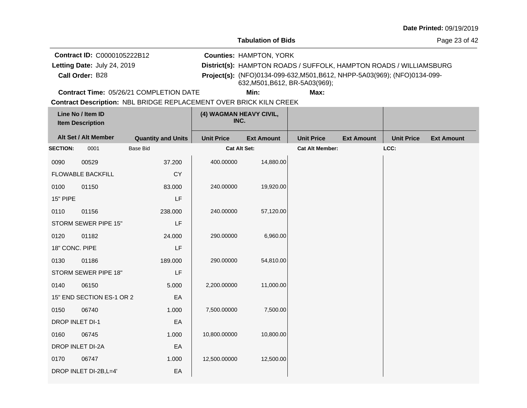**Tabulation of Bids**

Page 23 of 42

**Call Order:** Letting Date: July 24, 2019 **District(s): HAMPTON ROADS / SUFFOLK, HAMPTON ROADS / WILLIAMSBURG Contract ID:** C0000105222B12 **Counties:** HAMPTON, YORK B28 **Project(s):** (NFO)0134-099-632,M501,B612, NHPP-5A03(969); (NFO)0134-099- Letting Date: July 24, 2019 632,M501,B612, BR-5A03(969);

**Contract Time:** 05/26/21 COMPLETION DATE

**Min: Max:**

|                 | Line No / Item ID<br><b>Item Description</b> |                           | (4) WAGMAN HEAVY CIVIL,<br>INC. |                   |                        |                   |                   |                   |
|-----------------|----------------------------------------------|---------------------------|---------------------------------|-------------------|------------------------|-------------------|-------------------|-------------------|
|                 | Alt Set / Alt Member                         | <b>Quantity and Units</b> | <b>Unit Price</b>               | <b>Ext Amount</b> | <b>Unit Price</b>      | <b>Ext Amount</b> | <b>Unit Price</b> | <b>Ext Amount</b> |
| <b>SECTION:</b> | 0001                                         | Base Bid                  | Cat Alt Set:                    |                   | <b>Cat Alt Member:</b> |                   | LCC:              |                   |
| 0090            | 00529                                        | 37.200                    | 400.00000                       | 14,880.00         |                        |                   |                   |                   |
|                 | <b>FLOWABLE BACKFILL</b>                     | <b>CY</b>                 |                                 |                   |                        |                   |                   |                   |
| 0100            | 01150                                        | 83.000                    | 240.00000                       | 19,920.00         |                        |                   |                   |                   |
| 15" PIPE        |                                              | LF                        |                                 |                   |                        |                   |                   |                   |
| 0110            | 01156                                        | 238.000                   | 240.00000                       | 57,120.00         |                        |                   |                   |                   |
|                 | STORM SEWER PIPE 15"                         | LF                        |                                 |                   |                        |                   |                   |                   |
| 0120            | 01182                                        | 24.000                    | 290.00000                       | 6,960.00          |                        |                   |                   |                   |
| 18" CONC. PIPE  |                                              | LF                        |                                 |                   |                        |                   |                   |                   |
| 0130            | 01186                                        | 189.000                   | 290.00000                       | 54,810.00         |                        |                   |                   |                   |
|                 | STORM SEWER PIPE 18"                         | LF                        |                                 |                   |                        |                   |                   |                   |
| 0140            | 06150                                        | 5.000                     | 2,200.00000                     | 11,000.00         |                        |                   |                   |                   |
|                 | 15" END SECTION ES-1 OR 2                    | EA                        |                                 |                   |                        |                   |                   |                   |
| 0150            | 06740                                        | 1.000                     | 7,500.00000                     | 7,500.00          |                        |                   |                   |                   |
| DROP INLET DI-1 |                                              | EA                        |                                 |                   |                        |                   |                   |                   |
| 0160            | 06745                                        | 1.000                     | 10,800.00000                    | 10,800.00         |                        |                   |                   |                   |
|                 | DROP INLET DI-2A                             | EA                        |                                 |                   |                        |                   |                   |                   |
| 0170            | 06747                                        | 1.000                     | 12,500.00000                    | 12,500.00         |                        |                   |                   |                   |
|                 | DROP INLET DI-2B, L=4'                       | EA                        |                                 |                   |                        |                   |                   |                   |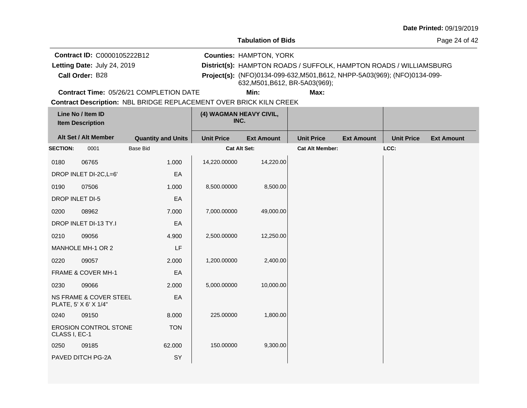**Tabulation of Bids**

Page 24 of 42

**Call Order:** Letting Date: July 24, 2019 **District(s): HAMPTON ROADS / SUFFOLK, HAMPTON ROADS / WILLIAMSBURG Contract ID:** C0000105222B12 **Counties:** HAMPTON, YORK B28 **Project(s):** (NFO)0134-099-632,M501,B612, NHPP-5A03(969); (NFO)0134-099- Letting Date: July 24, 2019 632,M501,B612, BR-5A03(969);

**Contract Time:** 05/26/21 COMPLETION DATE

**Min: Max:**

|                        | Line No / Item ID<br><b>Item Description</b>               |                           | (4) WAGMAN HEAVY CIVIL,<br>INC. |                   |                        |                   |                   |                   |
|------------------------|------------------------------------------------------------|---------------------------|---------------------------------|-------------------|------------------------|-------------------|-------------------|-------------------|
|                        | Alt Set / Alt Member                                       | <b>Quantity and Units</b> | <b>Unit Price</b>               | <b>Ext Amount</b> | <b>Unit Price</b>      | <b>Ext Amount</b> | <b>Unit Price</b> | <b>Ext Amount</b> |
| <b>SECTION:</b>        | 0001                                                       | <b>Base Bid</b>           | Cat Alt Set:                    |                   | <b>Cat Alt Member:</b> |                   | LCC:              |                   |
| 0180                   | 06765                                                      | 1.000                     | 14,220.00000                    | 14,220.00         |                        |                   |                   |                   |
|                        | DROP INLET DI-2C, L=6'                                     | EA                        |                                 |                   |                        |                   |                   |                   |
| 0190                   | 07506                                                      | 1.000                     | 8,500.00000                     | 8,500.00          |                        |                   |                   |                   |
| <b>DROP INLET DI-5</b> |                                                            | EA                        |                                 |                   |                        |                   |                   |                   |
| 0200                   | 08962                                                      | 7.000                     | 7,000.00000                     | 49,000.00         |                        |                   |                   |                   |
|                        | DROP INLET DI-13 TY.I                                      | EA                        |                                 |                   |                        |                   |                   |                   |
| 0210                   | 09056                                                      | 4.900                     | 2,500.00000                     | 12,250.00         |                        |                   |                   |                   |
|                        | MANHOLE MH-1 OR 2                                          | LF                        |                                 |                   |                        |                   |                   |                   |
| 0220                   | 09057                                                      | 2.000                     | 1,200.00000                     | 2,400.00          |                        |                   |                   |                   |
|                        | FRAME & COVER MH-1                                         | EA                        |                                 |                   |                        |                   |                   |                   |
| 0230                   | 09066                                                      | 2.000                     | 5,000.00000                     | 10,000.00         |                        |                   |                   |                   |
|                        | <b>NS FRAME &amp; COVER STEEL</b><br>PLATE, 5' X 6' X 1/4" | EA                        |                                 |                   |                        |                   |                   |                   |
| 0240                   | 09150                                                      | 8.000                     | 225.00000                       | 1,800.00          |                        |                   |                   |                   |
| CLASS I, EC-1          | <b>EROSION CONTROL STONE</b>                               | <b>TON</b>                |                                 |                   |                        |                   |                   |                   |
| 0250                   | 09185                                                      | 62.000                    | 150.00000                       | 9,300.00          |                        |                   |                   |                   |
|                        | PAVED DITCH PG-2A                                          | SY                        |                                 |                   |                        |                   |                   |                   |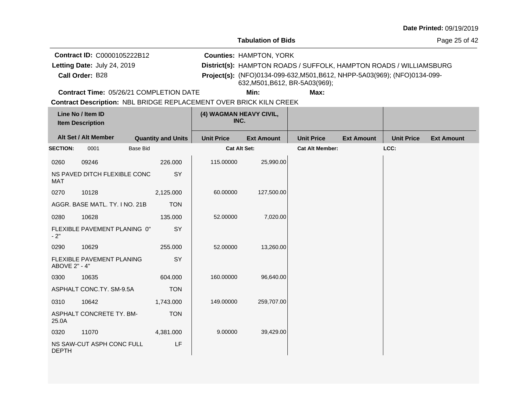**Tabulation of Bids**

Page 25 of 42

**Call Order:** Letting Date: July 24, 2019 **District(s): HAMPTON ROADS / SUFFOLK, HAMPTON ROADS / WILLIAMSBURG Contract ID:** C0000105222B12 **Counties:** HAMPTON, YORK B28 **Project(s):** (NFO)0134-099-632,M501,B612, NHPP-5A03(969); (NFO)0134-099- Letting Date: July 24, 2019 632,M501,B612, BR-5A03(969);

**Contract Time:** 05/26/21 COMPLETION DATE

**Min: Max:**

|                 | Line No / Item ID<br><b>Item Description</b><br>Alt Set / Alt Member<br><b>Quantity and Units</b> |            |                     | (4) WAGMAN HEAVY CIVIL,<br>INC. |                        |                   |                   |                   |
|-----------------|---------------------------------------------------------------------------------------------------|------------|---------------------|---------------------------------|------------------------|-------------------|-------------------|-------------------|
|                 |                                                                                                   |            | <b>Unit Price</b>   | <b>Ext Amount</b>               | <b>Unit Price</b>      | <b>Ext Amount</b> | <b>Unit Price</b> | <b>Ext Amount</b> |
| <b>SECTION:</b> | <b>Base Bid</b><br>0001                                                                           |            | <b>Cat Alt Set:</b> |                                 | <b>Cat Alt Member:</b> |                   | LCC:              |                   |
| 0260            | 09246                                                                                             | 226.000    | 115.00000           | 25,990.00                       |                        |                   |                   |                   |
| <b>MAT</b>      | NS PAVED DITCH FLEXIBLE CONC                                                                      | SY         |                     |                                 |                        |                   |                   |                   |
| 0270            | 10128                                                                                             | 2,125.000  | 60.00000            | 127,500.00                      |                        |                   |                   |                   |
|                 | AGGR. BASE MATL. TY. I NO. 21B                                                                    | <b>TON</b> |                     |                                 |                        |                   |                   |                   |
| 0280            | 10628                                                                                             | 135.000    | 52.00000            | 7,020.00                        |                        |                   |                   |                   |
| $-2"$           | FLEXIBLE PAVEMENT PLANING 0"                                                                      | SY         |                     |                                 |                        |                   |                   |                   |
| 0290            | 10629                                                                                             | 255.000    | 52.00000            | 13,260.00                       |                        |                   |                   |                   |
| ABOVE 2" - 4"   | FLEXIBLE PAVEMENT PLANING                                                                         | SY         |                     |                                 |                        |                   |                   |                   |
| 0300            | 10635                                                                                             | 604.000    | 160.00000           | 96,640.00                       |                        |                   |                   |                   |
|                 | ASPHALT CONC.TY. SM-9.5A                                                                          | <b>TON</b> |                     |                                 |                        |                   |                   |                   |
| 0310            | 10642                                                                                             | 1,743.000  | 149.00000           | 259,707.00                      |                        |                   |                   |                   |
| 25.0A           | ASPHALT CONCRETE TY. BM-                                                                          | <b>TON</b> |                     |                                 |                        |                   |                   |                   |
| 0320            | 11070                                                                                             | 4,381.000  | 9.00000             | 39,429.00                       |                        |                   |                   |                   |
| <b>DEPTH</b>    | NS SAW-CUT ASPH CONC FULL                                                                         | LF         |                     |                                 |                        |                   |                   |                   |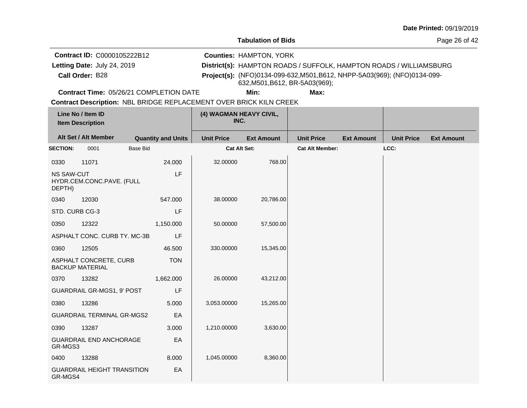**Tabulation of Bids**

Page 26 of 42

**Call Order:** Letting Date: July 24, 2019 **District(s): HAMPTON ROADS / SUFFOLK, HAMPTON ROADS / WILLIAMSBURG Contract ID:** C0000105222B12 **Counties:** HAMPTON, YORK B28 **Project(s):** (NFO)0134-099-632,M501,B612, NHPP-5A03(969); (NFO)0134-099- Letting Date: July 24, 2019 632,M501,B612, BR-5A03(969);

**Contract Time:** 05/26/21 COMPLETION DATE

**Min: Max:**

|                             | Line No / Item ID<br><b>Item Description</b>     |                           | (4) WAGMAN HEAVY CIVIL,<br>INC. |                   |                        |                   |                   |                   |
|-----------------------------|--------------------------------------------------|---------------------------|---------------------------------|-------------------|------------------------|-------------------|-------------------|-------------------|
|                             | Alt Set / Alt Member                             | <b>Quantity and Units</b> | <b>Unit Price</b>               | <b>Ext Amount</b> | <b>Unit Price</b>      | <b>Ext Amount</b> | <b>Unit Price</b> | <b>Ext Amount</b> |
| <b>SECTION:</b>             | 0001                                             | <b>Base Bid</b>           | Cat Alt Set:                    |                   | <b>Cat Alt Member:</b> |                   | LCC:              |                   |
| 0330                        | 11071                                            | 24.000                    | 32.00000                        | 768.00            |                        |                   |                   |                   |
| <b>NS SAW-CUT</b><br>DEPTH) | HYDR.CEM.CONC.PAVE. (FULL                        | LF                        |                                 |                   |                        |                   |                   |                   |
| 0340                        | 12030                                            | 547.000                   | 38.00000                        | 20,786.00         |                        |                   |                   |                   |
| STD. CURB CG-3              |                                                  | LF                        |                                 |                   |                        |                   |                   |                   |
| 0350                        | 12322                                            | 1,150.000                 | 50.00000                        | 57,500.00         |                        |                   |                   |                   |
|                             | ASPHALT CONC. CURB TY. MC-3B                     | LF                        |                                 |                   |                        |                   |                   |                   |
| 0360                        | 12505                                            | 46.500                    | 330.00000                       | 15,345.00         |                        |                   |                   |                   |
|                             | ASPHALT CONCRETE, CURB<br><b>BACKUP MATERIAL</b> | <b>TON</b>                |                                 |                   |                        |                   |                   |                   |
| 0370                        | 13282                                            | 1,662.000                 | 26.00000                        | 43,212.00         |                        |                   |                   |                   |
|                             | GUARDRAIL GR-MGS1, 9' POST                       | LF                        |                                 |                   |                        |                   |                   |                   |
| 0380                        | 13286                                            | 5.000                     | 3,053.00000                     | 15,265.00         |                        |                   |                   |                   |
|                             | <b>GUARDRAIL TERMINAL GR-MGS2</b>                | EA                        |                                 |                   |                        |                   |                   |                   |
| 0390                        | 13287                                            | 3.000                     | 1,210.00000                     | 3,630.00          |                        |                   |                   |                   |
| GR-MGS3                     | <b>GUARDRAIL END ANCHORAGE</b>                   | EA                        |                                 |                   |                        |                   |                   |                   |
| 0400                        | 13288                                            | 8.000                     | 1,045.00000                     | 8,360.00          |                        |                   |                   |                   |
| GR-MGS4                     | <b>GUARDRAIL HEIGHT TRANSITION</b>               | EA                        |                                 |                   |                        |                   |                   |                   |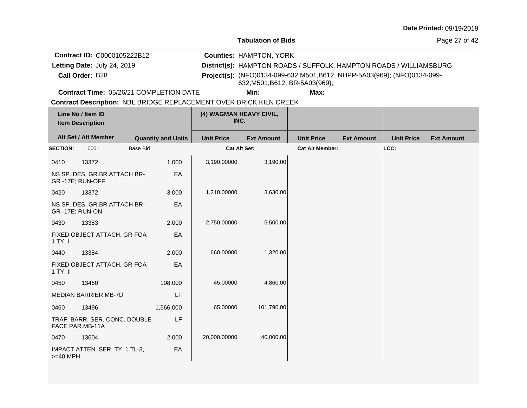**Tabulation of Bids**

Page 27 of 42

**Call Order:** Letting Date: July 24, 2019 **District(s): HAMPTON ROADS / SUFFOLK, HAMPTON ROADS / WILLIAMSBURG Contract ID:** C0000105222B12 **Counties:** HAMPTON, YORK B28 **Project(s):** (NFO)0134-099-632,M501,B612, NHPP-5A03(969); (NFO)0134-099- Letting Date: July 24, 2019 632,M501,B612, BR-5A03(969);

**Contract Time:** 05/26/21 COMPLETION DATE

**Min: Max:**

|                       | Line No / Item ID<br><b>Item Description</b>    |                           | (4) WAGMAN HEAVY CIVIL,<br>INC. |                   |                        |                   |                   |                   |
|-----------------------|-------------------------------------------------|---------------------------|---------------------------------|-------------------|------------------------|-------------------|-------------------|-------------------|
|                       | Alt Set / Alt Member                            | <b>Quantity and Units</b> | <b>Unit Price</b>               | <b>Ext Amount</b> | <b>Unit Price</b>      | <b>Ext Amount</b> | <b>Unit Price</b> | <b>Ext Amount</b> |
| <b>SECTION:</b>       | <b>Base Bid</b><br>0001                         |                           | <b>Cat Alt Set:</b>             |                   | <b>Cat Alt Member:</b> |                   | LCC:              |                   |
| 0410                  | 13372                                           | 1.000                     | 3,190.00000                     | 3,190.00          |                        |                   |                   |                   |
|                       | NS SP. DES. GR.BR.ATTACH BR-<br>GR-17E; RUN-OFF | EA                        |                                 |                   |                        |                   |                   |                   |
| 0420                  | 13372                                           | 3.000                     | 1,210.00000                     | 3,630.00          |                        |                   |                   |                   |
| <b>GR-17E; RUN-ON</b> | NS SP. DES. GR.BR.ATTACH BR-                    | EA                        |                                 |                   |                        |                   |                   |                   |
| 0430                  | 13383                                           | 2.000                     | 2,750.00000                     | 5,500.00          |                        |                   |                   |                   |
| 1 TY. I               | FIXED OBJECT ATTACH. GR-FOA-                    | EA                        |                                 |                   |                        |                   |                   |                   |
| 0440                  | 13384                                           | 2.000                     | 660.00000                       | 1,320.00          |                        |                   |                   |                   |
| 1 TY. II              | FIXED OBJECT ATTACH, GR-FOA-                    | EA                        |                                 |                   |                        |                   |                   |                   |
| 0450                  | 13460                                           | 108.000                   | 45.00000                        | 4,860.00          |                        |                   |                   |                   |
|                       | MEDIAN BARRIER MB-7D                            | LF                        |                                 |                   |                        |                   |                   |                   |
| 0460                  | 13496                                           | 1,566.000                 | 65.00000                        | 101,790.00        |                        |                   |                   |                   |
| FACE PAR.MB-11A       | TRAF. BARR. SER. CONC. DOUBLE                   | LF                        |                                 |                   |                        |                   |                   |                   |
| 0470                  | 13604                                           | 2.000                     | 20,000.00000                    | 40,000.00         |                        |                   |                   |                   |
| $>=$ 40 MPH           | IMPACT ATTEN. SER. TY. 1 TL-3,                  | EA                        |                                 |                   |                        |                   |                   |                   |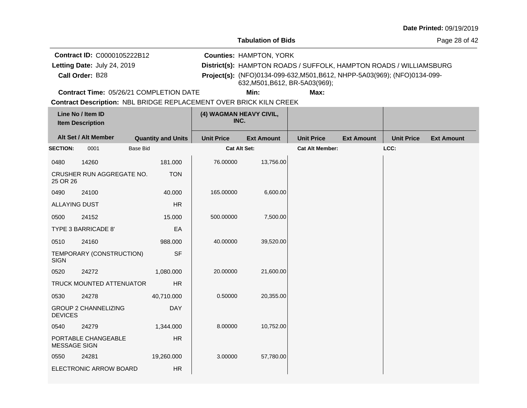**Tabulation of Bids**

Page 28 of 42

**Call Order:** Letting Date: July 24, 2019 **District(s): HAMPTON ROADS / SUFFOLK, HAMPTON ROADS / WILLIAMSBURG Contract ID:** C0000105222B12 **Counties:** HAMPTON, YORK B28 **Project(s):** (NFO)0134-099-632,M501,B612, NHPP-5A03(969); (NFO)0134-099- Letting Date: July 24, 2019 632,M501,B612, BR-5A03(969);

**Contract Time:** 05/26/21 COMPLETION DATE

**Min: Max:**

|                      | Line No / Item ID<br><b>Item Description</b> |                 |                           | (4) WAGMAN HEAVY CIVIL,<br>INC. |                   |                        |                   |                   |                   |
|----------------------|----------------------------------------------|-----------------|---------------------------|---------------------------------|-------------------|------------------------|-------------------|-------------------|-------------------|
|                      | Alt Set / Alt Member                         |                 | <b>Quantity and Units</b> | <b>Unit Price</b>               | <b>Ext Amount</b> | <b>Unit Price</b>      | <b>Ext Amount</b> | <b>Unit Price</b> | <b>Ext Amount</b> |
| <b>SECTION:</b>      | 0001                                         | <b>Base Bid</b> |                           | <b>Cat Alt Set:</b>             |                   | <b>Cat Alt Member:</b> |                   | LCC:              |                   |
| 0480                 | 14260                                        |                 | 181.000                   | 76.00000                        | 13,756.00         |                        |                   |                   |                   |
| 25 OR 26             | CRUSHER RUN AGGREGATE NO.                    |                 | <b>TON</b>                |                                 |                   |                        |                   |                   |                   |
| 0490                 | 24100                                        |                 | 40.000                    | 165.00000                       | 6,600.00          |                        |                   |                   |                   |
| <b>ALLAYING DUST</b> |                                              |                 | <b>HR</b>                 |                                 |                   |                        |                   |                   |                   |
| 0500                 | 24152                                        |                 | 15.000                    | 500.00000                       | 7,500.00          |                        |                   |                   |                   |
|                      | TYPE 3 BARRICADE 8'                          |                 | EA                        |                                 |                   |                        |                   |                   |                   |
| 0510                 | 24160                                        |                 | 988.000                   | 40.00000                        | 39,520.00         |                        |                   |                   |                   |
| <b>SIGN</b>          | TEMPORARY (CONSTRUCTION)                     |                 | <b>SF</b>                 |                                 |                   |                        |                   |                   |                   |
| 0520                 | 24272                                        |                 | 1,080.000                 | 20.00000                        | 21,600.00         |                        |                   |                   |                   |
|                      | <b>TRUCK MOUNTED ATTENUATOR</b>              |                 | <b>HR</b>                 |                                 |                   |                        |                   |                   |                   |
| 0530                 | 24278                                        |                 | 40,710.000                | 0.50000                         | 20,355.00         |                        |                   |                   |                   |
| <b>DEVICES</b>       | <b>GROUP 2 CHANNELIZING</b>                  |                 | <b>DAY</b>                |                                 |                   |                        |                   |                   |                   |
| 0540                 | 24279                                        |                 | 1,344.000                 | 8.00000                         | 10,752.00         |                        |                   |                   |                   |
| <b>MESSAGE SIGN</b>  | PORTABLE CHANGEABLE                          |                 | HR                        |                                 |                   |                        |                   |                   |                   |
| 0550                 | 24281                                        |                 | 19,260.000                | 3.00000                         | 57,780.00         |                        |                   |                   |                   |
|                      | ELECTRONIC ARROW BOARD                       |                 | <b>HR</b>                 |                                 |                   |                        |                   |                   |                   |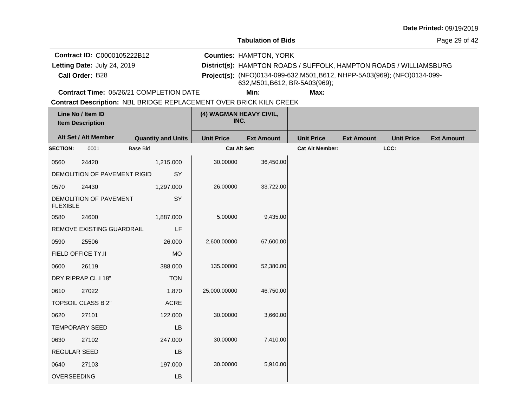**Tabulation of Bids**

Page 29 of 42

**Call Order:** Letting Date: July 24, 2019 **District(s): HAMPTON ROADS / SUFFOLK, HAMPTON ROADS / WILLIAMSBURG Contract ID:** C0000105222B12 **Counties:** HAMPTON, YORK B28 **Project(s):** (NFO)0134-099-632,M501,B612, NHPP-5A03(969); (NFO)0134-099- Letting Date: July 24, 2019 632,M501,B612, BR-5A03(969);

**Contract Time:** 05/26/21 COMPLETION DATE

**Min: Max:**

|                 | Line No / Item ID<br><b>Item Description</b> |                           | (4) WAGMAN HEAVY CIVIL,<br>INC. |                   |                        |                   |                   |                   |
|-----------------|----------------------------------------------|---------------------------|---------------------------------|-------------------|------------------------|-------------------|-------------------|-------------------|
|                 | Alt Set / Alt Member                         | <b>Quantity and Units</b> | <b>Unit Price</b>               | <b>Ext Amount</b> | <b>Unit Price</b>      | <b>Ext Amount</b> | <b>Unit Price</b> | <b>Ext Amount</b> |
| <b>SECTION:</b> | 0001                                         | <b>Base Bid</b>           | <b>Cat Alt Set:</b>             |                   | <b>Cat Alt Member:</b> |                   | LCC:              |                   |
| 0560            | 24420                                        | 1,215.000                 | 30.00000                        | 36,450.00         |                        |                   |                   |                   |
|                 | DEMOLITION OF PAVEMENT RIGID                 | SY                        |                                 |                   |                        |                   |                   |                   |
| 0570            | 24430                                        | 1,297.000                 | 26.00000                        | 33,722.00         |                        |                   |                   |                   |
| <b>FLEXIBLE</b> | DEMOLITION OF PAVEMENT                       | SY                        |                                 |                   |                        |                   |                   |                   |
| 0580            | 24600                                        | 1,887.000                 | 5.00000                         | 9,435.00          |                        |                   |                   |                   |
|                 | REMOVE EXISTING GUARDRAIL                    | LF                        |                                 |                   |                        |                   |                   |                   |
| 0590            | 25506                                        | 26.000                    | 2,600.00000                     | 67,600.00         |                        |                   |                   |                   |
|                 | FIELD OFFICE TY.II                           | <b>MO</b>                 |                                 |                   |                        |                   |                   |                   |
| 0600            | 26119                                        | 388.000                   | 135.00000                       | 52,380.00         |                        |                   |                   |                   |
|                 | DRY RIPRAP CL.I 18"                          | <b>TON</b>                |                                 |                   |                        |                   |                   |                   |
| 0610            | 27022                                        | 1.870                     | 25,000.00000                    | 46,750.00         |                        |                   |                   |                   |
|                 | <b>TOPSOIL CLASS B 2"</b>                    | <b>ACRE</b>               |                                 |                   |                        |                   |                   |                   |
| 0620            | 27101                                        | 122.000                   | 30.00000                        | 3,660.00          |                        |                   |                   |                   |
|                 | <b>TEMPORARY SEED</b>                        | LB                        |                                 |                   |                        |                   |                   |                   |
| 0630            | 27102                                        | 247.000                   | 30.00000                        | 7,410.00          |                        |                   |                   |                   |
| REGULAR SEED    |                                              | LB                        |                                 |                   |                        |                   |                   |                   |
| 0640            | 27103                                        | 197.000                   | 30.00000                        | 5,910.00          |                        |                   |                   |                   |
| OVERSEEDING     |                                              | <b>LB</b>                 |                                 |                   |                        |                   |                   |                   |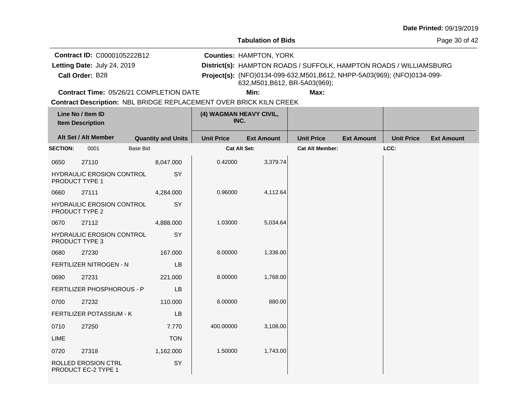**Tabulation of Bids**

Page 30 of 42

**Call Order:** Letting Date: July 24, 2019 **District(s): HAMPTON ROADS / SUFFOLK, HAMPTON ROADS / WILLIAMSBURG Contract ID:** C0000105222B12 **Counties:** HAMPTON, YORK B28 **Project(s):** (NFO)0134-099-632,M501,B612, NHPP-5A03(969); (NFO)0134-099- Letting Date: July 24, 2019 632,M501,B612, BR-5A03(969);

**Contract Time:** 05/26/21 COMPLETION DATE

**Min: Max:**

|                 | Line No / Item ID<br><b>Item Description</b>       |                 |                           | (4) WAGMAN HEAVY CIVIL,<br>INC. |                   |                        |                   |                   |                   |
|-----------------|----------------------------------------------------|-----------------|---------------------------|---------------------------------|-------------------|------------------------|-------------------|-------------------|-------------------|
|                 | Alt Set / Alt Member                               |                 | <b>Quantity and Units</b> | <b>Unit Price</b>               | <b>Ext Amount</b> | <b>Unit Price</b>      | <b>Ext Amount</b> | <b>Unit Price</b> | <b>Ext Amount</b> |
| <b>SECTION:</b> | 0001                                               | <b>Base Bid</b> |                           | <b>Cat Alt Set:</b>             |                   | <b>Cat Alt Member:</b> |                   | LCC:              |                   |
| 0650            | 27110                                              |                 | 8,047.000                 | 0.42000                         | 3,379.74          |                        |                   |                   |                   |
|                 | <b>HYDRAULIC EROSION CONTROL</b><br>PRODUCT TYPE 1 |                 | SY                        |                                 |                   |                        |                   |                   |                   |
| 0660            | 27111                                              |                 | 4,284.000                 | 0.96000                         | 4,112.64          |                        |                   |                   |                   |
|                 | HYDRAULIC EROSION CONTROL<br>PRODUCT TYPE 2        |                 | SY                        |                                 |                   |                        |                   |                   |                   |
| 0670            | 27112                                              |                 | 4,888.000                 | 1.03000                         | 5,034.64          |                        |                   |                   |                   |
|                 | HYDRAULIC EROSION CONTROL<br>PRODUCT TYPE 3        |                 | SY                        |                                 |                   |                        |                   |                   |                   |
| 0680            | 27230                                              |                 | 167.000                   | 8.00000                         | 1,336.00          |                        |                   |                   |                   |
|                 | FERTILIZER NITROGEN - N                            |                 | LB                        |                                 |                   |                        |                   |                   |                   |
| 0690            | 27231                                              |                 | 221.000                   | 8.00000                         | 1,768.00          |                        |                   |                   |                   |
|                 | FERTILIZER PHOSPHOROUS - P                         |                 | <b>LB</b>                 |                                 |                   |                        |                   |                   |                   |
| 0700            | 27232                                              |                 | 110.000                   | 8.00000                         | 880.00            |                        |                   |                   |                   |
|                 | <b>FERTILIZER POTASSIUM - K</b>                    |                 | LB                        |                                 |                   |                        |                   |                   |                   |
| 0710            | 27250                                              |                 | 7.770                     | 400.00000                       | 3,108.00          |                        |                   |                   |                   |
| LIME            |                                                    |                 | <b>TON</b>                |                                 |                   |                        |                   |                   |                   |
| 0720            | 27318                                              |                 | 1,162.000                 | 1.50000                         | 1,743.00          |                        |                   |                   |                   |
|                 | ROLLED EROSION CTRL<br>PRODUCT EC-2 TYPE 1         |                 | SY                        |                                 |                   |                        |                   |                   |                   |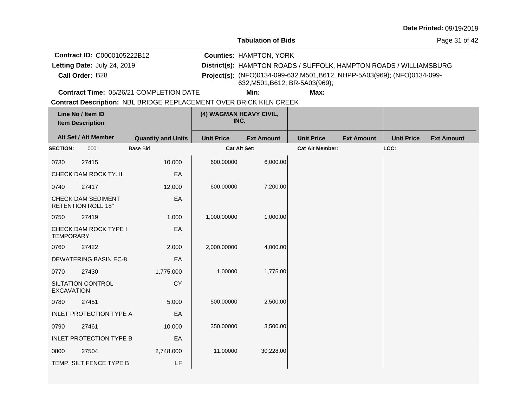**Tabulation of Bids**

Page 31 of 42

**Call Order:** Letting Date: July 24, 2019 **District(s): HAMPTON ROADS / SUFFOLK, HAMPTON ROADS / WILLIAMSBURG Contract ID:** C0000105222B12 **Counties:** HAMPTON, YORK B28 **Project(s):** (NFO)0134-099-632,M501,B612, NHPP-5A03(969); (NFO)0134-099- Letting Date: July 24, 2019 632,M501,B612, BR-5A03(969);

**Contract Time:** 05/26/21 COMPLETION DATE

**Min: Max:**

|                   | Line No / Item ID<br><b>Item Description</b>    |                           | (4) WAGMAN HEAVY CIVIL,<br>INC. |                   |                        |                   |                   |                   |
|-------------------|-------------------------------------------------|---------------------------|---------------------------------|-------------------|------------------------|-------------------|-------------------|-------------------|
|                   | Alt Set / Alt Member                            | <b>Quantity and Units</b> | <b>Unit Price</b>               | <b>Ext Amount</b> | <b>Unit Price</b>      | <b>Ext Amount</b> | <b>Unit Price</b> | <b>Ext Amount</b> |
| <b>SECTION:</b>   | 0001                                            | <b>Base Bid</b>           | <b>Cat Alt Set:</b>             |                   | <b>Cat Alt Member:</b> |                   | LCC:              |                   |
| 0730              | 27415                                           | 10.000                    | 600.00000                       | 6,000.00          |                        |                   |                   |                   |
|                   | CHECK DAM ROCK TY. II                           | EA                        |                                 |                   |                        |                   |                   |                   |
| 0740              | 27417                                           | 12.000                    | 600.00000                       | 7,200.00          |                        |                   |                   |                   |
|                   | CHECK DAM SEDIMENT<br><b>RETENTION ROLL 18"</b> | EA                        |                                 |                   |                        |                   |                   |                   |
| 0750              | 27419                                           | 1.000                     | 1,000.00000                     | 1,000.00          |                        |                   |                   |                   |
| <b>TEMPORARY</b>  | CHECK DAM ROCK TYPE I                           | EA                        |                                 |                   |                        |                   |                   |                   |
| 0760              | 27422                                           | 2.000                     | 2,000.00000                     | 4,000.00          |                        |                   |                   |                   |
|                   | <b>DEWATERING BASIN EC-8</b>                    | EA                        |                                 |                   |                        |                   |                   |                   |
| 0770              | 27430                                           | 1,775.000                 | 1.00000                         | 1,775.00          |                        |                   |                   |                   |
| <b>EXCAVATION</b> | SILTATION CONTROL                               | CY                        |                                 |                   |                        |                   |                   |                   |
| 0780              | 27451                                           | 5.000                     | 500.00000                       | 2,500.00          |                        |                   |                   |                   |
|                   | <b>INLET PROTECTION TYPE A</b>                  | EA                        |                                 |                   |                        |                   |                   |                   |
| 0790              | 27461                                           | 10.000                    | 350.00000                       | 3,500.00          |                        |                   |                   |                   |
|                   | <b>INLET PROTECTION TYPE B</b>                  | EA                        |                                 |                   |                        |                   |                   |                   |
| 0800              | 27504                                           | 2,748.000                 | 11.00000                        | 30,228.00         |                        |                   |                   |                   |
|                   | TEMP. SILT FENCE TYPE B                         | LF                        |                                 |                   |                        |                   |                   |                   |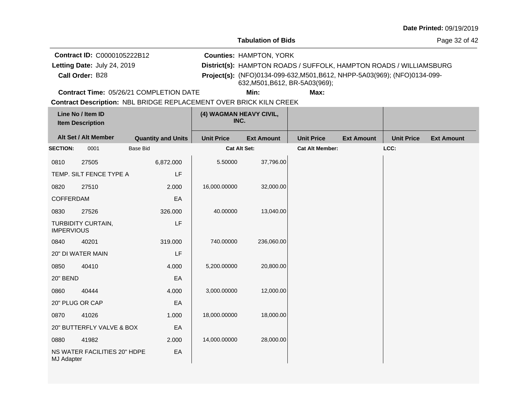**Tabulation of Bids**

Page 32 of 42

**Call Order:** Letting Date: July 24, 2019 **District(s): HAMPTON ROADS / SUFFOLK, HAMPTON ROADS / WILLIAMSBURG Contract ID:** C0000105222B12 **Counties:** HAMPTON, YORK B28 **Project(s):** (NFO)0134-099-632,M501,B612, NHPP-5A03(969); (NFO)0134-099- Letting Date: July 24, 2019 632,M501,B612, BR-5A03(969);

**Contract Time:** 05/26/21 COMPLETION DATE

**Min: Max:**

|                                               | Line No / Item ID<br><b>Item Description</b> |                           | (4) WAGMAN HEAVY CIVIL,<br>INC. |                   |                        |                   |                   |                   |
|-----------------------------------------------|----------------------------------------------|---------------------------|---------------------------------|-------------------|------------------------|-------------------|-------------------|-------------------|
|                                               | Alt Set / Alt Member                         | <b>Quantity and Units</b> | <b>Unit Price</b>               | <b>Ext Amount</b> | <b>Unit Price</b>      | <b>Ext Amount</b> | <b>Unit Price</b> | <b>Ext Amount</b> |
| <b>SECTION:</b>                               | 0001                                         | <b>Base Bid</b>           | Cat Alt Set:                    |                   | <b>Cat Alt Member:</b> |                   | LCC:              |                   |
| 0810                                          | 27505                                        | 6,872.000                 | 5.50000                         | 37,796.00         |                        |                   |                   |                   |
|                                               | TEMP. SILT FENCE TYPE A                      | LF                        |                                 |                   |                        |                   |                   |                   |
| 0820                                          | 27510                                        | 2.000                     | 16,000.00000                    | 32,000.00         |                        |                   |                   |                   |
| <b>COFFERDAM</b><br>EA                        |                                              |                           |                                 |                   |                        |                   |                   |                   |
| 0830                                          | 27526                                        | 326.000                   | 40.00000                        | 13,040.00         |                        |                   |                   |                   |
| TURBIDITY CURTAIN,<br>LF<br><b>IMPERVIOUS</b> |                                              |                           |                                 |                   |                        |                   |                   |                   |
| 0840                                          | 40201                                        | 319.000                   | 740.00000                       | 236,060.00        |                        |                   |                   |                   |
|                                               | 20" DI WATER MAIN                            | LF                        |                                 |                   |                        |                   |                   |                   |
| 0850                                          | 40410                                        | 4.000                     | 5,200.00000                     | 20,800.00         |                        |                   |                   |                   |
| <b>20" BEND</b>                               |                                              | EA                        |                                 |                   |                        |                   |                   |                   |
| 0860                                          | 40444                                        | 4.000                     | 3,000.00000                     | 12,000.00         |                        |                   |                   |                   |
| 20" PLUG OR CAP                               |                                              | EA                        |                                 |                   |                        |                   |                   |                   |
| 0870                                          | 41026                                        | 1.000                     | 18,000.00000                    | 18,000.00         |                        |                   |                   |                   |
|                                               | 20" BUTTERFLY VALVE & BOX<br>EA              |                           |                                 |                   |                        |                   |                   |                   |
| 0880                                          | 41982                                        | 2.000                     | 14,000.00000                    | 28,000.00         |                        |                   |                   |                   |
| MJ Adapter                                    | NS WATER FACILITIES 20" HDPE                 | EA                        |                                 |                   |                        |                   |                   |                   |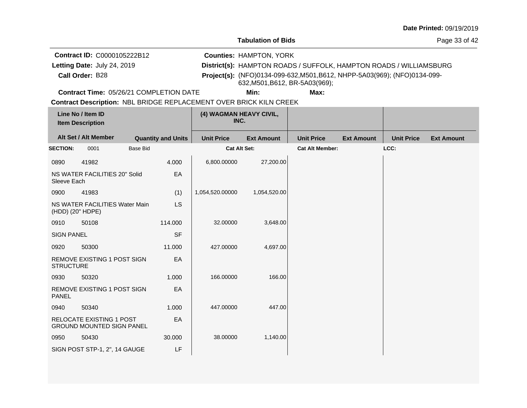|  |  | Date Printed: 09/19/2019 |  |
|--|--|--------------------------|--|
|--|--|--------------------------|--|

Page 33 of 42

**Call Order:** Letting Date: July 24, 2019 **District(s): HAMPTON ROADS / SUFFOLK, HAMPTON ROADS / WILLIAMSBURG Contract ID:** C0000105222B12 **Counties:** HAMPTON, YORK B28 **Project(s):** (NFO)0134-099-632,M501,B612, NHPP-5A03(969); (NFO)0134-099- Letting Date: July 24, 2019 632,M501,B612, BR-5A03(969);

**Contract Time:** 05/26/21 COMPLETION DATE

**Min: Max:**

|                   | Line No / Item ID<br><b>Item Description</b>                        |                 |                           |                     | (4) WAGMAN HEAVY CIVIL,<br>INC. |                        |                   |                   |                   |
|-------------------|---------------------------------------------------------------------|-----------------|---------------------------|---------------------|---------------------------------|------------------------|-------------------|-------------------|-------------------|
|                   | Alt Set / Alt Member                                                |                 | <b>Quantity and Units</b> | <b>Unit Price</b>   | <b>Ext Amount</b>               | <b>Unit Price</b>      | <b>Ext Amount</b> | <b>Unit Price</b> | <b>Ext Amount</b> |
| <b>SECTION:</b>   | 0001                                                                | <b>Base Bid</b> |                           | <b>Cat Alt Set:</b> |                                 | <b>Cat Alt Member:</b> |                   | LCC:              |                   |
| 0890              | 41982                                                               |                 | 4.000                     | 6,800.00000         | 27,200.00                       |                        |                   |                   |                   |
| Sleeve Each       | NS WATER FACILITIES 20" Solid                                       |                 | EA                        |                     |                                 |                        |                   |                   |                   |
| 0900              | 41983                                                               |                 | (1)                       | 1,054,520.00000     | 1,054,520.00                    |                        |                   |                   |                   |
| (HDD) (20" HDPE)  | NS WATER FACILITIES Water Main                                      |                 | LS                        |                     |                                 |                        |                   |                   |                   |
| 0910              | 50108                                                               |                 | 114.000                   | 32.00000            | 3,648.00                        |                        |                   |                   |                   |
| <b>SIGN PANEL</b> |                                                                     |                 | <b>SF</b>                 |                     |                                 |                        |                   |                   |                   |
| 0920              | 50300                                                               |                 | 11.000                    | 427.00000           | 4,697.00                        |                        |                   |                   |                   |
| <b>STRUCTURE</b>  | REMOVE EXISTING 1 POST SIGN                                         |                 | EA                        |                     |                                 |                        |                   |                   |                   |
| 0930              | 50320                                                               |                 | 1.000                     | 166.00000           | 166.00                          |                        |                   |                   |                   |
| <b>PANEL</b>      | REMOVE EXISTING 1 POST SIGN                                         |                 | EA                        |                     |                                 |                        |                   |                   |                   |
| 0940              | 50340                                                               |                 | 1.000                     | 447.00000           | 447.00                          |                        |                   |                   |                   |
|                   | <b>RELOCATE EXISTING 1 POST</b><br><b>GROUND MOUNTED SIGN PANEL</b> |                 | EA                        |                     |                                 |                        |                   |                   |                   |
| 0950              | 50430                                                               |                 | 30.000                    | 38.00000            | 1,140.00                        |                        |                   |                   |                   |
|                   | SIGN POST STP-1, 2", 14 GAUGE                                       |                 | LF                        |                     |                                 |                        |                   |                   |                   |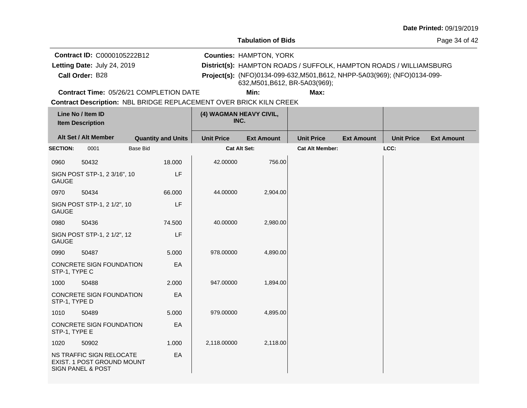**Tabulation of Bids**

Page 34 of 42

**Call Order:** Letting Date: July 24, 2019 **District(s): HAMPTON ROADS / SUFFOLK, HAMPTON ROADS / WILLIAMSBURG Contract ID:** C0000105222B12 **Counties:** HAMPTON, YORK B28 **Project(s):** (NFO)0134-099-632,M501,B612, NHPP-5A03(969); (NFO)0134-099- Letting Date: July 24, 2019 632,M501,B612, BR-5A03(969);

**Contract Time:** 05/26/21 COMPLETION DATE

**Min: Max:**

|                 | Line No / Item ID<br><b>Item Description</b>                                           |                           | (4) WAGMAN HEAVY CIVIL,<br>INC. |                   |                        |                   |                   |                   |
|-----------------|----------------------------------------------------------------------------------------|---------------------------|---------------------------------|-------------------|------------------------|-------------------|-------------------|-------------------|
|                 | Alt Set / Alt Member                                                                   | <b>Quantity and Units</b> | <b>Unit Price</b>               | <b>Ext Amount</b> | <b>Unit Price</b>      | <b>Ext Amount</b> | <b>Unit Price</b> | <b>Ext Amount</b> |
| <b>SECTION:</b> | 0001                                                                                   | <b>Base Bid</b>           | <b>Cat Alt Set:</b>             |                   | <b>Cat Alt Member:</b> |                   | LCC:              |                   |
| 0960            | 50432                                                                                  | 18.000                    | 42.00000                        | 756.00            |                        |                   |                   |                   |
| <b>GAUGE</b>    | SIGN POST STP-1, 2 3/16", 10                                                           | LF                        |                                 |                   |                        |                   |                   |                   |
| 0970            | 50434                                                                                  | 66.000                    | 44.00000                        | 2,904.00          |                        |                   |                   |                   |
| <b>GAUGE</b>    | SIGN POST STP-1, 2 1/2", 10                                                            | LF                        |                                 |                   |                        |                   |                   |                   |
| 0980            | 50436                                                                                  | 74.500                    | 40.00000                        | 2,980.00          |                        |                   |                   |                   |
| <b>GAUGE</b>    | SIGN POST STP-1, 2 1/2", 12                                                            | LF                        |                                 |                   |                        |                   |                   |                   |
| 0990            | 50487                                                                                  | 5.000                     | 978.00000                       | 4,890.00          |                        |                   |                   |                   |
| STP-1, TYPE C   | CONCRETE SIGN FOUNDATION                                                               | EA                        |                                 |                   |                        |                   |                   |                   |
| 1000            | 50488                                                                                  | 2.000                     | 947.00000                       | 1,894.00          |                        |                   |                   |                   |
| STP-1, TYPE D   | CONCRETE SIGN FOUNDATION                                                               | EA                        |                                 |                   |                        |                   |                   |                   |
| 1010            | 50489                                                                                  | 5.000                     | 979.00000                       | 4,895.00          |                        |                   |                   |                   |
| STP-1, TYPE E   | CONCRETE SIGN FOUNDATION                                                               | EA                        |                                 |                   |                        |                   |                   |                   |
| 1020            | 50902                                                                                  | 1.000                     | 2,118.00000                     | 2,118.00          |                        |                   |                   |                   |
|                 | NS TRAFFIC SIGN RELOCATE<br>EXIST. 1 POST GROUND MOUNT<br><b>SIGN PANEL &amp; POST</b> | EA                        |                                 |                   |                        |                   |                   |                   |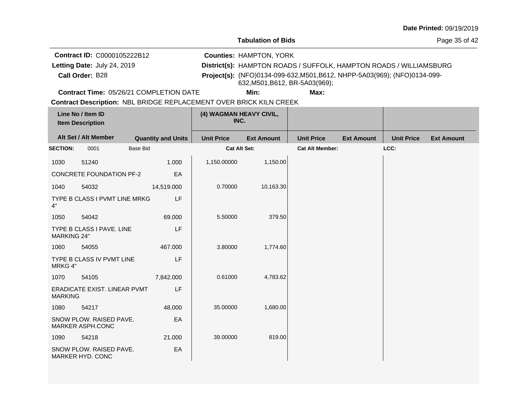**Tabulation of Bids**

Page 35 of 42

**Call Order:** Letting Date: July 24, 2019 **District(s): HAMPTON ROADS / SUFFOLK, HAMPTON ROADS / WILLIAMSBURG Contract ID:** C0000105222B12 **Counties:** HAMPTON, YORK B28 **Project(s):** (NFO)0134-099-632,M501,B612, NHPP-5A03(969); (NFO)0134-099- Letting Date: July 24, 2019 632,M501,B612, BR-5A03(969);

**Contract Time:** 05/26/21 COMPLETION DATE

**Min: Max:**

|                    | Line No / Item ID<br>(4) WAGMAN HEAVY CIVIL,<br>INC.<br><b>Item Description</b> |                 |                           |                     |                   |                        |                   |                   |                   |
|--------------------|---------------------------------------------------------------------------------|-----------------|---------------------------|---------------------|-------------------|------------------------|-------------------|-------------------|-------------------|
|                    | Alt Set / Alt Member                                                            |                 | <b>Quantity and Units</b> | <b>Unit Price</b>   | <b>Ext Amount</b> | <b>Unit Price</b>      | <b>Ext Amount</b> | <b>Unit Price</b> | <b>Ext Amount</b> |
| <b>SECTION:</b>    | 0001                                                                            | <b>Base Bid</b> |                           | <b>Cat Alt Set:</b> |                   | <b>Cat Alt Member:</b> |                   | LCC:              |                   |
| 1030               | 51240                                                                           |                 | 1.000                     | 1,150.00000         | 1,150.00          |                        |                   |                   |                   |
|                    | <b>CONCRETE FOUNDATION PF-2</b>                                                 |                 | EA                        |                     |                   |                        |                   |                   |                   |
| 1040               | 54032                                                                           |                 | 14,519.000                | 0.70000             | 10,163.30         |                        |                   |                   |                   |
| 4"                 | TYPE B CLASS I PVMT LINE MRKG                                                   |                 | <b>LF</b>                 |                     |                   |                        |                   |                   |                   |
| 1050               | 54042                                                                           |                 | 69.000                    | 5.50000             | 379.50            |                        |                   |                   |                   |
| <b>MARKING 24"</b> | TYPE B CLASS I PAVE, LINE                                                       |                 | LF                        |                     |                   |                        |                   |                   |                   |
| 1060               | 54055                                                                           |                 | 467.000                   | 3.80000             | 1,774.60          |                        |                   |                   |                   |
| MRKG 4"            | TYPE B CLASS IV PVMT LINE                                                       |                 | LF                        |                     |                   |                        |                   |                   |                   |
| 1070               | 54105                                                                           |                 | 7,842.000                 | 0.61000             | 4,783.62          |                        |                   |                   |                   |
| <b>MARKING</b>     | ERADICATE EXIST. LINEAR PVMT                                                    |                 | LF                        |                     |                   |                        |                   |                   |                   |
| 1080               | 54217                                                                           |                 | 48.000                    | 35.00000            | 1,680.00          |                        |                   |                   |                   |
|                    | SNOW PLOW. RAISED PAVE.<br>MARKER ASPH.CONC                                     |                 | EA                        |                     |                   |                        |                   |                   |                   |
| 1090               | 54218                                                                           |                 | 21.000                    | 39.00000            | 819.00            |                        |                   |                   |                   |
|                    | SNOW PLOW. RAISED PAVE.<br>MARKER HYD. CONC                                     |                 | EA                        |                     |                   |                        |                   |                   |                   |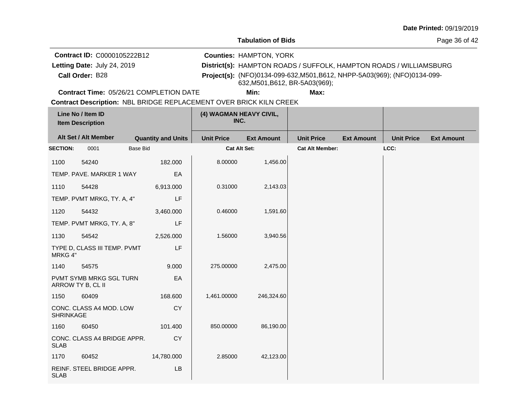**Tabulation of Bids**

Page 36 of 42

**Call Order:** Letting Date: July 24, 2019 **District(s): HAMPTON ROADS / SUFFOLK, HAMPTON ROADS / WILLIAMSBURG Contract ID:** C0000105222B12 **Counties:** HAMPTON, YORK B28 **Project(s):** (NFO)0134-099-632,M501,B612, NHPP-5A03(969); (NFO)0134-099- Letting Date: July 24, 2019 632,M501,B612, BR-5A03(969);

**Contract Time:** 05/26/21 COMPLETION DATE

**Min: Max:**

|                  | Line No / Item ID<br><b>Item Description</b> |                           | (4) WAGMAN HEAVY CIVIL,<br>INC. |                   |                        |                   |                   |                   |
|------------------|----------------------------------------------|---------------------------|---------------------------------|-------------------|------------------------|-------------------|-------------------|-------------------|
|                  | Alt Set / Alt Member                         | <b>Quantity and Units</b> | <b>Unit Price</b>               | <b>Ext Amount</b> | <b>Unit Price</b>      | <b>Ext Amount</b> | <b>Unit Price</b> | <b>Ext Amount</b> |
| <b>SECTION:</b>  | 0001                                         | <b>Base Bid</b>           | <b>Cat Alt Set:</b>             |                   | <b>Cat Alt Member:</b> |                   | LCC:              |                   |
| 1100             | 54240                                        | 182.000                   | 8.00000                         | 1,456.00          |                        |                   |                   |                   |
|                  | TEMP. PAVE. MARKER 1 WAY                     | EA                        |                                 |                   |                        |                   |                   |                   |
| 1110             | 54428                                        | 6,913.000                 | 0.31000                         | 2,143.03          |                        |                   |                   |                   |
|                  | TEMP. PVMT MRKG, TY. A, 4"                   | LF                        |                                 |                   |                        |                   |                   |                   |
| 1120             | 54432                                        | 3,460.000                 | 0.46000                         | 1,591.60          |                        |                   |                   |                   |
|                  | TEMP. PVMT MRKG, TY. A, 8"                   | LF                        |                                 |                   |                        |                   |                   |                   |
| 1130             | 54542                                        | 2,526.000                 | 1.56000                         | 3,940.56          |                        |                   |                   |                   |
| MRKG 4"          | TYPE D, CLASS III TEMP. PVMT                 | LF                        |                                 |                   |                        |                   |                   |                   |
| 1140             | 54575                                        | 9.000                     | 275.00000                       | 2,475.00          |                        |                   |                   |                   |
|                  | PVMT SYMB MRKG SGL TURN<br>ARROW TY B, CL II | EA                        |                                 |                   |                        |                   |                   |                   |
| 1150             | 60409                                        | 168.600                   | 1,461.00000                     | 246,324.60        |                        |                   |                   |                   |
| <b>SHRINKAGE</b> | CONC. CLASS A4 MOD. LOW                      | <b>CY</b>                 |                                 |                   |                        |                   |                   |                   |
| 1160             | 60450                                        | 101.400                   | 850.00000                       | 86,190.00         |                        |                   |                   |                   |
| <b>SLAB</b>      | CONC. CLASS A4 BRIDGE APPR.                  | <b>CY</b>                 |                                 |                   |                        |                   |                   |                   |
| 1170             | 60452                                        | 14,780.000                | 2.85000                         | 42,123.00         |                        |                   |                   |                   |
| <b>SLAB</b>      | REINF. STEEL BRIDGE APPR.                    | LB                        |                                 |                   |                        |                   |                   |                   |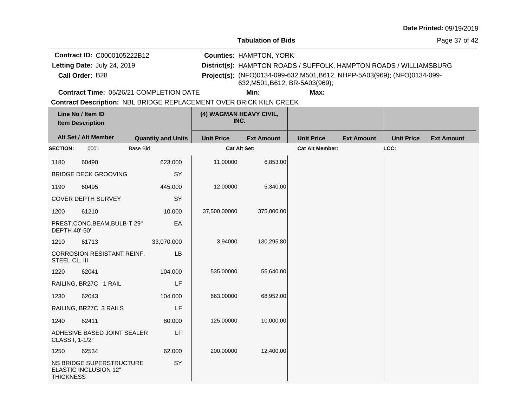**Tabulation of Bids**

Page 37 of 42

**Call Order:** Letting Date: July 24, 2019 **District(s): HAMPTON ROADS / SUFFOLK, HAMPTON ROADS / WILLIAMSBURG Contract ID:** C0000105222B12 **Counties:** HAMPTON, YORK B28 **Project(s):** (NFO)0134-099-632,M501,B612, NHPP-5A03(969); (NFO)0134-099- Letting Date: July 24, 2019 632,M501,B612, BR-5A03(969);

**Contract Time:** 05/26/21 COMPLETION DATE

**Min: Max:**

|                  | Line No / Item ID<br><b>Item Description</b>             |                           | (4) WAGMAN HEAVY CIVIL,<br>INC. |                   |                        |                   |                   |                   |
|------------------|----------------------------------------------------------|---------------------------|---------------------------------|-------------------|------------------------|-------------------|-------------------|-------------------|
|                  | Alt Set / Alt Member                                     | <b>Quantity and Units</b> | <b>Unit Price</b>               | <b>Ext Amount</b> | <b>Unit Price</b>      | <b>Ext Amount</b> | <b>Unit Price</b> | <b>Ext Amount</b> |
| <b>SECTION:</b>  | 0001                                                     | <b>Base Bid</b>           | Cat Alt Set:                    |                   | <b>Cat Alt Member:</b> |                   | LCC:              |                   |
| 1180             | 60490                                                    | 623.000                   | 11.00000                        | 6,853.00          |                        |                   |                   |                   |
|                  | <b>BRIDGE DECK GROOVING</b>                              | SY                        |                                 |                   |                        |                   |                   |                   |
| 1190             | 60495                                                    | 445.000                   | 12.00000                        | 5,340.00          |                        |                   |                   |                   |
|                  | <b>COVER DEPTH SURVEY</b>                                | SY                        |                                 |                   |                        |                   |                   |                   |
| 1200             | 61210                                                    | 10.000                    | 37,500.00000                    | 375,000.00        |                        |                   |                   |                   |
| DEPTH 40'-50'    | PREST.CONC.BEAM, BULB-T 29"                              | EA                        |                                 |                   |                        |                   |                   |                   |
| 1210             | 61713                                                    | 33,070.000                | 3.94000                         | 130,295.80        |                        |                   |                   |                   |
| STEEL CL. III    | <b>CORROSION RESISTANT REINF.</b>                        | LB                        |                                 |                   |                        |                   |                   |                   |
| 1220             | 62041                                                    | 104.000                   | 535.00000                       | 55,640.00         |                        |                   |                   |                   |
|                  | RAILING, BR27C 1 RAIL                                    | LF                        |                                 |                   |                        |                   |                   |                   |
| 1230             | 62043                                                    | 104.000                   | 663.00000                       | 68,952.00         |                        |                   |                   |                   |
|                  | RAILING, BR27C 3 RAILS                                   | LF                        |                                 |                   |                        |                   |                   |                   |
| 1240             | 62411                                                    | 80.000                    | 125.00000                       | 10,000.00         |                        |                   |                   |                   |
| CLASS I, 1-1/2"  | ADHESIVE BASED JOINT SEALER                              | LF                        |                                 |                   |                        |                   |                   |                   |
| 1250             | 62534                                                    | 62.000                    | 200.00000                       | 12,400.00         |                        |                   |                   |                   |
| <b>THICKNESS</b> | NS BRIDGE SUPERSTRUCTURE<br><b>ELASTIC INCLUSION 12"</b> | SY                        |                                 |                   |                        |                   |                   |                   |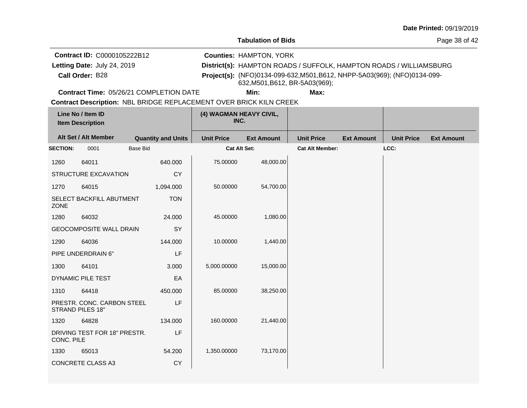**Tabulation of Bids**

Page 38 of 42

**Call Order:** Letting Date: July 24, 2019 **District(s): HAMPTON ROADS / SUFFOLK, HAMPTON ROADS / WILLIAMSBURG Contract ID:** C0000105222B12 **Counties:** HAMPTON, YORK B28 **Project(s):** (NFO)0134-099-632,M501,B612, NHPP-5A03(969); (NFO)0134-099- Letting Date: July 24, 2019 632,M501,B612, BR-5A03(969);

**Contract Time:** 05/26/21 COMPLETION DATE

**Min: Max:**

|                 | Line No / Item ID<br><b>Item Description</b>   |                           | (4) WAGMAN HEAVY CIVIL,<br>INC. |                   |                        |                   |                   |                   |
|-----------------|------------------------------------------------|---------------------------|---------------------------------|-------------------|------------------------|-------------------|-------------------|-------------------|
|                 | Alt Set / Alt Member                           | <b>Quantity and Units</b> | <b>Unit Price</b>               | <b>Ext Amount</b> | <b>Unit Price</b>      | <b>Ext Amount</b> | <b>Unit Price</b> | <b>Ext Amount</b> |
| <b>SECTION:</b> | 0001                                           | <b>Base Bid</b>           | <b>Cat Alt Set:</b>             |                   | <b>Cat Alt Member:</b> |                   | LCC:              |                   |
| 1260            | 64011                                          | 640.000                   | 75.00000                        | 48,000.00         |                        |                   |                   |                   |
|                 | STRUCTURE EXCAVATION                           | <b>CY</b>                 |                                 |                   |                        |                   |                   |                   |
| 1270            | 64015                                          | 1,094.000                 | 50.00000                        | 54,700.00         |                        |                   |                   |                   |
| ZONE            | SELECT BACKFILL ABUTMENT                       | <b>TON</b>                |                                 |                   |                        |                   |                   |                   |
| 1280            | 64032                                          | 24.000                    | 45.00000                        | 1,080.00          |                        |                   |                   |                   |
|                 | <b>GEOCOMPOSITE WALL DRAIN</b>                 | SY                        |                                 |                   |                        |                   |                   |                   |
| 1290            | 64036                                          | 144.000                   | 10.00000                        | 1,440.00          |                        |                   |                   |                   |
|                 | PIPE UNDERDRAIN 6"                             | LF                        |                                 |                   |                        |                   |                   |                   |
| 1300            | 64101                                          | 3.000                     | 5,000.00000                     | 15,000.00         |                        |                   |                   |                   |
|                 | DYNAMIC PILE TEST                              | EA                        |                                 |                   |                        |                   |                   |                   |
| 1310            | 64418                                          | 450.000                   | 85.00000                        | 38,250.00         |                        |                   |                   |                   |
|                 | PRESTR. CONC. CARBON STEEL<br>STRAND PILES 18" | LF                        |                                 |                   |                        |                   |                   |                   |
| 1320            | 64828                                          | 134.000                   | 160.00000                       | 21,440.00         |                        |                   |                   |                   |
| CONC. PILE      | DRIVING TEST FOR 18" PRESTR.                   | LF                        |                                 |                   |                        |                   |                   |                   |
| 1330            | 65013                                          | 54.200                    | 1,350.00000                     | 73,170.00         |                        |                   |                   |                   |
|                 | <b>CONCRETE CLASS A3</b>                       | <b>CY</b>                 |                                 |                   |                        |                   |                   |                   |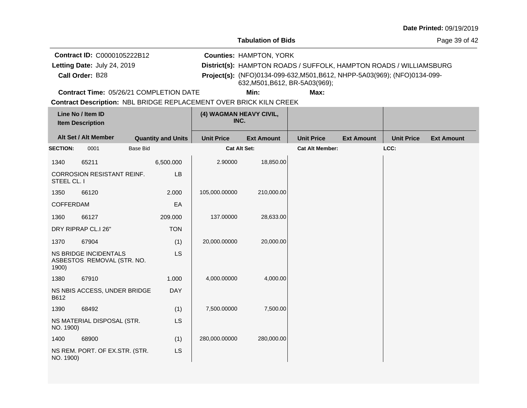**Tabulation of Bids**

Page 39 of 42

**Call Order:** Letting Date: July 24, 2019 **District(s): HAMPTON ROADS / SUFFOLK, HAMPTON ROADS / WILLIAMSBURG Contract ID:** C0000105222B12 **Counties:** HAMPTON, YORK B28 **Project(s):** (NFO)0134-099-632,M501,B612, NHPP-5A03(969); (NFO)0134-099- Letting Date: July 24, 2019 632,M501,B612, BR-5A03(969);

**Contract Time:** 05/26/21 COMPLETION DATE

**Min: Max:**

|                  | Line No / Item ID<br><b>Item Description</b>        |                 |                           | (4) WAGMAN HEAVY CIVIL,<br>INC. |                   |                        |                   |                   |                   |
|------------------|-----------------------------------------------------|-----------------|---------------------------|---------------------------------|-------------------|------------------------|-------------------|-------------------|-------------------|
|                  | Alt Set / Alt Member                                |                 | <b>Quantity and Units</b> | <b>Unit Price</b>               | <b>Ext Amount</b> | <b>Unit Price</b>      | <b>Ext Amount</b> | <b>Unit Price</b> | <b>Ext Amount</b> |
| <b>SECTION:</b>  | 0001                                                | <b>Base Bid</b> |                           | Cat Alt Set:                    |                   | <b>Cat Alt Member:</b> |                   | LCC:              |                   |
| 1340             | 65211                                               |                 | 6,500.000                 | 2.90000                         | 18,850.00         |                        |                   |                   |                   |
| STEEL CL. I      | <b>CORROSION RESISTANT REINF.</b>                   |                 | LB                        |                                 |                   |                        |                   |                   |                   |
| 1350             | 66120                                               |                 | 2.000                     | 105,000.00000                   | 210,000.00        |                        |                   |                   |                   |
| <b>COFFERDAM</b> |                                                     |                 | EA                        |                                 |                   |                        |                   |                   |                   |
| 1360             | 66127                                               |                 | 209.000                   | 137.00000                       | 28,633.00         |                        |                   |                   |                   |
|                  | DRY RIPRAP CL.I 26"                                 |                 | <b>TON</b>                |                                 |                   |                        |                   |                   |                   |
| 1370             | 67904                                               |                 | (1)                       | 20,000.00000                    | 20,000.00         |                        |                   |                   |                   |
| 1900)            | NS BRIDGE INCIDENTALS<br>ASBESTOS REMOVAL (STR. NO. |                 | <b>LS</b>                 |                                 |                   |                        |                   |                   |                   |
| 1380             | 67910                                               |                 | 1.000                     | 4,000.00000                     | 4,000.00          |                        |                   |                   |                   |
| B612             | NS NBIS ACCESS, UNDER BRIDGE                        |                 | <b>DAY</b>                |                                 |                   |                        |                   |                   |                   |
| 1390             | 68492                                               |                 | (1)                       | 7,500.00000                     | 7,500.00          |                        |                   |                   |                   |
| NO. 1900)        | NS MATERIAL DISPOSAL (STR.                          |                 | LS                        |                                 |                   |                        |                   |                   |                   |
| 1400             | 68900                                               |                 | (1)                       | 280,000.00000                   | 280,000.00        |                        |                   |                   |                   |
| NO. 1900)        | NS REM. PORT. OF EX.STR. (STR.                      |                 | <b>LS</b>                 |                                 |                   |                        |                   |                   |                   |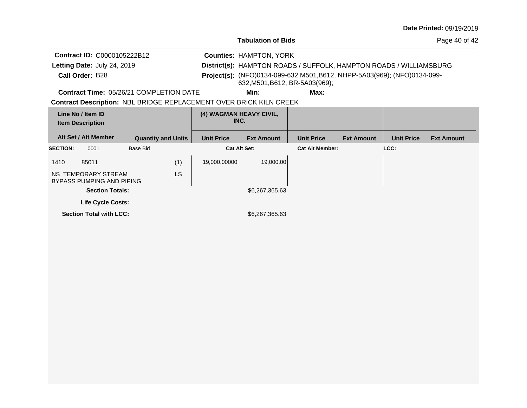| <b>Date Printed: 09/19/2019</b> |  |
|---------------------------------|--|
|---------------------------------|--|

Page 40 of 42

| Contract ID: C0000105222B12<br>Letting Date: July 24, 2019 |                                                                           |                     | <b>Counties: HAMPTON, YORK</b>  | District(s): HAMPTON ROADS / SUFFOLK, HAMPTON ROADS / WILLIAMSBURG                                          |                   |                   |                   |
|------------------------------------------------------------|---------------------------------------------------------------------------|---------------------|---------------------------------|-------------------------------------------------------------------------------------------------------------|-------------------|-------------------|-------------------|
| Call Order: B28                                            |                                                                           |                     |                                 | Project(s): (NFO)0134-099-632, M501, B612, NHPP-5A03(969); (NFO)0134-099-<br>632, M501, B612, BR-5A03(969); |                   |                   |                   |
|                                                            | <b>Contract Time: 05/26/21 COMPLETION DATE</b>                            |                     | Min:                            | Max:                                                                                                        |                   |                   |                   |
|                                                            | <b>Contract Description: NBL BRIDGE REPLACEMENT OVER BRICK KILN CREEK</b> |                     |                                 |                                                                                                             |                   |                   |                   |
| Line No / Item ID<br><b>Item Description</b>               |                                                                           |                     | (4) WAGMAN HEAVY CIVIL,<br>INC. |                                                                                                             |                   |                   |                   |
| Alt Set / Alt Member                                       | <b>Quantity and Units</b>                                                 | <b>Unit Price</b>   | <b>Ext Amount</b>               | <b>Unit Price</b>                                                                                           | <b>Ext Amount</b> | <b>Unit Price</b> | <b>Ext Amount</b> |
| <b>SECTION:</b><br>0001                                    | Base Bid                                                                  | <b>Cat Alt Set:</b> |                                 | <b>Cat Alt Member:</b>                                                                                      |                   | LCC:              |                   |
| 1410<br>85011                                              | (1)                                                                       | 19,000.00000        | 19,000.00                       |                                                                                                             |                   |                   |                   |
| NS TEMPORARY STREAM<br>BYPASS PUMPING AND PIPING           | LS                                                                        |                     |                                 |                                                                                                             |                   |                   |                   |
| <b>Section Totals:</b>                                     |                                                                           |                     | \$6,267,365.63                  |                                                                                                             |                   |                   |                   |
|                                                            |                                                                           |                     |                                 |                                                                                                             |                   |                   |                   |
| <b>Life Cycle Costs:</b>                                   |                                                                           |                     |                                 |                                                                                                             |                   |                   |                   |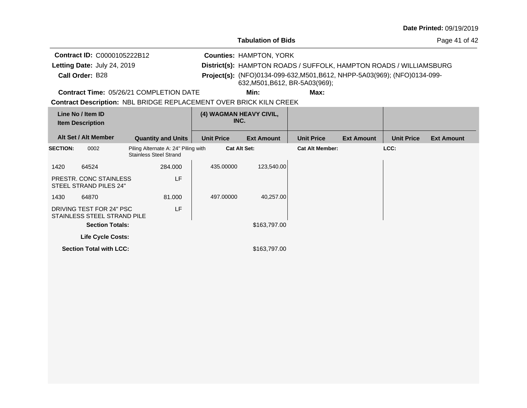| <b>Date Printed: 09/19/2019</b> |  |
|---------------------------------|--|
|---------------------------------|--|

Page 41 of 42

**Quantity and Units Unit Price Alt Set / Alt Member Ext Amount Ext Amount Line No / Item ID Unit Price Ext Amount Unit Price Item Description (4) WAGMAN HEAVY CIVIL, INC.** 0002 Piling Alternate A: 24" Piling with **SECTION: Cat Alt Set: Cat Alt Member: LCC:** Stainless Steel Strand **Contract Description: NBL BRIDGE REPLACEMENT OVER BRICK KILN CREEK Call Order:** Letting Date: July 24, 2019 **District(s): HAMPTON ROADS / SUFFOLK, HAMPTON ROADS / WILLIAMSBURG Contract ID:** C0000105222B12 **Counties:** HAMPTON, YORK B28 **Project(s):** (NFO)0134-099-632,M501,B612, NHPP-5A03(969); (NFO)0134-099- **Contract Time:** 05/26/21 COMPLETION DATE Letting Date: July 24, 2019 **Min: Max:** 632,M501,B612, BR-5A03(969);

| 1420 | 64524                                                   | 284.000 | 435,00000 | 123,540.00   |
|------|---------------------------------------------------------|---------|-----------|--------------|
|      | PRESTR. CONC STAINLESS<br>STEEL STRAND PILES 24"        | LF      |           |              |
| 1430 | 64870                                                   | 81.000  | 497.00000 | 40,257.00    |
|      | DRIVING TEST FOR 24" PSC<br>STAINLESS STEEL STRAND PILE | LF      |           |              |
|      | <b>Section Totals:</b>                                  |         |           | \$163,797.00 |
|      | <b>Life Cycle Costs:</b>                                |         |           |              |
|      | <b>Section Total with LCC:</b>                          |         |           | \$163,797.00 |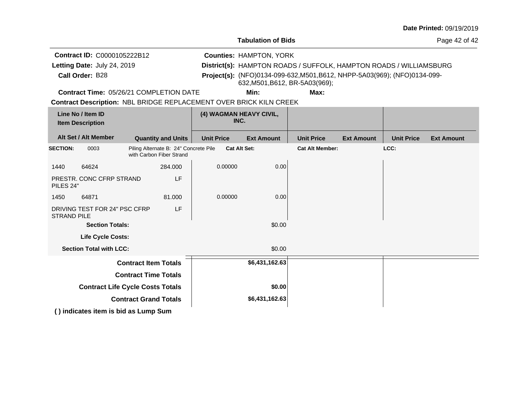| <b>Date Printed: 09/19/2019</b> |  |
|---------------------------------|--|
|---------------------------------|--|

Page 42 of 42

**Quantity and Units Unit Price Alt Set / Alt Member Ext Amount Ext Amount Line No / Item ID Unit Price Ext Amount Unit Price Item Description (4) WAGMAN HEAVY CIVIL, INC.** 0003 Piling Alternate B: 24" Concrete Pile **SECTION: Cat Alt Set: Cat Alt Member: LCC:** with Carbon Fiber Strand 1440 64624 PRESTR. CONC CFRP STRAND PILES 24" 284.000 LF  $0.00000$  0.00 1450 64871 DRIVING TEST FOR 24" PSC CFRP STRAND PILE 81.000 LF  $0.00000$  0.00 **Section Totals:**  $$0.00$ **Contract Description: NBL BRIDGE REPLACEMENT OVER BRICK KILN CREEK Call Order:** Letting Date: July 24, 2019 **District(s): HAMPTON ROADS / SUFFOLK, HAMPTON ROADS / WILLIAMSBURG Contract ID:** C0000105222B12 **Counties:** HAMPTON, YORK B28 **Project(s):** (NFO)0134-099-632,M501,B612, NHPP-5A03(969); (NFO)0134-099- **Contract Time:** 05/26/21 COMPLETION DATE Letting Date: July 24, 2019 **Min: Max:** 632,M501,B612, BR-5A03(969);

**Life Cycle Costs:**

**Section Total with LCC:**  $$0.00$ 

| <b>Contract Item Totals</b>             | \$6,431,162.63 |  |
|-----------------------------------------|----------------|--|
| <b>Contract Time Totals</b>             |                |  |
| <b>Contract Life Cycle Costs Totals</b> | \$0.00         |  |
| <b>Contract Grand Totals</b>            | \$6,431,162.63 |  |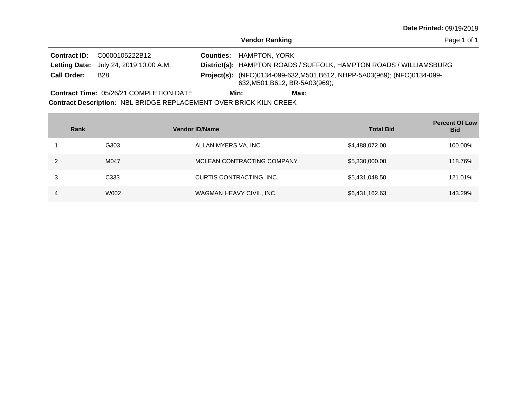Page 1 of 1

**Vendor Ranking**

**Contract ID:** C0000105222B12 Letting Date: July 24, 2019 10:00 A.M. **District(s):** HAMPTON ROADS / SUFFOLK, HAMPTON ROADS / WILLIAMSBURG Letting Date: July 24, 2019 10:00 A.M. Project(s): (NFO)0134-099-632, M501, B612, NHPP-5A03(969); (NFO)0134-099-632,M501,B612, BR-5A03(969); **Counties: HAMPTON, YORK** B28 **Call Order:** 

**Contract Description: NBL BRIDGE REPLACEMENT OVER BRICK KILN CREEK** Contract Time: 05/26/21 COMPLETION DATE **Min: Max:**

|   | Rank             | <b>Vendor ID/Name</b>      | <b>Total Bid</b> | <b>Percent Of Low</b><br><b>Bid</b> |
|---|------------------|----------------------------|------------------|-------------------------------------|
|   | G303             | ALLAN MYERS VA, INC.       | \$4,488,072.00   | 100.00%                             |
|   | M047             | MCLEAN CONTRACTING COMPANY | \$5,330,000.00   | 118.76%                             |
| 3 | C <sub>333</sub> | CURTIS CONTRACTING, INC.   | \$5,431,048.50   | 121.01%                             |
| 4 | W002             | WAGMAN HEAVY CIVIL, INC.   | \$6,431,162.63   | 143.29%                             |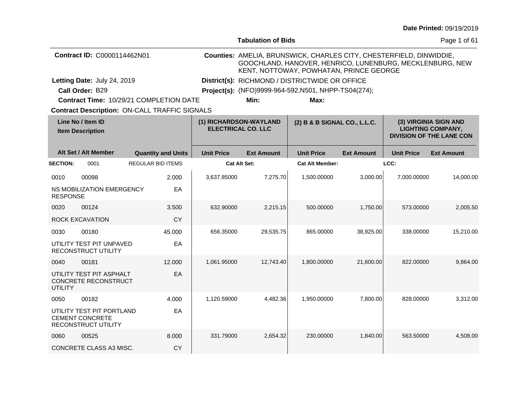|  |  | <b>Date Printed: 09/19/2019</b> |
|--|--|---------------------------------|
|--|--|---------------------------------|

|                                              |                                                                            |                          |                                                     |                   | <b>Tabulation of Bids</b>                            |                                                                                                                                                                            |                                                                                      |                   | Page 1 of 61      |  |  |
|----------------------------------------------|----------------------------------------------------------------------------|--------------------------|-----------------------------------------------------|-------------------|------------------------------------------------------|----------------------------------------------------------------------------------------------------------------------------------------------------------------------------|--------------------------------------------------------------------------------------|-------------------|-------------------|--|--|
|                                              | Contract ID: C0000114462N01                                                |                          |                                                     |                   |                                                      | Counties: AMELIA, BRUNSWICK, CHARLES CITY, CHESTERFIELD, DINWIDDIE,<br>GOOCHLAND, HANOVER, HENRICO, LUNENBURG, MECKLENBURG, NEW<br>KENT, NOTTOWAY, POWHATAN, PRINCE GEORGE |                                                                                      |                   |                   |  |  |
|                                              | Letting Date: July 24, 2019                                                |                          |                                                     |                   |                                                      | District(s): RICHMOND / DISTRICTWIDE OR OFFICE                                                                                                                             |                                                                                      |                   |                   |  |  |
|                                              | Call Order: B29                                                            |                          |                                                     |                   | Project(s): (NFO)9999-964-592, N501, NHPP-TS04(274); |                                                                                                                                                                            |                                                                                      |                   |                   |  |  |
|                                              | <b>Contract Time: 10/29/21 COMPLETION DATE</b>                             |                          |                                                     |                   | Min:                                                 | Max:                                                                                                                                                                       |                                                                                      |                   |                   |  |  |
|                                              | <b>Contract Description: ON-CALL TRAFFIC SIGNALS</b>                       |                          |                                                     |                   |                                                      |                                                                                                                                                                            |                                                                                      |                   |                   |  |  |
| Line No / Item ID<br><b>Item Description</b> |                                                                            |                          | (1) RICHARDSON-WAYLAND<br><b>ELECTRICAL CO. LLC</b> |                   | (2) B & B SIGNAL CO., L.L.C.                         |                                                                                                                                                                            | (3) VIRGINIA SIGN AND<br><b>LIGHTING COMPANY,</b><br><b>DIVISION OF THE LANE CON</b> |                   |                   |  |  |
|                                              | Alt Set / Alt Member                                                       |                          | <b>Quantity and Units</b>                           | <b>Unit Price</b> | <b>Ext Amount</b>                                    | <b>Unit Price</b>                                                                                                                                                          | <b>Ext Amount</b>                                                                    | <b>Unit Price</b> | <b>Ext Amount</b> |  |  |
| <b>SECTION:</b>                              | 0001                                                                       | <b>REGULAR BID ITEMS</b> |                                                     |                   | <b>Cat Alt Set:</b>                                  | <b>Cat Alt Member:</b>                                                                                                                                                     |                                                                                      | LCC:              |                   |  |  |
| 0010                                         | 00098                                                                      |                          | 2.000                                               | 3,637.85000       | 7,275.70                                             | 1,500.00000                                                                                                                                                                | 3,000.00                                                                             | 7,000.00000       | 14,000.00         |  |  |
| <b>RESPONSE</b>                              | NS MOBILIZATION EMERGENCY                                                  |                          | EA                                                  |                   |                                                      |                                                                                                                                                                            |                                                                                      |                   |                   |  |  |
| 0020                                         | 00124                                                                      |                          | 3.500                                               | 632.90000         | 2,215.15                                             | 500.00000                                                                                                                                                                  | 1,750.00                                                                             | 573.00000         | 2,005.50          |  |  |
|                                              | ROCK EXCAVATION                                                            |                          | <b>CY</b>                                           |                   |                                                      |                                                                                                                                                                            |                                                                                      |                   |                   |  |  |
| 0030                                         | 00180                                                                      |                          | 45.000                                              | 656.35000         | 29,535.75                                            | 865.00000                                                                                                                                                                  | 38,925.00                                                                            | 338.00000         | 15,210.00         |  |  |
|                                              | UTILITY TEST PIT UNPAVED<br>RECONSTRUCT UTILITY                            |                          | EA                                                  |                   |                                                      |                                                                                                                                                                            |                                                                                      |                   |                   |  |  |
| 0040                                         | 00181                                                                      |                          | 12,000                                              | 1,061.95000       | 12,743.40                                            | 1,800.00000                                                                                                                                                                | 21,600.00                                                                            | 822.00000         | 9,864.00          |  |  |
| <b>UTILITY</b>                               | UTILITY TEST PIT ASPHALT<br>CONCRETE RECONSTRUCT                           |                          | EA                                                  |                   |                                                      |                                                                                                                                                                            |                                                                                      |                   |                   |  |  |
| 0050                                         | 00182                                                                      |                          | 4.000                                               | 1,120.59000       | 4,482.36                                             | 1,950.00000                                                                                                                                                                | 7,800.00                                                                             | 828.00000         | 3,312.00          |  |  |
|                                              | UTILITY TEST PIT PORTLAND<br><b>CEMENT CONCRETE</b><br>RECONSTRUCT UTILITY |                          | EA                                                  |                   |                                                      |                                                                                                                                                                            |                                                                                      |                   |                   |  |  |
| 0060                                         | 00525                                                                      |                          | 8.000                                               | 331.79000         | 2,654.32                                             | 230.00000                                                                                                                                                                  | 1.840.00                                                                             | 563.50000         | 4,508.00          |  |  |
|                                              | CONCRETE CLASS A3 MISC.                                                    |                          | <b>CY</b>                                           |                   |                                                      |                                                                                                                                                                            |                                                                                      |                   |                   |  |  |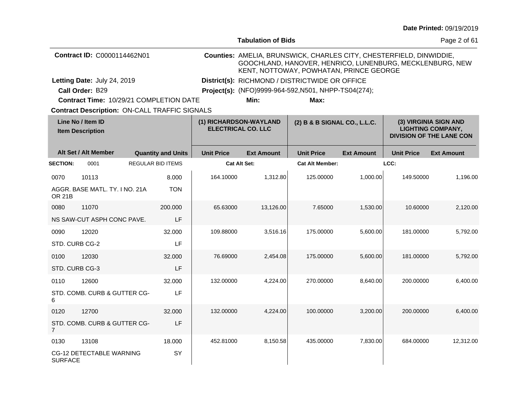|                                              |                                                      |  |                           |                                                     |                                                |                                                                                                                                                                            |                                                                                      |                   | Date Printed: 09/19/2019 |  |  |
|----------------------------------------------|------------------------------------------------------|--|---------------------------|-----------------------------------------------------|------------------------------------------------|----------------------------------------------------------------------------------------------------------------------------------------------------------------------------|--------------------------------------------------------------------------------------|-------------------|--------------------------|--|--|
|                                              |                                                      |  |                           |                                                     | <b>Tabulation of Bids</b>                      |                                                                                                                                                                            |                                                                                      |                   | Page 2 of 61             |  |  |
| Contract ID: C0000114462N01                  |                                                      |  |                           |                                                     |                                                | Counties: AMELIA, BRUNSWICK, CHARLES CITY, CHESTERFIELD, DINWIDDIE,<br>GOOCHLAND, HANOVER, HENRICO, LUNENBURG, MECKLENBURG, NEW<br>KENT, NOTTOWAY, POWHATAN, PRINCE GEORGE |                                                                                      |                   |                          |  |  |
|                                              | Letting Date: July 24, 2019                          |  |                           |                                                     | District(s): RICHMOND / DISTRICTWIDE OR OFFICE |                                                                                                                                                                            |                                                                                      |                   |                          |  |  |
|                                              | Call Order: B29                                      |  |                           |                                                     |                                                | Project(s): (NFO)9999-964-592, N501, NHPP-TS04(274);                                                                                                                       |                                                                                      |                   |                          |  |  |
|                                              | Contract Time: 10/29/21 COMPLETION DATE              |  |                           |                                                     | Min:                                           | Max:                                                                                                                                                                       |                                                                                      |                   |                          |  |  |
|                                              | <b>Contract Description: ON-CALL TRAFFIC SIGNALS</b> |  |                           |                                                     |                                                |                                                                                                                                                                            |                                                                                      |                   |                          |  |  |
| Line No / Item ID<br><b>Item Description</b> |                                                      |  |                           | (1) RICHARDSON-WAYLAND<br><b>ELECTRICAL CO. LLC</b> | (2) B & B SIGNAL CO., L.L.C.                   |                                                                                                                                                                            | (3) VIRGINIA SIGN AND<br><b>LIGHTING COMPANY,</b><br><b>DIVISION OF THE LANE CON</b> |                   |                          |  |  |
|                                              | Alt Set / Alt Member                                 |  | <b>Quantity and Units</b> | <b>Unit Price</b>                                   | <b>Ext Amount</b>                              | <b>Unit Price</b>                                                                                                                                                          | <b>Ext Amount</b>                                                                    | <b>Unit Price</b> | <b>Ext Amount</b>        |  |  |
| <b>SECTION:</b>                              | 0001                                                 |  | <b>REGULAR BID ITEMS</b>  |                                                     | <b>Cat Alt Set:</b>                            | <b>Cat Alt Member:</b>                                                                                                                                                     |                                                                                      | LCC:              |                          |  |  |
| 0070                                         | 10113                                                |  | 8.000                     | 164.10000                                           | 1,312.80                                       | 125.00000                                                                                                                                                                  | 1,000.00                                                                             | 149.50000         | 1,196.00                 |  |  |
| <b>OR 21B</b>                                | AGGR. BASE MATL. TY. I NO. 21A                       |  | <b>TON</b>                |                                                     |                                                |                                                                                                                                                                            |                                                                                      |                   |                          |  |  |
| 0080                                         | 11070                                                |  | 200.000                   | 65.63000                                            | 13,126.00                                      | 7.65000                                                                                                                                                                    | 1,530.00                                                                             | 10.60000          | 2,120.00                 |  |  |
|                                              | NS SAW-CUT ASPH CONC PAVE.                           |  | LF                        |                                                     |                                                |                                                                                                                                                                            |                                                                                      |                   |                          |  |  |
| 0090                                         | 12020                                                |  | 32.000                    | 109.88000                                           | 3,516.16                                       | 175.00000                                                                                                                                                                  | 5,600.00                                                                             | 181.00000         | 5,792.00                 |  |  |
| STD. CURB CG-2                               |                                                      |  | LF                        |                                                     |                                                |                                                                                                                                                                            |                                                                                      |                   |                          |  |  |
| 0100                                         | 12030                                                |  | 32.000                    | 76.69000                                            | 2,454.08                                       | 175.00000                                                                                                                                                                  | 5,600.00                                                                             | 181.00000         | 5,792.00                 |  |  |
| STD. CURB CG-3                               |                                                      |  | LF                        |                                                     |                                                |                                                                                                                                                                            |                                                                                      |                   |                          |  |  |
| 0110                                         | 12600                                                |  | 32,000                    | 132.00000                                           | 4,224.00                                       | 270.00000                                                                                                                                                                  | 8,640.00                                                                             | 200.00000         | 6,400.00                 |  |  |
| 6                                            | STD. COMB. CURB & GUTTER CG-                         |  | LF                        |                                                     |                                                |                                                                                                                                                                            |                                                                                      |                   |                          |  |  |
| 0120                                         | 12700                                                |  | 32.000                    | 132,00000                                           | 4,224.00                                       | 100.00000                                                                                                                                                                  | 3,200.00                                                                             | 200.00000         | 6,400.00                 |  |  |
| $\overline{7}$                               | STD. COMB. CURB & GUTTER CG-                         |  | LF                        |                                                     |                                                |                                                                                                                                                                            |                                                                                      |                   |                          |  |  |
| 0130                                         | 13108                                                |  | 18.000                    | 452.81000                                           | 8,150.58                                       | 435.00000                                                                                                                                                                  | 7,830.00                                                                             | 684.00000         | 12,312.00                |  |  |
| <b>SURFACE</b>                               | <b>CG-12 DETECTABLE WARNING</b>                      |  | <b>SY</b>                 |                                                     |                                                |                                                                                                                                                                            |                                                                                      |                   |                          |  |  |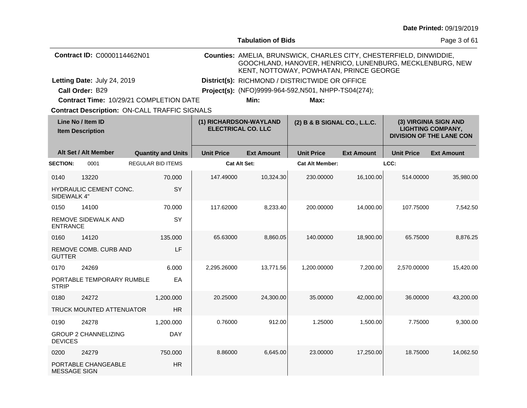| <b>Date Printed: 09/19/2019</b> |  |  |
|---------------------------------|--|--|
|---------------------------------|--|--|

|                                              |                                    |                                                      |                   | <b>Tabulation of Bids</b>                           |                                                                                                                                                                            |                   |                   | Page 3 of 61                                                                         |  |
|----------------------------------------------|------------------------------------|------------------------------------------------------|-------------------|-----------------------------------------------------|----------------------------------------------------------------------------------------------------------------------------------------------------------------------------|-------------------|-------------------|--------------------------------------------------------------------------------------|--|
|                                              | <b>Contract ID: C0000114462N01</b> |                                                      |                   |                                                     | Counties: AMELIA, BRUNSWICK, CHARLES CITY, CHESTERFIELD, DINWIDDIE,<br>GOOCHLAND, HANOVER, HENRICO, LUNENBURG, MECKLENBURG, NEW<br>KENT, NOTTOWAY, POWHATAN, PRINCE GEORGE |                   |                   |                                                                                      |  |
|                                              | Letting Date: July 24, 2019        |                                                      |                   |                                                     | District(s): RICHMOND / DISTRICTWIDE OR OFFICE                                                                                                                             |                   |                   |                                                                                      |  |
|                                              | Call Order: B29                    |                                                      |                   |                                                     | Project(s): (NFO)9999-964-592, N501, NHPP-TS04(274);                                                                                                                       |                   |                   |                                                                                      |  |
|                                              |                                    | Contract Time: 10/29/21 COMPLETION DATE              |                   | Min:                                                | Max:                                                                                                                                                                       |                   |                   |                                                                                      |  |
|                                              |                                    | <b>Contract Description: ON-CALL TRAFFIC SIGNALS</b> |                   |                                                     |                                                                                                                                                                            |                   |                   |                                                                                      |  |
| Line No / Item ID<br><b>Item Description</b> |                                    |                                                      |                   | (1) RICHARDSON-WAYLAND<br><b>ELECTRICAL CO. LLC</b> | (2) B & B SIGNAL CO., L.L.C.                                                                                                                                               |                   |                   | (3) VIRGINIA SIGN AND<br><b>LIGHTING COMPANY,</b><br><b>DIVISION OF THE LANE CON</b> |  |
|                                              | Alt Set / Alt Member               | <b>Quantity and Units</b>                            | <b>Unit Price</b> | <b>Ext Amount</b>                                   | <b>Unit Price</b>                                                                                                                                                          | <b>Ext Amount</b> | <b>Unit Price</b> | <b>Ext Amount</b>                                                                    |  |
| <b>SECTION:</b>                              | 0001                               | <b>REGULAR BID ITEMS</b>                             |                   | <b>Cat Alt Set:</b>                                 | <b>Cat Alt Member:</b>                                                                                                                                                     |                   | LCC:              |                                                                                      |  |
| 0140                                         | 13220                              | 70.000                                               | 147.49000         | 10,324.30                                           | 230.00000                                                                                                                                                                  | 16,100.00         | 514.00000         | 35,980.00                                                                            |  |
| SIDEWALK 4"                                  | HYDRAULIC CEMENT CONC.             | <b>SY</b>                                            |                   |                                                     |                                                                                                                                                                            |                   |                   |                                                                                      |  |
| 0150                                         | 14100                              | 70,000                                               | 117.62000         | 8,233.40                                            | 200.00000                                                                                                                                                                  | 14,000.00         | 107.75000         | 7,542.50                                                                             |  |
| <b>ENTRANCE</b>                              | <b>REMOVE SIDEWALK AND</b>         | SY                                                   |                   |                                                     |                                                                                                                                                                            |                   |                   |                                                                                      |  |
| 0160                                         | 14120                              | 135.000                                              | 65.63000          | 8,860.05                                            | 140.00000                                                                                                                                                                  | 18,900.00         | 65.75000          | 8,876.25                                                                             |  |
| <b>GUTTER</b>                                | REMOVE COMB. CURB AND              | LF                                                   |                   |                                                     |                                                                                                                                                                            |                   |                   |                                                                                      |  |
| 0170                                         | 24269                              | 6.000                                                | 2,295.26000       | 13,771.56                                           | 1,200.00000                                                                                                                                                                | 7,200.00          | 2,570.00000       | 15,420.00                                                                            |  |
| <b>STRIP</b>                                 | PORTABLE TEMPORARY RUMBLE          | EA                                                   |                   |                                                     |                                                                                                                                                                            |                   |                   |                                                                                      |  |
| 0180                                         | 24272                              | 1,200.000                                            | 20.25000          | 24,300.00                                           | 35.00000                                                                                                                                                                   | 42,000.00         | 36.00000          | 43,200.00                                                                            |  |
|                                              | <b>TRUCK MOUNTED ATTENUATOR</b>    | <b>HR</b>                                            |                   |                                                     |                                                                                                                                                                            |                   |                   |                                                                                      |  |
| 0190                                         | 24278                              | 1,200.000                                            | 0.76000           | 912.00                                              | 1.25000                                                                                                                                                                    | 1,500.00          | 7.75000           | 9,300.00                                                                             |  |
| <b>DEVICES</b>                               | <b>GROUP 2 CHANNELIZING</b>        | <b>DAY</b>                                           |                   |                                                     |                                                                                                                                                                            |                   |                   |                                                                                      |  |
| 0200                                         | 24279                              | 750.000                                              | 8.86000           | 6,645.00                                            | 23.00000                                                                                                                                                                   | 17,250.00         | 18.75000          | 14,062.50                                                                            |  |
| <b>MESSAGE SIGN</b>                          | PORTABLE CHANGEABLE                | <b>HR</b>                                            |                   |                                                     |                                                                                                                                                                            |                   |                   |                                                                                      |  |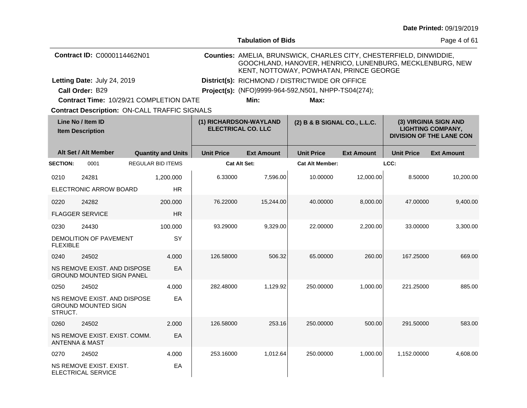|                                              |                                                                  |                                                      |                   | <b>Tabulation of Bids</b>                                                                                                                                                  |                                                      |                   |                                                                                      | Page 4 of 61      |
|----------------------------------------------|------------------------------------------------------------------|------------------------------------------------------|-------------------|----------------------------------------------------------------------------------------------------------------------------------------------------------------------------|------------------------------------------------------|-------------------|--------------------------------------------------------------------------------------|-------------------|
|                                              | Contract ID: C0000114462N01                                      |                                                      |                   | Counties: AMELIA, BRUNSWICK, CHARLES CITY, CHESTERFIELD, DINWIDDIE,<br>GOOCHLAND, HANOVER, HENRICO, LUNENBURG, MECKLENBURG, NEW<br>KENT, NOTTOWAY, POWHATAN, PRINCE GEORGE |                                                      |                   |                                                                                      |                   |
|                                              | Letting Date: July 24, 2019                                      |                                                      |                   |                                                                                                                                                                            | District(s): RICHMOND / DISTRICTWIDE OR OFFICE       |                   |                                                                                      |                   |
|                                              | Call Order: B29                                                  |                                                      |                   |                                                                                                                                                                            | Project(s): (NFO)9999-964-592, N501, NHPP-TS04(274); |                   |                                                                                      |                   |
|                                              |                                                                  | Contract Time: 10/29/21 COMPLETION DATE              |                   | Min:                                                                                                                                                                       | Max:                                                 |                   |                                                                                      |                   |
|                                              |                                                                  | <b>Contract Description: ON-CALL TRAFFIC SIGNALS</b> |                   |                                                                                                                                                                            |                                                      |                   |                                                                                      |                   |
| Line No / Item ID<br><b>Item Description</b> |                                                                  |                                                      |                   | (1) RICHARDSON-WAYLAND<br><b>ELECTRICAL CO. LLC</b>                                                                                                                        | (2) B & B SIGNAL CO., L.L.C.                         |                   | (3) VIRGINIA SIGN AND<br><b>LIGHTING COMPANY,</b><br><b>DIVISION OF THE LANE CON</b> |                   |
|                                              | Alt Set / Alt Member                                             | <b>Quantity and Units</b>                            | <b>Unit Price</b> | <b>Ext Amount</b>                                                                                                                                                          | <b>Unit Price</b>                                    | <b>Ext Amount</b> | <b>Unit Price</b>                                                                    | <b>Ext Amount</b> |
| <b>SECTION:</b>                              | 0001                                                             | <b>REGULAR BID ITEMS</b>                             |                   | Cat Alt Set:                                                                                                                                                               | <b>Cat Alt Member:</b>                               |                   | LCC:                                                                                 |                   |
| 0210                                         | 24281                                                            | 1,200.000                                            | 6.33000           | 7,596.00                                                                                                                                                                   | 10.00000                                             | 12,000.00         | 8.50000                                                                              | 10,200.00         |
|                                              | ELECTRONIC ARROW BOARD                                           | <b>HR</b>                                            |                   |                                                                                                                                                                            |                                                      |                   |                                                                                      |                   |
| 0220                                         | 24282                                                            | 200,000                                              | 76.22000          | 15,244.00                                                                                                                                                                  | 40.00000                                             | 8,000.00          | 47.00000                                                                             | 9,400.00          |
|                                              | <b>FLAGGER SERVICE</b>                                           | HR.                                                  |                   |                                                                                                                                                                            |                                                      |                   |                                                                                      |                   |
| 0230                                         | 24430                                                            | 100.000                                              | 93.29000          | 9,329.00                                                                                                                                                                   | 22,00000                                             | 2,200.00          | 33.00000                                                                             | 3,300.00          |
| <b>FLEXIBLE</b>                              | DEMOLITION OF PAVEMENT                                           | SY                                                   |                   |                                                                                                                                                                            |                                                      |                   |                                                                                      |                   |
| 0240                                         | 24502                                                            | 4.000                                                | 126.58000         | 506.32                                                                                                                                                                     | 65.00000                                             | 260.00            | 167.25000                                                                            | 669.00            |
|                                              | NS REMOVE EXIST. AND DISPOSE<br><b>GROUND MOUNTED SIGN PANEL</b> | EA                                                   |                   |                                                                                                                                                                            |                                                      |                   |                                                                                      |                   |
| 0250                                         | 24502                                                            | 4.000                                                | 282.48000         | 1,129.92                                                                                                                                                                   | 250.00000                                            | 1,000.00          | 221.25000                                                                            | 885.00            |
| STRUCT.                                      | NS REMOVE EXIST. AND DISPOSE<br><b>GROUND MOUNTED SIGN</b>       | EA                                                   |                   |                                                                                                                                                                            |                                                      |                   |                                                                                      |                   |
| 0260                                         | 24502                                                            | 2.000                                                | 126.58000         | 253.16                                                                                                                                                                     | 250.00000                                            | 500.00            | 291.50000                                                                            | 583.00            |
|                                              | NS REMOVE EXIST. EXIST. COMM.<br>ANTENNA & MAST                  | EA                                                   |                   |                                                                                                                                                                            |                                                      |                   |                                                                                      |                   |
| 0270                                         | 24502                                                            | 4.000                                                | 253.16000         | 1,012.64                                                                                                                                                                   | 250.00000                                            | 1.000.00          | 1,152.00000                                                                          | 4,608.00          |
|                                              | NS REMOVE EXIST. EXIST.<br>ELECTRICAL SERVICE                    | EA                                                   |                   |                                                                                                                                                                            |                                                      |                   |                                                                                      |                   |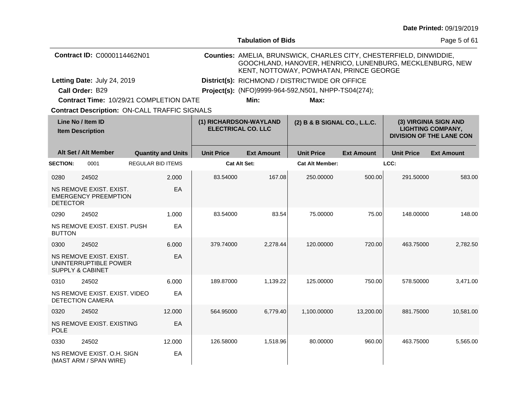|                                              |                                                                                 |  |                           |                        | <b>Tabulation of Bids</b>                                                                                                                                                  |                              |                   |                                                                                      | Page 5 of 61      |  |  |  |
|----------------------------------------------|---------------------------------------------------------------------------------|--|---------------------------|------------------------|----------------------------------------------------------------------------------------------------------------------------------------------------------------------------|------------------------------|-------------------|--------------------------------------------------------------------------------------|-------------------|--|--|--|
|                                              | Contract ID: C0000114462N01                                                     |  |                           |                        | Counties: AMELIA, BRUNSWICK, CHARLES CITY, CHESTERFIELD, DINWIDDIE,<br>GOOCHLAND, HANOVER, HENRICO, LUNENBURG, MECKLENBURG, NEW<br>KENT, NOTTOWAY, POWHATAN, PRINCE GEORGE |                              |                   |                                                                                      |                   |  |  |  |
|                                              | Letting Date: July 24, 2019                                                     |  |                           |                        | District(s): RICHMOND / DISTRICTWIDE OR OFFICE                                                                                                                             |                              |                   |                                                                                      |                   |  |  |  |
|                                              | Call Order: B29                                                                 |  |                           |                        | Project(s): (NFO)9999-964-592, N501, NHPP-TS04(274);                                                                                                                       |                              |                   |                                                                                      |                   |  |  |  |
|                                              | Contract Time: 10/29/21 COMPLETION DATE                                         |  |                           |                        | Min:                                                                                                                                                                       | Max:                         |                   |                                                                                      |                   |  |  |  |
|                                              | <b>Contract Description: ON-CALL TRAFFIC SIGNALS</b>                            |  |                           |                        |                                                                                                                                                                            |                              |                   |                                                                                      |                   |  |  |  |
| Line No / Item ID<br><b>Item Description</b> |                                                                                 |  |                           | (1) RICHARDSON-WAYLAND | <b>ELECTRICAL CO. LLC</b>                                                                                                                                                  | (2) B & B SIGNAL CO., L.L.C. |                   | (3) VIRGINIA SIGN AND<br><b>LIGHTING COMPANY,</b><br><b>DIVISION OF THE LANE CON</b> |                   |  |  |  |
|                                              | Alt Set / Alt Member                                                            |  | <b>Quantity and Units</b> | <b>Unit Price</b>      | <b>Ext Amount</b>                                                                                                                                                          | <b>Unit Price</b>            | <b>Ext Amount</b> | <b>Unit Price</b>                                                                    | <b>Ext Amount</b> |  |  |  |
| <b>SECTION:</b>                              | 0001                                                                            |  | <b>REGULAR BID ITEMS</b>  |                        | <b>Cat Alt Set:</b>                                                                                                                                                        | <b>Cat Alt Member:</b>       |                   | LCC:                                                                                 |                   |  |  |  |
| 0280                                         | 24502                                                                           |  | 2.000                     | 83.54000               | 167.08                                                                                                                                                                     | 250.00000                    | 500.00            | 291.50000                                                                            | 583.00            |  |  |  |
| <b>DETECTOR</b>                              | NS REMOVE EXIST. EXIST.<br><b>EMERGENCY PREEMPTION</b>                          |  | EA                        |                        |                                                                                                                                                                            |                              |                   |                                                                                      |                   |  |  |  |
| 0290                                         | 24502                                                                           |  | 1.000                     | 83.54000               | 83.54                                                                                                                                                                      | 75.00000                     | 75.00             | 148.00000                                                                            | 148.00            |  |  |  |
| <b>BUTTON</b>                                | NS REMOVE EXIST, EXIST, PUSH                                                    |  | EA                        |                        |                                                                                                                                                                            |                              |                   |                                                                                      |                   |  |  |  |
| 0300                                         | 24502                                                                           |  | 6.000                     | 379.74000              | 2.278.44                                                                                                                                                                   | 120.00000                    | 720.00            | 463.75000                                                                            | 2.782.50          |  |  |  |
|                                              | NS REMOVE EXIST. EXIST.<br>UNINTERRUPTIBLE POWER<br><b>SUPPLY &amp; CABINET</b> |  | EA                        |                        |                                                                                                                                                                            |                              |                   |                                                                                      |                   |  |  |  |
| 0310                                         | 24502                                                                           |  | 6.000                     | 189.87000              | 1,139.22                                                                                                                                                                   | 125.00000                    | 750.00            | 578.50000                                                                            | 3,471.00          |  |  |  |
|                                              | NS REMOVE EXIST, EXIST, VIDEO<br><b>DETECTION CAMERA</b>                        |  | EA                        |                        |                                                                                                                                                                            |                              |                   |                                                                                      |                   |  |  |  |
| 0320                                         | 24502                                                                           |  | 12.000                    | 564.95000              | 6,779.40                                                                                                                                                                   | 1.100.00000                  | 13.200.00         | 881.75000                                                                            | 10,581.00         |  |  |  |
| <b>POLE</b>                                  | NS REMOVE EXIST. EXISTING                                                       |  | EA                        |                        |                                                                                                                                                                            |                              |                   |                                                                                      |                   |  |  |  |
| 0330                                         | 24502                                                                           |  | 12.000                    | 126.58000              | 1,518.96                                                                                                                                                                   | 80.00000                     | 960.00            | 463.75000                                                                            | 5,565.00          |  |  |  |
|                                              | NS REMOVE EXIST, O.H. SIGN<br>(MAST ARM / SPAN WIRE)                            |  | EA                        |                        |                                                                                                                                                                            |                              |                   |                                                                                      |                   |  |  |  |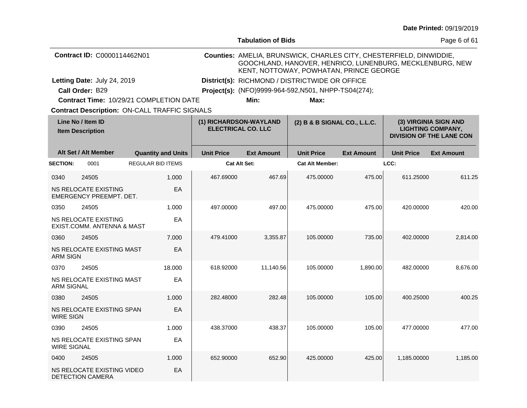|                                              |                                                        |  |                           |                                                     | <b>Tabulation of Bids</b>                      |                                                                                                                                                                            |                   |                                                                                      | Page 6 of 61      |  |  |
|----------------------------------------------|--------------------------------------------------------|--|---------------------------|-----------------------------------------------------|------------------------------------------------|----------------------------------------------------------------------------------------------------------------------------------------------------------------------------|-------------------|--------------------------------------------------------------------------------------|-------------------|--|--|
|                                              | Contract ID: C0000114462N01                            |  |                           |                                                     |                                                | Counties: AMELIA, BRUNSWICK, CHARLES CITY, CHESTERFIELD, DINWIDDIE,<br>GOOCHLAND, HANOVER, HENRICO, LUNENBURG, MECKLENBURG, NEW<br>KENT, NOTTOWAY, POWHATAN, PRINCE GEORGE |                   |                                                                                      |                   |  |  |
|                                              | Letting Date: July 24, 2019                            |  |                           |                                                     | District(s): RICHMOND / DISTRICTWIDE OR OFFICE |                                                                                                                                                                            |                   |                                                                                      |                   |  |  |
|                                              | Call Order: B29                                        |  |                           |                                                     |                                                | Project(s): (NFO)9999-964-592, N501, NHPP-TS04(274);                                                                                                                       |                   |                                                                                      |                   |  |  |
|                                              | Contract Time: 10/29/21 COMPLETION DATE                |  |                           |                                                     | Min:                                           | Max:                                                                                                                                                                       |                   |                                                                                      |                   |  |  |
|                                              | <b>Contract Description: ON-CALL TRAFFIC SIGNALS</b>   |  |                           |                                                     |                                                |                                                                                                                                                                            |                   |                                                                                      |                   |  |  |
| Line No / Item ID<br><b>Item Description</b> |                                                        |  |                           | (1) RICHARDSON-WAYLAND<br><b>ELECTRICAL CO. LLC</b> |                                                | (2) B & B SIGNAL CO., L.L.C.                                                                                                                                               |                   | (3) VIRGINIA SIGN AND<br><b>LIGHTING COMPANY,</b><br><b>DIVISION OF THE LANE CON</b> |                   |  |  |
|                                              | Alt Set / Alt Member                                   |  | <b>Quantity and Units</b> | <b>Unit Price</b>                                   | <b>Ext Amount</b>                              | <b>Unit Price</b>                                                                                                                                                          | <b>Ext Amount</b> | <b>Unit Price</b>                                                                    | <b>Ext Amount</b> |  |  |
| <b>SECTION:</b>                              | 0001                                                   |  | <b>REGULAR BID ITEMS</b>  |                                                     | <b>Cat Alt Set:</b>                            | <b>Cat Alt Member:</b>                                                                                                                                                     |                   | LCC:                                                                                 |                   |  |  |
| 0340                                         | 24505                                                  |  | 1.000                     | 467.69000                                           | 467.69                                         | 475.00000                                                                                                                                                                  | 475.00            | 611.25000                                                                            | 611.25            |  |  |
|                                              | <b>NS RELOCATE EXISTING</b><br>EMERGENCY PREEMPT. DET. |  | EA                        |                                                     |                                                |                                                                                                                                                                            |                   |                                                                                      |                   |  |  |
| 0350                                         | 24505                                                  |  | 1.000                     | 497.00000                                           | 497.00                                         | 475.00000                                                                                                                                                                  | 475.00            | 420.00000                                                                            | 420.00            |  |  |
|                                              | NS RELOCATE EXISTING<br>EXIST.COMM. ANTENNA & MAST     |  | EA                        |                                                     |                                                |                                                                                                                                                                            |                   |                                                                                      |                   |  |  |
| 0360                                         | 24505                                                  |  | 7.000                     | 479.41000                                           | 3,355.87                                       | 105.00000                                                                                                                                                                  | 735.00            | 402.00000                                                                            | 2,814.00          |  |  |
| <b>ARM SIGN</b>                              | NS RELOCATE EXISTING MAST                              |  | EA                        |                                                     |                                                |                                                                                                                                                                            |                   |                                                                                      |                   |  |  |
| 0370                                         | 24505                                                  |  | 18.000                    | 618.92000                                           | 11,140.56                                      | 105.00000                                                                                                                                                                  | 1,890.00          | 482.00000                                                                            | 8.676.00          |  |  |
| <b>ARM SIGNAL</b>                            | NS RELOCATE EXISTING MAST                              |  | EA                        |                                                     |                                                |                                                                                                                                                                            |                   |                                                                                      |                   |  |  |
| 0380                                         | 24505                                                  |  | 1.000                     | 282.48000                                           | 282.48                                         | 105.00000                                                                                                                                                                  | 105.00            | 400.25000                                                                            | 400.25            |  |  |
| <b>WIRE SIGN</b>                             | NS RELOCATE EXISTING SPAN                              |  | EA                        |                                                     |                                                |                                                                                                                                                                            |                   |                                                                                      |                   |  |  |
| 0390                                         | 24505                                                  |  | 1.000                     | 438.37000                                           | 438.37                                         | 105.00000                                                                                                                                                                  | 105.00            | 477.00000                                                                            | 477.00            |  |  |
| <b>WIRE SIGNAL</b>                           | NS RELOCATE EXISTING SPAN                              |  | EA                        |                                                     |                                                |                                                                                                                                                                            |                   |                                                                                      |                   |  |  |
| 0400                                         | 24505                                                  |  | 1.000                     | 652.90000                                           | 652.90                                         | 425.00000                                                                                                                                                                  | 425.00            | 1.185.00000                                                                          | 1.185.00          |  |  |

DETECTION CAMERA

NS RELOCATE EXISTING VIDEO

EA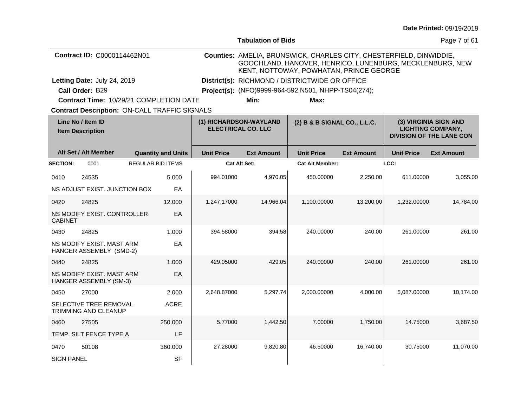|                                              |                                                       |                          |                           |                        | <b>Tabulation of Bids</b>                      |                                                                                                                                                                            |                   |                                                                                      | Page 7 of 61      |  |
|----------------------------------------------|-------------------------------------------------------|--------------------------|---------------------------|------------------------|------------------------------------------------|----------------------------------------------------------------------------------------------------------------------------------------------------------------------------|-------------------|--------------------------------------------------------------------------------------|-------------------|--|
|                                              | Contract ID: C0000114462N01                           |                          |                           |                        |                                                | Counties: AMELIA, BRUNSWICK, CHARLES CITY, CHESTERFIELD, DINWIDDIE,<br>GOOCHLAND, HANOVER, HENRICO, LUNENBURG, MECKLENBURG, NEW<br>KENT, NOTTOWAY, POWHATAN, PRINCE GEORGE |                   |                                                                                      |                   |  |
|                                              | Letting Date: July 24, 2019                           |                          |                           |                        | District(s): RICHMOND / DISTRICTWIDE OR OFFICE |                                                                                                                                                                            |                   |                                                                                      |                   |  |
|                                              | Call Order: B29                                       |                          |                           |                        |                                                | Project(s): (NFO)9999-964-592, N501, NHPP-TS04(274);                                                                                                                       |                   |                                                                                      |                   |  |
|                                              | <b>Contract Time: 10/29/21 COMPLETION DATE</b>        |                          |                           |                        | Min:                                           | Max:                                                                                                                                                                       |                   |                                                                                      |                   |  |
|                                              | <b>Contract Description: ON-CALL TRAFFIC SIGNALS</b>  |                          |                           | (1) RICHARDSON-WAYLAND |                                                |                                                                                                                                                                            |                   |                                                                                      |                   |  |
| Line No / Item ID<br><b>Item Description</b> |                                                       |                          | <b>ELECTRICAL CO. LLC</b> |                        | (2) B & B SIGNAL CO., L.L.C.                   |                                                                                                                                                                            |                   | (3) VIRGINIA SIGN AND<br><b>LIGHTING COMPANY,</b><br><b>DIVISION OF THE LANE CON</b> |                   |  |
|                                              | Alt Set / Alt Member                                  |                          | <b>Quantity and Units</b> | <b>Unit Price</b>      | <b>Ext Amount</b>                              | <b>Unit Price</b>                                                                                                                                                          | <b>Ext Amount</b> | <b>Unit Price</b>                                                                    | <b>Ext Amount</b> |  |
| <b>SECTION:</b>                              | 0001                                                  | <b>REGULAR BID ITEMS</b> |                           |                        | <b>Cat Alt Set:</b>                            | <b>Cat Alt Member:</b>                                                                                                                                                     |                   | LCC:                                                                                 |                   |  |
| 0410                                         | 24535                                                 |                          | 5.000                     | 994.01000              | 4,970.05                                       | 450.00000                                                                                                                                                                  | 2,250.00          | 611.00000                                                                            | 3,055.00          |  |
|                                              | NS ADJUST EXIST. JUNCTION BOX                         |                          | EA                        |                        |                                                |                                                                                                                                                                            |                   |                                                                                      |                   |  |
| 0420                                         | 24825                                                 |                          | 12.000                    | 1,247.17000            | 14,966.04                                      | 1,100.00000                                                                                                                                                                | 13,200.00         | 1,232.00000                                                                          | 14,784.00         |  |
| <b>CABINET</b>                               | NS MODIFY EXIST. CONTROLLER                           |                          | EA                        |                        |                                                |                                                                                                                                                                            |                   |                                                                                      |                   |  |
| 0430                                         | 24825                                                 |                          | 1.000                     | 394.58000              | 394.58                                         | 240.00000                                                                                                                                                                  | 240.00            | 261.00000                                                                            | 261.00            |  |
|                                              | NS MODIFY EXIST. MAST ARM<br>HANGER ASSEMBLY (SMD-2)  |                          | EA                        |                        |                                                |                                                                                                                                                                            |                   |                                                                                      |                   |  |
| 0440                                         | 24825                                                 |                          | 1.000                     | 429.05000              | 429.05                                         | 240.00000                                                                                                                                                                  | 240.00            | 261.00000                                                                            | 261.00            |  |
|                                              | NS MODIFY EXIST. MAST ARM<br>HANGER ASSEMBLY (SM-3)   |                          | EA                        |                        |                                                |                                                                                                                                                                            |                   |                                                                                      |                   |  |
| 0450                                         | 27000                                                 |                          | 2.000                     | 2,648.87000            | 5,297.74                                       | 2,000.00000                                                                                                                                                                | 4,000.00          | 5,087.00000                                                                          | 10,174.00         |  |
|                                              | SELECTIVE TREE REMOVAL<br><b>TRIMMING AND CLEANUP</b> |                          | <b>ACRE</b>               |                        |                                                |                                                                                                                                                                            |                   |                                                                                      |                   |  |
| 0460                                         | 27505                                                 |                          | 250,000                   | 5.77000                | 1,442.50                                       | 7.00000                                                                                                                                                                    | 1,750.00          | 14.75000                                                                             | 3,687.50          |  |
|                                              | TEMP. SILT FENCE TYPE A                               |                          | LF                        |                        |                                                |                                                                                                                                                                            |                   |                                                                                      |                   |  |
| 0470                                         | 50108                                                 |                          | 360.000                   | 27.28000               | 9,820.80                                       | 46.50000                                                                                                                                                                   | 16,740.00         | 30.75000                                                                             | 11.070.00         |  |
| <b>SIGN PANEL</b>                            |                                                       |                          | <b>SF</b>                 |                        |                                                |                                                                                                                                                                            |                   |                                                                                      |                   |  |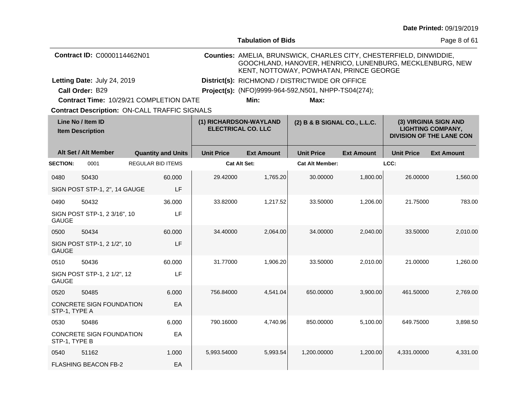|                                              |                                                      |                          |                                                     |                   | <b>Tabulation of Bids</b>                                                                                                                                                  |                                                |                                                                                      |                   | Page 8 of 61      |  |  |  |
|----------------------------------------------|------------------------------------------------------|--------------------------|-----------------------------------------------------|-------------------|----------------------------------------------------------------------------------------------------------------------------------------------------------------------------|------------------------------------------------|--------------------------------------------------------------------------------------|-------------------|-------------------|--|--|--|
|                                              | Contract ID: C0000114462N01                          |                          |                                                     |                   | Counties: AMELIA, BRUNSWICK, CHARLES CITY, CHESTERFIELD, DINWIDDIE,<br>GOOCHLAND, HANOVER, HENRICO, LUNENBURG, MECKLENBURG, NEW<br>KENT, NOTTOWAY, POWHATAN, PRINCE GEORGE |                                                |                                                                                      |                   |                   |  |  |  |
|                                              | Letting Date: July 24, 2019                          |                          |                                                     |                   |                                                                                                                                                                            | District(s): RICHMOND / DISTRICTWIDE OR OFFICE |                                                                                      |                   |                   |  |  |  |
|                                              | Call Order: B29                                      |                          |                                                     |                   | Project(s): (NFO)9999-964-592, N501, NHPP-TS04(274);                                                                                                                       |                                                |                                                                                      |                   |                   |  |  |  |
|                                              | Contract Time: 10/29/21 COMPLETION DATE              |                          |                                                     |                   | Min:                                                                                                                                                                       | Max:                                           |                                                                                      |                   |                   |  |  |  |
|                                              | <b>Contract Description: ON-CALL TRAFFIC SIGNALS</b> |                          |                                                     |                   |                                                                                                                                                                            |                                                |                                                                                      |                   |                   |  |  |  |
| Line No / Item ID<br><b>Item Description</b> |                                                      |                          | (1) RICHARDSON-WAYLAND<br><b>ELECTRICAL CO. LLC</b> |                   | (2) B & B SIGNAL CO., L.L.C.                                                                                                                                               |                                                | (3) VIRGINIA SIGN AND<br><b>LIGHTING COMPANY,</b><br><b>DIVISION OF THE LANE CON</b> |                   |                   |  |  |  |
|                                              | Alt Set / Alt Member                                 |                          | <b>Quantity and Units</b>                           | <b>Unit Price</b> | <b>Ext Amount</b>                                                                                                                                                          | <b>Unit Price</b>                              | <b>Ext Amount</b>                                                                    | <b>Unit Price</b> | <b>Ext Amount</b> |  |  |  |
| <b>SECTION:</b>                              | 0001                                                 | <b>REGULAR BID ITEMS</b> |                                                     |                   | <b>Cat Alt Set:</b>                                                                                                                                                        | <b>Cat Alt Member:</b>                         |                                                                                      | LCC:              |                   |  |  |  |
| 0480                                         | 50430                                                |                          | 60.000                                              | 29.42000          | 1,765.20                                                                                                                                                                   | 30.00000                                       | 1,800.00                                                                             | 26.00000          | 1,560.00          |  |  |  |
|                                              | SIGN POST STP-1, 2", 14 GAUGE                        |                          | LF                                                  |                   |                                                                                                                                                                            |                                                |                                                                                      |                   |                   |  |  |  |
| 0490                                         | 50432                                                |                          | 36.000                                              | 33.82000          | 1,217.52                                                                                                                                                                   | 33.50000                                       | 1,206.00                                                                             | 21.75000          | 783.00            |  |  |  |
| GAUGE                                        | SIGN POST STP-1, 2 3/16", 10                         |                          | LF                                                  |                   |                                                                                                                                                                            |                                                |                                                                                      |                   |                   |  |  |  |
| 0500                                         | 50434                                                |                          | 60.000                                              | 34.40000          | 2,064.00                                                                                                                                                                   | 34.00000                                       | 2,040.00                                                                             | 33.50000          | 2,010.00          |  |  |  |
| <b>GAUGE</b>                                 | SIGN POST STP-1, 2 1/2", 10                          |                          | LF                                                  |                   |                                                                                                                                                                            |                                                |                                                                                      |                   |                   |  |  |  |
| 0510                                         | 50436                                                |                          | 60.000                                              | 31.77000          | 1,906.20                                                                                                                                                                   | 33.50000                                       | 2,010.00                                                                             | 21.00000          | 1,260.00          |  |  |  |
| <b>GAUGE</b>                                 | SIGN POST STP-1, 2 1/2", 12                          |                          | LF                                                  |                   |                                                                                                                                                                            |                                                |                                                                                      |                   |                   |  |  |  |
| 0520                                         | 50485                                                |                          | 6.000                                               | 756.84000         | 4,541.04                                                                                                                                                                   | 650.00000                                      | 3,900.00                                                                             | 461.50000         | 2,769.00          |  |  |  |
| STP-1, TYPE A                                | <b>CONCRETE SIGN FOUNDATION</b>                      |                          | EA                                                  |                   |                                                                                                                                                                            |                                                |                                                                                      |                   |                   |  |  |  |
| 0530                                         | 50486                                                |                          | 6.000                                               | 790.16000         | 4,740.96                                                                                                                                                                   | 850.00000                                      | 5,100.00                                                                             | 649.75000         | 3,898.50          |  |  |  |
| STP-1, TYPE B                                | CONCRETE SIGN FOUNDATION                             |                          | EA                                                  |                   |                                                                                                                                                                            |                                                |                                                                                      |                   |                   |  |  |  |
| 0540                                         | 51162                                                |                          | 1.000                                               | 5,993.54000       | 5,993.54                                                                                                                                                                   | 1,200.00000                                    | 1,200.00                                                                             | 4,331.00000       | 4,331.00          |  |  |  |
|                                              | <b>FLASHING BEACON FB-2</b>                          |                          | EA                                                  |                   |                                                                                                                                                                            |                                                |                                                                                      |                   |                   |  |  |  |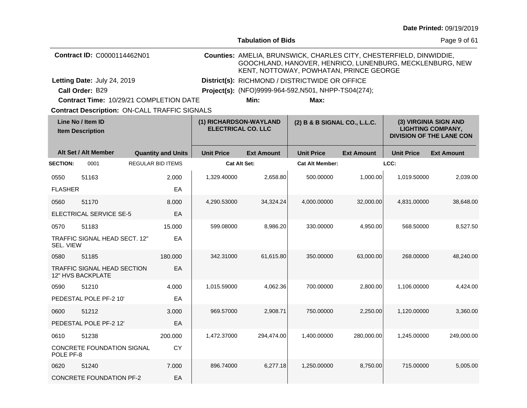| <b>Date Printed: 09/19/2019</b> |  |
|---------------------------------|--|
|---------------------------------|--|

|                                              |                                                      |                          |                           |                                                | <b>Tabulation of Bids</b>                            |                                                                                                                                                                            |                   |                   | Page 9 of 61                                                                         |  |  |
|----------------------------------------------|------------------------------------------------------|--------------------------|---------------------------|------------------------------------------------|------------------------------------------------------|----------------------------------------------------------------------------------------------------------------------------------------------------------------------------|-------------------|-------------------|--------------------------------------------------------------------------------------|--|--|
|                                              | Contract ID: C0000114462N01                          |                          |                           |                                                |                                                      | Counties: AMELIA, BRUNSWICK, CHARLES CITY, CHESTERFIELD, DINWIDDIE,<br>GOOCHLAND, HANOVER, HENRICO, LUNENBURG, MECKLENBURG, NEW<br>KENT, NOTTOWAY, POWHATAN, PRINCE GEORGE |                   |                   |                                                                                      |  |  |
|                                              | Letting Date: July 24, 2019                          |                          |                           | District(s): RICHMOND / DISTRICTWIDE OR OFFICE |                                                      |                                                                                                                                                                            |                   |                   |                                                                                      |  |  |
|                                              | Call Order: B29                                      |                          |                           |                                                | Project(s): (NFO)9999-964-592, N501, NHPP-TS04(274); |                                                                                                                                                                            |                   |                   |                                                                                      |  |  |
|                                              | Contract Time: 10/29/21 COMPLETION DATE              |                          |                           |                                                | Min:                                                 | Max:                                                                                                                                                                       |                   |                   |                                                                                      |  |  |
|                                              | <b>Contract Description: ON-CALL TRAFFIC SIGNALS</b> |                          |                           |                                                |                                                      |                                                                                                                                                                            |                   |                   |                                                                                      |  |  |
| Line No / Item ID<br><b>Item Description</b> |                                                      |                          |                           |                                                | (1) RICHARDSON-WAYLAND<br><b>ELECTRICAL CO. LLC</b>  | (2) B & B SIGNAL CO., L.L.C.                                                                                                                                               |                   |                   | (3) VIRGINIA SIGN AND<br><b>LIGHTING COMPANY,</b><br><b>DIVISION OF THE LANE CON</b> |  |  |
|                                              | Alt Set / Alt Member                                 |                          | <b>Quantity and Units</b> | <b>Unit Price</b>                              | <b>Ext Amount</b>                                    | <b>Unit Price</b>                                                                                                                                                          | <b>Ext Amount</b> | <b>Unit Price</b> | <b>Ext Amount</b>                                                                    |  |  |
| <b>SECTION:</b>                              | 0001                                                 | <b>REGULAR BID ITEMS</b> |                           |                                                | <b>Cat Alt Set:</b>                                  | <b>Cat Alt Member:</b>                                                                                                                                                     |                   | LCC:              |                                                                                      |  |  |
| 0550                                         | 51163                                                |                          | 2.000                     | 1,329.40000                                    | 2,658.80                                             | 500.00000                                                                                                                                                                  | 1,000.00          | 1,019.50000       | 2,039.00                                                                             |  |  |
| <b>FLASHER</b>                               |                                                      |                          | EA                        |                                                |                                                      |                                                                                                                                                                            |                   |                   |                                                                                      |  |  |
| 0560                                         | 51170                                                |                          | 8.000                     | 4,290.53000                                    | 34,324.24                                            | 4,000.00000                                                                                                                                                                | 32,000.00         | 4,831.00000       | 38,648.00                                                                            |  |  |
|                                              | <b>ELECTRICAL SERVICE SE-5</b>                       |                          | EA                        |                                                |                                                      |                                                                                                                                                                            |                   |                   |                                                                                      |  |  |
| 0570                                         | 51183                                                |                          | 15.000                    | 599.08000                                      | 8,986.20                                             | 330.00000                                                                                                                                                                  | 4,950.00          | 568.50000         | 8.527.50                                                                             |  |  |
| SEL. VIEW                                    | TRAFFIC SIGNAL HEAD SECT. 12"                        |                          | EA                        |                                                |                                                      |                                                                                                                                                                            |                   |                   |                                                                                      |  |  |
| 0580                                         | 51185                                                |                          | 180,000                   | 342.31000                                      | 61,615.80                                            | 350,00000                                                                                                                                                                  | 63.000.00         | 268.00000         | 48.240.00                                                                            |  |  |
|                                              | TRAFFIC SIGNAL HEAD SECTION<br>12" HVS BACKPLATE     |                          | EA                        |                                                |                                                      |                                                                                                                                                                            |                   |                   |                                                                                      |  |  |
| 0590                                         | 51210                                                |                          | 4.000                     | 1,015.59000                                    | 4,062.36                                             | 700.00000                                                                                                                                                                  | 2,800.00          | 1,106.00000       | 4,424.00                                                                             |  |  |
|                                              | PEDESTAL POLE PF-2 10'                               |                          | EA                        |                                                |                                                      |                                                                                                                                                                            |                   |                   |                                                                                      |  |  |
| 0600                                         | 51212                                                |                          | 3.000                     | 969.57000                                      | 2,908.71                                             | 750.00000                                                                                                                                                                  | 2,250.00          | 1,120.00000       | 3,360.00                                                                             |  |  |
|                                              | PEDESTAL POLE PF-2 12'                               |                          | EA                        |                                                |                                                      |                                                                                                                                                                            |                   |                   |                                                                                      |  |  |
| 0610                                         | 51238                                                |                          | 200.000                   | 1,472.37000                                    | 294,474.00                                           | 1,400.00000                                                                                                                                                                | 280,000.00        | 1,245.00000       | 249,000.00                                                                           |  |  |
| POLE PF-8                                    | CONCRETE FOUNDATION SIGNAL                           |                          | <b>CY</b>                 |                                                |                                                      |                                                                                                                                                                            |                   |                   |                                                                                      |  |  |
| 0620                                         | 51240                                                |                          | 7.000                     | 896.74000                                      | 6,277.18                                             | 1,250.00000                                                                                                                                                                | 8,750.00          | 715.00000         | 5,005.00                                                                             |  |  |
|                                              | <b>CONCRETE FOUNDATION PF-2</b>                      |                          | EA                        |                                                |                                                      |                                                                                                                                                                            |                   |                   |                                                                                      |  |  |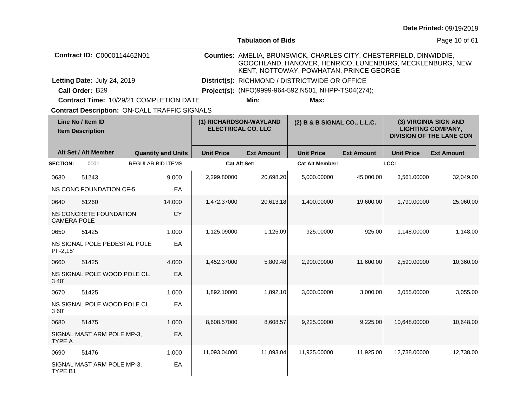|                                                                                                                                 | <b>Date Printed: 09/19/2019</b> |
|---------------------------------------------------------------------------------------------------------------------------------|---------------------------------|
| <b>Tabulation of Bids</b>                                                                                                       | Page 10 of 61                   |
| Counties: AMELIA, BRUNSWICK, CHARLES CITY, CHESTERFIELD, DINWIDDIE,<br>GOOCHLAND, HANOVER, HENRICO, LUNENBURG, MECKLENBURG, NEW |                                 |

**Contract ID:** C0000114462N01

**Letting Date:** July 24, 2019 **District(s):** RICHMOND / DISTRICTWIDE OR OFFICE Letting Date: July 24, 2019

**Call Order:** B29 **Project(s):** (NFO)9999-964-592,N501, NHPP-TS04(274);

**Contract Time:** 10/29/21 COMPLETION DATE

**Min: Max:**

KENT, NOTTOWAY, POWHATAN, PRINCE GEORGE

**Contract Description: ON-CALL TRAFFIC SIGNALS** 

| Line No / Item ID<br><b>Item Description</b> |                              |                          |                           | (1) RICHARDSON-WAYLAND<br><b>ELECTRICAL CO. LLC</b> |                   | (2) B & B SIGNAL CO., L.L.C. |                   | (3) VIRGINIA SIGN AND<br><b>LIGHTING COMPANY,</b><br><b>DIVISION OF THE LANE CON</b> |                   |
|----------------------------------------------|------------------------------|--------------------------|---------------------------|-----------------------------------------------------|-------------------|------------------------------|-------------------|--------------------------------------------------------------------------------------|-------------------|
|                                              | Alt Set / Alt Member         |                          | <b>Quantity and Units</b> | <b>Unit Price</b>                                   | <b>Ext Amount</b> | <b>Unit Price</b>            | <b>Ext Amount</b> | <b>Unit Price</b>                                                                    | <b>Ext Amount</b> |
| <b>SECTION:</b>                              | 0001                         | <b>REGULAR BID ITEMS</b> |                           | Cat Alt Set:                                        |                   | <b>Cat Alt Member:</b>       |                   | LCC:                                                                                 |                   |
| 0630                                         | 51243                        |                          | 9.000                     | 2,299.80000                                         | 20,698.20         | 5,000.00000                  | 45,000.00         | 3,561.00000                                                                          | 32,049.00         |
|                                              | NS CONC FOUNDATION CF-5      |                          | EA                        |                                                     |                   |                              |                   |                                                                                      |                   |
| 0640                                         | 51260                        |                          | 14.000                    | 1,472.37000                                         | 20,613.18         | 1,400.00000                  | 19,600.00         | 1,790.00000                                                                          | 25,060.00         |
| <b>CAMERA POLE</b>                           | NS CONCRETE FOUNDATION       |                          | <b>CY</b>                 |                                                     |                   |                              |                   |                                                                                      |                   |
| 0650                                         | 51425                        |                          | 1.000                     | 1,125.09000                                         | 1,125.09          | 925.00000                    | 925.00            | 1,148.00000                                                                          | 1,148.00          |
| PF-2,15                                      | NS SIGNAL POLE PEDESTAL POLE |                          | EA                        |                                                     |                   |                              |                   |                                                                                      |                   |
| 0660                                         | 51425                        |                          | 4.000                     | 1,452.37000                                         | 5,809.48          | 2,900.00000                  | 11,600.00         | 2,590.00000                                                                          | 10,360.00         |
| 3 40'                                        | NS SIGNAL POLE WOOD POLE CL. |                          | EA                        |                                                     |                   |                              |                   |                                                                                      |                   |
| 0670                                         | 51425                        |                          | 1.000                     | 1,892.10000                                         | 1,892.10          | 3,000.00000                  | 3,000.00          | 3,055.00000                                                                          | 3,055.00          |
| 360                                          | NS SIGNAL POLE WOOD POLE CL. |                          | EA                        |                                                     |                   |                              |                   |                                                                                      |                   |
| 0680                                         | 51475                        |                          | 1.000                     | 8,608.57000                                         | 8,608.57          | 9,225.00000                  | 9,225.00          | 10,648.00000                                                                         | 10,648.00         |
| <b>TYPE A</b>                                | SIGNAL MAST ARM POLE MP-3,   |                          | EA                        |                                                     |                   |                              |                   |                                                                                      |                   |
| 0690                                         | 51476                        |                          | 1.000                     | 11,093.04000                                        | 11,093.04         | 11,925.00000                 | 11,925.00         | 12,738.00000                                                                         | 12,738.00         |
| TYPE B1                                      | SIGNAL MAST ARM POLE MP-3,   |                          | EA                        |                                                     |                   |                              |                   |                                                                                      |                   |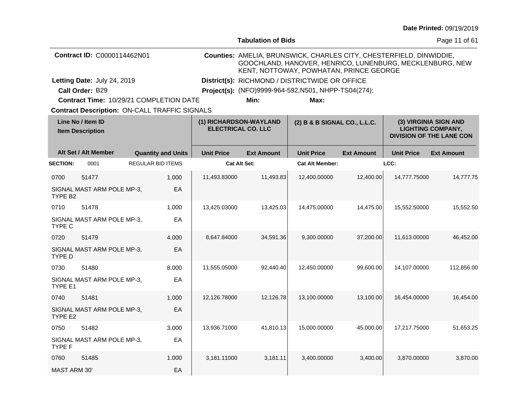|                                              |                                                      |  |                           |                                                     | <b>Tabulation of Bids</b>                                                                                                                                                  |                              |                   |                                                                                      | Page 11 of 61     |  |
|----------------------------------------------|------------------------------------------------------|--|---------------------------|-----------------------------------------------------|----------------------------------------------------------------------------------------------------------------------------------------------------------------------------|------------------------------|-------------------|--------------------------------------------------------------------------------------|-------------------|--|
|                                              | Contract ID: C0000114462N01                          |  |                           |                                                     | Counties: AMELIA, BRUNSWICK, CHARLES CITY, CHESTERFIELD, DINWIDDIE,<br>GOOCHLAND, HANOVER, HENRICO, LUNENBURG, MECKLENBURG, NEW<br>KENT, NOTTOWAY, POWHATAN, PRINCE GEORGE |                              |                   |                                                                                      |                   |  |
|                                              | Letting Date: July 24, 2019                          |  |                           | District(s): RICHMOND / DISTRICTWIDE OR OFFICE      |                                                                                                                                                                            |                              |                   |                                                                                      |                   |  |
|                                              | Call Order: B29                                      |  |                           |                                                     | Project(s): (NFO)9999-964-592, N501, NHPP-TS04(274);                                                                                                                       |                              |                   |                                                                                      |                   |  |
|                                              | Contract Time: 10/29/21 COMPLETION DATE              |  |                           |                                                     | Min:                                                                                                                                                                       | Max:                         |                   |                                                                                      |                   |  |
|                                              | <b>Contract Description: ON-CALL TRAFFIC SIGNALS</b> |  |                           |                                                     |                                                                                                                                                                            |                              |                   |                                                                                      |                   |  |
| Line No / Item ID<br><b>Item Description</b> |                                                      |  |                           | (1) RICHARDSON-WAYLAND<br><b>ELECTRICAL CO. LLC</b> |                                                                                                                                                                            | (2) B & B SIGNAL CO., L.L.C. |                   | (3) VIRGINIA SIGN AND<br><b>LIGHTING COMPANY,</b><br><b>DIVISION OF THE LANE CON</b> |                   |  |
|                                              | Alt Set / Alt Member                                 |  | <b>Quantity and Units</b> | <b>Unit Price</b>                                   | <b>Ext Amount</b>                                                                                                                                                          | <b>Unit Price</b>            | <b>Ext Amount</b> | <b>Unit Price</b>                                                                    | <b>Ext Amount</b> |  |
| <b>SECTION:</b>                              | 0001                                                 |  | <b>REGULAR BID ITEMS</b>  | <b>Cat Alt Set:</b>                                 |                                                                                                                                                                            | <b>Cat Alt Member:</b>       |                   | LCC:                                                                                 |                   |  |
| 0700                                         | 51477                                                |  | 1.000                     | 11,493.83000                                        | 11,493.83                                                                                                                                                                  | 12,400.00000                 | 12,400.00         | 14,777.75000                                                                         | 14,777.75         |  |
| TYPE B <sub>2</sub>                          | SIGNAL MAST ARM POLE MP-3,                           |  | EA                        |                                                     |                                                                                                                                                                            |                              |                   |                                                                                      |                   |  |
| 0710                                         | 51478                                                |  | 1.000                     | 13,425.03000                                        | 13,425.03                                                                                                                                                                  | 14,475.00000                 | 14,475.00         | 15,552.50000                                                                         | 15,552.50         |  |
| TYPE C                                       | SIGNAL MAST ARM POLE MP-3,                           |  | EA                        |                                                     |                                                                                                                                                                            |                              |                   |                                                                                      |                   |  |
| 0720                                         | 51479                                                |  | 4.000                     | 8,647.84000                                         | 34,591.36                                                                                                                                                                  | 9,300.00000                  | 37,200.00         | 11,613.00000                                                                         | 46,452.00         |  |
| <b>TYPE D</b>                                | SIGNAL MAST ARM POLE MP-3,                           |  | EA                        |                                                     |                                                                                                                                                                            |                              |                   |                                                                                      |                   |  |
| 0730                                         | 51480                                                |  | 8.000                     | 11,555.05000                                        | 92,440.40                                                                                                                                                                  | 12,450.00000                 | 99,600.00         | 14,107.00000                                                                         | 112,856.00        |  |
| TYPE E1                                      | SIGNAL MAST ARM POLE MP-3,                           |  | EA                        |                                                     |                                                                                                                                                                            |                              |                   |                                                                                      |                   |  |
| 0740                                         | 51481                                                |  | 1.000                     | 12,126.78000                                        | 12,126.78                                                                                                                                                                  | 13,100.00000                 | 13,100.00         | 16,454.00000                                                                         | 16,454.00         |  |
| TYPE E2                                      | SIGNAL MAST ARM POLE MP-3,                           |  | EA                        |                                                     |                                                                                                                                                                            |                              |                   |                                                                                      |                   |  |
| 0750                                         | 51482                                                |  | 3.000                     | 13,936.71000                                        | 41,810.13                                                                                                                                                                  | 15,000.00000                 | 45,000.00         | 17,217.75000                                                                         | 51,653.25         |  |
| TYPE F                                       | SIGNAL MAST ARM POLE MP-3,                           |  | EA                        |                                                     |                                                                                                                                                                            |                              |                   |                                                                                      |                   |  |
| 0760                                         | 51485                                                |  | 1.000                     | 3,181.11000                                         | 3,181.11                                                                                                                                                                   | 3,400.00000                  | 3,400.00          | 3,870.00000                                                                          | 3,870.00          |  |
| <b>MAST ARM 30'</b>                          |                                                      |  | EA                        |                                                     |                                                                                                                                                                            |                              |                   |                                                                                      |                   |  |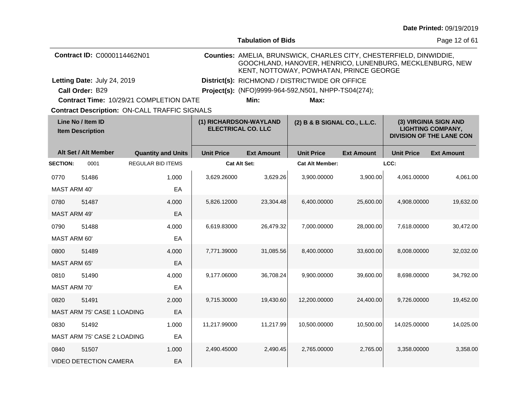|                                              |                               |                                                      |                                                     | <b>Tabulation of Bids</b> |                                                                                                                                                                            | Page 12 of 61     |                                                                                      |                   |
|----------------------------------------------|-------------------------------|------------------------------------------------------|-----------------------------------------------------|---------------------------|----------------------------------------------------------------------------------------------------------------------------------------------------------------------------|-------------------|--------------------------------------------------------------------------------------|-------------------|
|                                              | Contract ID: C0000114462N01   |                                                      |                                                     |                           | Counties: AMELIA, BRUNSWICK, CHARLES CITY, CHESTERFIELD, DINWIDDIE,<br>GOOCHLAND, HANOVER, HENRICO, LUNENBURG, MECKLENBURG, NEW<br>KENT, NOTTOWAY, POWHATAN, PRINCE GEORGE |                   |                                                                                      |                   |
|                                              | Letting Date: July 24, 2019   |                                                      |                                                     |                           | District(s): RICHMOND / DISTRICTWIDE OR OFFICE                                                                                                                             |                   |                                                                                      |                   |
|                                              | Call Order: B29               |                                                      |                                                     |                           | Project(s): (NFO)9999-964-592, N501, NHPP-TS04(274);                                                                                                                       |                   |                                                                                      |                   |
|                                              |                               | Contract Time: 10/29/21 COMPLETION DATE              |                                                     | Min:                      | Max:                                                                                                                                                                       |                   |                                                                                      |                   |
|                                              |                               | <b>Contract Description: ON-CALL TRAFFIC SIGNALS</b> |                                                     |                           |                                                                                                                                                                            |                   |                                                                                      |                   |
| Line No / Item ID<br><b>Item Description</b> |                               |                                                      | (1) RICHARDSON-WAYLAND<br><b>ELECTRICAL CO. LLC</b> |                           | (2) B & B SIGNAL CO., L.L.C.                                                                                                                                               |                   | (3) VIRGINIA SIGN AND<br><b>LIGHTING COMPANY,</b><br><b>DIVISION OF THE LANE CON</b> |                   |
|                                              | Alt Set / Alt Member          | <b>Quantity and Units</b>                            | <b>Unit Price</b>                                   | <b>Ext Amount</b>         | <b>Unit Price</b>                                                                                                                                                          | <b>Ext Amount</b> | <b>Unit Price</b>                                                                    | <b>Ext Amount</b> |
| <b>SECTION:</b>                              | 0001                          | <b>REGULAR BID ITEMS</b>                             |                                                     | <b>Cat Alt Set:</b>       | <b>Cat Alt Member:</b>                                                                                                                                                     |                   | LCC:                                                                                 |                   |
| 0770                                         | 51486                         | 1.000                                                | 3,629.26000                                         | 3,629.26                  | 3,900.00000                                                                                                                                                                | 3,900.00          | 4,061.00000                                                                          | 4,061.00          |
| <b>MAST ARM 40'</b>                          |                               | EA                                                   |                                                     |                           |                                                                                                                                                                            |                   |                                                                                      |                   |
| 0780                                         | 51487                         | 4.000                                                | 5,826.12000                                         | 23,304.48                 | 6,400.00000                                                                                                                                                                | 25,600.00         | 4,908.00000                                                                          | 19,632.00         |
| <b>MAST ARM 49'</b>                          |                               | EA                                                   |                                                     |                           |                                                                                                                                                                            |                   |                                                                                      |                   |
| 0790                                         | 51488                         | 4.000                                                | 6,619.83000                                         | 26,479.32                 | 7,000.00000                                                                                                                                                                | 28,000.00         | 7,618.00000                                                                          | 30,472.00         |
| MAST ARM 60'                                 |                               | EA                                                   |                                                     |                           |                                                                                                                                                                            |                   |                                                                                      |                   |
| 0800                                         | 51489                         | 4.000                                                | 7,771.39000                                         | 31,085.56                 | 8,400.00000                                                                                                                                                                | 33,600.00         | 8,008.00000                                                                          | 32,032.00         |
| <b>MAST ARM 65'</b>                          |                               | EA                                                   |                                                     |                           |                                                                                                                                                                            |                   |                                                                                      |                   |
| 0810                                         | 51490                         | 4.000                                                | 9,177.06000                                         | 36,708.24                 | 9,900.00000                                                                                                                                                                | 39,600.00         | 8,698.00000                                                                          | 34,792.00         |
| <b>MAST ARM 70'</b>                          |                               | EA                                                   |                                                     |                           |                                                                                                                                                                            |                   |                                                                                      |                   |
| 0820                                         | 51491                         | 2.000                                                | 9,715.30000                                         | 19,430.60                 | 12,200.00000                                                                                                                                                               | 24,400.00         | 9,726.00000                                                                          | 19,452.00         |
|                                              | MAST ARM 75' CASE 1 LOADING   | EA                                                   |                                                     |                           |                                                                                                                                                                            |                   |                                                                                      |                   |
| 0830                                         | 51492                         | 1.000                                                | 11,217.99000                                        | 11,217.99                 | 10,500.00000                                                                                                                                                               | 10,500.00         | 14,025.00000                                                                         | 14,025.00         |
|                                              | MAST ARM 75' CASE 2 LOADING   | EA                                                   |                                                     |                           |                                                                                                                                                                            |                   |                                                                                      |                   |
| 0840                                         | 51507                         | 1.000                                                | 2,490.45000                                         | 2,490.45                  | 2,765.00000                                                                                                                                                                | 2,765.00          | 3,358.00000                                                                          | 3,358.00          |
|                                              | <b>VIDEO DETECTION CAMERA</b> | EA                                                   |                                                     |                           |                                                                                                                                                                            |                   |                                                                                      |                   |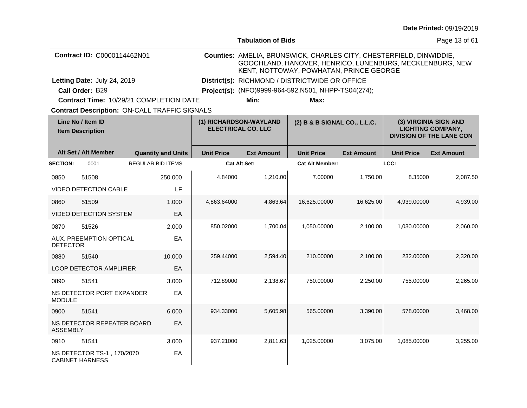|                                              |                                                      |                          |                           |                                                     | <b>Tabulation of Bids</b>                      |                                                                                                                                                                            |                   |                                                                                      | Page 13 of 61     |  |  |
|----------------------------------------------|------------------------------------------------------|--------------------------|---------------------------|-----------------------------------------------------|------------------------------------------------|----------------------------------------------------------------------------------------------------------------------------------------------------------------------------|-------------------|--------------------------------------------------------------------------------------|-------------------|--|--|
|                                              | Contract ID: C0000114462N01                          |                          |                           |                                                     |                                                | Counties: AMELIA, BRUNSWICK, CHARLES CITY, CHESTERFIELD, DINWIDDIE,<br>GOOCHLAND, HANOVER, HENRICO, LUNENBURG, MECKLENBURG, NEW<br>KENT, NOTTOWAY, POWHATAN, PRINCE GEORGE |                   |                                                                                      |                   |  |  |
|                                              | Letting Date: July 24, 2019                          |                          |                           |                                                     | District(s): RICHMOND / DISTRICTWIDE OR OFFICE |                                                                                                                                                                            |                   |                                                                                      |                   |  |  |
|                                              | Call Order: B29                                      |                          |                           |                                                     |                                                | Project(s): (NFO)9999-964-592, N501, NHPP-TS04(274);                                                                                                                       |                   |                                                                                      |                   |  |  |
|                                              | Contract Time: 10/29/21 COMPLETION DATE              |                          |                           |                                                     | Min:                                           | Max:                                                                                                                                                                       |                   |                                                                                      |                   |  |  |
|                                              | <b>Contract Description: ON-CALL TRAFFIC SIGNALS</b> |                          |                           |                                                     |                                                |                                                                                                                                                                            |                   |                                                                                      |                   |  |  |
| Line No / Item ID<br><b>Item Description</b> |                                                      |                          |                           | (1) RICHARDSON-WAYLAND<br><b>ELECTRICAL CO. LLC</b> |                                                | (2) B & B SIGNAL CO., L.L.C.                                                                                                                                               |                   | (3) VIRGINIA SIGN AND<br><b>LIGHTING COMPANY,</b><br><b>DIVISION OF THE LANE CON</b> |                   |  |  |
|                                              | Alt Set / Alt Member                                 |                          | <b>Quantity and Units</b> | <b>Unit Price</b>                                   | <b>Ext Amount</b>                              | <b>Unit Price</b>                                                                                                                                                          | <b>Ext Amount</b> | <b>Unit Price</b>                                                                    | <b>Ext Amount</b> |  |  |
| <b>SECTION:</b>                              | 0001                                                 | <b>REGULAR BID ITEMS</b> |                           | <b>Cat Alt Set:</b>                                 |                                                | <b>Cat Alt Member:</b>                                                                                                                                                     |                   | LCC:                                                                                 |                   |  |  |
| 0850                                         | 51508                                                |                          | 250.000                   | 4.84000                                             | 1,210.00                                       | 7.00000                                                                                                                                                                    | 1,750.00          | 8.35000                                                                              | 2,087.50          |  |  |
|                                              | <b>VIDEO DETECTION CABLE</b>                         |                          | LF                        |                                                     |                                                |                                                                                                                                                                            |                   |                                                                                      |                   |  |  |
| 0860                                         | 51509                                                |                          | 1.000                     | 4,863.64000                                         | 4,863.64                                       | 16,625.00000                                                                                                                                                               | 16,625.00         | 4,939.00000                                                                          | 4,939.00          |  |  |
|                                              | <b>VIDEO DETECTION SYSTEM</b>                        |                          | EA                        |                                                     |                                                |                                                                                                                                                                            |                   |                                                                                      |                   |  |  |
| 0870                                         | 51526                                                |                          | 2.000                     | 850.02000                                           | 1,700.04                                       | 1,050.00000                                                                                                                                                                | 2,100.00          | 1,030.00000                                                                          | 2,060.00          |  |  |
| <b>DETECTOR</b>                              | <b>AUX. PREEMPTION OPTICAL</b>                       |                          | EA                        |                                                     |                                                |                                                                                                                                                                            |                   |                                                                                      |                   |  |  |
| 0880                                         | 51540                                                |                          | 10.000                    | 259.44000                                           | 2,594.40                                       | 210.00000                                                                                                                                                                  | 2,100.00          | 232,00000                                                                            | 2,320.00          |  |  |
|                                              | <b>LOOP DETECTOR AMPLIFIER</b>                       |                          | EA                        |                                                     |                                                |                                                                                                                                                                            |                   |                                                                                      |                   |  |  |
| 0890                                         | 51541                                                |                          | 3.000                     | 712.89000                                           | 2,138.67                                       | 750.00000                                                                                                                                                                  | 2,250.00          | 755.00000                                                                            | 2,265.00          |  |  |
| <b>MODULE</b>                                | NS DETECTOR PORT EXPANDER                            |                          | EA                        |                                                     |                                                |                                                                                                                                                                            |                   |                                                                                      |                   |  |  |
| 0900                                         | 51541                                                |                          | 6.000                     | 934.33000                                           | 5,605.98                                       | 565.00000                                                                                                                                                                  | 3,390.00          | 578.00000                                                                            | 3,468.00          |  |  |
| <b>ASSEMBLY</b>                              | NS DETECTOR REPEATER BOARD                           |                          | EA                        |                                                     |                                                |                                                                                                                                                                            |                   |                                                                                      |                   |  |  |
| 0910                                         | 51541                                                |                          | 3.000                     | 937.21000                                           | 2,811.63                                       | 1,025.00000                                                                                                                                                                | 3,075.00          | 1,085.00000                                                                          | 3,255.00          |  |  |
|                                              | NS DETECTOR TS-1, 170/2070<br><b>CABINET HARNESS</b> |                          | EA                        |                                                     |                                                |                                                                                                                                                                            |                   |                                                                                      |                   |  |  |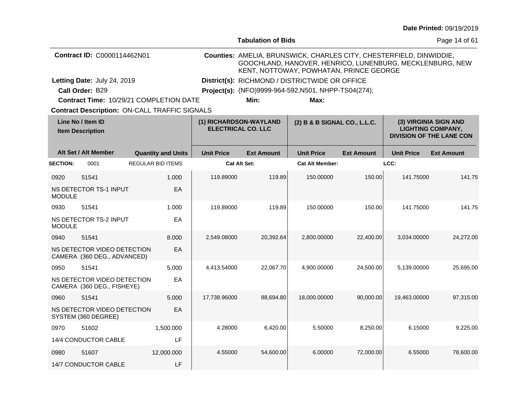| <b>Date Printed: 09/19/2019</b> |  |
|---------------------------------|--|
|---------------------------------|--|

|                                              |                                                            |                           |                   | <b>Tabulation of Bids</b>                           |                                                                                                                                                                            |                   |                   | Page 14 of 61                                                                        |
|----------------------------------------------|------------------------------------------------------------|---------------------------|-------------------|-----------------------------------------------------|----------------------------------------------------------------------------------------------------------------------------------------------------------------------------|-------------------|-------------------|--------------------------------------------------------------------------------------|
|                                              | <b>Contract ID: C0000114462N01</b>                         |                           |                   |                                                     | Counties: AMELIA, BRUNSWICK, CHARLES CITY, CHESTERFIELD, DINWIDDIE,<br>GOOCHLAND, HANOVER, HENRICO, LUNENBURG, MECKLENBURG, NEW<br>KENT, NOTTOWAY, POWHATAN, PRINCE GEORGE |                   |                   |                                                                                      |
|                                              | Letting Date: July 24, 2019                                |                           |                   |                                                     | District(s): RICHMOND / DISTRICTWIDE OR OFFICE                                                                                                                             |                   |                   |                                                                                      |
|                                              | Call Order: B29                                            |                           |                   |                                                     | Project(s): (NFO)9999-964-592, N501, NHPP-TS04(274);                                                                                                                       |                   |                   |                                                                                      |
|                                              | Contract Time: 10/29/21 COMPLETION DATE                    |                           |                   | Min:                                                | Max:                                                                                                                                                                       |                   |                   |                                                                                      |
|                                              | <b>Contract Description: ON-CALL TRAFFIC SIGNALS</b>       |                           |                   |                                                     |                                                                                                                                                                            |                   |                   |                                                                                      |
| Line No / Item ID<br><b>Item Description</b> |                                                            |                           |                   | (1) RICHARDSON-WAYLAND<br><b>ELECTRICAL CO. LLC</b> | (2) B & B SIGNAL CO., L.L.C.                                                                                                                                               |                   |                   | (3) VIRGINIA SIGN AND<br><b>LIGHTING COMPANY,</b><br><b>DIVISION OF THE LANE CON</b> |
|                                              | Alt Set / Alt Member                                       | <b>Quantity and Units</b> | <b>Unit Price</b> | <b>Ext Amount</b>                                   | <b>Unit Price</b>                                                                                                                                                          | <b>Ext Amount</b> | <b>Unit Price</b> | <b>Ext Amount</b>                                                                    |
| <b>SECTION:</b>                              | 0001                                                       | <b>REGULAR BID ITEMS</b>  |                   | <b>Cat Alt Set:</b>                                 | <b>Cat Alt Member:</b>                                                                                                                                                     |                   | LCC:              |                                                                                      |
| 0920                                         | 51541                                                      | 1.000                     | 119.89000         | 119.89                                              | 150.00000                                                                                                                                                                  | 150.00            | 141.75000         | 141.75                                                                               |
| <b>MODULE</b>                                | NS DETECTOR TS-1 INPUT                                     | EA                        |                   |                                                     |                                                                                                                                                                            |                   |                   |                                                                                      |
| 0930                                         | 51541                                                      | 1.000                     | 119.89000         | 119.89                                              | 150.00000                                                                                                                                                                  | 150.00            | 141.75000         | 141.75                                                                               |
| <b>MODULE</b>                                | NS DETECTOR TS-2 INPUT                                     | EA                        |                   |                                                     |                                                                                                                                                                            |                   |                   |                                                                                      |
| 0940                                         | 51541                                                      | 8.000                     | 2,549.08000       | 20,392.64                                           | 2,800.00000                                                                                                                                                                | 22,400.00         | 3.034.00000       | 24,272.00                                                                            |
|                                              | NS DETECTOR VIDEO DETECTION<br>CAMERA (360 DEG., ADVANCED) | EA                        |                   |                                                     |                                                                                                                                                                            |                   |                   |                                                                                      |
| 0950                                         | 51541                                                      | 5.000                     | 4,413.54000       | 22,067.70                                           | 4,900.00000                                                                                                                                                                | 24,500.00         | 5,139.00000       | 25,695.00                                                                            |
|                                              | NS DETECTOR VIDEO DETECTION<br>CAMERA (360 DEG., FISHEYE)  | EA                        |                   |                                                     |                                                                                                                                                                            |                   |                   |                                                                                      |
| 0960                                         | 51541                                                      | 5.000                     | 17,738.96000      | 88,694.80                                           | 18,000.00000                                                                                                                                                               | 90.000.00         | 19,463.00000      | 97,315.00                                                                            |
|                                              | NS DETECTOR VIDEO DETECTION<br>SYSTEM (360 DEGREE)         | EA                        |                   |                                                     |                                                                                                                                                                            |                   |                   |                                                                                      |
| 0970                                         | 51602                                                      | 1,500.000                 | 4.28000           | 6,420.00                                            | 5.50000                                                                                                                                                                    | 8,250.00          | 6.15000           | 9,225.00                                                                             |
|                                              | 14/4 CONDUCTOR CABLE                                       | LF                        |                   |                                                     |                                                                                                                                                                            |                   |                   |                                                                                      |
| 0980                                         | 51607                                                      | 12,000.000                | 4.55000           | 54,600.00                                           | 6.00000                                                                                                                                                                    | 72,000.00         | 6.55000           | 78,600.00                                                                            |
|                                              | 14/7 CONDUCTOR CABLE                                       | LF                        |                   |                                                     |                                                                                                                                                                            |                   |                   |                                                                                      |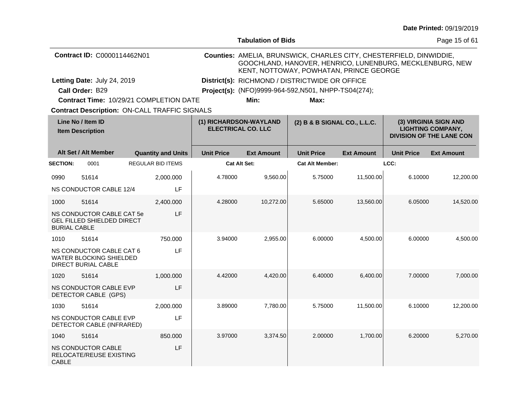|                                              |                                                                                   |  |                           |                        | <b>Tabulation of Bids</b>                            |                                                                                                                                                                            |                   |                                                                                      | Page 15 of 61     |  |  |
|----------------------------------------------|-----------------------------------------------------------------------------------|--|---------------------------|------------------------|------------------------------------------------------|----------------------------------------------------------------------------------------------------------------------------------------------------------------------------|-------------------|--------------------------------------------------------------------------------------|-------------------|--|--|
|                                              | Contract ID: C0000114462N01                                                       |  |                           |                        |                                                      | Counties: AMELIA, BRUNSWICK, CHARLES CITY, CHESTERFIELD, DINWIDDIE,<br>GOOCHLAND, HANOVER, HENRICO, LUNENBURG, MECKLENBURG, NEW<br>KENT, NOTTOWAY, POWHATAN, PRINCE GEORGE |                   |                                                                                      |                   |  |  |
|                                              | Letting Date: July 24, 2019                                                       |  |                           |                        | District(s): RICHMOND / DISTRICTWIDE OR OFFICE       |                                                                                                                                                                            |                   |                                                                                      |                   |  |  |
|                                              | Call Order: B29                                                                   |  |                           |                        | Project(s): (NFO)9999-964-592, N501, NHPP-TS04(274); |                                                                                                                                                                            |                   |                                                                                      |                   |  |  |
|                                              | Contract Time: 10/29/21 COMPLETION DATE                                           |  |                           |                        | Min:                                                 | Max:                                                                                                                                                                       |                   |                                                                                      |                   |  |  |
|                                              | <b>Contract Description: ON-CALL TRAFFIC SIGNALS</b>                              |  |                           |                        |                                                      |                                                                                                                                                                            |                   |                                                                                      |                   |  |  |
| Line No / Item ID<br><b>Item Description</b> |                                                                                   |  |                           | (1) RICHARDSON-WAYLAND | <b>ELECTRICAL CO. LLC</b>                            | (2) B & B SIGNAL CO., L.L.C.                                                                                                                                               |                   | (3) VIRGINIA SIGN AND<br><b>LIGHTING COMPANY,</b><br><b>DIVISION OF THE LANE CON</b> |                   |  |  |
|                                              | Alt Set / Alt Member                                                              |  | <b>Quantity and Units</b> | <b>Unit Price</b>      | <b>Ext Amount</b>                                    | <b>Unit Price</b>                                                                                                                                                          | <b>Ext Amount</b> | <b>Unit Price</b>                                                                    | <b>Ext Amount</b> |  |  |
| <b>SECTION:</b>                              | 0001                                                                              |  | <b>REGULAR BID ITEMS</b>  |                        | <b>Cat Alt Set:</b>                                  | <b>Cat Alt Member:</b>                                                                                                                                                     |                   | LCC:                                                                                 |                   |  |  |
| 0990                                         | 51614                                                                             |  | 2,000.000                 | 4.78000                | 9,560.00                                             | 5.75000                                                                                                                                                                    | 11,500.00         | 6.10000                                                                              | 12,200.00         |  |  |
|                                              | NS CONDUCTOR CABLE 12/4                                                           |  | LF                        |                        |                                                      |                                                                                                                                                                            |                   |                                                                                      |                   |  |  |
| 1000                                         | 51614                                                                             |  | 2,400.000                 | 4.28000                | 10,272.00                                            | 5.65000                                                                                                                                                                    | 13,560.00         | 6.05000                                                                              | 14,520.00         |  |  |
| <b>BURIAL CABLE</b>                          | NS CONDUCTOR CABLE CAT 5e<br><b>GEL FILLED SHIELDED DIRECT</b>                    |  | LF                        |                        |                                                      |                                                                                                                                                                            |                   |                                                                                      |                   |  |  |
| 1010                                         | 51614                                                                             |  | 750.000                   | 3.94000                | 2,955.00                                             | 6.00000                                                                                                                                                                    | 4,500.00          | 6.00000                                                                              | 4,500.00          |  |  |
|                                              | NS CONDUCTOR CABLE CAT 6<br><b>WATER BLOCKING SHIELDED</b><br>DIRECT BURIAL CABLE |  | LF                        |                        |                                                      |                                                                                                                                                                            |                   |                                                                                      |                   |  |  |
| 1020                                         | 51614                                                                             |  | 1,000.000                 | 4.42000                | 4,420.00                                             | 6.40000                                                                                                                                                                    | 6,400.00          | 7.00000                                                                              | 7,000.00          |  |  |
|                                              | NS CONDUCTOR CABLE EVP<br>DETECTOR CABLE (GPS)                                    |  | LF                        |                        |                                                      |                                                                                                                                                                            |                   |                                                                                      |                   |  |  |
| 1030                                         | 51614                                                                             |  | 2,000.000                 | 3.89000                | 7,780.00                                             | 5.75000                                                                                                                                                                    | 11,500.00         | 6.10000                                                                              | 12,200.00         |  |  |
|                                              | NS CONDUCTOR CABLE EVP<br>DETECTOR CABLE (INFRARED)                               |  | LF                        |                        |                                                      |                                                                                                                                                                            |                   |                                                                                      |                   |  |  |
| 1040                                         | 51614                                                                             |  | 850.000                   | 3.97000                | 3,374.50                                             | 2.00000                                                                                                                                                                    | 1,700.00          | 6.20000                                                                              | 5,270.00          |  |  |
| <b>CABLE</b>                                 | <b>NS CONDUCTOR CABLE</b><br>RELOCATE/REUSE EXISTING                              |  | LF                        |                        |                                                      |                                                                                                                                                                            |                   |                                                                                      |                   |  |  |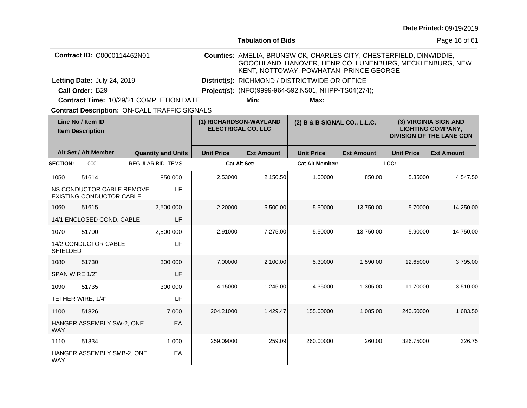|                                              |                                                       |                           |                                                |                                                     |                                                                                                                                                                            |                   |                   | Date Printed: 09/19/2019                                                             |  |
|----------------------------------------------|-------------------------------------------------------|---------------------------|------------------------------------------------|-----------------------------------------------------|----------------------------------------------------------------------------------------------------------------------------------------------------------------------------|-------------------|-------------------|--------------------------------------------------------------------------------------|--|
|                                              |                                                       |                           |                                                | <b>Tabulation of Bids</b>                           |                                                                                                                                                                            |                   |                   | Page 16 of 61                                                                        |  |
|                                              | Contract ID: C0000114462N01                           |                           |                                                |                                                     | Counties: AMELIA, BRUNSWICK, CHARLES CITY, CHESTERFIELD, DINWIDDIE,<br>GOOCHLAND, HANOVER, HENRICO, LUNENBURG, MECKLENBURG, NEW<br>KENT, NOTTOWAY, POWHATAN, PRINCE GEORGE |                   |                   |                                                                                      |  |
|                                              | Letting Date: July 24, 2019                           |                           | District(s): RICHMOND / DISTRICTWIDE OR OFFICE |                                                     |                                                                                                                                                                            |                   |                   |                                                                                      |  |
|                                              | Call Order: B29                                       |                           |                                                |                                                     | Project(s): (NFO)9999-964-592, N501, NHPP-TS04(274);                                                                                                                       |                   |                   |                                                                                      |  |
|                                              | Contract Time: 10/29/21 COMPLETION DATE               |                           |                                                | Min:                                                | Max:                                                                                                                                                                       |                   |                   |                                                                                      |  |
|                                              | <b>Contract Description: ON-CALL TRAFFIC SIGNALS</b>  |                           |                                                |                                                     |                                                                                                                                                                            |                   |                   |                                                                                      |  |
| Line No / Item ID<br><b>Item Description</b> |                                                       |                           |                                                | (1) RICHARDSON-WAYLAND<br><b>ELECTRICAL CO. LLC</b> | (2) B & B SIGNAL CO., L.L.C.                                                                                                                                               |                   |                   | (3) VIRGINIA SIGN AND<br><b>LIGHTING COMPANY,</b><br><b>DIVISION OF THE LANE CON</b> |  |
|                                              | Alt Set / Alt Member                                  | <b>Quantity and Units</b> | <b>Unit Price</b>                              | <b>Ext Amount</b>                                   | <b>Unit Price</b>                                                                                                                                                          | <b>Ext Amount</b> | <b>Unit Price</b> | <b>Ext Amount</b>                                                                    |  |
| <b>SECTION:</b>                              | 0001                                                  | <b>REGULAR BID ITEMS</b>  |                                                | <b>Cat Alt Set:</b>                                 | <b>Cat Alt Member:</b>                                                                                                                                                     |                   | LCC:              |                                                                                      |  |
| 1050                                         | 51614                                                 | 850,000                   | 2.53000                                        | 2,150.50                                            | 1.00000                                                                                                                                                                    | 850.00            | 5.35000           | 4,547.50                                                                             |  |
|                                              | NS CONDUCTOR CABLE REMOVE<br>EXISTING CONDUCTOR CABLE | LF                        |                                                |                                                     |                                                                                                                                                                            |                   |                   |                                                                                      |  |
| 1060                                         | 51615                                                 | 2,500.000                 | 2.20000                                        | 5,500.00                                            | 5.50000                                                                                                                                                                    | 13,750.00         | 5.70000           | 14,250.00                                                                            |  |
|                                              | 14/1 ENCLOSED COND. CABLE                             | LF                        |                                                |                                                     |                                                                                                                                                                            |                   |                   |                                                                                      |  |
| 1070                                         | 51700                                                 | 2.500.000                 | 2.91000                                        | 7,275.00                                            | 5.50000                                                                                                                                                                    | 13,750.00         | 5.90000           | 14,750.00                                                                            |  |
| <b>SHIELDED</b>                              | 14/2 CONDUCTOR CABLE                                  | LF                        |                                                |                                                     |                                                                                                                                                                            |                   |                   |                                                                                      |  |
| 1080                                         | 51730                                                 | 300.000                   | 7.00000                                        | 2,100.00                                            | 5.30000                                                                                                                                                                    | 1,590.00          | 12.65000          | 3.795.00                                                                             |  |
| SPAN WIRE 1/2"                               |                                                       | LF                        |                                                |                                                     |                                                                                                                                                                            |                   |                   |                                                                                      |  |
| 1090                                         | 51735                                                 | 300.000                   | 4.15000                                        | 1,245.00                                            | 4.35000                                                                                                                                                                    | 1,305.00          | 11.70000          | 3,510.00                                                                             |  |
|                                              | TETHER WIRE, 1/4"                                     | LF                        |                                                |                                                     |                                                                                                                                                                            |                   |                   |                                                                                      |  |
| 1100                                         | 51826                                                 | 7.000                     | 204.21000                                      | 1,429.47                                            | 155.00000                                                                                                                                                                  | 1,085.00          | 240.50000         | 1,683.50                                                                             |  |
| WAY                                          | HANGER ASSEMBLY SW-2, ONE                             | EA                        |                                                |                                                     |                                                                                                                                                                            |                   |                   |                                                                                      |  |
| 1110                                         | 51834                                                 | 1.000                     | 259.09000                                      | 259.09                                              | 260.00000                                                                                                                                                                  | 260.00            | 326.75000         | 326.75                                                                               |  |
| WAY                                          | HANGER ASSEMBLY SMB-2, ONE                            | EA                        |                                                |                                                     |                                                                                                                                                                            |                   |                   |                                                                                      |  |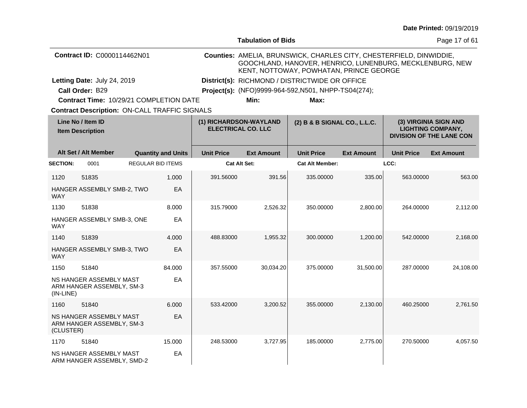|                                              |                                                             |  |                           |                                                     | <b>Tabulation of Bids</b>                      |                                                                                                                                                                            |                   |                                                                                      | Page 17 of 61     |  |
|----------------------------------------------|-------------------------------------------------------------|--|---------------------------|-----------------------------------------------------|------------------------------------------------|----------------------------------------------------------------------------------------------------------------------------------------------------------------------------|-------------------|--------------------------------------------------------------------------------------|-------------------|--|
|                                              | Contract ID: C0000114462N01                                 |  |                           |                                                     |                                                | Counties: AMELIA, BRUNSWICK, CHARLES CITY, CHESTERFIELD, DINWIDDIE,<br>GOOCHLAND, HANOVER, HENRICO, LUNENBURG, MECKLENBURG, NEW<br>KENT, NOTTOWAY, POWHATAN, PRINCE GEORGE |                   |                                                                                      |                   |  |
|                                              | Letting Date: July 24, 2019                                 |  |                           |                                                     | District(s): RICHMOND / DISTRICTWIDE OR OFFICE |                                                                                                                                                                            |                   |                                                                                      |                   |  |
|                                              | Call Order: B29                                             |  |                           |                                                     |                                                | Project(s): (NFO)9999-964-592, N501, NHPP-TS04(274);                                                                                                                       |                   |                                                                                      |                   |  |
| Contract Time: 10/29/21 COMPLETION DATE      |                                                             |  |                           |                                                     | Min:                                           | Max:                                                                                                                                                                       |                   |                                                                                      |                   |  |
|                                              | <b>Contract Description: ON-CALL TRAFFIC SIGNALS</b>        |  |                           |                                                     |                                                |                                                                                                                                                                            |                   |                                                                                      |                   |  |
| Line No / Item ID<br><b>Item Description</b> |                                                             |  |                           | (1) RICHARDSON-WAYLAND<br><b>ELECTRICAL CO. LLC</b> |                                                | (2) B & B SIGNAL CO., L.L.C.                                                                                                                                               |                   | (3) VIRGINIA SIGN AND<br><b>LIGHTING COMPANY,</b><br><b>DIVISION OF THE LANE CON</b> |                   |  |
|                                              | Alt Set / Alt Member                                        |  | <b>Quantity and Units</b> | <b>Unit Price</b>                                   | <b>Ext Amount</b>                              | <b>Unit Price</b>                                                                                                                                                          | <b>Ext Amount</b> | <b>Unit Price</b>                                                                    | <b>Ext Amount</b> |  |
| <b>SECTION:</b>                              | 0001                                                        |  | <b>REGULAR BID ITEMS</b>  |                                                     | <b>Cat Alt Set:</b>                            | <b>Cat Alt Member:</b>                                                                                                                                                     |                   | LCC:                                                                                 |                   |  |
| 1120                                         | 51835                                                       |  | 1.000                     | 391.56000                                           | 391.56                                         | 335.00000                                                                                                                                                                  | 335.00            | 563.00000                                                                            | 563.00            |  |
| WAY                                          | HANGER ASSEMBLY SMB-2, TWO                                  |  | EA                        |                                                     |                                                |                                                                                                                                                                            |                   |                                                                                      |                   |  |
| 1130                                         | 51838                                                       |  | 8.000                     | 315.79000                                           | 2,526.32                                       | 350.00000                                                                                                                                                                  | 2,800.00          | 264.00000                                                                            | 2,112.00          |  |
| WAY                                          | HANGER ASSEMBLY SMB-3, ONE                                  |  | EA                        |                                                     |                                                |                                                                                                                                                                            |                   |                                                                                      |                   |  |
| 1140                                         | 51839                                                       |  | 4.000                     | 488.83000                                           | 1,955.32                                       | 300.00000                                                                                                                                                                  | 1,200.00          | 542.00000                                                                            | 2,168.00          |  |
| <b>WAY</b>                                   | HANGER ASSEMBLY SMB-3, TWO                                  |  | EA                        |                                                     |                                                |                                                                                                                                                                            |                   |                                                                                      |                   |  |
| 1150                                         | 51840                                                       |  | 84.000                    | 357.55000                                           | 30,034.20                                      | 375.00000                                                                                                                                                                  | 31,500.00         | 287.00000                                                                            | 24,108.00         |  |
| $(IN-LINE)$                                  | <b>NS HANGER ASSEMBLY MAST</b><br>ARM HANGER ASSEMBLY, SM-3 |  | EA                        |                                                     |                                                |                                                                                                                                                                            |                   |                                                                                      |                   |  |
| 1160                                         | 51840                                                       |  | 6.000                     | 533.42000                                           | 3,200.52                                       | 355.00000                                                                                                                                                                  | 2,130.00          | 460.25000                                                                            | 2,761.50          |  |
| (CLUSTER)                                    | NS HANGER ASSEMBLY MAST<br>ARM HANGER ASSEMBLY, SM-3        |  | EA                        |                                                     |                                                |                                                                                                                                                                            |                   |                                                                                      |                   |  |
| 1170                                         | 51840                                                       |  | 15,000                    | 248.53000                                           | 3,727.95                                       | 185.00000                                                                                                                                                                  | 2,775.00          | 270,50000                                                                            | 4,057.50          |  |
|                                              | NS HANGER ASSEMBLY MAST<br>ARM HANGER ASSEMBLY, SMD-2       |  | EA                        |                                                     |                                                |                                                                                                                                                                            |                   |                                                                                      |                   |  |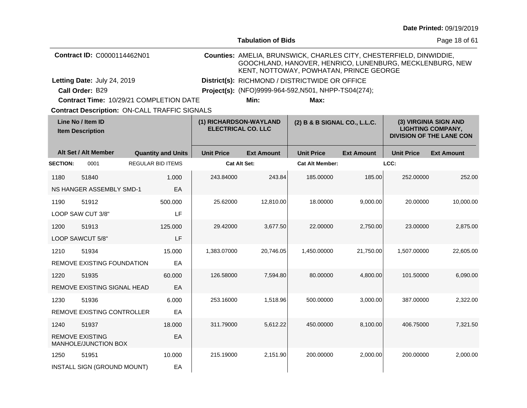|                                              |                                                |                                                      |                                                                                     | <b>Tabulation of Bids</b> |                                                                                                                                                                            |                   |                   | Page 18 of 61                                                                        |
|----------------------------------------------|------------------------------------------------|------------------------------------------------------|-------------------------------------------------------------------------------------|---------------------------|----------------------------------------------------------------------------------------------------------------------------------------------------------------------------|-------------------|-------------------|--------------------------------------------------------------------------------------|
|                                              | Contract ID: C0000114462N01                    |                                                      |                                                                                     |                           | Counties: AMELIA, BRUNSWICK, CHARLES CITY, CHESTERFIELD, DINWIDDIE,<br>GOOCHLAND, HANOVER, HENRICO, LUNENBURG, MECKLENBURG, NEW<br>KENT, NOTTOWAY, POWHATAN, PRINCE GEORGE |                   |                   |                                                                                      |
|                                              | Letting Date: July 24, 2019                    |                                                      |                                                                                     |                           | District(s): RICHMOND / DISTRICTWIDE OR OFFICE                                                                                                                             |                   |                   |                                                                                      |
|                                              | Call Order: B29                                |                                                      |                                                                                     |                           | Project(s): (NFO)9999-964-592, N501, NHPP-TS04(274);                                                                                                                       |                   |                   |                                                                                      |
|                                              |                                                | Contract Time: 10/29/21 COMPLETION DATE              |                                                                                     | Min:                      | Max:                                                                                                                                                                       |                   |                   |                                                                                      |
|                                              |                                                | <b>Contract Description: ON-CALL TRAFFIC SIGNALS</b> |                                                                                     |                           |                                                                                                                                                                            |                   |                   |                                                                                      |
| Line No / Item ID<br><b>Item Description</b> |                                                |                                                      | (1) RICHARDSON-WAYLAND<br>(2) B & B SIGNAL CO., L.L.C.<br><b>ELECTRICAL CO. LLC</b> |                           |                                                                                                                                                                            |                   |                   | (3) VIRGINIA SIGN AND<br><b>LIGHTING COMPANY,</b><br><b>DIVISION OF THE LANE CON</b> |
|                                              | Alt Set / Alt Member                           | <b>Quantity and Units</b>                            | <b>Unit Price</b>                                                                   | <b>Ext Amount</b>         | <b>Unit Price</b>                                                                                                                                                          | <b>Ext Amount</b> | <b>Unit Price</b> | <b>Ext Amount</b>                                                                    |
| <b>SECTION:</b>                              | 0001                                           | <b>REGULAR BID ITEMS</b>                             |                                                                                     | Cat Alt Set:              | <b>Cat Alt Member:</b>                                                                                                                                                     |                   | LCC:              |                                                                                      |
| 1180                                         | 51840                                          | 1.000                                                | 243.84000                                                                           | 243.84                    | 185.00000                                                                                                                                                                  | 185.00            | 252.00000         | 252.00                                                                               |
|                                              | <b>NS HANGER ASSEMBLY SMD-1</b>                | EA                                                   |                                                                                     |                           |                                                                                                                                                                            |                   |                   |                                                                                      |
| 1190                                         | 51912                                          | 500.000                                              | 25.62000                                                                            | 12,810.00                 | 18.00000                                                                                                                                                                   | 9,000.00          | 20.00000          | 10,000.00                                                                            |
|                                              | LOOP SAW CUT 3/8"                              | LF                                                   |                                                                                     |                           |                                                                                                                                                                            |                   |                   |                                                                                      |
| 1200                                         | 51913                                          | 125.000                                              | 29.42000                                                                            | 3,677.50                  | 22.00000                                                                                                                                                                   | 2,750.00          | 23.00000          | 2,875.00                                                                             |
|                                              | LOOP SAWCUT 5/8"                               | LF                                                   |                                                                                     |                           |                                                                                                                                                                            |                   |                   |                                                                                      |
| 1210                                         | 51934                                          | 15.000                                               | 1,383.07000                                                                         | 20,746.05                 | 1,450.00000                                                                                                                                                                | 21,750.00         | 1,507.00000       | 22,605.00                                                                            |
|                                              | <b>REMOVE EXISTING FOUNDATION</b>              | EA                                                   |                                                                                     |                           |                                                                                                                                                                            |                   |                   |                                                                                      |
| 1220                                         | 51935                                          | 60.000                                               | 126.58000                                                                           | 7,594.80                  | 80.00000                                                                                                                                                                   | 4,800.00          | 101.50000         | 6.090.00                                                                             |
|                                              | REMOVE EXISTING SIGNAL HEAD                    | EА                                                   |                                                                                     |                           |                                                                                                                                                                            |                   |                   |                                                                                      |
| 1230                                         | 51936                                          | 6.000                                                | 253.16000                                                                           | 1,518.96                  | 500.00000                                                                                                                                                                  | 3,000.00          | 387.00000         | 2,322.00                                                                             |
|                                              | REMOVE EXISTING CONTROLLER                     | ЕA                                                   |                                                                                     |                           |                                                                                                                                                                            |                   |                   |                                                                                      |
| 1240                                         | 51937                                          | 18,000                                               | 311.79000                                                                           | 5,612.22                  | 450.00000                                                                                                                                                                  | 8,100.00          | 406.75000         | 7,321.50                                                                             |
|                                              | <b>REMOVE EXISTING</b><br>MANHOLE/JUNCTION BOX | EA                                                   |                                                                                     |                           |                                                                                                                                                                            |                   |                   |                                                                                      |
| 1250                                         | 51951                                          | 10.000                                               | 215.19000                                                                           | 2,151.90                  | 200.00000                                                                                                                                                                  | 2,000.00          | 200.00000         | 2,000.00                                                                             |
|                                              | INSTALL SIGN (GROUND MOUNT)                    | EA                                                   |                                                                                     |                           |                                                                                                                                                                            |                   |                   |                                                                                      |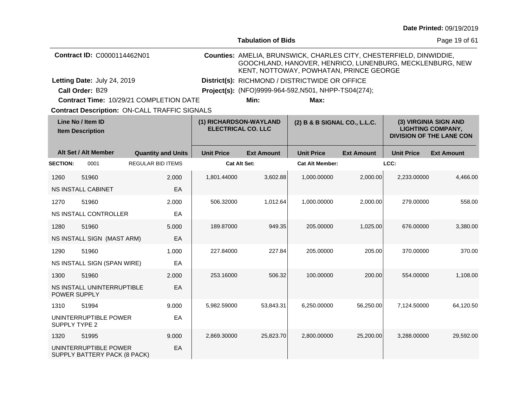|                                              |                             |                                                      |                   |                                                      |                                                                                                                                                                            |                   |                   | <b>Date Littled:</b> 09/19/2019                                                      |  |
|----------------------------------------------|-----------------------------|------------------------------------------------------|-------------------|------------------------------------------------------|----------------------------------------------------------------------------------------------------------------------------------------------------------------------------|-------------------|-------------------|--------------------------------------------------------------------------------------|--|
|                                              |                             |                                                      |                   | <b>Tabulation of Bids</b>                            |                                                                                                                                                                            |                   |                   | Page 19 of 61                                                                        |  |
|                                              | Contract ID: C0000114462N01 |                                                      |                   |                                                      | Counties: AMELIA, BRUNSWICK, CHARLES CITY, CHESTERFIELD, DINWIDDIE,<br>GOOCHLAND, HANOVER, HENRICO, LUNENBURG, MECKLENBURG, NEW<br>KENT, NOTTOWAY, POWHATAN, PRINCE GEORGE |                   |                   |                                                                                      |  |
|                                              | Letting Date: July 24, 2019 |                                                      |                   |                                                      | District(s): RICHMOND / DISTRICTWIDE OR OFFICE                                                                                                                             |                   |                   |                                                                                      |  |
|                                              | Call Order: B29             |                                                      |                   | Project(s): (NFO)9999-964-592, N501, NHPP-TS04(274); |                                                                                                                                                                            |                   |                   |                                                                                      |  |
|                                              |                             | Contract Time: 10/29/21 COMPLETION DATE              |                   | Min:                                                 | Max:                                                                                                                                                                       |                   |                   |                                                                                      |  |
|                                              |                             | <b>Contract Description: ON-CALL TRAFFIC SIGNALS</b> |                   |                                                      |                                                                                                                                                                            |                   |                   |                                                                                      |  |
| Line No / Item ID<br><b>Item Description</b> |                             |                                                      |                   | (1) RICHARDSON-WAYLAND<br><b>ELECTRICAL CO. LLC</b>  | (2) B & B SIGNAL CO., L.L.C.                                                                                                                                               |                   |                   | (3) VIRGINIA SIGN AND<br><b>LIGHTING COMPANY,</b><br><b>DIVISION OF THE LANE CON</b> |  |
|                                              | Alt Set / Alt Member        | <b>Quantity and Units</b>                            | <b>Unit Price</b> | <b>Ext Amount</b>                                    | <b>Unit Price</b>                                                                                                                                                          | <b>Ext Amount</b> | <b>Unit Price</b> | <b>Ext Amount</b>                                                                    |  |
| <b>SECTION:</b>                              | 0001                        | REGULAR BID ITEMS                                    |                   | <b>Cat Alt Set:</b>                                  | <b>Cat Alt Member:</b>                                                                                                                                                     |                   | LCC:              |                                                                                      |  |
| 1260                                         | 51960                       | 2.000                                                | 1,801.44000       | 3,602.88                                             | 1,000.00000                                                                                                                                                                | 2,000.00          | 2,233.00000       | 4,466.00                                                                             |  |
|                                              | NS INSTALL CABINET          | EA                                                   |                   |                                                      |                                                                                                                                                                            |                   |                   |                                                                                      |  |
| 1270                                         | 51960                       | 2.000                                                | 506.32000         | 1,012.64                                             | 1,000.00000                                                                                                                                                                | 2,000.00          | 279.00000         | 558.00                                                                               |  |
|                                              | NS INSTALL CONTROLLER       | EA                                                   |                   |                                                      |                                                                                                                                                                            |                   |                   |                                                                                      |  |
| 1280                                         | 51960                       | 5.000                                                | 189.87000         | 949.35                                               | 205.00000                                                                                                                                                                  | 1,025.00          | 676.00000         | 3,380.00                                                                             |  |
|                                              | NS INSTALL SIGN (MAST ARM)  | EA                                                   |                   |                                                      |                                                                                                                                                                            |                   |                   |                                                                                      |  |
| 1290                                         | 51960                       | 1.000                                                | 227.84000         | 227.84                                               | 205.00000                                                                                                                                                                  | 205.00            | 370.00000         | 370.00                                                                               |  |
|                                              | NS INSTALL SIGN (SPAN WIRE) | EA                                                   |                   |                                                      |                                                                                                                                                                            |                   |                   |                                                                                      |  |
| 1300                                         | 51960                       | 2.000                                                | 253.16000         | 506.32                                               | 100.00000                                                                                                                                                                  | 200.00            | 554.00000         | 1,108.00                                                                             |  |
| POWER SUPPLY                                 | NS INSTALL UNINTERRUPTIBLE  | EA                                                   |                   |                                                      |                                                                                                                                                                            |                   |                   |                                                                                      |  |
| 1310                                         | 51994                       | 9.000                                                | 5,982.59000       | 53,843.31                                            | 6,250.00000                                                                                                                                                                | 56,250.00         | 7,124.50000       | 64,120.50                                                                            |  |
| SUPPLY TYPE 2                                | UNINTERRUPTIBLE POWER       | EA                                                   |                   |                                                      |                                                                                                                                                                            |                   |                   |                                                                                      |  |
| 1320                                         | 51995                       | 9.000                                                | 2,869.30000       | 25,823.70                                            | 2,800.00000                                                                                                                                                                | 25,200.00         | 3,288.00000       | 29,592.00                                                                            |  |
|                                              | UNINTERRUPTIBLE POWER       | EА                                                   |                   |                                                      |                                                                                                                                                                            |                   |                   |                                                                                      |  |

SUPPLY BATTERY PACK (8 PACK)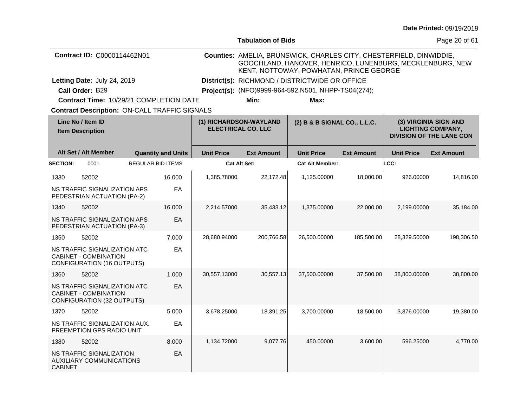|                                              |                                                                                                   |  |                           |                                                                                     | <b>Tabulation of Bids</b>                                                                                                                                                  |                                                      |                   |                                                                                      | Page 20 of 61     |  |
|----------------------------------------------|---------------------------------------------------------------------------------------------------|--|---------------------------|-------------------------------------------------------------------------------------|----------------------------------------------------------------------------------------------------------------------------------------------------------------------------|------------------------------------------------------|-------------------|--------------------------------------------------------------------------------------|-------------------|--|
|                                              | Contract ID: C0000114462N01                                                                       |  |                           |                                                                                     | Counties: AMELIA, BRUNSWICK, CHARLES CITY, CHESTERFIELD, DINWIDDIE,<br>GOOCHLAND, HANOVER, HENRICO, LUNENBURG, MECKLENBURG, NEW<br>KENT, NOTTOWAY, POWHATAN, PRINCE GEORGE |                                                      |                   |                                                                                      |                   |  |
|                                              | Letting Date: July 24, 2019                                                                       |  |                           |                                                                                     | District(s): RICHMOND / DISTRICTWIDE OR OFFICE                                                                                                                             |                                                      |                   |                                                                                      |                   |  |
|                                              | Call Order: B29                                                                                   |  |                           |                                                                                     |                                                                                                                                                                            | Project(s): (NFO)9999-964-592, N501, NHPP-TS04(274); |                   |                                                                                      |                   |  |
|                                              | Contract Time: 10/29/21 COMPLETION DATE                                                           |  |                           |                                                                                     | Min:                                                                                                                                                                       | Max:                                                 |                   |                                                                                      |                   |  |
|                                              | <b>Contract Description: ON-CALL TRAFFIC SIGNALS</b>                                              |  |                           |                                                                                     |                                                                                                                                                                            |                                                      |                   |                                                                                      |                   |  |
| Line No / Item ID<br><b>Item Description</b> |                                                                                                   |  |                           | (1) RICHARDSON-WAYLAND<br>(2) B & B SIGNAL CO., L.L.C.<br><b>ELECTRICAL CO. LLC</b> |                                                                                                                                                                            |                                                      |                   | (3) VIRGINIA SIGN AND<br><b>LIGHTING COMPANY,</b><br><b>DIVISION OF THE LANE CON</b> |                   |  |
|                                              | Alt Set / Alt Member                                                                              |  | <b>Quantity and Units</b> | <b>Unit Price</b>                                                                   | <b>Ext Amount</b>                                                                                                                                                          | <b>Unit Price</b>                                    | <b>Ext Amount</b> | <b>Unit Price</b>                                                                    | <b>Ext Amount</b> |  |
| <b>SECTION:</b>                              | 0001                                                                                              |  | <b>REGULAR BID ITEMS</b>  | <b>Cat Alt Set:</b>                                                                 |                                                                                                                                                                            | <b>Cat Alt Member:</b>                               |                   | LCC:                                                                                 |                   |  |
| 1330                                         | 52002                                                                                             |  | 16.000                    | 1,385.78000                                                                         | 22,172.48                                                                                                                                                                  | 1,125.00000                                          | 18,000.00         | 926.00000                                                                            | 14,816.00         |  |
|                                              | NS TRAFFIC SIGNALIZATION APS<br>PEDESTRIAN ACTUATION (PA-2)                                       |  | EA                        |                                                                                     |                                                                                                                                                                            |                                                      |                   |                                                                                      |                   |  |
| 1340                                         | 52002                                                                                             |  | 16.000                    | 2,214.57000                                                                         | 35,433.12                                                                                                                                                                  | 1,375.00000                                          | 22,000.00         | 2,199.00000                                                                          | 35,184.00         |  |
|                                              | NS TRAFFIC SIGNALIZATION APS<br>PEDESTRIAN ACTUATION (PA-3)                                       |  | EA                        |                                                                                     |                                                                                                                                                                            |                                                      |                   |                                                                                      |                   |  |
| 1350                                         | 52002                                                                                             |  | 7.000                     | 28,680.94000                                                                        | 200,766.58                                                                                                                                                                 | 26,500.00000                                         | 185,500.00        | 28,329.50000                                                                         | 198,306.50        |  |
|                                              | NS TRAFFIC SIGNALIZATION ATC<br>CABINET - COMBINATION<br><b>CONFIGURATION (16 OUTPUTS)</b>        |  | EA                        |                                                                                     |                                                                                                                                                                            |                                                      |                   |                                                                                      |                   |  |
| 1360                                         | 52002                                                                                             |  | 1.000                     | 30,557.13000                                                                        | 30,557.13                                                                                                                                                                  | 37,500.00000                                         | 37,500.00         | 38,800.00000                                                                         | 38,800.00         |  |
|                                              | NS TRAFFIC SIGNALIZATION ATC<br><b>CABINET - COMBINATION</b><br><b>CONFIGURATION (32 OUTPUTS)</b> |  | EA                        |                                                                                     |                                                                                                                                                                            |                                                      |                   |                                                                                      |                   |  |
| 1370                                         | 52002                                                                                             |  | 5.000                     | 3,678.25000                                                                         | 18,391.25                                                                                                                                                                  | 3,700.00000                                          | 18,500.00         | 3,876.00000                                                                          | 19,380.00         |  |
|                                              | NS TRAFFIC SIGNALIZATION AUX.<br>PREEMPTION GPS RADIO UNIT                                        |  | EA                        |                                                                                     |                                                                                                                                                                            |                                                      |                   |                                                                                      |                   |  |
| 1380                                         | 52002                                                                                             |  | 8.000                     | 1,134.72000                                                                         | 9,077.76                                                                                                                                                                   | 450.00000                                            | 3,600.00          | 596.25000                                                                            | 4,770.00          |  |
| <b>CABINET</b>                               | NS TRAFFIC SIGNALIZATION<br><b>AUXILIARY COMMUNICATIONS</b>                                       |  | EA                        |                                                                                     |                                                                                                                                                                            |                                                      |                   |                                                                                      |                   |  |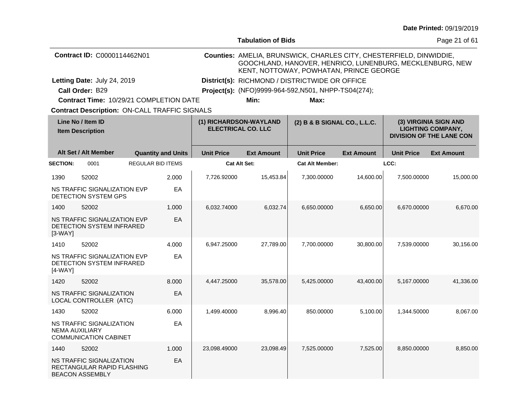|                                              |                                                                                   |  |                           |                                                     | <b>Tabulation of Bids</b>                            |                                                                                                                                                                            |                   |                   | Page 21 of 61                                                                        |  |
|----------------------------------------------|-----------------------------------------------------------------------------------|--|---------------------------|-----------------------------------------------------|------------------------------------------------------|----------------------------------------------------------------------------------------------------------------------------------------------------------------------------|-------------------|-------------------|--------------------------------------------------------------------------------------|--|
|                                              | Contract ID: C0000114462N01                                                       |  |                           |                                                     |                                                      | Counties: AMELIA, BRUNSWICK, CHARLES CITY, CHESTERFIELD, DINWIDDIE,<br>GOOCHLAND, HANOVER, HENRICO, LUNENBURG, MECKLENBURG, NEW<br>KENT, NOTTOWAY, POWHATAN, PRINCE GEORGE |                   |                   |                                                                                      |  |
|                                              | Letting Date: July 24, 2019                                                       |  |                           |                                                     | District(s): RICHMOND / DISTRICTWIDE OR OFFICE       |                                                                                                                                                                            |                   |                   |                                                                                      |  |
|                                              | Call Order: B29                                                                   |  |                           |                                                     | Project(s): (NFO)9999-964-592, N501, NHPP-TS04(274); |                                                                                                                                                                            |                   |                   |                                                                                      |  |
|                                              | Contract Time: 10/29/21 COMPLETION DATE                                           |  |                           |                                                     | Min:                                                 | Max:                                                                                                                                                                       |                   |                   |                                                                                      |  |
|                                              | <b>Contract Description: ON-CALL TRAFFIC SIGNALS</b>                              |  |                           |                                                     |                                                      |                                                                                                                                                                            |                   |                   |                                                                                      |  |
| Line No / Item ID<br><b>Item Description</b> |                                                                                   |  |                           | (1) RICHARDSON-WAYLAND<br><b>ELECTRICAL CO. LLC</b> |                                                      | (2) B & B SIGNAL CO., L.L.C.                                                                                                                                               |                   |                   | (3) VIRGINIA SIGN AND<br><b>LIGHTING COMPANY,</b><br><b>DIVISION OF THE LANE CON</b> |  |
|                                              | Alt Set / Alt Member                                                              |  | <b>Quantity and Units</b> | <b>Unit Price</b>                                   | <b>Ext Amount</b>                                    | <b>Unit Price</b>                                                                                                                                                          | <b>Ext Amount</b> | <b>Unit Price</b> | <b>Ext Amount</b>                                                                    |  |
| <b>SECTION:</b>                              | 0001                                                                              |  | <b>REGULAR BID ITEMS</b>  | Cat Alt Set:                                        |                                                      | <b>Cat Alt Member:</b>                                                                                                                                                     |                   | LCC:              |                                                                                      |  |
| 1390                                         | 52002                                                                             |  | 2.000                     | 7,726.92000                                         | 15,453.84                                            | 7,300.00000                                                                                                                                                                | 14,600.00         | 7,500.00000       | 15,000.00                                                                            |  |
|                                              | NS TRAFFIC SIGNALIZATION EVP<br>DETECTION SYSTEM GPS                              |  | EA                        |                                                     |                                                      |                                                                                                                                                                            |                   |                   |                                                                                      |  |
| 1400                                         | 52002                                                                             |  | 1.000                     | 6.032.74000                                         | 6,032.74                                             | 6.650.00000                                                                                                                                                                | 6,650.00          | 6.670.00000       | 6,670.00                                                                             |  |
| $[3-WAY]$                                    | NS TRAFFIC SIGNALIZATION EVP<br>DETECTION SYSTEM INFRARED                         |  | EA                        |                                                     |                                                      |                                                                                                                                                                            |                   |                   |                                                                                      |  |
| 1410                                         | 52002                                                                             |  | 4.000                     | 6,947.25000                                         | 27,789.00                                            | 7,700.00000                                                                                                                                                                | 30,800.00         | 7,539.00000       | 30,156.00                                                                            |  |
| $[4-WAY]$                                    | NS TRAFFIC SIGNALIZATION EVP<br>DETECTION SYSTEM INFRARED                         |  | EA                        |                                                     |                                                      |                                                                                                                                                                            |                   |                   |                                                                                      |  |
| 1420                                         | 52002                                                                             |  | 8.000                     | 4,447.25000                                         | 35,578.00                                            | 5,425.00000                                                                                                                                                                | 43,400.00         | 5,167.00000       | 41,336.00                                                                            |  |
|                                              | NS TRAFFIC SIGNALIZATION<br>LOCAL CONTROLLER (ATC)                                |  | EA                        |                                                     |                                                      |                                                                                                                                                                            |                   |                   |                                                                                      |  |
| 1430                                         | 52002                                                                             |  | 6.000                     | 1,499.40000                                         | 8,996.40                                             | 850.00000                                                                                                                                                                  | 5,100.00          | 1,344.50000       | 8,067.00                                                                             |  |
|                                              | NS TRAFFIC SIGNALIZATION<br><b>NEMA AUXILIARY</b><br><b>COMMUNICATION CABINET</b> |  | EA                        |                                                     |                                                      |                                                                                                                                                                            |                   |                   |                                                                                      |  |
| 1440                                         | 52002                                                                             |  | 1.000                     | 23,098.49000                                        | 23,098.49                                            | 7,525.00000                                                                                                                                                                | 7,525.00          | 8,850.00000       | 8,850.00                                                                             |  |
|                                              | NS TRAFFIC SIGNALIZATION<br>RECTANGULAR RAPID FLASHING<br><b>BEACON ASSEMBLY</b>  |  | EA                        |                                                     |                                                      |                                                                                                                                                                            |                   |                   |                                                                                      |  |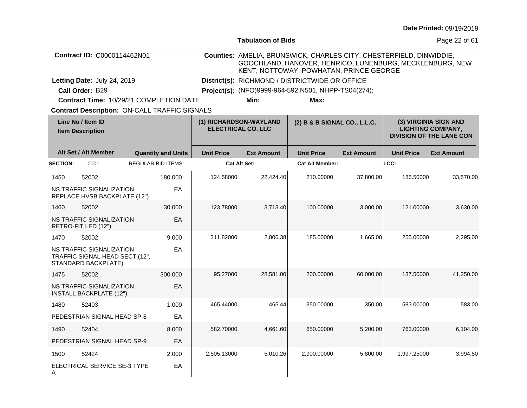|                                                                                                      |                                                                                   |  |                                                     |                   | <b>Tabulation of Bids</b>                                                                                                                                                  |                                                      |                   |                                                                                      | Page 22 of 61     |
|------------------------------------------------------------------------------------------------------|-----------------------------------------------------------------------------------|--|-----------------------------------------------------|-------------------|----------------------------------------------------------------------------------------------------------------------------------------------------------------------------|------------------------------------------------------|-------------------|--------------------------------------------------------------------------------------|-------------------|
|                                                                                                      | Contract ID: C0000114462N01                                                       |  |                                                     |                   | Counties: AMELIA, BRUNSWICK, CHARLES CITY, CHESTERFIELD, DINWIDDIE,<br>GOOCHLAND, HANOVER, HENRICO, LUNENBURG, MECKLENBURG, NEW<br>KENT, NOTTOWAY, POWHATAN, PRINCE GEORGE |                                                      |                   |                                                                                      |                   |
|                                                                                                      | Letting Date: July 24, 2019                                                       |  |                                                     |                   | District(s): RICHMOND / DISTRICTWIDE OR OFFICE                                                                                                                             |                                                      |                   |                                                                                      |                   |
|                                                                                                      | Call Order: B29                                                                   |  |                                                     |                   |                                                                                                                                                                            | Project(s): (NFO)9999-964-592, N501, NHPP-TS04(274); |                   |                                                                                      |                   |
|                                                                                                      | Contract Time: 10/29/21 COMPLETION DATE                                           |  |                                                     |                   | Min:                                                                                                                                                                       | Max:                                                 |                   |                                                                                      |                   |
| <b>Contract Description: ON-CALL TRAFFIC SIGNALS</b><br>Line No / Item ID<br><b>Item Description</b> |                                                                                   |  | (1) RICHARDSON-WAYLAND<br><b>ELECTRICAL CO. LLC</b> |                   | (2) B & B SIGNAL CO., L.L.C.                                                                                                                                               |                                                      |                   | (3) VIRGINIA SIGN AND<br><b>LIGHTING COMPANY,</b><br><b>DIVISION OF THE LANE CON</b> |                   |
|                                                                                                      | Alt Set / Alt Member                                                              |  | <b>Quantity and Units</b>                           | <b>Unit Price</b> | <b>Ext Amount</b>                                                                                                                                                          | <b>Unit Price</b>                                    | <b>Ext Amount</b> | <b>Unit Price</b>                                                                    | <b>Ext Amount</b> |
| <b>SECTION:</b>                                                                                      | 0001                                                                              |  | <b>REGULAR BID ITEMS</b>                            |                   | <b>Cat Alt Set:</b>                                                                                                                                                        | <b>Cat Alt Member:</b>                               |                   | LCC:                                                                                 |                   |
| 1450                                                                                                 | 52002                                                                             |  | 180.000                                             | 124.58000         | 22.424.40                                                                                                                                                                  | 210.00000                                            | 37,800.00         | 186.50000                                                                            | 33,570.00         |
|                                                                                                      | NS TRAFFIC SIGNALIZATION<br>REPLACE HVSB BACKPLATE (12")                          |  | EA                                                  |                   |                                                                                                                                                                            |                                                      |                   |                                                                                      |                   |
| 1460                                                                                                 | 52002                                                                             |  | 30,000                                              | 123.78000         | 3,713.40                                                                                                                                                                   | 100.00000                                            | 3,000.00          | 121.00000                                                                            | 3,630.00          |
|                                                                                                      | NS TRAFFIC SIGNALIZATION<br>RETRO-FIT LED (12")                                   |  | EA                                                  |                   |                                                                                                                                                                            |                                                      |                   |                                                                                      |                   |
| 1470                                                                                                 | 52002                                                                             |  | 9.000                                               | 311.82000         | 2,806.38                                                                                                                                                                   | 185.00000                                            | 1,665.00          | 255.00000                                                                            | 2,295.00          |
|                                                                                                      | NS TRAFFIC SIGNALIZATION<br>TRAFFIC SIGNAL HEAD SECT.(12",<br>STANDARD BACKPLATE) |  | EA                                                  |                   |                                                                                                                                                                            |                                                      |                   |                                                                                      |                   |
| 1475                                                                                                 | 52002                                                                             |  | 300,000                                             | 95.27000          | 28,581.00                                                                                                                                                                  | 200.00000                                            | 60,000.00         | 137.50000                                                                            | 41,250.00         |
|                                                                                                      | NS TRAFFIC SIGNALIZATION<br><b>INSTALL BACKPLATE (12")</b>                        |  | EA                                                  |                   |                                                                                                                                                                            |                                                      |                   |                                                                                      |                   |
| 1480                                                                                                 | 52403                                                                             |  | 1.000                                               | 465.44000         | 465.44                                                                                                                                                                     | 350.00000                                            | 350.00            | 583.00000                                                                            | 583.00            |
|                                                                                                      | PEDESTRIAN SIGNAL HEAD SP-8                                                       |  | EA                                                  |                   |                                                                                                                                                                            |                                                      |                   |                                                                                      |                   |
| 1490                                                                                                 | 52404                                                                             |  | 8.000                                               | 582.70000         | 4,661.60                                                                                                                                                                   | 650.00000                                            | 5,200.00          | 763.00000                                                                            | 6,104.00          |
|                                                                                                      | PEDESTRIAN SIGNAL HEAD SP-9                                                       |  | EA                                                  |                   |                                                                                                                                                                            |                                                      |                   |                                                                                      |                   |
| 1500                                                                                                 | 52424                                                                             |  | 2.000                                               | 2,505.13000       | 5,010.26                                                                                                                                                                   | 2,900.00000                                          | 5,800.00          | 1,997.25000                                                                          | 3,994.50          |
| Α                                                                                                    | ELECTRICAL SERVICE SE-3 TYPE                                                      |  | EA                                                  |                   |                                                                                                                                                                            |                                                      |                   |                                                                                      |                   |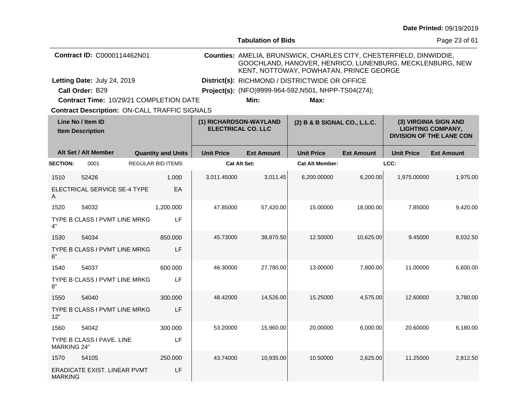|                                              |                                                      |                                                     |                   | <b>Tabulation of Bids</b>                            |                                                                                                                                                                            |                   |                                                                                      | Page 23 of 61     |
|----------------------------------------------|------------------------------------------------------|-----------------------------------------------------|-------------------|------------------------------------------------------|----------------------------------------------------------------------------------------------------------------------------------------------------------------------------|-------------------|--------------------------------------------------------------------------------------|-------------------|
|                                              | Contract ID: C0000114462N01                          |                                                     |                   |                                                      | Counties: AMELIA, BRUNSWICK, CHARLES CITY, CHESTERFIELD, DINWIDDIE,<br>GOOCHLAND, HANOVER, HENRICO, LUNENBURG, MECKLENBURG, NEW<br>KENT, NOTTOWAY, POWHATAN, PRINCE GEORGE |                   |                                                                                      |                   |
|                                              | Letting Date: July 24, 2019                          |                                                     |                   |                                                      | District(s): RICHMOND / DISTRICTWIDE OR OFFICE                                                                                                                             |                   |                                                                                      |                   |
|                                              | Call Order: B29                                      |                                                     |                   | Project(s): (NFO)9999-964-592, N501, NHPP-TS04(274); |                                                                                                                                                                            |                   |                                                                                      |                   |
|                                              | Contract Time: 10/29/21 COMPLETION DATE              |                                                     |                   | Min:                                                 | Max:                                                                                                                                                                       |                   |                                                                                      |                   |
|                                              | <b>Contract Description: ON-CALL TRAFFIC SIGNALS</b> |                                                     |                   |                                                      |                                                                                                                                                                            |                   |                                                                                      |                   |
| Line No / Item ID<br><b>Item Description</b> |                                                      | (1) RICHARDSON-WAYLAND<br><b>ELECTRICAL CO. LLC</b> |                   | (2) B & B SIGNAL CO., L.L.C.                         |                                                                                                                                                                            |                   | (3) VIRGINIA SIGN AND<br><b>LIGHTING COMPANY,</b><br><b>DIVISION OF THE LANE CON</b> |                   |
|                                              | Alt Set / Alt Member                                 | <b>Quantity and Units</b>                           | <b>Unit Price</b> | <b>Ext Amount</b>                                    | <b>Unit Price</b>                                                                                                                                                          | <b>Ext Amount</b> | <b>Unit Price</b>                                                                    | <b>Ext Amount</b> |
| <b>SECTION:</b>                              | 0001                                                 | <b>REGULAR BID ITEMS</b>                            |                   | <b>Cat Alt Set:</b>                                  | <b>Cat Alt Member:</b>                                                                                                                                                     |                   | LCC:                                                                                 |                   |
| 1510                                         | 52426                                                | 1.000                                               | 3,011.45000       | 3,011.45                                             | 6,200.00000                                                                                                                                                                | 6,200.00          | 1,975.00000                                                                          | 1,975.00          |
| A                                            | ELECTRICAL SERVICE SE-4 TYPE                         | EA                                                  |                   |                                                      |                                                                                                                                                                            |                   |                                                                                      |                   |
| 1520                                         | 54032                                                | 1,200.000                                           | 47.85000          | 57,420.00                                            | 15.00000                                                                                                                                                                   | 18,000.00         | 7.85000                                                                              | 9,420.00          |
| 4"                                           | TYPE B CLASS I PVMT LINE MRKG                        | LF                                                  |                   |                                                      |                                                                                                                                                                            |                   |                                                                                      |                   |
| 1530                                         | 54034                                                | 850.000                                             | 45.73000          | 38,870.50                                            | 12.50000                                                                                                                                                                   | 10,625.00         | 9.45000                                                                              | 8,032.50          |
| 6"                                           | TYPE B CLASS I PVMT LINE MRKG                        | LF                                                  |                   |                                                      |                                                                                                                                                                            |                   |                                                                                      |                   |
| 1540                                         | 54037                                                | 600.000                                             | 46.30000          | 27,780.00                                            | 13.00000                                                                                                                                                                   | 7,800.00          | 11.00000                                                                             | 6,600.00          |
| 8"                                           | TYPE B CLASS I PVMT LINE MRKG                        | LF                                                  |                   |                                                      |                                                                                                                                                                            |                   |                                                                                      |                   |
| 1550                                         | 54040                                                | 300.000                                             | 48.42000          | 14,526.00                                            | 15.25000                                                                                                                                                                   | 4,575.00          | 12.60000                                                                             | 3,780.00          |
| 12"                                          | TYPE B CLASS I PVMT LINE MRKG                        | LF                                                  |                   |                                                      |                                                                                                                                                                            |                   |                                                                                      |                   |
| 1560                                         | 54042                                                | 300,000                                             | 53.20000          | 15,960.00                                            | 20.00000                                                                                                                                                                   | 6,000.00          | 20.60000                                                                             | 6,180.00          |
| <b>MARKING 24"</b>                           | TYPE B CLASS I PAVE. LINE                            | LF                                                  |                   |                                                      |                                                                                                                                                                            |                   |                                                                                      |                   |
| 1570                                         | 54105                                                | 250.000                                             | 43.74000          | 10,935.00                                            | 10.50000                                                                                                                                                                   | 2,625.00          | 11.25000                                                                             | 2,812.50          |
| <b>MARKING</b>                               | ERADICATE EXIST. LINEAR PVMT                         | LF                                                  |                   |                                                      |                                                                                                                                                                            |                   |                                                                                      |                   |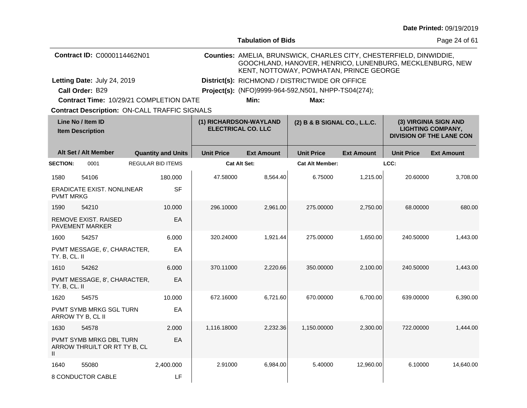| <b>Tabulation of Bids</b>                    |                                                         |                                                     |                                                      |                                                                                                                                                                            |                                                |                   | Page 24 of 61                                                                        |                   |
|----------------------------------------------|---------------------------------------------------------|-----------------------------------------------------|------------------------------------------------------|----------------------------------------------------------------------------------------------------------------------------------------------------------------------------|------------------------------------------------|-------------------|--------------------------------------------------------------------------------------|-------------------|
|                                              | Contract ID: C0000114462N01                             |                                                     |                                                      | Counties: AMELIA, BRUNSWICK, CHARLES CITY, CHESTERFIELD, DINWIDDIE,<br>GOOCHLAND, HANOVER, HENRICO, LUNENBURG, MECKLENBURG, NEW<br>KENT, NOTTOWAY, POWHATAN, PRINCE GEORGE |                                                |                   |                                                                                      |                   |
|                                              | Letting Date: July 24, 2019                             |                                                     |                                                      |                                                                                                                                                                            | District(s): RICHMOND / DISTRICTWIDE OR OFFICE |                   |                                                                                      |                   |
|                                              | Call Order: B29                                         |                                                     | Project(s): (NFO)9999-964-592, N501, NHPP-TS04(274); |                                                                                                                                                                            |                                                |                   |                                                                                      |                   |
|                                              | <b>Contract Time: 10/29/21 COMPLETION DATE</b>          |                                                     |                                                      | Min:                                                                                                                                                                       | Max:                                           |                   |                                                                                      |                   |
|                                              | <b>Contract Description: ON-CALL TRAFFIC SIGNALS</b>    |                                                     |                                                      |                                                                                                                                                                            |                                                |                   |                                                                                      |                   |
| Line No / Item ID<br><b>Item Description</b> |                                                         | (1) RICHARDSON-WAYLAND<br><b>ELECTRICAL CO. LLC</b> |                                                      | (2) B & B SIGNAL CO., L.L.C.                                                                                                                                               |                                                |                   | (3) VIRGINIA SIGN AND<br><b>LIGHTING COMPANY,</b><br><b>DIVISION OF THE LANE CON</b> |                   |
|                                              | Alt Set / Alt Member                                    | <b>Quantity and Units</b>                           | <b>Unit Price</b>                                    | <b>Ext Amount</b>                                                                                                                                                          | <b>Unit Price</b>                              | <b>Ext Amount</b> | <b>Unit Price</b>                                                                    | <b>Ext Amount</b> |
| <b>SECTION:</b>                              | 0001                                                    | <b>REGULAR BID ITEMS</b>                            | <b>Cat Alt Set:</b>                                  |                                                                                                                                                                            | <b>Cat Alt Member:</b>                         |                   | LCC:                                                                                 |                   |
| 1580                                         | 54106                                                   | 180.000                                             | 47.58000                                             | 8,564.40                                                                                                                                                                   | 6.75000                                        | 1,215.00          | 20.60000                                                                             | 3,708.00          |
| <b>PVMT MRKG</b>                             | <b>ERADICATE EXIST, NONLINEAR</b>                       | <b>SF</b>                                           |                                                      |                                                                                                                                                                            |                                                |                   |                                                                                      |                   |
| 1590                                         | 54210                                                   | 10.000                                              | 296.10000                                            | 2,961.00                                                                                                                                                                   | 275,00000                                      | 2,750.00          | 68.00000                                                                             | 680.00            |
|                                              | <b>REMOVE EXIST, RAISED</b><br><b>PAVEMENT MARKER</b>   | EA                                                  |                                                      |                                                                                                                                                                            |                                                |                   |                                                                                      |                   |
| 1600                                         | 54257                                                   | 6.000                                               | 320.24000                                            | 1,921.44                                                                                                                                                                   | 275.00000                                      | 1,650.00          | 240.50000                                                                            | 1,443.00          |
| TY. B, CL. II                                | PVMT MESSAGE, 6', CHARACTER,                            | EA                                                  |                                                      |                                                                                                                                                                            |                                                |                   |                                                                                      |                   |
| 1610                                         | 54262                                                   | 6.000                                               | 370.11000                                            | 2,220.66                                                                                                                                                                   | 350,00000                                      | 2,100.00          | 240.50000                                                                            | 1,443.00          |
| TY. B, CL. II                                | PVMT MESSAGE, 8', CHARACTER,                            | EA                                                  |                                                      |                                                                                                                                                                            |                                                |                   |                                                                                      |                   |
| 1620                                         | 54575                                                   | 10.000                                              | 672.16000                                            | 6,721.60                                                                                                                                                                   | 670.00000                                      | 6,700.00          | 639.00000                                                                            | 6,390.00          |
|                                              | <b>PVMT SYMB MRKG SGL TURN</b><br>ARROW TY B, CL II     | EA                                                  |                                                      |                                                                                                                                                                            |                                                |                   |                                                                                      |                   |
| 1630                                         | 54578                                                   | 2.000                                               | 1,116.18000                                          | 2,232.36                                                                                                                                                                   | 1,150.00000                                    | 2,300.00          | 722.00000                                                                            | 1,444.00          |
| Ш                                            | PVMT SYMB MRKG DBL TURN<br>ARROW THRU/LT OR RT TY B, CL | EA                                                  |                                                      |                                                                                                                                                                            |                                                |                   |                                                                                      |                   |
| 1640                                         | 55080                                                   | 2,400.000                                           | 2.91000                                              | 6,984.00                                                                                                                                                                   | 5.40000                                        | 12,960.00         | 6.10000                                                                              | 14,640.00         |
|                                              | 8 CONDUCTOR CABLE                                       | LF                                                  |                                                      |                                                                                                                                                                            |                                                |                   |                                                                                      |                   |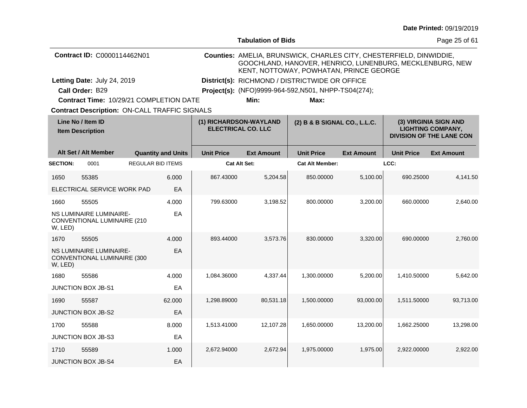|                                              |                                                               |                          |                           |                                                                                     | <b>Tabulation of Bids</b>                                                                                                                                                  |                        |                   |                                                                                      | Page 25 of 61     |  |  |
|----------------------------------------------|---------------------------------------------------------------|--------------------------|---------------------------|-------------------------------------------------------------------------------------|----------------------------------------------------------------------------------------------------------------------------------------------------------------------------|------------------------|-------------------|--------------------------------------------------------------------------------------|-------------------|--|--|
|                                              | Contract ID: C0000114462N01                                   |                          |                           |                                                                                     | Counties: AMELIA, BRUNSWICK, CHARLES CITY, CHESTERFIELD, DINWIDDIE,<br>GOOCHLAND, HANOVER, HENRICO, LUNENBURG, MECKLENBURG, NEW<br>KENT, NOTTOWAY, POWHATAN, PRINCE GEORGE |                        |                   |                                                                                      |                   |  |  |
|                                              | Letting Date: July 24, 2019                                   |                          |                           |                                                                                     | District(s): RICHMOND / DISTRICTWIDE OR OFFICE                                                                                                                             |                        |                   |                                                                                      |                   |  |  |
|                                              | Call Order: B29                                               |                          |                           |                                                                                     | Project(s): (NFO)9999-964-592, N501, NHPP-TS04(274);                                                                                                                       |                        |                   |                                                                                      |                   |  |  |
|                                              | Contract Time: 10/29/21 COMPLETION DATE                       |                          |                           |                                                                                     | Min:                                                                                                                                                                       | Max:                   |                   |                                                                                      |                   |  |  |
|                                              | <b>Contract Description: ON-CALL TRAFFIC SIGNALS</b>          |                          |                           |                                                                                     |                                                                                                                                                                            |                        |                   |                                                                                      |                   |  |  |
| Line No / Item ID<br><b>Item Description</b> |                                                               |                          |                           | (1) RICHARDSON-WAYLAND<br>(2) B & B SIGNAL CO., L.L.C.<br><b>ELECTRICAL CO. LLC</b> |                                                                                                                                                                            |                        |                   | (3) VIRGINIA SIGN AND<br><b>LIGHTING COMPANY,</b><br><b>DIVISION OF THE LANE CON</b> |                   |  |  |
|                                              | Alt Set / Alt Member                                          |                          | <b>Quantity and Units</b> | <b>Unit Price</b>                                                                   | <b>Ext Amount</b>                                                                                                                                                          | <b>Unit Price</b>      | <b>Ext Amount</b> | <b>Unit Price</b>                                                                    | <b>Ext Amount</b> |  |  |
| <b>SECTION:</b>                              | 0001                                                          | <b>REGULAR BID ITEMS</b> |                           |                                                                                     | <b>Cat Alt Set:</b>                                                                                                                                                        | <b>Cat Alt Member:</b> |                   | LCC:                                                                                 |                   |  |  |
| 1650                                         | 55385                                                         |                          | 6.000                     | 867.43000                                                                           | 5,204.58                                                                                                                                                                   | 850.00000              | 5,100.00          | 690.25000                                                                            | 4,141.50          |  |  |
|                                              | ELECTRICAL SERVICE WORK PAD                                   |                          | EA                        |                                                                                     |                                                                                                                                                                            |                        |                   |                                                                                      |                   |  |  |
| 1660                                         | 55505                                                         |                          | 4.000                     | 799.63000                                                                           | 3,198.52                                                                                                                                                                   | 800.00000              | 3,200.00          | 660.00000                                                                            | 2,640.00          |  |  |
| W, LED)                                      | <b>NS LUMINAIRE LUMINAIRE-</b><br>CONVENTIONAL LUMINAIRE (210 |                          | EA                        |                                                                                     |                                                                                                                                                                            |                        |                   |                                                                                      |                   |  |  |
| 1670                                         | 55505                                                         |                          | 4.000                     | 893.44000                                                                           | 3,573.76                                                                                                                                                                   | 830.00000              | 3,320.00          | 690.00000                                                                            | 2,760.00          |  |  |
| W, LED)                                      | <b>NS LUMINAIRE LUMINAIRE-</b><br>CONVENTIONAL LUMINAIRE (300 |                          | EA                        |                                                                                     |                                                                                                                                                                            |                        |                   |                                                                                      |                   |  |  |
| 1680                                         | 55586                                                         |                          | 4.000                     | 1,084.36000                                                                         | 4,337.44                                                                                                                                                                   | 1,300.00000            | 5,200.00          | 1,410.50000                                                                          | 5,642.00          |  |  |
|                                              | <b>JUNCTION BOX JB-S1</b>                                     |                          | EA                        |                                                                                     |                                                                                                                                                                            |                        |                   |                                                                                      |                   |  |  |
| 1690                                         | 55587                                                         |                          | 62.000                    | 1,298.89000                                                                         | 80,531.18                                                                                                                                                                  | 1,500.00000            | 93,000.00         | 1,511.50000                                                                          | 93,713.00         |  |  |
|                                              | <b>JUNCTION BOX JB-S2</b>                                     |                          | EA                        |                                                                                     |                                                                                                                                                                            |                        |                   |                                                                                      |                   |  |  |
| 1700                                         | 55588                                                         |                          | 8.000                     | 1,513.41000                                                                         | 12,107.28                                                                                                                                                                  | 1,650.00000            | 13,200.00         | 1,662.25000                                                                          | 13,298.00         |  |  |
|                                              | JUNCTION BOX JB-S3                                            |                          | EA                        |                                                                                     |                                                                                                                                                                            |                        |                   |                                                                                      |                   |  |  |
| 1710                                         | 55589                                                         |                          | 1.000                     | 2,672.94000                                                                         | 2,672.94                                                                                                                                                                   | 1,975.00000            | 1,975.00          | 2,922.00000                                                                          | 2,922.00          |  |  |
|                                              | <b>JUNCTION BOX JB-S4</b>                                     |                          | EA                        |                                                                                     |                                                                                                                                                                            |                        |                   |                                                                                      |                   |  |  |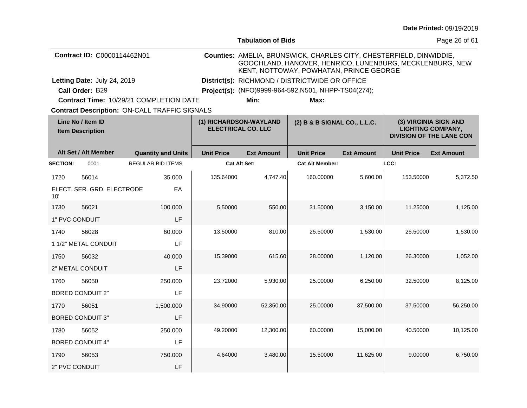|  |  | <b>Date Printed: 09/19/2019</b> |
|--|--|---------------------------------|
|--|--|---------------------------------|

|                 |                                              |                                                      |                   | <b>Tabulation of Bids</b>                            |                                                                                                                                                                            |                   |                   | Page 26 of 61                                                                        |  |
|-----------------|----------------------------------------------|------------------------------------------------------|-------------------|------------------------------------------------------|----------------------------------------------------------------------------------------------------------------------------------------------------------------------------|-------------------|-------------------|--------------------------------------------------------------------------------------|--|
|                 | Contract ID: C0000114462N01                  |                                                      |                   |                                                      | Counties: AMELIA, BRUNSWICK, CHARLES CITY, CHESTERFIELD, DINWIDDIE,<br>GOOCHLAND, HANOVER, HENRICO, LUNENBURG, MECKLENBURG, NEW<br>KENT, NOTTOWAY, POWHATAN, PRINCE GEORGE |                   |                   |                                                                                      |  |
|                 | Letting Date: July 24, 2019                  |                                                      |                   | District(s): RICHMOND / DISTRICTWIDE OR OFFICE       |                                                                                                                                                                            |                   |                   |                                                                                      |  |
|                 | Call Order: B29                              |                                                      |                   | Project(s): (NFO)9999-964-592, N501, NHPP-TS04(274); |                                                                                                                                                                            |                   |                   |                                                                                      |  |
|                 |                                              | Contract Time: 10/29/21 COMPLETION DATE              |                   | Min:                                                 | Max:                                                                                                                                                                       |                   |                   |                                                                                      |  |
|                 |                                              | <b>Contract Description: ON-CALL TRAFFIC SIGNALS</b> |                   |                                                      |                                                                                                                                                                            |                   |                   |                                                                                      |  |
|                 | Line No / Item ID<br><b>Item Description</b> |                                                      |                   | (1) RICHARDSON-WAYLAND<br><b>ELECTRICAL CO. LLC</b>  | (2) B & B SIGNAL CO., L.L.C.                                                                                                                                               |                   |                   | (3) VIRGINIA SIGN AND<br><b>LIGHTING COMPANY,</b><br><b>DIVISION OF THE LANE CON</b> |  |
|                 | Alt Set / Alt Member                         | <b>Quantity and Units</b>                            | <b>Unit Price</b> | <b>Ext Amount</b>                                    | <b>Unit Price</b>                                                                                                                                                          | <b>Ext Amount</b> | <b>Unit Price</b> | <b>Ext Amount</b>                                                                    |  |
| <b>SECTION:</b> | 0001                                         | <b>REGULAR BID ITEMS</b>                             |                   | <b>Cat Alt Set:</b>                                  | <b>Cat Alt Member:</b>                                                                                                                                                     |                   | LCC:              |                                                                                      |  |
| 1720            | 56014                                        | 35.000                                               | 135.64000         | 4,747.40                                             | 160.00000                                                                                                                                                                  | 5,600.00          | 153.50000         | 5,372.50                                                                             |  |
| 10'             | ELECT. SER. GRD. ELECTRODE                   | EA                                                   |                   |                                                      |                                                                                                                                                                            |                   |                   |                                                                                      |  |
| 1730            | 56021                                        | 100.000                                              | 5.50000           | 550.00                                               | 31.50000                                                                                                                                                                   | 3,150.00          | 11.25000          | 1,125.00                                                                             |  |
| 1" PVC CONDUIT  |                                              | LF                                                   |                   |                                                      |                                                                                                                                                                            |                   |                   |                                                                                      |  |
| 1740            | 56028                                        | 60.000                                               | 13.50000          | 810.00                                               | 25.50000                                                                                                                                                                   | 1,530.00          | 25.50000          | 1,530.00                                                                             |  |
|                 | 1 1/2" METAL CONDUIT                         | LF                                                   |                   |                                                      |                                                                                                                                                                            |                   |                   |                                                                                      |  |
| 1750            | 56032                                        | 40.000                                               | 15.39000          | 615.60                                               | 28.00000                                                                                                                                                                   | 1,120.00          | 26.30000          | 1,052.00                                                                             |  |
|                 | 2" METAL CONDUIT                             | LF                                                   |                   |                                                      |                                                                                                                                                                            |                   |                   |                                                                                      |  |
| 1760            | 56050                                        | 250.000                                              | 23.72000          | 5,930.00                                             | 25.00000                                                                                                                                                                   | 6,250.00          | 32.50000          | 8,125.00                                                                             |  |
|                 | <b>BORED CONDUIT 2"</b>                      | LF                                                   |                   |                                                      |                                                                                                                                                                            |                   |                   |                                                                                      |  |
| 1770            | 56051                                        | 1,500.000                                            | 34.90000          | 52,350.00                                            | 25.00000                                                                                                                                                                   | 37,500.00         | 37.50000          | 56,250.00                                                                            |  |
|                 | <b>BORED CONDUIT 3"</b>                      | LF                                                   |                   |                                                      |                                                                                                                                                                            |                   |                   |                                                                                      |  |
| 1780            | 56052                                        | 250.000                                              | 49.20000          | 12,300.00                                            | 60.00000                                                                                                                                                                   | 15,000.00         | 40.50000          | 10,125.00                                                                            |  |
|                 | <b>BORED CONDUIT 4"</b>                      | LF                                                   |                   |                                                      |                                                                                                                                                                            |                   |                   |                                                                                      |  |
| 1790            | 56053                                        | 750.000                                              | 4.64000           | 3,480.00                                             | 15.50000                                                                                                                                                                   | 11,625.00         | 9.00000           | 6,750.00                                                                             |  |
| 2" PVC CONDUIT  |                                              | LF                                                   |                   |                                                      |                                                                                                                                                                            |                   |                   |                                                                                      |  |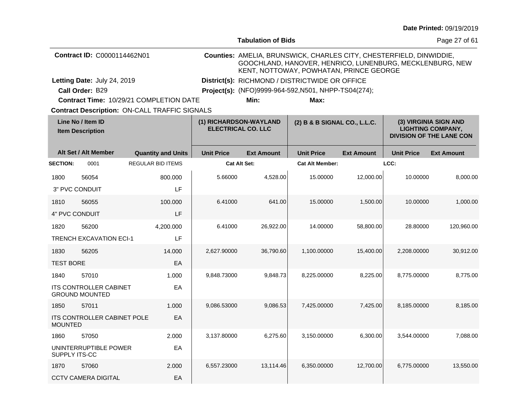|                                              |                                                        |                                                                                     |                     | <b>Tabulation of Bids</b>                            |                                                                                                                                                                            |                                                                                      |                   | Page 27 of 61     |
|----------------------------------------------|--------------------------------------------------------|-------------------------------------------------------------------------------------|---------------------|------------------------------------------------------|----------------------------------------------------------------------------------------------------------------------------------------------------------------------------|--------------------------------------------------------------------------------------|-------------------|-------------------|
|                                              | Contract ID: C0000114462N01                            |                                                                                     |                     |                                                      | Counties: AMELIA, BRUNSWICK, CHARLES CITY, CHESTERFIELD, DINWIDDIE,<br>GOOCHLAND, HANOVER, HENRICO, LUNENBURG, MECKLENBURG, NEW<br>KENT, NOTTOWAY, POWHATAN, PRINCE GEORGE |                                                                                      |                   |                   |
|                                              | Letting Date: July 24, 2019                            |                                                                                     |                     | District(s): RICHMOND / DISTRICTWIDE OR OFFICE       |                                                                                                                                                                            |                                                                                      |                   |                   |
|                                              | Call Order: B29                                        |                                                                                     |                     | Project(s): (NFO)9999-964-592, N501, NHPP-TS04(274); |                                                                                                                                                                            |                                                                                      |                   |                   |
|                                              |                                                        | <b>Contract Time: 10/29/21 COMPLETION DATE</b>                                      |                     | Min:                                                 | Max:                                                                                                                                                                       |                                                                                      |                   |                   |
|                                              |                                                        | <b>Contract Description: ON-CALL TRAFFIC SIGNALS</b>                                |                     |                                                      |                                                                                                                                                                            |                                                                                      |                   |                   |
| Line No / Item ID<br><b>Item Description</b> |                                                        | (1) RICHARDSON-WAYLAND<br>(2) B & B SIGNAL CO., L.L.C.<br><b>ELECTRICAL CO. LLC</b> |                     |                                                      |                                                                                                                                                                            | (3) VIRGINIA SIGN AND<br><b>LIGHTING COMPANY,</b><br><b>DIVISION OF THE LANE CON</b> |                   |                   |
|                                              | Alt Set / Alt Member                                   | <b>Quantity and Units</b>                                                           | <b>Unit Price</b>   | <b>Ext Amount</b>                                    | <b>Unit Price</b>                                                                                                                                                          | <b>Ext Amount</b>                                                                    | <b>Unit Price</b> | <b>Ext Amount</b> |
| <b>SECTION:</b>                              | 0001                                                   | <b>REGULAR BID ITEMS</b>                                                            | <b>Cat Alt Set:</b> |                                                      | <b>Cat Alt Member:</b>                                                                                                                                                     |                                                                                      | LCC:              |                   |
| 1800                                         | 56054                                                  | 800.000                                                                             | 5.66000             | 4,528.00                                             | 15.00000                                                                                                                                                                   | 12,000.00                                                                            | 10.00000          | 8,000.00          |
|                                              | 3" PVC CONDUIT                                         | LF                                                                                  |                     |                                                      |                                                                                                                                                                            |                                                                                      |                   |                   |
| 1810                                         | 56055                                                  | 100.000                                                                             | 6.41000             | 641.00                                               | 15.00000                                                                                                                                                                   | 1,500.00                                                                             | 10.00000          | 1,000.00          |
| 4" PVC CONDUIT                               |                                                        | LF                                                                                  |                     |                                                      |                                                                                                                                                                            |                                                                                      |                   |                   |
| 1820                                         | 56200                                                  | 4,200.000                                                                           | 6.41000             | 26,922.00                                            | 14.00000                                                                                                                                                                   | 58,800.00                                                                            | 28.80000          | 120,960.00        |
|                                              | <b>TRENCH EXCAVATION ECI-1</b>                         | LF                                                                                  |                     |                                                      |                                                                                                                                                                            |                                                                                      |                   |                   |
| 1830                                         | 56205                                                  | 14.000                                                                              | 2,627.90000         | 36,790.60                                            | 1,100.00000                                                                                                                                                                | 15,400.00                                                                            | 2,208,00000       | 30,912.00         |
| <b>TEST BORE</b>                             |                                                        | EA                                                                                  |                     |                                                      |                                                                                                                                                                            |                                                                                      |                   |                   |
| 1840                                         | 57010                                                  | 1.000                                                                               | 9,848.73000         | 9,848.73                                             | 8,225.00000                                                                                                                                                                | 8,225.00                                                                             | 8,775.00000       | 8,775.00          |
|                                              | <b>ITS CONTROLLER CABINET</b><br><b>GROUND MOUNTED</b> | EA                                                                                  |                     |                                                      |                                                                                                                                                                            |                                                                                      |                   |                   |
| 1850                                         | 57011                                                  | 1.000                                                                               | 9,086.53000         | 9,086.53                                             | 7,425.00000                                                                                                                                                                | 7,425.00                                                                             | 8,185.00000       | 8,185.00          |
| <b>MOUNTED</b>                               | ITS CONTROLLER CABINET POLE                            | EA                                                                                  |                     |                                                      |                                                                                                                                                                            |                                                                                      |                   |                   |
| 1860                                         | 57050                                                  | 2.000                                                                               | 3,137.80000         | 6,275.60                                             | 3,150.00000                                                                                                                                                                | 6,300.00                                                                             | 3,544.00000       | 7,088.00          |
| SUPPLY ITS-CC                                | UNINTERRUPTIBLE POWER                                  | EA                                                                                  |                     |                                                      |                                                                                                                                                                            |                                                                                      |                   |                   |
| 1870                                         | 57060                                                  | 2.000                                                                               | 6,557.23000         | 13,114.46                                            | 6,350.00000                                                                                                                                                                | 12,700.00                                                                            | 6,775.00000       | 13,550.00         |
|                                              | <b>CCTV CAMERA DIGITAL</b>                             | EA                                                                                  |                     |                                                      |                                                                                                                                                                            |                                                                                      |                   |                   |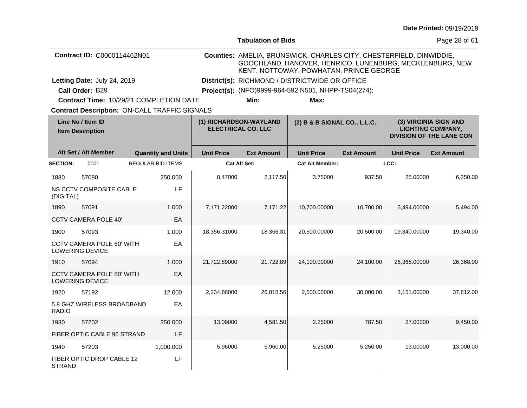|                |                                                |                                               |                        |                           |                                                                                                                                                                            |                   |                   | Date Printed: 09/19/2019                                                             |
|----------------|------------------------------------------------|-----------------------------------------------|------------------------|---------------------------|----------------------------------------------------------------------------------------------------------------------------------------------------------------------------|-------------------|-------------------|--------------------------------------------------------------------------------------|
|                |                                                |                                               |                        | <b>Tabulation of Bids</b> |                                                                                                                                                                            |                   |                   | Page 28 of 61                                                                        |
|                | Contract ID: C0000114462N01                    |                                               |                        |                           | Counties: AMELIA, BRUNSWICK, CHARLES CITY, CHESTERFIELD, DINWIDDIE,<br>GOOCHLAND, HANOVER, HENRICO, LUNENBURG, MECKLENBURG, NEW<br>KENT, NOTTOWAY, POWHATAN, PRINCE GEORGE |                   |                   |                                                                                      |
|                | Letting Date: July 24, 2019<br>Call Order: B29 |                                               |                        |                           | District(s): RICHMOND / DISTRICTWIDE OR OFFICE<br>Project(s): (NFO)9999-964-592, N501, NHPP-TS04(274);                                                                     |                   |                   |                                                                                      |
|                |                                                | Contract Time: 10/29/21 COMPLETION DATE       |                        | Min:                      | Max:                                                                                                                                                                       |                   |                   |                                                                                      |
|                |                                                | Contract Description: ON-CALL TRAFFIC SIGNALS |                        |                           |                                                                                                                                                                            |                   |                   |                                                                                      |
|                | Line No / Item ID<br><b>Item Description</b>   |                                               | (1) RICHARDSON-WAYLAND | <b>ELECTRICAL CO. LLC</b> | (2) B & B SIGNAL CO., L.L.C.                                                                                                                                               |                   |                   | (3) VIRGINIA SIGN AND<br><b>LIGHTING COMPANY,</b><br><b>DIVISION OF THE LANE CON</b> |
|                | Alt Set / Alt Member                           | <b>Quantity and Units</b>                     | <b>Unit Price</b>      | <b>Ext Amount</b>         | <b>Unit Price</b>                                                                                                                                                          | <b>Ext Amount</b> | <b>Unit Price</b> | <b>Ext Amount</b>                                                                    |
| <b>ECTION:</b> | 0001                                           | <b>REGULAR BID ITEMS</b>                      |                        | <b>Cat Alt Set:</b>       | <b>Cat Alt Member:</b>                                                                                                                                                     |                   | LCC:              |                                                                                      |
| 1880           | 57080                                          | 250.000                                       | 8.47000                | 2,117.50                  | 3.75000                                                                                                                                                                    | 937.50            | 25.00000          | 6,250.00                                                                             |
| (DIGITAL)      | NS CCTV COMPOSITE CABLE                        | LF                                            |                        |                           |                                                                                                                                                                            |                   |                   |                                                                                      |
| 1890           | 57091                                          | 1.000                                         | 7,171.22000            | 7,171.22                  | 10,700.00000                                                                                                                                                               | 10,700.00         | 5,494.00000       | 5,494.00                                                                             |
|                | CCTV CAMERA POLE 40'                           | EA                                            |                        |                           |                                                                                                                                                                            |                   |                   |                                                                                      |
| 1900           | 57093                                          | 1.000                                         | 18,356.31000           | 18,356.31                 | 20.500.00000                                                                                                                                                               | 20,500.00         | 19,340.00000      | 19,340.00                                                                            |
|                | CCTV CAMERA POLE 60' WITH<br>LOWERING DEVICE   | EA                                            |                        |                           |                                                                                                                                                                            |                   |                   |                                                                                      |
| 1910           | 57094                                          | 1.000                                         | 21,722.89000           | 21,722.89                 | 24,100.00000                                                                                                                                                               | 24,100.00         | 26,368.00000      | 26,368.00                                                                            |
|                | CCTV CAMERA POLE 80' WITH<br>LOWERING DEVICE   | EA                                            |                        |                           |                                                                                                                                                                            |                   |                   |                                                                                      |
| 1920           | 57192                                          | 12.000                                        | 2,234.88000            | 26,818.56                 | 2,500.00000                                                                                                                                                                | 30,000.00         | 3,151.00000       | 37,812.00                                                                            |
| RADIO          | 5.8 GHZ WIRELESS BROADBAND                     | EA                                            |                        |                           |                                                                                                                                                                            |                   |                   |                                                                                      |

|                 | <b>Item Description</b>                                    | <b>ELECTRICAL CO. LLC</b> |                     |                   |                        | <b>LIGHTING COMPANY,</b><br><b>DIVISION OF THE LANE CON</b> |                   |                   |
|-----------------|------------------------------------------------------------|---------------------------|---------------------|-------------------|------------------------|-------------------------------------------------------------|-------------------|-------------------|
|                 | Alt Set / Alt Member                                       | <b>Quantity and Units</b> | <b>Unit Price</b>   | <b>Ext Amount</b> | <b>Unit Price</b>      | <b>Ext Amount</b>                                           | <b>Unit Price</b> | <b>Ext Amount</b> |
| <b>SECTION:</b> | 0001                                                       | <b>REGULAR BID ITEMS</b>  | <b>Cat Alt Set:</b> |                   | <b>Cat Alt Member:</b> |                                                             | LCC:              |                   |
| 1880            | 57080                                                      | 250.000                   | 8.47000             | 2,117.50          | 3.75000                | 937.50                                                      | 25.00000          | 6,250.00          |
| (DIGITAL)       | NS CCTV COMPOSITE CABLE                                    | LF                        |                     |                   |                        |                                                             |                   |                   |
| 1890            | 57091                                                      | 1.000                     | 7,171.22000         | 7,171.22          | 10,700.00000           | 10,700.00                                                   | 5,494.00000       | 5,494.00          |
|                 | <b>CCTV CAMERA POLE 40'</b>                                | EA                        |                     |                   |                        |                                                             |                   |                   |
| 1900            | 57093                                                      | 1.000                     | 18,356.31000        | 18,356.31         | 20,500.00000           | 20,500.00                                                   | 19,340.00000      | 19,340.00         |
|                 | CCTV CAMERA POLE 60' WITH<br><b>LOWERING DEVICE</b>        | EA                        |                     |                   |                        |                                                             |                   |                   |
| 1910            | 57094                                                      | 1.000                     | 21,722.89000        | 21,722.89         | 24,100.00000           | 24,100.00                                                   | 26,368.00000      | 26,368.00         |
|                 | <b>CCTV CAMERA POLE 80' WITH</b><br><b>LOWERING DEVICE</b> | EA                        |                     |                   |                        |                                                             |                   |                   |
| 1920            | 57192                                                      | 12.000                    | 2,234.88000         | 26,818.56         | 2,500.00000            | 30,000.00                                                   | 3,151.00000       | 37,812.00         |
| <b>RADIO</b>    | 5.8 GHZ WIRELESS BROADBAND                                 | EA                        |                     |                   |                        |                                                             |                   |                   |
| 1930            | 57202                                                      | 350.000                   | 13.09000            | 4,581.50          | 2.25000                | 787.50                                                      | 27,00000          | 9,450.00          |
|                 | FIBER OPTIC CABLE 96 STRAND                                | LF                        |                     |                   |                        |                                                             |                   |                   |
| 1940            | 57203                                                      | 1,000.000                 | 5.96000             | 5,960.00          | 5.25000                | 5,250.00                                                    | 13.00000          | 13,000.00         |
| <b>STRAND</b>   | FIBER OPTIC DROP CABLE 12                                  | LF                        |                     |                   |                        |                                                             |                   |                   |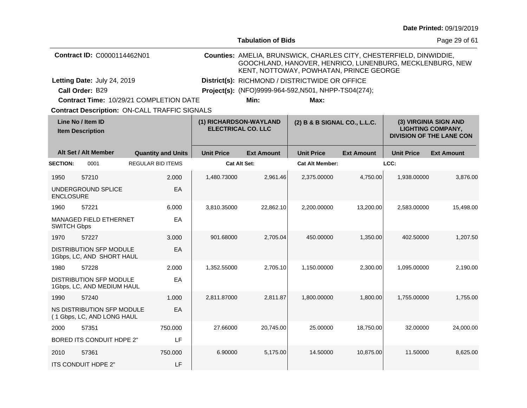|  |  | <b>Date Printed: 09/19/2019</b> |
|--|--|---------------------------------|
|--|--|---------------------------------|

|                                              |                                                              |                                                      |                                                     | <b>Tabulation of Bids</b>                            |                                                                                                                                                                            |                   |                                                                                      | Page 29 of 61     |
|----------------------------------------------|--------------------------------------------------------------|------------------------------------------------------|-----------------------------------------------------|------------------------------------------------------|----------------------------------------------------------------------------------------------------------------------------------------------------------------------------|-------------------|--------------------------------------------------------------------------------------|-------------------|
|                                              | Contract ID: C0000114462N01                                  |                                                      |                                                     |                                                      | Counties: AMELIA, BRUNSWICK, CHARLES CITY, CHESTERFIELD, DINWIDDIE,<br>GOOCHLAND, HANOVER, HENRICO, LUNENBURG, MECKLENBURG, NEW<br>KENT, NOTTOWAY, POWHATAN, PRINCE GEORGE |                   |                                                                                      |                   |
|                                              | Letting Date: July 24, 2019                                  |                                                      |                                                     |                                                      | District(s): RICHMOND / DISTRICTWIDE OR OFFICE                                                                                                                             |                   |                                                                                      |                   |
|                                              | Call Order: B29                                              |                                                      |                                                     | Project(s): (NFO)9999-964-592, N501, NHPP-TS04(274); |                                                                                                                                                                            |                   |                                                                                      |                   |
|                                              |                                                              | Contract Time: 10/29/21 COMPLETION DATE              |                                                     | Min:                                                 | Max:                                                                                                                                                                       |                   |                                                                                      |                   |
|                                              |                                                              | <b>Contract Description: ON-CALL TRAFFIC SIGNALS</b> |                                                     |                                                      |                                                                                                                                                                            |                   |                                                                                      |                   |
| Line No / Item ID<br><b>Item Description</b> |                                                              |                                                      | (1) RICHARDSON-WAYLAND<br><b>ELECTRICAL CO. LLC</b> |                                                      | (2) B & B SIGNAL CO., L.L.C.                                                                                                                                               |                   | (3) VIRGINIA SIGN AND<br><b>LIGHTING COMPANY,</b><br><b>DIVISION OF THE LANE CON</b> |                   |
|                                              | Alt Set / Alt Member                                         | <b>Quantity and Units</b>                            | <b>Unit Price</b>                                   | <b>Ext Amount</b>                                    | <b>Unit Price</b>                                                                                                                                                          | <b>Ext Amount</b> | <b>Unit Price</b>                                                                    | <b>Ext Amount</b> |
| <b>SECTION:</b>                              | 0001                                                         | <b>REGULAR BID ITEMS</b>                             |                                                     | <b>Cat Alt Set:</b>                                  | <b>Cat Alt Member:</b>                                                                                                                                                     |                   | LCC:                                                                                 |                   |
| 1950                                         | 57210                                                        | 2.000                                                | 1,480.73000                                         | 2,961.46                                             | 2,375.00000                                                                                                                                                                | 4,750.00          | 1,938.00000                                                                          | 3,876.00          |
| <b>ENCLOSURE</b>                             | UNDERGROUND SPLICE                                           | EA                                                   |                                                     |                                                      |                                                                                                                                                                            |                   |                                                                                      |                   |
| 1960                                         | 57221                                                        | 6.000                                                | 3,810.35000                                         | 22,862.10                                            | 2,200.00000                                                                                                                                                                | 13,200.00         | 2,583.00000                                                                          | 15,498.00         |
| <b>SWITCH Gbps</b>                           | <b>MANAGED FIELD ETHERNET</b>                                | EA                                                   |                                                     |                                                      |                                                                                                                                                                            |                   |                                                                                      |                   |
| 1970                                         | 57227                                                        | 3.000                                                | 901.68000                                           | 2,705.04                                             | 450.00000                                                                                                                                                                  | 1,350.00          | 402.50000                                                                            | 1,207.50          |
|                                              | DISTRIBUTION SFP MODULE<br>1Gbps, LC, AND SHORT HAUL         | EA                                                   |                                                     |                                                      |                                                                                                                                                                            |                   |                                                                                      |                   |
| 1980                                         | 57228                                                        | 2.000                                                | 1,352.55000                                         | 2,705.10                                             | 1,150.00000                                                                                                                                                                | 2,300.00          | 1,095.00000                                                                          | 2,190.00          |
|                                              | <b>DISTRIBUTION SFP MODULE</b><br>1Gbps, LC, AND MEDIUM HAUL | EA                                                   |                                                     |                                                      |                                                                                                                                                                            |                   |                                                                                      |                   |
| 1990                                         | 57240                                                        | 1.000                                                | 2,811.87000                                         | 2,811.87                                             | 1,800.00000                                                                                                                                                                | 1,800.00          | 1,755.00000                                                                          | 1,755.00          |
|                                              | NS DISTRIBUTION SFP MODULE<br>(1 Gbps, LC, AND LONG HAUL     | EA                                                   |                                                     |                                                      |                                                                                                                                                                            |                   |                                                                                      |                   |
| 2000                                         | 57351                                                        | 750.000                                              | 27.66000                                            | 20,745.00                                            | 25.00000                                                                                                                                                                   | 18,750.00         | 32.00000                                                                             | 24,000.00         |
|                                              | BORED ITS CONDUIT HDPE 2"                                    | LF                                                   |                                                     |                                                      |                                                                                                                                                                            |                   |                                                                                      |                   |
| 2010                                         | 57361                                                        | 750.000                                              | 6.90000                                             | 5,175.00                                             | 14.50000                                                                                                                                                                   | 10,875.00         | 11.50000                                                                             | 8,625.00          |
|                                              | ITS CONDUIT HDPE 2"                                          | LF                                                   |                                                     |                                                      |                                                                                                                                                                            |                   |                                                                                      |                   |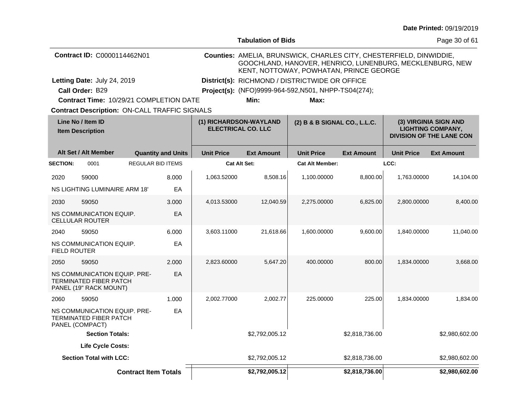|                                              |                                                                                  |                             |                                                     |                                                      | <b>Tabulation of Bids</b>                                                                                                                                                  |                                                |                   |                                                                                      | Page 30 of 61     |
|----------------------------------------------|----------------------------------------------------------------------------------|-----------------------------|-----------------------------------------------------|------------------------------------------------------|----------------------------------------------------------------------------------------------------------------------------------------------------------------------------|------------------------------------------------|-------------------|--------------------------------------------------------------------------------------|-------------------|
|                                              | Contract ID: C0000114462N01                                                      |                             |                                                     |                                                      | Counties: AMELIA, BRUNSWICK, CHARLES CITY, CHESTERFIELD, DINWIDDIE,<br>GOOCHLAND, HANOVER, HENRICO, LUNENBURG, MECKLENBURG, NEW<br>KENT, NOTTOWAY, POWHATAN, PRINCE GEORGE |                                                |                   |                                                                                      |                   |
|                                              | Letting Date: July 24, 2019                                                      |                             |                                                     |                                                      |                                                                                                                                                                            | District(s): RICHMOND / DISTRICTWIDE OR OFFICE |                   |                                                                                      |                   |
|                                              | Call Order: B29                                                                  |                             |                                                     | Project(s): (NFO)9999-964-592, N501, NHPP-TS04(274); |                                                                                                                                                                            |                                                |                   |                                                                                      |                   |
|                                              | Contract Time: 10/29/21 COMPLETION DATE                                          |                             |                                                     |                                                      | Min:                                                                                                                                                                       | Max:                                           |                   |                                                                                      |                   |
|                                              | <b>Contract Description: ON-CALL TRAFFIC SIGNALS</b>                             |                             |                                                     |                                                      |                                                                                                                                                                            |                                                |                   |                                                                                      |                   |
| Line No / Item ID<br><b>Item Description</b> |                                                                                  |                             | (1) RICHARDSON-WAYLAND<br><b>ELECTRICAL CO. LLC</b> |                                                      |                                                                                                                                                                            | (2) B & B SIGNAL CO., L.L.C.                   |                   | (3) VIRGINIA SIGN AND<br><b>LIGHTING COMPANY,</b><br><b>DIVISION OF THE LANE CON</b> |                   |
|                                              | Alt Set / Alt Member                                                             |                             | <b>Quantity and Units</b>                           | <b>Unit Price</b>                                    | <b>Ext Amount</b>                                                                                                                                                          | <b>Unit Price</b>                              | <b>Ext Amount</b> | <b>Unit Price</b>                                                                    | <b>Ext Amount</b> |
| <b>SECTION:</b>                              | 0001                                                                             |                             | <b>REGULAR BID ITEMS</b>                            |                                                      | <b>Cat Alt Set:</b>                                                                                                                                                        | <b>Cat Alt Member:</b>                         |                   | LCC:                                                                                 |                   |
| 2020                                         | 59000                                                                            |                             | 8.000                                               | 1,063.52000                                          | 8,508.16                                                                                                                                                                   | 1,100.00000                                    | 8,800.00          | 1,763.00000                                                                          | 14,104.00         |
|                                              | <b>NS LIGHTING LUMINAIRE ARM 18'</b>                                             |                             | EA                                                  |                                                      |                                                                                                                                                                            |                                                |                   |                                                                                      |                   |
| 2030                                         | 59050                                                                            |                             | 3.000                                               | 4,013.53000                                          | 12,040.59                                                                                                                                                                  | 2,275.00000                                    | 6,825.00          | 2,800.00000                                                                          | 8,400.00          |
|                                              | NS COMMUNICATION EQUIP.<br><b>CELLULAR ROUTER</b>                                |                             | EA                                                  |                                                      |                                                                                                                                                                            |                                                |                   |                                                                                      |                   |
| 2040                                         | 59050                                                                            |                             | 6.000                                               | 3,603.11000                                          | 21,618.66                                                                                                                                                                  | 1,600.00000                                    | 9,600.00          | 1,840.00000                                                                          | 11,040.00         |
| <b>FIELD ROUTER</b>                          | NS COMMUNICATION EQUIP.                                                          |                             | EA                                                  |                                                      |                                                                                                                                                                            |                                                |                   |                                                                                      |                   |
| 2050                                         | 59050                                                                            |                             | 2.000                                               | 2,823.60000                                          | 5,647.20                                                                                                                                                                   | 400.00000                                      | 800.00            | 1,834.00000                                                                          | 3,668.00          |
|                                              | NS COMMUNICATION EQUIP. PRE-<br>TERMINATED FIBER PATCH<br>PANEL (19" RACK MOUNT) |                             | EA                                                  |                                                      |                                                                                                                                                                            |                                                |                   |                                                                                      |                   |
| 2060                                         | 59050                                                                            |                             | 1.000                                               | 2.002.77000                                          | 2,002.77                                                                                                                                                                   | 225.00000                                      | 225.00            | 1.834.00000                                                                          | 1,834.00          |
|                                              | NS COMMUNICATION EQUIP. PRE-<br><b>TERMINATED FIBER PATCH</b><br>PANEL (COMPACT) |                             | EA                                                  |                                                      |                                                                                                                                                                            |                                                |                   |                                                                                      |                   |
| <b>Section Totals:</b>                       |                                                                                  |                             |                                                     |                                                      | \$2,792,005.12                                                                                                                                                             |                                                | \$2,818,736.00    |                                                                                      | \$2,980,602.00    |
|                                              | <b>Life Cycle Costs:</b>                                                         |                             |                                                     |                                                      |                                                                                                                                                                            |                                                |                   |                                                                                      |                   |
|                                              | <b>Section Total with LCC:</b>                                                   |                             |                                                     |                                                      | \$2,792,005.12                                                                                                                                                             |                                                | \$2,818,736.00    |                                                                                      | \$2,980,602.00    |
|                                              |                                                                                  | <b>Contract Item Totals</b> |                                                     |                                                      | \$2,792,005.12                                                                                                                                                             |                                                | \$2,818,736.00    |                                                                                      | \$2,980,602.00    |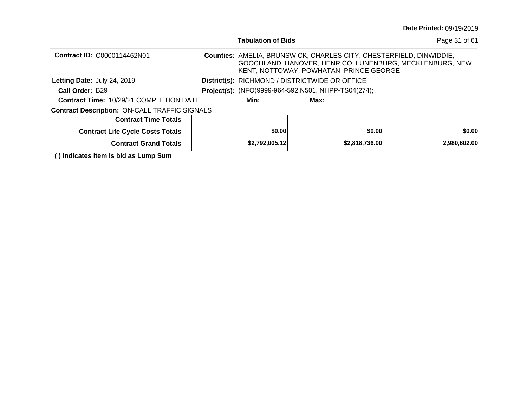|                                                      | <b>Tabulation of Bids</b> |                                                                                                                       |                | Page 31 of 61                                            |
|------------------------------------------------------|---------------------------|-----------------------------------------------------------------------------------------------------------------------|----------------|----------------------------------------------------------|
| Contract ID: C0000114462N01                          |                           | <b>Counties: AMELIA, BRUNSWICK, CHARLES CITY, CHESTERFIELD, DINWIDDIE,</b><br>KENT, NOTTOWAY, POWHATAN, PRINCE GEORGE |                | GOOCHLAND, HANOVER, HENRICO, LUNENBURG, MECKLENBURG, NEW |
| Letting Date: July 24, 2019                          |                           | District(s): RICHMOND / DISTRICTWIDE OR OFFICE                                                                        |                |                                                          |
| Call Order: B29                                      |                           | Project(s): (NFO)9999-964-592, N501, NHPP-TS04(274);                                                                  |                |                                                          |
| <b>Contract Time: 10/29/21 COMPLETION DATE</b>       | Min:                      | Max:                                                                                                                  |                |                                                          |
| <b>Contract Description: ON-CALL TRAFFIC SIGNALS</b> |                           |                                                                                                                       |                |                                                          |
| <b>Contract Time Totals</b>                          |                           |                                                                                                                       |                |                                                          |
| <b>Contract Life Cycle Costs Totals</b>              | \$0.00                    |                                                                                                                       | \$0.00         | \$0.00                                                   |
| <b>Contract Grand Totals</b>                         | \$2,792,005.12            |                                                                                                                       | \$2,818,736.00 | 2,980,602.00                                             |
| () indicates item is bid as Lump Sum                 |                           |                                                                                                                       |                |                                                          |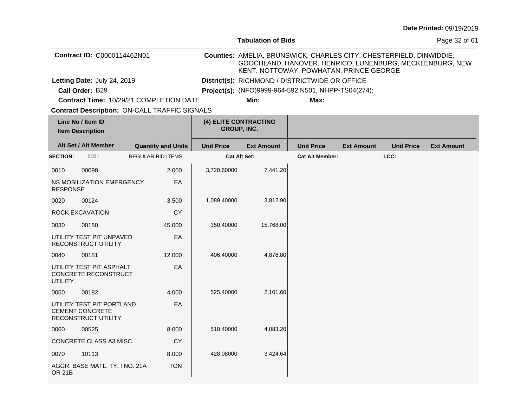|                                                      |                                                                                   |                                         |                   | <b>Tabulation of Bids</b>                                                                                                                                                  |                        |                   |                   | Page 32 of 61     |
|------------------------------------------------------|-----------------------------------------------------------------------------------|-----------------------------------------|-------------------|----------------------------------------------------------------------------------------------------------------------------------------------------------------------------|------------------------|-------------------|-------------------|-------------------|
|                                                      | Contract ID: C0000114462N01                                                       |                                         |                   | Counties: AMELIA, BRUNSWICK, CHARLES CITY, CHESTERFIELD, DINWIDDIE,<br>GOOCHLAND, HANOVER, HENRICO, LUNENBURG, MECKLENBURG, NEW<br>KENT, NOTTOWAY, POWHATAN, PRINCE GEORGE |                        |                   |                   |                   |
|                                                      | Letting Date: July 24, 2019                                                       |                                         |                   | District(s): RICHMOND / DISTRICTWIDE OR OFFICE                                                                                                                             |                        |                   |                   |                   |
|                                                      | Call Order: B29                                                                   |                                         |                   | Project(s): (NFO)9999-964-592, N501, NHPP-TS04(274);                                                                                                                       |                        |                   |                   |                   |
|                                                      |                                                                                   | Contract Time: 10/29/21 COMPLETION DATE |                   | Min:                                                                                                                                                                       | Max:                   |                   |                   |                   |
| <b>Contract Description: ON-CALL TRAFFIC SIGNALS</b> |                                                                                   |                                         |                   |                                                                                                                                                                            |                        |                   |                   |                   |
| Line No / Item ID<br><b>Item Description</b>         |                                                                                   |                                         |                   | (4) ELITE CONTRACTING<br>GROUP, INC.                                                                                                                                       |                        |                   |                   |                   |
|                                                      | Alt Set / Alt Member                                                              | <b>Quantity and Units</b>               | <b>Unit Price</b> | <b>Ext Amount</b>                                                                                                                                                          | <b>Unit Price</b>      | <b>Ext Amount</b> | <b>Unit Price</b> | <b>Ext Amount</b> |
| <b>SECTION:</b>                                      | 0001                                                                              | <b>REGULAR BID ITEMS</b>                |                   | <b>Cat Alt Set:</b>                                                                                                                                                        | <b>Cat Alt Member:</b> |                   | LCC:              |                   |
| 0010                                                 | 00098                                                                             | 2.000                                   | 3,720.60000       | 7,441.20                                                                                                                                                                   |                        |                   |                   |                   |
| <b>RESPONSE</b>                                      | NS MOBILIZATION EMERGENCY                                                         | EA                                      |                   |                                                                                                                                                                            |                        |                   |                   |                   |
| 0020                                                 | 00124                                                                             | 3.500                                   | 1,089.40000       | 3,812.90                                                                                                                                                                   |                        |                   |                   |                   |
|                                                      | ROCK EXCAVATION                                                                   | <b>CY</b>                               |                   |                                                                                                                                                                            |                        |                   |                   |                   |
| 0030                                                 | 00180                                                                             | 45.000                                  | 350.40000         | 15,768.00                                                                                                                                                                  |                        |                   |                   |                   |
|                                                      | UTILITY TEST PIT UNPAVED<br>RECONSTRUCT UTILITY                                   | EA                                      |                   |                                                                                                                                                                            |                        |                   |                   |                   |
| 0040                                                 | 00181                                                                             | 12.000                                  | 406.40000         | 4,876.80                                                                                                                                                                   |                        |                   |                   |                   |
| <b>UTILITY</b>                                       | UTILITY TEST PIT ASPHALT<br>CONCRETE RECONSTRUCT                                  | EA                                      |                   |                                                                                                                                                                            |                        |                   |                   |                   |
| 0050                                                 | 00182                                                                             | 4.000                                   | 525.40000         | 2,101.60                                                                                                                                                                   |                        |                   |                   |                   |
|                                                      | UTILITY TEST PIT PORTLAND<br><b>CEMENT CONCRETE</b><br><b>RECONSTRUCT UTILITY</b> | EA                                      |                   |                                                                                                                                                                            |                        |                   |                   |                   |
| 0060                                                 | 00525                                                                             | 8.000                                   | 510.40000         | 4,083.20                                                                                                                                                                   |                        |                   |                   |                   |
|                                                      | CONCRETE CLASS A3 MISC.                                                           | СY                                      |                   |                                                                                                                                                                            |                        |                   |                   |                   |
| 0070                                                 | 10113                                                                             | 8.000                                   | 428.08000         | 3,424.64                                                                                                                                                                   |                        |                   |                   |                   |
| <b>OR 21B</b>                                        | AGGR. BASE MATL. TY. I NO. 21A                                                    | <b>TON</b>                              |                   |                                                                                                                                                                            |                        |                   |                   |                   |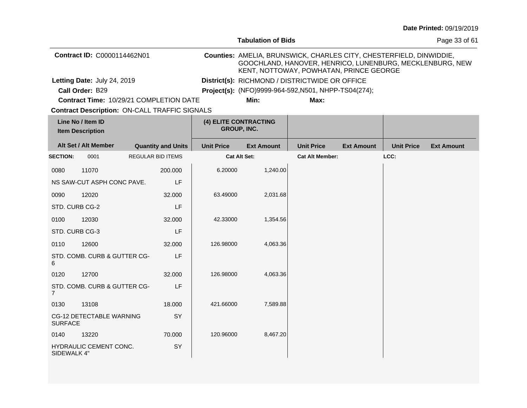|                                              |                                                      |                           |         |                   | <b>Tabulation of Bids</b>                                                                                                                                                  |                        |                   |                   | Page 33 of 61     |  |
|----------------------------------------------|------------------------------------------------------|---------------------------|---------|-------------------|----------------------------------------------------------------------------------------------------------------------------------------------------------------------------|------------------------|-------------------|-------------------|-------------------|--|
|                                              | Contract ID: C0000114462N01                          |                           |         |                   | Counties: AMELIA, BRUNSWICK, CHARLES CITY, CHESTERFIELD, DINWIDDIE,<br>GOOCHLAND, HANOVER, HENRICO, LUNENBURG, MECKLENBURG, NEW<br>KENT, NOTTOWAY, POWHATAN, PRINCE GEORGE |                        |                   |                   |                   |  |
|                                              | Letting Date: July 24, 2019                          |                           |         |                   | District(s): RICHMOND / DISTRICTWIDE OR OFFICE                                                                                                                             |                        |                   |                   |                   |  |
|                                              | Call Order: B29                                      |                           |         |                   | Project(s): (NFO)9999-964-592, N501, NHPP-TS04(274);                                                                                                                       |                        |                   |                   |                   |  |
|                                              | Contract Time: 10/29/21 COMPLETION DATE              |                           |         |                   | Min:                                                                                                                                                                       | Max:                   |                   |                   |                   |  |
|                                              | <b>Contract Description: ON-CALL TRAFFIC SIGNALS</b> |                           |         |                   |                                                                                                                                                                            |                        |                   |                   |                   |  |
| Line No / Item ID<br><b>Item Description</b> |                                                      |                           |         |                   | (4) ELITE CONTRACTING<br>GROUP, INC.                                                                                                                                       |                        |                   |                   |                   |  |
|                                              | Alt Set / Alt Member                                 | <b>Quantity and Units</b> |         | <b>Unit Price</b> | <b>Ext Amount</b>                                                                                                                                                          | <b>Unit Price</b>      | <b>Ext Amount</b> | <b>Unit Price</b> | <b>Ext Amount</b> |  |
| <b>SECTION:</b>                              | 0001                                                 | REGULAR BID ITEMS         |         |                   | <b>Cat Alt Set:</b>                                                                                                                                                        | <b>Cat Alt Member:</b> |                   | LCC:              |                   |  |
| 0080                                         | 11070                                                |                           | 200.000 | 6.20000           | 1,240.00                                                                                                                                                                   |                        |                   |                   |                   |  |
|                                              | NS SAW-CUT ASPH CONC PAVE.                           |                           | LF      |                   |                                                                                                                                                                            |                        |                   |                   |                   |  |
| 0090                                         | 12020                                                |                           | 32.000  | 63.49000          | 2,031.68                                                                                                                                                                   |                        |                   |                   |                   |  |
| STD. CURB CG-2                               |                                                      |                           | LF      |                   |                                                                                                                                                                            |                        |                   |                   |                   |  |
| 0100                                         | 12030                                                |                           | 32.000  | 42.33000          | 1,354.56                                                                                                                                                                   |                        |                   |                   |                   |  |
| STD. CURB CG-3                               |                                                      |                           | LF      |                   |                                                                                                                                                                            |                        |                   |                   |                   |  |
| 0110                                         | 12600                                                |                           | 32.000  | 126.98000         | 4,063.36                                                                                                                                                                   |                        |                   |                   |                   |  |
| 6                                            | STD. COMB. CURB & GUTTER CG-                         |                           | LF      |                   |                                                                                                                                                                            |                        |                   |                   |                   |  |
| 0120                                         | 12700                                                |                           | 32.000  | 126.98000         | 4,063.36                                                                                                                                                                   |                        |                   |                   |                   |  |
| $\overline{7}$                               | STD. COMB. CURB & GUTTER CG-                         |                           | LF      |                   |                                                                                                                                                                            |                        |                   |                   |                   |  |
| 0130                                         | 13108                                                |                           | 18.000  | 421.66000         | 7,589.88                                                                                                                                                                   |                        |                   |                   |                   |  |
| <b>SURFACE</b>                               | CG-12 DETECTABLE WARNING                             |                           | SY      |                   |                                                                                                                                                                            |                        |                   |                   |                   |  |
| 0140                                         | 13220                                                |                           | 70.000  | 120.96000         | 8,467.20                                                                                                                                                                   |                        |                   |                   |                   |  |
| SIDEWALK 4"                                  | HYDRAULIC CEMENT CONC.                               |                           | SY      |                   |                                                                                                                                                                            |                        |                   |                   |                   |  |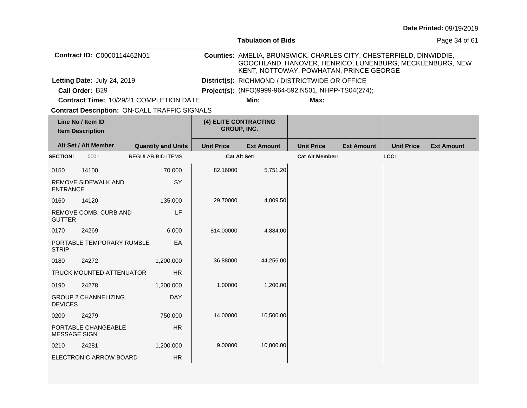|                                              |                             |                                                      |                                      | <b>Tabulation of Bids</b>                                                                                                                                                  |                                                |                   |                   | Page 34 of 61     |  |
|----------------------------------------------|-----------------------------|------------------------------------------------------|--------------------------------------|----------------------------------------------------------------------------------------------------------------------------------------------------------------------------|------------------------------------------------|-------------------|-------------------|-------------------|--|
|                                              | Contract ID: C0000114462N01 |                                                      |                                      | Counties: AMELIA, BRUNSWICK, CHARLES CITY, CHESTERFIELD, DINWIDDIE,<br>GOOCHLAND, HANOVER, HENRICO, LUNENBURG, MECKLENBURG, NEW<br>KENT, NOTTOWAY, POWHATAN, PRINCE GEORGE |                                                |                   |                   |                   |  |
|                                              | Letting Date: July 24, 2019 |                                                      |                                      |                                                                                                                                                                            | District(s): RICHMOND / DISTRICTWIDE OR OFFICE |                   |                   |                   |  |
|                                              | Call Order: B29             |                                                      |                                      | Project(s): (NFO)9999-964-592, N501, NHPP-TS04(274);                                                                                                                       |                                                |                   |                   |                   |  |
|                                              |                             | Contract Time: 10/29/21 COMPLETION DATE              |                                      | Min:                                                                                                                                                                       | Max:                                           |                   |                   |                   |  |
|                                              |                             | <b>Contract Description: ON-CALL TRAFFIC SIGNALS</b> |                                      |                                                                                                                                                                            |                                                |                   |                   |                   |  |
| Line No / Item ID<br><b>Item Description</b> |                             |                                                      | (4) ELITE CONTRACTING<br>GROUP, INC. |                                                                                                                                                                            |                                                |                   |                   |                   |  |
|                                              | Alt Set / Alt Member        | <b>Quantity and Units</b>                            | <b>Unit Price</b>                    | <b>Ext Amount</b>                                                                                                                                                          | <b>Unit Price</b>                              | <b>Ext Amount</b> | <b>Unit Price</b> | <b>Ext Amount</b> |  |
| <b>SECTION:</b>                              | 0001                        | <b>REGULAR BID ITEMS</b>                             |                                      | <b>Cat Alt Set:</b>                                                                                                                                                        | <b>Cat Alt Member:</b>                         |                   | LCC:              |                   |  |
| 0150                                         | 14100                       | 70.000                                               | 82.16000                             | 5,751.20                                                                                                                                                                   |                                                |                   |                   |                   |  |
| <b>ENTRANCE</b>                              | REMOVE SIDEWALK AND         | SY                                                   |                                      |                                                                                                                                                                            |                                                |                   |                   |                   |  |
| 0160                                         | 14120                       | 135.000                                              | 29.70000                             | 4,009.50                                                                                                                                                                   |                                                |                   |                   |                   |  |
| <b>GUTTER</b>                                | REMOVE COMB. CURB AND       | LF                                                   |                                      |                                                                                                                                                                            |                                                |                   |                   |                   |  |
| 0170                                         | 24269                       | 6.000                                                | 814.00000                            | 4,884.00                                                                                                                                                                   |                                                |                   |                   |                   |  |
| <b>STRIP</b>                                 | PORTABLE TEMPORARY RUMBLE   | EA                                                   |                                      |                                                                                                                                                                            |                                                |                   |                   |                   |  |
| 0180                                         | 24272                       | 1,200.000                                            | 36.88000                             | 44,256.00                                                                                                                                                                  |                                                |                   |                   |                   |  |
|                                              | TRUCK MOUNTED ATTENUATOR    | <b>HR</b>                                            |                                      |                                                                                                                                                                            |                                                |                   |                   |                   |  |
| 0190                                         | 24278                       | 1,200.000                                            | 1.00000                              | 1,200.00                                                                                                                                                                   |                                                |                   |                   |                   |  |
| <b>DEVICES</b>                               | <b>GROUP 2 CHANNELIZING</b> | <b>DAY</b>                                           |                                      |                                                                                                                                                                            |                                                |                   |                   |                   |  |
| 0200                                         | 24279                       | 750.000                                              | 14.00000                             | 10,500.00                                                                                                                                                                  |                                                |                   |                   |                   |  |
| <b>MESSAGE SIGN</b>                          | PORTABLE CHANGEABLE         | <b>HR</b>                                            |                                      |                                                                                                                                                                            |                                                |                   |                   |                   |  |
| 0210                                         | 24281                       | 1,200.000                                            | 9.00000                              | 10,800.00                                                                                                                                                                  |                                                |                   |                   |                   |  |
|                                              | ELECTRONIC ARROW BOARD      | <b>HR</b>                                            |                                      |                                                                                                                                                                            |                                                |                   |                   |                   |  |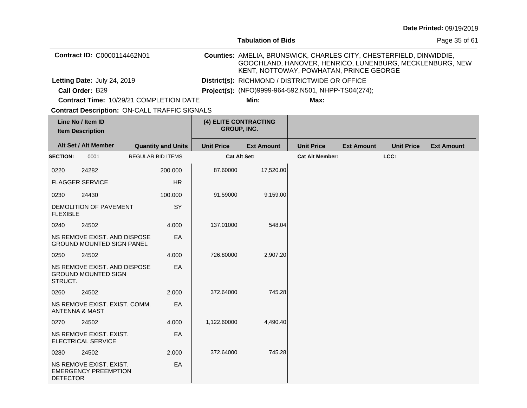|                 |                                                                  |                           |                    | <b>Tabulation of Bids</b>                                                                                                                                                  |                                                      |                   |                   | Page 35 of 61     |
|-----------------|------------------------------------------------------------------|---------------------------|--------------------|----------------------------------------------------------------------------------------------------------------------------------------------------------------------------|------------------------------------------------------|-------------------|-------------------|-------------------|
|                 | Contract ID: C0000114462N01                                      |                           |                    | Counties: AMELIA, BRUNSWICK, CHARLES CITY, CHESTERFIELD, DINWIDDIE,<br>GOOCHLAND, HANOVER, HENRICO, LUNENBURG, MECKLENBURG, NEW<br>KENT, NOTTOWAY, POWHATAN, PRINCE GEORGE |                                                      |                   |                   |                   |
|                 | Letting Date: July 24, 2019                                      |                           |                    |                                                                                                                                                                            | District(s): RICHMOND / DISTRICTWIDE OR OFFICE       |                   |                   |                   |
|                 | Call Order: B29                                                  |                           |                    |                                                                                                                                                                            | Project(s): (NFO)9999-964-592, N501, NHPP-TS04(274); |                   |                   |                   |
|                 | Contract Time: 10/29/21 COMPLETION DATE                          |                           |                    | Min:                                                                                                                                                                       | Max:                                                 |                   |                   |                   |
|                 | <b>Contract Description: ON-CALL TRAFFIC SIGNALS</b>             |                           |                    |                                                                                                                                                                            |                                                      |                   |                   |                   |
|                 | Line No / Item ID<br><b>Item Description</b>                     |                           | <b>GROUP, INC.</b> | (4) ELITE CONTRACTING                                                                                                                                                      |                                                      |                   |                   |                   |
|                 | Alt Set / Alt Member                                             | <b>Quantity and Units</b> | <b>Unit Price</b>  | <b>Ext Amount</b>                                                                                                                                                          | <b>Unit Price</b>                                    | <b>Ext Amount</b> | <b>Unit Price</b> | <b>Ext Amount</b> |
| <b>SECTION:</b> | 0001                                                             | REGULAR BID ITEMS         |                    | Cat Alt Set:                                                                                                                                                               | <b>Cat Alt Member:</b>                               |                   | LCC:              |                   |
| 0220            | 24282                                                            | 200,000                   | 87.60000           | 17,520.00                                                                                                                                                                  |                                                      |                   |                   |                   |
|                 | <b>FLAGGER SERVICE</b>                                           | <b>HR</b>                 |                    |                                                                                                                                                                            |                                                      |                   |                   |                   |
| 0230            | 24430                                                            | 100.000                   | 91.59000           | 9,159.00                                                                                                                                                                   |                                                      |                   |                   |                   |
| <b>FLEXIBLE</b> | DEMOLITION OF PAVEMENT                                           | SY                        |                    |                                                                                                                                                                            |                                                      |                   |                   |                   |
| 0240            | 24502                                                            | 4.000                     | 137.01000          | 548.04                                                                                                                                                                     |                                                      |                   |                   |                   |
|                 | NS REMOVE EXIST. AND DISPOSE<br><b>GROUND MOUNTED SIGN PANEL</b> | EA                        |                    |                                                                                                                                                                            |                                                      |                   |                   |                   |
| 0250            | 24502                                                            | 4.000                     | 726.80000          | 2,907.20                                                                                                                                                                   |                                                      |                   |                   |                   |
| STRUCT.         | NS REMOVE EXIST. AND DISPOSE<br><b>GROUND MOUNTED SIGN</b>       | EA                        |                    |                                                                                                                                                                            |                                                      |                   |                   |                   |
| 0260            | 24502                                                            | 2.000                     | 372.64000          | 745.28                                                                                                                                                                     |                                                      |                   |                   |                   |
|                 | NS REMOVE EXIST. EXIST. COMM.<br>ANTENNA & MAST                  | EA                        |                    |                                                                                                                                                                            |                                                      |                   |                   |                   |
| 0270            | 24502                                                            | 4.000                     | 1,122.60000        | 4,490.40                                                                                                                                                                   |                                                      |                   |                   |                   |
|                 | NS REMOVE EXIST. EXIST.<br><b>ELECTRICAL SERVICE</b>             | EA                        |                    |                                                                                                                                                                            |                                                      |                   |                   |                   |
| 0280            | 24502                                                            | 2.000                     | 372.64000          | 745.28                                                                                                                                                                     |                                                      |                   |                   |                   |
| <b>DETECTOR</b> | NS REMOVE EXIST. EXIST.<br><b>EMERGENCY PREEMPTION</b>           | EA                        |                    |                                                                                                                                                                            |                                                      |                   |                   |                   |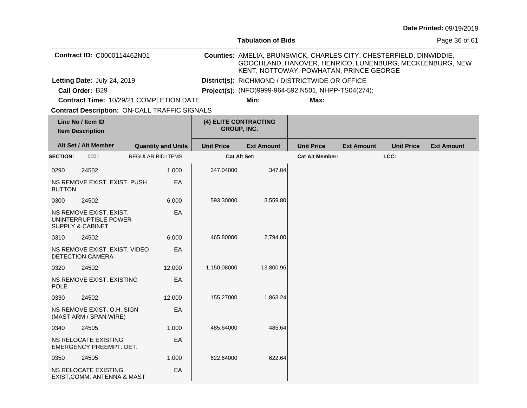|                 |                                                                                 |                           |                                             | <b>Tabulation of Bids</b>                                                                                                                                                  |                                                      |                   | Page 36 of 61     |                   |  |
|-----------------|---------------------------------------------------------------------------------|---------------------------|---------------------------------------------|----------------------------------------------------------------------------------------------------------------------------------------------------------------------------|------------------------------------------------------|-------------------|-------------------|-------------------|--|
|                 | Contract ID: C0000114462N01                                                     |                           |                                             | Counties: AMELIA, BRUNSWICK, CHARLES CITY, CHESTERFIELD, DINWIDDIE,<br>GOOCHLAND, HANOVER, HENRICO, LUNENBURG, MECKLENBURG, NEW<br>KENT, NOTTOWAY, POWHATAN, PRINCE GEORGE |                                                      |                   |                   |                   |  |
|                 | Letting Date: July 24, 2019                                                     |                           |                                             | District(s): RICHMOND / DISTRICTWIDE OR OFFICE                                                                                                                             |                                                      |                   |                   |                   |  |
|                 | Call Order: B29                                                                 |                           |                                             |                                                                                                                                                                            | Project(s): (NFO)9999-964-592, N501, NHPP-TS04(274); |                   |                   |                   |  |
|                 | Contract Time: 10/29/21 COMPLETION DATE                                         |                           |                                             | Min:                                                                                                                                                                       | Max:                                                 |                   |                   |                   |  |
|                 | <b>Contract Description: ON-CALL TRAFFIC SIGNALS</b>                            |                           |                                             |                                                                                                                                                                            |                                                      |                   |                   |                   |  |
|                 | Line No / Item ID<br><b>Item Description</b>                                    |                           | (4) ELITE CONTRACTING<br><b>GROUP, INC.</b> |                                                                                                                                                                            |                                                      |                   |                   |                   |  |
|                 | Alt Set / Alt Member                                                            | <b>Quantity and Units</b> | <b>Unit Price</b>                           | <b>Ext Amount</b>                                                                                                                                                          | <b>Unit Price</b>                                    | <b>Ext Amount</b> | <b>Unit Price</b> | <b>Ext Amount</b> |  |
| <b>SECTION:</b> | 0001                                                                            | REGULAR BID ITEMS         |                                             | <b>Cat Alt Set:</b>                                                                                                                                                        | <b>Cat Alt Member:</b>                               |                   | LCC:              |                   |  |
| 0290            | 24502                                                                           | 1.000                     | 347.04000                                   | 347.04                                                                                                                                                                     |                                                      |                   |                   |                   |  |
| <b>BUTTON</b>   | NS REMOVE EXIST. EXIST. PUSH                                                    | EA                        |                                             |                                                                                                                                                                            |                                                      |                   |                   |                   |  |
| 0300            | 24502                                                                           | 6.000                     | 593.30000                                   | 3,559.80                                                                                                                                                                   |                                                      |                   |                   |                   |  |
|                 | NS REMOVE EXIST. EXIST.<br>UNINTERRUPTIBLE POWER<br><b>SUPPLY &amp; CABINET</b> | EA                        |                                             |                                                                                                                                                                            |                                                      |                   |                   |                   |  |
| 0310            | 24502                                                                           | 6.000                     | 465.80000                                   | 2,794.80                                                                                                                                                                   |                                                      |                   |                   |                   |  |
|                 | NS REMOVE EXIST. EXIST. VIDEO<br><b>DETECTION CAMERA</b>                        | EA                        |                                             |                                                                                                                                                                            |                                                      |                   |                   |                   |  |
| 0320            | 24502                                                                           | 12.000                    | 1,150.08000                                 | 13,800.96                                                                                                                                                                  |                                                      |                   |                   |                   |  |
| <b>POLE</b>     | NS REMOVE EXIST. EXISTING                                                       | EA                        |                                             |                                                                                                                                                                            |                                                      |                   |                   |                   |  |
| 0330            | 24502                                                                           | 12.000                    | 155.27000                                   | 1,863.24                                                                                                                                                                   |                                                      |                   |                   |                   |  |
|                 | NS REMOVE EXIST, O.H. SIGN<br>(MAST ARM / SPAN WIRE)                            | EA                        |                                             |                                                                                                                                                                            |                                                      |                   |                   |                   |  |
| 0340            | 24505                                                                           | 1.000                     | 485.64000                                   | 485.64                                                                                                                                                                     |                                                      |                   |                   |                   |  |
|                 | NS RELOCATE EXISTING<br><b>EMERGENCY PREEMPT. DET.</b>                          | EA                        |                                             |                                                                                                                                                                            |                                                      |                   |                   |                   |  |
| 0350            | 24505                                                                           | 1.000                     | 622.64000                                   | 622.64                                                                                                                                                                     |                                                      |                   |                   |                   |  |
|                 | NS RELOCATE EXISTING<br>EXIST.COMM. ANTENNA & MAST                              | EA                        |                                             |                                                                                                                                                                            |                                                      |                   |                   |                   |  |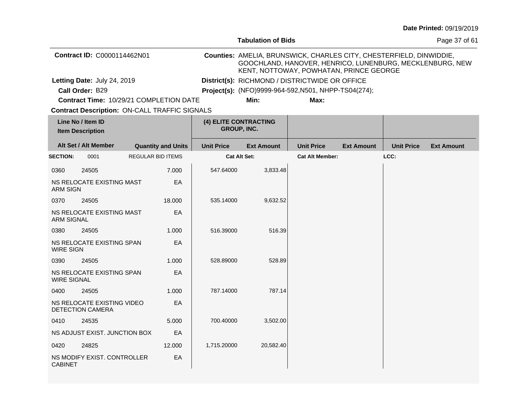|                                              |                                                       |                                                      |                                             | <b>Tabulation of Bids</b>                                                                                                                                                  |                                                      |                   |                   | Page 37 of 61     |
|----------------------------------------------|-------------------------------------------------------|------------------------------------------------------|---------------------------------------------|----------------------------------------------------------------------------------------------------------------------------------------------------------------------------|------------------------------------------------------|-------------------|-------------------|-------------------|
|                                              | Contract ID: C0000114462N01                           |                                                      |                                             | Counties: AMELIA, BRUNSWICK, CHARLES CITY, CHESTERFIELD, DINWIDDIE,<br>GOOCHLAND, HANOVER, HENRICO, LUNENBURG, MECKLENBURG, NEW<br>KENT, NOTTOWAY, POWHATAN, PRINCE GEORGE |                                                      |                   |                   |                   |
|                                              | Letting Date: July 24, 2019                           |                                                      |                                             |                                                                                                                                                                            | District(s): RICHMOND / DISTRICTWIDE OR OFFICE       |                   |                   |                   |
|                                              | Call Order: B29                                       |                                                      |                                             |                                                                                                                                                                            | Project(s): (NFO)9999-964-592, N501, NHPP-TS04(274); |                   |                   |                   |
|                                              |                                                       | Contract Time: 10/29/21 COMPLETION DATE              |                                             | Min:                                                                                                                                                                       | Max:                                                 |                   |                   |                   |
|                                              |                                                       | <b>Contract Description: ON-CALL TRAFFIC SIGNALS</b> |                                             |                                                                                                                                                                            |                                                      |                   |                   |                   |
| Line No / Item ID<br><b>Item Description</b> |                                                       |                                                      | (4) ELITE CONTRACTING<br><b>GROUP, INC.</b> |                                                                                                                                                                            |                                                      |                   |                   |                   |
|                                              | Alt Set / Alt Member                                  | <b>Quantity and Units</b>                            | <b>Unit Price</b>                           | <b>Ext Amount</b>                                                                                                                                                          | <b>Unit Price</b>                                    | <b>Ext Amount</b> | <b>Unit Price</b> | <b>Ext Amount</b> |
| <b>SECTION:</b>                              | 0001                                                  | <b>REGULAR BID ITEMS</b>                             |                                             | <b>Cat Alt Set:</b>                                                                                                                                                        | <b>Cat Alt Member:</b>                               |                   | LCC:              |                   |
| 0360                                         | 24505                                                 | 7.000                                                | 547.64000                                   | 3,833.48                                                                                                                                                                   |                                                      |                   |                   |                   |
| <b>ARM SIGN</b>                              | NS RELOCATE EXISTING MAST                             | EA                                                   |                                             |                                                                                                                                                                            |                                                      |                   |                   |                   |
| 0370                                         | 24505                                                 | 18.000                                               | 535.14000                                   | 9,632.52                                                                                                                                                                   |                                                      |                   |                   |                   |
| <b>ARM SIGNAL</b>                            | NS RELOCATE EXISTING MAST                             | EA                                                   |                                             |                                                                                                                                                                            |                                                      |                   |                   |                   |
| 0380                                         | 24505                                                 | 1.000                                                | 516.39000                                   | 516.39                                                                                                                                                                     |                                                      |                   |                   |                   |
| <b>WIRE SIGN</b>                             | NS RELOCATE EXISTING SPAN                             | EA                                                   |                                             |                                                                                                                                                                            |                                                      |                   |                   |                   |
| 0390                                         | 24505                                                 | 1.000                                                | 528.89000                                   | 528.89                                                                                                                                                                     |                                                      |                   |                   |                   |
| <b>WIRE SIGNAL</b>                           | NS RELOCATE EXISTING SPAN                             | EA                                                   |                                             |                                                                                                                                                                            |                                                      |                   |                   |                   |
| 0400                                         | 24505                                                 | 1.000                                                | 787.14000                                   | 787.14                                                                                                                                                                     |                                                      |                   |                   |                   |
|                                              | NS RELOCATE EXISTING VIDEO<br><b>DETECTION CAMERA</b> | EA                                                   |                                             |                                                                                                                                                                            |                                                      |                   |                   |                   |
| 0410                                         | 24535                                                 | 5.000                                                | 700.40000                                   | 3,502.00                                                                                                                                                                   |                                                      |                   |                   |                   |
|                                              | NS ADJUST EXIST. JUNCTION BOX                         | EA                                                   |                                             |                                                                                                                                                                            |                                                      |                   |                   |                   |
| 0420                                         | 24825                                                 | 12.000                                               | 1,715.20000                                 | 20,582.40                                                                                                                                                                  |                                                      |                   |                   |                   |
| <b>CABINET</b>                               | NS MODIFY EXIST. CONTROLLER                           | EA                                                   |                                             |                                                                                                                                                                            |                                                      |                   |                   |                   |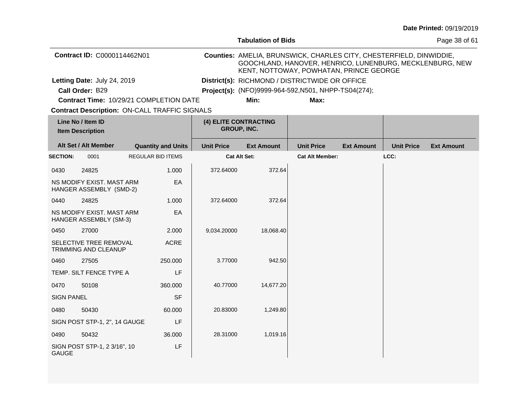|                                              |                                                       |                                                      |                   | <b>Tabulation of Bids</b> |                                                                                                                                                                            |                   |                   | Page 38 of 61     |
|----------------------------------------------|-------------------------------------------------------|------------------------------------------------------|-------------------|---------------------------|----------------------------------------------------------------------------------------------------------------------------------------------------------------------------|-------------------|-------------------|-------------------|
|                                              | Contract ID: C0000114462N01                           |                                                      |                   |                           | Counties: AMELIA, BRUNSWICK, CHARLES CITY, CHESTERFIELD, DINWIDDIE,<br>GOOCHLAND, HANOVER, HENRICO, LUNENBURG, MECKLENBURG, NEW<br>KENT, NOTTOWAY, POWHATAN, PRINCE GEORGE |                   |                   |                   |
|                                              | Letting Date: July 24, 2019                           |                                                      |                   |                           | District(s): RICHMOND / DISTRICTWIDE OR OFFICE                                                                                                                             |                   |                   |                   |
|                                              | Call Order: B29                                       |                                                      |                   |                           | Project(s): (NFO)9999-964-592, N501, NHPP-TS04(274);                                                                                                                       |                   |                   |                   |
|                                              |                                                       | Contract Time: 10/29/21 COMPLETION DATE              |                   | Min:                      | Max:                                                                                                                                                                       |                   |                   |                   |
|                                              |                                                       | <b>Contract Description: ON-CALL TRAFFIC SIGNALS</b> |                   |                           |                                                                                                                                                                            |                   |                   |                   |
| Line No / Item ID<br><b>Item Description</b> |                                                       | (4) ELITE CONTRACTING<br><b>GROUP, INC.</b>          |                   |                           |                                                                                                                                                                            |                   |                   |                   |
|                                              | Alt Set / Alt Member                                  | <b>Quantity and Units</b>                            | <b>Unit Price</b> | <b>Ext Amount</b>         | <b>Unit Price</b>                                                                                                                                                          | <b>Ext Amount</b> | <b>Unit Price</b> | <b>Ext Amount</b> |
| <b>SECTION:</b>                              | 0001                                                  | <b>REGULAR BID ITEMS</b>                             |                   | <b>Cat Alt Set:</b>       | <b>Cat Alt Member:</b>                                                                                                                                                     |                   | LCC:              |                   |
| 0430                                         | 24825                                                 | 1.000                                                | 372.64000         | 372.64                    |                                                                                                                                                                            |                   |                   |                   |
|                                              | NS MODIFY EXIST. MAST ARM<br>HANGER ASSEMBLY (SMD-2)  | EA                                                   |                   |                           |                                                                                                                                                                            |                   |                   |                   |
| 0440                                         | 24825                                                 | 1.000                                                | 372.64000         | 372.64                    |                                                                                                                                                                            |                   |                   |                   |
|                                              | NS MODIFY EXIST. MAST ARM<br>HANGER ASSEMBLY (SM-3)   | EA                                                   |                   |                           |                                                                                                                                                                            |                   |                   |                   |
| 0450                                         | 27000                                                 | 2.000                                                | 9,034.20000       | 18,068.40                 |                                                                                                                                                                            |                   |                   |                   |
|                                              | SELECTIVE TREE REMOVAL<br><b>TRIMMING AND CLEANUP</b> | <b>ACRE</b>                                          |                   |                           |                                                                                                                                                                            |                   |                   |                   |
| 0460                                         | 27505                                                 | 250.000                                              | 3.77000           | 942.50                    |                                                                                                                                                                            |                   |                   |                   |
|                                              | TEMP. SILT FENCE TYPE A                               | LF                                                   |                   |                           |                                                                                                                                                                            |                   |                   |                   |
| 0470                                         | 50108                                                 | 360.000                                              | 40.77000          | 14,677.20                 |                                                                                                                                                                            |                   |                   |                   |
| <b>SIGN PANEL</b>                            |                                                       | <b>SF</b>                                            |                   |                           |                                                                                                                                                                            |                   |                   |                   |
| 0480                                         | 50430                                                 | 60.000                                               | 20.83000          | 1,249.80                  |                                                                                                                                                                            |                   |                   |                   |
|                                              | SIGN POST STP-1, 2", 14 GAUGE                         | LF                                                   |                   |                           |                                                                                                                                                                            |                   |                   |                   |
| 0490                                         | 50432                                                 | 36.000                                               | 28.31000          | 1,019.16                  |                                                                                                                                                                            |                   |                   |                   |
| <b>GAUGE</b>                                 | SIGN POST STP-1, 2 3/16", 10                          | LF                                                   |                   |                           |                                                                                                                                                                            |                   |                   |                   |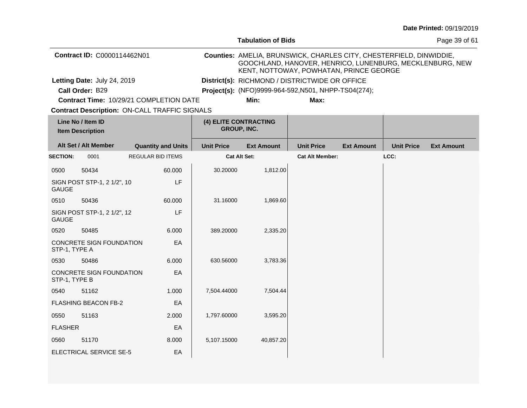|                                              |                             |                                                      |                                      | <b>Tabulation of Bids</b>                                                                                                                                                  | Page 39 of 61                                        |                   |                   |                   |  |
|----------------------------------------------|-----------------------------|------------------------------------------------------|--------------------------------------|----------------------------------------------------------------------------------------------------------------------------------------------------------------------------|------------------------------------------------------|-------------------|-------------------|-------------------|--|
|                                              | Contract ID: C0000114462N01 |                                                      |                                      | Counties: AMELIA, BRUNSWICK, CHARLES CITY, CHESTERFIELD, DINWIDDIE,<br>GOOCHLAND, HANOVER, HENRICO, LUNENBURG, MECKLENBURG, NEW<br>KENT, NOTTOWAY, POWHATAN, PRINCE GEORGE |                                                      |                   |                   |                   |  |
|                                              | Letting Date: July 24, 2019 |                                                      |                                      |                                                                                                                                                                            | District(s): RICHMOND / DISTRICTWIDE OR OFFICE       |                   |                   |                   |  |
|                                              | Call Order: B29             |                                                      |                                      |                                                                                                                                                                            | Project(s): (NFO)9999-964-592, N501, NHPP-TS04(274); |                   |                   |                   |  |
|                                              |                             | <b>Contract Time: 10/29/21 COMPLETION DATE</b>       |                                      | Min:                                                                                                                                                                       | Max:                                                 |                   |                   |                   |  |
|                                              |                             | <b>Contract Description: ON-CALL TRAFFIC SIGNALS</b> |                                      |                                                                                                                                                                            |                                                      |                   |                   |                   |  |
| Line No / Item ID<br><b>Item Description</b> |                             |                                                      | (4) ELITE CONTRACTING<br>GROUP, INC. |                                                                                                                                                                            |                                                      |                   |                   |                   |  |
|                                              | Alt Set / Alt Member        | <b>Quantity and Units</b>                            | <b>Unit Price</b>                    | <b>Ext Amount</b>                                                                                                                                                          | <b>Unit Price</b>                                    | <b>Ext Amount</b> | <b>Unit Price</b> | <b>Ext Amount</b> |  |
| <b>SECTION:</b>                              | 0001                        | <b>REGULAR BID ITEMS</b>                             |                                      | <b>Cat Alt Set:</b>                                                                                                                                                        | <b>Cat Alt Member:</b>                               |                   | LCC:              |                   |  |
| 0500                                         | 50434                       | 60.000                                               | 30.20000                             | 1,812.00                                                                                                                                                                   |                                                      |                   |                   |                   |  |
| <b>GAUGE</b>                                 | SIGN POST STP-1, 2 1/2", 10 | LF                                                   |                                      |                                                                                                                                                                            |                                                      |                   |                   |                   |  |
| 0510                                         | 50436                       | 60.000                                               | 31.16000                             | 1,869.60                                                                                                                                                                   |                                                      |                   |                   |                   |  |
| <b>GAUGE</b>                                 | SIGN POST STP-1, 2 1/2", 12 | LF                                                   |                                      |                                                                                                                                                                            |                                                      |                   |                   |                   |  |
| 0520                                         | 50485                       | 6.000                                                | 389.20000                            | 2,335.20                                                                                                                                                                   |                                                      |                   |                   |                   |  |
| STP-1, TYPE A                                | CONCRETE SIGN FOUNDATION    | EA                                                   |                                      |                                                                                                                                                                            |                                                      |                   |                   |                   |  |
| 0530                                         | 50486                       | 6.000                                                | 630.56000                            | 3,783.36                                                                                                                                                                   |                                                      |                   |                   |                   |  |
| STP-1, TYPE B                                | CONCRETE SIGN FOUNDATION    | EA                                                   |                                      |                                                                                                                                                                            |                                                      |                   |                   |                   |  |
| 0540                                         | 51162                       | 1.000                                                | 7,504.44000                          | 7,504.44                                                                                                                                                                   |                                                      |                   |                   |                   |  |
|                                              | <b>FLASHING BEACON FB-2</b> | EA                                                   |                                      |                                                                                                                                                                            |                                                      |                   |                   |                   |  |
| 0550                                         | 51163                       | 2.000                                                | 1,797.60000                          | 3,595.20                                                                                                                                                                   |                                                      |                   |                   |                   |  |
| <b>FLASHER</b>                               |                             | EA                                                   |                                      |                                                                                                                                                                            |                                                      |                   |                   |                   |  |
| 0560                                         | 51170                       | 8.000                                                | 5,107.15000                          | 40,857.20                                                                                                                                                                  |                                                      |                   |                   |                   |  |
|                                              | ELECTRICAL SERVICE SE-5     | EA                                                   |                                      |                                                                                                                                                                            |                                                      |                   |                   |                   |  |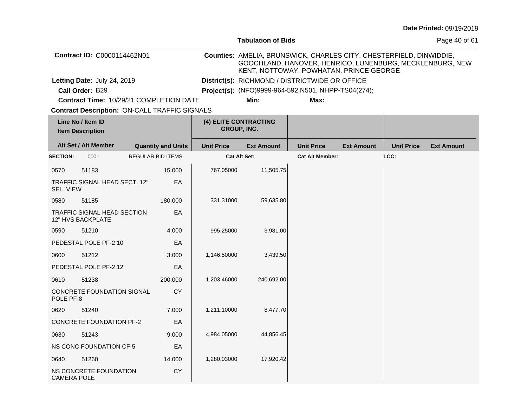|                             |                                                      |  |                           |                                             | <b>Tabulation of Bids</b>                                                                                                                                                  |                                                      | Page 40 of 61     |                   |                   |
|-----------------------------|------------------------------------------------------|--|---------------------------|---------------------------------------------|----------------------------------------------------------------------------------------------------------------------------------------------------------------------------|------------------------------------------------------|-------------------|-------------------|-------------------|
| Contract ID: C0000114462N01 |                                                      |  |                           |                                             | Counties: AMELIA, BRUNSWICK, CHARLES CITY, CHESTERFIELD, DINWIDDIE,<br>GOOCHLAND, HANOVER, HENRICO, LUNENBURG, MECKLENBURG, NEW<br>KENT, NOTTOWAY, POWHATAN, PRINCE GEORGE |                                                      |                   |                   |                   |
|                             | Letting Date: July 24, 2019                          |  |                           |                                             |                                                                                                                                                                            | District(s): RICHMOND / DISTRICTWIDE OR OFFICE       |                   |                   |                   |
|                             | Call Order: B29                                      |  |                           |                                             |                                                                                                                                                                            | Project(s): (NFO)9999-964-592, N501, NHPP-TS04(274); |                   |                   |                   |
|                             | Contract Time: 10/29/21 COMPLETION DATE              |  |                           |                                             | Min:                                                                                                                                                                       | Max:                                                 |                   |                   |                   |
|                             | <b>Contract Description: ON-CALL TRAFFIC SIGNALS</b> |  |                           |                                             |                                                                                                                                                                            |                                                      |                   |                   |                   |
|                             | Line No / Item ID<br><b>Item Description</b>         |  |                           | (4) ELITE CONTRACTING<br><b>GROUP, INC.</b> |                                                                                                                                                                            |                                                      |                   |                   |                   |
|                             | Alt Set / Alt Member                                 |  | <b>Quantity and Units</b> | <b>Unit Price</b>                           | <b>Ext Amount</b>                                                                                                                                                          | <b>Unit Price</b>                                    | <b>Ext Amount</b> | <b>Unit Price</b> | <b>Ext Amount</b> |
| <b>SECTION:</b>             | 0001                                                 |  | <b>REGULAR BID ITEMS</b>  |                                             | Cat Alt Set:                                                                                                                                                               | <b>Cat Alt Member:</b>                               |                   | LCC:              |                   |
| 0570                        | 51183                                                |  | 15,000                    | 767.05000                                   | 11,505.75                                                                                                                                                                  |                                                      |                   |                   |                   |
| SEL. VIEW                   | TRAFFIC SIGNAL HEAD SECT. 12"                        |  | ЕA                        |                                             |                                                                                                                                                                            |                                                      |                   |                   |                   |
| 0580                        | 51185                                                |  | 180.000                   | 331.31000                                   | 59,635.80                                                                                                                                                                  |                                                      |                   |                   |                   |
|                             | TRAFFIC SIGNAL HEAD SECTION<br>12" HVS BACKPLATE     |  | EA                        |                                             |                                                                                                                                                                            |                                                      |                   |                   |                   |
| 0590                        | 51210                                                |  | 4.000                     | 995.25000                                   | 3,981.00                                                                                                                                                                   |                                                      |                   |                   |                   |
|                             | PEDESTAL POLE PF-2 10'                               |  | EA                        |                                             |                                                                                                                                                                            |                                                      |                   |                   |                   |
| 0600                        | 51212                                                |  | 3.000                     | 1,146.50000                                 | 3,439.50                                                                                                                                                                   |                                                      |                   |                   |                   |
|                             | PEDESTAL POLE PF-2 12'                               |  | EA                        |                                             |                                                                                                                                                                            |                                                      |                   |                   |                   |
| 0610                        | 51238                                                |  | 200.000                   | 1,203.46000                                 | 240,692.00                                                                                                                                                                 |                                                      |                   |                   |                   |
| POLE PF-8                   | CONCRETE FOUNDATION SIGNAL                           |  | <b>CY</b>                 |                                             |                                                                                                                                                                            |                                                      |                   |                   |                   |
| 0620                        | 51240                                                |  | 7.000                     | 1,211.10000                                 | 8,477.70                                                                                                                                                                   |                                                      |                   |                   |                   |
|                             | <b>CONCRETE FOUNDATION PF-2</b>                      |  | EA                        |                                             |                                                                                                                                                                            |                                                      |                   |                   |                   |
| 0630                        | 51243                                                |  | 9.000                     | 4,984.05000                                 | 44,856.45                                                                                                                                                                  |                                                      |                   |                   |                   |
|                             | NS CONC FOUNDATION CF-5                              |  | EA                        |                                             |                                                                                                                                                                            |                                                      |                   |                   |                   |
| 0640                        | 51260                                                |  | 14.000                    | 1,280.03000                                 | 17,920.42                                                                                                                                                                  |                                                      |                   |                   |                   |
| <b>CAMERA POLE</b>          | NS CONCRETE FOUNDATION                               |  | CY                        |                                             |                                                                                                                                                                            |                                                      |                   |                   |                   |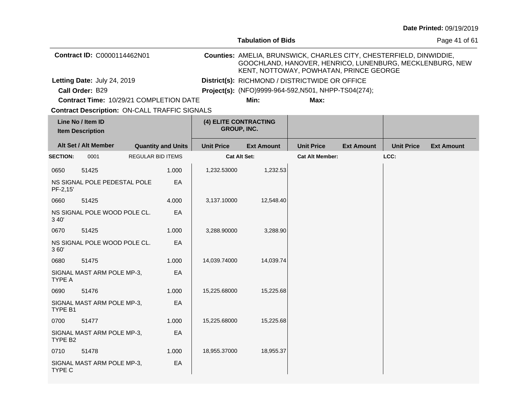|                                              |                                                      |                          |                                             |                   | <b>Tabulation of Bids</b>                                                                                                                                                  |                                                      | Page 41 of 61     |                   |                   |
|----------------------------------------------|------------------------------------------------------|--------------------------|---------------------------------------------|-------------------|----------------------------------------------------------------------------------------------------------------------------------------------------------------------------|------------------------------------------------------|-------------------|-------------------|-------------------|
| Contract ID: C0000114462N01                  |                                                      |                          |                                             |                   | Counties: AMELIA, BRUNSWICK, CHARLES CITY, CHESTERFIELD, DINWIDDIE,<br>GOOCHLAND, HANOVER, HENRICO, LUNENBURG, MECKLENBURG, NEW<br>KENT, NOTTOWAY, POWHATAN, PRINCE GEORGE |                                                      |                   |                   |                   |
|                                              | Letting Date: July 24, 2019                          |                          |                                             |                   |                                                                                                                                                                            | District(s): RICHMOND / DISTRICTWIDE OR OFFICE       |                   |                   |                   |
|                                              | Call Order: B29                                      |                          |                                             |                   |                                                                                                                                                                            | Project(s): (NFO)9999-964-592, N501, NHPP-TS04(274); |                   |                   |                   |
|                                              | Contract Time: 10/29/21 COMPLETION DATE              |                          |                                             |                   | Min:                                                                                                                                                                       | Max:                                                 |                   |                   |                   |
|                                              | <b>Contract Description: ON-CALL TRAFFIC SIGNALS</b> |                          |                                             |                   |                                                                                                                                                                            |                                                      |                   |                   |                   |
| Line No / Item ID<br><b>Item Description</b> |                                                      |                          | (4) ELITE CONTRACTING<br><b>GROUP, INC.</b> |                   |                                                                                                                                                                            |                                                      |                   |                   |                   |
|                                              | Alt Set / Alt Member                                 |                          | <b>Quantity and Units</b>                   | <b>Unit Price</b> | <b>Ext Amount</b>                                                                                                                                                          | <b>Unit Price</b>                                    | <b>Ext Amount</b> | <b>Unit Price</b> | <b>Ext Amount</b> |
| <b>SECTION:</b>                              | 0001                                                 | <b>REGULAR BID ITEMS</b> |                                             |                   | <b>Cat Alt Set:</b>                                                                                                                                                        | <b>Cat Alt Member:</b>                               |                   | LCC:              |                   |
| 0650                                         | 51425                                                |                          | 1.000                                       | 1,232.53000       | 1,232.53                                                                                                                                                                   |                                                      |                   |                   |                   |
| PF-2,15'                                     | NS SIGNAL POLE PEDESTAL POLE                         |                          | EA                                          |                   |                                                                                                                                                                            |                                                      |                   |                   |                   |
| 0660                                         | 51425                                                |                          | 4.000                                       | 3,137.10000       | 12,548.40                                                                                                                                                                  |                                                      |                   |                   |                   |
| 3 40'                                        | NS SIGNAL POLE WOOD POLE CL.                         |                          | EA                                          |                   |                                                                                                                                                                            |                                                      |                   |                   |                   |
| 0670                                         | 51425                                                |                          | 1.000                                       | 3,288.90000       | 3,288.90                                                                                                                                                                   |                                                      |                   |                   |                   |
| 360'                                         | NS SIGNAL POLE WOOD POLE CL.                         |                          | EA                                          |                   |                                                                                                                                                                            |                                                      |                   |                   |                   |
| 0680                                         | 51475                                                |                          | 1.000                                       | 14,039.74000      | 14,039.74                                                                                                                                                                  |                                                      |                   |                   |                   |
| TYPE A                                       | SIGNAL MAST ARM POLE MP-3,                           |                          | EA                                          |                   |                                                                                                                                                                            |                                                      |                   |                   |                   |
| 0690                                         | 51476                                                |                          | 1.000                                       | 15,225.68000      | 15,225.68                                                                                                                                                                  |                                                      |                   |                   |                   |
| TYPE B1                                      | SIGNAL MAST ARM POLE MP-3,                           |                          | EA                                          |                   |                                                                                                                                                                            |                                                      |                   |                   |                   |
| 0700                                         | 51477                                                |                          | 1.000                                       | 15,225.68000      | 15,225.68                                                                                                                                                                  |                                                      |                   |                   |                   |
| TYPE B <sub>2</sub>                          | SIGNAL MAST ARM POLE MP-3,                           |                          | EA                                          |                   |                                                                                                                                                                            |                                                      |                   |                   |                   |
| 0710                                         | 51478                                                |                          | 1.000                                       | 18,955.37000      | 18,955.37                                                                                                                                                                  |                                                      |                   |                   |                   |
| TYPE C                                       | SIGNAL MAST ARM POLE MP-3,                           |                          | EA                                          |                   |                                                                                                                                                                            |                                                      |                   |                   |                   |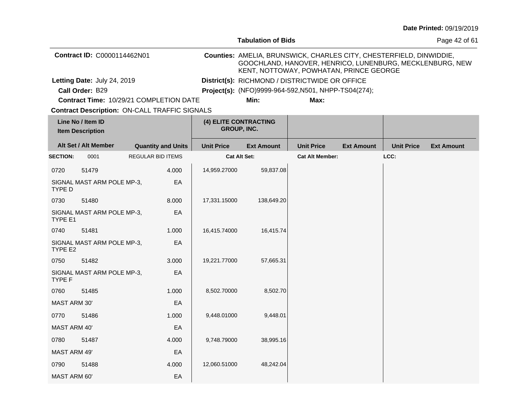|                                                      |                                              |  |                           |                                             | <b>Tabulation of Bids</b>                                                                                                                                                  |                                                      |                   |                   | Page 42 of 61     |
|------------------------------------------------------|----------------------------------------------|--|---------------------------|---------------------------------------------|----------------------------------------------------------------------------------------------------------------------------------------------------------------------------|------------------------------------------------------|-------------------|-------------------|-------------------|
| Contract ID: C0000114462N01                          |                                              |  |                           |                                             | Counties: AMELIA, BRUNSWICK, CHARLES CITY, CHESTERFIELD, DINWIDDIE,<br>GOOCHLAND, HANOVER, HENRICO, LUNENBURG, MECKLENBURG, NEW<br>KENT, NOTTOWAY, POWHATAN, PRINCE GEORGE |                                                      |                   |                   |                   |
|                                                      | Letting Date: July 24, 2019                  |  |                           |                                             |                                                                                                                                                                            | District(s): RICHMOND / DISTRICTWIDE OR OFFICE       |                   |                   |                   |
|                                                      | Call Order: B29                              |  |                           |                                             |                                                                                                                                                                            | Project(s): (NFO)9999-964-592, N501, NHPP-TS04(274); |                   |                   |                   |
|                                                      | Contract Time: 10/29/21 COMPLETION DATE      |  |                           |                                             | Min:                                                                                                                                                                       | Max:                                                 |                   |                   |                   |
| <b>Contract Description: ON-CALL TRAFFIC SIGNALS</b> |                                              |  |                           |                                             |                                                                                                                                                                            |                                                      |                   |                   |                   |
|                                                      | Line No / Item ID<br><b>Item Description</b> |  |                           | (4) ELITE CONTRACTING<br><b>GROUP, INC.</b> |                                                                                                                                                                            |                                                      |                   |                   |                   |
|                                                      | Alt Set / Alt Member                         |  | <b>Quantity and Units</b> | <b>Unit Price</b>                           | <b>Ext Amount</b>                                                                                                                                                          | <b>Unit Price</b>                                    | <b>Ext Amount</b> | <b>Unit Price</b> | <b>Ext Amount</b> |
| <b>SECTION:</b>                                      | 0001                                         |  | <b>REGULAR BID ITEMS</b>  |                                             | Cat Alt Set:                                                                                                                                                               | <b>Cat Alt Member:</b>                               |                   | LCC:              |                   |
| 0720                                                 | 51479                                        |  | 4.000                     | 14,959.27000                                | 59,837.08                                                                                                                                                                  |                                                      |                   |                   |                   |
| TYPE D                                               | SIGNAL MAST ARM POLE MP-3,                   |  | EA                        |                                             |                                                                                                                                                                            |                                                      |                   |                   |                   |
| 0730                                                 | 51480                                        |  | 8.000                     | 17,331.15000                                | 138,649.20                                                                                                                                                                 |                                                      |                   |                   |                   |
| TYPE E1                                              | SIGNAL MAST ARM POLE MP-3,                   |  | EA                        |                                             |                                                                                                                                                                            |                                                      |                   |                   |                   |
| 0740                                                 | 51481                                        |  | 1.000                     | 16,415.74000                                | 16,415.74                                                                                                                                                                  |                                                      |                   |                   |                   |
| TYPE E2                                              | SIGNAL MAST ARM POLE MP-3,                   |  | EA                        |                                             |                                                                                                                                                                            |                                                      |                   |                   |                   |
| 0750                                                 | 51482                                        |  | 3.000                     | 19,221.77000                                | 57,665.31                                                                                                                                                                  |                                                      |                   |                   |                   |
| TYPE F                                               | SIGNAL MAST ARM POLE MP-3,                   |  | EA                        |                                             |                                                                                                                                                                            |                                                      |                   |                   |                   |
| 0760                                                 | 51485                                        |  | 1.000                     | 8,502.70000                                 | 8,502.70                                                                                                                                                                   |                                                      |                   |                   |                   |
| MAST ARM 30'                                         |                                              |  | EA                        |                                             |                                                                                                                                                                            |                                                      |                   |                   |                   |
| 0770                                                 | 51486                                        |  | 1.000                     | 9,448.01000                                 | 9,448.01                                                                                                                                                                   |                                                      |                   |                   |                   |
| <b>MAST ARM 40'</b>                                  |                                              |  | EA                        |                                             |                                                                                                                                                                            |                                                      |                   |                   |                   |
| 0780                                                 | 51487                                        |  | 4.000                     | 9,748.79000                                 | 38,995.16                                                                                                                                                                  |                                                      |                   |                   |                   |
| MAST ARM 49'                                         |                                              |  | EA                        |                                             |                                                                                                                                                                            |                                                      |                   |                   |                   |
| 0790                                                 | 51488                                        |  | 4.000                     | 12,060.51000                                | 48,242.04                                                                                                                                                                  |                                                      |                   |                   |                   |
| MAST ARM 60'                                         |                                              |  | EA                        |                                             |                                                                                                                                                                            |                                                      |                   |                   |                   |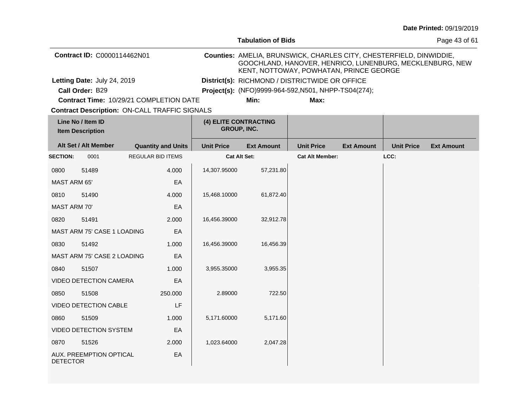|                                              |                               |                                                      |                   | <b>Tabulation of Bids</b>                                                                                                                                                  |                        | Page 43 of 61     |                   |                   |
|----------------------------------------------|-------------------------------|------------------------------------------------------|-------------------|----------------------------------------------------------------------------------------------------------------------------------------------------------------------------|------------------------|-------------------|-------------------|-------------------|
|                                              | Contract ID: C0000114462N01   |                                                      |                   | Counties: AMELIA, BRUNSWICK, CHARLES CITY, CHESTERFIELD, DINWIDDIE,<br>GOOCHLAND, HANOVER, HENRICO, LUNENBURG, MECKLENBURG, NEW<br>KENT, NOTTOWAY, POWHATAN, PRINCE GEORGE |                        |                   |                   |                   |
|                                              | Letting Date: July 24, 2019   |                                                      |                   | District(s): RICHMOND / DISTRICTWIDE OR OFFICE                                                                                                                             |                        |                   |                   |                   |
|                                              | Call Order: B29               |                                                      |                   | Project(s): (NFO)9999-964-592, N501, NHPP-TS04(274);                                                                                                                       |                        |                   |                   |                   |
|                                              |                               | Contract Time: 10/29/21 COMPLETION DATE              |                   | Min:                                                                                                                                                                       | Max:                   |                   |                   |                   |
|                                              |                               | <b>Contract Description: ON-CALL TRAFFIC SIGNALS</b> |                   |                                                                                                                                                                            |                        |                   |                   |                   |
| Line No / Item ID<br><b>Item Description</b> |                               |                                                      |                   | (4) ELITE CONTRACTING<br><b>GROUP, INC.</b>                                                                                                                                |                        |                   |                   |                   |
|                                              | Alt Set / Alt Member          | <b>Quantity and Units</b>                            | <b>Unit Price</b> | <b>Ext Amount</b>                                                                                                                                                          | <b>Unit Price</b>      | <b>Ext Amount</b> | <b>Unit Price</b> | <b>Ext Amount</b> |
| <b>SECTION:</b>                              | 0001                          | <b>REGULAR BID ITEMS</b>                             |                   | <b>Cat Alt Set:</b>                                                                                                                                                        | <b>Cat Alt Member:</b> |                   | LCC:              |                   |
| 0800                                         | 51489                         | 4.000                                                | 14,307.95000      | 57,231.80                                                                                                                                                                  |                        |                   |                   |                   |
| <b>MAST ARM 65'</b>                          |                               | EA                                                   |                   |                                                                                                                                                                            |                        |                   |                   |                   |
| 0810                                         | 51490                         | 4.000                                                | 15,468.10000      | 61,872.40                                                                                                                                                                  |                        |                   |                   |                   |
| <b>MAST ARM 70'</b>                          |                               | EA                                                   |                   |                                                                                                                                                                            |                        |                   |                   |                   |
| 0820                                         | 51491                         | 2.000                                                | 16,456.39000      | 32,912.78                                                                                                                                                                  |                        |                   |                   |                   |
|                                              | MAST ARM 75' CASE 1 LOADING   | EA                                                   |                   |                                                                                                                                                                            |                        |                   |                   |                   |
| 0830                                         | 51492                         | 1.000                                                | 16,456.39000      | 16,456.39                                                                                                                                                                  |                        |                   |                   |                   |
|                                              | MAST ARM 75' CASE 2 LOADING   | ЕA                                                   |                   |                                                                                                                                                                            |                        |                   |                   |                   |
| 0840                                         | 51507                         | 1.000                                                | 3,955.35000       | 3,955.35                                                                                                                                                                   |                        |                   |                   |                   |
|                                              | <b>VIDEO DETECTION CAMERA</b> | EA                                                   |                   |                                                                                                                                                                            |                        |                   |                   |                   |
| 0850                                         | 51508                         | 250.000                                              | 2.89000           | 722.50                                                                                                                                                                     |                        |                   |                   |                   |
| LF<br><b>VIDEO DETECTION CABLE</b>           |                               |                                                      |                   |                                                                                                                                                                            |                        |                   |                   |                   |
| 0860                                         | 51509                         | 1.000                                                | 5,171.60000       | 5,171.60                                                                                                                                                                   |                        |                   |                   |                   |
| <b>VIDEO DETECTION SYSTEM</b><br>EA          |                               |                                                      |                   |                                                                                                                                                                            |                        |                   |                   |                   |
| 0870                                         | 51526                         | 2.000                                                | 1,023.64000       | 2,047.28                                                                                                                                                                   |                        |                   |                   |                   |
| <b>DETECTOR</b>                              | AUX. PREEMPTION OPTICAL       | EA                                                   |                   |                                                                                                                                                                            |                        |                   |                   |                   |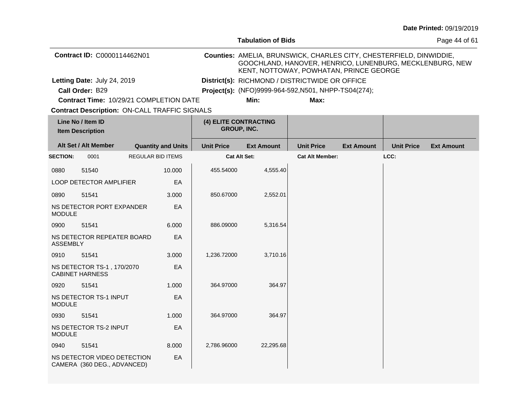|                                              |                                                            |                                                      |                                                                                                                                                                            | <b>Tabulation of Bids</b> | Page 44 of 61                                        |                   |                   |                   |
|----------------------------------------------|------------------------------------------------------------|------------------------------------------------------|----------------------------------------------------------------------------------------------------------------------------------------------------------------------------|---------------------------|------------------------------------------------------|-------------------|-------------------|-------------------|
|                                              | Contract ID: C0000114462N01                                |                                                      | Counties: AMELIA, BRUNSWICK, CHARLES CITY, CHESTERFIELD, DINWIDDIE,<br>GOOCHLAND, HANOVER, HENRICO, LUNENBURG, MECKLENBURG, NEW<br>KENT, NOTTOWAY, POWHATAN, PRINCE GEORGE |                           |                                                      |                   |                   |                   |
|                                              | Letting Date: July 24, 2019                                |                                                      |                                                                                                                                                                            |                           | District(s): RICHMOND / DISTRICTWIDE OR OFFICE       |                   |                   |                   |
|                                              | Call Order: B29                                            |                                                      |                                                                                                                                                                            |                           | Project(s): (NFO)9999-964-592, N501, NHPP-TS04(274); |                   |                   |                   |
|                                              |                                                            | Contract Time: 10/29/21 COMPLETION DATE              |                                                                                                                                                                            | Min:                      | Max:                                                 |                   |                   |                   |
|                                              |                                                            | <b>Contract Description: ON-CALL TRAFFIC SIGNALS</b> |                                                                                                                                                                            |                           |                                                      |                   |                   |                   |
| Line No / Item ID<br><b>Item Description</b> |                                                            |                                                      | GROUP, INC.                                                                                                                                                                | (4) ELITE CONTRACTING     |                                                      |                   |                   |                   |
|                                              | Alt Set / Alt Member                                       | <b>Quantity and Units</b>                            | <b>Unit Price</b>                                                                                                                                                          | <b>Ext Amount</b>         | <b>Unit Price</b>                                    | <b>Ext Amount</b> | <b>Unit Price</b> | <b>Ext Amount</b> |
| <b>SECTION:</b>                              | 0001                                                       | <b>REGULAR BID ITEMS</b>                             |                                                                                                                                                                            | <b>Cat Alt Set:</b>       | <b>Cat Alt Member:</b>                               |                   | LCC:              |                   |
| 0880                                         | 51540                                                      | 10.000                                               | 455.54000                                                                                                                                                                  | 4,555.40                  |                                                      |                   |                   |                   |
|                                              | <b>LOOP DETECTOR AMPLIFIER</b>                             | EA                                                   |                                                                                                                                                                            |                           |                                                      |                   |                   |                   |
| 0890                                         | 51541                                                      | 3.000                                                | 850.67000                                                                                                                                                                  | 2,552.01                  |                                                      |                   |                   |                   |
| <b>MODULE</b>                                | NS DETECTOR PORT EXPANDER                                  | EA                                                   |                                                                                                                                                                            |                           |                                                      |                   |                   |                   |
| 0900                                         | 51541                                                      | 6.000                                                | 886.09000                                                                                                                                                                  | 5,316.54                  |                                                      |                   |                   |                   |
| <b>ASSEMBLY</b>                              | NS DETECTOR REPEATER BOARD                                 | EA                                                   |                                                                                                                                                                            |                           |                                                      |                   |                   |                   |
| 0910                                         | 51541                                                      | 3.000                                                | 1,236.72000                                                                                                                                                                | 3,710.16                  |                                                      |                   |                   |                   |
|                                              | NS DETECTOR TS-1, 170/2070<br><b>CABINET HARNESS</b>       | EA                                                   |                                                                                                                                                                            |                           |                                                      |                   |                   |                   |
| 0920                                         | 51541                                                      | 1.000                                                | 364.97000                                                                                                                                                                  | 364.97                    |                                                      |                   |                   |                   |
| <b>MODULE</b>                                | NS DETECTOR TS-1 INPUT                                     | EA                                                   |                                                                                                                                                                            |                           |                                                      |                   |                   |                   |
| 0930                                         | 51541                                                      | 1.000                                                | 364.97000                                                                                                                                                                  | 364.97                    |                                                      |                   |                   |                   |
| <b>MODULE</b>                                | NS DETECTOR TS-2 INPUT                                     | EA                                                   |                                                                                                                                                                            |                           |                                                      |                   |                   |                   |
| 0940                                         | 51541                                                      | 8.000                                                | 2,786.96000                                                                                                                                                                | 22,295.68                 |                                                      |                   |                   |                   |
|                                              | NS DETECTOR VIDEO DETECTION<br>CAMERA (360 DEG., ADVANCED) | EA                                                   |                                                                                                                                                                            |                           |                                                      |                   |                   |                   |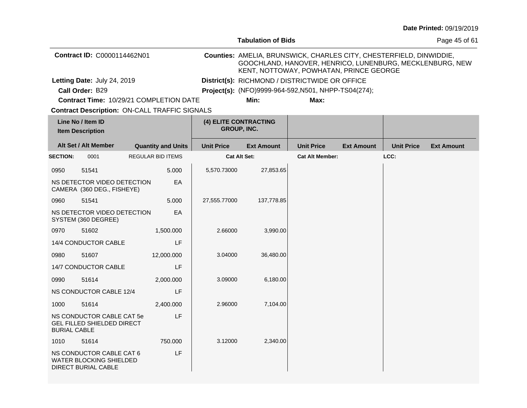|                     |                                                                                          |                                                      |                                                      | <b>Tabulation of Bids</b>                                                                                                                                                  |                        | Page 45 of 61     |                   |                   |  |  |
|---------------------|------------------------------------------------------------------------------------------|------------------------------------------------------|------------------------------------------------------|----------------------------------------------------------------------------------------------------------------------------------------------------------------------------|------------------------|-------------------|-------------------|-------------------|--|--|
|                     | Contract ID: C0000114462N01                                                              |                                                      |                                                      | Counties: AMELIA, BRUNSWICK, CHARLES CITY, CHESTERFIELD, DINWIDDIE,<br>GOOCHLAND, HANOVER, HENRICO, LUNENBURG, MECKLENBURG, NEW<br>KENT, NOTTOWAY, POWHATAN, PRINCE GEORGE |                        |                   |                   |                   |  |  |
|                     | Letting Date: July 24, 2019                                                              |                                                      |                                                      | District(s): RICHMOND / DISTRICTWIDE OR OFFICE                                                                                                                             |                        |                   |                   |                   |  |  |
|                     | Call Order: B29                                                                          |                                                      | Project(s): (NFO)9999-964-592, N501, NHPP-TS04(274); |                                                                                                                                                                            |                        |                   |                   |                   |  |  |
|                     |                                                                                          | Contract Time: 10/29/21 COMPLETION DATE              |                                                      | Min:                                                                                                                                                                       | Max:                   |                   |                   |                   |  |  |
|                     |                                                                                          | <b>Contract Description: ON-CALL TRAFFIC SIGNALS</b> |                                                      |                                                                                                                                                                            |                        |                   |                   |                   |  |  |
|                     | Line No / Item ID<br><b>Item Description</b>                                             |                                                      |                                                      | (4) ELITE CONTRACTING<br><b>GROUP, INC.</b>                                                                                                                                |                        |                   |                   |                   |  |  |
|                     | Alt Set / Alt Member                                                                     | <b>Quantity and Units</b>                            | <b>Unit Price</b>                                    | <b>Ext Amount</b>                                                                                                                                                          | <b>Unit Price</b>      | <b>Ext Amount</b> | <b>Unit Price</b> | <b>Ext Amount</b> |  |  |
| <b>SECTION:</b>     | 0001                                                                                     | <b>REGULAR BID ITEMS</b>                             |                                                      | Cat Alt Set:                                                                                                                                                               | <b>Cat Alt Member:</b> |                   | LCC:              |                   |  |  |
| 0950                | 51541                                                                                    | 5.000                                                | 5,570.73000                                          | 27,853.65                                                                                                                                                                  |                        |                   |                   |                   |  |  |
|                     | NS DETECTOR VIDEO DETECTION<br>CAMERA (360 DEG., FISHEYE)                                | EA                                                   |                                                      |                                                                                                                                                                            |                        |                   |                   |                   |  |  |
| 0960                | 51541                                                                                    | 5.000                                                | 27,555.77000                                         | 137,778.85                                                                                                                                                                 |                        |                   |                   |                   |  |  |
|                     | NS DETECTOR VIDEO DETECTION<br>SYSTEM (360 DEGREE)                                       | EA                                                   |                                                      |                                                                                                                                                                            |                        |                   |                   |                   |  |  |
| 0970                | 51602                                                                                    | 1,500.000                                            | 2.66000                                              | 3,990.00                                                                                                                                                                   |                        |                   |                   |                   |  |  |
|                     | 14/4 CONDUCTOR CABLE                                                                     | LF                                                   |                                                      |                                                                                                                                                                            |                        |                   |                   |                   |  |  |
| 0980                | 51607                                                                                    | 12,000.000                                           | 3.04000                                              | 36,480.00                                                                                                                                                                  |                        |                   |                   |                   |  |  |
|                     | 14/7 CONDUCTOR CABLE                                                                     | LF                                                   |                                                      |                                                                                                                                                                            |                        |                   |                   |                   |  |  |
| 0990                | 51614                                                                                    | 2,000.000                                            | 3.09000                                              | 6,180.00                                                                                                                                                                   |                        |                   |                   |                   |  |  |
|                     | NS CONDUCTOR CABLE 12/4                                                                  | LF                                                   |                                                      |                                                                                                                                                                            |                        |                   |                   |                   |  |  |
| 1000                | 51614                                                                                    | 2,400.000                                            | 2.96000                                              | 7,104.00                                                                                                                                                                   |                        |                   |                   |                   |  |  |
| <b>BURIAL CABLE</b> | NS CONDUCTOR CABLE CAT 5e<br><b>GEL FILLED SHIELDED DIRECT</b>                           | LF                                                   |                                                      |                                                                                                                                                                            |                        |                   |                   |                   |  |  |
| 1010                | 51614                                                                                    | 750.000                                              | 3.12000                                              | 2,340.00                                                                                                                                                                   |                        |                   |                   |                   |  |  |
|                     | NS CONDUCTOR CABLE CAT 6<br><b>WATER BLOCKING SHIELDED</b><br><b>DIRECT BURIAL CABLE</b> | LF                                                   |                                                      |                                                                                                                                                                            |                        |                   |                   |                   |  |  |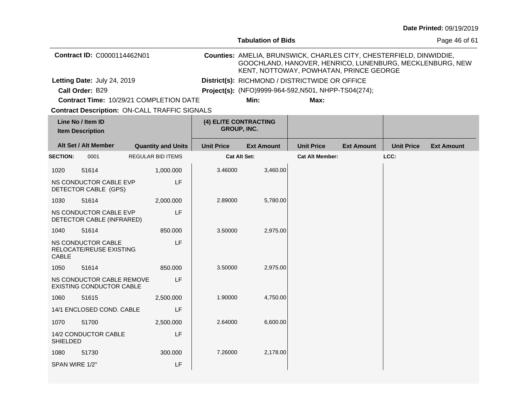|                                              |                                                              |                                                      |                                                      | <b>Tabulation of Bids</b>                                                                                                                                                  |                        | Page 46 of 61     |                   |                   |  |  |
|----------------------------------------------|--------------------------------------------------------------|------------------------------------------------------|------------------------------------------------------|----------------------------------------------------------------------------------------------------------------------------------------------------------------------------|------------------------|-------------------|-------------------|-------------------|--|--|
|                                              | Contract ID: C0000114462N01                                  |                                                      |                                                      | Counties: AMELIA, BRUNSWICK, CHARLES CITY, CHESTERFIELD, DINWIDDIE,<br>GOOCHLAND, HANOVER, HENRICO, LUNENBURG, MECKLENBURG, NEW<br>KENT, NOTTOWAY, POWHATAN, PRINCE GEORGE |                        |                   |                   |                   |  |  |
|                                              | Letting Date: July 24, 2019                                  |                                                      |                                                      | District(s): RICHMOND / DISTRICTWIDE OR OFFICE                                                                                                                             |                        |                   |                   |                   |  |  |
|                                              | Call Order: B29                                              |                                                      | Project(s): (NFO)9999-964-592, N501, NHPP-TS04(274); |                                                                                                                                                                            |                        |                   |                   |                   |  |  |
|                                              |                                                              | Contract Time: 10/29/21 COMPLETION DATE              |                                                      | Min:                                                                                                                                                                       | Max:                   |                   |                   |                   |  |  |
|                                              |                                                              | <b>Contract Description: ON-CALL TRAFFIC SIGNALS</b> |                                                      |                                                                                                                                                                            |                        |                   |                   |                   |  |  |
| Line No / Item ID<br><b>Item Description</b> |                                                              |                                                      |                                                      | (4) ELITE CONTRACTING<br>GROUP, INC.                                                                                                                                       |                        |                   |                   |                   |  |  |
|                                              | Alt Set / Alt Member                                         | <b>Quantity and Units</b>                            | <b>Unit Price</b>                                    | <b>Ext Amount</b>                                                                                                                                                          | <b>Unit Price</b>      | <b>Ext Amount</b> | <b>Unit Price</b> | <b>Ext Amount</b> |  |  |
| <b>SECTION:</b>                              | 0001                                                         | <b>REGULAR BID ITEMS</b>                             |                                                      | <b>Cat Alt Set:</b>                                                                                                                                                        | <b>Cat Alt Member:</b> |                   | LCC:              |                   |  |  |
| 1020                                         | 51614                                                        | 1,000.000                                            | 3.46000                                              | 3,460.00                                                                                                                                                                   |                        |                   |                   |                   |  |  |
|                                              | NS CONDUCTOR CABLE EVP<br>DETECTOR CABLE (GPS)               | LF                                                   |                                                      |                                                                                                                                                                            |                        |                   |                   |                   |  |  |
| 1030                                         | 51614                                                        | 2,000.000                                            | 2.89000                                              | 5,780.00                                                                                                                                                                   |                        |                   |                   |                   |  |  |
|                                              | NS CONDUCTOR CABLE EVP<br>DETECTOR CABLE (INFRARED)          | LF                                                   |                                                      |                                                                                                                                                                            |                        |                   |                   |                   |  |  |
| 1040                                         | 51614                                                        | 850.000                                              | 3.50000                                              | 2,975.00                                                                                                                                                                   |                        |                   |                   |                   |  |  |
| <b>CABLE</b>                                 | NS CONDUCTOR CABLE<br>RELOCATE/REUSE EXISTING                | LF                                                   |                                                      |                                                                                                                                                                            |                        |                   |                   |                   |  |  |
| 1050                                         | 51614                                                        | 850.000                                              | 3.50000                                              | 2,975.00                                                                                                                                                                   |                        |                   |                   |                   |  |  |
|                                              | NS CONDUCTOR CABLE REMOVE<br><b>EXISTING CONDUCTOR CABLE</b> | LF                                                   |                                                      |                                                                                                                                                                            |                        |                   |                   |                   |  |  |
| 1060                                         | 51615                                                        | 2,500.000                                            | 1.90000                                              | 4,750.00                                                                                                                                                                   |                        |                   |                   |                   |  |  |
|                                              | 14/1 ENCLOSED COND. CABLE                                    | LF                                                   |                                                      |                                                                                                                                                                            |                        |                   |                   |                   |  |  |
| 1070                                         | 51700                                                        | 2,500.000                                            | 2.64000                                              | 6,600.00                                                                                                                                                                   |                        |                   |                   |                   |  |  |
| <b>SHIELDED</b>                              | 14/2 CONDUCTOR CABLE                                         | LF                                                   |                                                      |                                                                                                                                                                            |                        |                   |                   |                   |  |  |
| 1080                                         | 51730                                                        | 300.000                                              | 7.26000                                              | 2,178.00                                                                                                                                                                   |                        |                   |                   |                   |  |  |
| SPAN WIRE 1/2"                               |                                                              | LF                                                   |                                                      |                                                                                                                                                                            |                        |                   |                   |                   |  |  |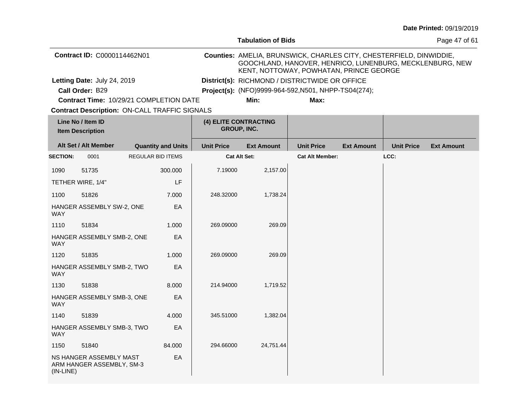|                 |                                                      |                           |         |                                                      | <b>Tabulation of Bids</b>                                                                                                                                                  |                        | Page 47 of 61     |                   |                   |
|-----------------|------------------------------------------------------|---------------------------|---------|------------------------------------------------------|----------------------------------------------------------------------------------------------------------------------------------------------------------------------------|------------------------|-------------------|-------------------|-------------------|
|                 | Contract ID: C0000114462N01                          |                           |         |                                                      | Counties: AMELIA, BRUNSWICK, CHARLES CITY, CHESTERFIELD, DINWIDDIE,<br>GOOCHLAND, HANOVER, HENRICO, LUNENBURG, MECKLENBURG, NEW<br>KENT, NOTTOWAY, POWHATAN, PRINCE GEORGE |                        |                   |                   |                   |
|                 | Letting Date: July 24, 2019                          |                           |         | District(s): RICHMOND / DISTRICTWIDE OR OFFICE       |                                                                                                                                                                            |                        |                   |                   |                   |
|                 | Call Order: B29                                      |                           |         | Project(s): (NFO)9999-964-592, N501, NHPP-TS04(274); |                                                                                                                                                                            |                        |                   |                   |                   |
|                 | Contract Time: 10/29/21 COMPLETION DATE              |                           |         |                                                      | Min:                                                                                                                                                                       | Max:                   |                   |                   |                   |
|                 | <b>Contract Description: ON-CALL TRAFFIC SIGNALS</b> |                           |         |                                                      |                                                                                                                                                                            |                        |                   |                   |                   |
|                 | Line No / Item ID<br><b>Item Description</b>         |                           |         |                                                      | (4) ELITE CONTRACTING<br>GROUP, INC.                                                                                                                                       |                        |                   |                   |                   |
|                 | Alt Set / Alt Member                                 | <b>Quantity and Units</b> |         | <b>Unit Price</b>                                    | <b>Ext Amount</b>                                                                                                                                                          | <b>Unit Price</b>      | <b>Ext Amount</b> | <b>Unit Price</b> | <b>Ext Amount</b> |
| <b>SECTION:</b> | 0001                                                 | <b>REGULAR BID ITEMS</b>  |         |                                                      | <b>Cat Alt Set:</b>                                                                                                                                                        | <b>Cat Alt Member:</b> |                   | LCC:              |                   |
| 1090            | 51735                                                |                           | 300.000 | 7.19000                                              | 2,157.00                                                                                                                                                                   |                        |                   |                   |                   |
|                 | TETHER WIRE, 1/4"                                    |                           | LF      |                                                      |                                                                                                                                                                            |                        |                   |                   |                   |
| 1100            | 51826                                                |                           | 7.000   | 248.32000                                            | 1,738.24                                                                                                                                                                   |                        |                   |                   |                   |
| <b>WAY</b>      | HANGER ASSEMBLY SW-2, ONE                            |                           | EA      |                                                      |                                                                                                                                                                            |                        |                   |                   |                   |
| 1110            | 51834                                                |                           | 1.000   | 269.09000                                            | 269.09                                                                                                                                                                     |                        |                   |                   |                   |
| <b>WAY</b>      | HANGER ASSEMBLY SMB-2, ONE                           |                           | EA      |                                                      |                                                                                                                                                                            |                        |                   |                   |                   |
| 1120            | 51835                                                |                           | 1.000   | 269.09000                                            | 269.09                                                                                                                                                                     |                        |                   |                   |                   |
| <b>WAY</b>      | HANGER ASSEMBLY SMB-2, TWO                           |                           | EA      |                                                      |                                                                                                                                                                            |                        |                   |                   |                   |
| 1130            | 51838                                                |                           | 8.000   | 214.94000                                            | 1,719.52                                                                                                                                                                   |                        |                   |                   |                   |
| <b>WAY</b>      | HANGER ASSEMBLY SMB-3, ONE                           |                           | EA      |                                                      |                                                                                                                                                                            |                        |                   |                   |                   |
| 1140            | 51839                                                |                           | 4.000   | 345.51000                                            | 1,382.04                                                                                                                                                                   |                        |                   |                   |                   |
| <b>WAY</b>      | HANGER ASSEMBLY SMB-3, TWO                           |                           | EA      |                                                      |                                                                                                                                                                            |                        |                   |                   |                   |
| 1150            | 51840                                                |                           | 84.000  | 294.66000                                            | 24,751.44                                                                                                                                                                  |                        |                   |                   |                   |
| $(IN-LINE)$     | NS HANGER ASSEMBLY MAST<br>ARM HANGER ASSEMBLY, SM-3 |                           | EA      |                                                      |                                                                                                                                                                            |                        |                   |                   |                   |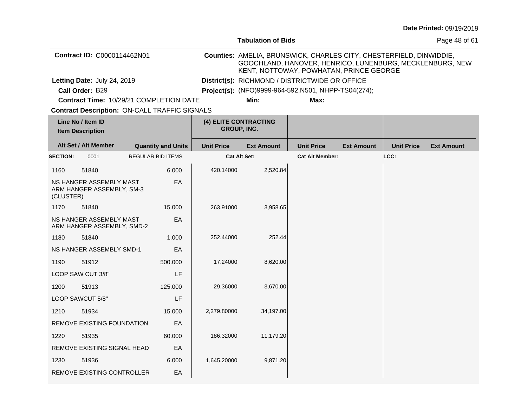|                 |                                                       |                           |                   | <b>Tabulation of Bids</b>                                                                                                                                                  |                        | Page 48 of 61     |                   |                   |
|-----------------|-------------------------------------------------------|---------------------------|-------------------|----------------------------------------------------------------------------------------------------------------------------------------------------------------------------|------------------------|-------------------|-------------------|-------------------|
|                 | Contract ID: C0000114462N01                           |                           |                   | Counties: AMELIA, BRUNSWICK, CHARLES CITY, CHESTERFIELD, DINWIDDIE,<br>GOOCHLAND, HANOVER, HENRICO, LUNENBURG, MECKLENBURG, NEW<br>KENT, NOTTOWAY, POWHATAN, PRINCE GEORGE |                        |                   |                   |                   |
|                 | Letting Date: July 24, 2019                           |                           |                   | District(s): RICHMOND / DISTRICTWIDE OR OFFICE                                                                                                                             |                        |                   |                   |                   |
|                 | Call Order: B29                                       |                           |                   | Project(s): (NFO)9999-964-592, N501, NHPP-TS04(274);                                                                                                                       |                        |                   |                   |                   |
|                 | Contract Time: 10/29/21 COMPLETION DATE               |                           |                   | Min:                                                                                                                                                                       | Max:                   |                   |                   |                   |
|                 | <b>Contract Description: ON-CALL TRAFFIC SIGNALS</b>  |                           |                   |                                                                                                                                                                            |                        |                   |                   |                   |
|                 | Line No / Item ID<br><b>Item Description</b>          |                           |                   | (4) ELITE CONTRACTING<br><b>GROUP, INC.</b>                                                                                                                                |                        |                   |                   |                   |
|                 | Alt Set / Alt Member                                  | <b>Quantity and Units</b> | <b>Unit Price</b> | <b>Ext Amount</b>                                                                                                                                                          | <b>Unit Price</b>      | <b>Ext Amount</b> | <b>Unit Price</b> | <b>Ext Amount</b> |
| <b>SECTION:</b> | 0001                                                  | <b>REGULAR BID ITEMS</b>  |                   | Cat Alt Set:                                                                                                                                                               | <b>Cat Alt Member:</b> |                   | LCC:              |                   |
| 1160            | 51840                                                 | 6.000                     | 420.14000         | 2,520.84                                                                                                                                                                   |                        |                   |                   |                   |
| (CLUSTER)       | NS HANGER ASSEMBLY MAST<br>ARM HANGER ASSEMBLY, SM-3  | EA                        |                   |                                                                                                                                                                            |                        |                   |                   |                   |
| 1170            | 51840                                                 | 15.000                    | 263.91000         | 3,958.65                                                                                                                                                                   |                        |                   |                   |                   |
|                 | NS HANGER ASSEMBLY MAST<br>ARM HANGER ASSEMBLY, SMD-2 | EA                        |                   |                                                                                                                                                                            |                        |                   |                   |                   |
| 1180            | 51840                                                 | 1.000                     | 252.44000         | 252.44                                                                                                                                                                     |                        |                   |                   |                   |
|                 | NS HANGER ASSEMBLY SMD-1                              | EA                        |                   |                                                                                                                                                                            |                        |                   |                   |                   |
| 1190            | 51912                                                 | 500.000                   | 17.24000          | 8,620.00                                                                                                                                                                   |                        |                   |                   |                   |
|                 | LOOP SAW CUT 3/8"                                     | LF                        |                   |                                                                                                                                                                            |                        |                   |                   |                   |
| 1200            | 51913                                                 | 125.000                   | 29.36000          | 3,670.00                                                                                                                                                                   |                        |                   |                   |                   |
|                 | LOOP SAWCUT 5/8"                                      | LF                        |                   |                                                                                                                                                                            |                        |                   |                   |                   |
| 1210            | 51934                                                 | 15.000                    | 2,279.80000       | 34,197.00                                                                                                                                                                  |                        |                   |                   |                   |
|                 | <b>REMOVE EXISTING FOUNDATION</b>                     | EA                        |                   |                                                                                                                                                                            |                        |                   |                   |                   |
| 1220            | 51935                                                 | 60.000                    | 186.32000         | 11,179.20                                                                                                                                                                  |                        |                   |                   |                   |
|                 | REMOVE EXISTING SIGNAL HEAD                           | EA                        |                   |                                                                                                                                                                            |                        |                   |                   |                   |
| 1230            | 51936                                                 | 6.000                     | 1,645.20000       | 9,871.20                                                                                                                                                                   |                        |                   |                   |                   |
|                 | REMOVE EXISTING CONTROLLER                            | EA                        |                   |                                                                                                                                                                            |                        |                   |                   |                   |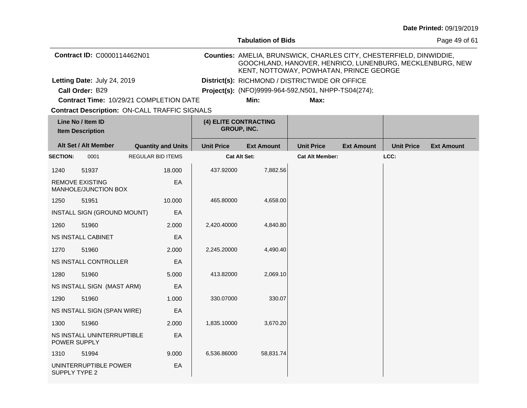|                 |                                                      |                           |                                                      | <b>Tabulation of Bids</b>                                                                                                                                                  |                        |                   | Page 49 of 61     |                   |
|-----------------|------------------------------------------------------|---------------------------|------------------------------------------------------|----------------------------------------------------------------------------------------------------------------------------------------------------------------------------|------------------------|-------------------|-------------------|-------------------|
|                 | Contract ID: C0000114462N01                          |                           |                                                      | Counties: AMELIA, BRUNSWICK, CHARLES CITY, CHESTERFIELD, DINWIDDIE,<br>GOOCHLAND, HANOVER, HENRICO, LUNENBURG, MECKLENBURG, NEW<br>KENT, NOTTOWAY, POWHATAN, PRINCE GEORGE |                        |                   |                   |                   |
|                 | Letting Date: July 24, 2019                          |                           |                                                      | District(s): RICHMOND / DISTRICTWIDE OR OFFICE                                                                                                                             |                        |                   |                   |                   |
|                 | Call Order: B29                                      |                           | Project(s): (NFO)9999-964-592, N501, NHPP-TS04(274); |                                                                                                                                                                            |                        |                   |                   |                   |
|                 | Contract Time: 10/29/21 COMPLETION DATE              |                           |                                                      | Min:                                                                                                                                                                       | Max:                   |                   |                   |                   |
|                 | <b>Contract Description: ON-CALL TRAFFIC SIGNALS</b> |                           |                                                      |                                                                                                                                                                            |                        |                   |                   |                   |
|                 | Line No / Item ID<br><b>Item Description</b>         |                           |                                                      | (4) ELITE CONTRACTING<br><b>GROUP, INC.</b>                                                                                                                                |                        |                   |                   |                   |
|                 | Alt Set / Alt Member                                 | <b>Quantity and Units</b> | <b>Unit Price</b>                                    | <b>Ext Amount</b>                                                                                                                                                          | <b>Unit Price</b>      | <b>Ext Amount</b> | <b>Unit Price</b> | <b>Ext Amount</b> |
| <b>SECTION:</b> | 0001                                                 | <b>REGULAR BID ITEMS</b>  |                                                      | <b>Cat Alt Set:</b>                                                                                                                                                        | <b>Cat Alt Member:</b> |                   | LCC:              |                   |
| 1240            | 51937                                                | 18,000                    | 437.92000                                            | 7,882.56                                                                                                                                                                   |                        |                   |                   |                   |
|                 | <b>REMOVE EXISTING</b><br>MANHOLE/JUNCTION BOX       | EA                        |                                                      |                                                                                                                                                                            |                        |                   |                   |                   |
| 1250            | 51951                                                | 10.000                    | 465.80000                                            | 4,658.00                                                                                                                                                                   |                        |                   |                   |                   |
|                 | INSTALL SIGN (GROUND MOUNT)                          | EA                        |                                                      |                                                                                                                                                                            |                        |                   |                   |                   |
| 1260            | 51960                                                | 2.000                     | 2,420.40000                                          | 4,840.80                                                                                                                                                                   |                        |                   |                   |                   |
|                 | <b>NS INSTALL CABINET</b>                            | EА                        |                                                      |                                                                                                                                                                            |                        |                   |                   |                   |
| 1270            | 51960                                                | 2.000                     | 2,245.20000                                          | 4,490.40                                                                                                                                                                   |                        |                   |                   |                   |
|                 | NS INSTALL CONTROLLER                                | EA                        |                                                      |                                                                                                                                                                            |                        |                   |                   |                   |
| 1280            | 51960                                                | 5.000                     | 413.82000                                            | 2,069.10                                                                                                                                                                   |                        |                   |                   |                   |
|                 | NS INSTALL SIGN (MAST ARM)                           | EA                        |                                                      |                                                                                                                                                                            |                        |                   |                   |                   |
| 1290            | 51960                                                | 1.000                     | 330.07000                                            | 330.07                                                                                                                                                                     |                        |                   |                   |                   |
|                 | NS INSTALL SIGN (SPAN WIRE)                          | EА                        |                                                      |                                                                                                                                                                            |                        |                   |                   |                   |
| 1300            | 51960                                                | 2.000                     | 1,835.10000                                          | 3,670.20                                                                                                                                                                   |                        |                   |                   |                   |
|                 | NS INSTALL UNINTERRUPTIBLE<br>POWER SUPPLY           | EА                        |                                                      |                                                                                                                                                                            |                        |                   |                   |                   |
| 1310            | 51994                                                | 9.000                     | 6,536.86000                                          | 58,831.74                                                                                                                                                                  |                        |                   |                   |                   |
| SUPPLY TYPE 2   | UNINTERRUPTIBLE POWER                                | EA                        |                                                      |                                                                                                                                                                            |                        |                   |                   |                   |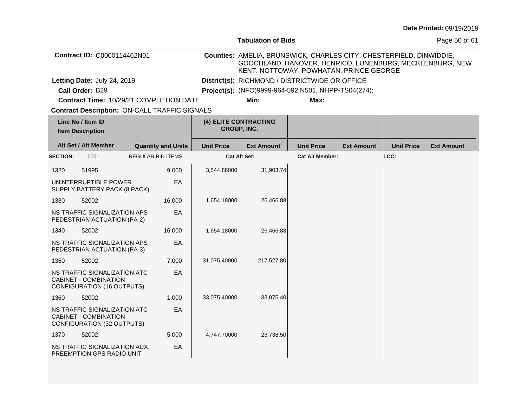|                 |                                                                                                   |                           |                                                      | <b>Tabulation of Bids</b> |                                                                                                                                                                            | Page 50 of 61     |                   |                   |  |
|-----------------|---------------------------------------------------------------------------------------------------|---------------------------|------------------------------------------------------|---------------------------|----------------------------------------------------------------------------------------------------------------------------------------------------------------------------|-------------------|-------------------|-------------------|--|
|                 | Contract ID: C0000114462N01                                                                       |                           |                                                      |                           | Counties: AMELIA, BRUNSWICK, CHARLES CITY, CHESTERFIELD, DINWIDDIE,<br>GOOCHLAND, HANOVER, HENRICO, LUNENBURG, MECKLENBURG, NEW<br>KENT, NOTTOWAY, POWHATAN, PRINCE GEORGE |                   |                   |                   |  |
|                 | Letting Date: July 24, 2019                                                                       |                           |                                                      |                           | District(s): RICHMOND / DISTRICTWIDE OR OFFICE                                                                                                                             |                   |                   |                   |  |
|                 | Call Order: B29                                                                                   |                           | Project(s): (NFO)9999-964-592, N501, NHPP-TS04(274); |                           |                                                                                                                                                                            |                   |                   |                   |  |
|                 | Contract Time: 10/29/21 COMPLETION DATE                                                           |                           |                                                      | Min:                      | Max:                                                                                                                                                                       |                   |                   |                   |  |
|                 | <b>Contract Description: ON-CALL TRAFFIC SIGNALS</b>                                              |                           |                                                      |                           |                                                                                                                                                                            |                   |                   |                   |  |
|                 | Line No / Item ID<br><b>Item Description</b>                                                      |                           | (4) ELITE CONTRACTING<br>GROUP, INC.                 |                           |                                                                                                                                                                            |                   |                   |                   |  |
|                 | Alt Set / Alt Member                                                                              | <b>Quantity and Units</b> | <b>Unit Price</b>                                    | <b>Ext Amount</b>         | <b>Unit Price</b>                                                                                                                                                          | <b>Ext Amount</b> | <b>Unit Price</b> | <b>Ext Amount</b> |  |
| <b>SECTION:</b> | 0001                                                                                              | REGULAR BID ITEMS         | <b>Cat Alt Set:</b>                                  |                           | <b>Cat Alt Member:</b>                                                                                                                                                     |                   | LCC:              |                   |  |
| 1320            | 51995                                                                                             | 9.000                     | 3,544.86000                                          | 31,903.74                 |                                                                                                                                                                            |                   |                   |                   |  |
|                 | UNINTERRUPTIBLE POWER<br>SUPPLY BATTERY PACK (8 PACK)                                             | EA                        |                                                      |                           |                                                                                                                                                                            |                   |                   |                   |  |
| 1330            | 52002                                                                                             | 16.000                    | 1,654.18000                                          | 26,466.88                 |                                                                                                                                                                            |                   |                   |                   |  |
|                 | NS TRAFFIC SIGNALIZATION APS<br>PEDESTRIAN ACTUATION (PA-2)                                       | EA                        |                                                      |                           |                                                                                                                                                                            |                   |                   |                   |  |
| 1340            | 52002                                                                                             | 16.000                    | 1,654.18000                                          | 26,466.88                 |                                                                                                                                                                            |                   |                   |                   |  |
|                 | NS TRAFFIC SIGNALIZATION APS<br>PEDESTRIAN ACTUATION (PA-3)                                       | EA                        |                                                      |                           |                                                                                                                                                                            |                   |                   |                   |  |
| 1350            | 52002                                                                                             | 7.000                     | 31,075.40000                                         | 217,527.80                |                                                                                                                                                                            |                   |                   |                   |  |
|                 | NS TRAFFIC SIGNALIZATION ATC<br><b>CABINET - COMBINATION</b><br><b>CONFIGURATION (16 OUTPUTS)</b> | EA                        |                                                      |                           |                                                                                                                                                                            |                   |                   |                   |  |
| 1360            | 52002                                                                                             | 1.000                     | 33,075.40000                                         | 33,075.40                 |                                                                                                                                                                            |                   |                   |                   |  |
|                 | NS TRAFFIC SIGNALIZATION ATC<br>CABINET - COMBINATION<br>CONFIGURATION (32 OUTPUTS)               | EA                        |                                                      |                           |                                                                                                                                                                            |                   |                   |                   |  |
| 1370            | 52002                                                                                             | 5.000                     | 4,747.70000                                          | 23,738.50                 |                                                                                                                                                                            |                   |                   |                   |  |
|                 | NS TRAFFIC SIGNALIZATION AUX.<br>PREEMPTION GPS RADIO UNIT                                        | EA                        |                                                      |                           |                                                                                                                                                                            |                   |                   |                   |  |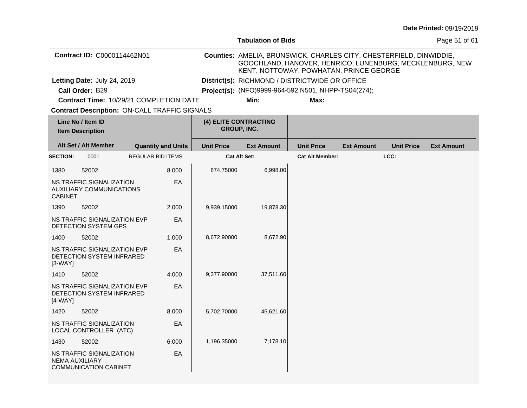|                       |                                                             |                                                      |                   | <b>Tabulation of Bids</b>                                                                                                                                                  |                        |                   | Page 51 of 61     |                   |
|-----------------------|-------------------------------------------------------------|------------------------------------------------------|-------------------|----------------------------------------------------------------------------------------------------------------------------------------------------------------------------|------------------------|-------------------|-------------------|-------------------|
|                       | Contract ID: C0000114462N01                                 |                                                      |                   | Counties: AMELIA, BRUNSWICK, CHARLES CITY, CHESTERFIELD, DINWIDDIE,<br>GOOCHLAND, HANOVER, HENRICO, LUNENBURG, MECKLENBURG, NEW<br>KENT, NOTTOWAY, POWHATAN, PRINCE GEORGE |                        |                   |                   |                   |
|                       | Letting Date: July 24, 2019                                 |                                                      |                   | District(s): RICHMOND / DISTRICTWIDE OR OFFICE                                                                                                                             |                        |                   |                   |                   |
|                       | Call Order: B29                                             |                                                      |                   | Project(s): (NFO)9999-964-592, N501, NHPP-TS04(274);                                                                                                                       |                        |                   |                   |                   |
|                       |                                                             | Contract Time: 10/29/21 COMPLETION DATE              |                   | Min:                                                                                                                                                                       | Max:                   |                   |                   |                   |
|                       |                                                             | <b>Contract Description: ON-CALL TRAFFIC SIGNALS</b> |                   |                                                                                                                                                                            |                        |                   |                   |                   |
|                       | Line No / Item ID<br><b>Item Description</b>                |                                                      |                   | (4) ELITE CONTRACTING<br>GROUP, INC.                                                                                                                                       |                        |                   |                   |                   |
|                       | Alt Set / Alt Member                                        | <b>Quantity and Units</b>                            | <b>Unit Price</b> | <b>Ext Amount</b>                                                                                                                                                          | <b>Unit Price</b>      | <b>Ext Amount</b> | <b>Unit Price</b> | <b>Ext Amount</b> |
| <b>SECTION:</b>       | 0001                                                        | <b>REGULAR BID ITEMS</b>                             |                   | <b>Cat Alt Set:</b>                                                                                                                                                        | <b>Cat Alt Member:</b> |                   | LCC:              |                   |
| 1380                  | 52002                                                       | 8.000                                                | 874.75000         | 6,998.00                                                                                                                                                                   |                        |                   |                   |                   |
| <b>CABINET</b>        | NS TRAFFIC SIGNALIZATION<br><b>AUXILIARY COMMUNICATIONS</b> | EA                                                   |                   |                                                                                                                                                                            |                        |                   |                   |                   |
| 1390                  | 52002                                                       | 2.000                                                | 9,939.15000       | 19,878.30                                                                                                                                                                  |                        |                   |                   |                   |
|                       | NS TRAFFIC SIGNALIZATION EVP<br>DETECTION SYSTEM GPS        | EA                                                   |                   |                                                                                                                                                                            |                        |                   |                   |                   |
| 1400                  | 52002                                                       | 1.000                                                | 8,672.90000       | 8,672.90                                                                                                                                                                   |                        |                   |                   |                   |
| $[3-WAY]$             | NS TRAFFIC SIGNALIZATION EVP<br>DETECTION SYSTEM INFRARED   | EA                                                   |                   |                                                                                                                                                                            |                        |                   |                   |                   |
| 1410                  | 52002                                                       | 4.000                                                | 9,377.90000       | 37,511.60                                                                                                                                                                  |                        |                   |                   |                   |
| $[4-WAY]$             | NS TRAFFIC SIGNALIZATION EVP<br>DETECTION SYSTEM INFRARED   | EA                                                   |                   |                                                                                                                                                                            |                        |                   |                   |                   |
| 1420                  | 52002                                                       | 8.000                                                | 5,702.70000       | 45,621.60                                                                                                                                                                  |                        |                   |                   |                   |
|                       | NS TRAFFIC SIGNALIZATION<br>LOCAL CONTROLLER (ATC)          | EA                                                   |                   |                                                                                                                                                                            |                        |                   |                   |                   |
| 1430                  | 52002                                                       | 6.000                                                | 1,196.35000       | 7,178.10                                                                                                                                                                   |                        |                   |                   |                   |
| <b>NEMA AUXILIARY</b> | NS TRAFFIC SIGNALIZATION<br><b>COMMUNICATION CABINET</b>    | EA                                                   |                   |                                                                                                                                                                            |                        |                   |                   |                   |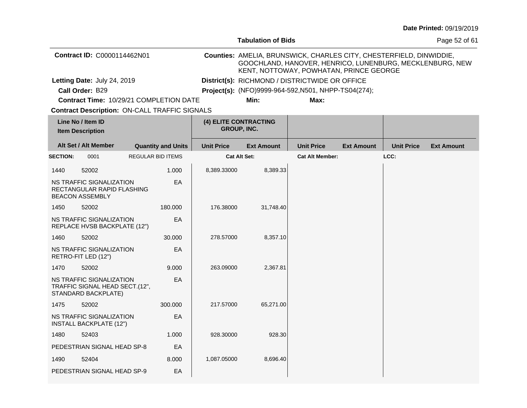|                 |                                                                                   |                           |                   | <b>Tabulation of Bids</b>                                                                                                                                                  |                        | Page 52 of 61     |                   |                   |
|-----------------|-----------------------------------------------------------------------------------|---------------------------|-------------------|----------------------------------------------------------------------------------------------------------------------------------------------------------------------------|------------------------|-------------------|-------------------|-------------------|
|                 | Contract ID: C0000114462N01                                                       |                           |                   | Counties: AMELIA, BRUNSWICK, CHARLES CITY, CHESTERFIELD, DINWIDDIE,<br>GOOCHLAND, HANOVER, HENRICO, LUNENBURG, MECKLENBURG, NEW<br>KENT, NOTTOWAY, POWHATAN, PRINCE GEORGE |                        |                   |                   |                   |
|                 | Letting Date: July 24, 2019                                                       |                           |                   | District(s): RICHMOND / DISTRICTWIDE OR OFFICE                                                                                                                             |                        |                   |                   |                   |
|                 | Call Order: B29                                                                   |                           |                   | Project(s): (NFO)9999-964-592, N501, NHPP-TS04(274);                                                                                                                       |                        |                   |                   |                   |
|                 | Contract Time: 10/29/21 COMPLETION DATE                                           |                           |                   | Min:                                                                                                                                                                       | Max:                   |                   |                   |                   |
|                 | <b>Contract Description: ON-CALL TRAFFIC SIGNALS</b>                              |                           |                   |                                                                                                                                                                            |                        |                   |                   |                   |
|                 | Line No / Item ID<br><b>Item Description</b>                                      |                           |                   | (4) ELITE CONTRACTING<br>GROUP, INC.                                                                                                                                       |                        |                   |                   |                   |
|                 | Alt Set / Alt Member                                                              | <b>Quantity and Units</b> | <b>Unit Price</b> | <b>Ext Amount</b>                                                                                                                                                          | <b>Unit Price</b>      | <b>Ext Amount</b> | <b>Unit Price</b> | <b>Ext Amount</b> |
| <b>SECTION:</b> | 0001                                                                              | <b>REGULAR BID ITEMS</b>  |                   | Cat Alt Set:                                                                                                                                                               | <b>Cat Alt Member:</b> |                   | LCC:              |                   |
| 1440            | 52002                                                                             | 1.000                     | 8,389.33000       | 8,389.33                                                                                                                                                                   |                        |                   |                   |                   |
|                 | NS TRAFFIC SIGNALIZATION<br>RECTANGULAR RAPID FLASHING<br><b>BEACON ASSEMBLY</b>  | EA                        |                   |                                                                                                                                                                            |                        |                   |                   |                   |
| 1450            | 52002                                                                             | 180,000                   | 176.38000         | 31,748.40                                                                                                                                                                  |                        |                   |                   |                   |
|                 | NS TRAFFIC SIGNALIZATION<br>REPLACE HVSB BACKPLATE (12")                          | EA                        |                   |                                                                                                                                                                            |                        |                   |                   |                   |
| 1460            | 52002                                                                             | 30,000                    | 278.57000         | 8,357.10                                                                                                                                                                   |                        |                   |                   |                   |
|                 | NS TRAFFIC SIGNALIZATION<br>RETRO-FIT LED (12")                                   | EA                        |                   |                                                                                                                                                                            |                        |                   |                   |                   |
| 1470            | 52002                                                                             | 9.000                     | 263.09000         | 2,367.81                                                                                                                                                                   |                        |                   |                   |                   |
|                 | NS TRAFFIC SIGNALIZATION<br>TRAFFIC SIGNAL HEAD SECT.(12",<br>STANDARD BACKPLATE) | EA                        |                   |                                                                                                                                                                            |                        |                   |                   |                   |
| 1475            | 52002                                                                             | 300.000                   | 217.57000         | 65,271.00                                                                                                                                                                  |                        |                   |                   |                   |
|                 | NS TRAFFIC SIGNALIZATION<br><b>INSTALL BACKPLATE (12")</b>                        | EA                        |                   |                                                                                                                                                                            |                        |                   |                   |                   |
| 1480            | 52403                                                                             | 1.000                     | 928.30000         | 928.30                                                                                                                                                                     |                        |                   |                   |                   |
|                 | PEDESTRIAN SIGNAL HEAD SP-8                                                       | EA                        |                   |                                                                                                                                                                            |                        |                   |                   |                   |
| 1490            | 52404                                                                             | 8.000                     | 1,087.05000       | 8,696.40                                                                                                                                                                   |                        |                   |                   |                   |
|                 | PEDESTRIAN SIGNAL HEAD SP-9                                                       | EA                        |                   |                                                                                                                                                                            |                        |                   |                   |                   |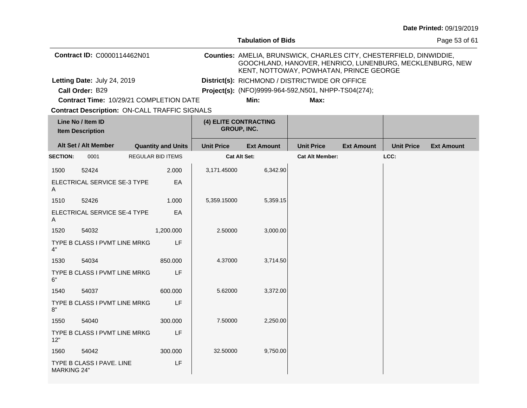|                                              |                                                      |  |                           |                   | <b>Tabulation of Bids</b>                                                                                                                                                  |                                                      |                   | Page 53 of 61     |                   |
|----------------------------------------------|------------------------------------------------------|--|---------------------------|-------------------|----------------------------------------------------------------------------------------------------------------------------------------------------------------------------|------------------------------------------------------|-------------------|-------------------|-------------------|
|                                              | Contract ID: C0000114462N01                          |  |                           |                   | Counties: AMELIA, BRUNSWICK, CHARLES CITY, CHESTERFIELD, DINWIDDIE,<br>GOOCHLAND, HANOVER, HENRICO, LUNENBURG, MECKLENBURG, NEW<br>KENT, NOTTOWAY, POWHATAN, PRINCE GEORGE |                                                      |                   |                   |                   |
|                                              | Letting Date: July 24, 2019                          |  |                           |                   | District(s): RICHMOND / DISTRICTWIDE OR OFFICE                                                                                                                             |                                                      |                   |                   |                   |
|                                              | Call Order: B29                                      |  |                           |                   |                                                                                                                                                                            | Project(s): (NFO)9999-964-592, N501, NHPP-TS04(274); |                   |                   |                   |
|                                              | Contract Time: 10/29/21 COMPLETION DATE              |  |                           |                   | Min:                                                                                                                                                                       | Max:                                                 |                   |                   |                   |
|                                              | <b>Contract Description: ON-CALL TRAFFIC SIGNALS</b> |  |                           |                   |                                                                                                                                                                            |                                                      |                   |                   |                   |
| Line No / Item ID<br><b>Item Description</b> |                                                      |  |                           |                   | (4) ELITE CONTRACTING<br>GROUP, INC.                                                                                                                                       |                                                      |                   |                   |                   |
|                                              | Alt Set / Alt Member                                 |  | <b>Quantity and Units</b> | <b>Unit Price</b> | <b>Ext Amount</b>                                                                                                                                                          | <b>Unit Price</b>                                    | <b>Ext Amount</b> | <b>Unit Price</b> | <b>Ext Amount</b> |
| <b>SECTION:</b>                              | 0001                                                 |  | <b>REGULAR BID ITEMS</b>  |                   | <b>Cat Alt Set:</b>                                                                                                                                                        | <b>Cat Alt Member:</b>                               |                   | LCC:              |                   |
| 1500                                         | 52424                                                |  | 2.000                     | 3,171.45000       | 6,342.90                                                                                                                                                                   |                                                      |                   |                   |                   |
| A                                            | ELECTRICAL SERVICE SE-3 TYPE                         |  | EA                        |                   |                                                                                                                                                                            |                                                      |                   |                   |                   |
| 1510                                         | 52426                                                |  | 1.000                     | 5,359.15000       | 5,359.15                                                                                                                                                                   |                                                      |                   |                   |                   |
| Α                                            | ELECTRICAL SERVICE SE-4 TYPE                         |  | EA                        |                   |                                                                                                                                                                            |                                                      |                   |                   |                   |
| 1520                                         | 54032                                                |  | 1,200.000                 | 2.50000           | 3,000.00                                                                                                                                                                   |                                                      |                   |                   |                   |
| 4"                                           | TYPE B CLASS I PVMT LINE MRKG                        |  | LF.                       |                   |                                                                                                                                                                            |                                                      |                   |                   |                   |
| 1530                                         | 54034                                                |  | 850.000                   | 4.37000           | 3,714.50                                                                                                                                                                   |                                                      |                   |                   |                   |
| 6"                                           | TYPE B CLASS I PVMT LINE MRKG                        |  | LF                        |                   |                                                                                                                                                                            |                                                      |                   |                   |                   |
| 1540                                         | 54037                                                |  | 600.000                   | 5.62000           | 3,372.00                                                                                                                                                                   |                                                      |                   |                   |                   |
| 8"                                           | TYPE B CLASS I PVMT LINE MRKG                        |  | LF                        |                   |                                                                                                                                                                            |                                                      |                   |                   |                   |
| 1550                                         | 54040                                                |  | 300.000                   | 7.50000           | 2,250.00                                                                                                                                                                   |                                                      |                   |                   |                   |
| 12"                                          | TYPE B CLASS I PVMT LINE MRKG                        |  | LF                        |                   |                                                                                                                                                                            |                                                      |                   |                   |                   |
| 1560                                         | 54042                                                |  | 300.000                   | 32.50000          | 9,750.00                                                                                                                                                                   |                                                      |                   |                   |                   |
| <b>MARKING 24"</b>                           | TYPE B CLASS I PAVE. LINE                            |  | LF                        |                   |                                                                                                                                                                            |                                                      |                   |                   |                   |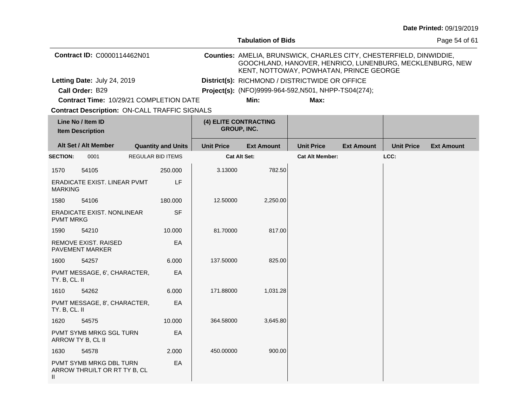|                  |                                                         |                           |                   | <b>Tabulation of Bids</b>                                                                                                                                                  | Page 54 of 61                                        |                   |                   |                   |
|------------------|---------------------------------------------------------|---------------------------|-------------------|----------------------------------------------------------------------------------------------------------------------------------------------------------------------------|------------------------------------------------------|-------------------|-------------------|-------------------|
|                  | Contract ID: C0000114462N01                             |                           |                   | Counties: AMELIA, BRUNSWICK, CHARLES CITY, CHESTERFIELD, DINWIDDIE,<br>GOOCHLAND, HANOVER, HENRICO, LUNENBURG, MECKLENBURG, NEW<br>KENT, NOTTOWAY, POWHATAN, PRINCE GEORGE |                                                      |                   |                   |                   |
|                  | Letting Date: July 24, 2019                             |                           |                   |                                                                                                                                                                            | District(s): RICHMOND / DISTRICTWIDE OR OFFICE       |                   |                   |                   |
|                  | Call Order: B29                                         |                           |                   |                                                                                                                                                                            | Project(s): (NFO)9999-964-592, N501, NHPP-TS04(274); |                   |                   |                   |
|                  | Contract Time: 10/29/21 COMPLETION DATE                 |                           |                   | Min:                                                                                                                                                                       | Max:                                                 |                   |                   |                   |
|                  | <b>Contract Description: ON-CALL TRAFFIC SIGNALS</b>    |                           |                   |                                                                                                                                                                            |                                                      |                   |                   |                   |
|                  | Line No / Item ID<br><b>Item Description</b>            |                           |                   | (4) ELITE CONTRACTING<br><b>GROUP, INC.</b>                                                                                                                                |                                                      |                   |                   |                   |
|                  | Alt Set / Alt Member                                    | <b>Quantity and Units</b> | <b>Unit Price</b> | <b>Ext Amount</b>                                                                                                                                                          | <b>Unit Price</b>                                    | <b>Ext Amount</b> | <b>Unit Price</b> | <b>Ext Amount</b> |
| <b>SECTION:</b>  | 0001                                                    | REGULAR BID ITEMS         |                   | <b>Cat Alt Set:</b>                                                                                                                                                        | <b>Cat Alt Member:</b>                               |                   | LCC:              |                   |
| 1570             | 54105                                                   | 250.000                   | 3.13000           | 782.50                                                                                                                                                                     |                                                      |                   |                   |                   |
| <b>MARKING</b>   | ERADICATE EXIST. LINEAR PVMT                            | LF                        |                   |                                                                                                                                                                            |                                                      |                   |                   |                   |
| 1580             | 54106                                                   | 180.000                   | 12.50000          | 2,250.00                                                                                                                                                                   |                                                      |                   |                   |                   |
| <b>PVMT MRKG</b> | ERADICATE EXIST. NONLINEAR                              | <b>SF</b>                 |                   |                                                                                                                                                                            |                                                      |                   |                   |                   |
| 1590             | 54210                                                   | 10.000                    | 81.70000          | 817.00                                                                                                                                                                     |                                                      |                   |                   |                   |
|                  | REMOVE EXIST. RAISED<br><b>PAVEMENT MARKER</b>          | EA                        |                   |                                                                                                                                                                            |                                                      |                   |                   |                   |
| 1600             | 54257                                                   | 6.000                     | 137.50000         | 825.00                                                                                                                                                                     |                                                      |                   |                   |                   |
| TY. B, CL. II    | PVMT MESSAGE, 6', CHARACTER,                            | EA                        |                   |                                                                                                                                                                            |                                                      |                   |                   |                   |
| 1610             | 54262                                                   | 6.000                     | 171.88000         | 1,031.28                                                                                                                                                                   |                                                      |                   |                   |                   |
| TY. B, CL. II    | PVMT MESSAGE, 8', CHARACTER,                            | EA                        |                   |                                                                                                                                                                            |                                                      |                   |                   |                   |
| 1620             | 54575                                                   | 10.000                    | 364.58000         | 3,645.80                                                                                                                                                                   |                                                      |                   |                   |                   |
|                  | PVMT SYMB MRKG SGL TURN<br>ARROW TY B, CL II            | EA                        |                   |                                                                                                                                                                            |                                                      |                   |                   |                   |
| 1630             | 54578                                                   | 2.000                     | 450.00000         | 900.00                                                                                                                                                                     |                                                      |                   |                   |                   |
| Ш                | PVMT SYMB MRKG DBL TURN<br>ARROW THRU/LT OR RT TY B, CL | EA                        |                   |                                                                                                                                                                            |                                                      |                   |                   |                   |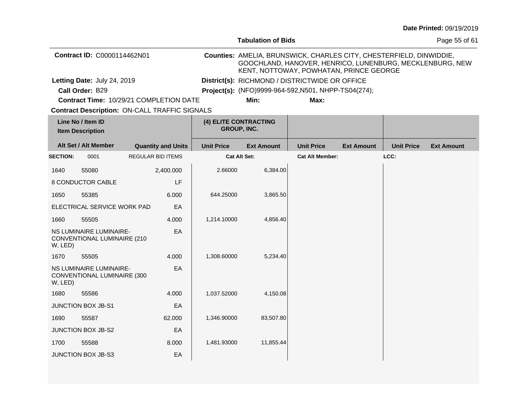|                 |                                                        |                                                      |                   | <b>Tabulation of Bids</b>                                                                                                                                                  |                        |                   |                   | Page 55 of 61     |
|-----------------|--------------------------------------------------------|------------------------------------------------------|-------------------|----------------------------------------------------------------------------------------------------------------------------------------------------------------------------|------------------------|-------------------|-------------------|-------------------|
|                 | Contract ID: C0000114462N01                            |                                                      |                   | Counties: AMELIA, BRUNSWICK, CHARLES CITY, CHESTERFIELD, DINWIDDIE,<br>GOOCHLAND, HANOVER, HENRICO, LUNENBURG, MECKLENBURG, NEW<br>KENT, NOTTOWAY, POWHATAN, PRINCE GEORGE |                        |                   |                   |                   |
|                 | Letting Date: July 24, 2019                            |                                                      |                   | District(s): RICHMOND / DISTRICTWIDE OR OFFICE                                                                                                                             |                        |                   |                   |                   |
|                 | Call Order: B29                                        |                                                      |                   | Project(s): (NFO)9999-964-592, N501, NHPP-TS04(274);                                                                                                                       |                        |                   |                   |                   |
|                 |                                                        | Contract Time: 10/29/21 COMPLETION DATE              |                   | Min:                                                                                                                                                                       | Max:                   |                   |                   |                   |
|                 |                                                        | <b>Contract Description: ON-CALL TRAFFIC SIGNALS</b> |                   |                                                                                                                                                                            |                        |                   |                   |                   |
|                 | Line No / Item ID<br><b>Item Description</b>           |                                                      |                   | (4) ELITE CONTRACTING<br>GROUP, INC.                                                                                                                                       |                        |                   |                   |                   |
|                 | Alt Set / Alt Member                                   | <b>Quantity and Units</b>                            | <b>Unit Price</b> | <b>Ext Amount</b>                                                                                                                                                          | <b>Unit Price</b>      | <b>Ext Amount</b> | <b>Unit Price</b> | <b>Ext Amount</b> |
| <b>SECTION:</b> | 0001                                                   | <b>REGULAR BID ITEMS</b>                             |                   | <b>Cat Alt Set:</b>                                                                                                                                                        | <b>Cat Alt Member:</b> |                   | LCC:              |                   |
| 1640            | 55080                                                  | 2,400.000                                            | 2.66000           | 6,384.00                                                                                                                                                                   |                        |                   |                   |                   |
|                 | 8 CONDUCTOR CABLE                                      | LF                                                   |                   |                                                                                                                                                                            |                        |                   |                   |                   |
| 1650            | 55385                                                  | 6.000                                                | 644.25000         | 3,865.50                                                                                                                                                                   |                        |                   |                   |                   |
|                 | ELECTRICAL SERVICE WORK PAD                            | EA                                                   |                   |                                                                                                                                                                            |                        |                   |                   |                   |
| 1660            | 55505                                                  | 4.000                                                | 1,214.10000       | 4,856.40                                                                                                                                                                   |                        |                   |                   |                   |
| W, LED)         | NS LUMINAIRE LUMINAIRE-<br>CONVENTIONAL LUMINAIRE (210 | EA                                                   |                   |                                                                                                                                                                            |                        |                   |                   |                   |
| 1670            | 55505                                                  | 4.000                                                | 1,308.60000       | 5,234.40                                                                                                                                                                   |                        |                   |                   |                   |
| W, LED)         | NS LUMINAIRE LUMINAIRE-<br>CONVENTIONAL LUMINAIRE (300 | EA                                                   |                   |                                                                                                                                                                            |                        |                   |                   |                   |
| 1680            | 55586                                                  | 4.000                                                | 1,037.52000       | 4,150.08                                                                                                                                                                   |                        |                   |                   |                   |
|                 | <b>JUNCTION BOX JB-S1</b>                              | EA                                                   |                   |                                                                                                                                                                            |                        |                   |                   |                   |
| 1690            | 55587                                                  | 62.000                                               | 1,346.90000       | 83,507.80                                                                                                                                                                  |                        |                   |                   |                   |
|                 | JUNCTION BOX JB-S2                                     | EA                                                   |                   |                                                                                                                                                                            |                        |                   |                   |                   |
| 1700            | 55588                                                  | 8.000                                                | 1,481.93000       | 11,855.44                                                                                                                                                                  |                        |                   |                   |                   |
|                 | JUNCTION BOX JB-S3                                     | EA                                                   |                   |                                                                                                                                                                            |                        |                   |                   |                   |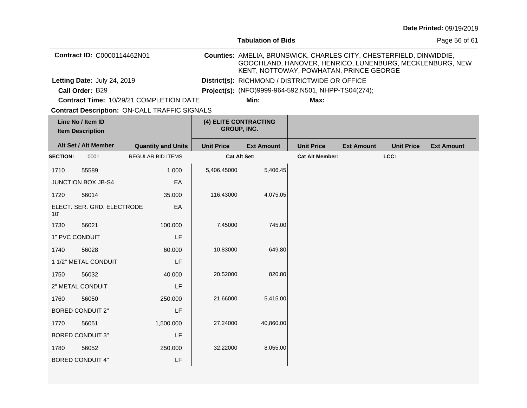|                                              |                               |                                                      |                                      |                                                                                                                                                                            |                        |                   |                   | Date Printed: 09/19/2019 |  |  |  |
|----------------------------------------------|-------------------------------|------------------------------------------------------|--------------------------------------|----------------------------------------------------------------------------------------------------------------------------------------------------------------------------|------------------------|-------------------|-------------------|--------------------------|--|--|--|
|                                              |                               |                                                      |                                      | <b>Tabulation of Bids</b>                                                                                                                                                  |                        |                   |                   | Page 56 of 61            |  |  |  |
|                                              | Contract ID: C0000114462N01   |                                                      |                                      | Counties: AMELIA, BRUNSWICK, CHARLES CITY, CHESTERFIELD, DINWIDDIE,<br>GOOCHLAND, HANOVER, HENRICO, LUNENBURG, MECKLENBURG, NEW<br>KENT, NOTTOWAY, POWHATAN, PRINCE GEORGE |                        |                   |                   |                          |  |  |  |
|                                              | Letting Date: July 24, 2019   |                                                      |                                      | District(s): RICHMOND / DISTRICTWIDE OR OFFICE                                                                                                                             |                        |                   |                   |                          |  |  |  |
|                                              | Call Order: B29               |                                                      |                                      | Project(s): (NFO)9999-964-592, N501, NHPP-TS04(274);                                                                                                                       |                        |                   |                   |                          |  |  |  |
|                                              |                               | Contract Time: 10/29/21 COMPLETION DATE              |                                      | Min:                                                                                                                                                                       | Max:                   |                   |                   |                          |  |  |  |
|                                              |                               | <b>Contract Description: ON-CALL TRAFFIC SIGNALS</b> |                                      |                                                                                                                                                                            |                        |                   |                   |                          |  |  |  |
| Line No / Item ID<br><b>Item Description</b> |                               |                                                      | (4) ELITE CONTRACTING<br>GROUP, INC. |                                                                                                                                                                            |                        |                   |                   |                          |  |  |  |
|                                              | Alt Set / Alt Member          | <b>Quantity and Units</b>                            | <b>Unit Price</b>                    | <b>Ext Amount</b>                                                                                                                                                          | <b>Unit Price</b>      | <b>Ext Amount</b> | <b>Unit Price</b> | <b>Ext Amount</b>        |  |  |  |
| <b>SECTION:</b>                              | 0001                          | <b>REGULAR BID ITEMS</b>                             | <b>Cat Alt Set:</b>                  |                                                                                                                                                                            | <b>Cat Alt Member:</b> |                   | LCC:              |                          |  |  |  |
| 1710                                         | 55589                         | 1.000                                                | 5,406.45000                          | 5,406.45                                                                                                                                                                   |                        |                   |                   |                          |  |  |  |
|                                              | JUNCTION BOX JB-S4            | EA                                                   |                                      |                                                                                                                                                                            |                        |                   |                   |                          |  |  |  |
| 1720                                         | 56014                         | 35.000                                               | 116.43000                            | 4,075.05                                                                                                                                                                   |                        |                   |                   |                          |  |  |  |
| 10'                                          | ELECT. SER. GRD. ELECTRODE    | EA                                                   |                                      |                                                                                                                                                                            |                        |                   |                   |                          |  |  |  |
| 1730                                         | 56021                         | 100.000                                              | 7.45000                              | 745.00                                                                                                                                                                     |                        |                   |                   |                          |  |  |  |
|                                              | 1" PVC CONDUIT                | LF                                                   |                                      |                                                                                                                                                                            |                        |                   |                   |                          |  |  |  |
| 1740                                         | 56028                         | 60.000                                               | 10.83000                             | 649.80                                                                                                                                                                     |                        |                   |                   |                          |  |  |  |
|                                              | 1 1/2" METAL CONDUIT          | LF                                                   |                                      |                                                                                                                                                                            |                        |                   |                   |                          |  |  |  |
| 1750                                         | 56032                         | 40.000                                               | 20.52000                             | 820.80                                                                                                                                                                     |                        |                   |                   |                          |  |  |  |
|                                              | 2" METAL CONDUIT              | LF                                                   |                                      |                                                                                                                                                                            |                        |                   |                   |                          |  |  |  |
| 1760                                         | 56050                         | 250.000                                              | 21.66000                             | 5,415.00                                                                                                                                                                   |                        |                   |                   |                          |  |  |  |
|                                              | <b>BORED CONDUIT 2"</b>       | LF                                                   |                                      |                                                                                                                                                                            |                        |                   |                   |                          |  |  |  |
| 1770                                         | 56051                         | 1,500.000                                            | 27.24000                             | 40,860.00                                                                                                                                                                  |                        |                   |                   |                          |  |  |  |
|                                              | LF<br><b>BORED CONDUIT 3"</b> |                                                      |                                      |                                                                                                                                                                            |                        |                   |                   |                          |  |  |  |
| 1780                                         | 56052                         | 250.000                                              | 32.22000                             | 8,055.00                                                                                                                                                                   |                        |                   |                   |                          |  |  |  |
|                                              | <b>BORED CONDUIT 4"</b>       | LF                                                   |                                      |                                                                                                                                                                            |                        |                   |                   |                          |  |  |  |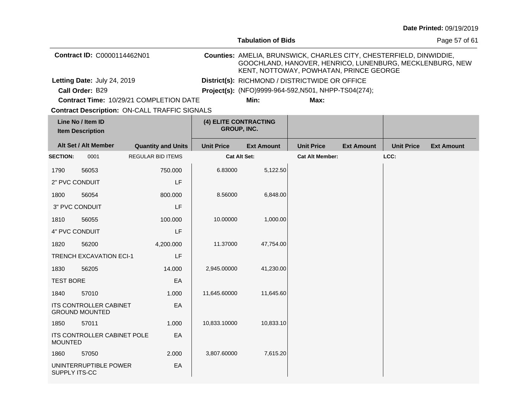|                             |                                                        |                                                      |       |                                                                                                                                                                            | <b>Tabulation of Bids</b>            |                                                      | Page 57 of 61     |                   |                   |
|-----------------------------|--------------------------------------------------------|------------------------------------------------------|-------|----------------------------------------------------------------------------------------------------------------------------------------------------------------------------|--------------------------------------|------------------------------------------------------|-------------------|-------------------|-------------------|
| Contract ID: C0000114462N01 |                                                        |                                                      |       | Counties: AMELIA, BRUNSWICK, CHARLES CITY, CHESTERFIELD, DINWIDDIE,<br>GOOCHLAND, HANOVER, HENRICO, LUNENBURG, MECKLENBURG, NEW<br>KENT, NOTTOWAY, POWHATAN, PRINCE GEORGE |                                      |                                                      |                   |                   |                   |
|                             | Letting Date: July 24, 2019                            |                                                      |       |                                                                                                                                                                            |                                      | District(s): RICHMOND / DISTRICTWIDE OR OFFICE       |                   |                   |                   |
|                             | Call Order: B29                                        |                                                      |       |                                                                                                                                                                            |                                      | Project(s): (NFO)9999-964-592, N501, NHPP-TS04(274); |                   |                   |                   |
|                             |                                                        | Contract Time: 10/29/21 COMPLETION DATE              |       |                                                                                                                                                                            | Min:                                 | Max:                                                 |                   |                   |                   |
|                             |                                                        | <b>Contract Description: ON-CALL TRAFFIC SIGNALS</b> |       |                                                                                                                                                                            |                                      |                                                      |                   |                   |                   |
|                             | Line No / Item ID<br><b>Item Description</b>           |                                                      |       |                                                                                                                                                                            | (4) ELITE CONTRACTING<br>GROUP, INC. |                                                      |                   |                   |                   |
|                             | Alt Set / Alt Member                                   | <b>Quantity and Units</b>                            |       | <b>Unit Price</b>                                                                                                                                                          | <b>Ext Amount</b>                    | <b>Unit Price</b>                                    | <b>Ext Amount</b> | <b>Unit Price</b> | <b>Ext Amount</b> |
| <b>SECTION:</b>             | 0001                                                   | <b>REGULAR BID ITEMS</b>                             |       |                                                                                                                                                                            | <b>Cat Alt Set:</b>                  | <b>Cat Alt Member:</b>                               |                   | LCC:              |                   |
| 1790                        | 56053                                                  | 750.000                                              |       | 6.83000                                                                                                                                                                    | 5,122.50                             |                                                      |                   |                   |                   |
| 2" PVC CONDUIT              |                                                        |                                                      | LF    |                                                                                                                                                                            |                                      |                                                      |                   |                   |                   |
| 1800                        | 56054                                                  | 800,000                                              |       | 8.56000                                                                                                                                                                    | 6,848.00                             |                                                      |                   |                   |                   |
|                             | 3" PVC CONDUIT                                         |                                                      | LF    |                                                                                                                                                                            |                                      |                                                      |                   |                   |                   |
| 1810                        | 56055                                                  | 100.000                                              |       | 10.00000                                                                                                                                                                   | 1,000.00                             |                                                      |                   |                   |                   |
| 4" PVC CONDUIT              |                                                        |                                                      | LF    |                                                                                                                                                                            |                                      |                                                      |                   |                   |                   |
| 1820                        | 56200                                                  | 4,200.000                                            |       | 11.37000                                                                                                                                                                   | 47,754.00                            |                                                      |                   |                   |                   |
|                             | <b>TRENCH EXCAVATION ECI-1</b>                         |                                                      | LF    |                                                                                                                                                                            |                                      |                                                      |                   |                   |                   |
| 1830                        | 56205                                                  | 14.000                                               |       | 2,945.00000                                                                                                                                                                | 41,230.00                            |                                                      |                   |                   |                   |
| <b>TEST BORE</b>            |                                                        |                                                      | EA    |                                                                                                                                                                            |                                      |                                                      |                   |                   |                   |
| 1840                        | 57010                                                  |                                                      | 1.000 | 11,645.60000                                                                                                                                                               | 11,645.60                            |                                                      |                   |                   |                   |
|                             | <b>ITS CONTROLLER CABINET</b><br><b>GROUND MOUNTED</b> |                                                      | EA    |                                                                                                                                                                            |                                      |                                                      |                   |                   |                   |
| 1850                        | 57011                                                  |                                                      | 1.000 | 10,833.10000                                                                                                                                                               | 10,833.10                            |                                                      |                   |                   |                   |
| <b>MOUNTED</b>              | ITS CONTROLLER CABINET POLE                            |                                                      | EA    |                                                                                                                                                                            |                                      |                                                      |                   |                   |                   |
| 1860                        | 57050                                                  | 2.000                                                |       | 3,807.60000                                                                                                                                                                | 7,615.20                             |                                                      |                   |                   |                   |
| SUPPLY ITS-CC               | UNINTERRUPTIBLE POWER                                  |                                                      | EA    |                                                                                                                                                                            |                                      |                                                      |                   |                   |                   |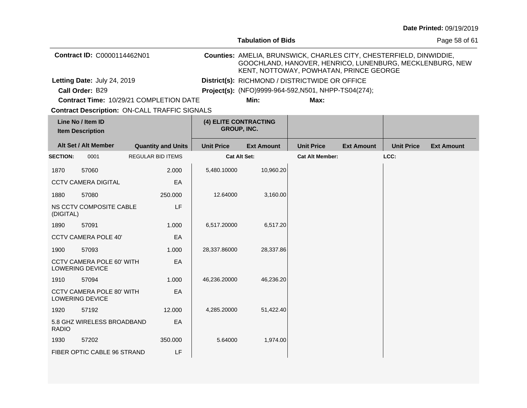|                 |                                                            |                                                      |                    | <b>Tabulation of Bids</b>                                                                                                                                                  |                                                      |                   |                   | Page 58 of 61     |
|-----------------|------------------------------------------------------------|------------------------------------------------------|--------------------|----------------------------------------------------------------------------------------------------------------------------------------------------------------------------|------------------------------------------------------|-------------------|-------------------|-------------------|
|                 | Contract ID: C0000114462N01                                |                                                      |                    | Counties: AMELIA, BRUNSWICK, CHARLES CITY, CHESTERFIELD, DINWIDDIE,<br>GOOCHLAND, HANOVER, HENRICO, LUNENBURG, MECKLENBURG, NEW<br>KENT, NOTTOWAY, POWHATAN, PRINCE GEORGE |                                                      |                   |                   |                   |
|                 | Letting Date: July 24, 2019                                |                                                      |                    |                                                                                                                                                                            | District(s): RICHMOND / DISTRICTWIDE OR OFFICE       |                   |                   |                   |
|                 | Call Order: B29                                            |                                                      |                    |                                                                                                                                                                            | Project(s): (NFO)9999-964-592, N501, NHPP-TS04(274); |                   |                   |                   |
|                 |                                                            | <b>Contract Time: 10/29/21 COMPLETION DATE</b>       |                    | Min:                                                                                                                                                                       | Max:                                                 |                   |                   |                   |
|                 |                                                            | <b>Contract Description: ON-CALL TRAFFIC SIGNALS</b> |                    |                                                                                                                                                                            |                                                      |                   |                   |                   |
|                 | Line No / Item ID<br><b>Item Description</b>               |                                                      | <b>GROUP, INC.</b> | (4) ELITE CONTRACTING                                                                                                                                                      |                                                      |                   |                   |                   |
|                 | Alt Set / Alt Member                                       | <b>Quantity and Units</b>                            | <b>Unit Price</b>  | <b>Ext Amount</b>                                                                                                                                                          | <b>Unit Price</b>                                    | <b>Ext Amount</b> | <b>Unit Price</b> | <b>Ext Amount</b> |
| <b>SECTION:</b> | 0001                                                       | <b>REGULAR BID ITEMS</b>                             |                    | <b>Cat Alt Set:</b>                                                                                                                                                        | <b>Cat Alt Member:</b>                               |                   | LCC:              |                   |
| 1870            | 57060                                                      | 2.000                                                | 5,480.10000        | 10,960.20                                                                                                                                                                  |                                                      |                   |                   |                   |
|                 | <b>CCTV CAMERA DIGITAL</b>                                 | EA                                                   |                    |                                                                                                                                                                            |                                                      |                   |                   |                   |
| 1880            | 57080                                                      | 250,000                                              | 12.64000           | 3,160.00                                                                                                                                                                   |                                                      |                   |                   |                   |
| (DIGITAL)       | NS CCTV COMPOSITE CABLE                                    | LF                                                   |                    |                                                                                                                                                                            |                                                      |                   |                   |                   |
| 1890            | 57091                                                      | 1.000                                                | 6,517.20000        | 6,517.20                                                                                                                                                                   |                                                      |                   |                   |                   |
|                 | <b>CCTV CAMERA POLE 40'</b>                                | EA                                                   |                    |                                                                                                                                                                            |                                                      |                   |                   |                   |
| 1900            | 57093                                                      | 1.000                                                | 28,337.86000       | 28,337.86                                                                                                                                                                  |                                                      |                   |                   |                   |
|                 | <b>CCTV CAMERA POLE 60' WITH</b><br>LOWERING DEVICE        | EA                                                   |                    |                                                                                                                                                                            |                                                      |                   |                   |                   |
| 1910            | 57094                                                      | 1.000                                                | 46,236.20000       | 46,236.20                                                                                                                                                                  |                                                      |                   |                   |                   |
|                 | <b>CCTV CAMERA POLE 80' WITH</b><br><b>LOWERING DEVICE</b> | EA                                                   |                    |                                                                                                                                                                            |                                                      |                   |                   |                   |
| 1920            | 57192                                                      | 12,000                                               | 4,285.20000        | 51,422.40                                                                                                                                                                  |                                                      |                   |                   |                   |
| <b>RADIO</b>    | 5.8 GHZ WIRELESS BROADBAND                                 | EA                                                   |                    |                                                                                                                                                                            |                                                      |                   |                   |                   |
| 1930            | 57202                                                      | 350.000                                              | 5.64000            | 1,974.00                                                                                                                                                                   |                                                      |                   |                   |                   |
|                 | FIBER OPTIC CABLE 96 STRAND                                | LF                                                   |                    |                                                                                                                                                                            |                                                      |                   |                   |                   |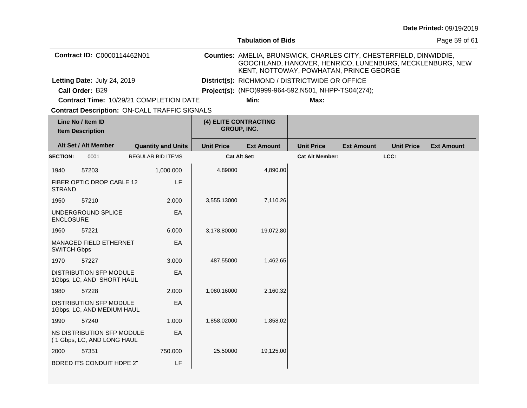|                                         |                                                              |  |                           |                                             |                                                                                                                                                                            |                                                |                   |                   | Date Printed: 09/19/2019 |
|-----------------------------------------|--------------------------------------------------------------|--|---------------------------|---------------------------------------------|----------------------------------------------------------------------------------------------------------------------------------------------------------------------------|------------------------------------------------|-------------------|-------------------|--------------------------|
|                                         |                                                              |  |                           |                                             | <b>Tabulation of Bids</b>                                                                                                                                                  |                                                |                   |                   | Page 59 of 61            |
|                                         | Contract ID: C0000114462N01                                  |  |                           |                                             | Counties: AMELIA, BRUNSWICK, CHARLES CITY, CHESTERFIELD, DINWIDDIE,<br>GOOCHLAND, HANOVER, HENRICO, LUNENBURG, MECKLENBURG, NEW<br>KENT, NOTTOWAY, POWHATAN, PRINCE GEORGE |                                                |                   |                   |                          |
| Letting Date: July 24, 2019             |                                                              |  |                           |                                             |                                                                                                                                                                            | District(s): RICHMOND / DISTRICTWIDE OR OFFICE |                   |                   |                          |
| Call Order: B29                         |                                                              |  |                           |                                             | Project(s): (NFO)9999-964-592, N501, NHPP-TS04(274);                                                                                                                       |                                                |                   |                   |                          |
| Contract Time: 10/29/21 COMPLETION DATE |                                                              |  |                           | Min:                                        | Max:                                                                                                                                                                       |                                                |                   |                   |                          |
|                                         | <b>Contract Description: ON-CALL TRAFFIC SIGNALS</b>         |  |                           |                                             |                                                                                                                                                                            |                                                |                   |                   |                          |
|                                         | Line No / Item ID<br><b>Item Description</b>                 |  |                           | (4) ELITE CONTRACTING<br><b>GROUP, INC.</b> |                                                                                                                                                                            |                                                |                   |                   |                          |
|                                         | Alt Set / Alt Member                                         |  | <b>Quantity and Units</b> | <b>Unit Price</b>                           | <b>Ext Amount</b>                                                                                                                                                          | <b>Unit Price</b>                              | <b>Ext Amount</b> | <b>Unit Price</b> | <b>Ext Amount</b>        |
| <b>SECTION:</b>                         | 0001                                                         |  | <b>REGULAR BID ITEMS</b>  | <b>Cat Alt Set:</b>                         |                                                                                                                                                                            | <b>Cat Alt Member:</b>                         |                   | LCC:              |                          |
| 1940                                    | 57203                                                        |  | 1,000.000                 | 4.89000                                     | 4,890.00                                                                                                                                                                   |                                                |                   |                   |                          |
| <b>STRAND</b>                           | FIBER OPTIC DROP CABLE 12                                    |  | LF                        |                                             |                                                                                                                                                                            |                                                |                   |                   |                          |
| 1950                                    | 57210                                                        |  | 2.000                     | 3,555.13000                                 | 7,110.26                                                                                                                                                                   |                                                |                   |                   |                          |
| <b>ENCLOSURE</b>                        | UNDERGROUND SPLICE                                           |  | EA                        |                                             |                                                                                                                                                                            |                                                |                   |                   |                          |
| 1960                                    | 57221                                                        |  | 6.000                     | 3,178.80000                                 | 19,072.80                                                                                                                                                                  |                                                |                   |                   |                          |
| <b>SWITCH Gbps</b>                      | <b>MANAGED FIELD ETHERNET</b>                                |  | EA                        |                                             |                                                                                                                                                                            |                                                |                   |                   |                          |
| 1970                                    | 57227                                                        |  | 3.000                     | 487.55000                                   | 1,462.65                                                                                                                                                                   |                                                |                   |                   |                          |
|                                         | DISTRIBUTION SFP MODULE<br>1Gbps, LC, AND SHORT HAUL         |  | EA                        |                                             |                                                                                                                                                                            |                                                |                   |                   |                          |
| 1980                                    | 57228                                                        |  | 2.000                     | 1,080.16000                                 | 2,160.32                                                                                                                                                                   |                                                |                   |                   |                          |
|                                         | <b>DISTRIBUTION SFP MODULE</b><br>1Gbps, LC, AND MEDIUM HAUL |  | EA                        |                                             |                                                                                                                                                                            |                                                |                   |                   |                          |
| 1990                                    | 57240                                                        |  | 1.000                     | 1,858.02000                                 | 1,858.02                                                                                                                                                                   |                                                |                   |                   |                          |
|                                         | NS DISTRIBUTION SFP MODULE<br>(1 Gbps, LC, AND LONG HAUL     |  | EA                        |                                             |                                                                                                                                                                            |                                                |                   |                   |                          |
| 2000                                    | 57351                                                        |  | 750.000                   | 25.50000                                    | 19,125.00                                                                                                                                                                  |                                                |                   |                   |                          |
|                                         | <b>BORED ITS CONDUIT HDPE 2"</b>                             |  | LF                        |                                             |                                                                                                                                                                            |                                                |                   |                   |                          |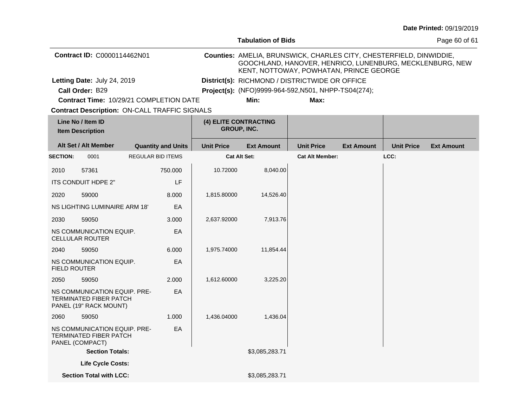|                     |                                                                                         |                           |                                                                                                                                                                            | <b>Tabulation of Bids</b>                            |                        |                   | Page 60 of 61     |                   |
|---------------------|-----------------------------------------------------------------------------------------|---------------------------|----------------------------------------------------------------------------------------------------------------------------------------------------------------------------|------------------------------------------------------|------------------------|-------------------|-------------------|-------------------|
|                     | Contract ID: C0000114462N01                                                             |                           | Counties: AMELIA, BRUNSWICK, CHARLES CITY, CHESTERFIELD, DINWIDDIE,<br>GOOCHLAND, HANOVER, HENRICO, LUNENBURG, MECKLENBURG, NEW<br>KENT, NOTTOWAY, POWHATAN, PRINCE GEORGE |                                                      |                        |                   |                   |                   |
|                     | Letting Date: July 24, 2019                                                             |                           |                                                                                                                                                                            | District(s): RICHMOND / DISTRICTWIDE OR OFFICE       |                        |                   |                   |                   |
|                     | Call Order: B29                                                                         |                           |                                                                                                                                                                            | Project(s): (NFO)9999-964-592, N501, NHPP-TS04(274); |                        |                   |                   |                   |
|                     | Contract Time: 10/29/21 COMPLETION DATE                                                 |                           |                                                                                                                                                                            | Min:                                                 | Max:                   |                   |                   |                   |
|                     | <b>Contract Description: ON-CALL TRAFFIC SIGNALS</b>                                    |                           |                                                                                                                                                                            |                                                      |                        |                   |                   |                   |
|                     | Line No / Item ID<br><b>Item Description</b>                                            |                           | (4) ELITE CONTRACTING<br><b>GROUP, INC.</b>                                                                                                                                |                                                      |                        |                   |                   |                   |
|                     | Alt Set / Alt Member                                                                    | <b>Quantity and Units</b> | <b>Unit Price</b>                                                                                                                                                          | <b>Ext Amount</b>                                    | <b>Unit Price</b>      | <b>Ext Amount</b> | <b>Unit Price</b> | <b>Ext Amount</b> |
| <b>SECTION:</b>     | 0001                                                                                    | <b>REGULAR BID ITEMS</b>  |                                                                                                                                                                            | Cat Alt Set:                                         | <b>Cat Alt Member:</b> |                   | LCC:              |                   |
| 2010                | 57361                                                                                   | 750.000                   | 10.72000                                                                                                                                                                   | 8,040.00                                             |                        |                   |                   |                   |
|                     | ITS CONDUIT HDPE 2"                                                                     | LF                        |                                                                                                                                                                            |                                                      |                        |                   |                   |                   |
| 2020                | 59000                                                                                   | 8.000                     | 1,815.80000                                                                                                                                                                | 14,526.40                                            |                        |                   |                   |                   |
|                     | NS LIGHTING LUMINAIRE ARM 18'                                                           | EA                        |                                                                                                                                                                            |                                                      |                        |                   |                   |                   |
| 2030                | 59050                                                                                   | 3.000                     | 2,637.92000                                                                                                                                                                | 7,913.76                                             |                        |                   |                   |                   |
|                     | NS COMMUNICATION EQUIP.<br><b>CELLULAR ROUTER</b>                                       | EA                        |                                                                                                                                                                            |                                                      |                        |                   |                   |                   |
| 2040                | 59050                                                                                   | 6.000                     | 1,975.74000                                                                                                                                                                | 11,854.44                                            |                        |                   |                   |                   |
| <b>FIELD ROUTER</b> | NS COMMUNICATION EQUIP.                                                                 | EA                        |                                                                                                                                                                            |                                                      |                        |                   |                   |                   |
| 2050                | 59050                                                                                   | 2.000                     | 1,612.60000                                                                                                                                                                | 3,225.20                                             |                        |                   |                   |                   |
|                     | NS COMMUNICATION EQUIP. PRE-<br><b>TERMINATED FIBER PATCH</b><br>PANEL (19" RACK MOUNT) | EA                        |                                                                                                                                                                            |                                                      |                        |                   |                   |                   |
| 2060                | 59050                                                                                   | 1.000                     | 1,436.04000                                                                                                                                                                | 1,436.04                                             |                        |                   |                   |                   |
|                     | NS COMMUNICATION EQUIP. PRE-<br><b>TERMINATED FIBER PATCH</b><br>PANEL (COMPACT)        | EA                        |                                                                                                                                                                            |                                                      |                        |                   |                   |                   |
|                     | <b>Section Totals:</b>                                                                  |                           |                                                                                                                                                                            | \$3,085,283.71                                       |                        |                   |                   |                   |
|                     | Life Cycle Costs:                                                                       |                           |                                                                                                                                                                            |                                                      |                        |                   |                   |                   |
|                     | <b>Section Total with LCC:</b>                                                          |                           |                                                                                                                                                                            | \$3,085,283.71                                       |                        |                   |                   |                   |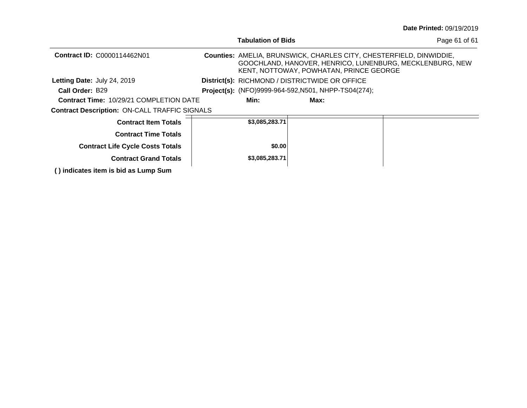| <b>Date Printed: 09/19/2019</b> |  |
|---------------------------------|--|
|---------------------------------|--|

|                                                      | <b>Tabulation of Bids</b>                                   |                                                                                                                                                                                   | Page 61 of 61 |
|------------------------------------------------------|-------------------------------------------------------------|-----------------------------------------------------------------------------------------------------------------------------------------------------------------------------------|---------------|
| <b>Contract ID: C0000114462N01</b>                   |                                                             | <b>Counties: AMELIA, BRUNSWICK, CHARLES CITY, CHESTERFIELD, DINWIDDIE,</b><br>GOOCHLAND, HANOVER, HENRICO, LUNENBURG, MECKLENBURG, NEW<br>KENT, NOTTOWAY, POWHATAN, PRINCE GEORGE |               |
| Letting Date: July 24, 2019                          | District(s): RICHMOND / DISTRICTWIDE OR OFFICE              |                                                                                                                                                                                   |               |
| Call Order: B29                                      | <b>Project(s):</b> (NFO)9999-964-592, N501, NHPP-TS04(274); |                                                                                                                                                                                   |               |
| <b>Contract Time: 10/29/21 COMPLETION DATE</b>       | Min:                                                        | Max:                                                                                                                                                                              |               |
| <b>Contract Description: ON-CALL TRAFFIC SIGNALS</b> |                                                             |                                                                                                                                                                                   |               |
| <b>Contract Item Totals</b>                          | \$3,085,283.71                                              |                                                                                                                                                                                   |               |
| <b>Contract Time Totals</b>                          |                                                             |                                                                                                                                                                                   |               |
| <b>Contract Life Cycle Costs Totals</b>              | \$0.00                                                      |                                                                                                                                                                                   |               |
| <b>Contract Grand Totals</b>                         | \$3,085,283.71                                              |                                                                                                                                                                                   |               |
| () indicates item is bid as Lump Sum                 |                                                             |                                                                                                                                                                                   |               |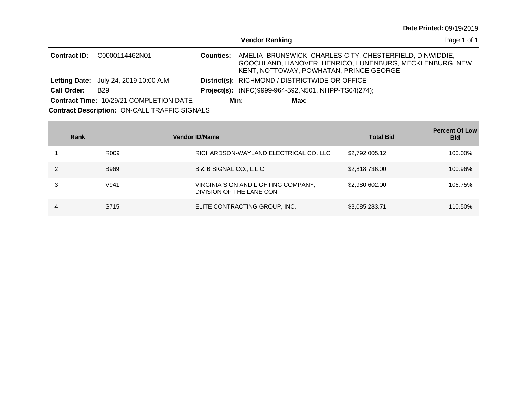| <b>Date Printed: 09/19/2019</b> |  |
|---------------------------------|--|
|---------------------------------|--|

|                     |                                                      |                  | <b>Vendor Ranking</b> |                                                      |                                                                                                                       | Page 1 of 1 |
|---------------------|------------------------------------------------------|------------------|-----------------------|------------------------------------------------------|-----------------------------------------------------------------------------------------------------------------------|-------------|
| <b>Contract ID:</b> | C0000114462N01                                       | <b>Counties:</b> |                       | KENT, NOTTOWAY, POWHATAN, PRINCE GEORGE              | AMELIA, BRUNSWICK, CHARLES CITY, CHESTERFIELD, DINWIDDIE,<br>GOOCHLAND, HANOVER, HENRICO, LUNENBURG, MECKLENBURG, NEW |             |
|                     | <b>Letting Date:</b> July 24, 2019 10:00 A.M.        |                  |                       | District(s): RICHMOND / DISTRICTWIDE OR OFFICE       |                                                                                                                       |             |
| <b>Call Order:</b>  | B <sub>29</sub>                                      |                  |                       | Project(s): (NFO)9999-964-592, N501, NHPP-TS04(274); |                                                                                                                       |             |
|                     | <b>Contract Time: 10/29/21 COMPLETION DATE</b>       |                  | Min:                  | Max:                                                 |                                                                                                                       |             |
|                     | <b>Contract Description: ON-CALL TRAFFIC SIGNALS</b> |                  |                       |                                                      |                                                                                                                       |             |

|   | Rank             | <b>Vendor ID/Name</b>                                           | <b>Total Bid</b> | <b>Percent Of Low</b><br><b>Bid</b> |
|---|------------------|-----------------------------------------------------------------|------------------|-------------------------------------|
|   | R <sub>009</sub> | RICHARDSON-WAYLAND ELECTRICAL CO. LLC                           | \$2,792,005.12   | 100.00%                             |
|   | <b>B969</b>      | B & B SIGNAL CO., L.L.C.                                        | \$2,818,736.00   | 100.96%                             |
|   | V <sub>941</sub> | VIRGINIA SIGN AND LIGHTING COMPANY,<br>DIVISION OF THE LANE CON | \$2,980,602.00   | 106.75%                             |
| 4 | S715             | ELITE CONTRACTING GROUP, INC.                                   | \$3,085,283.71   | 110.50%                             |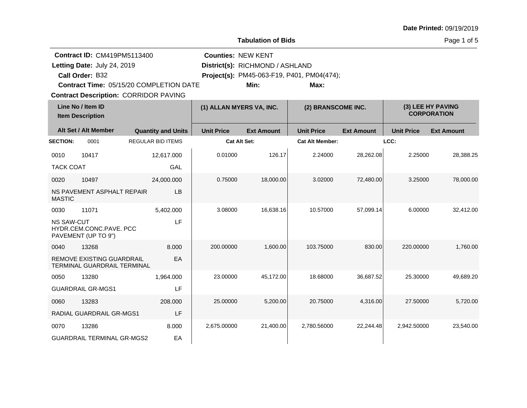|                                                                                                                                                                                        | <b>Tabulation of Bids</b>                                       |  |                           |                           |                                         |                                                    |                                         |                   | Page 1 of 5       |
|----------------------------------------------------------------------------------------------------------------------------------------------------------------------------------------|-----------------------------------------------------------------|--|---------------------------|---------------------------|-----------------------------------------|----------------------------------------------------|-----------------------------------------|-------------------|-------------------|
| <b>Contract ID: CM419PM5113400</b><br>Letting Date: July 24, 2019<br>Call Order: B32<br><b>Contract Time: 05/15/20 COMPLETION DATE</b><br><b>Contract Description: CORRIDOR PAVING</b> |                                                                 |  |                           | <b>Counties: NEW KENT</b> | District(s): RICHMOND / ASHLAND<br>Min: | Project(s): PM45-063-F19, P401, PM04(474);<br>Max: |                                         |                   |                   |
| Line No / Item ID<br><b>Item Description</b>                                                                                                                                           |                                                                 |  | (1) ALLAN MYERS VA, INC.  |                           | (2) BRANSCOME INC.                      |                                                    | (3) LEE HY PAVING<br><b>CORPORATION</b> |                   |                   |
|                                                                                                                                                                                        | Alt Set / Alt Member                                            |  | <b>Quantity and Units</b> | <b>Unit Price</b>         | <b>Ext Amount</b>                       | <b>Unit Price</b>                                  | <b>Ext Amount</b>                       | <b>Unit Price</b> | <b>Ext Amount</b> |
| <b>SECTION:</b>                                                                                                                                                                        | 0001                                                            |  | <b>REGULAR BID ITEMS</b>  |                           | Cat Alt Set:                            | <b>Cat Alt Member:</b>                             |                                         | LCC:              |                   |
| 0010                                                                                                                                                                                   | 10417                                                           |  | 12,617.000                | 0.01000                   | 126.17                                  | 2.24000                                            | 28,262.08                               | 2.25000           | 28,388.25         |
| <b>TACK COAT</b>                                                                                                                                                                       |                                                                 |  | GAL                       |                           |                                         |                                                    |                                         |                   |                   |
| 0020<br><b>MASTIC</b>                                                                                                                                                                  | 10497<br>NS PAVEMENT ASPHALT REPAIR                             |  | 24,000.000<br>LВ          | 0.75000                   | 18,000.00                               | 3.02000                                            | 72,480.00                               | 3.25000           | 78,000.00         |
| 0030                                                                                                                                                                                   | 11071                                                           |  | 5,402.000                 | 3.08000                   | 16,638.16                               | 10.57000                                           | 57,099.14                               | 6.00000           | 32,412.00         |
| <b>NS SAW-CUT</b>                                                                                                                                                                      | HYDR.CEM.CONC.PAVE. PCC<br>PAVEMENT (UP TO 9")                  |  | LF                        |                           |                                         |                                                    |                                         |                   |                   |
| 0040                                                                                                                                                                                   | 13268                                                           |  | 8.000                     | 200.00000                 | 1,600.00                                | 103.75000                                          | 830.00                                  | 220.00000         | 1,760.00          |
|                                                                                                                                                                                        | REMOVE EXISTING GUARDRAIL<br><b>TERMINAL GUARDRAIL TERMINAL</b> |  | EA                        |                           |                                         |                                                    |                                         |                   |                   |
| 0050                                                                                                                                                                                   | 13280                                                           |  | 1,964.000                 | 23.00000                  | 45,172.00                               | 18.68000                                           | 36,687.52                               | 25.30000          | 49,689.20         |
|                                                                                                                                                                                        | <b>GUARDRAIL GR-MGS1</b>                                        |  | LF                        |                           |                                         |                                                    |                                         |                   |                   |
| 0060                                                                                                                                                                                   | 13283                                                           |  | 208,000                   | 25.00000                  | 5,200.00                                | 20.75000                                           | 4,316.00                                | 27.50000          | 5,720.00          |
|                                                                                                                                                                                        | <b>RADIAL GUARDRAIL GR-MGS1</b>                                 |  | LF                        |                           |                                         |                                                    |                                         |                   |                   |
| 0070                                                                                                                                                                                   | 13286                                                           |  | 8.000                     | 2,675.00000               | 21,400.00                               | 2,780.56000                                        | 22,244.48                               | 2,942.50000       | 23,540.00         |
|                                                                                                                                                                                        | <b>GUARDRAIL TERMINAL GR-MGS2</b>                               |  | EA                        |                           |                                         |                                                    |                                         |                   |                   |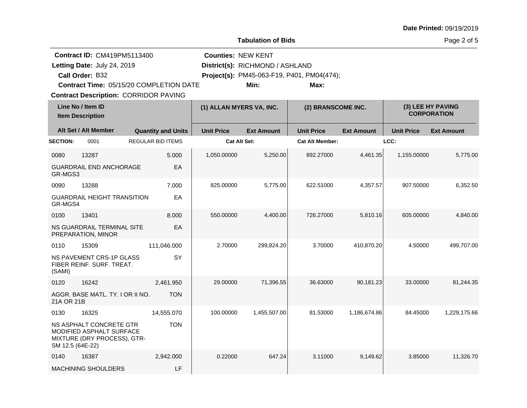|                          |                                                                                                                                                                                 |                           |                           | <b>Tabulation of Bids</b>               |                                                    |                   |                                         | Page 2 of 5       |
|--------------------------|---------------------------------------------------------------------------------------------------------------------------------------------------------------------------------|---------------------------|---------------------------|-----------------------------------------|----------------------------------------------------|-------------------|-----------------------------------------|-------------------|
|                          | <b>Contract ID: CM419PM5113400</b><br>Letting Date: July 24, 2019<br>Call Order: B32<br>Contract Time: 05/15/20 COMPLETION DATE<br><b>Contract Description: CORRIDOR PAVING</b> |                           | <b>Counties: NEW KENT</b> | District(s): RICHMOND / ASHLAND<br>Min: | Project(s): PM45-063-F19, P401, PM04(474);<br>Max: |                   |                                         |                   |
|                          | Line No / Item ID<br><b>Item Description</b>                                                                                                                                    |                           | (1) ALLAN MYERS VA, INC.  |                                         | (2) BRANSCOME INC.                                 |                   | (3) LEE HY PAVING<br><b>CORPORATION</b> |                   |
|                          | Alt Set / Alt Member                                                                                                                                                            | <b>Quantity and Units</b> | <b>Unit Price</b>         | <b>Ext Amount</b>                       | <b>Unit Price</b>                                  | <b>Ext Amount</b> | <b>Unit Price</b>                       | <b>Ext Amount</b> |
| <b>SECTION:</b>          | 0001                                                                                                                                                                            | <b>REGULAR BID ITEMS</b>  | <b>Cat Alt Set:</b>       |                                         | <b>Cat Alt Member:</b>                             |                   | LCC:                                    |                   |
| 0080<br>GR-MGS3          | 13287<br><b>GUARDRAIL END ANCHORAGE</b>                                                                                                                                         | 5.000<br>EA               | 1,050.00000               | 5,250.00                                | 892.27000                                          | 4,461.35          | 1,155.00000                             | 5,775.00          |
| 0090<br>GR-MGS4          | 13288<br><b>GUARDRAIL HEIGHT TRANSITION</b>                                                                                                                                     | 7.000<br>EA               | 825.00000                 | 5,775.00                                | 622.51000                                          | 4,357.57          | 907.50000                               | 6,352.50          |
| 0100                     | 13401<br>NS GUARDRAIL TERMINAL SITE<br>PREPARATION, MINOR                                                                                                                       | 8.000<br>EA               | 550.00000                 | 4,400.00                                | 726.27000                                          | 5,810.16          | 605.00000                               | 4,840.00          |
| 0110<br>(SAMI)           | 15309<br>NS PAVEMENT CRS-1P GLASS<br>FIBER REINF. SURF. TREAT.                                                                                                                  | 111,046.000<br>SY         | 2.70000                   | 299,824.20                              | 3.70000                                            | 410,870.20        | 4.50000                                 | 499,707.00        |
| 0120<br>21A OR 21B       | 16242<br>AGGR. BASE MATL. TY. I OR II NO.                                                                                                                                       | 2,461.950<br><b>TON</b>   | 29.00000                  | 71,396.55                               | 36.63000                                           | 90,181.23         | 33.00000                                | 81,244.35         |
| 0130<br>SM 12.5 (64E-22) | 16325<br>NS ASPHALT CONCRETE GTR<br><b>MODIFIED ASPHALT SURFACE</b><br>MIXTURE (DRY PROCESS), GTR-                                                                              | 14,555.070<br><b>TON</b>  | 100.00000                 | 1,455,507.00                            | 81.53000                                           | 1,186,674.86      | 84.45000                                | 1,229,175.66      |
| 0140                     | 16387                                                                                                                                                                           | 2.942.000                 | 0.22000                   | 647.24                                  | 3.11000                                            | 9,149.62          | 3.85000                                 | 11,326.70         |
|                          | MACHINING SHOULDERS                                                                                                                                                             | LF                        |                           |                                         |                                                    |                   |                                         |                   |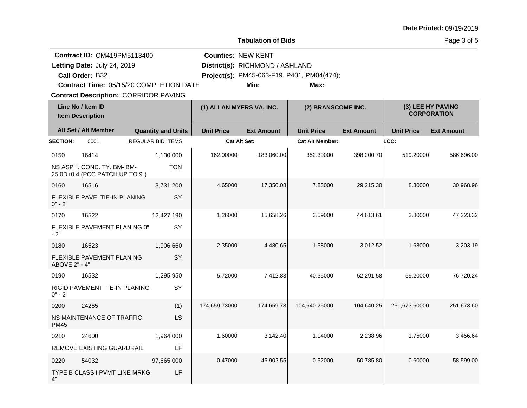| <b>Tabulation of Bids</b>                    |                                                                                                                                                                                 |                           |                           |                                         |                                                    |                                         |                   | Page 3 of 5       |  |  |
|----------------------------------------------|---------------------------------------------------------------------------------------------------------------------------------------------------------------------------------|---------------------------|---------------------------|-----------------------------------------|----------------------------------------------------|-----------------------------------------|-------------------|-------------------|--|--|
|                                              | <b>Contract ID: CM419PM5113400</b><br>Letting Date: July 24, 2019<br>Call Order: B32<br>Contract Time: 05/15/20 COMPLETION DATE<br><b>Contract Description: CORRIDOR PAVING</b> |                           | <b>Counties: NEW KENT</b> | District(s): RICHMOND / ASHLAND<br>Min: | Project(s): PM45-063-F19, P401, PM04(474);<br>Max: |                                         |                   |                   |  |  |
| Line No / Item ID<br><b>Item Description</b> |                                                                                                                                                                                 | (1) ALLAN MYERS VA, INC.  |                           | (2) BRANSCOME INC.                      |                                                    | (3) LEE HY PAVING<br><b>CORPORATION</b> |                   |                   |  |  |
|                                              | Alt Set / Alt Member                                                                                                                                                            | <b>Quantity and Units</b> | <b>Unit Price</b>         | <b>Ext Amount</b>                       | <b>Unit Price</b>                                  | <b>Ext Amount</b>                       | <b>Unit Price</b> | <b>Ext Amount</b> |  |  |
| <b>SECTION:</b>                              | 0001                                                                                                                                                                            | <b>REGULAR BID ITEMS</b>  | Cat Alt Set:              |                                         | <b>Cat Alt Member:</b>                             |                                         | LCC:              |                   |  |  |
| 0150                                         | 16414<br>NS ASPH. CONC. TY. BM- BM-<br>25.0D+0.4 (PCC PATCH UP TO 9")                                                                                                           | 1,130.000<br><b>TON</b>   | 162.00000                 | 183,060.00                              | 352.39000                                          | 398,200.70                              | 519.20000         | 586,696.00        |  |  |
| 0160<br>$0" - 2"$                            | 16516<br>FLEXIBLE PAVE. TIE-IN PLANING                                                                                                                                          | 3,731.200<br>SY           | 4.65000                   | 17,350.08                               | 7.83000                                            | 29,215.30                               | 8.30000           | 30.968.96         |  |  |
| 0170<br>$-2"$                                | 16522<br>FLEXIBLE PAVEMENT PLANING 0"                                                                                                                                           | 12,427.190<br>SY          | 1.26000                   | 15,658.26                               | 3.59000                                            | 44,613.61                               | 3.80000           | 47,223.32         |  |  |
| 0180<br>ABOVE 2" - 4"                        | 16523<br>FLEXIBLE PAVEMENT PLANING                                                                                                                                              | 1,906.660<br>SY           | 2.35000                   | 4,480.65                                | 1.58000                                            | 3,012.52                                | 1.68000           | 3,203.19          |  |  |
| 0190<br>$0" - 2"$                            | 16532<br>RIGID PAVEMENT TIE-IN PLANING                                                                                                                                          | 1,295.950<br>SY           | 5.72000                   | 7,412.83                                | 40.35000                                           | 52,291.58                               | 59.20000          | 76,720.24         |  |  |
| 0200<br><b>PM45</b>                          | 24265<br>NS MAINTENANCE OF TRAFFIC                                                                                                                                              | (1)<br><b>LS</b>          | 174,659.73000             | 174,659.73                              | 104,640.25000                                      | 104,640.25                              | 251,673.60000     | 251,673.60        |  |  |
| 0210                                         | 24600<br>REMOVE EXISTING GUARDRAIL                                                                                                                                              | 1,964.000<br>LF           | 1.60000                   | 3,142.40                                | 1.14000                                            | 2,238.96                                | 1.76000           | 3,456.64          |  |  |
| 0220<br>4"                                   | 54032<br>TYPE B CLASS I PVMT LINE MRKG                                                                                                                                          | 97,665.000<br>LF          | 0.47000                   | 45,902.55                               | 0.52000                                            | 50,785.80                               | 0.60000           | 58,599.00         |  |  |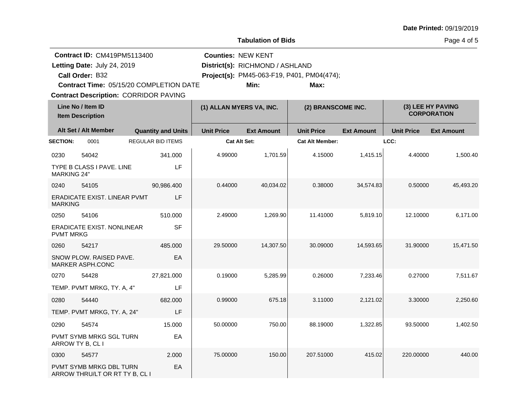|                    |                                                                                                                                                                                 |                           |                           | <b>Tabulation of Bids</b>               |                                                    |                   |                   | Page 4 of 5                             |
|--------------------|---------------------------------------------------------------------------------------------------------------------------------------------------------------------------------|---------------------------|---------------------------|-----------------------------------------|----------------------------------------------------|-------------------|-------------------|-----------------------------------------|
|                    | <b>Contract ID: CM419PM5113400</b><br>Letting Date: July 24, 2019<br>Call Order: B32<br>Contract Time: 05/15/20 COMPLETION DATE<br><b>Contract Description: CORRIDOR PAVING</b> |                           | <b>Counties: NEW KENT</b> | District(s): RICHMOND / ASHLAND<br>Min: | Project(s): PM45-063-F19, P401, PM04(474);<br>Max: |                   |                   |                                         |
|                    | Line No / Item ID<br><b>Item Description</b>                                                                                                                                    |                           | (1) ALLAN MYERS VA, INC.  |                                         | (2) BRANSCOME INC.                                 |                   |                   | (3) LEE HY PAVING<br><b>CORPORATION</b> |
|                    | Alt Set / Alt Member                                                                                                                                                            | <b>Quantity and Units</b> | <b>Unit Price</b>         | <b>Ext Amount</b>                       | <b>Unit Price</b>                                  | <b>Ext Amount</b> | <b>Unit Price</b> | <b>Ext Amount</b>                       |
| <b>SECTION:</b>    | 0001                                                                                                                                                                            | <b>REGULAR BID ITEMS</b>  | <b>Cat Alt Set:</b>       |                                         | <b>Cat Alt Member:</b>                             |                   | LCC:              |                                         |
| 0230               | 54042                                                                                                                                                                           | 341.000                   | 4.99000                   | 1,701.59                                | 4.15000                                            | 1,415.15          | 4.40000           | 1,500.40                                |
| <b>MARKING 24"</b> | TYPE B CLASS I PAVE. LINE                                                                                                                                                       | <b>LF</b>                 |                           |                                         |                                                    |                   |                   |                                         |
| 0240               | 54105                                                                                                                                                                           | 90,986.400                | 0.44000                   | 40,034.02                               | 0.38000                                            | 34,574.83         | 0.50000           | 45,493.20                               |
| <b>MARKING</b>     | ERADICATE EXIST. LINEAR PVMT                                                                                                                                                    | LF                        |                           |                                         |                                                    |                   |                   |                                         |
| 0250               | 54106                                                                                                                                                                           | 510.000                   | 2.49000                   | 1,269.90                                | 11.41000                                           | 5,819.10          | 12.10000          | 6,171.00                                |
| <b>PVMT MRKG</b>   | ERADICATE EXIST. NONLINEAR                                                                                                                                                      | <b>SF</b>                 |                           |                                         |                                                    |                   |                   |                                         |
| 0260               | 54217                                                                                                                                                                           | 485.000                   | 29.50000                  | 14,307.50                               | 30.09000                                           | 14,593.65         | 31.90000          | 15,471.50                               |
|                    | SNOW PLOW. RAISED PAVE.<br>MARKER ASPH.CONC                                                                                                                                     | EA                        |                           |                                         |                                                    |                   |                   |                                         |
| 0270               | 54428                                                                                                                                                                           | 27,821.000                | 0.19000                   | 5,285.99                                | 0.26000                                            | 7,233.46          | 0.27000           | 7,511.67                                |
|                    | TEMP. PVMT MRKG, TY. A, 4"                                                                                                                                                      | LF                        |                           |                                         |                                                    |                   |                   |                                         |
| 0280               | 54440                                                                                                                                                                           | 682.000                   | 0.99000                   | 675.18                                  | 3.11000                                            | 2,121.02          | 3.30000           | 2,250.60                                |
|                    | TEMP. PVMT MRKG, TY. A, 24"                                                                                                                                                     | LF                        |                           |                                         |                                                    |                   |                   |                                         |
| 0290               | 54574                                                                                                                                                                           | 15.000                    | 50.00000                  | 750.00                                  | 88.19000                                           | 1,322.85          | 93.50000          | 1,402.50                                |
|                    | <b>PVMT SYMB MRKG SGL TURN</b><br>ARROW TY B, CL I                                                                                                                              | EA                        |                           |                                         |                                                    |                   |                   |                                         |
| 0300               | 54577                                                                                                                                                                           | 2.000                     | 75.00000                  | 150.00                                  | 207.51000                                          | 415.02            | 220.00000         | 440.00                                  |
|                    | PVMT SYMB MRKG DBL TURN<br>ARROW THRU/LT OR RT TY B, CL I                                                                                                                       | EA                        |                           |                                         |                                                    |                   |                   |                                         |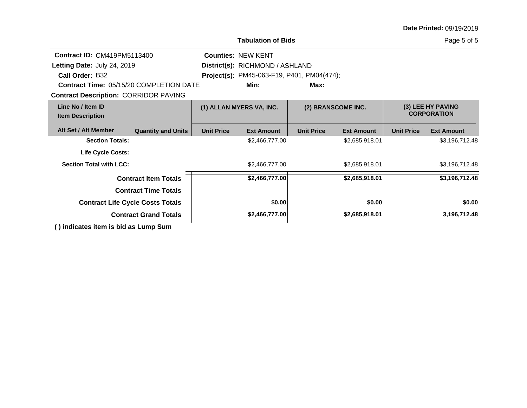|                                                   |                                         |                                 | Tabulation of Bids                                |                   |                    |                   | Page 5 of 5                             |
|---------------------------------------------------|-----------------------------------------|---------------------------------|---------------------------------------------------|-------------------|--------------------|-------------------|-----------------------------------------|
| <b>Contract ID: CM419PM5113400</b>                |                                         |                                 | <b>Counties: NEW KENT</b>                         |                   |                    |                   |                                         |
| Letting Date: July 24, 2019                       |                                         | District(s): RICHMOND / ASHLAND |                                                   |                   |                    |                   |                                         |
| Call Order: B32                                   |                                         |                                 | <b>Project(s): PM45-063-F19, P401, PM04(474);</b> |                   |                    |                   |                                         |
| <b>Contract Time: 05/15/20 COMPLETION DATE</b>    |                                         |                                 | Min:                                              | Max:              |                    |                   |                                         |
| <b>Contract Description: CORRIDOR PAVING</b>      |                                         |                                 |                                                   |                   |                    |                   |                                         |
| Line No / Item ID<br><b>Item Description</b>      |                                         |                                 | (1) ALLAN MYERS VA, INC.                          |                   | (2) BRANSCOME INC. |                   | (3) LEE HY PAVING<br><b>CORPORATION</b> |
| Alt Set / Alt Member                              | <b>Quantity and Units</b>               | <b>Unit Price</b>               | <b>Ext Amount</b>                                 | <b>Unit Price</b> | <b>Ext Amount</b>  | <b>Unit Price</b> | <b>Ext Amount</b>                       |
| <b>Section Totals:</b>                            |                                         |                                 | \$2,466,777.00                                    |                   | \$2,685,918.01     |                   | \$3,196,712.48                          |
| <b>Life Cycle Costs:</b>                          |                                         |                                 |                                                   |                   |                    |                   |                                         |
| <b>Section Total with LCC:</b>                    |                                         |                                 | \$2,466,777.00                                    |                   | \$2,685,918.01     |                   | \$3,196,712.48                          |
|                                                   | <b>Contract Item Totals</b>             |                                 | \$2,466,777.00                                    |                   | \$2,685,918.01     |                   | \$3,196,712.48                          |
|                                                   | <b>Contract Time Totals</b>             |                                 |                                                   |                   |                    |                   |                                         |
|                                                   | <b>Contract Life Cycle Costs Totals</b> |                                 | \$0.00                                            |                   | \$0.00             |                   | \$0.00                                  |
|                                                   | <b>Contract Grand Totals</b>            |                                 | \$2,466,777.00                                    |                   | \$2,685,918.01     |                   | 3,196,712.48                            |
| <u> 13 iu din stan itams in hidron Luman Arms</u> |                                         |                                 |                                                   |                   |                    |                   |                                         |

**( ) indicates item is bid as Lump Sum**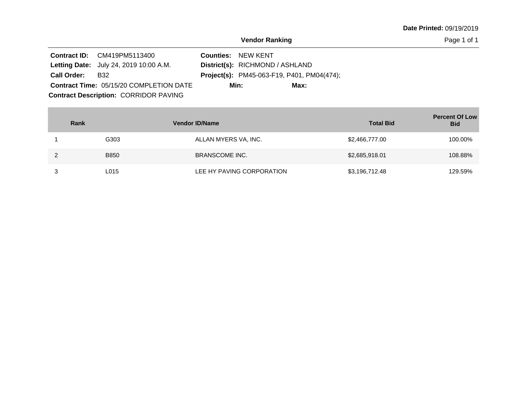Page 1 of 1

|                    | <b>Contract ID:</b> CM419PM5113400             | <b>Counties: NEW KENT</b>                         |
|--------------------|------------------------------------------------|---------------------------------------------------|
|                    | <b>Letting Date:</b> July 24, 2019 10:00 A.M.  | District(s): RICHMOND / ASHLAND                   |
| <b>Call Order:</b> | B32                                            | <b>Project(s):</b> PM45-063-F19, P401, PM04(474); |
|                    | <b>Contract Time: 05/15/20 COMPLETION DATE</b> | Min:<br>Max:                                      |
|                    | <b>Contract Description: CORRIDOR PAVING</b>   |                                                   |

| Rank        | <b>Vendor ID/Name</b>     | <b>Total Bid</b> | <b>Percent Of Low</b><br><b>Bid</b> |
|-------------|---------------------------|------------------|-------------------------------------|
| G303        | ALLAN MYERS VA, INC.      | \$2,466,777.00   | 100.00%                             |
| <b>B850</b> | <b>BRANSCOME INC.</b>     | \$2,685,918.01   | 108.88%                             |
| L015        | LEE HY PAVING CORPORATION | \$3,196,712.48   | 129.59%                             |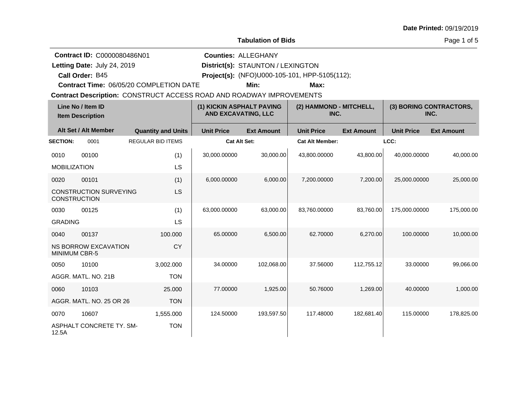**Call Order:**

Letting Date: July 24, 2019

**Letting Date:** July 24, 2019 **District(s):** STAUNTON / LEXINGTON

**Counties:** ALLEGHANY

B45 **Project(s):** (NFO)U000-105-101, HPP-5105(112);

**Contract Time:** 06/05/20 COMPLETION DATE

**Min: Max:**

|                      | Line No / Item ID<br><b>Item Description</b> |                           | (1) KICKIN ASPHALT PAVING<br><b>AND EXCAVATING, LLC</b> |                   | (2) HAMMOND - MITCHELL,<br>INC. |                   | (3) BORING CONTRACTORS,<br>INC. |                   |
|----------------------|----------------------------------------------|---------------------------|---------------------------------------------------------|-------------------|---------------------------------|-------------------|---------------------------------|-------------------|
|                      | Alt Set / Alt Member                         | <b>Quantity and Units</b> | <b>Unit Price</b>                                       | <b>Ext Amount</b> | <b>Unit Price</b>               | <b>Ext Amount</b> | <b>Unit Price</b>               | <b>Ext Amount</b> |
| <b>SECTION:</b>      | 0001                                         | <b>REGULAR BID ITEMS</b>  | <b>Cat Alt Set:</b>                                     |                   | <b>Cat Alt Member:</b>          |                   | LCC:                            |                   |
| 0010                 | 00100                                        | (1)                       | 30,000.00000                                            | 30,000.00         | 43,800.00000                    | 43,800.00         | 40,000.00000                    | 40,000.00         |
| <b>MOBILIZATION</b>  |                                              | LS                        |                                                         |                   |                                 |                   |                                 |                   |
| 0020                 | 00101                                        | (1)                       | 6,000.00000                                             | 6,000.00          | 7.200.00000                     | 7,200.00          | 25,000.00000                    | 25,000.00         |
| <b>CONSTRUCTION</b>  | <b>CONSTRUCTION SURVEYING</b>                | LS                        |                                                         |                   |                                 |                   |                                 |                   |
| 0030                 | 00125                                        | (1)                       | 63,000.00000                                            | 63,000.00         | 83.760.00000                    | 83.760.00         | 175.000.00000                   | 175,000.00        |
| <b>GRADING</b>       |                                              | LS                        |                                                         |                   |                                 |                   |                                 |                   |
| 0040                 | 00137                                        | 100.000                   | 65.00000                                                | 6,500.00          | 62.70000                        | 6,270.00          | 100.00000                       | 10,000.00         |
| <b>MINIMUM CBR-5</b> | <b>NS BORROW EXCAVATION</b>                  | CY                        |                                                         |                   |                                 |                   |                                 |                   |
| 0050                 | 10100                                        | 3,002.000                 | 34.00000                                                | 102,068.00        | 37.56000                        | 112,755.12        | 33.00000                        | 99,066.00         |
|                      | AGGR. MATL. NO. 21B                          | <b>TON</b>                |                                                         |                   |                                 |                   |                                 |                   |
| 0060                 | 10103                                        | 25,000                    | 77.00000                                                | 1,925.00          | 50.76000                        | 1,269.00          | 40.00000                        | 1,000.00          |
|                      | AGGR, MATL, NO. 25 OR 26                     | <b>TON</b>                |                                                         |                   |                                 |                   |                                 |                   |
| 0070                 | 10607                                        | 1,555.000                 | 124.50000                                               | 193,597.50        | 117.48000                       | 182,681.40        | 115,00000                       | 178,825.00        |
| 12.5A                | <b>ASPHALT CONCRETE TY, SM-</b>              | <b>TON</b>                |                                                         |                   |                                 |                   |                                 |                   |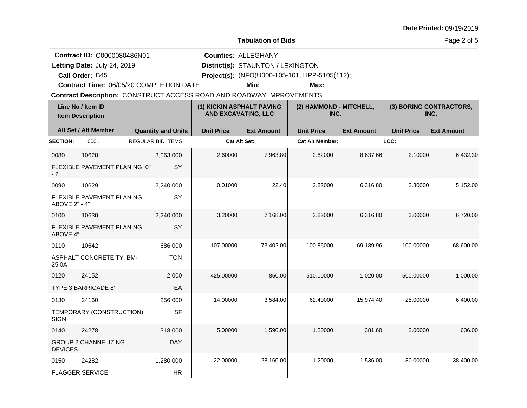| Date Printed: 09/19/2019 |  |
|--------------------------|--|
|--------------------------|--|

**Call Order:**

Letting Date: July 24, 2019

**Letting Date:** July 24, 2019 **District(s):** STAUNTON / LEXINGTON

**Counties:** ALLEGHANY

B45 **Project(s):** (NFO)U000-105-101, HPP-5105(112);

**Contract Time:** 06/05/20 COMPLETION DATE

**Min: Max:**

|                 | Line No / Item ID<br><b>Item Description</b> |                           | (1) KICKIN ASPHALT PAVING<br><b>AND EXCAVATING, LLC</b> |                   | (2) HAMMOND - MITCHELL,<br>INC. |                   |                   | (3) BORING CONTRACTORS,<br>INC. |
|-----------------|----------------------------------------------|---------------------------|---------------------------------------------------------|-------------------|---------------------------------|-------------------|-------------------|---------------------------------|
|                 | Alt Set / Alt Member                         | <b>Quantity and Units</b> | <b>Unit Price</b>                                       | <b>Ext Amount</b> | <b>Unit Price</b>               | <b>Ext Amount</b> | <b>Unit Price</b> | <b>Ext Amount</b>               |
| <b>SECTION:</b> | 0001                                         | <b>REGULAR BID ITEMS</b>  | Cat Alt Set:                                            |                   | <b>Cat Alt Member:</b>          |                   | LCC:              |                                 |
| 0080            | 10628                                        | 3,063.000                 | 2.60000                                                 | 7,963.80          | 2.82000                         | 8,637.66          | 2.10000           | 6,432.30                        |
| $-2"$           | FLEXIBLE PAVEMENT PLANING 0"                 | SY                        |                                                         |                   |                                 |                   |                   |                                 |
| 0090            | 10629                                        | 2,240.000                 | 0.01000                                                 | 22.40             | 2.82000                         | 6,316.80          | 2.30000           | 5,152.00                        |
| ABOVE 2" - 4"   | FLEXIBLE PAVEMENT PLANING                    | SY                        |                                                         |                   |                                 |                   |                   |                                 |
| 0100            | 10630                                        | 2,240.000                 | 3.20000                                                 | 7,168.00          | 2.82000                         | 6,316.80          | 3.00000           | 6,720.00                        |
| ABOVE 4"        | FLEXIBLE PAVEMENT PLANING                    | SY                        |                                                         |                   |                                 |                   |                   |                                 |
| 0110            | 10642                                        | 686.000                   | 107.00000                                               | 73,402.00         | 100.86000                       | 69,189.96         | 100.00000         | 68,600.00                       |
| 25.0A           | ASPHALT CONCRETE TY. BM-                     | <b>TON</b>                |                                                         |                   |                                 |                   |                   |                                 |
| 0120            | 24152                                        | 2.000                     | 425.00000                                               | 850.00            | 510.00000                       | 1,020.00          | 500.00000         | 1,000.00                        |
|                 | TYPE 3 BARRICADE 8'                          | EA                        |                                                         |                   |                                 |                   |                   |                                 |
| 0130            | 24160                                        | 256.000                   | 14.00000                                                | 3,584.00          | 62.40000                        | 15,974.40         | 25.00000          | 6,400.00                        |
| <b>SIGN</b>     | TEMPORARY (CONSTRUCTION)                     | <b>SF</b>                 |                                                         |                   |                                 |                   |                   |                                 |
| 0140            | 24278                                        | 318,000                   | 5.00000                                                 | 1,590.00          | 1.20000                         | 381.60            | 2.00000           | 636.00                          |
| <b>DEVICES</b>  | <b>GROUP 2 CHANNELIZING</b>                  | <b>DAY</b>                |                                                         |                   |                                 |                   |                   |                                 |
| 0150            | 24282                                        | 1,280.000                 | 22,00000                                                | 28,160.00         | 1.20000                         | 1,536.00          | 30.00000          | 38,400.00                       |
|                 | <b>FLAGGER SERVICE</b>                       | <b>HR</b>                 |                                                         |                   |                                 |                   |                   |                                 |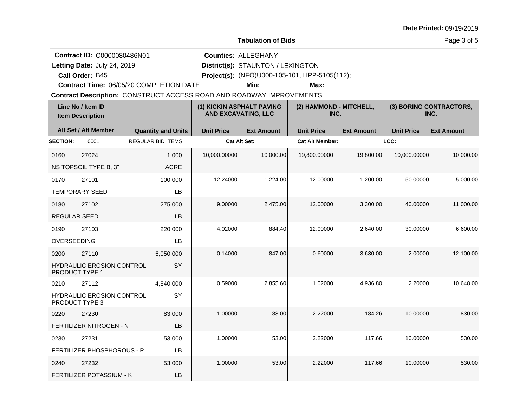Letting Date: July 24, 2019

**Call Order:**

**Letting Date:** July 24, 2019 **District(s):** STAUNTON / LEXINGTON

**Counties:** ALLEGHANY

B45 **Project(s):** (NFO)U000-105-101, HPP-5105(112);

**Contract Time:** 06/05/20 COMPLETION DATE

**Min: Max:**

| Line No / Item ID<br><b>Item Description</b> |                                  | (1) KICKIN ASPHALT PAVING<br><b>AND EXCAVATING, LLC</b> |                   | (2) HAMMOND - MITCHELL,<br>INC. |                        | (3) BORING CONTRACTORS,<br>INC. |                   |                   |
|----------------------------------------------|----------------------------------|---------------------------------------------------------|-------------------|---------------------------------|------------------------|---------------------------------|-------------------|-------------------|
|                                              | Alt Set / Alt Member             | <b>Quantity and Units</b>                               | <b>Unit Price</b> | <b>Ext Amount</b>               | <b>Unit Price</b>      | <b>Ext Amount</b>               | <b>Unit Price</b> | <b>Ext Amount</b> |
| <b>SECTION:</b>                              | 0001                             | <b>REGULAR BID ITEMS</b>                                | Cat Alt Set:      |                                 | <b>Cat Alt Member:</b> |                                 | LCC:              |                   |
| 0160                                         | 27024                            | 1.000                                                   | 10,000.00000      | 10,000.00                       | 19,800.00000           | 19,800.00                       | 10,000.00000      | 10,000.00         |
|                                              | NS TOPSOIL TYPE B, 3"            | <b>ACRE</b>                                             |                   |                                 |                        |                                 |                   |                   |
| 0170                                         | 27101                            | 100.000                                                 | 12.24000          | 1,224.00                        | 12.00000               | 1,200.00                        | 50.00000          | 5,000.00          |
|                                              | <b>TEMPORARY SEED</b>            | LB                                                      |                   |                                 |                        |                                 |                   |                   |
| 0180                                         | 27102                            | 275.000                                                 | 9.00000           | 2,475.00                        | 12.00000               | 3,300.00                        | 40.00000          | 11,000.00         |
| <b>REGULAR SEED</b>                          |                                  | LB                                                      |                   |                                 |                        |                                 |                   |                   |
| 0190                                         | 27103                            | 220.000                                                 | 4.02000           | 884.40                          | 12.00000               | 2,640.00                        | 30.00000          | 6,600.00          |
| OVERSEEDING                                  |                                  | LB                                                      |                   |                                 |                        |                                 |                   |                   |
| 0200                                         | 27110                            | 6.050.000                                               | 0.14000           | 847.00                          | 0.60000                | 3,630.00                        | 2.00000           | 12,100.00         |
| PRODUCT TYPE 1                               | <b>HYDRAULIC EROSION CONTROL</b> | SY                                                      |                   |                                 |                        |                                 |                   |                   |
| 0210                                         | 27112                            | 4,840.000                                               | 0.59000           | 2,855.60                        | 1.02000                | 4,936.80                        | 2.20000           | 10,648.00         |
| PRODUCT TYPE 3                               | HYDRAULIC EROSION CONTROL        | SY                                                      |                   |                                 |                        |                                 |                   |                   |
| 0220                                         | 27230                            | 83.000                                                  | 1.00000           | 83.00                           | 2.22000                | 184.26                          | 10.00000          | 830.00            |
|                                              | <b>FERTILIZER NITROGEN - N</b>   | LB                                                      |                   |                                 |                        |                                 |                   |                   |
| 0230                                         | 27231                            | 53.000                                                  | 1.00000           | 53.00                           | 2.22000                | 117.66                          | 10.00000          | 530.00            |
|                                              | FERTILIZER PHOSPHOROUS - P       | LB                                                      |                   |                                 |                        |                                 |                   |                   |
| 0240                                         | 27232                            | 53.000                                                  | 1.00000           | 53.00                           | 2.22000                | 117.66                          | 10.00000          | 530.00            |
|                                              | FERTILIZER POTASSIUM - K         | LB                                                      |                   |                                 |                        |                                 |                   |                   |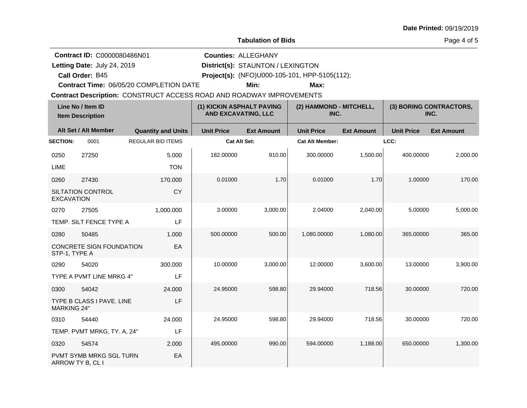Letting Date: July 24, 2019

**Call Order:**

**Letting Date:** July 24, 2019 **District(s):** STAUNTON / LEXINGTON

**Counties:** ALLEGHANY

B45 **Project(s):** (NFO)U000-105-101, HPP-5105(112);

**Contract Time:** 06/05/20 COMPLETION DATE

**Min: Max:**

|                    | Line No / Item ID<br><b>Item Description</b> |                           | (1) KICKIN ASPHALT PAVING<br><b>AND EXCAVATING, LLC</b> |                   | (2) HAMMOND - MITCHELL,<br>INC. |                   |                   | (3) BORING CONTRACTORS,<br>INC. |
|--------------------|----------------------------------------------|---------------------------|---------------------------------------------------------|-------------------|---------------------------------|-------------------|-------------------|---------------------------------|
|                    | Alt Set / Alt Member                         | <b>Quantity and Units</b> | <b>Unit Price</b>                                       | <b>Ext Amount</b> | <b>Unit Price</b>               | <b>Ext Amount</b> | <b>Unit Price</b> | <b>Ext Amount</b>               |
| <b>SECTION:</b>    | 0001                                         | <b>REGULAR BID ITEMS</b>  | <b>Cat Alt Set:</b>                                     |                   | <b>Cat Alt Member:</b>          |                   | LCC:              |                                 |
| 0250               | 27250                                        | 5.000                     | 182.00000                                               | 910.00            | 300.00000                       | 1,500.00          | 400.00000         | 2,000.00                        |
| <b>LIME</b>        |                                              | <b>TON</b>                |                                                         |                   |                                 |                   |                   |                                 |
| 0260               | 27430                                        | 170.000                   | 0.01000                                                 | 1.70              | 0.01000                         | 1.70              | 1.00000           | 170.00                          |
| <b>EXCAVATION</b>  | <b>SILTATION CONTROL</b>                     | CY                        |                                                         |                   |                                 |                   |                   |                                 |
| 0270               | 27505                                        | 1,000.000                 | 3.00000                                                 | 3,000.00          | 2.04000                         | 2,040.00          | 5.00000           | 5,000.00                        |
|                    | TEMP. SILT FENCE TYPE A                      | LF                        |                                                         |                   |                                 |                   |                   |                                 |
| 0280               | 50485                                        | 1.000                     | 500.00000                                               | 500.00            | 1,080.00000                     | 1,080.00          | 365.00000         | 365.00                          |
| STP-1, TYPE A      | CONCRETE SIGN FOUNDATION                     | EA                        |                                                         |                   |                                 |                   |                   |                                 |
| 0290               | 54020                                        | 300.000                   | 10.00000                                                | 3,000.00          | 12.00000                        | 3,600.00          | 13.00000          | 3,900.00                        |
|                    | TYPE A PVMT LINE MRKG 4"                     | LF                        |                                                         |                   |                                 |                   |                   |                                 |
| 0300               | 54042                                        | 24,000                    | 24.95000                                                | 598.80            | 29.94000                        | 718.56            | 30.00000          | 720.00                          |
| <b>MARKING 24"</b> | TYPE B CLASS I PAVE. LINE                    | LF                        |                                                         |                   |                                 |                   |                   |                                 |
| 0310               | 54440                                        | 24.000                    | 24.95000                                                | 598.80            | 29.94000                        | 718.56            | 30.00000          | 720.00                          |
|                    | TEMP. PVMT MRKG, TY. A, 24"                  | LF                        |                                                         |                   |                                 |                   |                   |                                 |
| 0320               | 54574                                        | 2.000                     | 495.00000                                               | 990.00            | 594.00000                       | 1,188.00          | 650.00000         | 1,300.00                        |
|                    | PVMT SYMB MRKG SGL TURN<br>ARROW TY B, CL I  | EA                        |                                                         |                   |                                 |                   |                   |                                 |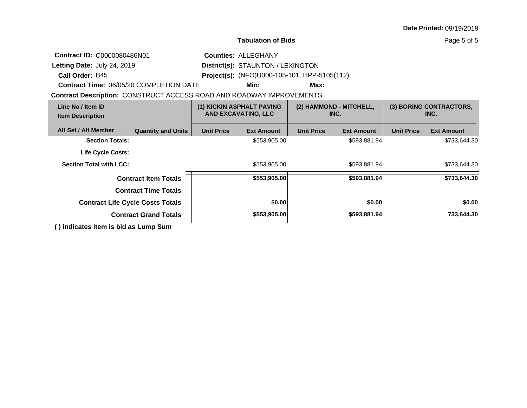|                                                                             |                                         |                   | <b>Tabulation of Bids</b>                               |                   |                                 |                   | Page 5 of 5                     |
|-----------------------------------------------------------------------------|-----------------------------------------|-------------------|---------------------------------------------------------|-------------------|---------------------------------|-------------------|---------------------------------|
| Contract ID: C0000080486N01                                                 |                                         |                   | <b>Counties: ALLEGHANY</b>                              |                   |                                 |                   |                                 |
| <b>Letting Date: July 24, 2019</b>                                          |                                         |                   | District(s): STAUNTON / LEXINGTON                       |                   |                                 |                   |                                 |
| Call Order: B45                                                             |                                         |                   | <b>Project(s):</b> (NFO)U000-105-101, HPP-5105(112);    |                   |                                 |                   |                                 |
| <b>Contract Time: 06/05/20 COMPLETION DATE</b><br>Min:<br>Max:              |                                         |                   |                                                         |                   |                                 |                   |                                 |
| <b>Contract Description: CONSTRUCT ACCESS ROAD AND ROADWAY IMPROVEMENTS</b> |                                         |                   |                                                         |                   |                                 |                   |                                 |
| Line No / Item ID<br><b>Item Description</b>                                |                                         |                   | (1) KICKIN ASPHALT PAVING<br><b>AND EXCAVATING, LLC</b> |                   | (2) HAMMOND - MITCHELL,<br>INC. |                   | (3) BORING CONTRACTORS,<br>INC. |
| Alt Set / Alt Member                                                        | <b>Quantity and Units</b>               | <b>Unit Price</b> | <b>Ext Amount</b>                                       | <b>Unit Price</b> | <b>Ext Amount</b>               | <b>Unit Price</b> | <b>Ext Amount</b>               |
| <b>Section Totals:</b>                                                      |                                         |                   | \$553,905.00                                            |                   | \$593,881.94                    |                   | \$733,644.30                    |
| <b>Life Cycle Costs:</b>                                                    |                                         |                   |                                                         |                   |                                 |                   |                                 |
| <b>Section Total with LCC:</b>                                              |                                         |                   | \$553,905.00                                            |                   | \$593,881.94                    |                   | \$733,644.30                    |
|                                                                             | <b>Contract Item Totals</b>             |                   | \$553,905.00                                            |                   | \$593,881.94                    |                   | \$733,644.30                    |
|                                                                             | <b>Contract Time Totals</b>             |                   |                                                         |                   |                                 |                   |                                 |
|                                                                             | <b>Contract Life Cycle Costs Totals</b> |                   | \$0.00                                                  |                   | \$0.00                          |                   | \$0.00                          |
|                                                                             | <b>Contract Grand Totals</b>            |                   | \$553,905.00                                            |                   | \$593,881.94                    |                   | 733,644.30                      |
| () indicates item is bid as Lump Sum                                        |                                         |                   |                                                         |                   |                                 |                   |                                 |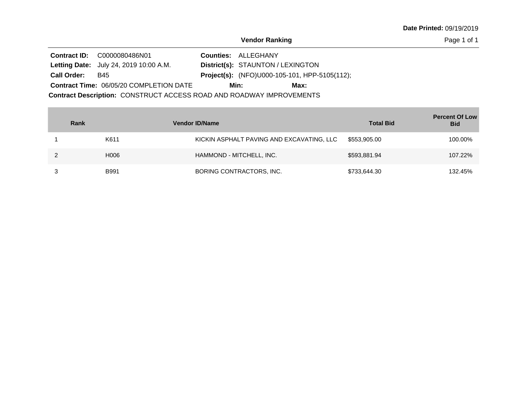Page 1 of 1

|                    | <b>Contract ID: C0000080486N01</b>                                   | <b>Counties: ALLEGHANY</b>                           |
|--------------------|----------------------------------------------------------------------|------------------------------------------------------|
|                    | <b>Letting Date:</b> July 24, 2019 10:00 A.M.                        | District(s): STAUNTON / LEXINGTON                    |
| <b>Call Order:</b> | B45                                                                  | <b>Project(s):</b> (NFO)U000-105-101, HPP-5105(112); |
|                    | <b>Contract Time: 06/05/20 COMPLETION DATE</b>                       | Max:<br>Min:                                         |
|                    | Contract Description: CONSTRUCT ACCESS ROAD AND ROADWAY IMPROVEMENTS |                                                      |

| Rank        | <b>Vendor ID/Name</b>                     | <b>Total Bid</b> | <b>Percent Of Low</b><br><b>Bid</b> |
|-------------|-------------------------------------------|------------------|-------------------------------------|
| K611        | KICKIN ASPHALT PAVING AND EXCAVATING, LLC | \$553,905.00     | 100.00%                             |
| H006        | HAMMOND - MITCHELL, INC.                  | \$593,881.94     | 107.22%                             |
| <b>B991</b> | BORING CONTRACTORS, INC.                  | \$733,644.30     | 132.45%                             |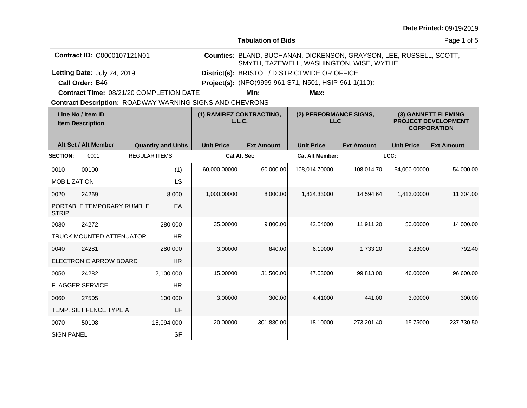| <b>Date Printed: 09/19/2019</b> |  |
|---------------------------------|--|
|---------------------------------|--|

| <b>Tabulation of Bids</b> |  |
|---------------------------|--|
|---------------------------|--|

Page 1 of 5

|                     | Contract ID: C0000107121N01                    |                      |                           | Counties: BLAND, BUCHANAN, DICKENSON, GRAYSON, LEE, RUSSELL, SCOTT,<br>SMYTH, TAZEWELL, WASHINGTON, WISE, WYTHE |                   |                                                       |                   |                   |                                                                         |
|---------------------|------------------------------------------------|----------------------|---------------------------|-----------------------------------------------------------------------------------------------------------------|-------------------|-------------------------------------------------------|-------------------|-------------------|-------------------------------------------------------------------------|
|                     | Letting Date: July 24, 2019                    |                      |                           | District(s): BRISTOL / DISTRICTWIDE OR OFFICE                                                                   |                   |                                                       |                   |                   |                                                                         |
|                     | Call Order: B46                                |                      |                           |                                                                                                                 |                   | Project(s): (NFO)9999-961-S71, N501, HSIP-961-1(110); |                   |                   |                                                                         |
|                     | <b>Contract Time: 08/21/20 COMPLETION DATE</b> |                      |                           |                                                                                                                 | Min:              | Max:                                                  |                   |                   |                                                                         |
|                     |                                                |                      |                           | <b>Contract Description: ROADWAY WARNING SIGNS AND CHEVRONS</b>                                                 |                   |                                                       |                   |                   |                                                                         |
|                     | Line No / Item ID<br><b>Item Description</b>   |                      |                           | (1) RAMIREZ CONTRACTING,<br>L.L.C.                                                                              |                   | (2) PERFORMANCE SIGNS,<br><b>LLC</b>                  |                   |                   | (3) GANNETT FLEMING<br><b>PROJECT DEVELOPMENT</b><br><b>CORPORATION</b> |
|                     | Alt Set / Alt Member                           |                      | <b>Quantity and Units</b> | <b>Unit Price</b>                                                                                               | <b>Ext Amount</b> | <b>Unit Price</b>                                     | <b>Ext Amount</b> | <b>Unit Price</b> | <b>Ext Amount</b>                                                       |
| <b>SECTION:</b>     | 0001                                           | <b>REGULAR ITEMS</b> |                           |                                                                                                                 | Cat Alt Set:      | <b>Cat Alt Member:</b>                                |                   | LCC:              |                                                                         |
| 0010                | 00100                                          |                      | (1)                       | 60,000.00000                                                                                                    | 60,000.00         | 108,014.70000                                         | 108,014.70        | 54.000.00000      | 54.000.00                                                               |
| <b>MOBILIZATION</b> |                                                |                      | LS                        |                                                                                                                 |                   |                                                       |                   |                   |                                                                         |
| 0020                | 24269                                          |                      | 8.000                     | 1,000.00000                                                                                                     | 8,000.00          | 1,824.33000                                           | 14.594.64         | 1,413.00000       | 11,304.00                                                               |
| <b>STRIP</b>        | PORTABLE TEMPORARY RUMBLE                      |                      | EA                        |                                                                                                                 |                   |                                                       |                   |                   |                                                                         |
| 0030                | 24272                                          |                      | 280.000                   | 35.00000                                                                                                        | 9,800.00          | 42.54000                                              | 11,911.20         | 50.00000          | 14,000.00                                                               |
|                     | TRUCK MOUNTED ATTENUATOR                       |                      | <b>HR</b>                 |                                                                                                                 |                   |                                                       |                   |                   |                                                                         |
| 0040                | 24281                                          |                      | 280,000                   | 3.00000                                                                                                         | 840.00            | 6.19000                                               | 1,733.20          | 2.83000           | 792.40                                                                  |
|                     | ELECTRONIC ARROW BOARD                         |                      | <b>HR</b>                 |                                                                                                                 |                   |                                                       |                   |                   |                                                                         |
| 0050                | 24282                                          |                      | 2,100.000                 | 15.00000                                                                                                        | 31,500.00         | 47.53000                                              | 99,813.00         | 46.00000          | 96,600.00                                                               |
|                     | <b>FLAGGER SERVICE</b>                         |                      | <b>HR</b>                 |                                                                                                                 |                   |                                                       |                   |                   |                                                                         |
| 0060                | 27505                                          |                      | 100.000                   | 3.00000                                                                                                         | 300.00            | 4.41000                                               | 441.00            | 3.00000           | 300.00                                                                  |
|                     | TEMP. SILT FENCE TYPE A                        |                      | LF                        |                                                                                                                 |                   |                                                       |                   |                   |                                                                         |
| 0070                | 50108                                          |                      | 15,094.000                | 20.00000                                                                                                        | 301,880.00        | 18.10000                                              | 273,201.40        | 15.75000          | 237,730.50                                                              |
| <b>SIGN PANEL</b>   |                                                |                      | <b>SF</b>                 |                                                                                                                 |                   |                                                       |                   |                   |                                                                         |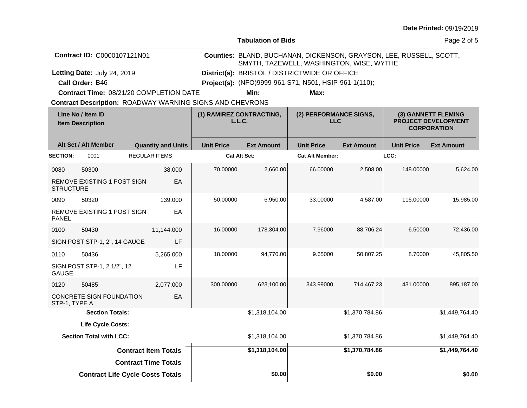| <b>Date Printed: 09/19/2019</b> |  |
|---------------------------------|--|
|---------------------------------|--|

|                                                                     | <b>Date Printed: 09/19/2019</b> |
|---------------------------------------------------------------------|---------------------------------|
| <b>Tabulation of Bids</b>                                           | Page 2 of 5                     |
| Counties: BLAND, BUCHANAN, DICKENSON, GRAYSON, LEE, RUSSELL, SCOTT, |                                 |

**Contract ID:** C0000107121N01

**Letting Date:** July 24, 2019 **District(s):** BRISTOL / DISTRICTWIDE OR OFFICE Letting Date: July 24, 2019

**Call Order:** B46 **Project(s):** (NFO)9999-961-S71, N501, HSIP-961-1(110);

**Contract Time:** 08/21/20 COMPLETION DATE

**Min: Max:**

SMYTH, TAZEWELL, WASHINGTON, WISE, WYTHE

**Contract Description: ROADWAY WARNING SIGNS AND CHEVRONS** 

|                  | Line No / Item ID<br><b>Item Description</b> |                             | (1) RAMIREZ CONTRACTING,<br>(2) PERFORMANCE SIGNS,<br>L.L.C.<br><b>LLC</b> |                   |                        | (3) GANNETT FLEMING<br><b>PROJECT DEVELOPMENT</b><br><b>CORPORATION</b> |                   |                   |
|------------------|----------------------------------------------|-----------------------------|----------------------------------------------------------------------------|-------------------|------------------------|-------------------------------------------------------------------------|-------------------|-------------------|
|                  | Alt Set / Alt Member                         | <b>Quantity and Units</b>   | <b>Unit Price</b>                                                          | <b>Ext Amount</b> | <b>Unit Price</b>      | <b>Ext Amount</b>                                                       | <b>Unit Price</b> | <b>Ext Amount</b> |
| <b>SECTION:</b>  | 0001                                         | <b>REGULAR ITEMS</b>        | <b>Cat Alt Set:</b>                                                        |                   | <b>Cat Alt Member:</b> |                                                                         | LCC:              |                   |
| 0080             | 50300                                        | 38.000                      | 70.00000                                                                   | 2,660.00          | 66.00000               | 2,508.00                                                                | 148.00000         | 5,624.00          |
| <b>STRUCTURE</b> | REMOVE EXISTING 1 POST SIGN                  | EA                          |                                                                            |                   |                        |                                                                         |                   |                   |
| 0090             | 50320                                        | 139.000                     | 50.00000                                                                   | 6,950.00          | 33.00000               | 4,587.00                                                                | 115.00000         | 15,985.00         |
| <b>PANEL</b>     | REMOVE EXISTING 1 POST SIGN                  | EA                          |                                                                            |                   |                        |                                                                         |                   |                   |
| 0100             | 50430                                        | 11,144.000                  | 16.00000                                                                   | 178,304.00        | 7.96000                | 88,706.24                                                               | 6.50000           | 72,436.00         |
|                  | SIGN POST STP-1, 2", 14 GAUGE                | LF                          |                                                                            |                   |                        |                                                                         |                   |                   |
| 0110             | 50436                                        | 5,265.000                   | 18.00000                                                                   | 94,770.00         | 9.65000                | 50,807.25                                                               | 8.70000           | 45,805.50         |
| <b>GAUGE</b>     | SIGN POST STP-1, 2 1/2", 12                  | LF                          |                                                                            |                   |                        |                                                                         |                   |                   |
| 0120             | 50485                                        | 2,077.000                   | 300.00000                                                                  | 623,100.00        | 343.99000              | 714,467.23                                                              | 431.00000         | 895,187.00        |
| STP-1, TYPE A    | CONCRETE SIGN FOUNDATION                     | EA                          |                                                                            |                   |                        |                                                                         |                   |                   |
|                  | <b>Section Totals:</b>                       |                             |                                                                            | \$1,318,104.00    |                        | \$1,370,784.86                                                          |                   | \$1,449,764.40    |
|                  | <b>Life Cycle Costs:</b>                     |                             |                                                                            |                   |                        |                                                                         |                   |                   |
|                  | <b>Section Total with LCC:</b>               |                             |                                                                            | \$1,318,104.00    |                        | \$1,370,784.86                                                          |                   | \$1,449,764.40    |
|                  |                                              | <b>Contract Item Totals</b> |                                                                            | \$1,318,104.00    |                        | \$1,370,784.86                                                          |                   | \$1,449,764.40    |
|                  |                                              | <b>Contract Time Totals</b> |                                                                            |                   |                        |                                                                         |                   |                   |
|                  | <b>Contract Life Cycle Costs Totals</b>      |                             |                                                                            | \$0.00            |                        | \$0.00                                                                  |                   | \$0.00            |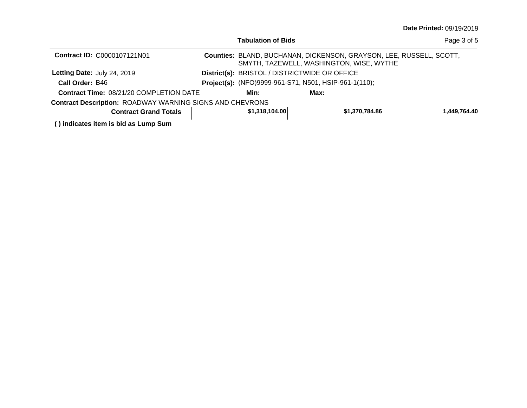|                                                                 | Tabulation of Bids |                                                                                                                 | Page 3 of 5  |
|-----------------------------------------------------------------|--------------------|-----------------------------------------------------------------------------------------------------------------|--------------|
| <b>Contract ID: C0000107121N01</b>                              |                    | Counties: BLAND, BUCHANAN, DICKENSON, GRAYSON, LEE, RUSSELL, SCOTT,<br>SMYTH, TAZEWELL, WASHINGTON, WISE, WYTHE |              |
| Letting Date: July 24, 2019                                     |                    | District(s): BRISTOL / DISTRICTWIDE OR OFFICE                                                                   |              |
| Call Order: B46                                                 |                    | Project(s): (NFO)9999-961-S71, N501, HSIP-961-1(110);                                                           |              |
| <b>Contract Time: 08/21/20 COMPLETION DATE</b>                  | Min:               | Max:                                                                                                            |              |
| <b>Contract Description: ROADWAY WARNING SIGNS AND CHEVRONS</b> |                    |                                                                                                                 |              |
| <b>Contract Grand Totals</b>                                    | \$1,318,104.00     | \$1,370,784.86                                                                                                  | 1,449,764.40 |
| () indicates item is bid as Lump Sum                            |                    |                                                                                                                 |              |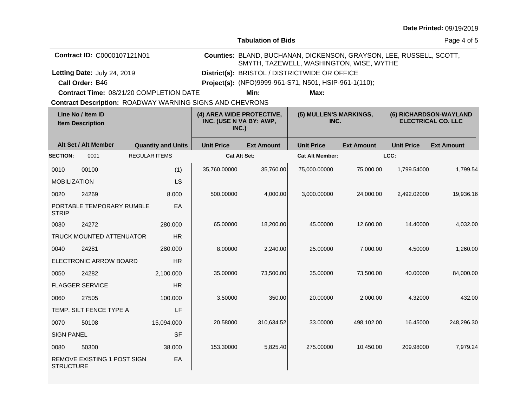| Date Printed: 09/19/2019 |  |  |  |  |
|--------------------------|--|--|--|--|
|--------------------------|--|--|--|--|

**Tabulation of Bids**

Page 4 of 5

| <b>Contract ID: C0000107121N01</b>      |                                               | Counties: BLAND, BUCHANAN, DICKENSON, GRAYSON, LEE, RUSSELL, SCOTT,<br>SMYTH, TAZEWELL, WASHINGTON, WISE, WYTHE |  |
|-----------------------------------------|-----------------------------------------------|-----------------------------------------------------------------------------------------------------------------|--|
| Letting Date: July 24, 2019             | District(s): BRISTOL / DISTRICTWIDE OR OFFICE |                                                                                                                 |  |
| Call Order: B46                         |                                               | <b>Project(s):</b> (NFO)9999-961-S71, N501, HSIP-961-1(110);                                                    |  |
| Contract Time: 08/21/20 COMPLETION DATE | Min:                                          | Max:                                                                                                            |  |

**Contract Time:** 08/21/20 COMPLETION DATE

**Contract Description: ROADWAY WARNING SIGNS AND CHEVRONS** 

|                     | Line No / Item ID<br><b>Item Description</b> |                           | (4) AREA WIDE PROTECTIVE,<br>INC. (USE N VA BY: AWP,<br>INC.) |                   | (5) MULLEN'S MARKINGS,<br>INC. |                   | (6) RICHARDSON-WAYLAND<br><b>ELECTRICAL CO. LLC</b> |                   |
|---------------------|----------------------------------------------|---------------------------|---------------------------------------------------------------|-------------------|--------------------------------|-------------------|-----------------------------------------------------|-------------------|
|                     | Alt Set / Alt Member                         | <b>Quantity and Units</b> | <b>Unit Price</b>                                             | <b>Ext Amount</b> | <b>Unit Price</b>              | <b>Ext Amount</b> | <b>Unit Price</b>                                   | <b>Ext Amount</b> |
| <b>SECTION:</b>     | 0001                                         | <b>REGULAR ITEMS</b>      | <b>Cat Alt Set:</b>                                           |                   | <b>Cat Alt Member:</b>         |                   | LCC:                                                |                   |
| 0010                | 00100                                        | (1)                       | 35,760.00000                                                  | 35,760.00         | 75,000.00000                   | 75,000.00         | 1,799.54000                                         | 1,799.54          |
| <b>MOBILIZATION</b> |                                              | LS                        |                                                               |                   |                                |                   |                                                     |                   |
| 0020                | 24269                                        | 8.000                     | 500.00000                                                     | 4,000.00          | 3,000.00000                    | 24,000.00         | 2,492.02000                                         | 19,936.16         |
| <b>STRIP</b>        | PORTABLE TEMPORARY RUMBLE                    | EA                        |                                                               |                   |                                |                   |                                                     |                   |
| 0030                | 24272                                        | 280,000                   | 65.00000                                                      | 18,200.00         | 45.00000                       | 12,600.00         | 14.40000                                            | 4,032.00          |
|                     | <b>TRUCK MOUNTED ATTENUATOR</b>              | <b>HR</b>                 |                                                               |                   |                                |                   |                                                     |                   |
| 0040                | 24281                                        | 280,000                   | 8.00000                                                       | 2,240.00          | 25.00000                       | 7,000.00          | 4.50000                                             | 1,260.00          |
|                     | ELECTRONIC ARROW BOARD                       | <b>HR</b>                 |                                                               |                   |                                |                   |                                                     |                   |
| 0050                | 24282                                        | 2,100.000                 | 35.00000                                                      | 73,500.00         | 35.00000                       | 73,500.00         | 40.00000                                            | 84,000.00         |
|                     | <b>FLAGGER SERVICE</b>                       | <b>HR</b>                 |                                                               |                   |                                |                   |                                                     |                   |
| 0060                | 27505                                        | 100.000                   | 3.50000                                                       | 350.00            | 20.00000                       | 2,000.00          | 4.32000                                             | 432.00            |
|                     | TEMP. SILT FENCE TYPE A                      | LF                        |                                                               |                   |                                |                   |                                                     |                   |
| 0070                | 50108                                        | 15,094.000                | 20.58000                                                      | 310,634.52        | 33.00000                       | 498,102.00        | 16.45000                                            | 248,296.30        |
| <b>SIGN PANEL</b>   |                                              | <b>SF</b>                 |                                                               |                   |                                |                   |                                                     |                   |
| 0080                | 50300                                        | 38,000                    | 153.30000                                                     | 5,825.40          | 275.00000                      | 10,450.00         | 209.98000                                           | 7,979.24          |
| <b>STRUCTURE</b>    | <b>REMOVE EXISTING 1 POST SIGN</b>           | EA                        |                                                               |                   |                                |                   |                                                     |                   |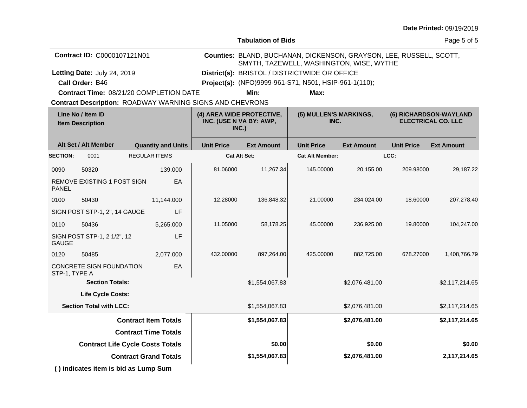| <b>Date Printed: 09/19/2019</b> |  |
|---------------------------------|--|
|---------------------------------|--|

**Tabulation of Bids**

Page 5 of 5

| <b>Contract ID: C0000107121N01</b>      |                                               | Counties: BLAND, BUCHANAN, DICKENSON, GRAYSON, LEE, RUSSELL, SCOTT,<br>SMYTH, TAZEWELL, WASHINGTON, WISE, WYTHE |
|-----------------------------------------|-----------------------------------------------|-----------------------------------------------------------------------------------------------------------------|
| Letting Date: July 24, 2019             | District(s): BRISTOL / DISTRICTWIDE OR OFFICE |                                                                                                                 |
| Call Order: B46                         |                                               | Project(s): (NFO)9999-961-S71, N501, HSIP-961-1(110);                                                           |
| Contract Time: 08/21/20 COMPLETION DATE | Min:                                          | Max:                                                                                                            |

**Contract Time:** 08/21/20 COMPLETION DATE

**Contract Description: ROADWAY WARNING SIGNS AND CHEVRONS** 

| Line No / Item ID<br><b>Item Description</b>    |                                      |                      | (4) AREA WIDE PROTECTIVE,<br>INC. (USE N VA BY: AWP,<br>INC.) |                     | (5) MULLEN'S MARKINGS,<br>INC. |                        | (6) RICHARDSON-WAYLAND<br><b>ELECTRICAL CO. LLC</b> |                   |                   |
|-------------------------------------------------|--------------------------------------|----------------------|---------------------------------------------------------------|---------------------|--------------------------------|------------------------|-----------------------------------------------------|-------------------|-------------------|
|                                                 | Alt Set / Alt Member                 |                      | <b>Quantity and Units</b>                                     | <b>Unit Price</b>   | <b>Ext Amount</b>              | <b>Unit Price</b>      | <b>Ext Amount</b>                                   | <b>Unit Price</b> | <b>Ext Amount</b> |
| <b>SECTION:</b>                                 | 0001                                 | <b>REGULAR ITEMS</b> |                                                               | <b>Cat Alt Set:</b> |                                | <b>Cat Alt Member:</b> |                                                     | LCC:              |                   |
| 0090                                            | 50320                                |                      | 139.000                                                       | 81.06000            | 11,267.34                      | 145.00000              | 20,155.00                                           | 209.98000         | 29,187.22         |
| REMOVE EXISTING 1 POST SIGN<br><b>PANEL</b>     |                                      | EA                   |                                                               |                     |                                |                        |                                                     |                   |                   |
| 0100                                            | 50430                                |                      | 11,144.000                                                    | 12.28000            | 136,848.32                     | 21.00000               | 234,024.00                                          | 18.60000          | 207,278.40        |
| LF<br>SIGN POST STP-1, 2", 14 GAUGE             |                                      |                      |                                                               |                     |                                |                        |                                                     |                   |                   |
| 0110                                            | 50436                                |                      | 5,265.000                                                     | 11.05000            | 58,178.25                      | 45.00000               | 236,925.00                                          | 19,80000          | 104,247.00        |
| <b>GAUGE</b>                                    | SIGN POST STP-1, 2 1/2", 12          |                      | LF                                                            |                     |                                |                        |                                                     |                   |                   |
| 0120                                            | 50485                                |                      | 2,077.000                                                     | 432.00000           | 897,264.00                     | 425.00000              | 882,725.00                                          | 678.27000         | 1,408,766.79      |
| CONCRETE SIGN FOUNDATION<br>EA<br>STP-1, TYPE A |                                      |                      |                                                               |                     |                                |                        |                                                     |                   |                   |
|                                                 | <b>Section Totals:</b>               |                      |                                                               |                     | \$1,554,067.83                 |                        | \$2,076,481.00                                      |                   | \$2,117,214.65    |
|                                                 | <b>Life Cycle Costs:</b>             |                      |                                                               |                     |                                |                        |                                                     |                   |                   |
|                                                 | <b>Section Total with LCC:</b>       |                      |                                                               |                     | \$1,554,067.83                 |                        | \$2,076,481.00                                      |                   | \$2,117,214.65    |
| <b>Contract Item Totals</b>                     |                                      |                      |                                                               | \$1,554,067.83      |                                | \$2,076,481.00         |                                                     | \$2,117,214.65    |                   |
| <b>Contract Time Totals</b>                     |                                      |                      |                                                               |                     |                                |                        |                                                     |                   |                   |
| <b>Contract Life Cycle Costs Totals</b>         |                                      |                      |                                                               | \$0.00              |                                | \$0.00                 |                                                     | \$0.00            |                   |
| <b>Contract Grand Totals</b>                    |                                      |                      |                                                               | \$1,554,067.83      |                                | \$2,076,481.00         |                                                     | 2,117,214.65      |                   |
|                                                 | () indicates item is bid as Lump Sum |                      |                                                               |                     |                                |                        |                                                     |                   |                   |